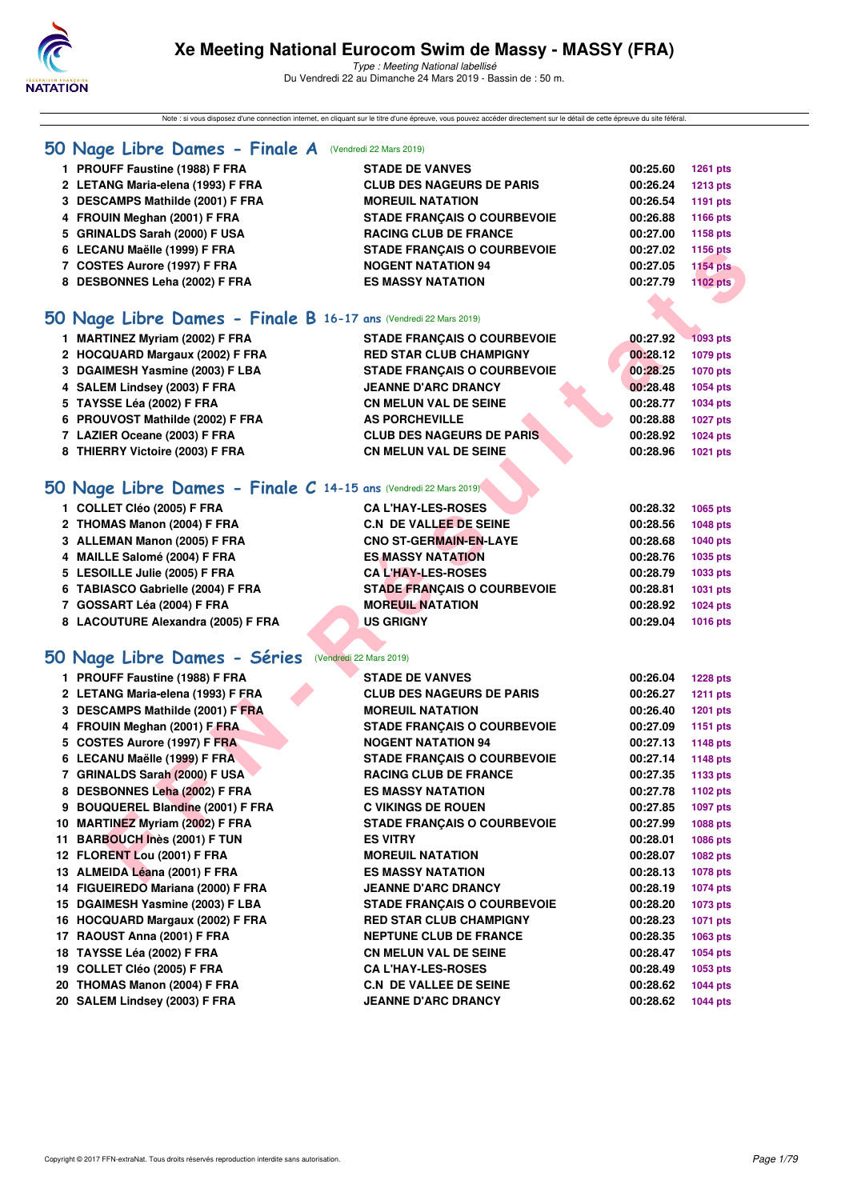

Note : si vous disposez d'une connection internet, en cliquant sur le titre d'une épreuve, vous pouvez accéder directement sur le détail de cette épreuve du site féféral.

#### **[50 Nage Libre Dames - Finale A](http://www.ffnatation.fr/webffn/resultats.php?idact=nat&go=epr&idcpt=57649&idepr=1)** (Vendredi 22 Mars 2019)

- **1 PROUFF Faustine (1988) F FRA STADE DE VANVES 00:25.60 1261 pts**
- **2 LETANG Maria-elena (1993) F FRA CLUB DES NAGEURS DE PARIS 00:26.24 1213 pts**
- **3 DESCAMPS Mathilde (2001) F FRA MOREUIL NATATION 00:26.54 1191 pts**
- **4 FROUIN Meghan (2001) F FRA STADE FRANÇAIS O COURBEVOIE 00:26.88 1166 pts**
- **5 GRINALDS Sarah (2000) F USA RACING CLUB DE FRANCE 00:27.00 1158 pts**
- **6 LECANU Maëlle (1999) F FRA STADE FRANÇAIS O COURBEVOIE 00:27.02 1156 pts**
- **7 COSTES Aurore (1997) F FRA NOGENT NATATION 94 00:27.05 1154 pts**
- **8 DESBONNES Leha (2002) F FRA ES MASSY NATATION 00:27.79 1102 pts**

## **[50 Nage Libre Dames - Finale B](http://www.ffnatation.fr/webffn/resultats.php?idact=nat&go=epr&idcpt=57649&idepr=1) 16-17 ans** (Vendredi 22 Mars 2019)

| <b>STADE FRANCAIS O COURBEVOIE</b>                                                                                                                                                                                                                                            | 00:27.92 | 1093 pts |
|-------------------------------------------------------------------------------------------------------------------------------------------------------------------------------------------------------------------------------------------------------------------------------|----------|----------|
| <b>RED STAR CLUB CHAMPIGNY</b>                                                                                                                                                                                                                                                | 00:28.12 | 1079 pts |
| <b>STADE FRANCAIS O COURBEVOIE</b>                                                                                                                                                                                                                                            | 00:28.25 | 1070 pts |
| <b>JEANNE D'ARC DRANCY</b>                                                                                                                                                                                                                                                    | 00:28.48 | 1054 pts |
| <b>CN MELUN VAL DE SEINE</b>                                                                                                                                                                                                                                                  | 00:28.77 | 1034 pts |
| <b>AS PORCHEVILLE</b>                                                                                                                                                                                                                                                         | 00:28.88 | 1027 pts |
| <b>CLUB DES NAGEURS DE PARIS</b>                                                                                                                                                                                                                                              | 00:28.92 | 1024 pts |
| <b>CN MELUN VAL DE SEINE</b>                                                                                                                                                                                                                                                  | 00:28.96 | 1021 pts |
|                                                                                                                                                                                                                                                                               |          |          |
| <b>MARTINEZ Myriam (2002) F FRA</b><br>2 HOCQUARD Margaux (2002) F FRA<br>3 DGAIMESH Yasmine (2003) F LBA<br>4 SALEM Lindsey (2003) F FRA<br>5 TAYSSE Léa (2002) F FRA<br>6 PROUVOST Mathilde (2002) F FRA<br>7 LAZIER Oceane (2003) F FRA<br>8 THIERRY Victoire (2003) F FRA |          |          |

### **[50 Nage Libre Dames - Finale C](http://www.ffnatation.fr/webffn/resultats.php?idact=nat&go=epr&idcpt=57649&idepr=1) 14-15 ans** (Vendredi 22 Mars 2019)

| 1 COLLET Cléo (2005) F FRA         | <b>CA L'HAY-LES-ROSES</b>          | 00:28.32<br>1065 pts |
|------------------------------------|------------------------------------|----------------------|
| 2 THOMAS Manon (2004) F FRA        | <b>C.N DE VALLEE DE SEINE</b>      | 00:28.56<br>1048 pts |
| 3 ALLEMAN Manon (2005) F FRA       | <b>CNO ST-GERMAIN-EN-LAYE</b>      | 00:28.68<br>1040 pts |
| 4 MAILLE Salomé (2004) F FRA       | <b>ES MASSY NATATION</b>           | 00:28.76<br>1035 pts |
| 5 LESOILLE Julie (2005) F FRA      | <b>CAL'HAY-LES-ROSES</b>           | 00:28.79<br>1033 pts |
| 6 TABIASCO Gabrielle (2004) F FRA  | <b>STADE FRANCAIS O COURBEVOIE</b> | 00:28.81<br>1031 pts |
| 7 GOSSART Léa (2004) F FRA         | <b>MOREUIL NATATION</b>            | 00:28.92<br>1024 pts |
| 8 LACOUTURE Alexandra (2005) F FRA | <b>US GRIGNY</b>                   | 00:29.04<br>1016 pts |
|                                    |                                    |                      |

### **[50 Nage Libre Dames - Séries](http://www.ffnatation.fr/webffn/resultats.php?idact=nat&go=epr&idcpt=57649&idepr=1)** (Vendredi 22 Mars 2019)

| 6 LECANU Maëlle (1999) F FRA                                    | <b>STADE FRANÇAIS O COURBEVOIE</b> | 00:27.02 | <b>1156 pts</b> |
|-----------------------------------------------------------------|------------------------------------|----------|-----------------|
| 7 COSTES Aurore (1997) F FRA                                    | <b>NOGENT NATATION 94</b>          | 00:27.05 | <b>1154 pts</b> |
| 8 DESBONNES Leha (2002) F FRA                                   | <b>ES MASSY NATATION</b>           | 00:27.79 | <b>1102 pts</b> |
|                                                                 |                                    |          |                 |
| O Nage Libre Dames - Finale B 16-17 ans (Vendredi 22 Mars 2019) |                                    |          |                 |
| 1 MARTINEZ Myriam (2002) F FRA                                  | <b>STADE FRANÇAIS O COURBEVOIE</b> | 00:27.92 | 1093 pts        |
| 2 HOCQUARD Margaux (2002) F FRA                                 | <b>RED STAR CLUB CHAMPIGNY</b>     | 00:28.12 | 1079 pts        |
| 3 DGAIMESH Yasmine (2003) F LBA                                 | <b>STADE FRANÇAIS O COURBEVOIE</b> | 00:28.25 | <b>1070 pts</b> |
| 4 SALEM Lindsey (2003) F FRA                                    | <b>JEANNE D'ARC DRANCY</b>         | 00:28.48 | 1054 pts        |
| 5 TAYSSE Léa (2002) F FRA                                       | <b>CN MELUN VAL DE SEINE</b>       | 00:28.77 | 1034 pts        |
| 6 PROUVOST Mathilde (2002) F FRA                                | <b>AS PORCHEVILLE</b>              | 00:28.88 | <b>1027 pts</b> |
| 7 LAZIER Oceane (2003) F FRA                                    | <b>CLUB DES NAGEURS DE PARIS</b>   | 00:28.92 | <b>1024 pts</b> |
| 8 THIERRY Victoire (2003) F FRA                                 | <b>CN MELUN VAL DE SEINE</b>       | 00:28.96 | 1021 pts        |
|                                                                 |                                    |          |                 |
| O Nage Libre Dames - Finale C 14-15 ans (Vendredi 22 Mars 2019) |                                    |          |                 |
| 1 COLLET Cléo (2005) F FRA                                      | <b>CA L'HAY-LES-ROSES</b>          | 00:28.32 | 1065 pts        |
| 2 THOMAS Manon (2004) F FRA                                     | <b>C.N DE VALLEE DE SEINE</b>      | 00:28.56 | <b>1048 pts</b> |
| 3 ALLEMAN Manon (2005) F FRA                                    | <b>CNO ST-GERMAIN-EN-LAYE</b>      | 00:28.68 | <b>1040 pts</b> |
| 4 MAILLE Salomé (2004) F FRA                                    | <b>ES MASSY NATATION</b>           | 00:28.76 | 1035 pts        |
| 5 LESOILLE Julie (2005) F FRA                                   | <b>CAL'HAY-LES-ROSES</b>           | 00:28.79 | 1033 pts        |
| 6 TABIASCO Gabrielle (2004) F FRA                               | <b>STADE FRANÇAIS O COURBEVOIE</b> | 00:28.81 | 1031 pts        |
| 7 GOSSART Léa (2004) F FRA                                      | <b>MOREUIL NATATION</b>            | 00:28.92 | <b>1024 pts</b> |
| 8 LACOUTURE Alexandra (2005) F FRA                              | <b>US GRIGNY</b>                   | 00:29.04 | 1016 pts        |
|                                                                 |                                    |          |                 |
| O Nage Libre Dames - Séries (Vendredi 22 Mars 2019)             |                                    |          |                 |
|                                                                 |                                    |          |                 |
| 1 PROUFF Faustine (1988) F FRA                                  | <b>STADE DE VANVES</b>             | 00:26.04 | <b>1228 pts</b> |
| 2 LETANG Maria-elena (1993) F FRA                               | <b>CLUB DES NAGEURS DE PARIS</b>   | 00:26.27 | <b>1211 pts</b> |
| 3 DESCAMPS Mathilde (2001) F FRA                                | <b>MOREUIL NATATION</b>            | 00:26.40 | <b>1201 pts</b> |
| 4 FROUIN Meghan (2001) F FRA                                    | <b>STADE FRANÇAIS O COURBEVOIE</b> | 00:27.09 | <b>1151 pts</b> |
| 5 COSTES Aurore (1997) F FRA                                    | <b>NOGENT NATATION 94</b>          | 00:27.13 | <b>1148 pts</b> |
| 6 LECANU Maëlle (1999) F FRA                                    | <b>STADE FRANÇAIS O COURBEVOIE</b> | 00:27.14 | <b>1148 pts</b> |
| 7 GRINALDS Sarah (2000) F USA                                   | <b>RACING CLUB DE FRANCE</b>       | 00:27.35 | 1133 pts        |
| 8 DESBONNES Leha (2002) F FRA                                   | <b>ES MASSY NATATION</b>           | 00:27.78 | 1102 pts        |
| 9 BOUQUEREL Blandine (2001) F FRA                               | <b>C VIKINGS DE ROUEN</b>          | 00:27.85 | 1097 pts        |
| 10 MARTINEZ Myriam (2002) F FRA                                 | <b>STADE FRANÇAIS O COURBEVOIE</b> | 00:27.99 | 1088 pts        |
| 11 BARBOUCH Inès (2001) F TUN                                   | <b>ES VITRY</b>                    | 00:28.01 | 1086 pts        |
| 12 FLORENT Lou (2001) F FRA                                     | <b>MOREUIL NATATION</b>            | 00:28.07 | 1082 pts        |
| 13 ALMEIDA Léana (2001) F FRA                                   | <b>ES MASSY NATATION</b>           | 00:28.13 | 1078 pts        |
| 14 FIGUEIREDO Mariana (2000) F FRA                              | <b>JEANNE D'ARC DRANCY</b>         | 00:28.19 | 1074 pts        |
| 15 DGAIMESH Yasmine (2003) F LBA                                | <b>STADE FRANÇAIS O COURBEVOIE</b> | 00:28.20 | <b>1073 pts</b> |
| 16 HOCQUARD Margaux (2002) F FRA                                | <b>RED STAR CLUB CHAMPIGNY</b>     | 00:28.23 | 1071 pts        |
| 17 RAOUST Anna (2001) F FRA                                     | <b>NEPTUNE CLUB DE FRANCE</b>      | 00:28.35 | 1063 pts        |
| 18 TAYSSE Léa (2002) F FRA                                      | <b>CN MELUN VAL DE SEINE</b>       | 00:28.47 | <b>1054 pts</b> |
| 19 COLLET Cléo (2005) F FRA                                     | <b>CA L'HAY-LES-ROSES</b>          | 00:28.49 | 1053 pts        |
| 20 THOMAS Manon (2004) F FRA                                    | <b>C.N DE VALLEE DE SEINE</b>      | 00:28.62 | <b>1044 pts</b> |
| 20 SALEM Lindsey (2003) F FRA                                   | <b>JEANNE D'ARC DRANCY</b>         | 00:28.62 | <b>1044 pts</b> |
|                                                                 |                                    |          |                 |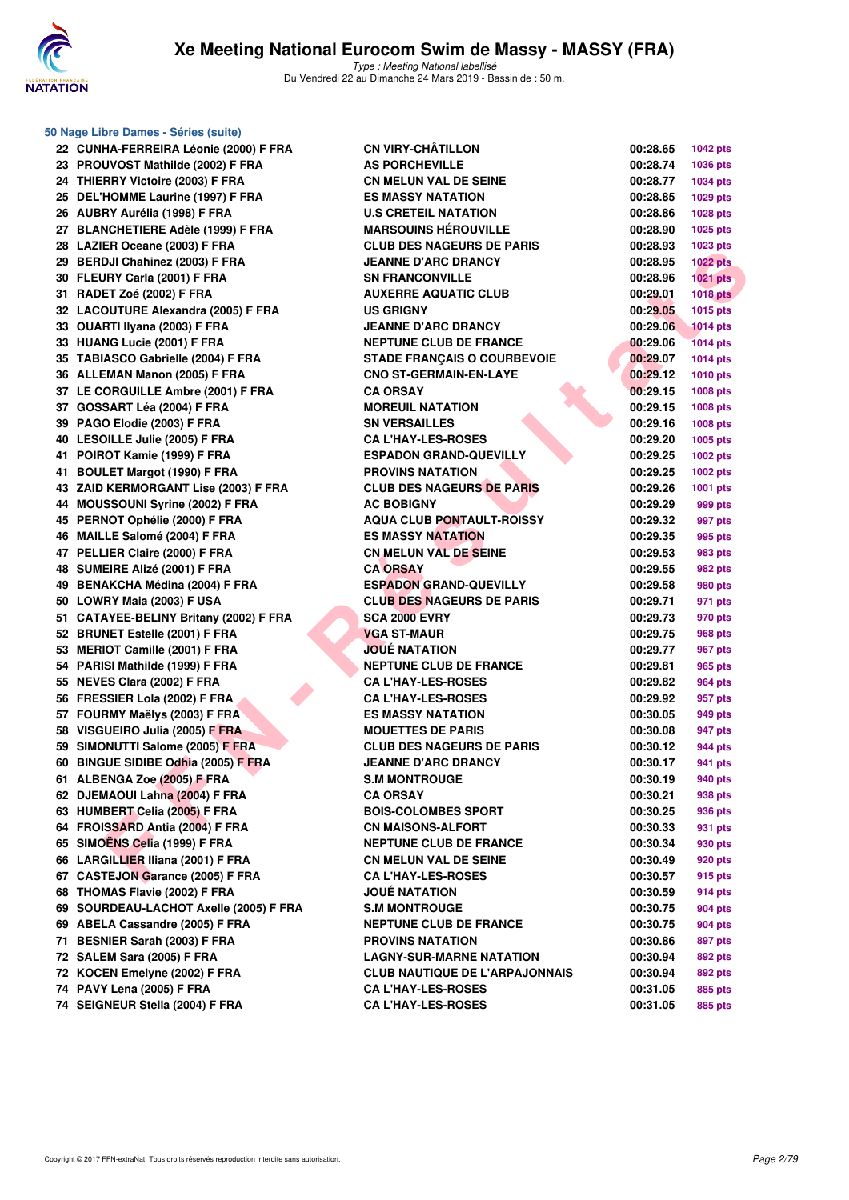

| 50 Nage Libre Dames - Séries (suite)   |                                       |          |                 |
|----------------------------------------|---------------------------------------|----------|-----------------|
| 22 CUNHA-FERREIRA Léonie (2000) F FRA  | <b>CN VIRY-CHÂTILLON</b>              | 00:28.65 | 1042 pts        |
| 23 PROUVOST Mathilde (2002) F FRA      | <b>AS PORCHEVILLE</b>                 | 00:28.74 | 1036 pts        |
| 24 THIERRY Victoire (2003) F FRA       | <b>CN MELUN VAL DE SEINE</b>          | 00:28.77 | 1034 pts        |
| 25 DEL'HOMME Laurine (1997) F FRA      | <b>ES MASSY NATATION</b>              | 00:28.85 | 1029 pts        |
| 26 AUBRY Aurélia (1998) F FRA          | <b>U.S CRETEIL NATATION</b>           | 00:28.86 | <b>1028 pts</b> |
| 27 BLANCHETIERE Adèle (1999) F FRA     | <b>MARSOUINS HEROUVILLE</b>           | 00:28.90 | 1025 pts        |
| 28 LAZIER Oceane (2003) F FRA          | <b>CLUB DES NAGEURS DE PARIS</b>      | 00:28.93 | 1023 pts        |
| 29 BERDJI Chahinez (2003) F FRA        | <b>JEANNE D'ARC DRANCY</b>            | 00:28.95 | <b>1022 pts</b> |
| 30 FLEURY Carla (2001) F FRA           | <b>SN FRANCONVILLE</b>                | 00:28.96 | <b>1021 pts</b> |
| 31 RADET Zoé (2002) F FRA              | <b>AUXERRE AQUATIC CLUB</b>           | 00:29.01 | <b>1018 pts</b> |
| 32 LACOUTURE Alexandra (2005) F FRA    | <b>US GRIGNY</b>                      | 00:29.05 | 1015 pts        |
| 33 OUARTI Ilyana (2003) F FRA          | <b>JEANNE D'ARC DRANCY</b>            | 00:29.06 | <b>1014 pts</b> |
| 33 HUANG Lucie (2001) F FRA            | <b>NEPTUNE CLUB DE FRANCE</b>         | 00:29.06 | <b>1014 pts</b> |
| 35 TABIASCO Gabrielle (2004) F FRA     | <b>STADE FRANÇAIS O COURBEVOIE</b>    | 00:29.07 | 1014 pts        |
| 36 ALLEMAN Manon (2005) F FRA          | <b>CNO ST-GERMAIN-EN-LAYE</b>         | 00:29.12 | 1010 pts        |
| 37 LE CORGUILLE Ambre (2001) F FRA     | <b>CA ORSAY</b>                       | 00:29.15 | 1008 pts        |
| 37 GOSSART Léa (2004) F FRA            | <b>MOREUIL NATATION</b>               | 00:29.15 | 1008 pts        |
| 39 PAGO Elodie (2003) F FRA            | <b>SN VERSAILLES</b>                  | 00:29.16 | 1008 pts        |
| 40 LESOILLE Julie (2005) F FRA         | <b>CA L'HAY-LES-ROSES</b>             | 00:29.20 | 1005 pts        |
| 41 POIROT Kamie (1999) F FRA           | <b>ESPADON GRAND-QUEVILLY</b>         | 00:29.25 | 1002 pts        |
| 41 BOULET Margot (1990) F FRA          | <b>PROVINS NATATION</b>               | 00:29.25 | 1002 pts        |
| 43 ZAID KERMORGANT Lise (2003) F FRA   | <b>CLUB DES NAGEURS DE PARIS</b>      | 00:29.26 | 1001 pts        |
| 44 MOUSSOUNI Syrine (2002) F FRA       | <b>AC BOBIGNY</b>                     | 00:29.29 | 999 pts         |
| 45 PERNOT Ophélie (2000) F FRA         | <b>AQUA CLUB PONTAULT-ROISSY</b>      | 00:29.32 | 997 pts         |
| 46 MAILLE Salomé (2004) F FRA          | <b>ES MASSY NATATION</b>              | 00:29.35 | 995 pts         |
| 47 PELLIER Claire (2000) F FRA         | <b>CN MELUN VAL DE SEINE</b>          | 00:29.53 | 983 pts         |
| 48 SUMEIRE Alizé (2001) F FRA          | <b>CA ORSAY</b>                       | 00:29.55 | 982 pts         |
| 49 BENAKCHA Médina (2004) F FRA        | <b>ESPADON GRAND-QUEVILLY</b>         | 00:29.58 | 980 pts         |
| 50 LOWRY Maia (2003) F USA             | <b>CLUB DES NAGEURS DE PARIS</b>      | 00:29.71 | 971 pts         |
| 51 CATAYEE-BELINY Britany (2002) F FRA | <b>SCA 2000 EVRY</b>                  | 00:29.73 | 970 pts         |
| 52 BRUNET Estelle (2001) F FRA         | <b>VGA ST-MAUR</b>                    | 00:29.75 | 968 pts         |
| 53 MERIOT Camille (2001) F FRA         | <b>JOUÉ NATATION</b>                  | 00:29.77 | 967 pts         |
| 54 PARISI Mathilde (1999) F FRA        | <b>NEPTUNE CLUB DE FRANCE</b>         | 00:29.81 | 965 pts         |
| 55 NEVES Clara (2002) F FRA            | <b>CA L'HAY-LES-ROSES</b>             | 00:29.82 | 964 pts         |
| 56 FRESSIER Lola (2002) F FRA          | <b>CA L'HAY-LES-ROSES</b>             | 00:29.92 | 957 pts         |
| 57 FOURMY Maëlys (2003) F FRA          | <b>ES MASSY NATATION</b>              | 00:30.05 | 949 pts         |
| 58 VISGUEIRO Julia (2005) F FRA        | <b>MOUETTES DE PARIS</b>              | 00:30.08 | 947 pts         |
| 59 SIMONUTTI Salome (2005) F FRA       | <b>CLUB DES NAGEURS DE PARIS</b>      | 00:30.12 | 944 pts         |
| 60 BINGUE SIDIBE Odhia (2005) F FRA    | <b>JEANNE D'ARC DRANCY</b>            | 00:30.17 | 941 pts         |
| 61 ALBENGA Zoe (2005) F FRA            | <b>S.M MONTROUGE</b>                  | 00:30.19 | 940 pts         |
| 62 DJEMAOUI Lahna (2004) F FRA         | <b>CA ORSAY</b>                       | 00:30.21 | 938 pts         |
| 63 HUMBERT Celia (2005) F FRA          | <b>BOIS-COLOMBES SPORT</b>            | 00:30.25 | 936 pts         |
| 64 FROISSARD Antia (2004) F FRA        | <b>CN MAISONS-ALFORT</b>              | 00:30.33 | 931 pts         |
| 65 SIMOËNS Celia (1999) F FRA          | <b>NEPTUNE CLUB DE FRANCE</b>         | 00:30.34 | 930 pts         |
| 66 LARGILLIER Iliana (2001) F FRA      | <b>CN MELUN VAL DE SEINE</b>          | 00:30.49 | 920 pts         |
| 67 CASTEJON Garance (2005) F FRA       | <b>CA L'HAY-LES-ROSES</b>             | 00:30.57 | 915 pts         |
| 68 THOMAS Flavie (2002) F FRA          | <b>JOUE NATATION</b>                  | 00:30.59 | 914 pts         |
| 69 SOURDEAU-LACHOT Axelle (2005) F FRA | <b>S.M MONTROUGE</b>                  | 00:30.75 | 904 pts         |
| 69 ABELA Cassandre (2005) F FRA        | <b>NEPTUNE CLUB DE FRANCE</b>         | 00:30.75 | 904 pts         |
| 71 BESNIER Sarah (2003) F FRA          | <b>PROVINS NATATION</b>               | 00:30.86 | 897 pts         |
| 72 SALEM Sara (2005) F FRA             | <b>LAGNY-SUR-MARNE NATATION</b>       | 00:30.94 | 892 pts         |
| 72 KOCEN Emelyne (2002) F FRA          | <b>CLUB NAUTIQUE DE L'ARPAJONNAIS</b> | 00:30.94 | 892 pts         |
| 74 PAVY Lena (2005) F FRA              | <b>CA L'HAY-LES-ROSES</b>             | 00:31.05 | 885 pts         |
| 74 SEIGNEUR Stella (2004) F FRA        | <b>CA L'HAY-LES-ROSES</b>             | 00:31.05 | 885 pts         |

| 00:28.65 | 1042 pts        |
|----------|-----------------|
| 00:28.74 | 1036 pts        |
| 00:28.77 | 1034 pts        |
| 00:28.85 | 1029 pts        |
| 00:28.86 | 1028 pts        |
| 00:28.90 | 1025 pts        |
| 00:28.93 | 1023 pts        |
| 00:28.95 | <b>1022 pts</b> |
| 00:28.96 | 1021 pts        |
| 00:29.01 | <b>1018 pts</b> |
| 00:29.05 | 1015 pts        |
| 00:29.06 | <b>1014 pts</b> |
| 00:29.06 | 1014 pts        |
| 00:29.07 | 1014 pts        |
| 00:29.12 | 1010 pts        |
| 00:29.15 | 1008 pts        |
| 00:29.15 | 1008 pts        |
| 00:29.16 | 1008 pts        |
| 00:29.20 | 1005 pts        |
| 00:29.25 | 1002 pts        |
| 00:29.25 | 1002 pts        |
| 00:29.26 | 1001 pts        |
| 00:29.29 | 999 pts         |
| 00:29.32 | 997 pts         |
| 00:29.35 | 995 pts         |
| 00:29.53 | 983 pts         |
| 00:29.55 | 982 pts         |
| 00:29.58 | 980 pts         |
| 00:29.71 | 971 pts         |
| 00:29.73 | 970 pts         |
| 00:29.75 | 968 pts         |
| 00:29.77 | 967 pts         |
| 00:29.81 | 965 pts         |
| 00:29.82 | 964 pts         |
| 00:29.92 | 957 pts         |
| 00:30.05 | 949 pts         |
| 00:30.08 | 947 pts         |
| 00:30.12 | <b>944 pts</b>  |
| 00:30.17 | 941 pts         |
| 00:30.19 | 940 pts         |
| 00:30.21 | 938 pts         |
| 00:30.25 | 936 pts         |
| 00:30.33 | 931 pts         |
| 00:30.34 | 930 pts         |
| 00:30.49 | 920 pts         |
| 00:30.57 | 915 pts         |
| 00:30.59 | 914 pts         |
| 00:30.75 | 904 pts         |
| 00:30.75 | <b>904 pts</b>  |
| 00:30.86 | 897 pts         |
| 00:30.94 | 892 pts         |
| 00:30.94 | 892 pts         |
| 00:31.05 | 885 pts         |
| 00:31.05 | <b>885 pts</b>  |
|          |                 |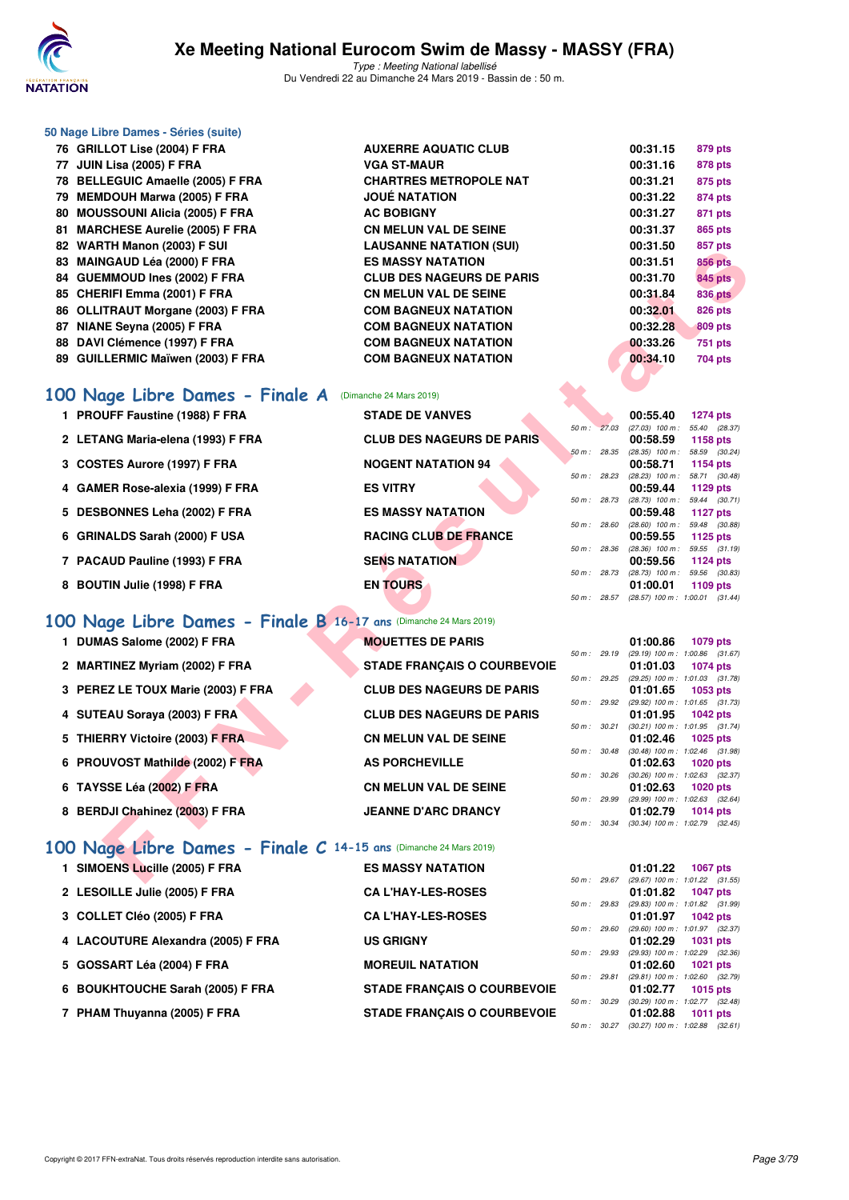

|     | 50 Nage Libre Dames - Séries (suite)                              |                                    |              |              |                                                                    |
|-----|-------------------------------------------------------------------|------------------------------------|--------------|--------------|--------------------------------------------------------------------|
|     | 76 GRILLOT Lise (2004) F FRA                                      | <b>AUXERRE AQUATIC CLUB</b>        |              |              | 00:31.15<br>879 pts                                                |
|     | 77 JUIN Lisa (2005) F FRA                                         | <b>VGA ST-MAUR</b>                 |              |              | 00:31.16<br>878 pts                                                |
|     | 78 BELLEGUIC Amaelle (2005) F FRA                                 | <b>CHARTRES METROPOLE NAT</b>      |              |              | 00:31.21<br>875 pts                                                |
|     | 79 MEMDOUH Marwa (2005) F FRA                                     | <b>JOUE NATATION</b>               |              |              | 00:31.22<br>874 pts                                                |
|     | 80 MOUSSOUNI Alicia (2005) F FRA                                  | <b>AC BOBIGNY</b>                  |              |              | 00:31.27<br>871 pts                                                |
| 81. | <b>MARCHESE Aurelie (2005) F FRA</b>                              | <b>CN MELUN VAL DE SEINE</b>       |              |              | 00:31.37<br>865 pts                                                |
|     | 82 WARTH Manon (2003) F SUI                                       | <b>LAUSANNE NATATION (SUI)</b>     |              |              | 00:31.50<br>857 pts                                                |
|     | 83 MAINGAUD Léa (2000) F FRA                                      | <b>ES MASSY NATATION</b>           |              |              | 00:31.51<br>856 pts                                                |
|     | 84 GUEMMOUD Ines (2002) F FRA                                     | <b>CLUB DES NAGEURS DE PARIS</b>   |              |              | 00:31.70<br>845 pts                                                |
|     | 85 CHERIFI Emma (2001) F FRA                                      | <b>CN MELUN VAL DE SEINE</b>       |              |              | 00:31.84<br><b>836 pts</b>                                         |
|     | 86 OLLITRAUT Morgane (2003) F FRA                                 | <b>COM BAGNEUX NATATION</b>        |              |              | 00:32.01<br>826 pts                                                |
|     | 87 NIANE Seyna (2005) F FRA                                       | <b>COM BAGNEUX NATATION</b>        |              |              | 00:32.28<br>809 pts                                                |
|     | 88 DAVI Clémence (1997) F FRA                                     | <b>COM BAGNEUX NATATION</b>        |              |              | 00:33.26<br>751 pts                                                |
|     | 89 GUILLERMIC Maïwen (2003) F FRA                                 | <b>COM BAGNEUX NATATION</b>        |              |              | 00:34.10<br>704 pts                                                |
|     | 100 Nage Libre Dames - Finale A                                   | (Dimanche 24 Mars 2019)            |              |              |                                                                    |
|     | 1 PROUFF Faustine (1988) F FRA                                    | <b>STADE DE VANVES</b>             |              |              | 00:55.40<br><b>1274 pts</b>                                        |
|     |                                                                   |                                    | 50 m: 27.03  |              | (27.03) 100 m: 55.40 (28.37)                                       |
|     | 2 LETANG Maria-elena (1993) F FRA                                 | <b>CLUB DES NAGEURS DE PARIS</b>   |              |              | 1158 pts<br>00:58.59                                               |
|     | 3 COSTES Aurore (1997) F FRA                                      | <b>NOGENT NATATION 94</b>          | 50 m: 28.35  |              | $(28.35)$ 100 m : 58.59 $(30.24)$<br>00:58.71<br><b>1154 pts</b>   |
|     |                                                                   |                                    | 50 m : 28.23 |              | $(28.23)$ 100 m : 58.71 $(30.48)$                                  |
|     | 4 GAMER Rose-alexia (1999) F FRA                                  | <b>ES VITRY</b>                    | 50 m: 28.73  |              | 00:59.44<br>1129 pts<br>$(28.73)$ 100 m : 59.44 $(30.71)$          |
|     | 5 DESBONNES Leha (2002) F FRA                                     | <b>ES MASSY NATATION</b>           |              |              | 1127 pts<br>00:59.48                                               |
|     |                                                                   |                                    | 50 m : 28.60 |              | $(28.60)$ 100 m : 59.48 $(30.88)$                                  |
|     | 6 GRINALDS Sarah (2000) F USA                                     | <b>RACING CLUB DE FRANCE</b>       | 50 m : 28.36 |              | 00:59.55<br>1125 $pts$<br>(28.36) 100 m: 59.55 (31.19)             |
|     | 7 PACAUD Pauline (1993) F FRA                                     | <b>SENS NATATION</b>               |              |              | 00:59.56<br>1124 pts                                               |
|     | 8 BOUTIN Julie (1998) F FRA                                       | <b>EN TOURS</b>                    |              | 50 m : 28.73 | (28.73) 100 m : 59.56 (30.83)<br>1109 pts<br>01:00.01              |
|     |                                                                   |                                    | 50 m : 28.57 |              | $(28.57)$ 100 m : 1:00.01 $(31.44)$                                |
|     | 100 Nage Libre Dames - Finale B 16-17 ans (Dimanche 24 Mars 2019) |                                    |              |              |                                                                    |
|     | 1 DUMAS Salome (2002) F FRA                                       | <b>MOUETTES DE PARIS</b>           |              |              | 01:00.86<br>1079 pts                                               |
|     |                                                                   |                                    | 50 m: 29.19  |              | (29.19) 100 m: 1:00.86 (31.67)                                     |
|     | 2 MARTINEZ Myriam (2002) F FRA                                    | <b>STADE FRANÇAIS O COURBEVOIE</b> | 50 m : 29.25 |              | 01:01.03<br><b>1074 pts</b><br>(29.25) 100 m: 1:01.03 (31.78)      |
|     | 3 PEREZ LE TOUX Marie (2003) F FRA                                | <b>CLUB DES NAGEURS DE PARIS</b>   |              |              | 01:01.65<br>1053 pts                                               |
|     |                                                                   |                                    | 50 m : 29.92 |              | (29.92) 100 m: 1:01.65 (31.73)<br><b>1042 pts</b>                  |
|     | 4 SUTEAU Soraya (2003) F FRA                                      | <b>CLUB DES NAGEURS DE PARIS</b>   | 50 m : 30.21 |              | 01:01.95<br>$(30.21)$ 100 m : 1:01.95 $(31.74)$                    |
|     | 5 THIERRY Victoire (2003) F FRA                                   | <b>CN MELUN VAL DE SEINE</b>       |              |              | 01:02.46<br><b>1025 pts</b>                                        |
|     | 6 PROUVOST Mathilde (2002) F FRA                                  | <b>AS PORCHEVILLE</b>              | 50 m : 30.48 |              | $(30.48)$ 100 m : 1:02.46 $(31.98)$<br>01:02.63 1020 pts           |
|     |                                                                   |                                    |              |              | 50 m: 30.26 (30.26) 100 m: 1:02.63 (32.37)                         |
|     | 6 TAYSSE Léa (2002) F FRA                                         | <b>CN MELUN VAL DE SEINE</b>       |              |              | 01:02.63<br>1020 pts                                               |
|     | 8 BERDJI Chahinez (2003) F FRA                                    | <b>JEANNE D'ARC DRANCY</b>         |              |              | 50 m: 29.99 (29.99) 100 m: 1:02.63 (32.64)<br>01:02.79<br>1014 pts |
|     |                                                                   |                                    |              |              | 50 m: 30.34 (30.34) 100 m: 1:02.79 (32.45)                         |
|     | 100 Nage Libre Dames - Finale C 14-15 ans (Dimanche 24 Mars 2019) |                                    |              |              |                                                                    |
|     |                                                                   |                                    |              |              |                                                                    |
|     | 1 SIMOENS Lucille (2005) F FRA                                    | <b>ES MASSY NATATION</b>           |              |              | 01:01.22<br>1067 pts<br>50 m: 29.67 (29.67) 100 m: 1:01.22 (31.55) |

## **[100 Nage Libre Dames - Finale A](http://www.ffnatation.fr/webffn/resultats.php?idact=nat&go=epr&idcpt=57649&idepr=2)** (Dimanche 24 Mars 2019)

|  |  | 1 PROUFF Faustine (1988) F FRA |  |  |
|--|--|--------------------------------|--|--|
|--|--|--------------------------------|--|--|

- **2 LETANG Maria-elena (1993) F FRA** CLUB DES NAGEURS DE PARIS 00:58.59 **1158 pts**<br> **28.35 100 m**: 28.35 100 m: 58.59 (28.35) 100 m: 58.59 (20.24)
- **3 COSTES Aurore (1997) F FRA NOGENT NATATION 94 00:58.71 1154 pts**<br> **3 COSTES Auror**e (1997) **F FRA NOGENT NATATION 94 100m 1 50m 28.23** (28.23) 100m **58.71** (30.48)
- **4 GAMER Rose-alexia (1999) F FRA ES VITRY 00:59.44 1129 pts**
- **5 DESBONNES Leha (2002) F FRA ES MASSY NATATION 00:59.48 1127 pts**
- **6 GRINALDS Sarah (2000) F USA** RACING CLUB DE FRANCE 00:59.55 **00:59.55 100 m**:<br> *50 m: 28.36 (28.36)* 100 m:
- **7 PACAUD Pauline (1993) F FRA** SENS NATATION 00:59.56 1124 pts 00:59.56 1124 pts
- 8 BOUTIN Julie (1998) F FRA EN TOURS

## **[100 Nage Libre Dames - Finale B](http://www.ffnatation.fr/webffn/resultats.php?idact=nat&go=epr&idcpt=57649&idepr=2) 16-17 ans** (Dimanche 24 Mars 2019)

- **1 DUMAS Salome (2002) F FRA MOUETTES DE PARIS 01:00.86 1079 pts**
- 2 MARTINEZ Myriam (2002) F FRA STADE FRANÇAIS O COURBEVOIE 01:01.03 **1074** pts
- **3 PEREZ LE TOUX Marie (2003) F FRA CLUB DES NAGEURS DE PARIS 01:01.65 1053 pts**
- **4 SUTEAU Soraya (2003) F FRA CLUB DES NAGEURS DE PARIS 01:01.95 01:01.95 01:01.95 01:01.95 01:01.95 01:01.95 01:01:01:05 01:01:01:05 01:01:01:05 01:01:01:05 01:01:01:05 01:01:01:05 01:01:01:05**
- **5 THIERRY Victoire (2003) F FRA CN MELUN VAL DE SEINE 01:02.46 01:02.46 01:02:46 01:02 <b>10 102:46 01:02:46 01:02:46 01:02:46 01:02:46 01:02:46 01:02:46 01:02:46 01:02:46 01:02:46 01:02:46**
- **6 PROUVOST Mathilde (2002) F FRA AS PORCHEVILLE 11.02.63 1020** pts **11.02.63 1020** pts **11.02.63 12.63 12.63 12.63 12.63 12.63 12.63 12.63 12.63 12.63 12.63 12.63 12.63 12.63 12.63 12**
- **6 TAYSSE Léa (2002) F FRA CN MELUN VAL DE SEINE 01:02.63 01:02.63 1020 pts**<br>  $\frac{60m}{29.99}$  **100 m**: 1:02.63 **(32.6**
- 8 BERDJI Chahinez (2003) F FRA **JEANNE D'ARC DRANCY** 01:02.79

| 100 Nage Libre Dames - Finale C 14-15 ans (Dimanche 24 Mars 2019) |                                    |             |                          |                                               |                 |            |
|-------------------------------------------------------------------|------------------------------------|-------------|--------------------------|-----------------------------------------------|-----------------|------------|
| 1 SIMOENS Lucille (2005) F FRA                                    | <b>ES MASSY NATATION</b>           |             |                          | 01:01.22                                      | 1067 pts        |            |
|                                                                   |                                    | 50 m: 29.67 |                          | $(29.67)$ 100 m : 1:01.22 $(31.55)$           |                 |            |
| 2 LESOILLE Julie (2005) F FRA                                     | <b>CA L'HAY-LES-ROSES</b>          |             |                          | 01:01.82                                      | <b>1047 pts</b> |            |
|                                                                   |                                    |             | 50 m: 29.83              | (29.83) 100 m: 1:01.82 (31.99)                |                 |            |
| 3 COLLET Cléo (2005) F FRA                                        | <b>CA L'HAY-LES-ROSES</b>          |             |                          | 01:01.97                                      | 1042 $p$ ts     |            |
|                                                                   |                                    |             | 50 m: 29.60              | (29.60) 100 m: 1:01.97 (32.37)                |                 |            |
| 4 LACOUTURE Alexandra (2005) F FRA                                | <b>US GRIGNY</b>                   |             |                          | 01:02.29                                      | <b>1031 pts</b> |            |
|                                                                   |                                    |             | 50 m: 29.93              | (29.93) 100 m: 1:02.29 (32.36)                |                 |            |
| 5 GOSSART Léa (2004) F FRA                                        | <b>MOREUIL NATATION</b>            |             |                          | 01:02.60                                      |                 | $1021$ pts |
|                                                                   |                                    |             | 50 m: 29.81              | $(29.81)$ 100 m : 1:02.60 $(32.79)$           |                 |            |
| 6 BOUKHTOUCHE Sarah (2005) F FRA                                  | <b>STADE FRANCAIS O COURBEVOIE</b> |             |                          | 01:02.77                                      | $1015$ pts      |            |
|                                                                   |                                    |             | $50 \text{ m}$ : $30.29$ | $(30.29)$ 100 m : 1:02.77 $(32.48)$           |                 |            |
| 7 PHAM Thuyanna (2005) F FRA                                      | <b>STADE FRANCAIS O COURBEVOIE</b> |             |                          | 01:02.88                                      | 1011 pts        |            |
|                                                                   |                                    |             |                          | $50 m - 3027$ (30.27) $100 m + 10288$ (32.61) |                 |            |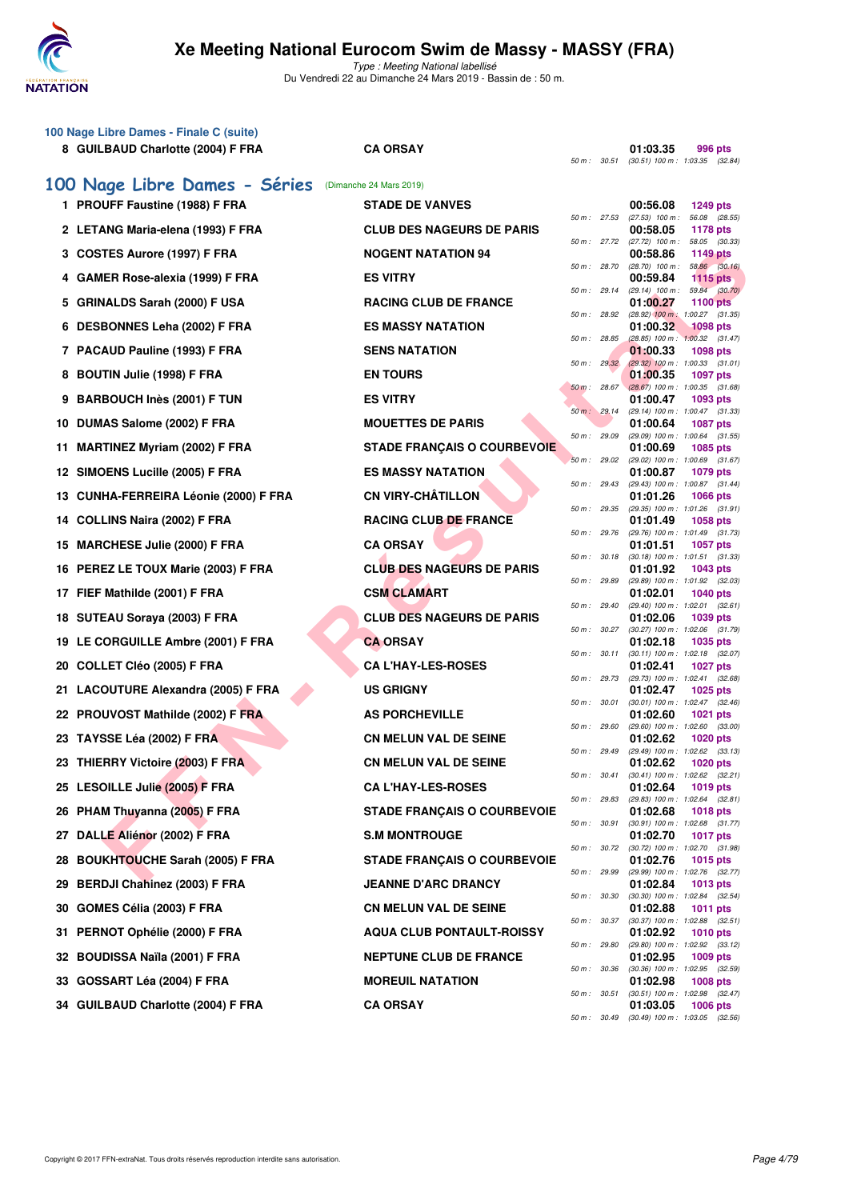

| 100 Nage Libre Dames - Finale C (suite)<br>8 GUILBAUD Charlotte (2004) F FRA | <b>CA ORSAY</b>                    | 50 m : 30.51 | 01:03.35<br>996 pts<br>$(30.51)$ 100 m : 1:03.35 $(32.84)$         |
|------------------------------------------------------------------------------|------------------------------------|--------------|--------------------------------------------------------------------|
| 100 Nage Libre Dames - Séries                                                | (Dimanche 24 Mars 2019)            |              |                                                                    |
| 1 PROUFF Faustine (1988) F FRA                                               | <b>STADE DE VANVES</b>             | 50 m: 27.53  | 00:56.08<br><b>1249 pts</b><br>56.08 (28.55)<br>$(27.53)$ 100 m :  |
| 2 LETANG Maria-elena (1993) F FRA                                            | <b>CLUB DES NAGEURS DE PARIS</b>   |              | 00:58.05<br><b>1178 pts</b>                                        |
| 3 COSTES Aurore (1997) F FRA                                                 | <b>NOGENT NATATION 94</b>          | 50 m : 27.72 | $(27.72)$ 100 m :<br>58.05 (30.33)<br>00:58.86<br><b>1149 pts</b>  |
| 4 GAMER Rose-alexia (1999) F FRA                                             | <b>ES VITRY</b>                    | 50 m : 28.70 | $(28.70)$ 100 m :<br>58.86 (30.16)<br>00:59.84<br><b>1115 pts</b>  |
| 5 GRINALDS Sarah (2000) F USA                                                | <b>RACING CLUB DE FRANCE</b>       | 50 m: 29.14  | 59.84 (30.70)<br>$(29.14)$ 100 m :<br>01:00.27<br><b>1100 pts</b>  |
| 6 DESBONNES Leha (2002) F FRA                                                | <b>ES MASSY NATATION</b>           | 50 m : 28.92 | (28.92) 100 m: 1:00.27 (31.35)<br>01:00.32<br><b>1098 pts</b>      |
| 7 PACAUD Pauline (1993) F FRA                                                | <b>SENS NATATION</b>               | 50 m : 28.85 | $(28.85)$ 100 m : 1:00.32 $(31.47)$<br>01:00.33<br><b>1098 pts</b> |
| 8 BOUTIN Julie (1998) F FRA                                                  | <b>EN TOURS</b>                    | 50 m : 29.32 | $(29.32)$ 100 m : 1:00.33 $(31.01)$<br>01:00.35<br>1097 pts        |
| 9 BARBOUCH Inès (2001) F TUN                                                 | <b>ES VITRY</b>                    | 50 m: 28.67  | $(28.67)$ 100 m : 1:00.35 $(31.68)$<br>01:00.47<br>1093 pts        |
| 10 DUMAS Salome (2002) F FRA                                                 | <b>MOUETTES DE PARIS</b>           | 50 m: 29.14  | (29.14) 100 m: 1:00.47 (31.33)<br>01:00.64<br><b>1087 pts</b>      |
| <b>MARTINEZ Myriam (2002) F FRA</b><br>11                                    | <b>STADE FRANÇAIS O COURBEVOIE</b> | 50 m : 29.09 | (29.09) 100 m: 1:00.64 (31.55)<br>01:00.69<br><b>1085 pts</b>      |
| 12 SIMOENS Lucille (2005) F FRA                                              | <b>ES MASSY NATATION</b>           | 50 m: 29.02  | (29.02) 100 m: 1:00.69 (31.67)<br>01:00.87<br>1079 pts             |
| 13 CUNHA-FERREIRA Léonie (2000) F FRA                                        | <b>CN VIRY-CHÂTILLON</b>           | 50 m : 29.43 | (29.43) 100 m: 1:00.87 (31.44)<br>01:01.26<br><b>1066 pts</b>      |
| 14 COLLINS Naira (2002) F FRA                                                | <b>RACING CLUB DE FRANCE</b>       | 50 m : 29.35 | (29.35) 100 m: 1:01.26 (31.91)<br>01:01.49<br><b>1058 pts</b>      |
| 15 MARCHESE Julie (2000) F FRA                                               | <b>CA ORSAY</b>                    | 50 m : 29.76 | (29.76) 100 m: 1:01.49 (31.73)<br>01:01.51<br>1057 pts             |
| 16 PEREZ LE TOUX Marie (2003) F FRA                                          | <b>CLUB DES NAGEURS DE PARIS</b>   | 50 m: 30.18  | $(30.18)$ 100 m : 1:01.51 $(31.33)$<br>01:01.92<br>1043 pts        |
| 17 FIEF Mathilde (2001) F FRA                                                | <b>CSM CLAMART</b>                 | 50 m : 29.89 | (29.89) 100 m: 1:01.92 (32.03)<br>01:02.01<br>1040 pts             |
| 18 SUTEAU Soraya (2003) F FRA                                                | <b>CLUB DES NAGEURS DE PARIS</b>   | 50 m : 29.40 | $(29.40)$ 100 m : 1:02.01 $(32.61)$<br>01:02.06<br>1039 pts        |
| 19 LE CORGUILLE Ambre (2001) F FRA                                           | <b>CA ORSAY</b>                    | 50 m : 30.27 | $(30.27)$ 100 m : 1:02.06 $(31.79)$<br>01:02.18<br>1035 pts        |
| 20 COLLET Cléo (2005) F FRA                                                  | <b>CA L'HAY-LES-ROSES</b>          | 50 m : 30.11 | (30.11) 100 m: 1:02.18 (32.07)<br>01:02.41<br><b>1027 pts</b>      |
| 21 LACOUTURE Alexandra (2005) F FRA                                          | <b>US GRIGNY</b>                   | 50 m : 29.73 | (29.73) 100 m : 1:02.41 (32.68)<br>01:02.47<br><b>1025 pts</b>     |
| 22 PROUVOST Mathilde (2002) F FRA                                            | <b>AS PORCHEVILLE</b>              | 50 m : 30.01 | (30.01) 100 m: 1:02.47 (32.46)<br>01:02.60<br>1021 pts             |
| 23 TAYSSE Léa (2002) F FRA                                                   | <b>CN MELUN VAL DE SEINE</b>       | 50 m: 29.60  | (29.60) 100 m: 1:02.60 (33.00)<br>01:02.62                         |
|                                                                              |                                    | 50 m: 29.49  | 1020 pts<br>(29.49) 100 m : 1:02.62 (33.13)<br>1020 pts            |
| 23 THIERRY Victoire (2003) F FRA                                             | CN MELUN VAL DE SEINE              | 50 m : 30.41 | 01:02.62<br>$(30.41)$ 100 m : 1:02.62 $(32.21)$                    |
| 25 LESOILLE Julie (2005) F FRA                                               | <b>CA L'HAY-LES-ROSES</b>          | 50 m : 29.83 | 01:02.64<br>1019 pts<br>(29.83) 100 m: 1:02.64 (32.81)             |
| 26 PHAM Thuyanna (2005) F FRA                                                | <b>STADE FRANÇAIS O COURBEVOIE</b> | 50 m : 30.91 | 01:02.68<br>1018 pts<br>$(30.91)$ 100 m : 1:02.68 $(31.77)$        |
| DALLE Aliénor (2002) F FRA<br>27                                             | <b>S.M MONTROUGE</b>               | 50 m : 30.72 | 01:02.70<br><b>1017 pts</b><br>(30.72) 100 m : 1:02.70 (31.98)     |
| <b>BOUKHTOUCHE Sarah (2005) F FRA</b><br>28                                  | <b>STADE FRANÇAIS O COURBEVOIE</b> | 50 m : 29.99 | 01:02.76<br>1015 pts<br>(29.99) 100 m : 1:02.76 (32.77)            |
| <b>BERDJI Chahinez (2003) F FRA</b><br>29                                    | <b>JEANNE D'ARC DRANCY</b>         | 50 m : 30.30 | 01:02.84<br>1013 pts<br>(30.30) 100 m: 1:02.84 (32.54)             |
| 30 GOMES Célia (2003) F FRA                                                  | <b>CN MELUN VAL DE SEINE</b>       | 50 m : 30.37 | 01:02.88<br><b>1011 pts</b><br>$(30.37)$ 100 m : 1:02.88 $(32.51)$ |
| PERNOT Ophélie (2000) F FRA<br>31                                            | <b>AQUA CLUB PONTAULT-ROISSY</b>   | 50 m : 29.80 | 01:02.92<br><b>1010 pts</b><br>$(29.80)$ 100 m : 1:02.92 $(33.12)$ |
| 32 BOUDISSA Naïla (2001) F FRA                                               | <b>NEPTUNE CLUB DE FRANCE</b>      | 50 m : 30.36 | 01:02.95<br>1009 pts<br>(30.36) 100 m: 1:02.95 (32.59)             |
| 33 GOSSART Léa (2004) F FRA                                                  | <b>MOREUIL NATATION</b>            | 50 m : 30.51 | 01:02.98<br><b>1008 pts</b><br>(30.51) 100 m: 1:02.98 (32.47)      |
| 34 GUILBAUD Charlotte (2004) F FRA                                           | <b>CA ORSAY</b>                    | 50 m : 30.49 | 01:03.05<br>1006 pts<br>$(30.49)$ 100 m : 1:03.05 $(32.56)$        |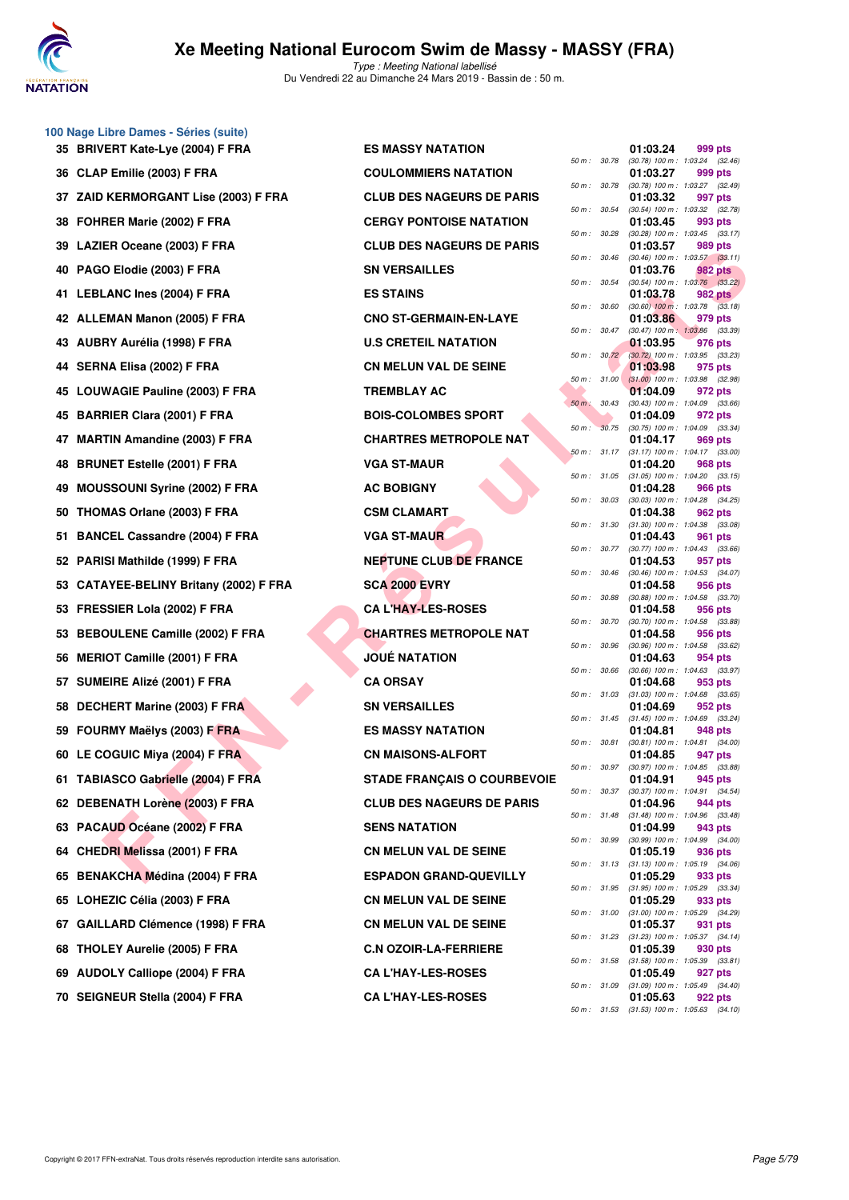

**100 Nage Libre Dames - Séries (suite)**

# **Xe Meeting National Eurocom Swim de Massy - MASSY (FRA)**

Type : Meeting National labellisé Du Vendredi 22 au Dimanche 24 Mars 2019 - Bassin de : 50 m.

| 35 BRIVERT Kate-Lye (2004) F FRA           | <b>ES MASSY NATATION</b>         |              |              | 01:03.24<br>999 pts                                                 |  |
|--------------------------------------------|----------------------------------|--------------|--------------|---------------------------------------------------------------------|--|
| 36 CLAP Emilie (2003) F FRA                | <b>COULOMMIERS NATATION</b>      |              | 50 m : 30.78 | (30.78) 100 m: 1:03.24 (32.46)<br>01:03.27<br>999 pts               |  |
| 37 ZAID KERMORGANT Lise (2003) F FRA       | <b>CLUB DES NAGEURS DE PARIS</b> |              | 50 m: 30.78  | (30.78) 100 m: 1:03.27 (32.49)<br>01:03.32<br>997 pts               |  |
| 38 FOHRER Marie (2002) F FRA               | <b>CERGY PONTOISE NATATION</b>   |              | 50 m : 30.54 | (30.54) 100 m: 1:03.32 (32.78)<br>01:03.45<br>993 pts               |  |
| 39 LAZIER Oceane (2003) F FRA              | <b>CLUB DES NAGEURS DE PARIS</b> |              | 50 m: 30.28  | $(30.28)$ 100 m : 1:03.45 $(33.17)$<br>01:03.57<br>989 pts          |  |
| 40 PAGO Elodie (2003) F FRA                | <b>SN VERSAILLES</b>             |              | 50 m: 30.46  | $(30.46)$ 100 m : 1:03.57 $(33.11)$<br>01:03.76<br>982 pts          |  |
| 41 LEBLANC Ines (2004) F FRA               | <b>ES STAINS</b>                 |              | 50 m : 30.54 | $(30.54)$ 100 m : 1:03.76 $(33.22)$<br>01:03.78<br>982 pts          |  |
| 42 ALLEMAN Manon (2005) F FRA              | <b>CNO ST-GERMAIN-EN-LAYE</b>    | 50 m: 30.60  |              | $(30.60)$ 100 m : 1:03.78 $(33.18)$<br>01:03.86<br>979 pts          |  |
| 43 AUBRY Aurélia (1998) F FRA              | <b>U.S CRETEIL NATATION</b>      |              | 50 m : 30.47 | $(30.47)$ 100 m : 1:03.86 $(33.39)$<br>01:03.95<br>976 pts          |  |
| 44 SERNA Elisa (2002) F FRA                | <b>CN MELUN VAL DE SEINE</b>     |              |              | 50 m : 30.72 (30.72) 100 m : 1:03.95 (33.23)<br>01:03.98<br>975 pts |  |
|                                            |                                  |              | 50 m: 31.00  | $(31.00)$ 100 m : 1:03.98 $(32.98)$                                 |  |
| 45 LOUWAGIE Pauline (2003) F FRA           | <b>TREMBLAY AC</b>               |              | 50 m : 30.43 | 01:04.09<br>972 pts<br>$(30.43)$ 100 m : 1:04.09 $(33.66)$          |  |
| 45 BARRIER Clara (2001) F FRA              | <b>BOIS-COLOMBES SPORT</b>       | $50 m$ :     | 30.75        | 01:04.09<br>972 pts<br>(30.75) 100 m: 1:04.09 (33.34)               |  |
| 47 MARTIN Amandine (2003) F FRA            | <b>CHARTRES METROPOLE NAT</b>    |              | 50 m: 31.17  | 01:04.17<br>969 pts<br>$(31.17)$ 100 m : 1:04.17 $(33.00)$          |  |
| 48 BRUNET Estelle (2001) F FRA             | <b>VGA ST-MAUR</b>               |              | 50 m : 31.05 | 01:04.20<br>968 pts<br>$(31.05)$ 100 m : 1:04.20 $(33.15)$          |  |
| <b>MOUSSOUNI Syrine (2002) F FRA</b><br>49 | <b>AC BOBIGNY</b>                |              | 50 m: 30.03  | 01:04.28<br>966 pts<br>(30.03) 100 m: 1:04.28 (34.25)               |  |
| THOMAS Orlane (2003) F FRA<br>50           | <b>CSM CLAMART</b>               |              | 50 m : 31.30 | 01:04.38<br>962 pts<br>$(31.30)$ 100 m : 1:04.38 $(33.08)$          |  |
| 51 BANCEL Cassandre (2004) F FRA           | <b>VGA ST-MAUR</b>               |              |              | 01:04.43<br>961 pts                                                 |  |
| 52 PARISI Mathilde (1999) F FRA            | <b>NEPTUNE CLUB DE FRANCE</b>    |              | 50 m : 30.77 | (30.77) 100 m : 1:04.43 (33.66)<br>01:04.53<br>957 pts              |  |
| 53 CATAYEE-BELINY Britany (2002) F FRA     | <b>SCA 2000 EVRY</b>             | 50 m: 30.46  |              | (30.46) 100 m: 1:04.53 (34.07)<br>01:04.58<br>956 pts               |  |
| 53 FRESSIER Lola (2002) F FRA              | <b>CA L'HAY-LES-ROSES</b>        | 50 m : 30.88 |              | $(30.88)$ 100 m : 1:04.58 $(33.70)$<br>01:04.58<br>956 pts          |  |
| 53 BEBOULENE Camille (2002) F FRA          | <b>CHARTRES METROPOLE NAT</b>    | 50 m : 30.70 |              | (30.70) 100 m: 1:04.58 (33.88)<br>01:04.58<br>956 pts               |  |
| 56 MERIOT Camille (2001) F FRA             | <b>JOUÉ NATATION</b>             |              | 50 m : 30.96 | (30.96) 100 m: 1:04.58 (33.62)<br>01:04.63<br>954 pts               |  |
| 57 SUMEIRE Alizé (2001) F FRA              | <b>CA ORSAY</b>                  |              | 50 m : 30.66 | $(30.66)$ 100 m : 1:04.63 $(33.97)$<br>01:04.68<br>953 pts          |  |
| 58 DECHERT Marine (2003) F FRA             | <b>SN VERSAILLES</b>             |              | 50 m : 31.03 | $(31.03)$ 100 m : 1:04.68 $(33.65)$<br>01:04.69<br>952 pts          |  |
| 59 FOURMY Maëlys (2003) F FRA              | <b>ES MASSY NATATION</b>         |              | 50 m: 31.45  | $(31.45)$ 100 m : 1:04.69 $(33.24)$                                 |  |
|                                            |                                  |              | 50 m : 30.81 | 01:04.81<br>948 pts<br>$(30.81)$ 100 m : 1:04.81 $(34.00)$          |  |
| 60 LE COGUIC Miya (2004) F FRA             | <b>CN MAISONS-ALFORT</b>         |              | 50 m : 30.97 | 01:04.85<br>947 pts<br>$(30.97)$ 100 m : 1:04.85 $(33.88)$          |  |
| 61 TABIASCO Gabrielle (2004) F FRA         | STADE FRANÇAIS O COURBEVOIE      |              |              | 01:04.91<br>945 pts<br>50 m: 30.37 (30.37) 100 m: 1:04.91 (34.54)   |  |
| 62 DEBENATH Lorène (2003) F FRA            | <b>CLUB DES NAGEURS DE PARIS</b> |              |              | 01:04.96<br>944 pts<br>50 m: 31.48 (31.48) 100 m: 1:04.96 (33.48)   |  |
| 63 PACAUD Océane (2002) F FRA              | <b>SENS NATATION</b>             |              | 50 m : 30.99 | 01:04.99<br>943 pts<br>$(30.99)$ 100 m : 1:04.99 $(34.00)$          |  |
| 64 CHEDRI Melissa (2001) F FRA             | <b>CN MELUN VAL DE SEINE</b>     |              | 50 m : 31.13 | 01:05.19<br>936 pts<br>$(31.13)$ 100 m : 1:05.19 $(34.06)$          |  |
| 65 BENAKCHA Médina (2004) F FRA            | <b>ESPADON GRAND-QUEVILLY</b>    |              |              | 01:05.29<br>933 pts                                                 |  |
| 65 LOHEZIC Célia (2003) F FRA              | <b>CN MELUN VAL DE SEINE</b>     |              | 50 m : 31.95 | $(31.95)$ 100 m : 1:05.29 $(33.34)$<br>01:05.29<br>933 pts          |  |
| 67 GAILLARD Clémence (1998) F FRA          | <b>CN MELUN VAL DE SEINE</b>     |              |              | 50 m: 31.00 (31.00) 100 m: 1:05.29 (34.29)<br>01:05.37<br>931 pts   |  |
| 68 THOLEY Aurelie (2005) F FRA             | <b>C.N OZOIR-LA-FERRIERE</b>     |              |              | 50 m: 31.23 (31.23) 100 m: 1:05.37 (34.14)<br>01:05.39<br>930 pts   |  |
| 69 AUDOLY Calliope (2004) F FRA            | <b>CA L'HAY-LES-ROSES</b>        |              |              | 50 m: 31.58 (31.58) 100 m: 1:05.39 (33.81)<br>01:05.49<br>927 pts   |  |
| 70 SEIGNEUR Stella (2004) F FRA            | <b>CA L'HAY-LES-ROSES</b>        |              |              | 50 m: 31.09 (31.09) 100 m: 1:05.49 (34.40)<br>01:05.63<br>922 pts   |  |

| $50 m$ : | 30.78 | 01:03.24<br>$(30.78) 100 m$ : | 999 pts<br>1:03.24<br>(32.46)    |
|----------|-------|-------------------------------|----------------------------------|
|          |       | 01:03.27                      | 999 pts                          |
| 50 m :   | 30.78 | $(30.78) 100 m$ :             | 1:03.27<br>(32.49)               |
|          |       | 01:03.32                      | 997 pts                          |
| $50 m$ : | 30.54 | $(30.54)$ 100 m :             | 1:03.32<br>(32.78)               |
|          | 30.28 | 01:03.45                      | 993 pts                          |
| $50 m$ : |       | $(30.28)$ 100 m :<br>01:03.57 | 1:03.45<br>(33.17)<br>989 pts    |
| $50 m$ : | 30.46 | $(30.46) 100 m$ :             | 1:03.57<br>(33.11)               |
|          |       | 01:03.76                      | <b>982 pts</b>                   |
| $50 m$ : | 30.54 | $(30.54) 100 m$ :             | 1:03.76<br>(33.22)               |
|          |       | 01:03.78                      | <b>982 pts</b>                   |
| $50 m$ : | 30.60 | $(30.60)$ 100 m :<br>01:03.86 | 1:03.78<br>(33.18)<br>979 pts    |
| 50 m :   | 30.47 | $(30.47)$ 100 m:              | 1:03.86<br>(33.39)               |
|          |       | 01:03.95                      | 976 pts                          |
| 50 m :   | 30.72 | $(30.72)$ 100 m :             | 1:03.95<br>(33.23)               |
|          |       | 01:03.98                      | 975 pts                          |
| $50 m$ : | 31.00 | $(31.00)$ 100 m :<br>01:04.09 | 1:03.98<br>(32.98)<br>972 pts    |
| $50 m$ : | 30.43 | $(30.43) 100 m$ :             | 1:04.09<br>(33.66)               |
|          |       | 01:04.09                      | 972 pts                          |
| $50 m$ : | 30.75 | $(30.75)$ 100 m :             | 1:04.09<br>(33.34)               |
|          |       | 01:04.17                      | 969 pts                          |
| $50 m$ : | 31.17 | $(31.17) 100 m$ :<br>01:04.20 | 1:04.17<br>(33.00)               |
| $50 m$ : | 31.05 | $(31.05) 100 m$ :             | 968 pts<br>1:04.20<br>(33.15)    |
|          |       | 01:04.28                      | <b>966 pts</b>                   |
| $50 m$ : | 30.03 | $(30.03)$ 100 m :             | 1:04.28<br>(34.25)               |
|          |       | 01:04.38                      | 962 pts                          |
| $50 m$ : | 31.30 | $(31.30) 100 m$ :<br>01:04.43 | 1:04.38<br>(33.08)               |
| $50 m$ : | 30.77 | (30.77) 100 m :               | 961 pts<br>1:04.43<br>(33.66)    |
|          |       | 01:04.53                      | 957 pts                          |
| $50 m$ : | 30.46 | $(30.46)$ 100 m :             | 1:04.53<br>(34.07)               |
| $50 m$ : | 30.88 | 01:04.58                      | 956 pts<br>1:04.58               |
|          |       | $(30.88)$ 100 m :<br>01:04.58 | (33.70)<br>956 pts               |
| 50 m :   | 30.70 | $(30.70)$ 100 m :             | 1:04.58<br>(33.88)               |
|          |       | 01:04.58                      | 956 pts                          |
| $50 m$ : | 30.96 | $(30.96)$ 100 m :             | 1:04.58<br>(33.62)<br>954 pts    |
| $50 m$ : | 30.66 | 01:04.63<br>$(30.66) 100 m$ : | 1:04.63<br>(33.97)               |
|          |       | 01:04.68                      | 953 pts                          |
| $50 m$ : | 31.03 | $(31.03) 100 m$ :             | 1:04.68<br>(33.65)               |
|          |       | 01:04.69                      | 952 pts                          |
| $50 m$ : | 31.45 | $(31.45)$ 100 m :<br>01:04.81 | 1:04.69<br>(33.24)<br>948 pts    |
| $50 m$ : | 30.81 | $(30.81)$ 100 m :             | 1:04.81<br>(34.00)               |
|          |       | 01:04.85                      | 947 pts                          |
| $50 m$ : | 30.97 | $(30.97) 100 m$ :             | 1:04.85<br>(33.88)               |
| 50 m :   | 30.37 | 01:04.91<br>$(30.37)$ 100 m : | 945 pts<br>1:04.91<br>(34.54)    |
|          |       | 01:04.96                      | 944 pts                          |
| $50 m$ : | 31.48 | $(31.48) 100 m$ :             | 1:04.96<br>(33.48)               |
|          |       | 01:04.99                      | 943 pts                          |
| $50 m$ : | 30.99 | $(30.99)$ 100 m :             | 1:04.99<br>(34.00)               |
| $50 m$ : | 31.13 | 01:05.19<br>$(31.13) 100 m$ : | 936 pts<br>1:05.19<br>(34.06)    |
|          |       | 01:05.29                      | 933 pts                          |
| $50 m$ : | 31.95 | $(31.95) 100 m$ :             | 1:05.29<br>(33.34)               |
|          |       | 01:05.29                      | 933 pts                          |
| $50 m$ : | 31.00 | $(31.00) 100 m$ :<br>01:05.37 | 1:05.29<br>(34.29)<br>931<br>pts |
| $50 m$ : | 31.23 | $(31.23)$ 100 m :             | 1:05.37<br>(34.14)               |
|          |       | 01:05.39                      | 930 pts                          |
| $50 m$ : | 31.58 | $(31.58) 100 m$ :             | 1:05.39<br>(33.81)               |
| $50 m$ : | 31.09 | 01:05.49<br>$(31.09) 100 m$ : | 927 pts<br>1:05.49<br>(34.40)    |
|          |       | 01:05.63                      | 922 pts                          |
| $50 m$ : | 31.53 | $(31.53) 100 m$ :             | 1:05.63<br>(34.10)               |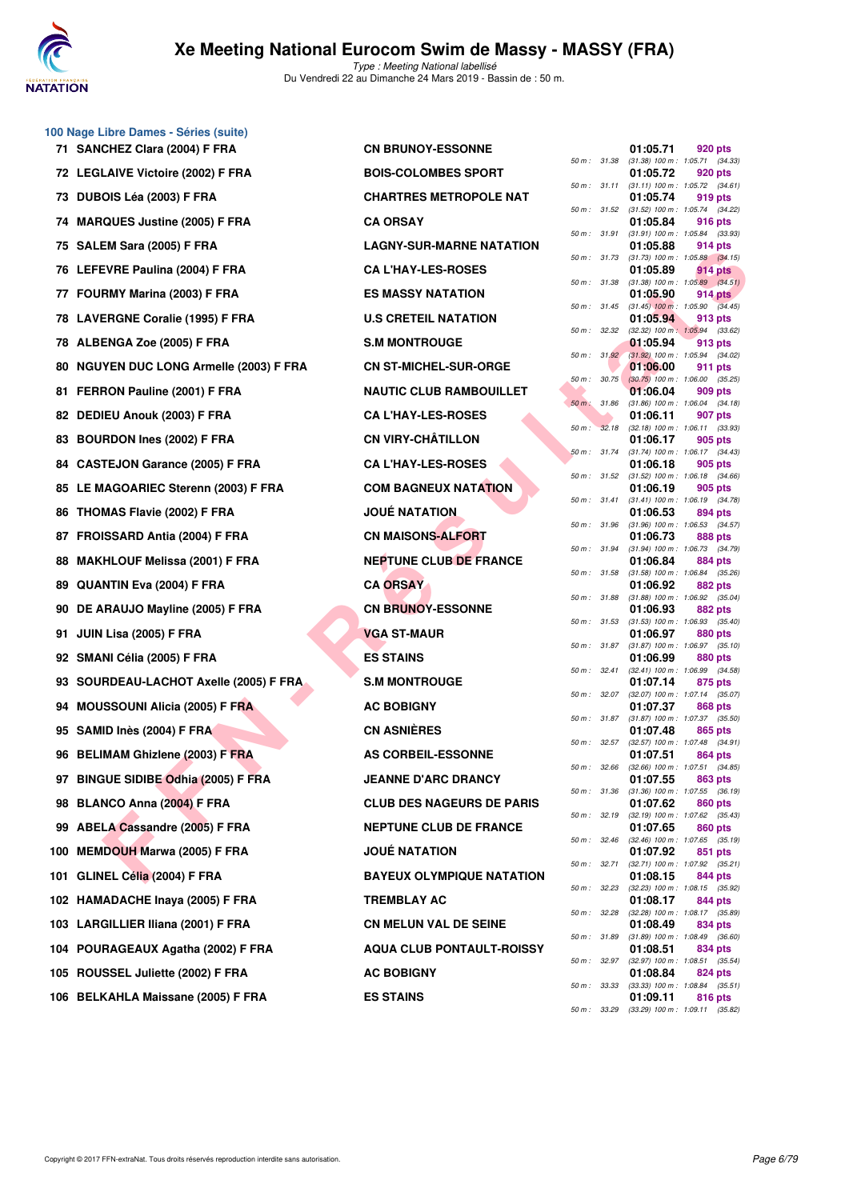

|     | 100 Nage Libre Dames - Séries (suite)   |                                  |              |              |                                     |                                                         |
|-----|-----------------------------------------|----------------------------------|--------------|--------------|-------------------------------------|---------------------------------------------------------|
|     | 71 SANCHEZ Clara (2004) F FRA           | <b>CN BRUNOY-ESSONNE</b>         | 50 m : 31.38 |              | 01:05.71                            | 920 pts<br>$(31.38)$ 100 m : 1:05.71 $(34.33)$          |
|     | 72 LEGLAIVE Victoire (2002) F FRA       | <b>BOIS-COLOMBES SPORT</b>       |              | 50 m : 31.11 | 01:05.72                            | 920 pts<br>$(31.11)$ 100 m : 1:05.72 $(34.61)$          |
| 73  | <b>DUBOIS Léa (2003) F FRA</b>          | <b>CHARTRES METROPOLE NAT</b>    | 50 m : 31.52 |              | 01:05.74                            | 919 pts<br>(31.52) 100 m: 1:05.74 (34.22)               |
|     | 74 MARQUES Justine (2005) F FRA         | <b>CA ORSAY</b>                  | 50 m : 31.91 |              | 01:05.84                            | 916 pts<br>$(31.91)$ 100 m : 1:05.84 $(33.93)$          |
|     | 75 SALEM Sara (2005) F FRA              | <b>LAGNY-SUR-MARNE NATATION</b>  |              |              | 01:05.88                            | 914 pts                                                 |
|     | 76 LEFEVRE Paulina (2004) F FRA         | <b>CA L'HAY-LES-ROSES</b>        | 50 m : 31.73 |              | 01:05.89                            | $(31.73)$ 100 m : 1:05.88 $(34.15)$<br>914 pts          |
| 77  | FOURMY Marina (2003) F FRA              | <b>ES MASSY NATATION</b>         | 50 m : 31.38 |              | 01:05.90                            | $(31.38)$ 100 m : 1:05.89 $(34.51)$<br>914 pts          |
|     | 78 LAVERGNE Coralie (1995) F FRA        | <b>U.S CRETEIL NATATION</b>      |              |              | 01:05.94                            | 50 m : 31.45 (31.45) 100 m : 1:05.90 (34.45)<br>913 pts |
|     | 78 ALBENGA Zoe (2005) F FRA             | <b>S.M MONTROUGE</b>             | 50 m: 32.32  |              | 01:05.94                            | $(32.32)$ 100 m : 1:05.94 $(33.62)$<br>913 pts          |
|     | 80 NGUYEN DUC LONG Armelle (2003) F FRA | <b>CN ST-MICHEL-SUR-ORGE</b>     |              | 50 m: 31.92  | 01:06.00                            | (31.92) 100 m : 1:05.94 (34.02)<br>911 pts              |
| 81  | FERRON Pauline (2001) F FRA             | <b>NAUTIC CLUB RAMBOUILLET</b>   | 50 m : 30.75 |              | 01:06.04                            | $(30.75)$ 100 m : 1:06.00 $(35.25)$<br>909 pts          |
| 82  | DEDIEU Anouk (2003) F FRA               | <b>CA L'HAY-LES-ROSES</b>        | 50 m: 31.86  |              | 01:06.11                            | $(31.86)$ 100 m : 1:06.04 $(34.18)$<br>907 pts          |
| 83  | <b>BOURDON Ines (2002) F FRA</b>        | <b>CN VIRY-CHÂTILLON</b>         |              | 50 m: 32.18  | 01:06.17                            | $(32.18)$ 100 m : 1:06.11 $(33.93)$<br>905 pts          |
| 84  | <b>CASTEJON Garance (2005) F FRA</b>    | <b>CA L'HAY-LES-ROSES</b>        |              | 50 m : 31.74 | 01:06.18                            | $(31.74)$ 100 m : 1:06.17 $(34.43)$<br>905 pts          |
|     | 85 LE MAGOARIEC Sterenn (2003) F FRA    | <b>COM BAGNEUX NATATION</b>      |              | 50 m : 31.52 | 01:06.19                            | $(31.52)$ 100 m : 1:06.18 $(34.66)$<br>905 pts          |
|     | 86 THOMAS Flavie (2002) F FRA           | <b>JOUÉ NATATION</b>             | 50 m: 31.41  |              | 01:06.53                            | $(31.41)$ 100 m : 1:06.19 $(34.78)$<br>894 pts          |
| 87  | FROISSARD Antia (2004) F FRA            | <b>CN MAISONS-ALFORT</b>         | 50 m: 31.96  |              | 01:06.73                            | $(31.96)$ 100 m : 1:06.53 $(34.57)$<br>888 pts          |
| 88  | <b>MAKHLOUF Melissa (2001) F FRA</b>    | <b>NEPTUNE CLUB DE FRANCE</b>    | 50 m : 31.94 |              | 01:06.84                            | $(31.94)$ 100 m : 1:06.73 $(34.79)$<br>884 pts          |
| 89  | <b>QUANTIN Eva (2004) F FRA</b>         | <b>CA ORSAY</b>                  |              | 50 m : 31.58 | 01:06.92                            | $(31.58)$ 100 m : 1:06.84 $(35.26)$<br><b>882 pts</b>   |
| 90  | DE ARAUJO Mayline (2005) F FRA          | <b>CN BRUNOY-ESSONNE</b>         | 50 m : 31.88 |              | 01:06.93                            | $(31.88)$ 100 m : 1:06.92 $(35.04)$<br>882 pts          |
| 91  | JUIN Lisa (2005) F FRA                  | <b>VGA ST-MAUR</b>               | 50 m: 31.53  |              | 01:06.97                            | $(31.53)$ 100 m : 1:06.93 $(35.40)$<br>880 pts          |
|     | 92 SMANI Célia (2005) F FRA             | <b>ES STAINS</b>                 |              | 50 m : 31.87 | 01:06.99                            | $(31.87)$ 100 m : 1:06.97 $(35.10)$<br>880 pts          |
|     | 93 SOURDEAU-LACHOT Axelle (2005) F FRA  | <b>S.M MONTROUGE</b>             | 50 m: 32.41  |              | 01:07.14                            | $(32.41)$ 100 m : 1:06.99 $(34.58)$<br>875 pts          |
| 94  | <b>MOUSSOUNI Alicia (2005) F FRA</b>    | <b>AC BOBIGNY</b>                |              | 50 m : 32.07 | 01:07.37                            | (32.07) 100 m: 1:07.14 (35.07)<br>868 pts               |
|     | 95 SAMID Inès (2004) F FRA              | <b>CN ASNIERES</b>               |              |              | 01:07.48                            | 50 m: 31.87 (31.87) 100 m: 1:07.37 (35.50)<br>865 pts   |
|     | 96 BELIMAM Ghizlene (2003) F FRA        | <b>AS CORBEIL-ESSONNE</b>        |              | 50 m : 32.57 | 01:07.51                            | $(32.57)$ 100 m : 1:07.48 $(34.91)$<br>864 pts          |
|     | 97 BINGUE SIDIBE Odhia (2005) F FRA     | <b>JEANNE D'ARC DRANCY</b>       | 50 m : 32.66 |              | 01:07.55                            | $(32.66)$ 100 m : 1:07.51 $(34.85)$<br>863 pts          |
|     | 98 BLANCO Anna (2004) F FRA             | <b>CLUB DES NAGEURS DE PARIS</b> | 50 m: 31.36  |              | 01:07.62                            | $(31.36)$ 100 m : 1:07.55 $(36.19)$<br>860 pts          |
| 99  | ABELA Cassandre (2005) F FRA            | <b>NEPTUNE CLUB DE FRANCE</b>    | 50 m: 32.19  |              | 01:07.65                            | $(32.19)$ 100 m : 1:07.62 $(35.43)$<br>860 pts          |
| 100 | <b>MEMDOUH Marwa (2005) F FRA</b>       | <b>JOUE NATATION</b>             | 50 m: 32.46  |              | 01:07.92                            | (32.46) 100 m: 1:07.65 (35.19)<br>851 pts               |
|     | 101 GLINEL Célia (2004) F FRA           | <b>BAYEUX OLYMPIQUE NATATION</b> |              | 50 m : 32.71 |                                     | (32.71) 100 m: 1:07.92 (35.21)                          |
|     |                                         | <b>TREMBLAY AC</b>               |              | 50 m : 32.23 | 01:08.15                            | 844 pts<br>(32.23) 100 m: 1:08.15 (35.92)               |
|     | 102 HAMADACHE Inaya (2005) F FRA        |                                  | 50 m : 32.28 |              | 01:08.17                            | 844 pts<br>(32.28) 100 m: 1:08.17 (35.89)               |
|     | 103 LARGILLIER Iliana (2001) F FRA      | <b>CN MELUN VAL DE SEINE</b>     | 50 m : 31.89 |              | 01:08.49                            | 834 pts<br>$(31.89)$ 100 m : 1:08.49 $(36.60)$          |
|     | 104 POURAGEAUX Agatha (2002) F FRA      | <b>AQUA CLUB PONTAULT-ROISSY</b> | 50 m: 32.97  |              | 01:08.51                            | 834 pts<br>$(32.97)$ 100 m : 1:08.51 $(35.54)$          |
| 105 | ROUSSEL Juliette (2002) F FRA           | <b>AC BOBIGNY</b>                | 50 m: 33.33  |              | 01:08.84<br>(33.33) 100 m : 1:08.84 | 824 pts<br>(35.51)                                      |
|     | 106 BELKAHLA Maissane (2005) F FRA      | <b>ES STAINS</b>                 |              |              | 01:09.11                            | 816 pts                                                 |

| <b>CN BRUNOY-ESSONNE</b>         |
|----------------------------------|
| <b>BOIS-COLOMBES SPORT</b>       |
| <b>CHARTRES METROPOLE NAT</b>    |
| <b>CA ORSAY</b>                  |
| <b>LAGNY-SUR-MARNE NATATION</b>  |
| <b>CA L'HAY-LES-ROSES</b>        |
| <b>ES MASSY NATATION</b>         |
| <b>U.S CRETEIL NATATION</b>      |
| <b>S.M MONTROUGE</b>             |
| <b>CN ST-MICHEL-SUR-ORGE</b>     |
| <b>NAUTIC CLUB RAMBOUILLET</b>   |
| <b>CA L'HAY-LES-ROSES</b>        |
| CN VIRY-CHÂTILLON                |
| <b>CA L'HAY-LES-ROSES</b>        |
| <b>COM BAGNEUX NATATION</b>      |
| <b>JOUÉ NATATION</b>             |
| <b>CN MAISONS-ALFORT</b>         |
| <b>NEPTUNE CLUB DE FRANCE</b>    |
| <b>CA ORSAY</b>                  |
| <b>CN BRUNOY-ESSONNE</b>         |
|                                  |
| <b>VGA ST-MAUR</b>               |
| <b>ES STAINS</b>                 |
| <b>S.M MONTROUGE</b>             |
| <b>AC BOBIGNY</b>                |
| <b>CN ASNIÈRES</b>               |
| <b>AS CORBEIL-ESSONNE</b>        |
| <b>JEANNE D'ARC DRANCY</b>       |
| <b>CLUB DES NAGEURS DE PARIS</b> |
| <b>NEPTUNE CLUB DE FRANCE</b>    |
| <b>JOUÉ NATATION</b>             |
| <b>BAYEUX OLYMPIQUE NATATION</b> |
| <b>TREMBLAY AC</b>               |
| <b>CN MELUN VAL DE SEINE</b>     |
| <b>AQUA CLUB PONTAULT-ROISSY</b> |
| <b>AC BOBIGNY</b>                |

| $50 m$ : | 31.38 | 01:05.71<br>$(31.38) 100 m$ : | 920 pts<br>1:05.71<br>(34.33)        |
|----------|-------|-------------------------------|--------------------------------------|
|          |       | 01:05.72                      | 920 pts                              |
| 50 m :   | 31.11 | $(31.11) 100 m$ :<br>01:05.74 | (34.61)<br>1:05.72<br>919 pts        |
| 50 m :   | 31.52 | $(31.52) 100 m$ :             | 1:05.74<br>(34.22)                   |
| $50 m$ : | 31.91 | 01:05.84<br>$(31.91)$ 100 m : | <b>916 pts</b><br>1:05.84<br>(33.93) |
|          |       | 01:05.88                      | 914 pts                              |
| 50 m :   | 31.73 | $(31.73) 100 m$ :<br>01:05.89 | $1:05.88$ $(34.15)$<br>914 pts       |
| 50 m :   | 31.38 | (31.38) 100 m :               | (34.51)<br>1:05.89                   |
| $50 m$ : | 31.45 | 01:05.90<br>$(31.45)$ 100 m : | <b>914 pts</b><br>1:05.90<br>(34.45) |
|          |       | 01:05.94                      | 913 pts                              |
| $50 m$ : | 32.32 | $(32.32)$ 100 m :<br>01:05.94 | 1:05.94<br>(33.62)<br>913 pts        |
| $50 m$ : | 31.92 | $(31.92)$ 100 m :             | 1:05.94<br>(34.02)                   |
| 50 m :   | 30.75 | 01:06.00<br>$(30.75)$ 100 m : | 911 pts<br>1:06.00<br>(35.25)        |
| $50 m$ : | 31.86 | 01:06.04<br>$(31.86) 100 m$ : | 909 pts<br>(34.18)                   |
|          |       | 01:06.11                      | 1:06.04<br>907 pts                   |
| $50 m$ : | 32.18 | $(32.18) 100 m$ :<br>01:06.17 | 1:06.11<br>(33.93)<br>905 pts        |
| 50 m :   | 31.74 | $(31.74) 100 m$ :             | 1:06.17<br>(34.43)                   |
| $50 m$ : | 31.52 | 01:06.18<br>$(31.52)$ 100 m : | 905 pts<br>1:06.18<br>(34.66)        |
|          |       | 01:06.19                      | 905 pts                              |
| $50 m$ : | 31.41 | $(31.41) 100 m$ :<br>01:06.53 | 1:06.19<br>(34.78)<br>894 pts        |
| $50 m$ : | 31.96 | $(31.96) 100 m$ :             | (34.57)<br>1:06.53                   |
| 50 m :   | 31.94 | 01:06.73<br>$(31.94) 100 m$ : | 888 pts<br>(34.79)<br>1:06.73        |
|          |       | 01:06.84                      | 884 pts                              |
| $50 m$ : | 31.58 | (31.58) 100 m :<br>01:06.92   | 1:06.84<br>(35.26)<br>882 pts        |
| $50 m$ : | 31.88 | $(31.88) 100 m$ :             | 1:06.92<br>(35.04)                   |
| 50 m :   | 31.53 | 01:06.93<br>$(31.53) 100 m$ : | 882 pts<br>1:06.93<br>(35.40)        |
|          |       | 01:06.97                      | 880 pts                              |
| $50 m$ : | 31.87 | $(31.87) 100 m$ :<br>01:06.99 | 1:06.97<br>(35.10)<br>880 pts        |
| $50 m$ : | 32.41 | (32.41) 100 m :               | (34.58)<br>1:06.99                   |
| 50 m :   | 32.07 | 01:07.14<br>$(32.07)$ 100 m : | 875 pts<br>1:07.14<br>(35.07)        |
| $50 m$ : | 31.87 | 01:07.37<br>$(31.87) 100 m$ : | 868 pts<br>1:07.37<br>(35.50)        |
|          |       | 01:07.48                      | 865 pts                              |
| $50 m$ : | 32.57 | (32.57) 100 m :<br>01:07.51   | 1:07.48<br>(34.91)<br>864 pts        |
| 50 m :   | 32.66 | $(32.66)$ 100 m :             | 1:07.51 (34.85)                      |
| 50 m :   | 31.36 | 01:07.55<br>$(31.36) 100 m$ : | 863 pts<br>1:07.55<br>(36.19)        |
|          |       | 01:07.62                      | 860 pts                              |
| $50 m$ : | 32.19 | $(32.19) 100 m$ :<br>01:07.65 | 1:07.62<br>(35.43)<br><b>860 pts</b> |
| 50 m :   | 32.46 | (32.46) 100 m :               | 1:07.65<br>(35.19)                   |
| $50 m$ : | 32.71 | 01:07.92<br>(32.71) 100 m :   | 851<br>pts<br>1:07.92<br>(35.21)     |
|          |       | 01:08.15                      | <b>844 pts</b>                       |
| $50 m$ : | 32.23 | $(32.23) 100 m$ :<br>01:08.17 | 1:08.15<br>(35.92)<br>844 pts        |
| 50 m :   | 32.28 | $(32.28) 100 m$ :             | 1:08.17<br>(35.89)                   |
| $50 m$ : | 31.89 | 01:08.49<br>(31.89) 100 m :   | <b>834 pts</b><br>1:08.49<br>(36.60) |
|          |       | 01:08.51                      | 834 pts                              |
| 50 m :   | 32.97 | (32.97) 100 m :<br>01:08.84   | 1:08.51<br>(35.54)<br>824 pts        |
| 50 m :   | 33.33 | (33.33) 100 m :               | 1:08.84<br>(35.51)                   |
| 50 m :   | 33.29 | 01:09.11<br>$(33.29)$ 100 m : | <b>816 pts</b><br>1:09.11 (35.82)    |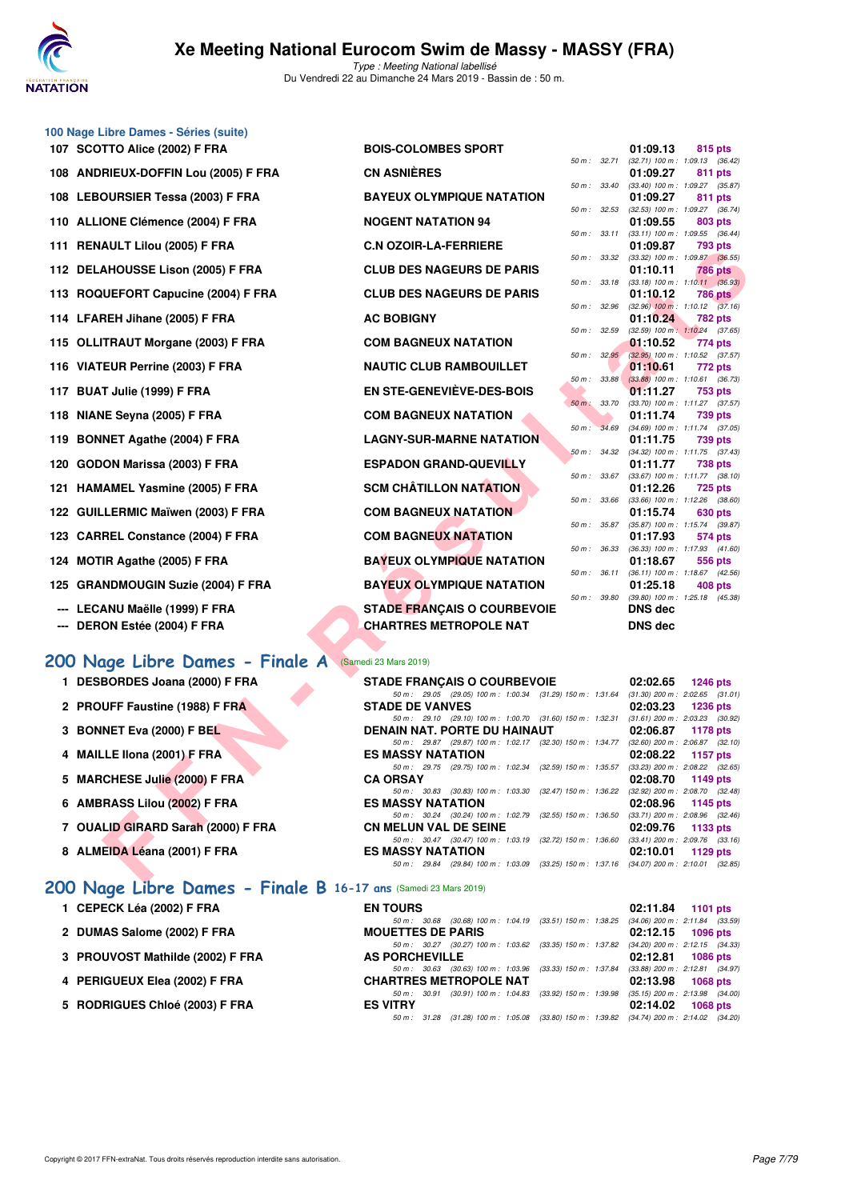

#### **100 Nage Libre Dames - Séries (suite)**

| 107 SCOTTO Alice (2002) F FRA        | <b>BOIS-COLOMBES SPORT</b>       |              |              | 01:09.13                                            | 815 pts        |  |
|--------------------------------------|----------------------------------|--------------|--------------|-----------------------------------------------------|----------------|--|
| 108 ANDRIEUX-DOFFIN Lou (2005) F FRA | <b>CN ASNIÈRES</b>               |              |              | 50 m: 32.71 (32.71) 100 m: 1:09.13 (36.<br>01:09.27 | 811 pts        |  |
|                                      |                                  |              |              | 50 m: 33.40 (33.40) 100 m: 1:09.27 (35.             |                |  |
| 108 LEBOURSIER Tessa (2003) F FRA    | <b>BAYEUX OLYMPIQUE NATATION</b> |              |              | 01:09.27                                            | <b>811 pts</b> |  |
| 110 ALLIONE Clémence (2004) F FRA    | <b>NOGENT NATATION 94</b>        |              |              | 50 m: 32.53 (32.53) 100 m: 1:09.27 (36.<br>01:09.55 | 803 pts        |  |
|                                      |                                  |              |              | 50 m: 33.11 (33.11) 100 m: 1:09.55 (36.             |                |  |
| 111 RENAULT Lilou (2005) F FRA       | <b>C.N OZOIR-LA-FERRIERE</b>     |              |              | 01:09.87                                            | 793 pts        |  |
|                                      |                                  |              |              | 50 m: 33.32 (33.32) 100 m: 1:09.87 (36.             |                |  |
| 112 DELAHOUSSE Lison (2005) F FRA    | <b>CLUB DES NAGEURS DE PARIS</b> |              | 50 m : 33.18 | 01:10.11<br>$(33.18)$ 100 m : 1:10.11 (36.          | <b>786 pts</b> |  |
| 113 ROQUEFORT Capucine (2004) F FRA  | <b>CLUB DES NAGEURS DE PARIS</b> |              |              | 01:10.12                                            | <b>786 pts</b> |  |
|                                      |                                  | 50 m : 32.96 |              | $(32.96)$ 100 m : 1:10.12 $(37)$                    |                |  |
| 114 LFAREH Jihane (2005) F FRA       | <b>AC BOBIGNY</b>                |              |              | 01:10.24                                            | <b>782 pts</b> |  |
|                                      |                                  | 50 m: 32.59  |              | $(32.59)$ 100 m : 1:10.24 (37.                      |                |  |
| 115 OLLITRAUT Morgane (2003) F FRA   | <b>COM BAGNEUX NATATION</b>      |              |              | 01:10.52                                            | 774 pts        |  |
|                                      |                                  |              |              | 50 m: 32.95 (32.95) 100 m: 1:10.52 (37.             |                |  |
| 116 VIATEUR Perrine (2003) F FRA     | <b>NAUTIC CLUB RAMBOUILLET</b>   |              |              | 01:10.61                                            | 772 pts        |  |
|                                      |                                  |              |              | 50 m: 33.88 (33.88) 100 m: 1:10.61 (36.             |                |  |
| 117 BUAT Julie (1999) F FRA          | EN STE-GENEVIÈVE-DES-BOIS        |              |              | 01:11.27                                            | 753 pts        |  |
|                                      |                                  |              |              | 50 m : 33.70 (33.70) 100 m : 1:11.27 (37.           |                |  |
| 118 NIANE Seyna (2005) F FRA         | <b>COM BAGNEUX NATATION</b>      |              |              | 01:11.74                                            | 739 pts        |  |
| 119 BONNET Agathe (2004) F FRA       | <b>LAGNY-SUR-MARNE NATATION</b>  |              |              | 50 m: 34.69 (34.69) 100 m: 1:11.74 (37.<br>01:11.75 | 739 pts        |  |
|                                      |                                  |              |              | 50 m: 34.32 (34.32) 100 m: 1:11.75 (37.             |                |  |
| 120 GODON Marissa (2003) F FRA       | <b>ESPADON GRAND-QUEVILLY</b>    |              |              | 01:11.77                                            | <b>738 pts</b> |  |
|                                      |                                  |              |              | 50 m: 33.67 (33.67) 100 m: 1:11.77 (38.             |                |  |
| 121 HAMAMEL Yasmine (2005) F FRA     | <b>SCM CHÂTILLON NATATION</b>    |              |              | 01:12.26                                            | <b>725 pts</b> |  |
|                                      |                                  |              |              | 50 m: 33.66 (33.66) 100 m: 1:12.26 (38.             |                |  |
| 122 GUILLERMIC Maïwen (2003) F FRA   | <b>COM BAGNEUX NATATION</b>      |              |              | 01:15.74                                            | 630 pts        |  |
|                                      |                                  |              |              | 50 m: 35.87 (35.87) 100 m: 1:15.74 (39.             |                |  |
| 123 CARREL Constance (2004) F FRA    | <b>COM BAGNEUX NATATION</b>      |              |              | 01:17.93                                            | 574 pts        |  |
|                                      |                                  |              |              | 50 m: 36.33 (36.33) 100 m: 1:17.93 (41.             |                |  |
| 124 MOTIR Agathe (2005) F FRA        | <b>BAYEUX OLYMPIQUE NATATION</b> |              |              | 01:18.67                                            | 556 pts        |  |
|                                      |                                  |              |              | 50 m: 36.11 (36.11) 100 m: 1:18.67 (42.             |                |  |

- **125 GRANDMOUGIN Suzie (2004) F FRA**
- --- LECANU Maëlle (1999) F FRA
- **--- DERON Estée (2004) F FRA**

### **[200 Nage Libre Dames - Finale A](http://www.ffnatation.fr/webffn/resultats.php?idact=nat&go=epr&idcpt=57649&idepr=3)** (Samedi 23 Mars 2019)

- 1 DESBORDES Joana (2000) F FRA
- 2 PROUFF Faustine (1988) F FRA
- **3 BONNET Eva (2000) F BEL**
- **4 MAILLE Ilona (2001) F FRA ES MASSY NATATION 02:08.22 1157 pts**
- **5 MARCHESE Julie (2000) F FRA**
- **6 AMBRASS Lilou (2002) F FRA**
- **7 OUALID GIRARD Sarah (2000) F FRA**
- 8 ALMEIDA Léana (2001) F FRA

### **[200 Nage Libre Dames - Finale B](http://www.ffnatation.fr/webffn/resultats.php?idact=nat&go=epr&idcpt=57649&idepr=3) 16-17 ans** (Samedi 23 Mars 2019)

- **1 CEPECK Léa (2002) F FRA**
- 2 DUMAS Salome (2002) **F FRA**
- **3 PROUVOST Mathilde (2002) F FRA**
- **4 PERIGUEUX Elea (2002) F FRA**
- **5 RODRIGUES Chloé (2003) F FRA**

| <b>TTO Alice (2002) F FRA</b>                    | <b>BOIS-COLOMBES SPORT</b>                                                                                               | 01:09.13<br>815 pts                                                        |
|--------------------------------------------------|--------------------------------------------------------------------------------------------------------------------------|----------------------------------------------------------------------------|
| <b>RIEUX-DOFFIN Lou (2005) F FRA</b>             | <b>CN ASNIÈRES</b>                                                                                                       | 50 m: 32.71 (32.71) 100 m: 1:09.13 (36.42)<br>01:09.27<br>811 pts          |
| OURSIER Tessa (2003) F FRA                       | 50 m : 33.40<br><b>BAYEUX OLYMPIQUE NATATION</b>                                                                         | (33.40) 100 m: 1:09.27 (35.87)<br>01:09.27<br>811 pts                      |
| ONE Clémence (2004) F FRA                        | <b>NOGENT NATATION 94</b>                                                                                                | 50 m: 32.53 (32.53) 100 m: 1:09.27 (36.74)<br>01:09.55<br>803 pts          |
|                                                  | 50 m : 33.11                                                                                                             | $(33.11)$ 100 m : 1:09.55 $(36.44)$                                        |
| AULT Lilou (2005) F FRA                          | <b>C.N OZOIR-LA-FERRIERE</b><br>50 m : 33.32                                                                             | 01:09.87<br><b>793 pts</b><br>$(33.32)$ 100 m : 1:09.87 $(36.55)$          |
| <b>AHOUSSE Lison (2005) F FRA</b>                | <b>CLUB DES NAGEURS DE PARIS</b>                                                                                         | 01:10.11<br><b>786 pts</b><br>50 m : 33.18 (33.18) 100 m : 1:10.11 (36.93) |
| UEFORT Capucine (2004) F FRA                     | <b>CLUB DES NAGEURS DE PARIS</b>                                                                                         | 01:10.12<br><b>786 pts</b>                                                 |
| REH Jihane (2005) F FRA                          | 50 m : 32.96<br><b>AC BOBIGNY</b>                                                                                        | $(32.96)$ 100 m : 1:10.12 $(37.16)$<br>01:10.24<br>782 pts                 |
| TRAUT Morgane (2003) F FRA                       | <b>COM BAGNEUX NATATION</b>                                                                                              | 50 m: 32.59 (32.59) 100 m: 1:10.24 (37.65)<br>01:10.52<br>774 pts          |
| EUR Perrine (2003) F FRA                         | $50 m$ : $32.95$<br><b>NAUTIC CLUB RAMBOUILLET</b>                                                                       | $(32.95)$ 100 m : 1:10.52 $(37.57)$<br>01:10.61<br>772 pts                 |
|                                                  | 50 m: 33.88<br><b>EN STE-GENEVIEVE-DES-BOIS</b>                                                                          | $(33.88)$ 100 m : 1:10.61 $(36.73)$                                        |
| T Julie (1999) F FRA                             | $50 m$ :<br>33.70                                                                                                        | 01:11.27<br>753 pts<br>$(33.70)$ 100 m : 1:11.27 $(37.57)$                 |
| IE Seyna (2005) F FRA                            | <b>COM BAGNEUX NATATION</b>                                                                                              | 01:11.74<br>739 pts                                                        |
| NET Agathe (2004) F FRA                          | 50 m :<br>34.69<br><b>LAGNY-SUR-MARNE NATATION</b>                                                                       | $(34.69)$ 100 m : 1:11.74 $(37.05)$<br>01:11.75<br>739 pts                 |
| ON Marissa (2003) F FRA                          | <b>ESPADON GRAND-QUEVILLY</b>                                                                                            | 50 m: 34.32 (34.32) 100 m: 1:11.75 (37.43)<br>01:11.77<br><b>738 pts</b>   |
| <b>AMEL Yasmine (2005) F FRA</b>                 | 50 m : 33.67<br><b>SCM CHATILLON NATATION</b>                                                                            | $(33.67)$ 100 m : 1:11.77 $(38.10)$<br>01:12.26<br><b>725 pts</b>          |
|                                                  | 50 m : 33.66<br><b>COM BAGNEUX NATATION</b>                                                                              | $(33.66)$ 100 m : 1:12.26 $(38.60)$                                        |
| LERMIC Maïwen (2003) F FRA.                      | 50 m : 35.87                                                                                                             | 01:15.74<br>630 pts<br>$(35.87)$ 100 m : 1:15.74 $(39.87)$                 |
| REL Constance (2004) F FRA                       | <b>COM BAGNEUX NATATION</b>                                                                                              | 01:17.93<br>574 pts<br>50 m : 36.33 (36.33) 100 m : 1:17.93 (41.60)        |
| IR Agathe (2005) F FRA                           | <b>BAYEUX OLYMPIQUE NATATION</b>                                                                                         | 01:18.67<br>556 pts                                                        |
| <b>NDMOUGIN Suzie (2004) F FRA</b>               | 50 m : 36.11<br><b>BAYEUX OLYMPIQUE NATATION</b>                                                                         | $(36.11)$ 100 m : 1:18.67 $(42.56)$<br>01:25.18<br>408 pts                 |
| ANU Maëlle (1999) F FRA                          | <b>STADE FRANÇAIS O COURBEVOIE</b>                                                                                       | 50 m : 39.80 (39.80) 100 m : 1:25.18 (45.38)<br><b>DNS</b> dec             |
| ON Estée (2004) F FRA                            | <b>CHARTRES METROPOLE NAT</b>                                                                                            | <b>DNS dec</b>                                                             |
|                                                  |                                                                                                                          |                                                                            |
| age Libre Dames - Finale A (Samedi 23 Mars 2019) |                                                                                                                          |                                                                            |
| <b>BORDES Joana (2000) F FRA</b>                 | <b>STADE FRANCAIS O COURBEVOIE</b>                                                                                       | 02:02.65<br><b>1246 pts</b>                                                |
| UFF Faustine (1988) F FRA                        | 50 m: 29.05 (29.05) 100 m: 1:00.34 (31.29) 150 m: 1:31.64<br><b>STADE DE VANVES</b>                                      | $(31.30)$ 200 m : 2:02.65 $(31.01)$<br>02:03.23<br>1236 pts                |
|                                                  | 50 m: 29.10 (29.10) 100 m: 1:00.70 (31.60) 150 m: 1:32.31 (31.61) 200 m: 2:03.23 (30.92)                                 |                                                                            |
| <b>NET Eva (2000) F BEL</b>                      | DENAIN NAT. PORTE DU HAINAUT<br>50 m: 29.87 (29.87) 100 m: 1:02.17 (32.30) 150 m: 1:34.77 (32.60) 200 m: 2:06.87 (32.10) | 02:06.87<br>1178 pts                                                       |
| LE Ilona (2001) F FRA                            | <b>ES MASSY NATATION</b>                                                                                                 | 02:08.22<br>1157 pts                                                       |
| CHESE Julie (2000) F FRA                         | 50 m: 29.75 (29.75) 100 m: 1:02.34 (32.59) 150 m: 1:35.57<br><b>CA ORSAY</b>                                             | $(33.23)$ 200 m : 2:08.22 $(32.65)$<br>02:08.70<br>1149 pts                |
| RASS Lilou (2002) F FRA                          | 50 m: 30.83 (30.83) 100 m: 1:03.30 (32.47) 150 m: 1:36.22<br><b>ES MASSY NATATION</b>                                    | $(32.92)$ 200 m : $2:08.70$ $(32.48)$<br>02:08.96<br>1145 pts              |
|                                                  | 50 m : 30.24 (30.24) 100 m : 1:02.79<br>(32.55) 150 m : 1:36.50                                                          | $(33.71)$ 200 m : 2:08.96 $(32.46)$                                        |
| LID GIRARD Sarah (2000) F FRA                    | <b>CN MELUN VAL DE SEINE</b><br>50 m: 30.47 (30.47) 100 m: 1:03.19 (32.72) 150 m: 1:36.60                                | 02:09.76<br>1133 pts<br>$(33.41)$ 200 m : 2:09.76 $(33.16)$                |
| EIDA Léana (2001) F FRA                          | <b>ES MASSY NATATION</b>                                                                                                 | 02:10.01<br>1129 $pts$                                                     |
| <b>CONTRACTOR</b><br>___                         | 50 m: 29.84 (29.84) 100 m: 1:03.09 (33.25) 150 m: 1:37.16 (34.07) 200 m: 2:10.01 (32.85)                                 |                                                                            |

|          |       | 01:09.13          | 815 pts            |
|----------|-------|-------------------|--------------------|
| 50 m:    | 32.71 | $(32.71)$ 100 m : | 1:09.13<br>(36.42) |
|          |       | 01:09.27          | 811<br>pts         |
| $50 m$ : | 33.40 | $(33.40)$ 100 m : | 1:09.27<br>(35.87) |
|          |       | 01:09.27          | 811 pts            |
| $50 m$ : | 32.53 | $(32.53)$ 100 m : | 1:09.27<br>(36.74) |
|          |       | 01:09.55          | 803 pts            |
| $50 m$ : | 33.11 | $(33.11)$ 100 m : | (36.44)<br>1:09.55 |
|          |       | 01:09.87          | <b>793 pts</b>     |
| $50 m$ : | 33.32 | $(33.32)$ 100 m : | 1:09.87<br>(36.55) |
|          |       | 01:10.11          | <b>786 pts</b>     |
| $50 m$ : | 33.18 | $(33.18) 100 m$ : | 1:10.11<br>(36.93) |
|          |       | 01:10.12          | <b>786 pts</b>     |
| $50 m$ : | 32.96 | $(32.96)$ 100 m : | 1:10.12<br>(37.16) |
|          |       | 01:10.24          | <b>782 pts</b>     |
| $50 m$ : | 32.59 | $(32.59)$ 100 m : | 1:10.24<br>(37.65) |
|          |       | 01:10.52          | 774 pts            |
| $50 m$ : | 32.95 | $(32.95)$ 100 m : | (37.57)<br>1:10.52 |
|          |       | 01:10.61          | 772 pts            |
| $50 m$ : | 33.88 | $(33.88)$ 100 m : | (36.73)<br>1:10.61 |
|          |       | 01:11.27          | <b>753 pts</b>     |
| $50 m$ : | 33.70 | $(33.70)$ 100 m : | 1:11.27<br>(37.57) |
|          |       | 01:11.74          | 739<br>pts         |
| $50 m$ : | 34.69 | $(34.69)$ 100 m : | 1:11.74<br>(37.05) |
|          |       | 01:11.75          | 739 pts            |
| $50 m$ : | 34.32 | $(34.32)$ 100 m : | 1:11.75<br>(37.43) |
|          |       | 01:11.77          | <b>738 pts</b>     |
| $50 m$ : | 33.67 | $(33.67) 100 m$ : | 1:11.77<br>(38.10) |
|          |       | 01:12.26          | <b>725 pts</b>     |
| $50 m$ : | 33.66 | $(33.66) 100 m$ : | 1:12.26<br>(38.60) |
|          |       | 01:15.74          | 630 pts            |
| $50 m$ : | 35.87 | $(35.87) 100 m$ : | 1:15.74<br>(39.87) |
|          |       | 01:17.93          | 574 pts            |
| $50 m$ : | 36.33 | $(36.33) 100 m$ : | 1:17.93<br>(41.60) |
|          |       | 01:18.67          | 556<br>pts         |
| $50 m$ : | 36.11 | $(36.11)$ 100 m : | 1:18.67<br>(42.56) |
|          |       | 01:25.18          | 408<br>pts         |
| $50 m$ : | 39.80 | $(39.80)$ 100 m : | 1:25.18<br>(45.38) |
|          |       | DNS dec           |                    |
|          |       | DNS dec           |                    |
|          |       |                   |                    |

| <b>STADE FRANÇAIS O COURBEVOIE</b>                                                       | $02:02.65$ 1246 pts                 |
|------------------------------------------------------------------------------------------|-------------------------------------|
| 50 m: 29.05 (29.05) 100 m: 1:00.34 (31.29) 150 m: 1:31.64                                | $(31.30)$ 200 m : 2:02.65 $(31.01)$ |
| <b>STADE DE VANVES</b>                                                                   | 02:03.23 1236 pts                   |
| 50 m: 29.10 (29.10) 100 m: 1:00.70 (31.60) 150 m: 1:32.31 (31.61) 200 m: 2:03.23 (30.92) |                                     |
| <b>DENAIN NAT. PORTE DU HAINAUT</b>                                                      | 02:06.87 1178 pts                   |
| 50 m: 29.87 (29.87) 100 m: 1:02.17 (32.30) 150 m: 1:34.77                                | $(32.60)$ 200 m : 2:06.87 $(32.10)$ |
| <b>ES MASSY NATATION</b>                                                                 | $02:08.22$ 1157 pts                 |
| 50 m: 29.75 (29.75) 100 m: 1:02.34 (32.59) 150 m: 1:35.57                                | $(33.23)$ 200 m : 2:08.22 $(32.65)$ |
| <b>CA ORSAY</b>                                                                          | 02:08.70 1149 pts                   |
| 50 m: 30.83 (30.83) 100 m: 1:03.30 (32.47) 150 m: 1:36.22                                | $(32.92)$ 200 m : 2:08.70 $(32.48)$ |
| <b>ES MASSY NATATION</b>                                                                 | 02:08.96 1145 pts                   |
| 50 m: 30.24 (30.24) 100 m: 1:02.79 (32.55) 150 m: 1:36.50                                | $(33.71)$ 200 m : 2:08.96 $(32.46)$ |
| <b>CN MELUN VAL DE SEINE</b>                                                             | 02:09.76 1133 pts                   |
| 50 m: 30.47 (30.47) 100 m: 1:03.19 (32.72) 150 m: 1:36.60                                | $(33.41)$ 200 m : 2:09.76 $(33.16)$ |
| <b>ES MASSY NATATION</b>                                                                 | 02:10.01 1129 pts                   |
| 50 m: 29.84 (29.84) 100 m: 1:03.09 (33.25) 150 m: 1:37.16 (34.07) 200 m: 2:10.01 (32.85  |                                     |

| <b>EN TOURS</b>          |                               |                                                                                         | 02:11.84 1101 pts                   |
|--------------------------|-------------------------------|-----------------------------------------------------------------------------------------|-------------------------------------|
|                          |                               | 50 m: 30.68 (30.68) 100 m: 1:04.19 (33.51) 150 m: 1:38.25 (34.06) 200 m: 2:11.84 (33.59 |                                     |
| <b>MOUETTES DE PARIS</b> |                               |                                                                                         | 02:12.15 1096 pts                   |
|                          |                               | 50 m: 30.27 (30.27) 100 m: 1:03.62 (33.35) 150 m: 1:37.82 (34.20) 200 m: 2:12.15 (34.33 |                                     |
| <b>AS PORCHEVILLE</b>    |                               |                                                                                         | 02:12.81 1086 pts                   |
|                          |                               | 50 m: 30.63 (30.63) 100 m: 1:03.96 (33.33) 150 m: 1:37.84 (33.88) 200 m: 2:12.81 (34.97 |                                     |
|                          | <b>CHARTRES METROPOLE NAT</b> |                                                                                         | 02:13.98 1068 pts                   |
|                          |                               | 50 m: 30.91 (30.91) 100 m: 1:04.83 (33.92) 150 m: 1:39.98                               | $(35.15)$ 200 m : 2:13.98 $(34.00)$ |
| <b>ES VITRY</b>          |                               |                                                                                         | 02:14.02 1068 pts                   |
|                          |                               | 50 m: 31.28 (31.28) 100 m: 1:05.08 (33.80) 150 m: 1:39.82 (34.74) 200 m: 2:14.02 (34.20 |                                     |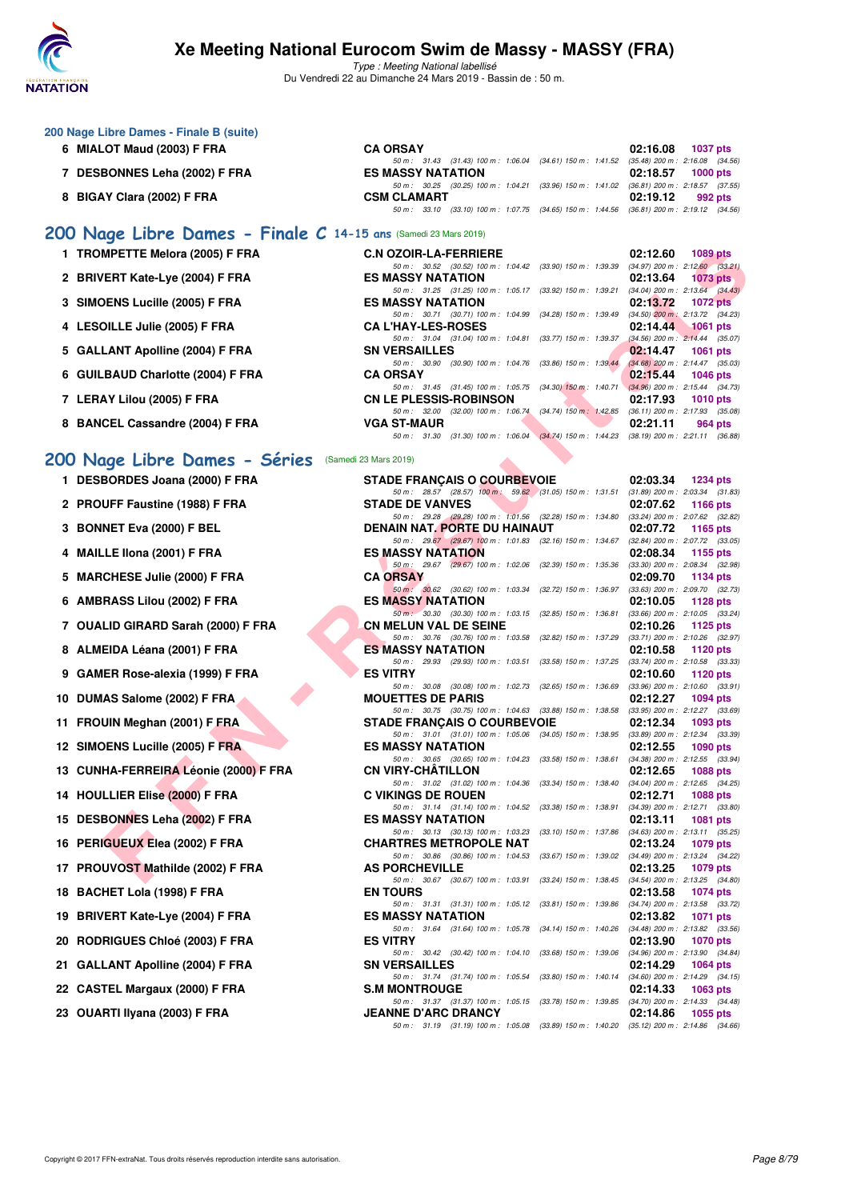

| 200 Nage Libre Dames - Finale B (suite)<br>6 MIALOT Maud (2003) F FRA | <b>CA ORSAY</b>                                                                                                              | 02:16.08<br><b>1037 pts</b>                                        |
|-----------------------------------------------------------------------|------------------------------------------------------------------------------------------------------------------------------|--------------------------------------------------------------------|
| 7 DESBONNES Leha (2002) F FRA                                         | 50 m: 31.43 (31.43) 100 m: 1:06.04 (34.61) 150 m: 1:41.52 (35.48) 200 m: 2:16.08 (34.56)<br><b>ES MASSY NATATION</b>         | 02:18.57<br><b>1000 pts</b>                                        |
| 8 BIGAY Clara (2002) F FRA                                            | 50 m: 30.25 (30.25) 100 m: 1:04.21 (33.96) 150 m: 1:41.02 (36.81) 200 m: 2:18.57 (37.55)<br><b>CSM CLAMART</b>               | 02:19.12<br>992 pts                                                |
|                                                                       | 50 m: 33.10 (33.10) 100 m: 1:07.75 (34.65) 150 m: 1:44.56 (36.81) 200 m: 2:19.12 (34.56)                                     |                                                                    |
| 200 Nage Libre Dames - Finale C 14-15 ans (Samedi 23 Mars 2019)       |                                                                                                                              |                                                                    |
| 1 TROMPETTE Melora (2005) F FRA                                       | <b>C.N OZOIR-LA-FERRIERE</b><br>50 m : 30.52 (30.52) 100 m : 1:04.42 (33.90) 150 m : 1:39.39                                 | 02:12.60<br><b>1089 pts</b><br>$(34.97)$ 200 m : 2:12.60 $(33.21)$ |
| 2 BRIVERT Kate-Lye (2004) F FRA                                       | <b>ES MASSY NATATION</b>                                                                                                     | 02:13.64<br><b>1073 pts</b><br>$(34.04)$ 200 m : 2:13.64 $(34.43)$ |
| 3 SIMOENS Lucille (2005) F FRA                                        | 50 m: 31.25 (31.25) 100 m: 1:05.17 (33.92) 150 m: 1:39.21<br><b>ES MASSY NATATION</b>                                        | 02:13.72<br><b>1072 pts</b>                                        |
| 4 LESOILLE Julie (2005) F FRA                                         | 50 m: 30.71 (30.71) 100 m: 1:04.99 (34.28) 150 m: 1:39.49<br><b>CA L'HAY-LES-ROSES</b>                                       | $(34.50)$ 200 m : 2:13.72 $(34.23)$<br>02:14.44<br>$1061$ pts      |
| 5 GALLANT Apolline (2004) F FRA                                       | 50 m: 31.04 (31.04) 100 m: 1:04.81 (33.77) 150 m: 1:39.37<br><b>SN VERSAILLES</b>                                            | $(34.56)$ 200 m : 2:14.44 $(35.07)$<br>02:14.47<br>1061 pts        |
| 6 GUILBAUD Charlotte (2004) F FRA                                     | 50 m : 30.90 (30.90) 100 m : 1:04.76 (33.86) 150 m : 1:39.44<br><b>CA ORSAY</b>                                              | $(34.68)$ 200 m : 2:14.47 $(35.03)$<br>02:15.44<br><b>1046 pts</b> |
| 7 LERAY Lilou (2005) F FRA                                            | 50 m: 31.45 (31.45) 100 m: 1:05.75 (34.30) 150 m: 1:40.71 (34.96) 200 m: 2:15.44 (34.73)<br><b>CN LE PLESSIS-ROBINSON</b>    | 02:17.93<br><b>1010 pts</b>                                        |
| 8 BANCEL Cassandre (2004) F FRA                                       | 50 m: 32.00 (32.00) 100 m: 1:06.74 (34.74) 150 m: 1:42.85<br><b>VGA ST-MAUR</b>                                              | $(36.11)$ 200 m : 2:17.93 $(35.08)$<br>02:21.11<br>964 pts         |
|                                                                       | 50 m: 31.30 (31.30) 100 m: 1:06.04 (34.74) 150 m: 1:44.23 (38.19) 200 m: 2:21.11 (36.88)                                     |                                                                    |
| 200 Nage Libre Dames - Séries (Samedi 23 Mars 2019)                   |                                                                                                                              |                                                                    |
| 1 DESBORDES Joana (2000) F FRA                                        | <b>STADE FRANÇAIS O COURBEVOIE</b><br>50 m: 28.57 (28.57) 100 m: 59.62 (31.05) 150 m: 1:31.51 (31.89) 200 m: 2:03.34 (31.83) | 02:03.34<br><b>1234 pts</b>                                        |
| 2 PROUFF Faustine (1988) F FRA                                        | <b>STADE DE VANVES</b><br>50 m : 29.28 (29.28) 100 m : 1:01.56 (32.28) 150 m : 1:34.80 (33.24) 200 m : 2:07.62 (32.82)       | 02:07.62<br><b>1166 pts</b>                                        |
| 3 BONNET Eva (2000) F BEL                                             | DENAIN NAT. PORTE DU HAINAUT                                                                                                 | 02:07.72<br>1165 pts                                               |
| 4 MAILLE IIona (2001) F FRA                                           | 50 m: 29.67 (29.67) 100 m: 1:01.83 (32.16) 150 m: 1:34.67<br><b>ES MASSY NATATION</b>                                        | $(32.84)$ 200 m : 2:07.72 $(33.05)$<br>02:08.34<br>1155 pts        |
| 5 MARCHESE Julie (2000) F FRA                                         | 50 m: 29.67 (29.67) 100 m: 1:02.06 (32.39) 150 m: 1:35.36<br><b>CA ORSAY</b>                                                 | $(33.30)$ 200 m : 2:08.34 $(32.98)$<br>02:09.70<br>1134 pts        |
| 6 AMBRASS Lilou (2002) F FRA                                          | 50 m : 30.62 (30.62) 100 m : 1:03.34 (32.72) 150 m : 1:36.97<br><b>ES MASSY NATATION</b>                                     | $(33.63)$ 200 m : 2:09.70 $(32.73)$<br>02:10.05<br>1128 pts        |
| 7 OUALID GIRARD Sarah (2000) F FRA                                    | 50 m : 30.30 (30.30) 100 m : 1:03.15 (32.85) 150 m : 1:36.81<br><b>CN MELUN VAL DE SEINE</b>                                 | $(33.66)$ 200 m : 2:10.05 $(33.24)$<br>02:10.26<br><b>1125 pts</b> |
| 8 ALMEIDA Léana (2001) F FRA                                          | 50 m: 30.76 (30.76) 100 m: 1:03.58 (32.82) 150 m: 1:37.29<br><b>ES MASSY NATATION</b>                                        | (33.71) 200 m : 2:10.26 (32.97)<br>02:10.58<br>1120 pts            |
| 9 GAMER Rose-alexia (1999) F FRA                                      | 50 m: 29.93 (29.93) 100 m: 1:03.51 (33.58) 150 m: 1:37.25<br><b>ES VITRY</b>                                                 | (33.74) 200 m : 2:10.58 (33.33)<br>02:10.60<br>1120 pts            |
| 10 DUMAS Salome (2002) F FRA                                          | 50 m: 30.08 (30.08) 100 m: 1:02.73 (32.65) 150 m: 1:36.69<br><b>MOUETTES DE PARIS</b>                                        | $(33.96)$ 200 m : 2:10.60 $(33.91)$<br>02:12.27<br><b>1094 pts</b> |
| 11 FROUIN Meghan (2001) F FRA                                         | 50 m: 30.75 (30.75) 100 m: 1:04.63 (33.88) 150 m: 1:38.58<br><b>STADE FRANÇAIS O COURBEVOIE</b>                              | $(33.95)$ 200 m : 2:12.27 $(33.69)$<br>02:12.34<br>1093 $pts$      |
| 12 SIMOENS Lucille (2005) F FRA                                       | 50 m: 31.01 (31.01) 100 m: 1:05.06 (34.05) 150 m: 1:38.95 (33.89) 200 m: 2:12.34 (33.39)<br><b>ES MASSY NATATION</b>         | 02:12.55<br>1090 pts                                               |
|                                                                       | 50 m : 30.65 (30.65) 100 m : 1:04.23 (33.58) 150 m : 1:38.61 (34.38) 200 m : 2:12.55 (33.94)<br><b>CN VIRY-CHATILLON</b>     |                                                                    |
| 13 CUNHA-FERREIRA Léonie (2000) F FRA                                 | 50 m : 31.02 (31.02) 100 m : 1:04.36 (33.34) 150 m : 1:38.40                                                                 | 02:12.65<br>1088 pts<br>(34.04) 200 m : 2:12.65 (34.25)            |
| 14 HOULLIER Elise (2000) F FRA                                        | <b>C VIKINGS DE ROUEN</b><br>50 m : 31.14 (31.14) 100 m : 1:04.52 (33.38) 150 m : 1:38.91                                    | 02:12.71<br>1088 pts<br>$(34.39)$ 200 m : 2:12.71 $(33.80)$        |
| 15 DESBONNES Leha (2002) F FRA                                        | <b>ES MASSY NATATION</b><br>50 m : 30.13 (30.13) 100 m : 1:03.23<br>$(33.10)$ 150 m : 1:37.86                                | 02:13.11<br>1081 pts<br>$(34.63)$ 200 m : 2:13.11 $(35.25)$        |
| 16 PERIGUEUX Elea (2002) F FRA                                        | <b>CHARTRES METROPOLE NAT</b><br>50 m : 30.86 (30.86) 100 m : 1:04.53<br>$(33.67)$ 150 m : 1:39.02                           | 02:13.24<br>1079 pts<br>(34.49) 200 m : 2:13.24 (34.22)            |
| 17 PROUVOST Mathilde (2002) F FRA                                     | <b>AS PORCHEVILLE</b><br>50 m : 30.67 (30.67) 100 m : 1:03.91<br>(33.24) 150 m : 1:38.45                                     | 02:13.25<br>1079 pts<br>(34.54) 200 m : 2:13.25 (34.80)            |
| 18 BACHET Lola (1998) F FRA                                           | <b>EN TOURS</b><br>50 m: 31.31 (31.31) 100 m: 1:05.12 (33.81) 150 m: 1:39.86                                                 | 02:13.58<br><b>1074 pts</b><br>(34.74) 200 m : 2:13.58 (33.72)     |
| 19 BRIVERT Kate-Lye (2004) F FRA                                      | <b>ES MASSY NATATION</b><br>50 m: 31.64 (31.64) 100 m: 1:05.78<br>$(34.14)$ 150 m : 1:40.26                                  | 02:13.82<br>1071 pts<br>$(34.48)$ 200 m : 2:13.82 $(33.56)$        |
| 20 RODRIGUES Chloé (2003) F FRA                                       | <b>ES VITRY</b>                                                                                                              | 02:13.90<br><b>1070 pts</b>                                        |
| 21 GALLANT Apolline (2004) F FRA                                      | 50 m : 30.42 (30.42) 100 m : 1:04.10 (33.68) 150 m : 1:39.06<br><b>SN VERSAILLES</b>                                         | (34.96) 200 m : 2:13.90 (34.84)<br>02:14.29<br><b>1064 pts</b>     |
| 22 CASTEL Margaux (2000) F FRA                                        | 50 m : 31.74 (31.74) 100 m : 1:05.54<br>$(33.80)$ 150 m : 1:40.14<br><b>S.M MONTROUGE</b>                                    | $(34.60)$ 200 m : 2:14.29 $(34.15)$<br>02:14.33<br>1063 pts        |
| 23 OUARTI Ilyana (2003) F FRA                                         | 50 m : 31.37 (31.37) 100 m : 1:05.15<br>(33.78) 150 m : 1:39.85<br><b>JEANNE D'ARC DRANCY</b>                                | $(34.70)$ 200 m : 2:14.33 $(34.48)$<br>02:14.86<br>1055 pts        |
|                                                                       | 50 m: 31.19 (31.19) 100 m: 1:05.08 (33.89) 150 m: 1:40.20 (35.12) 200 m: 2:14.86 (34.66)                                     |                                                                    |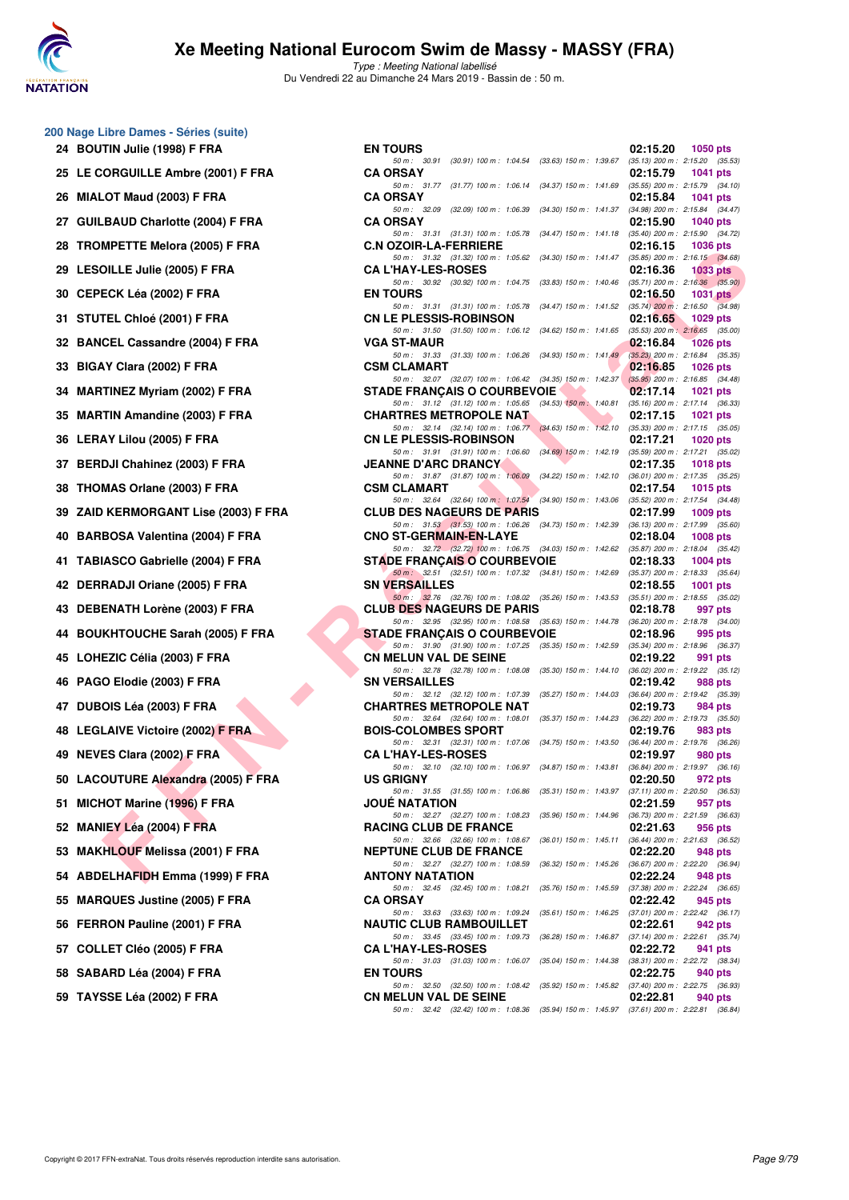

| 200 Nage Libre Dames - Séries (suite) |  |  |  |
|---------------------------------------|--|--|--|
|---------------------------------------|--|--|--|

| 24 | BOUTIN Julie (1998) F FRA              |
|----|----------------------------------------|
| 25 | LE CORGUILLE Ambre (2001) F FRA        |
| 26 | MIALOT Maud (2003) F FRA               |
| 27 | <b>GUILBAUD Charlotte (2004) F FRA</b> |
| 28 | <b>TROMPETTE Melora (2005) F FRA</b>   |
| 29 | <b>LESOILLE Julie (2005) F FRA</b>     |
| 30 | CEPECK Léa (2002) F FRA                |
| 31 | STUTEL Chloé (2001) F FRA              |
| 32 | <b>BANCEL Cassandre (2004) F FRA</b>   |
| 33 | BIGAY Clara (2002) F FRA               |
| 34 | <b>MARTINEZ Myriam (2002) F FRA</b>    |
| 35 | <b>MARTIN Amandine (2003) F FRA</b>    |
| 36 | LERAY Lilou (2005) F FRA               |
| 37 | <b>BERDJI Chahinez (2003) F FRA</b>    |
| 38 | THOMAS Orlane (2003) F FRA             |
| 39 | ZAID KERMORGANT Lise (2003) F F        |
| 40 | BARBOSA Valentina (2004) F FRA         |
| 41 | <b>TABIASCO Gabrielle (2004) F FRA</b> |
| 42 | DERRADJI Oriane (2005) F FRA           |
| 43 | DEBENATH Lorène (2003) F FRA           |
| 44 | <b>BOUKHTOUCHE Sarah (2005) F FRA</b>  |
| 45 | LOHEZIC Célia (2003) F FRA             |
| 46 | PAGO Elodie (2003) F FRA               |
| 47 | DUBOIS Léa (2003) F FRA                |
| 48 | <b>LEGLAIVE Victoire (2002) F FRA</b>  |
| 49 | <b>NEVES Clara (2002) F FRA</b>        |
| 50 | LACOUTURE Alexandra (2005) F FR.       |
| 51 | MICHOT Marine (1996) F FRA             |
| 52 | MANIEY Léa (2004) F FRA                |
| 53 | <b>MAKHLOUF Melissa (2001) F FRA</b>   |
| 54 | <b>ABDELHAFIDH Emma (1999) F FRA</b>   |
| 55 | <b>MARQUES Justine (2005) F FRA</b>    |
| 56 | FERRON Pauline (2001) F FRA            |
| 57 | COLLET Cléo (2005) F FRA               |
|    | 58 SABARD Léa (2004) F FRA             |
|    | 59 TAYSSE Léa (2002) F FRA             |

| <b>U</b> Nage Libre Dames - Series (Suite) |                                                                                                                                                                                                                          |                                                                                        |  |
|--------------------------------------------|--------------------------------------------------------------------------------------------------------------------------------------------------------------------------------------------------------------------------|----------------------------------------------------------------------------------------|--|
| 24 BOUTIN Julie (1998) F FRA               | <b>EN TOURS</b>                                                                                                                                                                                                          | 02:15.20<br>1050 pts                                                                   |  |
| 25 LE CORGUILLE Ambre (2001) F FRA         | 50 m: 30.91 (30.91) 100 m: 1:04.54 (33.63) 150 m: 1:39.67 (35.13) 200 m: 2:15.20 (35.53)<br><b>CA ORSAY</b>                                                                                                              | 02:15.79<br><b>1041 pts</b>                                                            |  |
| 26 MIALOT Maud (2003) F FRA                | 50 m: 31.77 (31.77) 100 m: 1:06.14 (34.37) 150 m: 1:41.69 (35.55) 200 m: 2:15.79 (34.10)<br><b>CA ORSAY</b>                                                                                                              | 02:15.84<br>1041 pts                                                                   |  |
|                                            | 50 m: 32.09 (32.09) 100 m: 1:06.39 (34.30) 150 m: 1:41.37 (34.98) 200 m: 2:15.84 (34.47)                                                                                                                                 |                                                                                        |  |
| 27 GUILBAUD Charlotte (2004) F FRA         | <b>CA ORSAY</b><br>50 m: 31.31 (31.31) 100 m: 1:05.78                                                                                                                                                                    | 02:15.90<br><b>1040 pts</b><br>(34.47) 150 m : 1:41.18 (35.40) 200 m : 2:15.90 (34.72) |  |
| 28   TROMPETTE Melora (2005) F FRA         | <b>C.N OZOIR-LA-FERRIERE</b><br>50 m: 31.32 (31.32) 100 m: 1:05.62 (34.30) 150 m: 1:41.47 (35.85) 200 m: 2:16.15 (34.68)                                                                                                 | 02:16.15<br>1036 pts                                                                   |  |
| 29 LESOILLE Julie (2005) F FRA             | <b>CA L'HAY-LES-ROSES</b><br>50 m: 30.92 (30.92) 100 m: 1:04.75 (33.83) 150 m: 1:40.46 (35.71) 200 m: 2:16.36 (35.90)                                                                                                    | 02:16.36<br>1033 pts                                                                   |  |
| 30   CEPECK Léa (2002) F FRA               | <b>EN TOURS</b>                                                                                                                                                                                                          | 02:16.50<br>$1031$ pts                                                                 |  |
| 31 STUTEL Chloé (2001) F FRA               | 50 m: 31.31 (31.31) 100 m: 1:05.78 (34.47) 150 m: 1:41.52 (35.74) 200 m: 2:16.50 (34.98)<br><b>CN LE PLESSIS-ROBINSON</b><br>50 m: 31.50 (31.50) 100 m: 1:06.12 (34.62) 150 m: 1:41.65 (35.53) 200 m: 2:16.65 (35.00)    | 02:16.65<br>1029 pts                                                                   |  |
| 32 BANCEL Cassandre (2004) F FRA           | <b>VGA ST-MAUR</b>                                                                                                                                                                                                       | 02:16.84<br><b>1026 pts</b>                                                            |  |
| 33 BIGAY Clara (2002) F FRA                | 50 m: 31.33 (31.33) 100 m: 1:06.26 (34.93) 150 m: 1:41.49 (35.23) 200 m: 2:16.84 (35.35)<br><b>CSM CLAMART</b><br>50 m: 32.07 (32.07) 100 m: 1:06.42 (34.35) 150 m: 1:42.37 (35.95) 200 m: 2:16.85 (34.48)               | 02:16.85<br>1026 pts                                                                   |  |
| 34 MARTINEZ Myriam (2002) F FRA            | <b>STADE FRANÇAIS O COURBEVOIE</b>                                                                                                                                                                                       | 02:17.14<br>1021 pts                                                                   |  |
| 35 MARTIN Amandine (2003) F FRA            | 50 m: 31.12 (31.12) 100 m: 1:05.65 (34.53) 150 m: 1:40.81 (35.16) 200 m: 2:17.14 (36.33)<br><b>CHARTRES METROPOLE NAT</b>                                                                                                | 02:17.15<br>1021 pts                                                                   |  |
| 36 LERAY Lilou (2005) F FRA                | 50 m: 32.14 (32.14) 100 m: 1:06.77 (34.63) 150 m: 1:42.10 (35.33) 200 m: 2:17.15 (35.05)<br><b>CN LE PLESSIS-ROBINSON</b>                                                                                                | 02:17.21<br>1020 pts                                                                   |  |
| 37 BERDJI Chahinez (2003) F FRA            | 50 m: 31.91 (31.91) 100 m: 1.06.60 (34.69) 150 m: 1.42.19 (35.59) 200 m: 2:17.21 (35.02)<br><b>JEANNE D'ARC DRANCY</b>                                                                                                   | 02:17.35<br>1018 pts                                                                   |  |
|                                            | 50 m: 31.87 (31.87) 100 m: 1:06.09 (34.22) 150 m: 1:42.10 (36.01) 200 m: 2:17.35 (35.25)                                                                                                                                 |                                                                                        |  |
| 38 THOMAS Orlane (2003) F FRA              | <b>CSM CLAMART</b><br>50 m: 32.64 (32.64) 100 m: 1:07.54 (34.90) 150 m: 1:43.06 (35.52) 200 m: 2:17.54 (34.48)                                                                                                           | 02:17.54<br>1015 pts                                                                   |  |
| 39  ZAID KERMORGANT Lise (2003) F FRA      | <b>CLUB DES NAGEURS DE PARIS</b><br>50 m: 31.53 (31.53) 100 m: 1:06.26 (34.73) 150 m: 1:42.39 (36.13) 200 m: 2:17.99 (35.60)                                                                                             | 02:17.99<br>$1009$ pts                                                                 |  |
| 40   BARBOSA Valentina (2004) F FRA        | <b>CNO ST-GERMAIN-EN-LAYE</b><br>50 m: 32.72 (32.72) 100 m: 1:06.75 (34.03) 150 m: 1:42.62 (35.87) 200 m: 2:18.04 (35.42)                                                                                                | 02:18.04<br>1008 pts                                                                   |  |
| 41 TABIASCO Gabrielle (2004) F FRA         | <b>STADE FRANÇAIS O COURBEVOIE</b><br>50 m: 32.51 (32.51) 100 m: 1:07.32 (34.81) 150 m: 1:42.69 (35.37) 200 m: 2:18.33 (35.64)                                                                                           | 02:18.33<br>1004 pts                                                                   |  |
| 42 DERRADJI Oriane (2005) F FRA            | <b>SN VERSAILLES</b>                                                                                                                                                                                                     | 02:18.55<br>1001 pts                                                                   |  |
| 43 DEBENATH Lorène (2003) F FRA            | 50 m: 32.76 (32.76) 100 m: 1:08.02 (35.26) 150 m: 1:43.53 (35.51) 200 m: 2:18.55 (35.02)<br><b>CLUB DES NAGEURS DE PARIS</b><br>50 m: 32.95 (32.95) 100 m: 1:08.58 (35.63) 150 m: 1:44.78 (36.20) 200 m: 2:18.78 (34.00) | 02:18.78<br>997 pts                                                                    |  |
| 44 BOUKHTOUCHE Sarah (2005) F FRA          | <b>STADE FRANÇAIS O COURBEVOIE</b>                                                                                                                                                                                       | 02:18.96<br>995 pts                                                                    |  |
| 45 LOHEZIC Célia (2003) F FRA              | 50 m: 31.90 (31.90) 100 m: 1:07.25 (35.35) 150 m: 1:42.59 (35.34) 200 m: 2:18.96 (36.37)<br><b>CN MELUN VAL DE SEINE</b>                                                                                                 | 02:19.22<br>991 pts                                                                    |  |
| 46 PAGO Elodie (2003) F FRA                | 50 m: 32.78 (32.78) 100 m: 1:08.08<br><b>SN VERSAILLES</b>                                                                                                                                                               | (35.30) 150 m : 1:44.10 (36.02) 200 m : 2:19.22 (35.12)<br>02:19.42<br>988 pts         |  |
| 47 DUBOIS Léa (2003) F FRA                 | 50 m: 32.12 (32.12) 100 m: 1:07.39 (35.27) 150 m: 1:44.03 (36.64) 200 m: 2:19.42 (35.39)<br><b>CHARTRES METROPOLE NAT</b>                                                                                                | 02:19.73<br>984 pts                                                                    |  |
| 48 LEGLAIVE Victoire (2002) F FRA          | 50 m: 32.64 (32.64) 100 m: 1:08.01 (35.37) 150 m: 1:44.23 (36.22) 200 m: 2:19.73 (35.50)<br><b>BOIS-COLOMBES SPORT</b>                                                                                                   | 02:19.76<br>983 pts                                                                    |  |
| 49 NEVES Clara (2002) F FRA                | 50 m: 32.31 (32.31) 100 m: 1:07.06 (34.75) 150 m: 1:43.50 (36.44) 200 m: 2:19.76 (36.26)<br><b>CA L'HAY-LES-ROSES</b>                                                                                                    | 02:19.97<br>980 pts                                                                    |  |
| 50 LACOUTURE Alexandra (2005) F FRA        | 50 m : 32.10 (32.10) 100 m : 1:06.97 (34.87) 150 m : 1:43.81 (36.84) 200 m : 2:19.97 (36.16)<br><b>US GRIGNY</b>                                                                                                         | 02:20.50<br>972 pts                                                                    |  |
|                                            | 50 m: 31.55 (31.55) 100 m: 1:06.86 (35.31) 150 m: 1:43.97                                                                                                                                                                | $(37.11)$ 200 m : 2:20.50 $(36.53)$                                                    |  |
| 51 MICHOT Marine (1996) F FRA              | JOUE NATATION<br>50 m: 32.27 (32.27) 100 m: 1:08.23<br>$(35.96)$ 150 m : 1:44.96                                                                                                                                         | 02:21.59<br>957 pts<br>(36.73) 200 m : 2:21.59 (36.63)                                 |  |
| 52 MANIEY Léa (2004) F FRA                 | <b>RACING CLUB DE FRANCE</b><br>50 m : 32.66 (32.66) 100 m : 1:08.67<br>(36.01) 150 m : 1:45.11                                                                                                                          | 02:21.63<br>956 pts<br>(36.44) 200 m : 2:21.63 (36.52)                                 |  |
| 53   MAKHLOUF Melissa (2001) F FRA         | <b>NEPTUNE CLUB DE FRANCE</b><br>$(36.32)$ 150 m : 1:45.26<br>50 m : 32.27 (32.27) 100 m : 1:08.59                                                                                                                       | 02:22.20<br>948 pts<br>(36.67) 200 m : 2:22.20 (36.94)                                 |  |
| 54   ABDELHAFIDH Emma (1999) F FRA         | <b>ANTONY NATATION</b>                                                                                                                                                                                                   | 02:22.24<br>948 pts                                                                    |  |
| 55 MARQUES Justine (2005) F FRA            | 50 m: 32.45 (32.45) 100 m: 1:08.21<br>$(35.76)$ 150 m : 1:45.59<br><b>CA ORSAY</b>                                                                                                                                       | (37.38) 200 m : 2:22.24 (36.65)<br>02:22.42<br>945 pts                                 |  |
| 56 FERRON Pauline (2001) F FRA             | 50 m: 33.63 (33.63) 100 m: 1:09.24<br><b>NAUTIC CLUB RAMBOUILLET</b>                                                                                                                                                     | (35.61) 150 m: 1:46.25 (37.01) 200 m: 2:22.42 (36.17)<br>02:22.61<br>942 pts           |  |
| 57 COLLET Cléo (2005) F FRA                | 50 m : 33.45 (33.45) 100 m : 1:09.73<br>$(36.28)$ 150 m : 1:46.87<br><b>CA L'HAY-LES-ROSES</b>                                                                                                                           | $(37.14)$ 200 m : 2:22.61 $(35.74)$<br>02:22.72<br>941 pts                             |  |
| 58 SABARD Léa (2004) F FRA                 | 50 m: 31.03 (31.03) 100 m: 1:06.07<br>$(35.04)$ 150 m : 1:44.38<br><b>EN TOURS</b>                                                                                                                                       | (38.31) 200 m : 2:22.72 (38.34)<br>02:22.75<br>940 pts                                 |  |
| 59   TAYSSE Léa (2002) F FRA               | 50 m: 32.50 (32.50) 100 m: 1:08.42<br><b>CN MELUN VAL DE SEINE</b>                                                                                                                                                       | (35.92) 150 m: 1:45.82 (37.40) 200 m: 2:22.75 (36.93)<br>02:22.81<br>940 pts           |  |
|                                            | 50 m: 32.42 (32.42) 100 m: 1:08.36 (35.94) 150 m: 1:45.97 (37.61) 200 m: 2:22.81 (36.84)                                                                                                                                 |                                                                                        |  |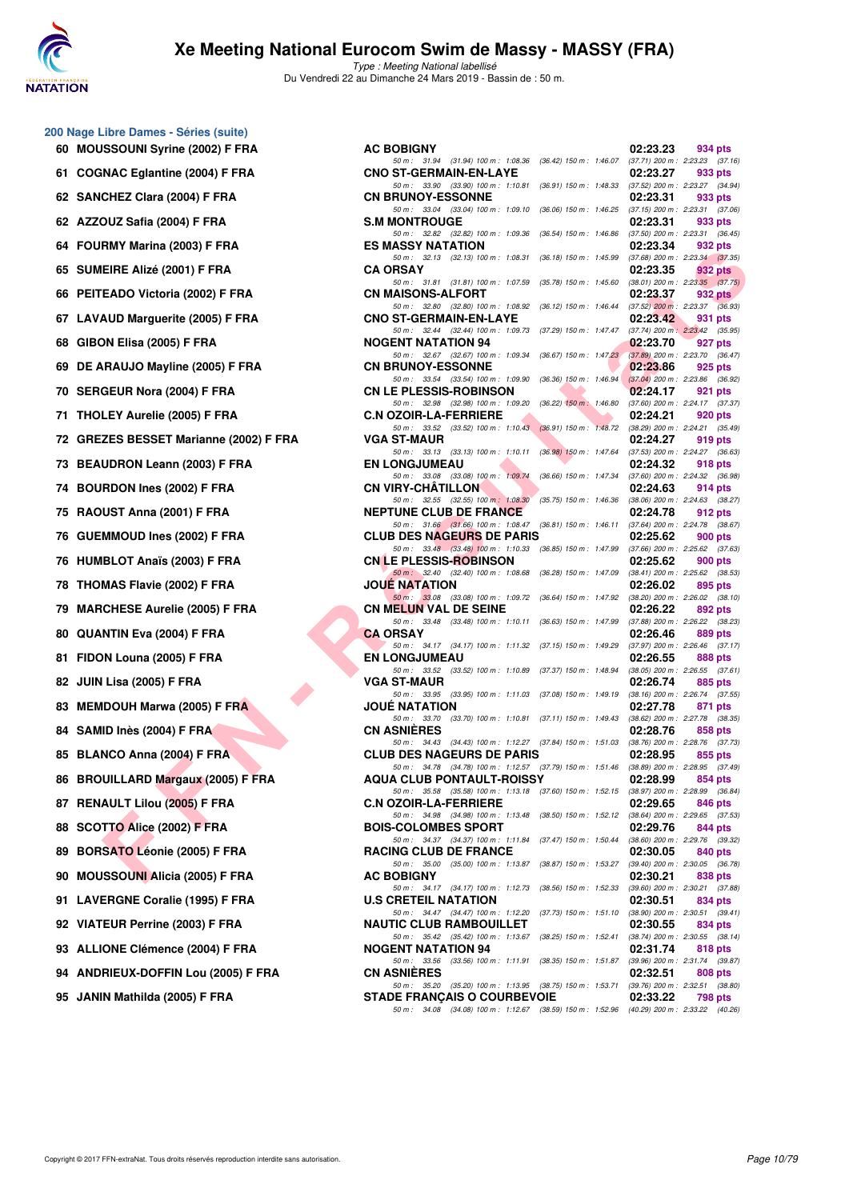

| 60 | 200 Nage Libre Dames - Séries (suite)<br>MOUSSOUNI Syrine (2002) F FRA |
|----|------------------------------------------------------------------------|
| 61 | <b>COGNAC Eglantine (2004) F FRA</b>                                   |
| 62 | SANCHEZ Clara (2004) F FRA                                             |
| 62 | AZZOUZ Safia (2004) F FRA                                              |
| 64 | FOURMY Marina (2003) F FRA                                             |
| 65 | SUMEIRE Alizé (2001) F FRA                                             |
|    | 66 PEITEADO Victoria (2002) F FRA                                      |
| 67 | <b>LAVAUD Marguerite (2005) F FRA</b>                                  |
| 68 | GIBON Elisa (2005) F FRA                                               |
| 69 | DE ARAUJO Mayline (2005) F FRA                                         |
|    | 70 SERGEUR Nora (2004) F FRA                                           |
| 71 | THOLEY Aurelie (2005) F FRA                                            |
| 72 | GREZES BESSET Marianne (2002) F FRA                                    |
| 73 | <b>BEAUDRON Leann (2003) F FRA</b>                                     |
| 74 | <b>BOURDON Ines (2002) F FRA</b>                                       |
| 75 | RAOUST Anna (2001) F FRA                                               |
| 76 | <b>GUEMMOUD Ines (2002) F FRA</b>                                      |
| 76 | <b>HUMBLOT Anaïs (2003) F FRA</b>                                      |
| 78 | <b>THOMAS Flavie (2002) F FRA</b>                                      |
| 79 | <b>MARCHESE Aurelie (2005) F FRA</b>                                   |
| 80 | <b>QUANTIN Eva (2004) F FRA</b>                                        |
| 81 | FIDON Louna (2005) F FRA                                               |
|    | 82 JUIN Lisa (2005) F FRA                                              |
| 83 | <b>MEMDOUH Marwa (2005) F FRA</b>                                      |
|    | 84 SAMID Inès (2004) F FRA                                             |
| 85 | BLANCO Anna (2004) F FRA                                               |
| 86 | <b>BROUILLARD Margaux (2005) F FRA</b>                                 |
| 87 | RENAULT Lilou (2005) F FRA                                             |
| 88 | SCOTTO Alice (2002) F FRA                                              |
| 89 | <b>BORSATO Léonie (2005) F FRA</b>                                     |
| 90 | <b>MOUSSOUNI Alicia (2005) F FRA</b>                                   |
| 91 | <b>LAVERGNE Coralie (1995) F FRA</b>                                   |
| 92 | <b>VIATEUR Perrine (2003) F FRA</b>                                    |
|    | 93 ALLIONE Clémence (2004) F FRA                                       |
|    | 94 ANDRIEUX-DOFFIN Lou (2005) F FRA                                    |
|    | 95 JANIN Mathilda (2005) F FRA                                         |

| $\sigma$ rays Libre Danies - Oches (Suite) |                                                                                                                                |          |                                                |
|--------------------------------------------|--------------------------------------------------------------------------------------------------------------------------------|----------|------------------------------------------------|
| 60 MOUSSOUNI Syrine (2002) F FRA           | <b>AC BOBIGNY</b>                                                                                                              | 02:23.23 | 934 pts                                        |
| 61 COGNAC Eglantine (2004) F FRA           | 50 m: 31.94 (31.94) 100 m: 1:08.36 (36.42) 150 m: 1:46.07 (37.71) 200 m: 2:23.23 (37.16)<br><b>CNO ST-GERMAIN-EN-LAYE</b>      | 02:23.27 | 933 pts                                        |
| 62 SANCHEZ Clara (2004) F FRA              | 50 m: 33.90 (33.90) 100 m: 1:10.81 (36.91) 150 m: 1:48.33 (37.52) 200 m: 2:23.27 (34.94)<br><b>CN BRUNOY-ESSONNE</b>           | 02:23.31 | 933 pts                                        |
| 62 AZZOUZ Safia (2004) F FRA               | 50 m: 33.04 (33.04) 100 m: 1:09.10 (36.06) 150 m: 1:46.25 (37.15) 200 m: 2:23.31 (37.06)<br><b>S.M MONTROUGE</b>               | 02:23.31 | 933 pts                                        |
| 64 FOURMY Marina (2003) F FRA              | 50 m: 32.82 (32.82) 100 m: 1:09.36 (36.54) 150 m: 1:46.86 (37.50) 200 m: 2:23.31 (36.45)<br><b>ES MASSY NATATION</b>           | 02:23.34 | 932 pts                                        |
| 65 SUMEIRE Alizé (2001) F FRA              | 50 m: 32.13 (32.13) 100 m: 1:08.31 (36.18) 150 m: 1:45.99 (37.68) 200 m: 2:23.34 (37.35)<br><b>CA ORSAY</b>                    | 02:23.35 | 932 pts                                        |
| 66 PEITEADO Victoria (2002) F FRA          | 50 m: 31.81 (31.81) 100 m: 1:07.59<br>(35.78) 150 m : 1:45.60 (38.01) 200 m : 2:23.35 (37.75)<br><b>CN MAISONS-ALFORT</b>      | 02:23.37 | 932 pts                                        |
| 67 LAVAUD Marguerite (2005) F FRA          | 50 m: 32.80 (32.80) 100 m: 1:08.92 (36.12) 150 m: 1:46.44 (37.52) 200 m: 2:23.37 (36.93)<br><b>CNO ST-GERMAIN-EN-LAYE</b>      | 02:23.42 | 931 pts                                        |
| 68 GIBON Elisa (2005) F FRA                | 50 m: 32.44 (32.44) 100 m: 1:09.73 (37.29) 150 m: 1:47.47 (37.74) 200 m: 2:23.42 (35.95)<br><b>NOGENT NATATION 94</b>          | 02:23.70 | 927 pts                                        |
| 69 DE ARAUJO Mayline (2005) F FRA          | 50 m: 32.67 (32.67) 100 m: 1:09.34 (36.67) 150 m: 1:47.23 (37.89) 200 m: 2:23.70 (36.47)<br><b>CN BRUNOY-ESSONNE</b>           | 02:23.86 | 925 pts                                        |
| 70 SERGEUR Nora (2004) F FRA               | 50 m: 33.54 (33.54) 100 m: 1:09.90 (36.36) 150 m: 1:46.94 (37.04) 200 m: 2:23.86 (36.92)<br><b>CN LE PLESSIS-ROBINSON</b>      | 02:24.17 | 921 pts                                        |
| 71 THOLEY Aurelie (2005) F FRA             | 50 m: 32.98 (32.98) 100 m: 1:09.20 (36.22) 150 m: 1:46.80 (37.60) 200 m: 2:24.17 (37.37)<br><b>C.N OZOIR-LA-FERRIERE</b>       | 02:24.21 | 920 pts                                        |
| 72 GREZES BESSET Marianne (2002) F FRA     | 50 m: 33.52 (33.52) 100 m: 1:10.43 (36.91) 150 m: 1:48.72 (38.29) 200 m: 2:24.21 (35.49)<br><b>VGA ST-MAUR</b>                 | 02:24.27 | 919 pts                                        |
| 73 BEAUDRON Leann (2003) F FRA             | 50 m: 33.13 (33.13) 100 m: 1:10.11 (36.98) 150 m: 1:47.64 (37.53) 200 m: 2:24.27 (36.63)<br><b>EN LONGJUMEAU</b>               | 02:24.32 | 918 pts                                        |
| 74 BOURDON Ines (2002) F FRA               | 50 m: 33.08 (33.08) 100 m: 1:09.74 (36.66) 150 m: 1:47.34 (37.60) 200 m: 2:24.32 (36.98)<br><b>CN VIRY-CHATILLON</b>           | 02:24.63 | 914 pts                                        |
| 75 RAOUST Anna (2001) F FRA                | 50 m: 32.55 (32.55) 100 m: 1:08.30 (35.75) 150 m: 1:46.36 (38.06) 200 m: 2:24.63 (38.27)<br><b>NEPTUNE CLUB DE FRANCE</b>      | 02:24.78 | 912 pts                                        |
| 76 GUEMMOUD Ines (2002) F FRA              | 50 m: 31.66 (31.66) 100 m: 1:08.47 (36.81) 150 m: 1:46.11 (37.64) 200 m: 2:24.78 (38.67)<br><b>CLUB DES NAGEURS DE PARIS</b>   | 02:25.62 | 900 pts                                        |
| 76 HUMBLOT Anaïs (2003) F FRA              | 50 m: 33.48 (33.48) 100 m: 1:10.33 (36.85) 150 m: 1:47.99 (37.66) 200 m: 2:25.62 (37.63)<br><b>CN LE PLESSIS-ROBINSON</b>      | 02:25.62 | 900 pts                                        |
| 78 THOMAS Flavie (2002) F FRA              | 50 m : 32.40 (32.40) 100 m : 1:08.68 (36.28) 150 m : 1:47.09 (38.41) 200 m : 2:25.62 (38.53)<br><b>JOUE NATATION</b>           | 02:26.02 | 895 pts                                        |
| 79 MARCHESE Aurelie (2005) F FRA           | 50 m: 33.08 (33.08) 100 m: 1:09.72 (36.64) 150 m: 1:47.92 (38.20) 200 m: 2:26.02 (38.10)<br><b>CN MELUN VAL DE SEINE</b>       | 02:26.22 | 892 pts                                        |
| 80 QUANTIN Eva (2004) F FRA                | 50 m: 33.48 (33.48) 100 m: 1:10.11 (36.63) 150 m: 1:47.99 (37.88) 200 m: 2:26.22 (38.23)<br><b>CA ORSAY</b>                    | 02:26.46 | 889 pts                                        |
| 81 FIDON Louna (2005) F FRA                | 50 m: 34.17 (34.17) 100 m: 1:11.32 (37.15) 150 m: 1:49.29 (37.97) 200 m: 2:26.46 (37.17)<br><b>EN LONGJUMEAU</b>               | 02:26.55 | 888 pts                                        |
| 82   JUIN Lisa (2005) F FRA                | 50 m: 33.52 (33.52) 100 m: 1:10.89 (37.37) 150 m: 1:48.94 (38.05) 200 m: 2:26.55 (37.61)<br><b>VGA ST-MAUR</b>                 | 02:26.74 | 885 pts                                        |
| 83 MEMDOUH Marwa (2005) F FRAN             | 50 m: 33.95 (33.95) 100 m: 1:11.03 (37.08) 150 m: 1:49.19 (38.16) 200 m: 2:26.74 (37.55)<br><b>JOUE NATATION</b>               | 02:27.78 | 871 pts                                        |
| 84 SAMID Inès (2004) F FRA                 | 50 m: 33.70 (33.70) 100 m: 1:10.81 (37.11) 150 m: 1:49.43 (38.62) 200 m: 2:27.78 (38.35)<br><b>CN ASNIERES</b>                 | 02:28.76 | 858 pts                                        |
| 85 BLANCO Anna (2004) F FRA                | 50 m: 34.43 (34.43) 100 m: 1:12.27 (37.84) 150 m: 1:51.03 (38.76) 200 m: 2:28.76 (37.73)<br><b>CLUB DES NAGEURS DE PARIS</b>   | 02:28.95 | 855 pts                                        |
| 86 BROUILLARD Margaux (2005) F FRA         | 50 m: 34.78 (34.78) 100 m: 1:12.57 (37.79) 150 m: 1:51.46 (38.89) 200 m: 2:28.95 (37.49)<br><b>AQUA CLUB PONTAULT-ROISSY</b>   | 02:28.99 | 854 pts                                        |
| 87 RENAULT Lilou (2005) F FRA              | 50 m: 35.58 (35.58) 100 m: 1:13.18 (37.60) 150 m: 1:52.15 (38.97) 200 m: 2:28.99 (36.84)<br><b>C.N OZOIR-LA-FERRIERE</b>       | 02:29.65 | 846 pts                                        |
| 88 SCOTTO Alice (2002) F FRA               | 50 m: 34.98 (34.98) 100 m: 1:13.48 (38.50) 150 m: 1:52.12 (38.64) 200 m: 2:29.65 (37.53)<br><b>BOIS-COLOMBES SPORT</b>         | 02:29.76 | 844 pts                                        |
| 89 BORSATO Léonie (2005) F FRA             | 50 m: 34.37 (34.37) 100 m: 1:11.84 (37.47) 150 m: 1:50.44 (38.60) 200 m: 2:29.76 (39.32)<br><b>RACING CLUB DE FRANCE</b>       | 02:30.05 | 840 pts                                        |
| 90 MOUSSOUNI Alicia (2005) F FRA           | 50 m: 35.00 (35.00) 100 m: 1:13.87 (38.87) 150 m: 1:53.27 (39.40) 200 m: 2:30.05 (36.78)<br><b>AC BOBIGNY</b>                  | 02:30.21 | 838 pts                                        |
| 91 LAVERGNE Coralie (1995) F FRA           | 50 m: 34.17 (34.17) 100 m: 1:12.73<br>(38.56) 150 m : 1:52.33<br><b>U.S CRETEIL NATATION</b>                                   | 02:30.51 | $(39.60)$ 200 m : 2:30.21 $(37.88)$<br>834 pts |
| 92 VIATEUR Perrine (2003) F FRA            | 50 m: 34.47 (34.47) 100 m: 1:12.20 (37.73) 150 m: 1:51.10 (38.90) 200 m: 2:30.51 (39.41)<br><b>NAUTIC CLUB RAMBOUILLET</b>     | 02:30.55 | 834 pts                                        |
| 93 ALLIONE Clémence (2004) F FRA           | 50 m : 35.42 (35.42) 100 m : 1:13.67 (38.25) 150 m : 1:52.41<br><b>NOGENT NATATION 94</b>                                      | 02:31.74 | $(38.74)$ 200 m : 2:30.55 $(38.14)$<br>818 pts |
| 94 ANDRIEUX-DOFFIN Lou (2005) F FRA        | 50 m: 33.56 (33.56) 100 m: 1:11.91 (38.35) 150 m: 1:51.87 (39.96) 200 m: 2:31.74 (39.87)<br><b>CN ASNIERES</b>                 | 02:32.51 | 808 pts                                        |
| 95 JANIN Mathilda (2005) F FRA             | 50 m: 35.20 (35.20) 100 m: 1:13.95 (38.75) 150 m: 1:53.71 (39.76) 200 m: 2:32.51 (38.80)<br><b>STADE FRANÇAIS O COURBEVOIE</b> | 02:33.22 | 798 pts                                        |
|                                            | 50 m: 34.08 (34.08) 100 m: 1:12.67 (38.59) 150 m: 1:52.96 (40.29) 200 m: 2:33.22 (40.26)                                       |          |                                                |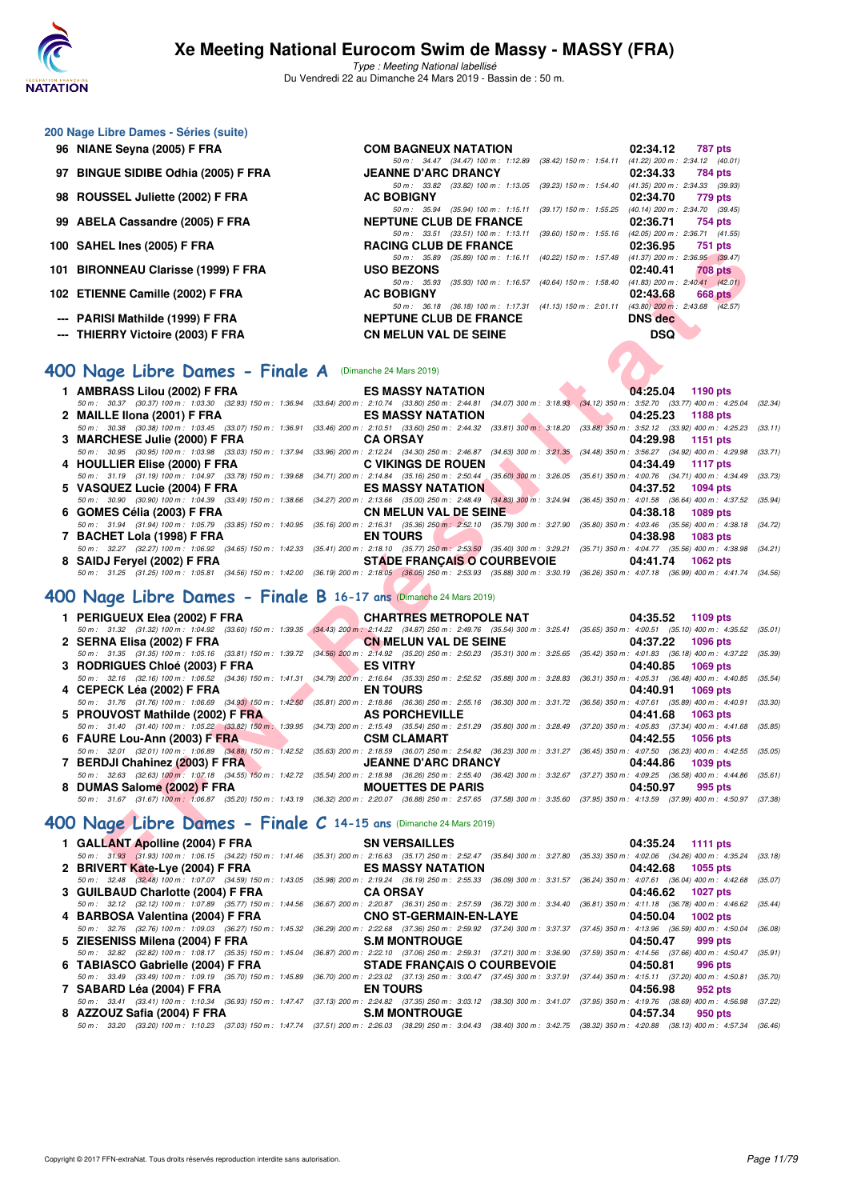

Type : Meeting National labellisé Du Vendredi 22 au Dimanche 24 Mars 2019 - Bassin de : 50 m.

# **200 Nage Libre Dames - Séries (suite)**

| 96 NIANE Seyna (2005) F FRA         | <b>COM BAGNEUX NATATION</b>                                         |                                                     | 02:34.12                            | 787 pts        |
|-------------------------------------|---------------------------------------------------------------------|-----------------------------------------------------|-------------------------------------|----------------|
|                                     | 50 m: 34.47 (34.47) 100 m: 1:12.89 (38.42) 150 m: 1:54.11           |                                                     | $(41.22)$ 200 m : 2:34.12 $(40.01)$ |                |
| 97 BINGUE SIDIBE Odhia (2005) F FRA | <b>JEANNE D'ARC DRANCY</b>                                          |                                                     | 02:34.33                            | 784 pts        |
|                                     | (33.82) 100 m : 1:13.05 (39.23) 150 m : 1:54.40<br>50 m : 33.82     |                                                     | $(41.35)$ 200 m : 2:34.33 (39.93)   |                |
| 98 ROUSSEL Juliette (2002) F FRA    | <b>AC BOBIGNY</b>                                                   |                                                     | 02:34.70                            | 779 pts        |
|                                     | $(35.94)$ 100 m : 1:15.11<br>50 m : 35.94                           | (39.17) 150 m : 1:55.25                             | (40.14) 200 m : 2:34.70 (39.45)     |                |
| 99 ABELA Cassandre (2005) F FRA     | <b>NEPTUNE CLUB DE FRANCE</b>                                       |                                                     | 02:36.71                            | 754 pts        |
|                                     | 50 m: 33.51 (33.51) 100 m: 1:13.11                                  | $(39.60)$ 150 m : 1.55.16                           | $(42.05)$ 200 m : 2:36.71 $(41.55)$ |                |
| 100 SAHEL Ines (2005) F FRA         | <b>RACING CLUB DE FRANCE</b>                                        |                                                     | 02:36.95                            | 751 pts        |
|                                     | $(35.89)$ 100 m : 1:16.11 $(40.22)$ 150 m : 1:57.48<br>50 m : 35.89 |                                                     | $(41.37)$ 200 m : 2:36.95 $(39.47)$ |                |
| 101 BIRONNEAU Clarisse (1999) F FRA | <b>USO BEZONS</b>                                                   |                                                     | 02:40.41                            | <b>708 pts</b> |
|                                     | $50 \text{ m}$ : 35.93                                              | $(35.93)$ 100 m : 1:16.57 $(40.64)$ 150 m : 1:58.40 | $(41.83)$ 200 m : 2:40.41 $(42.01)$ |                |
| 102 ETIENNE Camille (2002) F FRA    | <b>AC BOBIGNY</b>                                                   |                                                     | 02:43.68                            | 668 pts        |
|                                     | (36.18) 100 m : 1:17.31 (41.13) 150 m : 2:01.11<br>50 m : 36.18     |                                                     | $(43.80)$ 200 m : 2:43.68 $(42.57)$ |                |
| --- PARISI Mathilde (1999) F FRA    | <b>NEPTUNE CLUB DE FRANCE</b>                                       |                                                     | <b>DNS</b> dec                      |                |
| --- THIERRY Victoire (2003) F FRA   | <b>CN MELUN VAL DE SEINE</b>                                        |                                                     | <b>DSQ</b>                          |                |
|                                     |                                                                     |                                                     |                                     |                |

## **[400 Nage Libre Dames - Finale A](http://www.ffnatation.fr/webffn/resultats.php?idact=nat&go=epr&idcpt=57649&idepr=4)** (Dimanche 24 Mars 2019)

| 1 AMBRASS Lilou (2002) F FRA LES MASSY NATATION                                                                                                                                             |                                            |                                                                                 | 04:25.04 1190 pts |          |
|---------------------------------------------------------------------------------------------------------------------------------------------------------------------------------------------|--------------------------------------------|---------------------------------------------------------------------------------|-------------------|----------|
| 50 m : 30.37 (30.37) 100 m : 1:03.30 (32.93) 150 m : 1:36.94 (33.64) 200 m : 2:10.74 (33.80) 250 m : 2:44.81 (34.07) 300 m : 3:18.93 (34.12) 350 m : 3:52.70 (33.77) 400 m : 4:25.04 (32.34 |                                            |                                                                                 |                   |          |
| 2 MAILLE IIona (2001) F FRA                                                                                                                                                                 | <b>ES MASSY NATATION</b> 04:25.23 1188 pts |                                                                                 |                   |          |
| 50 m: 30.38 (30.38) 100 m: 1:03.45 (33.07) 150 m: 1:36.91 (33.46) 200 m: 2:10.51 (33.60) 250 m: 2:44.32 (33.81) 300 m: 3:18.20 (33.88) 350 m: 3:52.12 (33.92) 400 m: 4:25.23 (33.11)        |                                            |                                                                                 |                   |          |
|                                                                                                                                                                                             |                                            | the contract of the contract of the contract of the contract of the contract of | 04:29.98 1151 pts |          |
| 50 m: 30.95 (30.95) 100 m: 1:03.98 (33.03) 150 m: 1:37.94 (33.96) 200 m: 2:12.24 (34.30) 250 m: 2:46.87 (34.63) 300 m: 3:21.35 (34.48) 350 m: 3:56.27 (34.92) 400 m: 4:29.98 (33.71         |                                            |                                                                                 |                   |          |
| 4 HOULLIER Elise (2000) F FRA C VIKINGS DE ROUEN 694:34.49                                                                                                                                  |                                            |                                                                                 |                   | 1117 pts |
| 50 m: 31.19 (31.19) 100 m: 1:04.97 (33.78) 150 m: 1:39.68 (34.71) 200 m: 2:14.84 (35.16) 250 m: 2:50.44 (35.60) 300 m: 3:26.05 (35.61) 350 m: 4:00.76 (34.71) 400 m: 4:34.49 (33.73         |                                            |                                                                                 |                   |          |
| 5 VASQUEZ Lucie (2004) F FRA ES MASSY NATATION 6 04:37.52 1094 pts                                                                                                                          |                                            |                                                                                 |                   |          |
| 50 m: 30.90 (30.90) 100 m: 1:04.39 (33.49) 150 m: 1:38.66 (34.27) 200 m: 2:13.66 (35.00) 250 m: 2:48.49 (34.83) 300 m: 3:24.94 (36.45) 350 m: 4:01.58 (36.64) 400 m: 4:37.52 (35.94         |                                            |                                                                                 |                   |          |
| 6 GOMES Célia (2003) F FRA CN MELUN VAL DE SEINE 20138.18                                                                                                                                   |                                            |                                                                                 |                   | 1089 pts |
| 50 m: 31.94 (31.94) 100 m: 1:05.79 (33.85) 150 m: 1:40.95 (35.16) 200 m: 2:16.31 (35.36) 250 m: 2:52.10 (35.79) 300 m: 3:27.90 (35.80) 350 m: 4:03.46 (35.56) 400 m: 4:38.18 (34.72         |                                            |                                                                                 |                   |          |
| 7 BACHET Lola (1998) F FRA EN TOURS                                                                                                                                                         |                                            |                                                                                 | 04:38.98 1083 pts |          |
| 50 m: 32.27 (32.27) 100 m: 1:06.92 (34.65) 150 m: 1:42.33 (35.41) 200 m: 2:18.10 (35.77) 250 m: 2:53.50 (35.40) 300 m: 3:29.21 (35.71) 350 m: 4:04.77 (35.56) 400 m: 4:38.98 (34.21)        |                                            |                                                                                 |                   |          |
| 8 SAIDJ Feryel (2002) F FRA STADE FRANÇAIS O COURBEVOIE 64:41.74                                                                                                                            |                                            |                                                                                 |                   | 1062 pts |
| 50 m : 31.25 (31.25) 100 m : 1:05.81 (34.56) 150 m : 1:42.00 (36.19) 200 m : 2:18.05 (36.05) 250 m : 2:53.93 (35.88) 300 m : 3:30.19 (36.26) 350 m : 4:07.18 (36.99) 400 m : 4:41.74 (34.56 |                                            |                                                                                 |                   |          |
|                                                                                                                                                                                             |                                            |                                                                                 |                   |          |

# **[400 Nage Libre Dames - Finale B](http://www.ffnatation.fr/webffn/resultats.php?idact=nat&go=epr&idcpt=57649&idepr=4) 16-17 ans** (Dimanche 24 Mars 2019)

| U SAIILL IIICS (2003) FT NA                                      | RACING CLUD DE FRANCE<br>UZ.JU.JJ<br>$1.91$ pm                                                                                                                                                                                           |
|------------------------------------------------------------------|------------------------------------------------------------------------------------------------------------------------------------------------------------------------------------------------------------------------------------------|
| 11 BIRONNEAU Clarisse (1999) F FRA                               | 50 m: 35.89 (35.89) 100 m: 1:16.11 (40.22) 150 m: 1:57.48 (41.37) 200 m: 2:36.95 (39.47)<br><b>USO BEZONS</b><br>02:40.41<br><b>708 pts</b>                                                                                              |
|                                                                  | 50 m: 35.93 (35.93) 100 m: 1:16.57 (40.64) 150 m: 1:58.40 (41.83) 200 m: 2:40.41 (42.01)                                                                                                                                                 |
| 2 ETIENNE Camille (2002) F FRA                                   | <b>AC BOBIGNY</b><br>02:43.68<br>668 pts<br>50 m: 36.18 (36.18) 100 m: 1:17.31 (41.13) 150 m: 2:01.11 (43.80) 200 m: 2:43.68 (42.57)                                                                                                     |
| -- PARISI Mathilde (1999) F FRA                                  | <b>NEPTUNE CLUB DE FRANCE</b><br><b>DNS</b> dec                                                                                                                                                                                          |
| -- THIERRY Victoire (2003) F FRA                                 | <b>DSQ</b><br><b>CN MELUN VAL DE SEINE</b>                                                                                                                                                                                               |
|                                                                  |                                                                                                                                                                                                                                          |
| 00 Nage Libre Dames - Finale A (Dimanche 24 Mars 2019)           |                                                                                                                                                                                                                                          |
| 1 AMBRASS Lilou (2002) F FRA                                     | <b>ES MASSY NATATION</b><br>04:25.04<br>1190 pts                                                                                                                                                                                         |
| 50 m: 30.37 (30.37) 100 m: 1:03.30 (32.93) 150 m: 1:36.94        | $(33.64)$ 200 m : 2:10.74 $(33.80)$ 250 m : 2:44.81 $(34.07)$ 300 m : 3:18.93 $(34.12)$ 350 m : 3:52.70 $(33.77)$ 400 m : 4:25.04<br>(32.34)                                                                                             |
| 2 MAILLE IIona (2001) F FRA                                      | 04:25.23<br><b>ES MASSY NATATION</b><br><b>1188 pts</b>                                                                                                                                                                                  |
| 50 m: 30.38 (30.38) 100 m: 1:03.45 (33.07) 150 m: 1:36.91        | (33.46) 200 m : 2:10.51 (33.60) 250 m : 2:44.32 (33.81) 300 m : 3:18.20 (33.88) 350 m : 3:52.12 (33.92) 400 m : 4:25.23 (33.11)<br><b>CA ORSAY</b><br>04:29.98                                                                           |
| 3 MARCHESE Julie (2000) F FRA                                    | 1151 pts<br>50 m : 30.95 (30.95) 100 m : 1:03.98 (33.03) 150 m : 1:37.94 (33.96) 200 m : 2:12.24 (34.30) 250 m : 2:46.87 (34.63) 300 m : 3:21.35 (34.48) 350 m : 3:56.27 (34.92) 400 m : 4:29.98<br>(33.71)                              |
| 4 HOULLIER Elise (2000) F FRA                                    | <b>C VIKINGS DE ROUEN</b><br>04:34.49<br><b>1117 pts</b>                                                                                                                                                                                 |
|                                                                  | 50 m: 31.19 (31.19) 100 m: 1:04.97 (33.78) 150 m: 1:39.68 (34.71) 200 m: 2:14.84 (35.16) 250 m: 2:50.44 (35.60) 300 m: 3:26.05 (35.61) 350 m: 4:00.76 (34.71) 400 m: 4:34.49<br>(33.73)                                                  |
| 5 VASQUEZ Lucie (2004) F FRA                                     | <b>ES MASSY NATATION</b><br>04:37.52<br>1094 pts                                                                                                                                                                                         |
|                                                                  | 50 m : 30.90 (30.90) 100 m : 1:04.39 (33.49) 150 m : 1:38.66 (34.27) 200 m : 2:13.66 (35.00) 250 m : 2:48.49 (34.83) 300 m : 3:24.94 (36.45) 350 m : 4:01.58 (36.64) 400 m : 4:37.52<br>(35.94)                                          |
| 6 GOMES Célia (2003) F FRA                                       | <b>CN MELUN VAL DE SEINE</b><br>04:38.18<br><b>1089 pts</b>                                                                                                                                                                              |
|                                                                  | 50 m : 31.94 (31.94) 100 m : 1:05.79 (33.85) 150 m : 1:40.95 (35.16) 200 m : 2:16.31 (35.36) 250 m : 2:52.10 (35.79) 300 m : 3:27.90 (35.80) 350 m : 4:03.46 (35.56) 400 m : 4:38.18<br>(34.72)                                          |
| 7 BACHET Lola (1998) F FRA                                       | <b>EN TOURS</b><br>04:38.98<br>1083 pts                                                                                                                                                                                                  |
|                                                                  | 50 m: 32.27 (32.27) 100 m: 1:06.92 (34.65) 150 m: 1:42.33 (35.41) 200 m: 2:18.10 (35.77) 250 m: 2:53.50 (35.40) 300 m: 3:29.21 (35.71) 350 m: 4:04.77 (35.56) 400 m: 4:38.98 (34.21)                                                     |
| 8 SAIDJ Fervel (2002) F FRA                                      | <b>STADE FRANCAIS O COURBEVOIE</b><br>04:41.74<br><b>1062 pts</b>                                                                                                                                                                        |
|                                                                  | 50 m: 31.25 (31.25) 100 m: 1:05.81 (34.56) 150 m: 1:42.00 (36.19) 200 m: 2:18.05 (36.05) 250 m: 2:53.93 (35.88) 300 m: 3:30.19 (36.26) 350 m: 4:07.18 (36.99) 400 m: 4:41.74 (34.56)                                                     |
| 00 Nage Libre Dames - Finale B 16-17 ans Dimanche 24 Mars 2019)  |                                                                                                                                                                                                                                          |
| 1 PERIGUEUX Elea (2002) F FRA                                    | <b>CHARTRES METROPOLE NAT</b><br>04:35.52<br>1109 pts                                                                                                                                                                                    |
|                                                                  | 50 m: 31.32 (31.32) 100 m: 1:04.92 (33.60) 150 m: 1:39.35 (34.43) 200 m: 2:14.22 (34.87) 250 m: 2:49.76 (35.54) 300 m: 3:25.41 (35.65) 350 m: 4:00.51 (35.10) 400 m: 4:35.52<br>(35.01)                                                  |
| 2 SERNA Elisa (2002) F FRA                                       | <b>CN MELUN VAL DE SEINE</b><br>1096 pts<br>04:37.22                                                                                                                                                                                     |
|                                                                  | 50 m: 31.35 (31.35) 100 m: 1:05.16 (33.81) 150 m: 1:39.72 (34.56) 200 m: 2:14.92 (35.20) 250 m: 2:50.23 (35.31) 300 m: 3:25.65 (35.42) 350 m: 4:01.83 (36.18) 400 m: 4:37.22<br>(35.39)                                                  |
| 3 RODRIGUES Chloé (2003) F FRA                                   | <b>ES VITRY</b><br>04:40.85<br><b>1069 pts</b>                                                                                                                                                                                           |
|                                                                  | 50 m: 32.16 (32.16) 100 m: 1:06.52 (34.36) 150 m: 1:41.31 (34.79) 200 m: 2:16.64 (35.33) 250 m: 2:52.52 (35.88) 300 m: 3:28.83 (36.31) 350 m: 4:05.31 (36.48) 400 m: 4:40.85<br>(35.54)                                                  |
| 4 CEPECK Léa (2002) F FRA                                        | <b>EN TOURS</b><br>04:40.91<br><b>1069 pts</b>                                                                                                                                                                                           |
|                                                                  | 50 m: 31.76 (31.76) 100 m: 1:06.69 (34.93) 150 m: 1:42.50 (35.81) 200 m: 2:18.86 (36.36) 250 m: 2:55.16 (36.30) 300 m: 3:31.72 (36.56) 350 m: 4:07.61 (35.89) 400 m: 4:40.91<br>(33.30)                                                  |
| 5 PROUVOST Mathilde (2002) F FRA                                 | <b>AS PORCHEVILLE</b><br>04:41.68<br>1063 pts<br>50 m: 31.40 (31.40) 100 m: 1:05.22 (33.82) 150 m: 1:39.95 (34.73) 200 m: 2:15.49 (35.54) 250 m: 2:51.29 (35.80) 300 m: 3:28.49 (37.20) 350 m: 4:05.83 (37.34) 400 m: 4:41.68<br>(35.85) |
| 6 FAURE Lou-Ann (2003) F FRA                                     | 04:42.55<br><b>CSM CLAMART</b><br><b>1056 pts</b>                                                                                                                                                                                        |
|                                                                  | 50 m: 32.01 (32.01) 100 m: 1:06.89 (34.88) 150 m: 1:42.52 (35.63) 200 m: 2:18.59 (36.07) 250 m: 2:54.82 (36.23) 300 m: 3:31.27 (36.45) 350 m: 4:07.50 (36.23) 400 m: 4:42.55 (35.05)                                                     |
| 7 BERDJI Chahinez (2003) F FRA                                   | <b>JEANNE D'ARC DRANCY</b><br>04:44.86<br>1039 pts                                                                                                                                                                                       |
|                                                                  | 50 m: 32.63 (32.63) 100 m: 1:07.18 (34.55) 150 m: 1:42.72 (35.54) 200 m: 2:18.98 (36.26) 250 m: 2:55.40 (36.42) 300 m: 3:32.67 (37.27) 350 m: 4:09.25 (36.58) 400 m: 4:44.86<br>(35.61)                                                  |
| 8 DUMAS Salome (2002) F FRA                                      | <b>MOUETTES DE PARIS</b><br>04:50.97<br>995 pts                                                                                                                                                                                          |
|                                                                  | 50 m: 31.67 (31.67) 100 m: 1.06.87 (35.20) 150 m: 1:43.19 (36.32) 200 m: 2:20.07 (36.88) 250 m: 2:57.65 (37.58) 300 m: 3:35.60 (37.95) 350 m: 4:13.59 (37.99) 400 m: 4:50.97 (37.38)                                                     |
| 00 Nage Libre Dames - Finale C 14-15 ans (Dimanche 24 Mars 2019) |                                                                                                                                                                                                                                          |
| 1 GALLANT Apolline (2004) F FRA                                  | <b>SN VERSAILLES</b><br>04:35.24<br><b>1111 pts</b>                                                                                                                                                                                      |
|                                                                  | 50 m: 31.93 (31.93) 100 m: 1:06.15 (34.22) 150 m: 1:41.46 (35.31) 200 m: 2:16.63 (35.17) 250 m: 2:52.47 (35.84) 300 m: 3:27.80 (35.33) 350 m: 4:02.06 (34.26) 400 m: 4:35.24 (33.18)                                                     |
| 2 BRIVERT Kate-Lye (2004) F FRA                                  | <b>ES MASSY NATATION</b><br>04:42.68<br>1055 pts                                                                                                                                                                                         |
|                                                                  | 50 m : 32.48 (32.48) 100 m : 1:07.07 (34.59) 150 m : 1:43.05 (35.98) 200 m : 2:19.24 (36.19) 250 m : 2:55.33 (36.09) 300 m : 3:31.57 (36.24) 350 m : 4:07.61 (36.04) 400 m : 4:42.68 (35.07)                                             |

## **[400 Nage Libre Dames - Finale C](http://www.ffnatation.fr/webffn/resultats.php?idact=nat&go=epr&idcpt=57649&idepr=4) 14-15 ans** (Dimanche 24 Mars 2019) **1 GALLANT Apolline (2004) F FRA SN VERSAILLES 04:35.24 1111 pts**

| $\sim$ 0. The contract the contract of the contract of the contract of the contract of the contract of the contract of the contract of the contract of the contract of the contract of the contract of the contract of the cont |                                                                                                                                                                                              |                     |
|---------------------------------------------------------------------------------------------------------------------------------------------------------------------------------------------------------------------------------|----------------------------------------------------------------------------------------------------------------------------------------------------------------------------------------------|---------------------|
|                                                                                                                                                                                                                                 | 50 m: 31.93 (31.93) 100 m: 1:06.15 (34.22) 150 m: 1:41.46 (35.31) 200 m: 2:16.63 (35.17) 250 m: 2:52.47 (35.84) 300 m: 3:27.80 (35.33) 350 m: 4:02.06 (34.26) 400 m: 4:35.24 (33.18)         |                     |
| 2 BRIVERT Kate-Lye (2004) F FRA                                                                                                                                                                                                 | <b>ES MASSY NATATION</b>                                                                                                                                                                     | 04:42.68 1055 pts   |
|                                                                                                                                                                                                                                 | 50 m: 32.48 (32.48) 100 m: 1:07.07 (34.59) 150 m: 1:43.05 (35.98) 200 m: 2:19.24 (36.19) 250 m: 2:55.33 (36.09) 300 m: 3:31.57 (36.24) 350 m: 4:07.61 (36.04) 400 m: 4:42.68 (35.07)         |                     |
| 3 GUILBAUD Charlotte (2004) F FRA                                                                                                                                                                                               | <b>CA ORSAY</b>                                                                                                                                                                              | 04:46.62 1027 pts   |
|                                                                                                                                                                                                                                 | 50 m: 32.12 (32.12) 100 m: 1:07.89 (35.77) 150 m: 1:44.56 (36.67) 200 m: 2:20.87 (36.31) 250 m: 2:57.59 (36.72) 300 m: 3:34.40 (36.81) 350 m: 4:11.18 (36.78) 400 m: 4:46.62 (35.44)         |                     |
| 4 BARBOSA Valentina (2004) F FRA                                                                                                                                                                                                | CNO ST-GERMAIN-EN-LAYE 04:50.04 1002 pts                                                                                                                                                     |                     |
|                                                                                                                                                                                                                                 | 50 m : 32.76 (32.76) 100 m : 1:09.03 (36.27) 150 m : 1:45.32 (36.29) 200 m : 2:22.68 (37.36) 250 m : 2:59.92 (37.24) 300 m : 3:37.37 (37.45) 350 m : 4:13.96 (36.59) 400 m : 4:50.04 (36.08) |                     |
| 5 ZIESENISS Milena (2004) F FRA                                                                                                                                                                                                 | S.M MONTROUGE SAME AND THE SAME AND THE SAME ASSESSED.                                                                                                                                       | 04:50.47<br>999 pts |
|                                                                                                                                                                                                                                 | 50 m : 32.82 (32.82) 100 m : 1:08.17 (35.35) 150 m : 1:45.04 (36.87) 200 m : 2:22.10 (37.06) 250 m : 2:59.31 (37.21) 300 m : 3:36.90 (37.59) 350 m : 4:14.56 (37.66) 400 m : 4:50.47 (35.91) |                     |
|                                                                                                                                                                                                                                 |                                                                                                                                                                                              | 996 pts             |
|                                                                                                                                                                                                                                 | 50 m: 33.49 (33.49) 100 m: 1:09.19 (35.70) 150 m: 1:45.89 (36.70) 200 m: 2:23.02 (37.13) 250 m: 3:00.47 (37.45) 300 m: 3:37.91 (37.44) 350 m: 4:15.11 (37.20) 400 m: 4:50.81 (35.70)         |                     |
| 7 SABARD Léa (2004) F FRA                                                                                                                                                                                                       | <b>EN TOURS</b>                                                                                                                                                                              | 04:56.98<br>952 pts |
|                                                                                                                                                                                                                                 | 50 m: 33.41 (33.41) 100 m: 1:10.34 (36.93) 150 m: 1:47.47 (37.13) 200 m: 2:24.82 (37.35) 250 m: 3:03.12 (38.30) 300 m: 3:41.07 (37.95) 350 m: 4:19.76 (38.69) 400 m: 4:56.98 (37.22)         |                     |
| 8 AZZOUZ Safia (2004) F FRA                                                                                                                                                                                                     | S.M MONTROUGE <b>SAMPLE SERVICE</b>                                                                                                                                                          | 04:57.34<br>950 pts |
|                                                                                                                                                                                                                                 | 50 m : 33.20 (33.20) 100 m : 1:10.23 (37.03) 150 m : 1:47.74 (37.51) 200 m : 2:26.03 (38.29) 250 m : 3:04.43 (38.40) 300 m : 3:42.75 (38.32) 350 m : 4:20.88 (38.13) 400 m : 4:57.34 (36.46) |                     |
|                                                                                                                                                                                                                                 |                                                                                                                                                                                              |                     |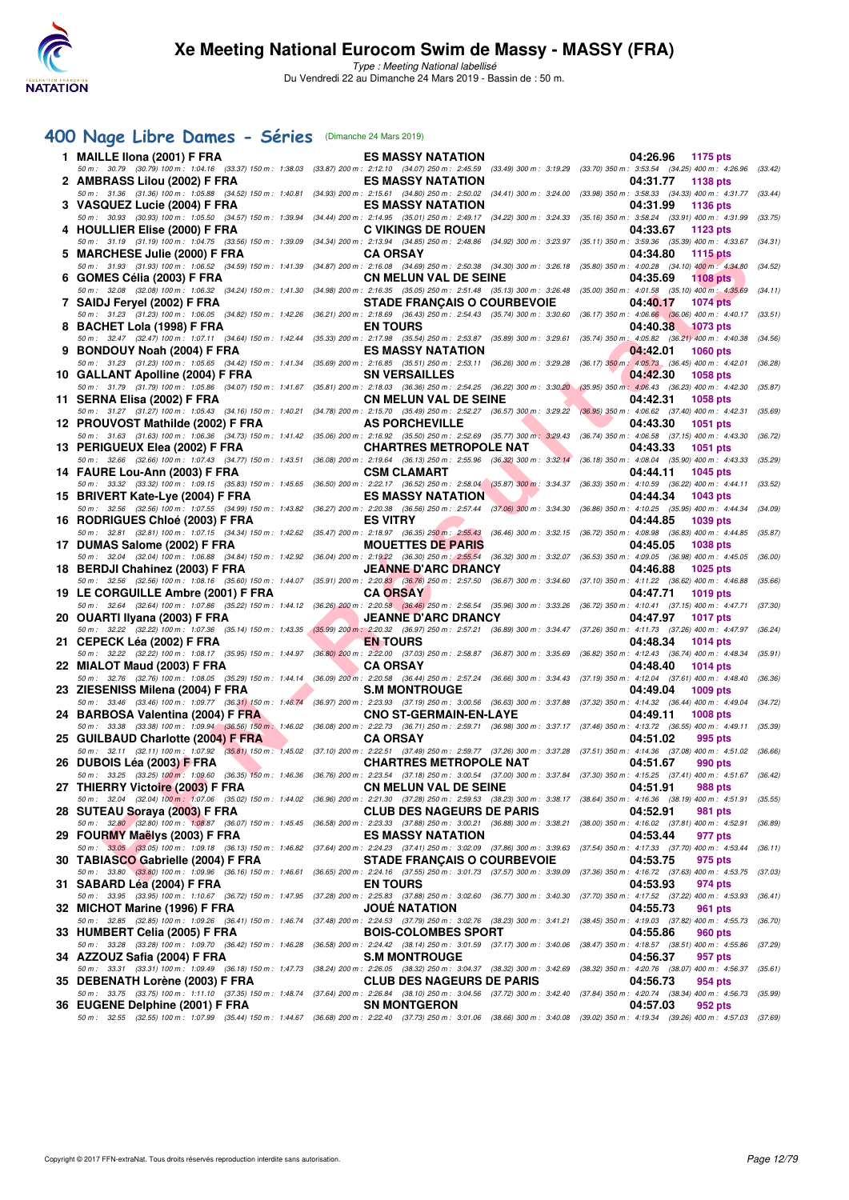

Type : Meeting National labellisé Du Vendredi 22 au Dimanche 24 Mars 2019 - Bassin de : 50 m.

# **[400 Nage Libre Dames - Séries](http://www.ffnatation.fr/webffn/resultats.php?idact=nat&go=epr&idcpt=57649&idepr=4)** (Dimanche 24 Mars 2019)

|    | 1 MAILLE IIona (2001) F FRA<br>50 m: 30.79 (30.79) 100 m: 1:04.16 (33.37) 150 m: 1:38.03                                                                                                                                        | <b>ES MASSY NATATION</b><br>(33.87) 200 m : 2:12.10 (34.07) 250 m : 2:45.59 (33.49) 300 m : 3:19.29 (33.70) 350 m : 3:53.54 (34.25) 400 m : 4:26.96              | 04:26.96<br>1175 pts                                                                 | (33.42) |
|----|---------------------------------------------------------------------------------------------------------------------------------------------------------------------------------------------------------------------------------|------------------------------------------------------------------------------------------------------------------------------------------------------------------|--------------------------------------------------------------------------------------|---------|
|    | 2 AMBRASS Lilou (2002) F FRA                                                                                                                                                                                                    | <b>ES MASSY NATATION</b>                                                                                                                                         | 04:31.77<br>1138 pts                                                                 |         |
|    | 50 m: 31.36 (31.36) 100 m: 1:05.88 (34.52) 150 m: 1:40.81<br>3 VASQUEZ Lucie (2004) F FRA                                                                                                                                       | (34.93) 200 m : 2:15.61 (34.80) 250 m : 2:50.02 (34.41) 300 m : 3:24.00<br><b>ES MASSY NATATION</b>                                                              | (33.98) 350 m : 3:58.33 (34.33) 400 m : 4:31.77<br>04:31.99<br>1136 pts              | (33.44) |
|    | 50 m: 30.93 (30.93) 100 m: 1:05.50 (34.57) 150 m: 1:39.94<br>4 HOULLIER Elise (2000) F FRA                                                                                                                                      | (34.44) 200 m: 2:14.95 (35.01) 250 m: 2:49.17 (34.22) 300 m: 3:24.33<br><b>C VIKINGS DE ROUEN</b>                                                                | (35.16) 350 m : 3:58.24 (33.91) 400 m : 4:31.99<br>04:33.67<br>1123 pts              | (33.75) |
|    | 50 m: 31.19 (31.19) 100 m: 1:04.75 (33.56) 150 m: 1:39.09<br>5 MARCHESE Julie (2000) F FRA                                                                                                                                      | (34.34) 200 m : 2:13.94 (34.85) 250 m : 2:48.86 (34.92) 300 m : 3:23.97<br><b>CA ORSAY</b>                                                                       | (35.11) 350 m: 3:59.36 (35.39) 400 m: 4:33.67 (34.31)<br>04:34.80<br><b>1115 pts</b> |         |
|    | 50 m: 31.93 (31.93) 100 m: 1:06.52 (34.59) 150 m: 1:41.39                                                                                                                                                                       | (34.87) 200 m : 2:16.08 (34.69) 250 m : 2:50.38 (34.30) 300 m : 3:26.18                                                                                          | $(35.80)$ 350 m : 4:00.28 $(34.10)$ 400 m : 4:34.80                                  | (34.52) |
|    | 6 GOMES Célia (2003) F FRA<br>50 m: 32.08 (32.08) 100 m: 1:06.32 (34.24) 150 m: 1:41.30                                                                                                                                         | <b>CN MELUN VAL DE SEINE</b><br>(34.98) 200 m : 2:16.35 (35.05) 250 m : 2:51.48 (35.13) 300 m : 3:26.48 (35.00) 350 m : 4:01.58 (35.10) 400 m : 4:35.69          | 04:35.69<br><b>1108 pts</b>                                                          | (34.11) |
|    | 7 SAIDJ Feryel (2002) F FRA<br>50 m: 31.23 (31.23) 100 m: 1:06.05 (34.82) 150 m: 1:42.26                                                                                                                                        | <b>STADE FRANÇAIS O COURBEVOIE</b><br>(36.21) 200 m : 2:18.69 (36.43) 250 m : 2:54.43 (35.74) 300 m : 3:30.60 (36.17) 350 m : 4:06.66 (36.06) 400 m : 4:40.17    | 04:40.17<br><b>1074 pts</b>                                                          | (33.51) |
|    | 8 BACHET Lola (1998) F FRA<br>50 m: 32.47 (32.47) 100 m: 1:07.11 (34.64) 150 m: 1:42.44                                                                                                                                         | <b>EN TOURS</b><br>(35.33) 200 m : 2:17.98 (35.54) 250 m : 2:53.87 (35.89) 300 m : 3:29.61 (35.74) 350 m : 4:05.82 (36.21) 400 m : 4:40.38                       | 04:40.38<br>1073 pts                                                                 | (34.56) |
|    | 9 BONDOUY Noah (2004) F FRA<br>50 m: 31.23 (31.23) 100 m: 1:05.65 (34.42) 150 m: 1:41.34                                                                                                                                        | <b>ES MASSY NATATION</b><br>(35.69) 200 m : 2:16.85 (35.51) 250 m : 2:53.11 (36.26) 300 m : 3:29.28 (36.17) 350 m : 4:05.73 (36.45) 400 m : 4:42.01              | 04:42.01<br><b>1060 pts</b>                                                          | (36.28) |
|    | 10 GALLANT Apolline (2004) F FRA                                                                                                                                                                                                | <b>SN VERSAILLES</b>                                                                                                                                             | 04:42.30<br><b>1058 pts</b>                                                          |         |
|    | 50 m: 31.79 (31.79) 100 m: 1:05.86 (34.07) 150 m: 1:41.67<br>11 SERNA Elisa (2002) F FRA                                                                                                                                        | (35.81) 200 m : 2:18.03 (36.36) 250 m : 2:54.25 (36.22) 300 m : 3:30.20 (35.95) 350 m : 4:06.43 (36.23) 400 m : 4:42.30<br><b>CN MELUN VAL DE SEINE</b>          | 04:42.31<br><b>1058 pts</b>                                                          | (35.87) |
|    | 50 m: 31.27 (31.27) 100 m: 1:05.43 (34.16) 150 m: 1:40.21<br>12 PROUVOST Mathilde (2002) F FRA                                                                                                                                  | (34.78) 200 m : 2:15.70 (35.49) 250 m : 2:52.27 (36.57) 300 m : 3:29.22<br><b>AS PORCHEVILLE</b>                                                                 | $(36.95)$ 350 m : 4:06.62 $(37.40)$ 400 m : 4:42.31<br>04:43.30<br><b>1051 pts</b>   | (35.69) |
|    | 50 m: 31.63 (31.63) 100 m: 1:06.36 (34.73) 150 m: 1:41.42                                                                                                                                                                       | (35.06) 200 m : 2:16.92 (35.50) 250 m : 2:52.69 (35.77) 300 m : 3:29.43 (36.74) 350 m : 4:06.58 (37.15) 400 m : 4:43.30                                          |                                                                                      | (36.72) |
|    | 13 PERIGUEUX Elea (2002) F FRA<br>50 m: 32.66 (32.66) 100 m: 1:07.43 (34.77) 150 m: 1:43.51                                                                                                                                     | <b>CHARTRES METROPOLE NAT</b><br>(36.08) 200 m : 2:19.64 (36.13) 250 m : 2:55.96 (36.32) 300 m : 3:32.14                                                         | 04:43.33<br>1051 pts<br>$(36.18)$ 350 m : 4:08.04 $(35.90)$ 400 m : 4:43.33          | (35.29) |
|    | 14 FAURE Lou-Ann (2003) F FRA                                                                                                                                                                                                   | <b>CSM CLAMART</b>                                                                                                                                               | 04:44.11<br>1045 pts                                                                 |         |
|    | 50 m: 33.32 (33.32) 100 m: 1:09.15 (35.83) 150 m: 1:45.65<br>15 BRIVERT Kate-Lye (2004) F FRA                                                                                                                                   | (36.50) 200 m : 2:22.17 (36.52) 250 m : 2:58.04 (35.87) 300 m : 3:34.37<br><b>ES MASSY NATATION</b>                                                              | (36.33) 350 m : 4:10.59 (36.22) 400 m : 4:44.11<br>04:44.34<br>1043 pts              | (33.52) |
|    | 50 m: 32.56 (32.56) 100 m: 1:07.55 (34.99) 150 m: 1:43.82                                                                                                                                                                       | (36.27) 200 m : 2:20.38 (36.56) 250 m : 2:57.44 (37.06) 300 m : 3:34.30                                                                                          | (36.86) 350 m : 4:10.25 (35.95) 400 m : 4:44.34                                      | (34.09) |
|    | 16 RODRIGUES Chloé (2003) F FRA<br>50 m: 32.81 (32.81) 100 m: 1:07.15 (34.34) 150 m: 1:42.62                                                                                                                                    | <b>ES VITRY</b><br>$(35.47)$ 200 m : 2:18.97 $(36.35)$ 250 m : 2:55.43 $(36.46)$ 300 m : 3:32.15                                                                 | 04:44.85<br>1039 pts<br>(36.72) 350 m : 4:08.98 (36.83) 400 m : 4:44.85              | (35.87) |
|    | 17 DUMAS Salome (2002) F FRA<br>50 m: 32.04 (32.04) 100 m: 1:06.88 (34.84) 150 m: 1:42.92                                                                                                                                       | <b>MOUETTES DE PARIS</b><br>(36.04) 200 m : 2:19.22 (36.30) 250 m : 2:55.54 (36.32) 300 m : 3:32.07 (36.53) 350 m : 4:09.05 (36.98) 400 m : 4:45.05              | 04:45.05<br><b>1038 pts</b>                                                          | (36.00) |
|    | 18 BERDJI Chahinez (2003) F FRA                                                                                                                                                                                                 | <b>JEANNE D'ARC DRANCY</b>                                                                                                                                       | 04:46.88<br><b>1025 pts</b>                                                          |         |
|    | 50 m: 32.56 (32.56) 100 m: 1:08.16 (35.60) 150 m: 1:44.07<br>19 LE CORGUILLE Ambre (2001) F FRA                                                                                                                                 | $(35.91)$ 200 m : 2:20.83 $(36.76)$ 250 m : 2:57.50<br>(36.67) 300 m : 3:34.60<br><b>CA ORSAY</b>                                                                | (37.10) 350 m : 4:11.22 (36.62) 400 m : 4:46.88<br>04:47.71<br>1019 pts              | (35.66) |
|    | 50 m: 32.64 (32.64) 100 m: 1:07.86 (35.22) 150 m: 1:44.12<br>20 OUARTI Ilyana (2003) F FRA                                                                                                                                      | (36.26) 200 m : 2:20.58 (36.46) 250 m : 2:56.54 (35.96) 300 m : 3:33.26<br><b>JEANNE D'ARC DRANCY</b>                                                            | (36.72) 350 m : 4:10.41 (37.15) 400 m : 4:47.71<br>04:47.97<br><b>1017 pts</b>       | (37.30) |
|    | 50 m: 32.22 (32.22) 100 m: 1:07.36 (35.14) 150 m: 1:43.35<br>21 CEPECK Léa (2002) F FRA                                                                                                                                         | (35.99) 200 m : 2:20.32 (36.97) 250 m : 2:57.21 (36.89) 300 m : 3:34.47 (37.26) 350 m : 4:11.73 (37.26) 400 m : 4:47.97<br><b>EN TOURS</b>                       | 04:48.34<br><b>1014 pts</b>                                                          | (36.24) |
|    | 50 m: 32.22 (32.22) 100 m: 1:08.17 (35.95) 150 m: 1:44.97                                                                                                                                                                       | (36.80) 200 m : 2:22.00 (37.03) 250 m : 2:58.87 (36.87) 300 m : 3:35.69                                                                                          | (36.82) 350 m : 4:12.43 (36.74) 400 m : 4:48.34                                      | (35.91) |
|    | 22 MIALOT Maud (2003) F FRA<br>50 m: 32.76 (32.76) 100 m: 1:08.05 (35.29) 150 m: 1:44.14                                                                                                                                        | <b>CA ORSAY</b><br>(36.09) 200 m : 2:20.58 (36.44) 250 m : 2:57.24 (36.66) 300 m : 3:34.43 (37.19) 350 m : 4:12.04 (37.61) 400 m : 4:48.40                       | 04:48.40<br><b>1014 pts</b>                                                          | (36.36) |
|    | 23 ZIESENISS Milena (2004) F FRA                                                                                                                                                                                                | <b>S.M MONTROUGE</b>                                                                                                                                             | 04:49.04<br><b>1009 pts</b>                                                          |         |
|    | 50 m: 33.46 (33.46) 100 m: 1:09.77 (36.31) 150 m: 1:46.74<br>24 BARBOSA Valentina (2004) F FRA                                                                                                                                  | (36.97) 200 m : 2:23.93 (37.19) 250 m : 3:00.56 (36.63) 300 m : 3:37.88 (37.32) 350 m : 4:14.32 (36.44) 400 m : 4:49.04 (34.72)<br><b>CNO ST-GERMAIN-EN-LAYE</b> | 04:49.11<br><b>1008 pts</b>                                                          |         |
|    | 50 m : 33.38 (33.38) 100 m : 1:09.94 (36.56) 150 m : 1:46.02<br>25 GUILBAUD Charlotte (2004) F FRA                                                                                                                              | (36.08) 200 m : 2:22.73 (36.71) 250 m : 2:59.71 (36.98) 300 m : 3:37.17 (37.46) 350 m : 4:13.72 (36.55) 400 m : 4:49.11<br><b>CA ORSAY</b>                       | 04:51.02<br>995 pts                                                                  | (35.39) |
|    | 50 m : 32.11 (32.11) 100 m : 1:07.92 (35.81) 150 m : 1:45.02 (37.10) 200 m : 2:22.51 (37.49) 250 m : 2:59.77 (37.26) 300 m : 3:37.28 (37.51) 350 m : 4:14.36 (37.08) 400 m : 4:51.02 (36.66)                                    |                                                                                                                                                                  |                                                                                      |         |
|    | 26 DUBOIS Léa (2003) F FRA<br>50 m: 33.25 (33.25) 100 m: 1:09.60 (36.35) 150 m: 1:46.36 (36.76) 200 m: 2:23.54 (37.18) 250 m: 3:00.54 (37.00) 300 m: 3:37.84 (37.30) 350 m: 4:15.25 (37.41) 400 m: 4:51.67 (36.42)              | <b>CHARTRES METROPOLE NAT</b>                                                                                                                                    | 04:51.67<br>990 pts                                                                  |         |
| 27 | THIERRY Victoire (2003) F FRA<br>50 m: 32.04 (32.04) 100 m: 1:07.06 (35.02) 150 m: 1:44.02 (36.96) 200 m: 2:21.30 (37.28) 250 m: 2:55.53 (38.23) 300 m: 3:38.17 (38.64) 350 m: 4:16.36 (38.19) 400 m: 4:51.91 (35.55)           | <b>CN MELUN VAL DE SEINE</b>                                                                                                                                     | 04:51.91<br><b>988 pts</b>                                                           |         |
|    | 28 SUTEAU Soraya (2003) F FRA                                                                                                                                                                                                   | <b>CLUB DES NAGEURS DE PARIS</b>                                                                                                                                 | 04:52.91<br><b>981 pts</b>                                                           |         |
|    | 50 m : 32,80 (32.80) 100 m : 1:08.87 (36.07) 150 m : 1:45.45 (36.58) 200 m : 2:23.33 (37.88) 250 m : 3:00.21 (36.88) 300 m : 3:38.21 (38.00) 350 m : 4:16.02 (37.81) 400 m : 4:52.91<br>29 FOURMY Maëlys (2003) F FRA           | <b>ES MASSY NATATION</b>                                                                                                                                         | 04:53.44<br>977 pts                                                                  | (36.89) |
|    | 50 m: 33.05 (33.05) 100 m: 1:09.18 (36.13) 150 m: 1:46.82 (37.64) 200 m: 2:24.23 (37.41) 250 m: 3:02.09 (37.86) 300 m: 3:39.63 (37.54) 350 m: 4:17.33 (37.70) 400 m: 4:53.44 (36.11)<br>30 TABIASCO Gabrielle (2004) F FRA      | <b>STADE FRANÇAIS O COURBEVOIE</b>                                                                                                                               | 04:53.75<br>975 pts                                                                  |         |
|    | 50 m : 33.80 (33.80) 100 m : 1:09.96 (36.16) 150 m : 1:46.61                                                                                                                                                                    | $(36.65)$ 200 m : 2:24.16 $(37.55)$ 250 m : 3:01.73 $(37.57)$ 300 m : 3:39.09                                                                                    | (37.36) 350 m : 4:16.72 (37.63) 400 m : 4:53.75                                      | (37.03) |
|    | 31 SABARD Léa (2004) F FRA<br>50 m : 33.95 (33.95) 100 m : 1:10.67 (36.72) 150 m : 1:47.95 (37.28) 200 m : 2:25.83 (37.88) 250 m : 3:02.60 (36.77) 300 m : 3:40.30                                                              | <b>EN TOURS</b>                                                                                                                                                  | 04:53.93<br>974 pts<br>(37.70) 350 m : 4:17.52 (37.22) 400 m : 4:53.93               | (36.41) |
|    | 32 MICHOT Marine (1996) F FRA<br>50 m: 32.85 (32.85) 100 m: 1:09.26 (36.41) 150 m: 1:46.74 (37.48) 200 m: 2:24.53 (37.79) 250 m: 3:02.76 (38.23) 300 m: 3:41.21 (38.45) 350 m: 4:19.03 (37.82) 400 m: 4:55.73                   | <b>JOUE NATATION</b>                                                                                                                                             | 04:55.73<br>961 pts                                                                  | (36.70) |
|    | 33 HUMBERT Celia (2005) F FRA<br>50 m: 33.28 (33.28) 100 m: 1:09.70 (36.42) 150 m: 1:46.28                                                                                                                                      | <b>BOIS-COLOMBES SPORT</b><br>(36.58) 200 m : 2:24.42 (38.14) 250 m : 3:01.59 (37.17) 300 m : 3:40.06 (38.47) 350 m : 4:18.57 (38.51) 400 m : 4:55.86            | 04:55.86<br>960 pts                                                                  | (37.29) |
|    | 34 AZZOUZ Safia (2004) F FRA                                                                                                                                                                                                    | <b>S.M MONTROUGE</b>                                                                                                                                             | 04:56.37<br>957 pts                                                                  |         |
|    | 50 m : 33.31 (33.31) 100 m : 1:09.49 (36.18) 150 m : 1:47.73 (38.24) 200 m : 2:26.05 (38.32) 250 m : 3:04.37 (38.32) 300 m : 3:42.69 (38.32) 350 m : 4:20.76 (38.07) 400 m : 4:56.37 (35.61)<br>35 DEBENATH Lorène (2003) F FRA | <b>CLUB DES NAGEURS DE PARIS</b>                                                                                                                                 | 04:56.73<br>954 pts                                                                  |         |
|    | 50 m : 33.75 (33.75) 100 m : 1:11.10 (37.35) 150 m : 1:48.74 (37.64) 200 m : 2:26.84 (38.10) 250 m : 3:04.56 (37.72) 300 m : 3:42.40 (37.84) 350 m : 4:20.74 (38.34) 400 m : 4:56.73 (35.99)<br>36 EUGENE Delphine (2001) F FRA | <b>SN MONTGERON</b>                                                                                                                                              | 04:57.03<br>952 pts                                                                  |         |
|    | 50 m: 32.55 (32.55) 100 m: 1:07.99 (35.44) 150 m: 1:44.67 (36.68) 200 m: 2:22.40 (37.73) 250 m: 3:01.06 (38.66) 300 m: 3:40.08 (39.02) 350 m: 4:19.34 (39.26) 400 m: 4:57.03 (37.69)                                            |                                                                                                                                                                  |                                                                                      |         |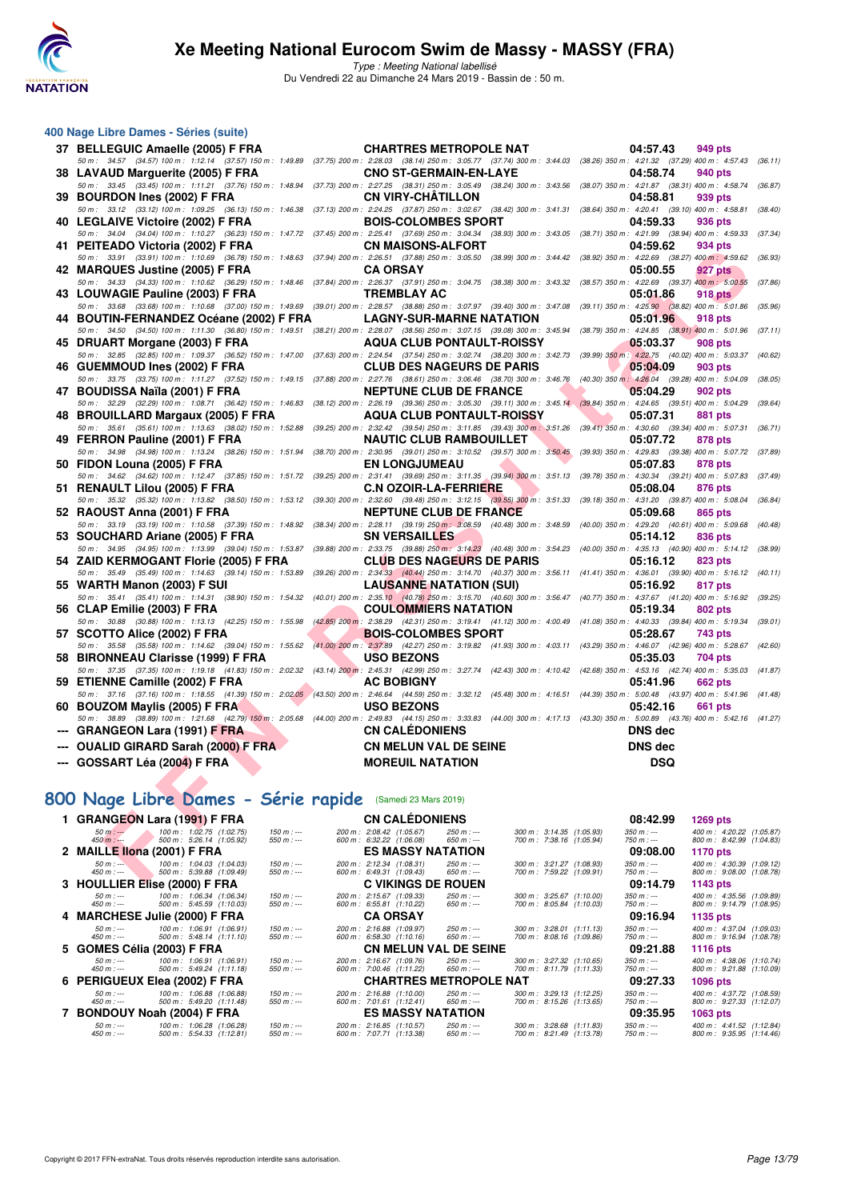

Type : Meeting National labellisé Du Vendredi 22 au Dimanche 24 Mars 2019 - Bassin de : 50 m.

| 400 Nage Libre Dames - Séries (suite)                                                                                                                                                                                     |                                                                                                                                                                                                              |                                                      |                                                                                    |
|---------------------------------------------------------------------------------------------------------------------------------------------------------------------------------------------------------------------------|--------------------------------------------------------------------------------------------------------------------------------------------------------------------------------------------------------------|------------------------------------------------------|------------------------------------------------------------------------------------|
| 37 BELLEGUIC Amaelle (2005) F FRA                                                                                                                                                                                         | <b>CHARTRES METROPOLE NAT</b>                                                                                                                                                                                |                                                      | 04:57.43<br>949 pts                                                                |
| 50 m: 34.57 (34.57) 100 m: 1:12.14 (37.57) 150 m: 1:49.89 (37.75) 200 m: 2:28.03 (38.14) 250 m: 3:05.77 (37.74) 300 m: 3:44.03 (38.26) 350 m: 4:21.32 (37.29) 400 m: 4:57.43                                              | <b>CNO ST-GERMAIN-EN-LAYE</b>                                                                                                                                                                                |                                                      | (36.11)<br>04:58.74                                                                |
| 38 LAVAUD Marguerite (2005) F FRA<br>50 m : 33.45 (33.45) 100 m : 1:11.21 (37.76) 150 m : 1:48.94 (37.73) 200 m : 2:27.25 (38.31) 250 m : 3:05.49 (38.24) 300 m : 3:43.56 (38.07) 350 m : 4:21.87 (38.31) 400 m : 4:58.74 |                                                                                                                                                                                                              |                                                      | 940 pts<br>(36.87)                                                                 |
| 39 BOURDON Ines (2002) F FRA                                                                                                                                                                                              | <b>CN VIRY-CHATILLON</b>                                                                                                                                                                                     |                                                      | 04:58.81<br>939 pts                                                                |
| 50 m : 33.12 (33.12) 100 m : 1:09.25 (36.13) 150 m : 1:46.38 (37.13) 200 m : 2:24.25 (37.87) 250 m : 3:02.67 (38.42) 300 m : 3:41.31 (38.64) 350 m : 4:20.41 (39.10) 400 m : 4:58.81                                      |                                                                                                                                                                                                              |                                                      | (38.40)                                                                            |
| 40 LEGLAIVE Victoire (2002) F FRA<br>50 m: 34.04 (34.04) 100 m: 1:10.27 (36.23) 150 m: 1:47.72 (37.45) 200 m: 2:25.41 (37.69) 250 m: 3:04.34 (38.93) 300 m: 3:43.05 (38.71) 350 m: 4:21.99 (38.94) 400 m: 4:59.33         | <b>BOIS-COLOMBES SPORT</b>                                                                                                                                                                                   |                                                      | 04:59.33<br>936 pts<br>(37.34)                                                     |
| 41 PEITEADO Victoria (2002) F FRA                                                                                                                                                                                         | <b>CN MAISONS-ALFORT</b>                                                                                                                                                                                     |                                                      | 04:59.62<br>934 pts                                                                |
| 50 m: 33.91 (33.91) 100 m: 1:10.69 (36.78) 150 m: 1:48.63 (37.94) 200 m: 2:26.51 (37.88) 250 m: 3:05.50 (38.99) 300 m: 3:44.42 (38.92) 350 m: 4:22.69 (38.27) 400 m: 4:59.62                                              |                                                                                                                                                                                                              |                                                      | (36.93                                                                             |
| 42 MARQUES Justine (2005) F FRA                                                                                                                                                                                           | <b>CA ORSAY</b>                                                                                                                                                                                              |                                                      | 05:00.55<br>927 pts                                                                |
| 50 m: 34.33 (34.33) 100 m: 1:10.62 (36.29) 150 m: 1:48.46 (37.84) 200 m: 2:26.37 (37.91) 250 m: 3:04.75 (38.38) 300 m: 3:43.32 (38.57) 350 m: 4:22.69 (39.37) 400 m: 5:00.55<br>43 LOUWAGIE Pauline (2003) F FRA          | <b>TREMBLAY AC</b>                                                                                                                                                                                           |                                                      | (37.86)<br>05:01.86<br>918 pts                                                     |
| 50 m: 33.68 (33.68) 100 m: 1:10.68 (37.00) 150 m: 1:49.69 (39.01) 200 m: 2:28.57 (38.88) 250 m: 3:07.97 (39.40) 300 m: 3:47.08 (39.11) 350 m: 4:25.90 (38.82) 400 m: 5:01.86                                              |                                                                                                                                                                                                              |                                                      | (35.96)                                                                            |
| 44 BOUTIN-FERNANDEZ Océane (2002) F FRA                                                                                                                                                                                   | <b>LAGNY-SUR-MARNE NATATION</b>                                                                                                                                                                              |                                                      | 05:01.96<br>918 pts                                                                |
| 50 m: 34.50 (34.50) 100 m: 1:11.30 (36.80) 150 m: 1:49.51 (38.21) 200 m: 2:28.07 (38.56) 250 m: 3:07.15 (39.08) 300 m: 3:45.94 (38.79) 350 m: 4:24.85 (38.91) 400 m: 5:01.96                                              |                                                                                                                                                                                                              |                                                      | (37.11)                                                                            |
| 45 DRUART Morgane (2003) F FRA<br>50 m : 32.85 (32.85) 100 m : 1:09.37 (36.52) 150 m : 1:47.00 (37.63) 200 m : 2:24.54 (37.54) 250 m : 3:02.74 (38.20) 300 m : 3:42.73 (39.99) 350 m : 4:22.75 (40.02) 400 m : 5:03.37    | <b>AQUA CLUB PONTAULT-ROISSY</b>                                                                                                                                                                             |                                                      | 05:03.37<br>908 pts<br>(40.62)                                                     |
| 46 GUEMMOUD Ines (2002) F FRA                                                                                                                                                                                             | <b>CLUB DES NAGEURS DE PARIS</b>                                                                                                                                                                             |                                                      | 05:04.09<br>903 pts                                                                |
| 50 m : 33.75 (33.75) 100 m : 1:11.27 (37.52) 150 m : 1:49.15 (37.88) 200 m : 2:27.76 (38.61) 250 m : 3:06.46 (38.70) 300 m : 3:46.76 (40.30) 350 m : 4:26.04 (39.28) 400 m : 5:04.09                                      |                                                                                                                                                                                                              |                                                      | (38.05)                                                                            |
| 47 BOUDISSA Naïla (2001) F FRA                                                                                                                                                                                            | <b>NEPTUNE CLUB DE FRANCE</b>                                                                                                                                                                                |                                                      | 05:04.29<br>902 pts                                                                |
| 50 m: 32.29 (32.29) 100 m: 1:08.71 (36.42) 150 m: 1:46.83 (38.12) 200 m: 2:26.19 (39.36) 250 m: 3:05.30 (39.11) 300 m: 3:45.14 (39.84) 350 m: 4:24.65 (39.51) 400 m: 5:04.29<br>48 BROUILLARD Margaux (2005) F FRA        | <b>AQUA CLUB PONTAULT-ROISSY</b>                                                                                                                                                                             |                                                      | (39.64)<br>05:07.31<br>881 pts                                                     |
| 50 m: 35.61 (35.61) 100 m: 1:13.63 (38.02) 150 m: 1:52.88 (39.25) 200 m: 2:32.42 (39.54) 250 m: 3:11.85 (39.43) 300 m: 3:51.26 (39.41) 350 m: 4:30.60 (39.34) 400 m: 5:07.31                                              |                                                                                                                                                                                                              |                                                      | (36.71)                                                                            |
| 49 FERRON Pauline (2001) F FRA                                                                                                                                                                                            | <b>NAUTIC CLUB RAMBOUILLET</b>                                                                                                                                                                               |                                                      | 05:07.72<br>878 pts                                                                |
| 50 m: 34.98 (34.98) 100 m: 1:13.24 (38.26) 150 m: 1:51.94                                                                                                                                                                 | (38.70) 200 m : 2:30.95 (39.01) 250 m : 3:10.52 (39.57) 300 m : 3:50.45 (39.93) 350 m : 4:29.83 (39.38) 400 m : 5:07.72                                                                                      |                                                      | (37.89)                                                                            |
| 50 FIDON Louna (2005) F FRA<br>50 m : 34.62 (34.62) 100 m : 1:12.47 (37.85) 150 m : 1:51.72 (39.25) 200 m : 2:31.41 (39.69) 250 m : 3:11.35 (39.94) 300 m : 3:51.13 (39.78) 350 m : 4:30.34 (39.21) 400 m : 5:07.83       | <b>EN LONGJUMEAU</b>                                                                                                                                                                                         |                                                      | 05:07.83<br>878 pts<br>(37.49                                                      |
| 51 RENAULT Lilou (2005) F FRA                                                                                                                                                                                             | <b>C.N OZOIR-LA-FERRIERE</b>                                                                                                                                                                                 |                                                      | 05:08.04<br>876 pts                                                                |
| 50 m: 35.32 (35.32) 100 m: 1:13.82 (38.50) 150 m: 1:53.12 (39.30) 200 m: 2:32.60 (39.48) 250 m: 3:12.15 (39.55) 300 m: 3:51.33 (39.18) 350 m: 4:31.20 (39.87) 400 m: 5:08.04                                              |                                                                                                                                                                                                              |                                                      | (36.84)                                                                            |
| 52 RAOUST Anna (2001) F FRA                                                                                                                                                                                               | <b>NEPTUNE CLUB DE FRANCE</b>                                                                                                                                                                                |                                                      | 05:09.68<br>865 pts                                                                |
| 50 m: 33.19 (33.19) 100 m: 1:10.58 (37.39) 150 m: 1:48.92<br>53 SOUCHARD Ariane (2005) F FRA                                                                                                                              | $(38.34) 200 \text{ m}: 2:28.11 \quad (39.19) 250 \text{ m}: 3:08.59 \quad (40.48) 300 \text{ m}: 3:48.59 \quad (40.00) 350 \text{ m}: 4:29.20 \quad (40.61) 400 \text{ m}: 5:09.68$<br><b>SN VERSAILLES</b> |                                                      | (40.48)<br>05:14.12<br>836 pts                                                     |
| 50 m: 34.95 (34.95) 100 m: 1:13.99 (39.04) 150 m: 1:53.87 (39.88) 200 m: 2:33.75 (39.88) 250 m: 3:14.23 (40.48) 300 m: 3:54.23 (40.00) 350 m: 4:35.13 (40.90) 400 m: 5:14.12 (38.99                                       |                                                                                                                                                                                                              |                                                      |                                                                                    |
| 54 ZAID KERMOGANT Florie (2005) F FRA                                                                                                                                                                                     | <b>CLUB DES NAGEURS DE PARIS</b>                                                                                                                                                                             |                                                      | 05:16.12<br>823 pts                                                                |
| 50 m: 35.49 (35.49) 100 m: 1:14.63 (39.14) 150 m: 1:53.89                                                                                                                                                                 | (39.26) 200 m: 2:34.33 (40.44) 250 m: 3:14.70 (40.37) 300 m: 3:56.11 (41.41) 350 m: 4:36.01 (39.90) 400 m: 5:16.12 (40.11                                                                                    |                                                      |                                                                                    |
| 55 WARTH Manon (2003) F SUI<br>50 m: 35.41 (35.41) 100 m: 1:14.31 (38.90) 150 m: 1:54.32                                                                                                                                  | <b>LAUSANNE NATATION (SUI)</b><br>(40.01) 200 m : 2:35.10 (40.78) 250 m : 3:15.70 (40.60) 300 m : 3:56.47 (40.77) 350 m : 4:37.67 (41.20) 400 m : 5:16.92                                                    |                                                      | 05:16.92<br>817 pts<br>(39.25                                                      |
| 56 CLAP Emilie (2003) F FRA                                                                                                                                                                                               | <b>COULOMMIERS NATATION</b>                                                                                                                                                                                  |                                                      | 05:19.34<br>802 pts                                                                |
| 50 m : 30.88 (30.88) 100 m : 1:13.13 (42.25) 150 m : 1:55.98                                                                                                                                                              | (42.85) 200 m; 2:38.29 (42.31) 250 m; 3:19.41 (41.12) 300 m; 4:00.49 (41.08) 350 m; 4:40.33 (39.84) 400 m; 5:19.34                                                                                           |                                                      | (39.01)                                                                            |
| 57 SCOTTO Alice (2002) F FRA                                                                                                                                                                                              | <b>BOIS-COLOMBES SPORT</b>                                                                                                                                                                                   |                                                      | 05:28.67<br>743 pts                                                                |
| 50 m : 35.58 (35.58) 100 m : 1:14.62 (39.04) 150 m : 1:55.62<br>58 BIRONNEAU Clarisse (1999) F FRA                                                                                                                        | (41.00) 200 m : 2:37.89 (42.27) 250 m : 3:19.82 (41.93) 300 m : 4:03.11 (43.29) 350 m : 4:46.07 (42.96) 400 m : 5:28.67<br><b>USO BEZONS</b>                                                                 |                                                      | (42.60)<br>05:35.03<br>704 pts                                                     |
| 50 m: 37.35 (37.35) 100 m: 1:19.18 (41.83) 150 m: 2:02.32 (43.14) 200 m: 2:45.31 (42.99) 250 m: 3:27.74 (42.43) 300 m: 4:10.42 (42.68) 350 m: 4:53.16 (42.74) 400 m: 5:35.03 (41.87)                                      |                                                                                                                                                                                                              |                                                      |                                                                                    |
| 59 ETIENNE Camille (2002) F FRA                                                                                                                                                                                           | <b>AC BOBIGNY</b>                                                                                                                                                                                            |                                                      | 05:41.96<br>662 pts                                                                |
| 50 m: 37.16 (37.16) 100 m: 1:18.55 (41.39) 150 m: 2:02.05 (43.50) 200 m: 2:46.64 (44.59) 250 m: 3:32.12 (45.48) 300 m: 4:16.51 (44.39) 350 m: 5:00.48 (43.97) 400 m: 5:41.96 (41.48)<br>60 BOUZOM Maylis (2005) F FRA     | <b>USO BEZONS</b>                                                                                                                                                                                            |                                                      | 05:42.16<br>661 pts                                                                |
| 50 m: 38.89 (38.89) 100 m: 1:21.68 (42.79) 150 m: 2:05.68 (44.00) 200 m: 2:49.83 (44.15) 250 m: 3:33.83 (44.00) 300 m: 4:17.13 (43.30) 350 m: 5:00.89 (43.76) 400 m: 5:42.16 (41.27                                       |                                                                                                                                                                                                              |                                                      |                                                                                    |
| --- GRANGEON Lara (1991) F FRA                                                                                                                                                                                            | <b>CN CALEDONIENS</b>                                                                                                                                                                                        |                                                      | <b>DNS dec</b>                                                                     |
| <b>OUALID GIRARD Sarah (2000) F FRA</b>                                                                                                                                                                                   | <b>CN MELUN VAL DE SEINE</b>                                                                                                                                                                                 |                                                      | <b>DNS</b> dec                                                                     |
| --- GOSSART Léa (2004) F FRA                                                                                                                                                                                              | <b>MOREUIL NATATION</b>                                                                                                                                                                                      |                                                      | <b>DSQ</b>                                                                         |
|                                                                                                                                                                                                                           |                                                                                                                                                                                                              |                                                      |                                                                                    |
|                                                                                                                                                                                                                           |                                                                                                                                                                                                              |                                                      |                                                                                    |
| 800 Nage Libre Dames - Série rapide (Samedi 23 Mars 2019)                                                                                                                                                                 |                                                                                                                                                                                                              |                                                      |                                                                                    |
| 1 GRANGEON Lara (1991) F FRA                                                                                                                                                                                              | <b>CN CALEDONIENS</b>                                                                                                                                                                                        |                                                      | 08:42.99<br>1269 pts                                                               |
| 100 m: 1:02.75 (1:02.75)<br>$150 m: -$<br>$50 m: -$<br>$450 m : -$<br>500 m: 5:26.14 (1:05.92)<br>$550 m: -$                                                                                                              | 200 m: 2:08.42 (1:05.67)<br>250 m : ---<br>600 m: 6:32.22 (1:06.08)<br>$650 m: -$                                                                                                                            | 300 m: 3:14.35 (1:05.93)<br>700 m: 7:38.16 (1:05.94) | $350 m : -$<br>400 m: 4:20.22 (1:05.87)<br>750 m : ---<br>800 m: 8:42.99 (1:04.83) |
| 2 MAILLE IIona (2001) F FRA                                                                                                                                                                                               | <b>ES MASSY NATATION</b>                                                                                                                                                                                     |                                                      | 09:08.00<br>1170 pts                                                               |
| $50 m : -1$<br>100 m: 1:04.03 (1:04.03)<br>$150 m : -$<br>500 m: 5:39.88 (1:09.49)<br>550 m : ---<br>$450 m : -$                                                                                                          | 200 m: 2:12.34 (1:08.31)<br>250 m : ---<br>600 m: 6:49.31 (1:09.43)<br>$650 m: -$                                                                                                                            | 300 m: 3:21.27 (1:08.93)<br>700 m: 7:59.22 (1:09.91) | $350 m : -$<br>400 m: 4:30.39 (1:09.12)<br>800 m: 9:08.00 (1:08.78)<br>750 m : --- |
| $2.$ HOULLED FRee (2000) F FDA                                                                                                                                                                                            | C VIIVINGS BE BOUEN                                                                                                                                                                                          |                                                      | 00.44.70<br>44.49.54                                                               |

# **[800 Nage Libre Dames - Série rapide](http://www.ffnatation.fr/webffn/resultats.php?idact=nat&go=epr&idcpt=57649&idepr=5)** (Samedi 23 Mars 2019)

| 1 GRANGEON Lara (1991) F FRA                                                       |                              | <b>CN CALEDONIENS</b>                                 |                           |                                                                    | 08:42.99                   | 1269 pts                                             |
|------------------------------------------------------------------------------------|------------------------------|-------------------------------------------------------|---------------------------|--------------------------------------------------------------------|----------------------------|------------------------------------------------------|
| $50 m: -$<br>100 m : 1:02.75 (1:02.75)<br>500 m: 5:26.14 (1:05.92)<br>$450 m : -$  | 150 m : ---<br>$550 m: -$    | 200 m: 2:08.42 (1:05.67)<br>600 m : 6:32.22 (1:06.08) | $250 m : -$<br>$650 m: -$ | 300 m : 3:14.35 (1:05.93)<br>700 m: 7:38.16 (1:05.94)              | $350 m: -$<br>$750 m : -$  | 400 m: 4:20.22 (1:05.87)<br>800 m: 8:42.99 (1:04.83) |
| 2 MAILLE IIona (2001) F FRA                                                        |                              | <b>ES MASSY NATATION</b>                              |                           |                                                                    | 09:08.00                   | 1170 pts                                             |
| $50 m : -$<br>100 m : 1:04.03 (1:04.03)<br>500 m: 5:39.88 (1:09.49)<br>$450 m : -$ | $150 m : -$<br>$550 m: -$    | 200 m: 2:12.34 (1:08.31)<br>600 m: 6:49.31 (1:09.43)  | $250 m : -$<br>$650 m: -$ | 300 m : 3:21.27 (1:08.93)<br>700 m: 7:59.22 (1:09.91)              | $350 m : -$<br>$750 m: -$  | 400 m: 4:30.39 (1:09.12)<br>800 m: 9:08.00 (1:08.78) |
| 3 HOULLIER Elise (2000) F FRA                                                      |                              | <b>C VIKINGS DE ROUEN</b>                             |                           |                                                                    | 09:14.79                   | 1143 pts                                             |
| $50 m : -$<br>100 m: 1:06.34 (1:06.34)<br>500 m: 5:45.59 (1:10.03)<br>$450 m : -$  | $150 m : -$<br>$550 m: -$    | 200 m: 2:15.67 (1:09.33)<br>600 m: 6:55.81 (1:10.22)  | $250 m : -$<br>$650 m: -$ | 300 m: 3:25.67 (1:10.00)<br>700 m: 8:05.84 (1:10.03)               | $350 m : -$<br>$750 m: -$  | 400 m: 4:35.56 (1:09.89)<br>800 m: 9:14.79 (1:08.95) |
| 4 MARCHESE Julie (2000) F FRA                                                      |                              | <b>CA ORSAY</b>                                       |                           |                                                                    | 09:16.94                   | 1135 pts                                             |
| 100 m: 1:06.91 (1:06.91)<br>$50 m : -$<br>500 m: 5:48.14 (1:11.10)<br>$450 m : -$  | $150 m : -$<br>$550 m: -$    | 200 m: 2:16.88 (1:09.97)<br>600 m: 6:58.30 (1:10.16)  | $250 m : -$<br>$650 m: -$ | $300 \text{ m}$ : $3:28.01$ (1:11.13)<br>700 m : 8:08.16 (1:09.86) | $350 m: -$<br>$750 m: -$   | 400 m: 4:37.04 (1:09.03)<br>800 m: 9:16.94 (1:08.78) |
| 5 GOMES Célia (2003) F FRA                                                         |                              | <b>CN MELUN VAL DE SEINE</b>                          |                           |                                                                    | 09:21.88                   | <b>1116 pts</b>                                      |
| 100 m: 1.06.91 (1.06.91)<br>$50 m : -$<br>500 m: 5:49.24 (1:11.18)<br>$450 m : -$  | $150 m : -$<br>$550 m: -$    | 200 m: 2:16.67 (1:09.76)<br>600 m: 7:00.46 (1:11.22)  | $250 m : -$<br>$650 m: -$ | 300 m : 3:27.32 (1:10.65)<br>700 m: 8:11.79 (1:11.33)              | $350 m : -$<br>750 m : --- | 400 m: 4:38.06 (1:10.74)<br>800 m: 9:21.88 (1:10.09) |
| 6 PERIGUEUX Elea (2002) F FRA                                                      |                              | <b>CHARTRES METROPOLE NAT</b>                         |                           |                                                                    | 09:27.33                   | 1096 pts                                             |
| $50 m : -$<br>100 m: 1:06.88 (1:06.88)<br>500 m: 5:49.20 (1:11.48)<br>$450 m : -$  | $150 m : -$<br>$550 m$ : --- | 200 m: 2:16.88 (1:10.00)<br>600 m: 7:01.61 (1:12.41)  | $250 m : -$<br>$650 m: -$ | 300 m : 3:29.13 (1:12.25)<br>700 m: 8:15.26 (1:13.65)              | $350 m: -$<br>$750 m: -$   | 400 m: 4:37.72 (1:08.59)<br>800 m: 9:27.33 (1:12.07) |
| 7 BONDOUY Noah (2004) F FRA                                                        |                              | <b>ES MASSY NATATION</b>                              |                           |                                                                    | 09:35.95                   | 1063 pts                                             |
| 100 m: 1:06.28 (1:06.28)<br>$50 m : -$<br>500 m: 5:54.33 (1:12.81)<br>$450 m : -$  | $150 m : -$<br>$550 m: -$    | 200 m: 2:16.85 (1:10.57)<br>600 m: 7:07.71 (1:13.38)  | 250 m : ---<br>$650 m: -$ | 300 m: 3:28.68 (1:11.83)<br>700 m: 8:21.49 (1:13.78)               | $350 m : -$<br>750 m : --- | 400 m: 4:41.52 (1:12.84)<br>800 m: 9:35.95 (1:14.46) |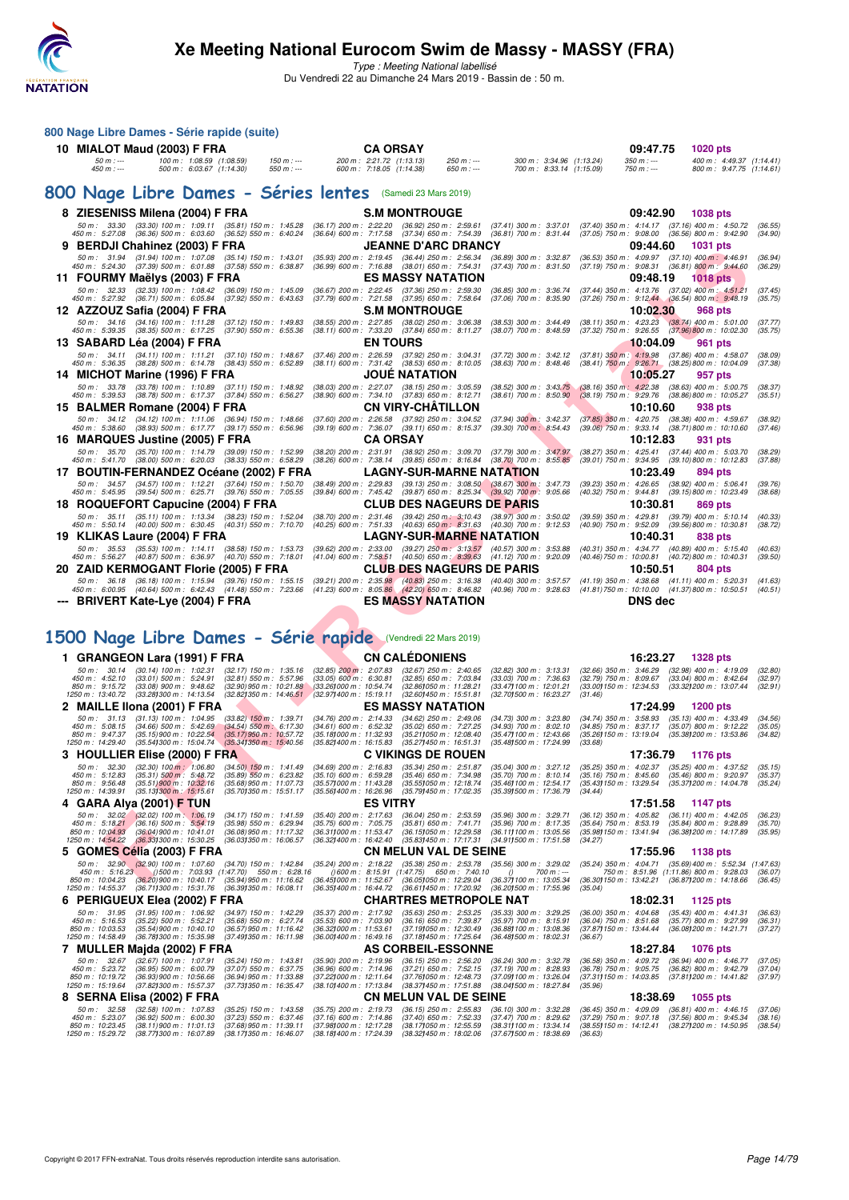

Type : Meeting National labellisé Du Vendredi 22 au Dimanche 24 Mars 2019 - Bassin de : 50 m.

| 800 Nage Libre Dames - Série rapide (suite)                                                                                  |                                                         |                                                      |                                                         |                                                             |                                                      |                      |                                                                                                              |                                                                                                                                                                                                                 |             |                                                         |                                                                                                     |                                                         |                    |
|------------------------------------------------------------------------------------------------------------------------------|---------------------------------------------------------|------------------------------------------------------|---------------------------------------------------------|-------------------------------------------------------------|------------------------------------------------------|----------------------|--------------------------------------------------------------------------------------------------------------|-----------------------------------------------------------------------------------------------------------------------------------------------------------------------------------------------------------------|-------------|---------------------------------------------------------|-----------------------------------------------------------------------------------------------------|---------------------------------------------------------|--------------------|
| 10 MIALOT Maud (2003) F FRA                                                                                                  |                                                         |                                                      |                                                         |                                                             |                                                      | <b>CA ORSAY</b>      |                                                                                                              |                                                                                                                                                                                                                 |             |                                                         | 09:47.75                                                                                            | <b>1020 pts</b>                                         |                    |
| $50 m: -$<br>450 m : ---                                                                                                     |                                                         | 100 m: 1:08.59 (1:08.59)<br>500 m: 6:03.67 (1:14.30) | $150 m: -$<br>$550 m: -$                                |                                                             | 200 m: 2:21.72 (1:13.13)<br>600 m: 7:18.05 (1:14.38) |                      | $250 m: -$<br>$650 m: -$                                                                                     |                                                                                                                                                                                                                 |             | 300 m: 3:34.96 (1:13.24)<br>700 m: 8:33.14 (1:15.09)    | $350 m: -$<br>$750 m: -$                                                                            | 400 m: 4:49.37 (1:14.41)<br>800 m: 9:47.75 (1:14.61)    |                    |
| 800 Nage Libre Dames - Séries lentes (Samedi 23 Mars 2019)                                                                   |                                                         |                                                      |                                                         |                                                             |                                                      |                      |                                                                                                              |                                                                                                                                                                                                                 |             |                                                         |                                                                                                     |                                                         |                    |
| 8 ZIESENISS Milena (2004) F FRA                                                                                              |                                                         |                                                      |                                                         |                                                             |                                                      |                      | <b>S.M MONTROUGE</b>                                                                                         |                                                                                                                                                                                                                 |             |                                                         | 09:42.90                                                                                            | <b>1038 pts</b>                                         |                    |
| 50 m: 33.30 (33.30) 100 m: 1:09.11 (35.81) 150 m: 1:45.28                                                                    |                                                         |                                                      |                                                         |                                                             |                                                      |                      | (36.17) 200 m : 2:22.20 (36.92) 250 m : 2:59.61                                                              | $(37.41)$ 300 m : 3:37.01                                                                                                                                                                                       |             |                                                         | (37.40) 350 m : 4:14.17 (37.16) 400 m : 4:50.72                                                     |                                                         | (36.55)            |
| 450 m : 5:27.08 (36.36) 500 m : 6:03.60 (36.52) 550 m : 6:40.24<br>9 BERDJI Chahinez (2003) F FRA                            |                                                         |                                                      |                                                         |                                                             |                                                      |                      | (36.64) 600 m: 7:17.58 (37.34) 650 m: 7:54.39<br><b>JEANNE D'ARC DRANCY</b>                                  | $(36.81)$ 700 m : 8:31.44                                                                                                                                                                                       |             |                                                         | (37.05) 750 m : 9:08.00 (36.56) 800 m : 9:42.90<br>09:44.60                                         | <b>1031 pts</b>                                         | (34.90)            |
| 50 m: 31.94 (31.94) 100 m: 1:07.08 (35.14) 150 m: 1:43.01                                                                    |                                                         |                                                      |                                                         |                                                             |                                                      |                      | (35.93) 200 m : 2:19.45 (36.44) 250 m : 2:56.34                                                              | $(36.89)$ 300 m : 3:32.87                                                                                                                                                                                       |             |                                                         | (36.53) 350 m : 4:09.97 (37.10) 400 m : 4:46.91                                                     |                                                         | (36.94)            |
| 450 m : 5:24.30 (37.39) 500 m : 6:01.88 (37.58) 550 m : 6:38.87<br>11 FOURMY Maëlys (2003) F FRA                             |                                                         |                                                      |                                                         |                                                             |                                                      |                      | (36.99) 600 m: 7:16.88 (38.01) 650 m: 7:54.31<br><b>ES MASSY NATATION</b>                                    | $(37.43)$ 700 m : 8:31.50                                                                                                                                                                                       |             |                                                         | (37.19) 750 m : 9:08.31 (36.81) 800 m : 9:44.60<br>09:48.19                                         | <b>1018 pts</b>                                         | (36.29)            |
| 50 m: 32.33 (32.33) 100 m: 1:08.42 (36.09) 150 m: 1:45.09                                                                    |                                                         |                                                      |                                                         |                                                             |                                                      |                      | (36.67) 200 m : 2:22.45 (37.36) 250 m : 2:59.30                                                              | $(36.85)$ 300 m : 3:36.74                                                                                                                                                                                       |             |                                                         | (37.44) 350 m: 4:13.76 (37.02) 400 m: 4:51.21                                                       |                                                         | (37.45)            |
| 450 m : 5:27.92 (36.71) 500 m : 6:05.84 (37.92) 550 m : 6:43.63                                                              |                                                         |                                                      |                                                         |                                                             |                                                      |                      | (37.79) 600 m: 7:21.58 (37.95) 650 m: 7:58.64                                                                | $(37.06)$ 700 m : 8:35.90                                                                                                                                                                                       |             |                                                         | (37.26) 750 m : 9:12.44 (36.54) 800 m : 9:48.19                                                     |                                                         | (35.75)            |
| 12 AZZOUZ Safia (2004) F FRA<br>50 m: 34.16 (34.16) 100 m: 1:11.28 (37.12) 150 m: 1:49.83                                    |                                                         |                                                      |                                                         |                                                             |                                                      |                      | <b>S.M MONTROUGE</b><br>(38.55) 200 m : 2:27.85 (38.02) 250 m : 3:06.38                                      | $(38.53)$ 300 m : 3:44.49                                                                                                                                                                                       |             |                                                         | 10:02.30<br>$(38.11)$ 350 m : 4:23.23 $(38.74)$ 400 m : 5:01.00                                     | <b>968 pts</b>                                          | (37.77)            |
| 450 m : 5:39.35 (38.35) 500 m : 6:17.25 (37.90) 550 m : 6:55.36                                                              |                                                         |                                                      |                                                         |                                                             |                                                      |                      | (38.11) 600 m: 7:33.20 (37.84) 650 m: 8:11.27                                                                | $(38.07)$ 700 m : 8:48.59                                                                                                                                                                                       |             |                                                         | (37.32) 750 m : 9:26.55 (37.96) 800 m : 10:02.30                                                    |                                                         | (35.75)            |
| 13 SABARD Léa (2004) F FRA<br>50 m: 34.11 (34.11) 100 m: 1:11.21 (37.10) 150 m: 1:48.67                                      |                                                         |                                                      |                                                         |                                                             | <b>EN TOURS</b>                                      |                      | (37.46) 200 m : 2:26.59 (37.92) 250 m : 3:04.31                                                              | $(37.72)$ 300 m : 3:42.12                                                                                                                                                                                       |             |                                                         | 10:04.09<br>(37.81) 350 m : 4:19.98 (37.86) 400 m : 4:58.07                                         | 961 pts                                                 | (38.09)            |
| 450 m : 5:36.35 (38.28) 500 m : 6:14.78 (38.43) 550 m : 6:52.89                                                              |                                                         |                                                      |                                                         |                                                             |                                                      |                      | (38.11) 600 m: 7:31.42 (38.53) 650 m: 8:10.05                                                                | $(38.63)$ 700 m : 8:48.46                                                                                                                                                                                       |             |                                                         | (38.41) 750 m: 9:26.71 (38.25) 800 m: 10:04.09                                                      |                                                         | (37.38)            |
| 14 MICHOT Marine (1996) F FRA                                                                                                |                                                         |                                                      |                                                         |                                                             |                                                      | <b>JOUE NATATION</b> |                                                                                                              |                                                                                                                                                                                                                 |             |                                                         | 10:05.27                                                                                            | 957 pts                                                 |                    |
| 50 m: 33.78 (33.78) 100 m: 1:10.89 (37.11) 150 m: 1:48.92<br>450 m : 5:39.53 (38.78) 500 m : 6:17.37                         |                                                         |                                                      | $(37.84)$ 550 m : 6:56.27                               |                                                             |                                                      |                      | (38.03) 200 m : 2:27.07 (38.15) 250 m : 3:05.59<br>(38.90) 600 m :   7:34.10      (37.83)  650 m :   8:12.71 | $(38.52)$ 300 m : 3:43.75<br>$(38.61)$ 700 m : $8.50.90$                                                                                                                                                        |             | $(38.16)$ 350 m : 4:22.38<br>$(38.19)$ 750 m : 9:29.76  |                                                                                                     | $(38.63)$ 400 m : 5:00.75<br>$(38.86)$ 800 m : 10:05.27 | (38.37)<br>(35.51) |
| 15 BALMER Romane (2004) F FRA                                                                                                |                                                         |                                                      |                                                         |                                                             |                                                      |                      | <b>CN VIRY-CHATILLON</b>                                                                                     |                                                                                                                                                                                                                 |             |                                                         | 10:10.60                                                                                            | 938 pts                                                 |                    |
| 50 m: 34.12 (34.12) 100 m: 1:11.06 (36.94) 150 m: 1:48.66<br>450 m : 5:38.60 (38.93) 500 m : 6:17.77 (39.17) 550 m : 6:56.96 |                                                         |                                                      |                                                         |                                                             |                                                      |                      | (37.60) 200 m : 2:26.58 (37.92) 250 m : 3:04.52<br>(39.19) 600 m : 7:36.07 (39.11) 650 m : 8:15.37           | $(37.94)$ 300 m : 3:42.37<br>$(39.30)$ 700 m : 8:54.43                                                                                                                                                          |             |                                                         | (37.85) 350 m : 4:20.75 (38.38) 400 m : 4:59.67<br>(39.06) 750 m : 9:33.14 (38.71) 800 m : 10:10.60 |                                                         | (38.92)<br>(37.46) |
| 16 MARQUES Justine (2005) F FRA                                                                                              |                                                         |                                                      |                                                         |                                                             | <b>CA ORSAY</b>                                      |                      |                                                                                                              |                                                                                                                                                                                                                 |             |                                                         | 10:12.83                                                                                            | 931 pts                                                 |                    |
| 50 m: 35.70 (35.70) 100 m: 1:14.79 (39.09) 150 m: 1:52.99<br>450 m : 5:41.70 (38.00) 500 m : 6:20.03 (38.33) 550 m : 6:58.29 |                                                         |                                                      |                                                         |                                                             |                                                      |                      | (38.20) 200 m : 2:31.91 (38.92) 250 m : 3:09.70<br>(38.26) 600 m : 7:38.14 (39.85) 650 m : 8:16.84           | (37.79) 300 m : 3:47.97<br>(38.70) 700 m : 8:55.85                                                                                                                                                              |             |                                                         | (38.27) 350 m: 4:25.41 (37.44) 400 m: 5:03.70<br>(39.01) 750 m : 9:34.95 (39.10) 800 m : 10:12.83   |                                                         | (38.29)<br>(37.88) |
| 17 BOUTIN-FERNANDEZ Oceane (2002) F FRA                                                                                      |                                                         |                                                      |                                                         |                                                             |                                                      |                      |                                                                                                              | <b>LAGNY-SUR-MARNE NATATION</b>                                                                                                                                                                                 |             |                                                         | 10:23.49                                                                                            | 894 pts                                                 |                    |
| 50 m: 34.57 (34.57) 100 m: 1:12.21 (37.64) 150 m: 1:50.70<br>450 m : 5:45.95 (39.54) 500 m : 6:25.71 (39.76) 550 m : 7:05.55 |                                                         |                                                      |                                                         |                                                             |                                                      |                      |                                                                                                              | (38.49) 200 m : 2:29.83 (39.13) 250 m : 3:08.50 (38.67) 300 m : 3:47.73<br>(39.84) 600 m: 7:45.42 (39.87) 650 m: 8:25.34 (39.92) 700 m: 9:05.66                                                                 |             |                                                         | (39.23) 350 m : 4:26.65 (38.92) 400 m : 5:06.41<br>(40.32) 750 m: 9:44.81 (39.15) 800 m: 10:23.49   |                                                         | (39.76)<br>(38.68) |
| 18 ROQUEFORT Capucine (2004) F FRA                                                                                           |                                                         |                                                      |                                                         |                                                             |                                                      |                      |                                                                                                              | <b>CLUB DES NAGEURS DE PARIS</b>                                                                                                                                                                                |             |                                                         | 10:30.81                                                                                            | 869 pts                                                 |                    |
| 50 m: 35.11 (35.11) 100 m: 1:13.34 (38.23) 150 m: 1:52.04                                                                    |                                                         |                                                      |                                                         |                                                             |                                                      |                      |                                                                                                              | (38.70) 200 m : 2:31.46 (39.42) 250 m : 3:10.43 (38.97) 300 m : 3:50.02<br>(40.25) 600 m: 7:51.33 (40.63) 650 m: 8:31.63 (40.30) 700 m: 9:12.53                                                                 |             |                                                         | (39.59) 350 m: 4:29.81 (39.79) 400 m: 5:10.14                                                       |                                                         | (40.33)            |
| 450 m: 5:50.14 (40.00) 500 m: 6:30.45 (40.31) 550 m: 7:10.70<br>19 KLIKAS Laure (2004) F FRA                                 |                                                         |                                                      |                                                         |                                                             |                                                      |                      |                                                                                                              | <b>LAGNY-SUR-MARNE NATATION</b>                                                                                                                                                                                 |             |                                                         | (40.90) 750 m : 9:52.09 (39.56) 800 m : 10:30.81<br>10:40.31                                        | 838 pts                                                 | (38.72)            |
| 50 m: 35.53 (35.53) 100 m: 1:14.11 (38.58) 150 m: 1:53.73                                                                    |                                                         |                                                      |                                                         |                                                             |                                                      |                      |                                                                                                              | (39.62) 200 m : 2:33.00 (39.27) 250 m : 3:13.57 (40.57) 300 m : 3:53.88                                                                                                                                         |             |                                                         | (40.31) 350 m: 4:34.77 (40.89) 400 m: 5:15.40                                                       |                                                         | (40.63)            |
| 450 m : 5:56.27 (40.87) 500 m : 6:36.97 (40.70) 550 m : 7:18.01<br>20 ZAID KERMOGANT Florie (2005) F FRA                     |                                                         |                                                      |                                                         |                                                             |                                                      |                      |                                                                                                              | (41.04) 600 m: 7:58.51 (40.50) 650 m: 8:39.63 (41.12) 700 m: 9:20.09<br><b>CLUB DES NAGEURS DE PARIS</b>                                                                                                        |             |                                                         | (40.46) 750 m: 10:00.81 (40.72) 800 m: 10:40.31<br>10:50.51                                         | 804 pts                                                 | (39.50)            |
| 50 m: 36.18 (36.18) 100 m: 1:15.94 (39.76) 150 m: 1:55.15                                                                    |                                                         |                                                      |                                                         |                                                             |                                                      |                      |                                                                                                              | $(39.21)$ 200 m : 2:35.98 $(40.83)$ 250 m : 3:16.38 $(40.40)$ 300 m : 3:57.57                                                                                                                                   |             |                                                         | (41.19) 350 m: 4:38.68 (41.11) 400 m: 5:20.31                                                       |                                                         | (41.63)            |
| 450 m : 6:00.95 (40.64) 500 m : 6:42.43 (41.48) 550 m : 7:23.66                                                              |                                                         |                                                      |                                                         |                                                             |                                                      |                      | <b>ES MASSY NATATION</b>                                                                                     | $(41.23)$ 600 m : 8:05.86 $(42.20)$ 650 m : 8:46.82 $(40.96)$ 700 m : 9:28.63                                                                                                                                   |             |                                                         | (41.81) 750 m : 10:10.00 (41.37) 800 m : 10:50.51<br><b>DNS</b> dec                                 |                                                         | (40.51)            |
| --- BRIVERT Kate-Lye (2004) F FRA                                                                                            |                                                         |                                                      |                                                         |                                                             |                                                      |                      |                                                                                                              |                                                                                                                                                                                                                 |             |                                                         |                                                                                                     |                                                         |                    |
| 1500 Nage Libre Dames - Série rapide (Vendredi 22 Mars 2019)                                                                 |                                                         |                                                      |                                                         |                                                             |                                                      |                      |                                                                                                              |                                                                                                                                                                                                                 |             |                                                         |                                                                                                     |                                                         |                    |
| 1 GRANGEON Lara (1991) F FRA                                                                                                 |                                                         |                                                      |                                                         |                                                             |                                                      |                      | <b>CN CALEDONIENS</b>                                                                                        |                                                                                                                                                                                                                 |             |                                                         | 16:23.27                                                                                            | <b>1328 pts</b>                                         |                    |
| 50 m : 30.14                                                                                                                 | $(30.14)$ 100 m : 1:02.31                               |                                                      | $(32.17)$ 150 m : 1:35.16                               | $(32.85)$ 200 m : 2:07.83                                   |                                                      |                      | $(32.67)$ 250 m : 2:40.65                                                                                    | $(32.82)$ 300 m : 3:13.31                                                                                                                                                                                       |             | $(32.66)$ 350 m : 3:46.29                               |                                                                                                     | $(32.98)$ 400 m : 4:19.09                               | (32.80)            |
| 450 m : 4:52.10<br>850 m : 9:15.72                                                                                           | $(33.01)$ 500 m : 5:24.91<br>$(33.08)$ 900 m : 9:48.62  |                                                      | $(32.81)$ 550 m : 5:57.96<br>$(32.90)$ 950 m : 10:21.88 | $(33.05)$ 600 m : 6:30.81<br>(33.26) 000 m : 10:54.74       |                                                      |                      | $(32.85)$ 650 m : 7:03.84<br>(32.861050 m: 11:28.21                                                          | $(33.03)$ 700 m : 7:36.63<br>(33.47) 100 m : 12:01.21                                                                                                                                                           |             | $(32.79)$ 750 m : 8:09.67<br>(33.00) 150 m : 12:34.53   |                                                                                                     | $(33.04)$ 800 m : 8:42.64<br>(33.32) 200 m : 13:07.44   | (32.97)<br>(32.91) |
| 1250 m : 13:40.72                                                                                                            | $(33.28)300 \text{ m}$ : 14:13.54                       |                                                      | (32.82)350 m : 14:46.51                                 | $(32.97)400 \text{ m}$ : 15:19.11                           |                                                      |                      | (32.60)450 m : 15.51.81                                                                                      | (32.70) 500 m : 16:23.27                                                                                                                                                                                        |             | (31.46)                                                 |                                                                                                     |                                                         |                    |
| 2 MAILLE IIona (2001) F FRA<br>50 m: 31.13                                                                                   | $(31.13)$ 100 m : 1:04.95                               |                                                      | $(33.82)$ 150 m : 1:39.71                               | (34.76) 200 m : 2:14.33                                     |                                                      |                      | <b>ES MASSY NATATION</b><br>$(34.62)$ 250 m : 2:49.06                                                        | $(34.73)$ 300 m : 3:23.80                                                                                                                                                                                       |             | $(34.74)$ 350 m : 3:58.93                               | 17:24.99                                                                                            | 1200 pts<br>$(35.13)$ 400 m : 4:33.49                   | (34.56)            |
| 450 m : 5:08.15<br>850 m : 9:47.37                                                                                           | $(34.66)$ 500 m : 5:42.69<br>$(35.15)$ 900 m : 10:22.54 |                                                      | $(34.54)$ 550 m : 6:17.30<br>(35.17)950 m : 10.57.72    | (34.61) 600 m : 6:52.32<br>(35.18) 000 m: 11:32.93          |                                                      |                      | $(35.02)$ 650 m : 7:27.25<br>(35.211050 m: 12:08.40                                                          | $(34.93)$ 700 m : $8:02.10$<br>(35.47) 100 m : 12:43.66                                                                                                                                                         |             | $(34.85)$ 750 m : $8:37.17$<br>(35.26) 150 m : 13:19.04 |                                                                                                     | $(35.07)$ 800 m : 9:12.22<br>(35.38) 200 m : 13.53.86   | (35.05)<br>(34.82) |
| 1250 m : 14:29.40                                                                                                            |                                                         |                                                      | (35.54) 300 m : 15:04.74 (35.34) 350 m : 15:40.56       | (35.82) 400 m : 16:15.83                                    |                                                      |                      | (35.27)450 m : 16.51.31                                                                                      | (35.48) 500 m : 17:24.99                                                                                                                                                                                        |             | (33.68)                                                 |                                                                                                     |                                                         |                    |
| 3 HOULLIER Elise (2000) F FRA                                                                                                |                                                         |                                                      |                                                         |                                                             |                                                      |                      | <b>C VIKINGS DE ROUEN</b>                                                                                    |                                                                                                                                                                                                                 |             |                                                         | 17:36.79                                                                                            | 1176 pts                                                |                    |
| 50 m: 32.30<br>450 m : 5:12.83                                                                                               | $(32.30)$ 100 m : 1:06.80<br>$(35.31)$ 500 m : 5:48.72  |                                                      | $(34.50)$ 150 m : 1:41.49<br>$(35.89)$ 550 m : 6:23.82  | $(34.69)$ 200 m : 2:16.83<br>$(35.10)$ 600 m : 6:59.28      |                                                      |                      | (35.34) 250 m : 2:51.87<br>$(35.46)$ 650 m : 7:34.98                                                         | $(35.04)$ 300 m : 3:27.12<br>$(35.70)$ 700 m : 8:10.14                                                                                                                                                          |             | $(35.25)$ 350 m : 4:02.37<br>$(35.16)$ 750 m : 8:45.60  |                                                                                                     | $(35.25)$ 400 m : 4:37.52<br>$(35.46)$ 800 m : 9:20.97  | (35.15)<br>(35.37) |
| 850 m : 9:56.48<br>1250 m: 14:39.91 (35.131300 m: 15:15.61)                                                                  | $(35.51)900 \text{ m}$ : 10:32.16                       |                                                      | $(35.68)$ 950 m : 11:07.73<br>(35.701350 m : 15:51.17   | (35.57) 000 m: 11:43.28<br>(35.56 <b>)</b> 400 m : 16:26.96 |                                                      |                      | (35.55) 050 m : 12:18.74<br>(35.791450 m : 17:02.35                                                          | (35.46) 100 m : 12:54.17<br>(35.391500 m : 17:36.79                                                                                                                                                             |             | $(35.43)150 \text{ m}$ : 13:29.54<br>(34.44)            |                                                                                                     | (35.37) 200 m : 14:04.78                                | (35.24)            |
| 4 GARA Alya (2001) F TUN                                                                                                     |                                                         |                                                      |                                                         |                                                             | <b>ES VITRY</b>                                      |                      |                                                                                                              |                                                                                                                                                                                                                 |             |                                                         | 17:51.58                                                                                            | 1147 pts                                                |                    |
| 50 m: 32.02 (32.02) 100 m: 1:06.19<br>450 m : 5:18.21                                                                        | (36.16) 500 m : 5:54.19                                 |                                                      | $(34.17)$ 150 m : 1:41.59<br>$(35.98)$ 550 m : 6:29.94  | $(35.40)$ 200 m : 2:17.63<br>$(35.75)$ 600 m : 7:05.75      |                                                      |                      | $(36.04)$ 250 m : 2:53.59<br>$(35.81)$ 650 m : 7:41.71                                                       | $(35.96)$ 300 m : 3:29.71<br>$(35.96)$ 700 m : 8:17.35                                                                                                                                                          |             | $(35.64)$ 750 m : 8:53.19                               | (36.12) 350 m : 4:05.82 (36.11) 400 m : 4:42.05                                                     | $(35.84)$ 800 m : 9:28.89                               | (36.23)<br>(35.70) |
| 850 m : 10:04.93<br>1250 m : 14:54.22                                                                                        | (36.04) 900 m : 10:41.01<br>(36.33) 300 m : 15:30.25    |                                                      | (36.08) 950 m: 11:17.32<br>(36.03)350 m : 16:06.57      | (36.311000 m: 11:53.47<br>(36.32) 400 m : 16:42.40          |                                                      |                      | (36.151050 m: 12:29.58<br>(35.83) 450 m : 17:17.31                                                           | (36.11) 100 m : 13:05.56<br>(34.911500 m : 17:51.58                                                                                                                                                             |             | (35.98) 150 m : 13:41.94<br>(34.27)                     |                                                                                                     | (36.38) 200 m : 14:17.89                                | (35.95)            |
| 5   GOMES Célia (2003) F FRA                                                                                                 |                                                         |                                                      |                                                         |                                                             |                                                      |                      | <b>CN MELUN VAL DE SEINE</b>                                                                                 |                                                                                                                                                                                                                 |             |                                                         | 17:55.96                                                                                            | 1138 pts                                                |                    |
| 450 m : 5:16.23                                                                                                              |                                                         |                                                      | ()500 m : 7:03.93 (1:47.70) 550 m : 6:28.16             |                                                             |                                                      |                      | () 600 m : 8:15.91 (1:47.75) 650 m : 7:40.10                                                                 | 50 m : 32.90 (32.90) 100 m : 1:07.60 (34.70) 150 m : 1:42.84 (35.24) 200 m : 2:18.22 (35.38) 250 m : 2:53.78 (35.56) 300 m : 3:29.02 (35.24) 350 m : 4:04.71 (35.69) 400 m : 5:52.34 (1:47.63<br>$\overline{0}$ | 700 m : --- |                                                         | 750 m: 8:51.96 (1:11.86) 800 m: 9:28.03 (36.07                                                      |                                                         |                    |
|                                                                                                                              |                                                         |                                                      |                                                         |                                                             |                                                      |                      |                                                                                                              | 850 m: 10:04.23 (36.20)900 m: 10:40.17 (35.94)950 m: 11:16.62 (36.451000 m: 11:52.67 (36.051050 m: 12:29.04 (36.371100 m: 13:05.34 (36.301150 m: 13:42.21 (36.871200 m: 14:18.66 (36.45)                        |             |                                                         |                                                                                                     |                                                         |                    |

# **[1500 Nage Libre Dames - Série rapide](http://www.ffnatation.fr/webffn/resultats.php?idact=nat&go=epr&idcpt=57649&idepr=6)** (Vendredi 22 Mars 2019)

| <b>GRANGEON Lara (1991) F FRA</b>                                                                                                                                                                                        |                                                                                                                                           |                                                                                                                         | <b>CN CALÉDONIENS</b>                                                                                                                                                                                                                 |                                                                                                               | 16:23.27                                                                                        | <b>1328 pts</b>                                                                                                                                              |                                |
|--------------------------------------------------------------------------------------------------------------------------------------------------------------------------------------------------------------------------|-------------------------------------------------------------------------------------------------------------------------------------------|-------------------------------------------------------------------------------------------------------------------------|---------------------------------------------------------------------------------------------------------------------------------------------------------------------------------------------------------------------------------------|---------------------------------------------------------------------------------------------------------------|-------------------------------------------------------------------------------------------------|--------------------------------------------------------------------------------------------------------------------------------------------------------------|--------------------------------|
| 50 m : 30.14<br>$(30.14)$ 100 m : 1:02.31<br>$(33.01)$ 500 m : 5:24.91<br>450 m : 4:52.10<br>850 m : 9:15.72<br>$(33.08)$ 900 m : 9:48.62<br>1250 m: 13:40.72 (33.281300 m: 14:13.54)                                    | $(32.17)$ 150 m : 1:35.16<br>$(32.81)$ 550 m : 5:57.96<br>$(32.90)$ 950 m : 10:21.88<br>(32.821350 m : 14:46.51                           | $(32.85)$ 200 m : 2:07.83<br>$(33.05)$ 600 m : 6:30.81<br>(33.261000 m : 10:54.74<br>(32.971400 m : 15:19.11            | $(32.67)$ 250 m : 2:40.65<br>$(32.85)$ 650 m : 7:03.84<br>(32.861050 m: 11:28.21<br>(32.601450 m: 15:51.81                                                                                                                            | $(32.82)$ 300 m : 3:13.31<br>$(33.03)$ 700 m : 7:36.63<br>(33.47) 100 m : 12:01.21<br>(32.701500 m : 16:23.27 | $(32.66)$ 350 m : 3:46.29<br>$(32.79)$ 750 m : 8:09.67<br>(33.00) 150 m : 12:34.53<br>(31.46)   | $(32.98)$ 400 m : 4:19.09<br>$(33.04)$ 800 m : 8:42.64<br>(33.321200 m: 13.07.44                                                                             | (32.80)<br>(32.97)<br>(32.91)  |
| 2 MAILLE IIona (2001) F FRA                                                                                                                                                                                              |                                                                                                                                           |                                                                                                                         | <b>ES MASSY NATATION</b>                                                                                                                                                                                                              |                                                                                                               | 17:24.99                                                                                        | <b>1200 pts</b>                                                                                                                                              |                                |
| 50 m: 31.13<br>$(31.13)$ 100 m : 1:04.95<br>$450 \text{ m}$ : 5:08.15<br>$(34.66)$ 500 m : 5:42.69<br>850 m : 9:47.37<br>$(35.15)$ 900 m : 10:22.54<br>1250 m : 14:29.40                                                 | $(33.82)$ 150 m : 1:39.71<br>$(34.54)$ 550 m : 6:17.30<br>$(35.17)$ 950 m : 10:57.72<br>(35.541300 m : 15:04.74 (35.341350 m : 15:40.56)  | $(34.76)$ 200 m : 2:14.33<br>$(34.61)$ 600 m : 6:52.32<br>(35.181000 m: 11:32.93<br>(35.821400 m : 16:15.83             | $(34.62)$ 250 m : 2:49.06<br>$(35.02)$ 650 m : 7:27.25<br>(35.211050 m: 12.08.40<br>(35.271450 m : 16:51.31                                                                                                                           | $(34.73)$ 300 m : 3:23.80<br>$(34.93)$ 700 m : 8:02.10<br>(35.471100 m : 12:43.66<br>(35.481500 m : 17:24.99  | $(34.74)$ 350 m : 3:58.93<br>$(34.85)$ 750 m : 8:37.17<br>(35.26) 150 m : 13:19.04<br>(33.68)   | $(35.13)$ 400 m : 4:33.49<br>$(35.07)$ 800 m : 9:12.22<br>(35.381200 m: 13.53.86)                                                                            | (34.56)<br>(35.05)<br>(34.82)  |
| 3 HOULLIER Elise (2000) F FRA                                                                                                                                                                                            |                                                                                                                                           |                                                                                                                         | <b>C VIKINGS DE ROUEN</b>                                                                                                                                                                                                             |                                                                                                               | 17:36.79                                                                                        | 1176 pts                                                                                                                                                     |                                |
| $50 \text{ m}$ : 32.30<br>$(32.30)$ 100 m : 1:06.80<br>$(35.31)$ 500 m : 5:48.72<br>$450 \text{ m}$ : 5:12.83<br>850 m : 9:56.48<br>$(35.51)$ 900 m : 10:32.16<br>1250 m : 14:39.91<br>$(35.13)300 \text{ m}$ : 15:15.61 | $(34.50)$ 150 m : 1:41.49<br>$(35.89)$ 550 m : 6:23.82<br>$(35.68)$ 950 m : 11:07.73<br>(35.701350 m: 15:51.17                            | $(34.69)$ 200 m : 2:16.83<br>$(35.10)$ 600 m : 6:59.28<br>(35.571000 m: 11:43.28)<br>$(35.561400 \text{ m} : 16.26.96)$ | $(35.34)$ 250 m : 2:51.87<br>$(35.46)$ 650 m : 7:34.98<br>(35.551050 m : 12:18.74<br>(35.791450 m : 17:02.35                                                                                                                          | $(35.04)$ 300 m : 3:27.12<br>$(35.70)$ 700 m : 8:10.14<br>(35.46) 100 m : 12:54.17<br>(35.391500 m: 17:36.79) | $(35.25)$ 350 m : 4:02.37<br>$(35.16)$ 750 m : $8.45.60$<br>(35.43) 150 m : 13:29.54<br>(34.44) | $(35.25)$ 400 m : 4:37.52<br>$(35.46)$ 800 m : 9:20.97<br>(35.371200 m : 14.04.78                                                                            | (35.15)<br>(35.37)<br>(35.24)  |
| 4 GARA Alya (2001) F TUN                                                                                                                                                                                                 |                                                                                                                                           | <b>ES VITRY</b>                                                                                                         |                                                                                                                                                                                                                                       |                                                                                                               | 17:51.58                                                                                        | 1147 pts                                                                                                                                                     |                                |
| 50 m: 32.02 (32.02) 100 m: 1:06.19<br>$(36.16)$ 500 m : 5:54.19<br>450 m : 5:18.21<br>850 m : 10:04.93<br>$(36.04)$ 900 m : 10:41.01<br>1250 m : 14:54.22<br>(36.331300 m : 15:30.25                                     | $(34.17)$ 150 m : 1:41.59<br>$(35.98)$ 550 m : 6:29.94<br>$(36.08)$ 950 m : 11:17.32<br>(36.031350 m : 16:06.57                           | $(35.40)$ 200 m : 2:17.63<br>$(35, 75)$ 600 m : 7:05.75<br>(36.311000 m : 11:53.47)<br>$(36.32)$ 400 m : 16:42.40       | $(36.04)$ 250 m : 2:53.59<br>$(35.81)$ 650 m : 7:41.71<br>(36.151050 m : 12:29.58)<br>(35.831450 m : 17:17.31                                                                                                                         | $(35.96)$ 300 m : 3:29.71<br>$(35.96)$ 700 m : 8:17.35<br>(36.111100 m : 13:05.56<br>(34.911500 m : 17:51.58  | $(36.12)$ 350 m : 4:05.82<br>$(35.64)$ 750 m : $8.53.19$<br>(35.981150 m : 13.41.94<br>(34.27)  | $(36.11)$ 400 m : 4:42.05<br>(35.84) 800 m : 9:28.89<br>(36.381200 m : 14:17.89)                                                                             | (36.23)<br>(35, 70)<br>(35.95) |
|                                                                                                                                                                                                                          |                                                                                                                                           |                                                                                                                         |                                                                                                                                                                                                                                       |                                                                                                               |                                                                                                 |                                                                                                                                                              |                                |
| 5 GOMES Célia (2003) F FRA                                                                                                                                                                                               |                                                                                                                                           |                                                                                                                         | <b>CN MELUN VAL DE SEINE</b>                                                                                                                                                                                                          |                                                                                                               | 17:55.96                                                                                        | 1138 pts                                                                                                                                                     |                                |
| 50 m : 32.90 (32.90) 100 m : 1:07.60<br>450 m : 5:16.23<br>850 m : 10:04.23<br>(36.20) 900 m : 10:40.17<br>1250 m : 14:55.37<br>(36.711300 m : 15:31.76                                                                  | $(34.70)$ 150 m : 1:42.84<br>$(1.47.70)$ 500 m : 7:03.93 (1:47.70) 550 m : 6:28.16<br>(35.94) 950 m : 11:16.62<br>(36.391350 m : 16:08.11 | $(35.24)$ 200 m : 2:18.22                                                                                               | (35.38) 250 m : 2:53.78<br>$(1600 \text{ m} : 8:15.91 \text{ } (1:47.75) \text{ } 650 \text{ m} : 7:40.10$<br>(36.451000 m: 11:52.67 (36.051050 m: 12:29.04)<br>(36.351400 m: 16:44.72 (36.611450 m: 17:20.92 (36.201500 m: 17:55.96) | $(35.56)$ 300 m : 3:29.02<br>$700 m: -$<br>$\theta$<br>(36.371100 m: 13.05.34)                                | (35.04)                                                                                         | $(35.24)$ 350 m : 4:04.71 $(35.69)$ 400 m : 5:52.34 $(1.47.63)$<br>750 m: 8:51.96 (1:11.86) 800 m: 9:28.03<br>(36.301150 m: 13:42.21 (36.871200 m: 14:18.66) | (36.07)<br>(36.45)             |
| 6 PERIGUEUX Elea (2002) F FRA                                                                                                                                                                                            |                                                                                                                                           |                                                                                                                         | <b>CHARTRES METROPOLE NAT</b>                                                                                                                                                                                                         |                                                                                                               | 18:02.31                                                                                        | 1125 pts                                                                                                                                                     |                                |
| 50 m: 31.95<br>(31.95) 100 m : 1:06.92<br>$(35.22)$ 500 m : 5:52.21<br>450 m : 5:16.53<br>850 m : 10:03.53<br>$(35.54)$ 900 m : 10:40.10<br>1250 m : 14:58.49<br>(36.781300 m : 15:35.98                                 | $(34.97)$ 150 m : 1:42.29<br>$(35.68)$ 550 m : 6:27.74<br>$(36.57)$ 950 m : 11:16.42<br>(37.491350 m : 16:11.98                           | (35.37) 200 m : 2:17.92<br>$(35.53)$ 600 m : 7:03.90<br>(36.321000 m: 11:53.61)<br>$(36.001400 \text{ m} : 16.49.16)$   | $(35.63)$ 250 m : 2:53.25<br>$(36.16)$ 650 m : 7:39.87<br>(37.191050 m : 12:30.49<br>(37.181450 m : 17:25.64                                                                                                                          | $(35.33)$ 300 m : 3:29.25<br>(35.97) 700 m : 8:15.91<br>(36.88) 100 m : 13:08.36<br>(36.481500 m : 18:02.31   | $(36.00)$ 350 m : 4:04.68<br>$(36.04)$ 750 m : 8:51.68<br>(37.87) 150 m : 13:44.44<br>(36.67)   | $(35.43)$ 400 m : 4:41.31<br>(35.77) 800 m : 9:27.99<br>(36.081200 m: 14:21.71                                                                               | (36.63)<br>(36.31)<br>(37.27)  |
| 7 MULLER Majda (2002) F FRA                                                                                                                                                                                              |                                                                                                                                           |                                                                                                                         | <b>AS CORBEIL-ESSONNE</b>                                                                                                                                                                                                             |                                                                                                               | 18:27.84                                                                                        | <b>1076 pts</b>                                                                                                                                              |                                |
| $(32.67)$ 100 m : 1:07.91<br>50 m: 32.67<br>450 m : 5:23.72<br>$(36.95)$ 500 m : 6:00.79<br>850 m : 10:19.72<br>$(36.93)$ 900 m : 10:56.66<br>1250 m : 15:19.64<br>(37.821300 m : 15:57.37                               | $(35.24)$ 150 m : 1:43.81<br>$(37.07)$ 550 m : 6:37.75<br>(36.94) 950 m : 11:33.88<br>(37.731350 m : 16:35.47                             | $(35.90)$ 200 m : 2:19.96<br>$(36.96)$ 600 m : 7:14.96<br>(37.221000 m: 12:11.64<br>(38.101400 m : 17:13.84             | $(36.15)$ 250 m : 2:56.20<br>$(37.21)$ 650 m : 7:52.15<br>(37.761050 m : 12:48.73<br>(38.371450 m : 17:51.88                                                                                                                          | $(36.24)$ 300 m : 3:32.78<br>$(37.19)$ 700 m : 8:28.93<br>(37.09) 100 m : 13:26.04<br>(38.041500 m: 18:27.84  | $(36.58)$ 350 m : 4:09.72<br>$(36.78)$ 750 m : $9.05.75$<br>(35.96)                             | (36.94) 400 m : 4:46.77<br>(36.82) 800 m : 9:42.79<br>(37.311150 m: 14:03.85 (37.811200 m: 14:41.82)                                                         | (37.05)<br>(37.04)<br>(37.97)  |
| 8 SERNA Elisa (2002) F FRA<br>(32.58) 100 m : 1:07.83                                                                                                                                                                    |                                                                                                                                           |                                                                                                                         | <b>CN MELUN VAL DE SEINE</b><br>$(36.15)$ 250 m : 2:55.83                                                                                                                                                                             |                                                                                                               | 18:38.69<br>$(36.45)$ 350 m : 4:09.09                                                           | 1055 pts                                                                                                                                                     |                                |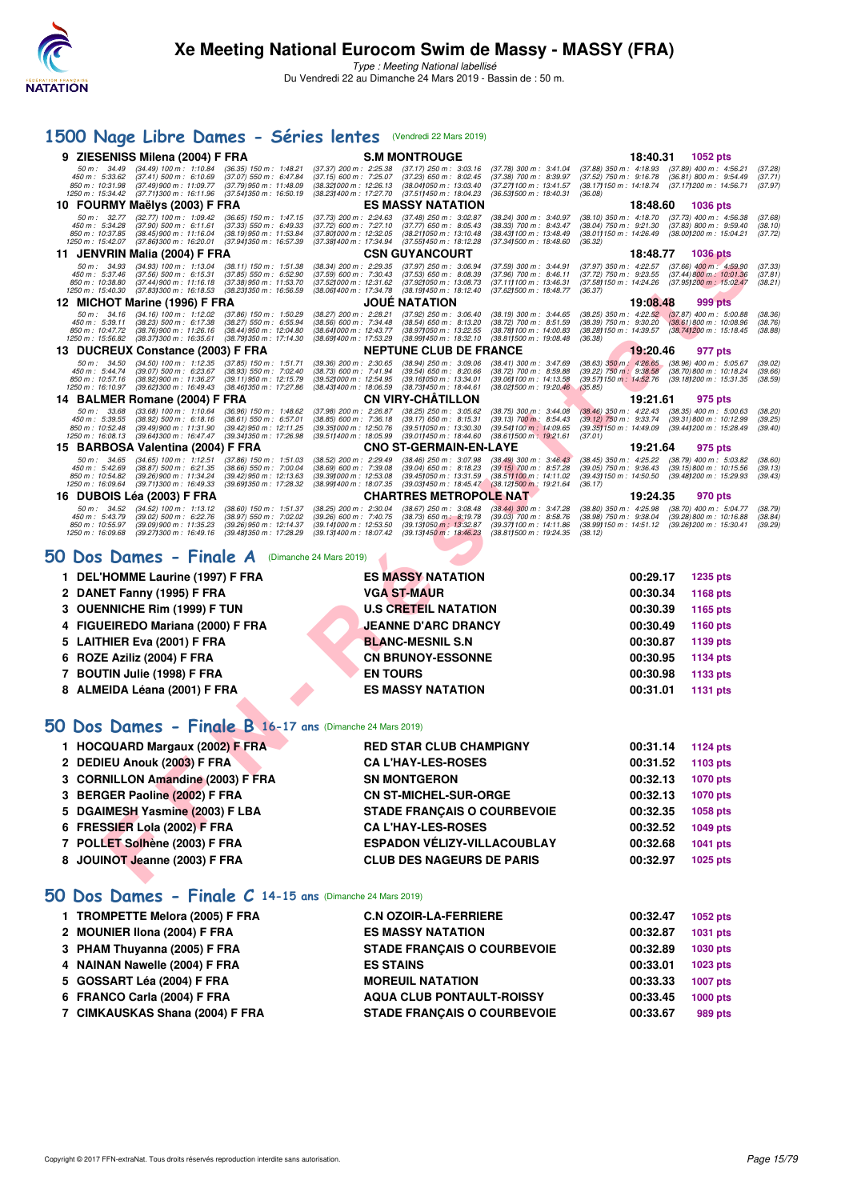

## **[1500 Nage Libre Dames - Séries lentes](http://www.ffnatation.fr/webffn/resultats.php?idact=nat&go=epr&idcpt=57649&idepr=6)** (Vendredi 22 Mars 2019)

| 9 ZIESENISS Milena (2004) F FRA                                                                                                                                                                                                                                                                                           | <b>S.M MONTROUGE</b>                                                                                                                                                                                                                                                                                                                                   | 18:40.31<br><b>1052 pts</b>                                                                                                                                                                                                     |
|---------------------------------------------------------------------------------------------------------------------------------------------------------------------------------------------------------------------------------------------------------------------------------------------------------------------------|--------------------------------------------------------------------------------------------------------------------------------------------------------------------------------------------------------------------------------------------------------------------------------------------------------------------------------------------------------|---------------------------------------------------------------------------------------------------------------------------------------------------------------------------------------------------------------------------------|
| $(34.49)$ 100 m : 1:10.84<br>50 m : 34.49<br>$(36.35)$ 150 m : 1:48.21<br>450 m : 5:33.62<br>$(37.41)$ 500 m : 6:10.69<br>(37.07) 550 m : 6:47.84<br>850 m: 10:31.98<br>$(37.49)900 \text{ m}$ : 11:09.77<br>(37.79) 950 m : 11:48.09<br>1250 m : 15:34.42<br>$(37.71)300 \text{ m}$ : 16:11.96<br>(37.541350 m: 16:50.19 | $(37.37)$ 200 m : 2:25.38<br>$(37.17)$ 250 m : 3:03.16<br>$(37.78)$ 300 m : 3:41.04<br>$(37.15)$ 600 m : 7:25.07<br>$(37.23)$ 650 m : 8:02.45<br>$(37.38)$ 700 m : 8:39.97<br>(38.321000 m: 12:26.13)<br>(38.041050 m: 13.03.40)<br>(37.271100 m: 13:41.57<br>(38.23) 400 m : 17:27.70<br>(37.511450 m : 18:04.23<br>$(36.53)500 \text{ m}$ : 18:40.31 | (37.88) 350 m: 4:18.93 (37.89) 400 m: 4:56.21<br>(37.28)<br>$(37.52)$ 750 m : 9:16.78<br>$(36.81)$ 800 m : 9:54.49<br>(37.71)<br>(38.171150 m: 14:18.74<br>(37.17) 200 m : 14:56.71<br>(37.97)<br>(36.08)                       |
| 10 FOURMY Maëlys (2003) F FRA                                                                                                                                                                                                                                                                                             | <b>ES MASSY NATATION</b>                                                                                                                                                                                                                                                                                                                               | 18:48.60<br><b>1036 pts</b>                                                                                                                                                                                                     |
| $(32.77)$ 100 m : 1:09.42<br>50 m: 32.77<br>$(36.65)$ 150 m : 1:47.15<br>$(37.90)$ 500 m : 6:11.61<br>450 m: 5:34.28<br>$(37.33)$ 550 m : 6:49.33<br>850 m: 10:37.85<br>(38.45) 900 m : 11:16.04<br>(38.19) 950 m: 11:53.84<br>1250 m: 15:42.07<br>$(37.86)300 \text{ m}$ : 16:20.01<br>(37.941350 m: 16:57.39)           | $(37.48)$ 250 m : 3:02.87<br>$(37.73)$ 200 m : 2:24.63<br>$(38.24)$ 300 m : 3:40.97<br>$(37.72)$ 600 m : 7:27.10<br>(38.33) 700 m : 8:43.47<br>$(37.77)$ 650 m : 8:05.43<br>(37.80) 000 m: 12:32.05<br>(38.211050 m: 13:10.48)<br>(38.43) 100 m : 13:48.49<br>(37.381400 m: 17:34.94)<br>(37.551450 m: 18:12.28)<br>(37.341500 m: 18:48.60             | $(38.10)$ 350 m : 4:18.70<br>$(37.73)$ 400 m : 4:56.38<br>(37.68)<br>$(37.83)$ 800 m : 9:59.40<br>$(38.04)$ 750 m : 9:21.30<br>(38.10)<br>(38.01) 150 m : 14:26.49<br>(38.00) 200 m : 15:04.21<br>(37.72)<br>(36.32)            |
| 11 JENVRIN Malia (2004) F FRA                                                                                                                                                                                                                                                                                             | <b>CSN GUYANCOURT</b>                                                                                                                                                                                                                                                                                                                                  | 18:48.77<br><b>1036 pts</b>                                                                                                                                                                                                     |
| $(34.93)$ 100 m : 1:13.04<br>50 m: 34.93<br>$(38.11)$ 150 m : 1:51.38<br>$(37.85)$ 550 m : 6:52.90<br>450 m: 5:37.46<br>$(37.56)$ 500 m : 6:15.31<br>$(37.44)$ 900 m : 11:16.18<br>850 m: 10:38.80<br>(37.38) 950 m : 11:53.70<br>1250 m: 15:40.30<br>(37.83) 300 m : 16:18.53<br>(38.23) 350 m : 16:56.59                | $(38.34)$ 200 m : 2:29.35<br>$(37.97)$ 250 m : 3:06.94<br>$(37.59)$ 300 m : 3:44.91<br>$(37.59)$ 600 m : 7:30.43<br>$(37.53)$ 650 m : 8:08.39<br>$(37.96)$ 700 m : 8:46.11<br>(37.52) 000 m: 12:31.62<br>(37.92) 050 m : 13:08.73<br>(37.111100 m: 13:46.31<br>(38.06) 400 m : 17:34.78<br>(38.19) 450 m : 18:12.40<br>(37.62) 500 m : 18:48.77        | $(37.97)$ 350 m : 4:22.57<br>$(37.66)$ 400 m : 4:59.90<br>(37.33)<br>$(37.72)$ 750 m : 9:23.55<br>$(37.44)800 \text{ m}$ : 10:01.36<br>(37.81)<br>(37.58) 150 m : 14:24.26<br>(37.95) 200 m : 15:02.47<br>(38.21)<br>(36.37)    |
| 12 MICHOT Marine (1996) F FRA                                                                                                                                                                                                                                                                                             | <b>JOUE NATATION</b>                                                                                                                                                                                                                                                                                                                                   | 19:08.48<br>999 pts                                                                                                                                                                                                             |
| $(34.16)$ 100 m : 1:12.02<br>$50 m$ : $34.16$<br>$(37.86)$ 150 m : 1:50.29<br>450 m : 5:39.11<br>$(38.23)$ 500 m : 6:17.38<br>$(38.27)$ 550 m : 6:55.94<br>850 m: 10:47.72<br>(38.76) 900 m : 11:26.16<br>(38.44) 950 m : 12:04.80<br>(38.37) 300 m : 16:35.61<br>(38.79) 350 m : 17:14.30<br>1250 m: 15:56.82            | (38.27) 200 m : 2:28.21<br>$(37.92)$ 250 m : 3:06.40<br>$(38.19)$ 300 m : 3:44.65<br>$(38.56)$ 600 m : 7:34.48<br>$(38.54)$ 650 m : 8:13.20<br>$(38.72)$ 700 m : 8:51.59<br>(38.641000 m: 12:43.77)<br>(38.971050 m: 13.22.55<br>(38.78) 100 m : 14:00.83<br>(38.69) 400 m : 17:53.29<br>(38.99) 450 m : 18:32.10<br>(38.811500 m: 19:08.48)           | $(38.25)$ 350 m : 4:22.52<br>$(37.87)$ 400 m : 5:00.88<br>(38.36)<br>$(38.39)$ 750 m : $9.30.20$<br>$(38.61)800 \text{ m}$ : 10:08.96<br>(38.76)<br>(38.28) 150 m : 14:39.57<br>(38.74) 200 m : 15:18.45<br>(38.88)<br>(36, 38) |
| 13 DUCREUX Constance (2003) F FRA                                                                                                                                                                                                                                                                                         | <b>NEPTUNE CLUB DE FRANCE</b>                                                                                                                                                                                                                                                                                                                          | 19:20.46<br>977 pts                                                                                                                                                                                                             |
| $(34.50)$ 100 m : 1:12.35<br>50 m: 34.50<br>$(37.85)$ 150 m : 1:51.71<br>$(38.93)$ 550 m : 7:02.40<br>450 m : 5:44.74<br>$(39.07)$ 500 m : 6:23.67<br>850 m: 10:57.16<br>(38.92) 900 m : 11:36.27<br>$(39.11)$ 950 m : 12:15.79<br>1250 m: 16:10.97<br>(39.621300 m: 16.49.43)<br>(38.461350 m: 17:27.86                  | $(39.36)$ 200 m : 2:30.65<br>(38.94) 250 m : 3:09.06<br>(38.41) 300 m: 3:47.69<br>(38.73) 600 m : 7:41.94<br>$(39.54)$ 650 m : 8:20.66<br>$(38.72)$ 700 m : 8:59.88<br>(39.52) 000 m : 12:54.95<br>(39.16) 050 m : 13:34.01<br>(39.06) 100 m : 14:13.58<br>(38.431400 m : 18:06.59<br>(38.731450 m : 18:44.61<br>(38.021500 m : 19:20.46)              | (38.63) 350 m: 4:26.65 (38.96) 400 m: 5:05.67<br>(39.02)<br>$(39.22)$ 750 m : $9.38.58$<br>(38.70) 800 m : 10:18.24<br>(39.66)<br>(39.57) 150 m : 14:52.76<br>(39.18) 200 m : 15:31.35<br>(38.59)<br>(35.85)                    |
| 14 BALMER Romane (2004) F FRA                                                                                                                                                                                                                                                                                             | <b>CN VIRY-CHATILLON</b>                                                                                                                                                                                                                                                                                                                               | 19:21.61<br>975 pts                                                                                                                                                                                                             |
| 50 m: 33.68<br>$(33.68)$ 100 m : 1:10.64<br>$(36.96)$ 150 m : 1:48.62<br>450 m: 5:39.55<br>$(38.92)$ 500 m : 6:18.16<br>$(38.61)$ 550 m : 6:57.01<br>850 m: 10:52.48<br>(39.49) 900 m: 11:31.90<br>(39.42) 950 m : 12:11.25<br>1250 m: 16:08.13<br>(39.64) 300 m : 16:47.47<br>(39.341350 m: 17:26.98                     | (37.98) 200 m : 2:26.87<br>$(38.25)$ 250 m : 3:05.62<br>$(38.75)$ 300 m : 3:44.08<br>$(38.85)$ 600 m : 7:36.18<br>$(39.17)$ 650 m : 8:15.31<br>$(39.13)$ 700 m; 8:54.43<br>(39.511050 m: 13:30.30<br>(39.54) 100 m : 14:09.65<br>(39.35) 000 m : 12:50.76<br>(39.511400 m: 18:05.99)<br>(39.011450 m: 18:44.60<br>(38.611500 m: 19:21.61               | $(38.46)$ 350 m : 4:22.43<br>$(38.35)$ 400 m : 5:00.63<br>(38.20)<br>$(39.12)$ 750 m : 9:33.74<br>$(39.31)800 \text{ m}$ : 10:12.99<br>(39.25)<br>(39.35) 150 m : 14:49.09<br>(39.44) 200 m : 15:28.49<br>(39.40)<br>(37.01)    |
| 15 BARBOSA Valentina (2004) F FRA                                                                                                                                                                                                                                                                                         | <b>CNO ST-GERMAIN-EN-LAYE</b>                                                                                                                                                                                                                                                                                                                          | 19:21.64<br>975 pts                                                                                                                                                                                                             |
| $(34.65)$ 100 m : 1:12.51<br>50 m: 34.65<br>$(37.86)$ 150 m : 1:51.03<br>450 m: 5:42.69<br>$(38.87)$ 500 m : 6:21.35<br>$(38.66)$ 550 m : 7:00.04<br>850 m: 10:54.82<br>(39.26) 900 m : 11:34.24<br>(39.42) 950 m : 12:13.63<br>(39.69) 350 m : 17:28.32<br>1250 m: 16:09.64<br>(39.711300 m : 16:49.33                   | (38.52) 200 m : 2:29.49<br>$(38.46)$ 250 m : 3:07.98<br>$(38.49)$ 300 m : 3:46.43<br>$(38.69)$ 600 m : 7:39.08<br>$(39.04)$ 650 m : 8:18.23<br>$(39.15)$ 700 m : 8:57.28<br>(39.39) 000 m : 12:53.08<br>(39.45) 050 m : 13:31.59<br>(38.511100 m: 14:11.02<br>(38.99) 400 m : 18:07.35<br>(39.03) 450 m : 18:45.47<br>(38.12) 500 m : 19:21.64         | $(38.45)$ 350 m : 4:25.22<br>$(38.79)$ 400 m : 5:03.82<br>(38.60)<br>$(39.05)$ 750 m : 9:36.43<br>$(39.15)800 \text{ m}$ : 10:15.56<br>(39.13)<br>(39.43) 150 m : 14:50.50<br>(39.48) 200 m : 15:29.93<br>(39.43)<br>(36.17)    |
| 16 DUBOIS Léa (2003) F FRA                                                                                                                                                                                                                                                                                                | <b>CHARTRES METROPOLE NAT</b>                                                                                                                                                                                                                                                                                                                          | 19:24.35<br>970 pts                                                                                                                                                                                                             |
| $(34.52)$ 100 m : 1:13.12<br>50 m: 34.52<br>(38.60) 150 m: 1:51.37<br>$(39.02)$ 500 m : 6:22.76<br>450 m : 5:43.79<br>(38.97) 550 m : 7:02.02<br>(39.09) 900 m : 11:35.23<br>(39.26) 950 m : 12:14.37<br>850 m: 10:55.97<br>1250 m: 16:09.68<br>(39.271300 m: 16.49.16)<br>(39.48) 350 m : 17:28.29                       | $(38.25)$ 200 m : 2:30.04<br>$(38.67)$ 250 m : 3:08.48<br>(38.44) 300 m : 3:47.28<br>(39.26) 600 m : 7:40.75<br>$(38.73)$ 650 m : 8:19.78<br>$(39.03)$ 700 m : 8:58.76<br>(39.141000 m: 12:53.50<br>(39.37) 100 m: 14:11.86<br>(39.13) 050 m : 13:32.87<br>(39.13) 400 m : 18:07.42<br>(39.13) 450 m : 18:46.23<br>(38.811500 m: 19:24.35)             | $(38.80)$ 350 m : 4:25.98<br>$(38.70)$ 400 m : 5:04.77<br>(38.79)<br>$(39.28)800 \text{ m}$ : 10:16.88<br>(38.98) 750 m : 9:38.04<br>(38.84)<br>(38.99) 150 m : 14:51.12<br>(39.26) 200 m : 15:30.41<br>(39.29)<br>(38.12)      |
| 50 Dos Dames - Finale A                                                                                                                                                                                                                                                                                                   | (Dimanche 24 Mars 2019)                                                                                                                                                                                                                                                                                                                                |                                                                                                                                                                                                                                 |
| 1 DEL'HOMME Laurine (1997) F FRA                                                                                                                                                                                                                                                                                          | <b>ES MASSY NATATION</b>                                                                                                                                                                                                                                                                                                                               | 00:29.17<br>1235 pts                                                                                                                                                                                                            |
| 2 DANET Fanny (1995) F FRA                                                                                                                                                                                                                                                                                                | <b>VGA ST-MAUR</b>                                                                                                                                                                                                                                                                                                                                     | 00:30.34<br>1168 pts                                                                                                                                                                                                            |
| 3 OUENNICHE Rim (1999) F TUN                                                                                                                                                                                                                                                                                              | <b>U.S CRETEIL NATATION</b>                                                                                                                                                                                                                                                                                                                            | 00:30.39<br>1165 pts                                                                                                                                                                                                            |
| FIGUEIREDO Mariana (2000) F FRA<br>4                                                                                                                                                                                                                                                                                      | <b>JEANNE D'ARC DRANCY</b>                                                                                                                                                                                                                                                                                                                             | 00:30.49<br>1160 pts                                                                                                                                                                                                            |
| <b>LAITHIER Eva (2001) F FRA</b>                                                                                                                                                                                                                                                                                          | <b>BLANC-MESNIL S.N</b>                                                                                                                                                                                                                                                                                                                                | 00:30.87<br>1139 pts                                                                                                                                                                                                            |
| ROZE Aziliz (2004) F FRA<br>6                                                                                                                                                                                                                                                                                             | <b>CN BRUNOY-ESSONNE</b>                                                                                                                                                                                                                                                                                                                               | 00:30.95<br><b>1134 pts</b>                                                                                                                                                                                                     |
| 7 BOUTIN Julie (1998) F FRA                                                                                                                                                                                                                                                                                               | <b>EN TOURS</b>                                                                                                                                                                                                                                                                                                                                        | 00:30.98<br>1133 pts                                                                                                                                                                                                            |
| 8 ALMEIDA Léana (2001) F FRA                                                                                                                                                                                                                                                                                              | <b>ES MASSY NATATION</b>                                                                                                                                                                                                                                                                                                                               | 00:31.01<br>1131 pts                                                                                                                                                                                                            |
| 50 Dos Dames - Finale B 16-17 ans (Dimanche 24 Mars 2019)                                                                                                                                                                                                                                                                 |                                                                                                                                                                                                                                                                                                                                                        |                                                                                                                                                                                                                                 |
| 1 HOCQUARD Margaux (2002) F FRA                                                                                                                                                                                                                                                                                           | <b>RED STAR CLUB CHAMPIGNY</b>                                                                                                                                                                                                                                                                                                                         | 00:31.14<br><b>1124 pts</b>                                                                                                                                                                                                     |
| 2 DEDIEU Anouk (2003) F FRA                                                                                                                                                                                                                                                                                               | <b>CA L'HAY-LES-ROSES</b>                                                                                                                                                                                                                                                                                                                              | 00:31.52<br>1103 pts                                                                                                                                                                                                            |
| 3 CORNILLON Amandine (2003) F FRA                                                                                                                                                                                                                                                                                         | <b>SN MONTGERON</b>                                                                                                                                                                                                                                                                                                                                    | 00:32.13<br>1070 pts                                                                                                                                                                                                            |
| <b>BERGER Paoline (2002) F FRA</b><br>3                                                                                                                                                                                                                                                                                   | <b>CN ST-MICHEL-SUR-ORGE</b>                                                                                                                                                                                                                                                                                                                           | 00:32.13<br><b>1070 pts</b>                                                                                                                                                                                                     |
| 5 DGAIMESH Yasmine (2003) F LBA                                                                                                                                                                                                                                                                                           | <b>STADE FRANÇAIS O COURBEVOIE</b>                                                                                                                                                                                                                                                                                                                     | 00:32.35<br>1058 pts                                                                                                                                                                                                            |
| 6 FRESSIER Lola (2002) F FRA                                                                                                                                                                                                                                                                                              | <b>CA L'HAY-LES-ROSES</b>                                                                                                                                                                                                                                                                                                                              | 00:32.52<br>1049 pts                                                                                                                                                                                                            |
| 7 POLLET Solhène (2003) F FRA                                                                                                                                                                                                                                                                                             | <b>ESPADON VÉLIZY-VILLACOUBLAY</b>                                                                                                                                                                                                                                                                                                                     | 00:32.68<br>1041 pts                                                                                                                                                                                                            |
| 8 JOUINOT Jeanne (2003) F FRA                                                                                                                                                                                                                                                                                             | <b>CLUB DES NAGEURS DE PARIS</b>                                                                                                                                                                                                                                                                                                                       | 00:32.97<br>1025 pts                                                                                                                                                                                                            |

| 1 DEL'HOMME Laurine (1997) F FRA  | <b>ES MASSY NATATION</b>    | 00:29.17<br>1235 pts |
|-----------------------------------|-----------------------------|----------------------|
| 2 DANET Fanny (1995) F FRA        | <b>VGA ST-MAUR</b>          | 1168 pts<br>00:30.34 |
| 3 OUENNICHE Rim (1999) F TUN      | <b>U.S CRETEIL NATATION</b> | 00:30.39<br>1165 pts |
| 4 FIGUEIREDO Mariana (2000) F FRA | <b>JEANNE D'ARC DRANCY</b>  | 1160 pts<br>00:30.49 |
| 5 LAITHIER Eva (2001) F FRA       | <b>BLANC-MESNIL S.N</b>     | 1139 pts<br>00:30.87 |
| 6 ROZE Aziliz (2004) F FRA        | <b>CN BRUNOY-ESSONNE</b>    | 00:30.95<br>1134 pts |
| 7 BOUTIN Julie (1998) F FRA       | <b>EN TOURS</b>             | 00:30.98<br>1133 pts |
| 8 ALMEIDA Léana (2001) F FRA      | <b>ES MASSY NATATION</b>    | 1131 pts<br>00:31.01 |

# **[50 Dos Dames - Finale B](http://www.ffnatation.fr/webffn/resultats.php?idact=nat&go=epr&idcpt=57649&idepr=11) 16-17 ans** (Dimanche 24 Mars 2019)

| 1 HOCQUARD Margaux (2002) F FRA   | <b>RED STAR CLUB CHAMPIGNY</b>     | 00:31.14 | 1124 pts |
|-----------------------------------|------------------------------------|----------|----------|
| 2 DEDIEU Anouk (2003) F FRA       | <b>CA L'HAY-LES-ROSES</b>          | 00:31.52 | 1103 pts |
| 3 CORNILLON Amandine (2003) F FRA | <b>SN MONTGERON</b>                | 00:32.13 | 1070 pts |
| 3 BERGER Paoline (2002) F FRA     | <b>CN ST-MICHEL-SUR-ORGE</b>       | 00:32.13 | 1070 pts |
| 5 DGAIMESH Yasmine (2003) F LBA   | <b>STADE FRANCAIS O COURBEVOIE</b> | 00:32.35 | 1058 pts |
| 6 FRESSIER Lola (2002) F FRA      | <b>CA L'HAY-LES-ROSES</b>          | 00:32.52 | 1049 pts |
| 7 POLLET Solhène (2003) F FRA     | ESPADON VÉLIZY-VILLACOUBLAY        | 00:32.68 | 1041 pts |
| 8 JOUINOT Jeanne (2003) F FRA     | <b>CLUB DES NAGEURS DE PARIS</b>   | 00:32.97 | 1025 pts |

## **[50 Dos Dames - Finale C](http://www.ffnatation.fr/webffn/resultats.php?idact=nat&go=epr&idcpt=57649&idepr=11) 14-15 ans** (Dimanche 24 Mars 2019)

| 1 TROMPETTE Melora (2005) F FRA | <b>C.N OZOIR-LA-FERRIERE</b>       | 00:32.47 | 1052 pts |
|---------------------------------|------------------------------------|----------|----------|
| 2 MOUNIER IIona (2004) F FRA    | <b>ES MASSY NATATION</b>           | 00:32.87 | 1031 pts |
| 3 PHAM Thuyanna (2005) F FRA    | <b>STADE FRANCAIS O COURBEVOIE</b> | 00:32.89 | 1030 pts |
| 4 NAINAN Nawelle (2004) F FRA   | <b>ES STAINS</b>                   | 00:33.01 | 1023 pts |
| 5 GOSSART Léa (2004) F FRA      | <b>MOREUIL NATATION</b>            | 00:33.33 | 1007 pts |
| 6 FRANCO Carla (2004) F FRA     | <b>AQUA CLUB PONTAULT-ROISSY</b>   | 00:33.45 | 1000 pts |
| 7 CIMKAUSKAS Shana (2004) F FRA | <b>STADE FRANCAIS O COURBEVOIE</b> | 00:33.67 | 989 pts  |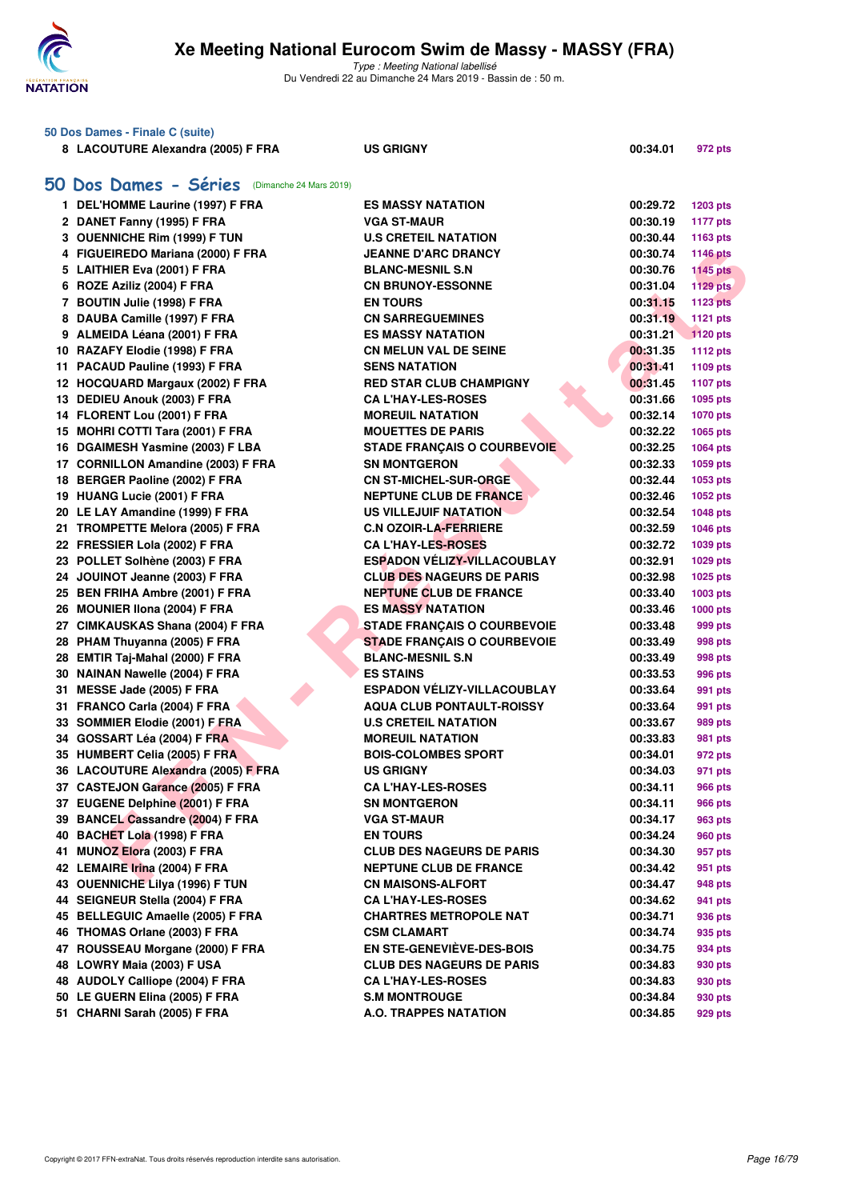

|    | 50 Dos Dames - Finale C (suite)            |                                    |          |                 |
|----|--------------------------------------------|------------------------------------|----------|-----------------|
|    | 8 LACOUTURE Alexandra (2005) F FRA         | <b>US GRIGNY</b>                   | 00:34.01 | 972 pts         |
| 50 | Dos Dames - Séries (Dimanche 24 Mars 2019) |                                    |          |                 |
|    | 1 DEL'HOMME Laurine (1997) F FRA           | <b>ES MASSY NATATION</b>           | 00:29.72 | 1203 pts        |
|    | 2 DANET Fanny (1995) F FRA                 | <b>VGA ST-MAUR</b>                 | 00:30.19 | <b>1177 pts</b> |
|    | 3 OUENNICHE Rim (1999) F TUN               | <b>U.S CRETEIL NATATION</b>        | 00:30.44 | 1163 pts        |
|    | 4 FIGUEIREDO Mariana (2000) F FRA          | <b>JEANNE D'ARC DRANCY</b>         | 00:30.74 | <b>1146 pts</b> |
|    | 5 LAITHIER Eva (2001) F FRA                | <b>BLANC-MESNIL S.N</b>            | 00:30.76 | <b>1145 pts</b> |
|    | 6 ROZE Aziliz (2004) F FRA                 | <b>CN BRUNOY-ESSONNE</b>           | 00:31.04 | <b>1129 pts</b> |
|    | 7 BOUTIN Julie (1998) F FRA                | <b>EN TOURS</b>                    | 00:31.15 | <b>1123 pts</b> |
|    | 8 DAUBA Camille (1997) F FRA               | <b>CN SARREGUEMINES</b>            | 00:31.19 | 1121 pts        |
|    | 9 ALMEIDA Léana (2001) F FRA               | <b>ES MASSY NATATION</b>           | 00:31.21 | <b>1120 pts</b> |
|    | 10 RAZAFY Elodie (1998) F FRA              | <b>CN MELUN VAL DE SEINE</b>       | 00:31.35 | <b>1112 pts</b> |
|    | 11 PACAUD Pauline (1993) F FRA             | <b>SENS NATATION</b>               | 00:31.41 | 1109 pts        |
|    | 12 HOCQUARD Margaux (2002) F FRA           | <b>RED STAR CLUB CHAMPIGNY</b>     | 00:31.45 | <b>1107 pts</b> |
|    | 13 DEDIEU Anouk (2003) F FRA               | <b>CA L'HAY-LES-ROSES</b>          | 00:31.66 | 1095 pts        |
|    | 14 FLORENT Lou (2001) F FRA                | <b>MOREUIL NATATION</b>            | 00:32.14 | <b>1070 pts</b> |
|    | 15 MOHRI COTTI Tara (2001) F FRA           | <b>MOUETTES DE PARIS</b>           | 00:32.22 | 1065 pts        |
|    | 16 DGAIMESH Yasmine (2003) F LBA           | <b>STADE FRANÇAIS O COURBEVOIE</b> | 00:32.25 | 1064 pts        |
|    | 17 CORNILLON Amandine (2003) F FRA         | <b>SN MONTGERON</b>                | 00:32.33 | 1059 pts        |
|    | 18 BERGER Paoline (2002) F FRA             | <b>CN ST-MICHEL-SUR-ORGE</b>       | 00:32.44 | 1053 pts        |
|    | 19 HUANG Lucie (2001) F FRA                | <b>NEPTUNE CLUB DE FRANCE</b>      | 00:32.46 | 1052 pts        |
|    | 20 LE LAY Amandine (1999) F FRA            | US VILLEJUIF NATATION              | 00:32.54 | 1048 pts        |
|    | 21 TROMPETTE Melora (2005) F FRA           | <b>C.N OZOIR-LA-FERRIERE</b>       | 00:32.59 | 1046 pts        |
|    | 22 FRESSIER Lola (2002) F FRA              | <b>CA L'HAY-LES-ROSES</b>          | 00:32.72 | 1039 pts        |
|    | 23 POLLET Solhène (2003) F FRA             | <b>ESPADON VÉLIZY-VILLACOUBLAY</b> | 00:32.91 | 1029 pts        |
|    | 24 JOUINOT Jeanne (2003) F FRA             | <b>CLUB DES NAGEURS DE PARIS</b>   | 00:32.98 | 1025 pts        |
|    | 25 BEN FRIHA Ambre (2001) F FRA            | <b>NEPTUNE CLUB DE FRANCE</b>      | 00:33.40 | 1003 pts        |
|    | 26 MOUNIER IIona (2004) F FRA              | <b>ES MASSY NATATION</b>           | 00:33.46 | 1000 pts        |
|    | 27 CIMKAUSKAS Shana (2004) F FRA           | <b>STADE FRANÇAIS O COURBEVOIE</b> | 00:33.48 | 999 pts         |
|    | 28 PHAM Thuyanna (2005) F FRA              | <b>STADE FRANÇAIS O COURBEVOIE</b> | 00:33.49 | 998 pts         |
|    | 28 EMTIR Taj-Mahal (2000) F FRA            | <b>BLANC-MESNIL S.N</b>            | 00:33.49 | 998 pts         |
|    | 30 NAINAN Nawelle (2004) F FRA             | <b>ES STAINS</b>                   | 00:33.53 | 996 pts         |
|    | 31 MESSE Jade (2005) F FRA                 | <b>ESPADON VÉLIZY-VILLACOUBLAY</b> | 00:33.64 | 991 pts         |
|    | 31 FRANCO Carla (2004) F FRA               | <b>AQUA CLUB PONTAULT-ROISSY</b>   | 00:33.64 | 991 pts         |
|    | 33 SOMMIER Elodie (2001) F FRA             | <b>U.S CRETEIL NATATION</b>        | 00:33.67 | 989 pts         |
|    | 34 GOSSART Léa (2004) F FRA                | <b>MOREUIL NATATION</b>            | 00:33.83 | 981 pts         |
|    | 35 HUMBERT Celia (2005) F FRA              | <b>BOIS-COLOMBES SPORT</b>         | 00:34.01 | 972 pts         |
|    | 36 LACOUTURE Alexandra (2005) F FRA        | <b>US GRIGNY</b>                   | 00:34.03 | 971 pts         |
|    | 37 CASTEJON Garance (2005) F FRA           | <b>CA L'HAY-LES-ROSES</b>          | 00:34.11 | <b>966 pts</b>  |
|    | 37 EUGENE Delphine (2001) F FRA            | <b>SN MONTGERON</b>                | 00:34.11 | 966 pts         |
|    | 39 BANCEL Cassandre (2004) F FRA           | <b>VGA ST-MAUR</b>                 | 00:34.17 | 963 pts         |
|    | 40 BACHET Lola (1998) F FRA                | <b>EN TOURS</b>                    | 00:34.24 | 960 pts         |
|    | 41 MUNOZ Elora (2003) F FRA                | <b>CLUB DES NAGEURS DE PARIS</b>   | 00:34.30 | 957 pts         |
|    | 42 LEMAIRE Irina (2004) F FRA              | <b>NEPTUNE CLUB DE FRANCE</b>      | 00:34.42 | 951 pts         |
|    | 43 OUENNICHE Lilya (1996) F TUN            | <b>CN MAISONS-ALFORT</b>           | 00:34.47 | 948 pts         |
|    | 44 SEIGNEUR Stella (2004) F FRA            | <b>CA L'HAY-LES-ROSES</b>          | 00:34.62 | 941 pts         |
|    | 45 BELLEGUIC Amaelle (2005) F FRA          | <b>CHARTRES METROPOLE NAT</b>      | 00:34.71 | 936 pts         |
|    | 46 THOMAS Orlane (2003) F FRA              | <b>CSM CLAMART</b>                 | 00:34.74 | 935 pts         |
|    | 47 ROUSSEAU Morgane (2000) F FRA           | EN STE-GENEVIÈVE-DES-BOIS          | 00:34.75 | 934 pts         |
|    | 48 LOWRY Maia (2003) F USA                 | <b>CLUB DES NAGEURS DE PARIS</b>   | 00:34.83 | 930 pts         |
|    | 48 AUDOLY Calliope (2004) F FRA            | <b>CA L'HAY-LES-ROSES</b>          | 00:34.83 | 930 pts         |
|    | 50 LE GUERN Elina (2005) F FRA             | <b>S.M MONTROUGE</b>               | 00:34.84 | 930 pts         |
|    | 51 CHARNI Sarah (2005) F FRA               | <b>A.O. TRAPPES NATATION</b>       | 00:34.85 | 929 pts         |
|    |                                            |                                    |          |                 |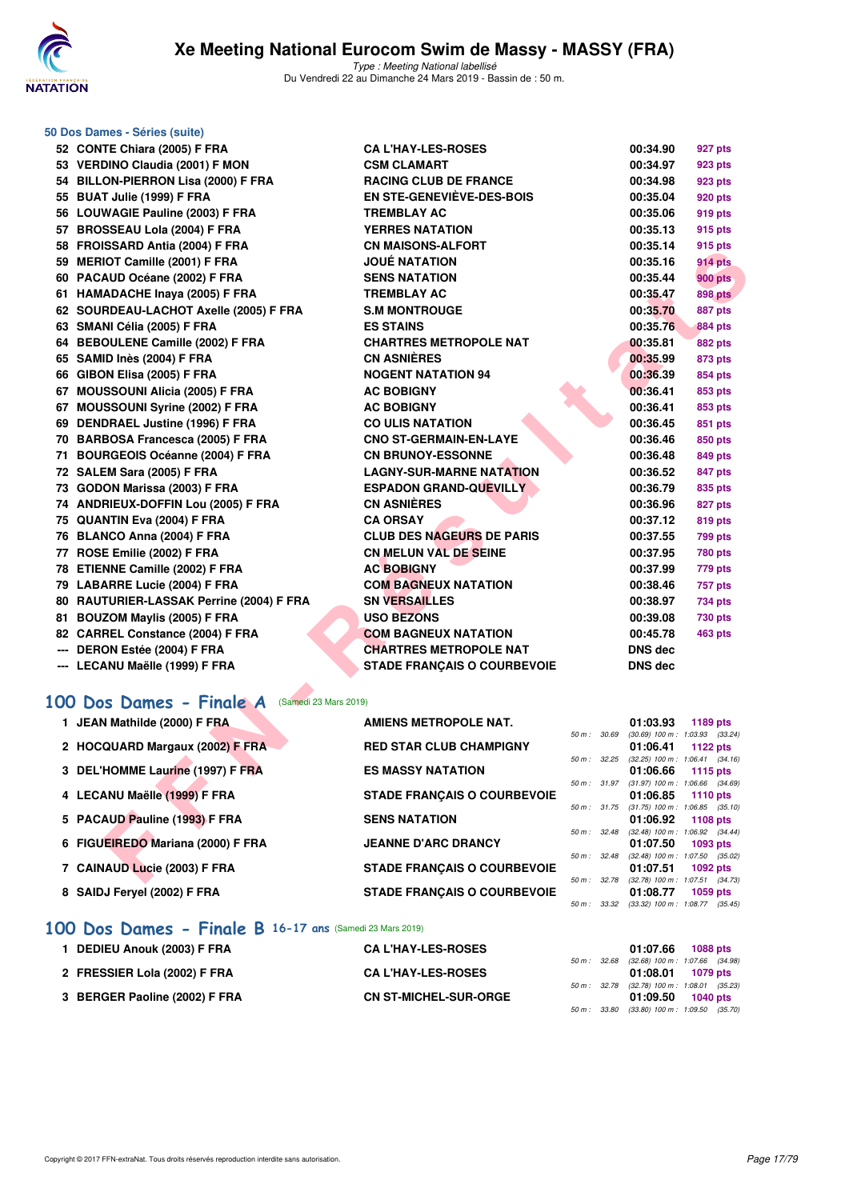

| 50 Dos Dames - Séries (suite)                                             |                                                     |              |                      |                                                        |
|---------------------------------------------------------------------------|-----------------------------------------------------|--------------|----------------------|--------------------------------------------------------|
| 52 CONTE Chiara (2005) F FRA                                              | <b>CA L'HAY-LES-ROSES</b>                           |              | 00:34.90             | 927 pts                                                |
| 53 VERDINO Claudia (2001) F MON                                           | <b>CSM CLAMART</b>                                  |              | 00:34.97             | 923 pts                                                |
| 54 BILLON-PIERRON Lisa (2000) F FRA                                       | <b>RACING CLUB DE FRANCE</b>                        |              | 00:34.98             | 923 pts                                                |
| 55 BUAT Julie (1999) F FRA                                                | <b>EN STE-GENEVIEVE-DES-BOIS</b>                    |              | 00:35.04             | 920 pts                                                |
| 56 LOUWAGIE Pauline (2003) F FRA                                          | <b>TREMBLAY AC</b>                                  |              | 00:35.06             | 919 pts                                                |
| 57 BROSSEAU Lola (2004) F FRA                                             | <b>YERRES NATATION</b>                              |              | 00:35.13             | 915 pts                                                |
| 58 FROISSARD Antia (2004) F FRA                                           | <b>CN MAISONS-ALFORT</b>                            |              | 00:35.14             | 915 pts                                                |
| 59 MERIOT Camille (2001) F FRA                                            | <b>JOUÉ NATATION</b>                                |              | 00:35.16             | 914 pts                                                |
| 60 PACAUD Océane (2002) F FRA                                             | <b>SENS NATATION</b>                                |              | 00:35.44             | <b>900 pts</b>                                         |
| 61 HAMADACHE Inaya (2005) F FRA                                           | <b>TREMBLAY AC</b>                                  |              | 00:35.47             | <b>898 pts</b>                                         |
| 62 SOURDEAU-LACHOT Axelle (2005) F FRA                                    | <b>S.M MONTROUGE</b>                                |              | 00:35.70             | <b>887 pts</b>                                         |
| 63 SMANI Célia (2005) F FRA                                               | <b>ES STAINS</b>                                    |              | 00:35.76             | <b>884 pts</b>                                         |
| 64 BEBOULENE Camille (2002) F FRA                                         | <b>CHARTRES METROPOLE NAT</b>                       |              | 00:35.81             | 882 pts                                                |
| 65 SAMID Inès (2004) F FRA                                                | <b>CN ASNIERES</b>                                  |              | 00:35.99             | 873 pts                                                |
| 66 GIBON Elisa (2005) F FRA                                               | <b>NOGENT NATATION 94</b>                           |              | 00:36.39             | 854 pts                                                |
| 67 MOUSSOUNI Alicia (2005) F FRA                                          | <b>AC BOBIGNY</b>                                   |              | 00:36.41             | 853 pts                                                |
| 67 MOUSSOUNI Syrine (2002) F FRA                                          | <b>AC BOBIGNY</b>                                   |              | 00:36.41             | 853 pts                                                |
| 69 DENDRAEL Justine (1996) F FRA                                          | <b>CO ULIS NATATION</b>                             |              | 00:36.45             | 851 pts                                                |
| 70 BARBOSA Francesca (2005) F FRA                                         | <b>CNO ST-GERMAIN-EN-LAYE</b>                       |              | 00:36.46             | 850 pts                                                |
| 71 BOURGEOIS Océanne (2004) F FRA                                         | <b>CN BRUNOY-ESSONNE</b>                            |              | 00:36.48             | 849 pts                                                |
| 72 SALEM Sara (2005) F FRA                                                | <b>LAGNY-SUR-MARNE NATATION</b>                     |              | 00:36.52             | 847 pts                                                |
| 73 GODON Marissa (2003) F FRA                                             | <b>ESPADON GRAND-QUEVILLY</b>                       |              | 00:36.79             | 835 pts                                                |
| 74 ANDRIEUX-DOFFIN Lou (2005) F FRA                                       | <b>CN ASNIÈRES</b>                                  |              | 00:36.96             | <b>827 pts</b>                                         |
| 75 QUANTIN Eva (2004) F FRA                                               | <b>CA ORSAY</b><br><b>CLUB DES NAGEURS DE PARIS</b> |              | 00:37.12             | 819 pts                                                |
| 76 BLANCO Anna (2004) F FRA                                               |                                                     |              | 00:37.55             | 799 pts                                                |
| 77 ROSE Emilie (2002) F FRA                                               | <b>CN MELUN VAL DE SEINE</b>                        |              | 00:37.95             | <b>780 pts</b>                                         |
| 78 ETIENNE Camille (2002) F FRA                                           | <b>AC BOBIGNY</b><br><b>COM BAGNEUX NATATION</b>    |              | 00:37.99             | 779 pts                                                |
| 79 LABARRE Lucie (2004) F FRA<br>80 RAUTURIER-LASSAK Perrine (2004) F FRA | <b>SN VERSAILLES</b>                                |              | 00:38.46<br>00:38.97 | <b>757 pts</b><br>734 pts                              |
| 81 BOUZOM Maylis (2005) F FRA                                             | <b>USO BEZONS</b>                                   |              | 00:39.08             | <b>730 pts</b>                                         |
| 82 CARREL Constance (2004) F FRA                                          | <b>COM BAGNEUX NATATION</b>                         |              | 00:45.78             | 463 pts                                                |
| --- DERON Estée (2004) F FRA                                              | <b>CHARTRES METROPOLE NAT</b>                       |              | DNS dec              |                                                        |
| --- LECANU Maëlle (1999) F FRA                                            | <b>STADE FRANÇAIS O COURBEVOIE</b>                  |              | <b>DNS dec</b>       |                                                        |
|                                                                           |                                                     |              |                      |                                                        |
| 100 Dos Dames - Finale A<br>(Samedi 23 Mars 2019)                         |                                                     |              |                      |                                                        |
|                                                                           |                                                     |              |                      |                                                        |
| 1 JEAN Mathilde (2000) F FRA                                              | <b>AMIENS METROPOLE NAT.</b>                        | 50 m : 30.69 | 01:03.93             | 1189 pts<br>$(30.69)$ 100 m : 1:03.93 $(33.24)$        |
| 2 HOCQUARD Margaux (2002) F FRA                                           | <b>RED STAR CLUB CHAMPIGNY</b>                      |              | 01:06.41             | 1122 pts                                               |
|                                                                           |                                                     |              |                      | 50 m: 32.25 (32.25) 100 m: 1:06.41 (34.16)             |
| 3 DEL'HOMME Laurine (1997) F FRA                                          | <b>ES MASSY NATATION</b>                            | 50 m : 31.97 | 01:06.66             | 1115 pts<br>$(31.97)$ 100 m : 1:06.66 $(34.69)$        |
| 4 LECANU Maëlle (1999) F FRA                                              | <b>STADE FRANÇAIS O COURBEVOIE</b>                  |              | 01:06.85             | <b>1110 pts</b>                                        |
|                                                                           |                                                     |              |                      | 50 m : 31.75 (31.75) 100 m : 1:06.85 (35.10)           |
| 5 PACAUD Pauline (1993) F FRA                                             | <b>SENS NATATION</b>                                |              | 01:06.92             | 1108 pts<br>50 m: 32.48 (32.48) 100 m: 1:06.92 (34.44) |
| 6 FIGUEIREDO Mariana (2000) F FRA                                         | <b>JEANNE D'ARC DRANCY</b>                          |              | 01:07.50             | 1093 pts                                               |
| 7 CAINAUD Lucie (2003) F FRA                                              |                                                     | 50 m : 32.48 | 01:07.51             | (32.48) 100 m: 1:07.50 (35.02)                         |
|                                                                           | <b>STADE FRANÇAIS O COURBEVOIE</b>                  |              |                      | 1092 pts<br>50 m: 32.78 (32.78) 100 m: 1:07.51 (34.73) |

| 1 JEAN Mathilde (2000) F FRA      | <b>AMIENS METROPOLE NAT.</b>       |                        | 01:03.93                                        | 1189 pts        |  |
|-----------------------------------|------------------------------------|------------------------|-------------------------------------------------|-----------------|--|
| 2 HOCQUARD Margaux (2002) F FRA   | <b>RED STAR CLUB CHAMPIGNY</b>     | 50 m: 30.69            | $(30.69)$ 100 m : 1:03.93 $(33.24)$<br>01:06.41 | 1122 $pts$      |  |
| 3 DEL'HOMME Laurine (1997) F FRA  | <b>ES MASSY NATATION</b>           | 50 m: 32.25            | $(32.25)$ 100 m : 1:06.41 $(34.16)$<br>01:06.66 | 1115 $pts$      |  |
|                                   |                                    | $50 m$ : $31.97$       | $(31.97)$ 100 m : 1:06.66 $(34.69)$             |                 |  |
| 4 LECANU Maëlle (1999) F FRA      | <b>STADE FRANCAIS O COURBEVOIE</b> | $50 m$ : $31.75$       | 01:06.85<br>$(31.75)$ 100 m : 1:06.85 $(35.10)$ | 1110 $pts$      |  |
| 5 PACAUD Pauline (1993) F FRA     | <b>SENS NATATION</b>               | $50 \text{ m}$ : 32.48 | 01:06.92<br>$(32.48)$ 100 m : 1:06.92 $(34.44)$ | 1108 $pts$      |  |
| 6 FIGUEIREDO Mariana (2000) F FRA | <b>JEANNE D'ARC DRANCY</b>         | $50 \text{ m}$ : 32.48 | 01:07.50<br>$(32.48)$ 100 m : 1:07.50 $(35.02)$ | <b>1093 pts</b> |  |
| 7 CAINAUD Lucie (2003) F FRA      | <b>STADE FRANCAIS O COURBEVOIE</b> |                        | 01:07.51                                        | $1092$ pts      |  |
| 8 SAIDJ Fervel (2002) F FRA       | <b>STADE FRANCAIS O COURBEVOIE</b> | 50 m: 32.78            | $(32.78)$ 100 m : 1:07.51 $(34.73)$<br>01:08.77 | <b>1059 pts</b> |  |
|                                   |                                    | 50 m: 33.32            | $(33.32)$ 100 m : 1:08.77 $(35.45)$             |                 |  |

## **[100 Dos Dames - Finale B](http://www.ffnatation.fr/webffn/resultats.php?idact=nat&go=epr&idcpt=57649&idepr=12) 16-17 ans** (Samedi 23 Mars 2019)

| 1 DEDIEU Anouk (2003) F FRA   | <b>CA L'HAY-LES-ROSES</b>    |  | 01:07.66                                                        | 1088 pts |  |
|-------------------------------|------------------------------|--|-----------------------------------------------------------------|----------|--|
| 2 FRESSIER Lola (2002) F FRA  | <b>CA L'HAY-LES-ROSES</b>    |  | 50 m: 32.68 (32.68) 100 m: 1:07.66 (34.98)<br>01:08.01 1079 pts |          |  |
| 3 BERGER Paoline (2002) F FRA | <b>CN ST-MICHEL-SUR-ORGE</b> |  | 50 m: 32.78 (32.78) 100 m: 1:08.01 (35.23)<br>01:09.50 1040 pts |          |  |
|                               |                              |  | 50 m: 33.80 (33.80) 100 m: 1:09.50 (35.70)                      |          |  |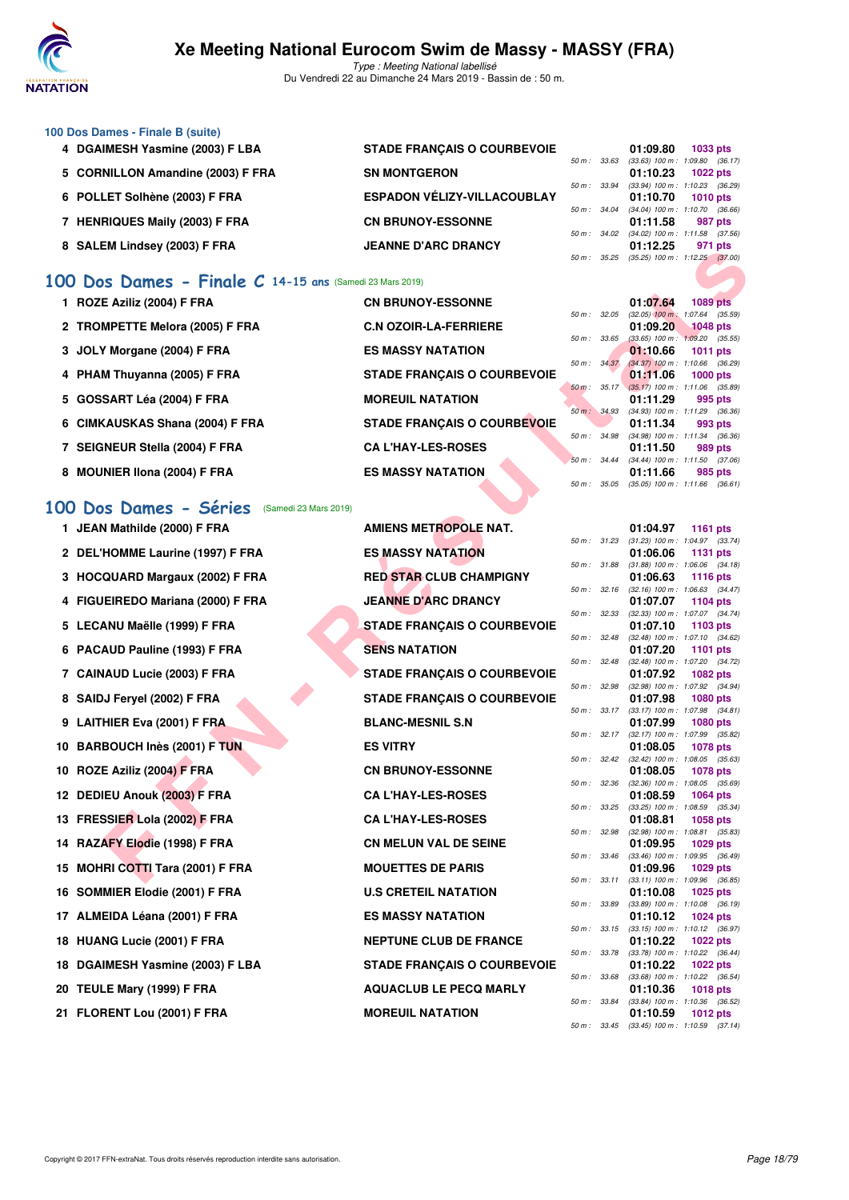

#### **100 Dos Dames - Finale B (suite) 4 DGAIMESH Yasmine (2003) F LBA STADE FRANÇAIS O COURBEVOIE 01:09.80 1033 pts**  $50 m$ : 33.63 (33.63) 100 m : 1:09.80 (36.17)<br>**01:10.23** 1022 pts 5 CORNILLON Amandine (2003) F FRA SN MONTGERON  $50 m$ : 33.94 (33.94) 100 m: 1:10.23 (36.29)<br>**01:10.70** 1010 pts **6 POLLET Solhène (2003) F FRA ESPADON VÉLIZY-VILLACOUBLAY 01:10.70 1010 pts** 50 m : 34.04 (34.04) 100 m : 1:10.70 (36.66)<br>**01:11.58 987 pts** 7 HENRIQUES Maily (2003) F FRA **CN BRUNOY-ESSONNE** 50 m : 34.02 (34.02) 100 m : 1:11.58 (37.56)<br>**01:12.25 971 pts** 8 SALEM Lindsey (2003) F FRA JEANNE D'ARC DRANCY 50 m : 35.25 (35.25) 100 m : 1:12.25 (37.00)

## **[100 Dos Dames - Finale C](http://www.ffnatation.fr/webffn/resultats.php?idact=nat&go=epr&idcpt=57649&idepr=12) 14-15 ans** (Samedi 23 Mars 2019)

| 1 ROZE Aziliz (2004) F FRA      | <b>CN BRUNOY-ESSONNE</b>           |             |                | 01:07.64                                        | 1089 pts   |         |
|---------------------------------|------------------------------------|-------------|----------------|-------------------------------------------------|------------|---------|
|                                 |                                    | 50 m: 32.05 |                | $(32.05)$ 100 m : 1:07.64 $(35.59)$             |            |         |
| 2 TROMPETTE Melora (2005) F FRA | <b>C.N OZOIR-LA-FERRIERE</b>       |             |                | $01:09.20$ 1048 pts                             |            |         |
|                                 |                                    |             | 50 m: 33.65    | $(33.65)$ 100 m : 1:09.20 $(35.55)$             |            |         |
| 3 JOLY Morgane (2004) F FRA     | <b>ES MASSY NATATION</b>           |             |                | 01:10.66                                        | 1011 $pts$ |         |
|                                 |                                    |             | 50 m: 34.37    | $(34.37)$ 100 m : 1:10.66 $(36.29)$<br>01:11.06 |            |         |
| 4 PHAM Thuyanna (2005) F FRA    | <b>STADE FRANÇAIS O COURBEVOIE</b> |             | $50 m$ : 35.17 | $(35.17)$ 100 m : 1:11.06 $(35.89)$             | $1000$ pts |         |
| 5 GOSSART Léa (2004) F FRA      | <b>MOREUIL NATATION</b>            |             |                | 01:11.29                                        |            | 995 pts |
|                                 |                                    |             | 50 m: 34.93    | $(34.93)$ 100 m : 1:11.29 $(36.36)$             |            |         |
| 6 CIMKAUSKAS Shana (2004) F FRA | <b>STADE FRANCAIS O COURBEVOIE</b> |             |                | 01:11.34                                        |            | 993 pts |
|                                 |                                    |             | 50 m : 34.98   | $(34.98)$ 100 m : 1:11.34 $(36.36)$             |            |         |
| 7 SEIGNEUR Stella (2004) F FRA  | <b>CA L'HAY-LES-ROSES</b>          |             |                | 01:11.50                                        |            | 989 pts |
|                                 |                                    |             | 50 m: 34.44    | $(34.44)$ 100 m : 1:11.50 $(37.06)$             |            |         |
| 8 MOUNIER IIona (2004) F FRA    | <b>ES MASSY NATATION</b>           |             |                | 01:11.66                                        |            | 985 pts |
|                                 |                                    |             | 50 m : 35.05   | $(35.05)$ 100 m : 1:11.66 $(36.61)$             |            |         |

## **[100 Dos Dames - Séries](http://www.ffnatation.fr/webffn/resultats.php?idact=nat&go=epr&idcpt=57649&idepr=12)** (Samedi 23 Mars 2019)

| <b>SALEM LINGSEY (2003) F FRA</b>                       | ANNE <i>V</i> ANV VNANV I          |              |                  | U I . I 4.4J                                             | <i><b>JII NIS</b></i> |         |
|---------------------------------------------------------|------------------------------------|--------------|------------------|----------------------------------------------------------|-----------------------|---------|
|                                                         |                                    |              | 50 m : 35.25     | $(35.25)$ 100 m : 1:12.25 $(37.00)$                      |                       |         |
| 00 Dos Dames - Finale C 14-15 ans (Samedi 23 Mars 2019) |                                    |              |                  |                                                          |                       |         |
| 1 ROZE Aziliz (2004) F FRA                              | <b>CN BRUNOY-ESSONNE</b>           | 50 m: 32.05  |                  | 01:07.64<br>$(32.05)$ 100 m : 1:07.64 $(35.59)$          | <b>1089 pts</b>       |         |
| 2 TROMPETTE Melora (2005) F FRA                         | <b>C.N OZOIR-LA-FERRIERE</b>       | 50 m : 33.65 |                  | 01:09.20<br>$(33.65)$ 100 m : 1:09.20 $(35.55)$          | <b>1048</b> pts       |         |
| 3 JOLY Morgane (2004) F FRA                             | <b>ES MASSY NATATION</b>           |              |                  | 01:10.66                                                 | 1011 pts              |         |
| 4 PHAM Thuyanna (2005) F FRA                            | <b>STADE FRANÇAIS O COURBEVOIE</b> | 50 m: 34.37  |                  | $(34.37)$ 100 m : 1:10.66 $(36.29)$<br>01:11.06          | 1000 pts              |         |
| 5 GOSSART Léa (2004) F FRA                              | <b>MOREUIL NATATION</b>            |              | $50 m$ : $35.17$ | $(35.17)$ 100 m : 1:11.06 (35.89)<br>01:11.29            | 995 pts               |         |
| 6 CIMKAUSKAS Shana (2004) F FRA                         | STADE FRANÇAIS O COURBEVOIE        |              | 50 m : 34.93     | (34.93) 100 m: 1:11.29 (36.36)<br>01:11.34               | 993 pts               |         |
| 7 SEIGNEUR Stella (2004) F FRA                          | <b>CA L'HAY-LES-ROSES</b>          | 50 m : 34.98 |                  | (34.98) 100 m: 1:11.34 (36.36)<br>01:11.50               | 989 pts               |         |
| 8 MOUNIER IIona (2004) F FRA                            | <b>ES MASSY NATATION</b>           | 50 m: 34.44  |                  | (34.44) 100 m: 1:11.50 (37.06)<br>01:11.66               | 985 pts               |         |
|                                                         |                                    | 50 m: 35.05  |                  | $(35.05)$ 100 m : 1:11.66 $(36.61)$                      |                       |         |
| 00 Dos Dames - Séries<br>(Samedi 23 Mars 2019)          |                                    |              |                  |                                                          |                       |         |
| 1 JEAN Mathilde (2000) F FRA                            | <b>AMIENS METROPOLE NAT.</b>       |              | 50 m : 31.23     | 01:04.97<br>$(31.23)$ 100 m : 1:04.97 $(33.74)$          | <b>1161 pts</b>       |         |
| 2 DEL'HOMME Laurine (1997) F FRA                        | <b>ES MASSY NATATION</b>           |              |                  | 01:06.06                                                 | 1131 pts              |         |
| 3 HOCQUARD Margaux (2002) F FRA                         | <b>RED STAR CLUB CHAMPIGNY</b>     |              | 50 m : 31.88     | $(31.88)$ 100 m : 1:06.06 $(34.18)$<br>01:06.63          | <b>1116 pts</b>       |         |
| 4 FIGUEIREDO Mariana (2000) F FRA                       | <b>JEANNE D'ARC DRANCY</b>         | 50 m : 32.16 |                  | $(32.16)$ 100 m : 1:06.63 $(34.47)$<br>01:07.07          |                       |         |
|                                                         |                                    | 50 m: 32.33  |                  | (32.33) 100 m: 1:07.07 (34.74)                           | 1104 pts              |         |
| 5 LECANU Maëlle (1999) F FRA                            | <b>STADE FRANÇAIS O COURBEVOIE</b> | 50 m : 32.48 |                  | 01:07.10<br>(32.48) 100 m: 1:07.10 (34.62)               | 1103 pts              |         |
| 6 PACAUD Pauline (1993) F FRA                           | <b>SENS NATATION</b>               |              |                  | 01:07.20                                                 | <b>1101 pts</b>       |         |
| 7 CAINAUD Lucie (2003) F FRA                            | <b>STADE FRANÇAIS O COURBEVOIE</b> |              | 50 m : 32.48     | (32.48) 100 m: 1:07.20 (34.72)<br>01:07.92               | <b>1082 pts</b>       |         |
| 8 SAIDJ Feryel (2002) F FRA                             | <b>STADE FRANÇAIS O COURBEVOIE</b> |              | 50 m : 32.98     | (32.98) 100 m: 1:07.92 (34.94)<br>01:07.98               | <b>1080 pts</b>       |         |
| 9 LAITHIER Eva (2001) F FRA                             | <b>BLANC-MESNIL S.N</b>            |              |                  | 50 m: 33.17 (33.17) 100 m: 1:07.98 (34.81)<br>01:07.99   | 1080 pts              |         |
| 10 BARBOUCH Inès (2001) F TUN                           | <b>ES VITRY</b>                    |              | 50 m: 32.17      | (32.17) 100 m : 1:07.99 (35.82)<br>01:08.05              | <b>1078 pts</b>       |         |
|                                                         |                                    | 50 m: 32.42  |                  | $(32.42)$ 100 m : 1:08.05 $(35.63)$                      |                       |         |
| 10 ROZE Aziliz (2004) F FRA                             | <b>CN BRUNOY-ESSONNE</b>           | 50 m: 32.36  |                  | 01:08.05<br>$(32.36)$ 100 m : 1:08.05 $(35.69)$          | <b>1078 pts</b>       |         |
| 12 DEDIEU Anouk (2003) F FRA                            | <b>CA L'HAY-LES-ROSES</b>          |              |                  | 01:08.59                                                 | 1064 pts              |         |
| 13 FRESSIER Lola (2002) F FRA                           | <b>CA L'HAY-LES-ROSES</b>          | 50 m : 33.25 |                  | $(33.25)$ 100 m : 1:08.59 $(35.34)$<br>01:08.81          | 1058 pts              |         |
| 14 RAZAFY Elodie (1998) F FRA                           | <b>CN MELUN VAL DE SEINE</b>       | 50 m: 32.98  |                  | (32.98) 100 m : 1:08.81<br>01:09.95                      | 1029 pts              | (35.83) |
| 15 MOHRI COTTI Tara (2001) F FRA                        | <b>MOUETTES DE PARIS</b>           |              | 50 m : 33.46     | $(33.46)$ 100 m : 1:09.95 $(36.49)$<br>01:09.96          | 1029 pts              |         |
|                                                         |                                    |              |                  | 50 m: 33.11 (33.11) 100 m: 1:09.96 (36.85)               |                       |         |
| 16 SOMMIER Elodie (2001) F FRA                          | <b>U.S CRETEIL NATATION</b>        | 50 m : 33.89 |                  | 01:10.08<br>$(33.89)$ 100 m : 1:10.08 $(36.19)$          | 1025 pts              |         |
| 17 ALMEIDA Léana (2001) F FRA                           | <b>ES MASSY NATATION</b>           |              |                  | 01:10.12                                                 | <b>1024 pts</b>       |         |
| 18 HUANG Lucie (2001) F FRA                             | <b>NEPTUNE CLUB DE FRANCE</b>      |              | 50 m : 33.15     | $(33.15)$ 100 m : 1:10.12 $(36.97)$<br>01:10.22          | 1022 pts              |         |
| 18 DGAIMESH Yasmine (2003) F LBA                        | <b>STADE FRANÇAIS O COURBEVOIE</b> | 50 m : 33.78 |                  | (33.78) 100 m: 1:10.22 (36.44)<br>01:10.22               | 1022 pts              |         |
| 20 TEULE Mary (1999) F FRA                              | <b>AQUACLUB LE PECQ MARLY</b>      |              | 50 m : 33.68     | $(33.68)$ 100 m : 1:10.22 $(36.54)$<br>01:10.36          | <b>1018 pts</b>       |         |
|                                                         |                                    |              | 50 m : 33.84     | (33.84) 100 m: 1:10.36 (36.52)                           |                       |         |
| 21 FLORENT Lou (2001) F FRA                             | <b>MOREUIL NATATION</b>            |              |                  | 01:10.59<br>50 m : 33.45 (33.45) 100 m : 1:10.59 (37.14) | 1012 pts              |         |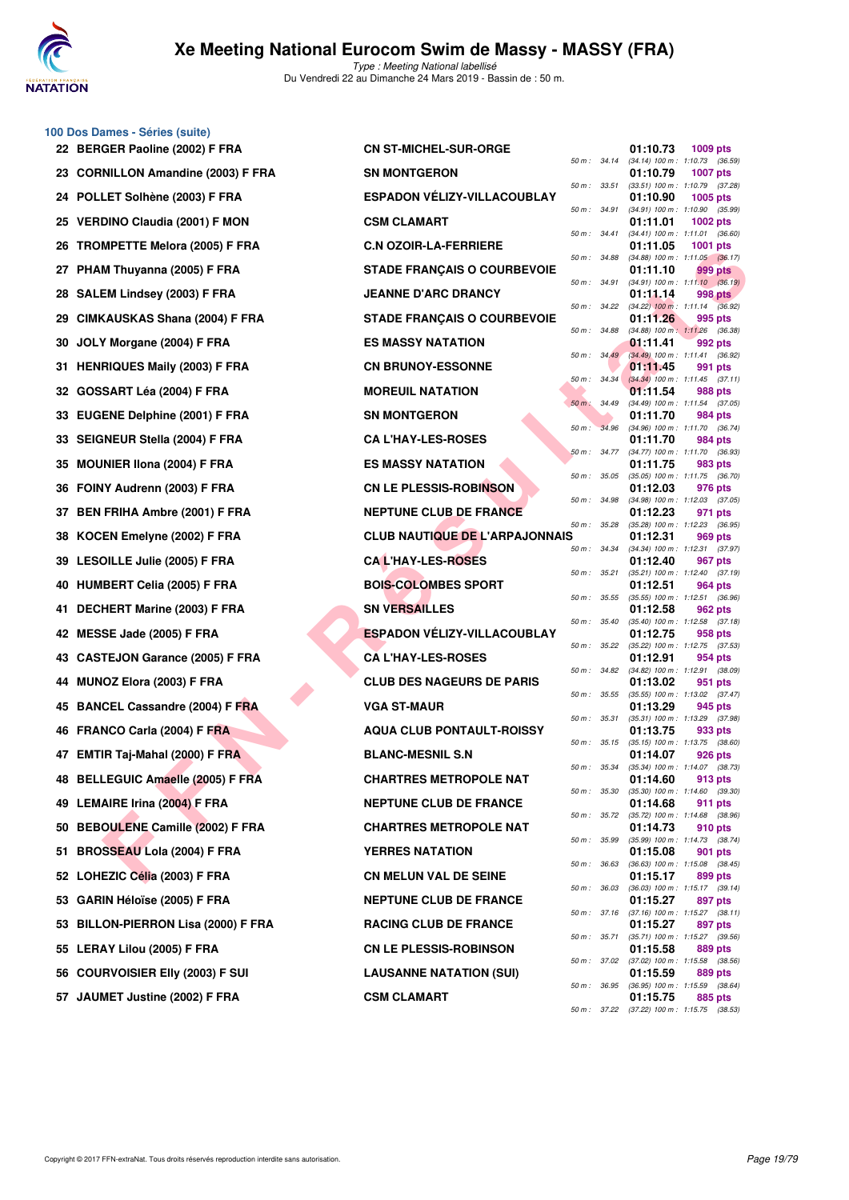

**100 Dos Dames - Séries (suite)**

|     | 22 BERGER Paoline (2002) F FRA       | <b>CN ST-MICHEL-SUR-ORGE</b>          |                  | 01:10.73<br>1009 pts                                                  |
|-----|--------------------------------------|---------------------------------------|------------------|-----------------------------------------------------------------------|
|     | 23 CORNILLON Amandine (2003) F FRA   | <b>SN MONTGERON</b>                   | 50 m: 34.14      | (34.14) 100 m: 1:10.73 (36.59)<br>01:10.79<br><b>1007 pts</b>         |
|     | POLLET Solhène (2003) F FRA          | <b>ESPADON VELIZY-VILLACOUBLAY</b>    | 50 m: 33.51      | (33.51) 100 m: 1:10.79 (37.28)<br>01:10.90<br>1005 pts                |
| 25  | <b>VERDINO Claudia (2001) F MON</b>  | <b>CSM CLAMART</b>                    | 50 m : 34.91     | (34.91) 100 m: 1:10.90 (35.99)<br>01:11.01<br>1002 pts                |
| 26  | <b>TROMPETTE Melora (2005) F FRA</b> | <b>C.N OZOIR-LA-FERRIERE</b>          | 50 m : 34.41     | (34.41) 100 m: 1:11.01 (36.60)<br>01:11.05<br><b>1001 pts</b>         |
| 27  | PHAM Thuyanna (2005) F FRA           | <b>STADE FRANÇAIS O COURBEVOIE</b>    | 50 m : 34.88     | $(34.88)$ 100 m : 1:11.05 $(36.17)$<br>01:11.10<br>999 pts            |
| 28  | SALEM Lindsey (2003) F FRA           | <b>JEANNE D'ARC DRANCY</b>            | 50 m : 34.91     | $(34.91)$ 100 m : 1:11.10 $(36.19)$<br>01:11.14<br>998 pts            |
| 29  | CIMKAUSKAS Shana (2004) F FRA        | <b>STADE FRANÇAIS O COURBEVOIE</b>    | 50 m: 34.22      | $(34.22)$ 100 m : 1:11.14 $(36.92)$<br>01:11.26<br>995 pts            |
|     | JOLY Morgane (2004) F FRA            | <b>ES MASSY NATATION</b>              | 50 m : 34.88     | $(34.88)$ 100 m : 1:11.26 $(36.38)$<br>01:11.41<br>992 pts            |
| 31  | <b>HENRIQUES Maily (2003) F FRA</b>  | <b>CN BRUNOY-ESSONNE</b>              | 50 m: 34.49      | (34.49) 100 m: 1:11.41 (36.92)<br>01:11.45<br>991 pts                 |
| 32  | GOSSART Léa (2004) F FRA             | <b>MOREUIL NATATION</b>               | $50 m$ : $34.34$ | $(34.34)$ 100 m : 1:11.45 $(37.11)$<br>01:11.54<br>988 pts            |
| 33  | <b>EUGENE Delphine (2001) F FRA</b>  | <b>SN MONTGERON</b>                   | 50 m : 34.49     | $(34.49)$ 100 m : 1:11.54 $(37.05)$<br>01:11.70<br>984 pts            |
| 33. | <b>SEIGNEUR Stella (2004) F FRA</b>  | <b>CA L'HAY-LES-ROSES</b>             | 50 m: 34.96      | (34.96) 100 m: 1:11.70 (36.74)<br>01:11.70<br>984 pts                 |
| 35  | <b>MOUNIER IIona (2004) F FRA</b>    | <b>ES MASSY NATATION</b>              | 50 m: 34.77      | $(34.77)$ 100 m : 1:11.70 $(36.93)$<br>01:11.75<br>983 pts            |
| 36. | FOINY Audrenn (2003) F FRA           | <b>CN LE PLESSIS-ROBINSON</b>         | 50 m : 35.05     | $(35.05)$ 100 m : 1:11.75 $(36.70)$<br>01:12.03<br>976 pts            |
| 37  | <b>BEN FRIHA Ambre (2001) F FRA</b>  | <b>NEPTUNE CLUB DE FRANCE</b>         | 50 m: 34.98      | $(34.98)$ 100 m : 1:12.03 $(37.05)$<br>01:12.23<br>971 pts            |
| 38  | KOCEN Emelyne (2002) F FRA           | <b>CLUB NAUTIQUE DE L'ARPAJONNAIS</b> | 50 m : 35.28     | (35.28) 100 m: 1:12.23 (36.95)<br>01:12.31<br>969 pts                 |
|     | 39 LESOILLE Julie (2005) F FRA       | <b>CAL'HAY-LES-ROSES</b>              | 50 m : 34.34     | (34.34) 100 m: 1:12.31 (37.97)<br>01:12.40<br>967 pts                 |
| 40  | <b>HUMBERT Celia (2005) F FRA</b>    | <b>BOIS-COLOMBES SPORT</b>            | 50 m : 35.21     | $(35.21)$ 100 m : 1:12.40 $(37.19)$<br>01:12.51<br>964 pts            |
| 41  | DECHERT Marine (2003) F FRA          | <b>SN VERSAILLES</b>                  | 50 m: 35.55      | $(35.55)$ 100 m : 1:12.51 $(36.96)$<br>01:12.58<br>962 pts            |
| 42  | MESSE Jade (2005) F FRA              | <b>ESPADON VÉLIZY-VILLACOUBLAY</b>    | 50 m : 35.40     | $(35.40)$ 100 m : 1:12.58 $(37.18)$<br>01:12.75<br>958 pts            |
| 43  | <b>CASTEJON Garance (2005) F FRA</b> | <b>CA L'HAY-LES-ROSES</b>             | 50 m: 35.22      | (35.22) 100 m: 1:12.75 (37.53)<br>01:12.91<br>954 pts                 |
| 44  | <b>MUNOZ Elora (2003) F FRA</b>      | <b>CLUB DES NAGEURS DE PARIS</b>      | 50 m : 34.82     | (34.82) 100 m : 1:12.91 (38.09)<br>01:13.02                           |
| 45  | <b>BANCEL Cassandre (2004) F FRA</b> | <b>VGA ST-MAUR</b>                    | 50 m : 35.55     | 951 pts<br>$(35.55)$ 100 m : 1:13.02 $(37.47)$<br>01:13.29<br>945 pts |
|     |                                      | <b>AQUA CLUB PONTAULT-ROISSY</b>      | 50 m : 35.31     | (35.31) 100 m: 1:13.29 (37.98)<br>01:13.75                            |
| 46  | FRANCO Carla (2004) F FRA            |                                       | 50 m : 35.15     | 933 pts<br>$(35.15)$ 100 m : 1:13.75 $(38.60)$                        |
| 47  | <b>EMTIR Taj-Mahal (2000) F FRA</b>  | <b>BLANC-MESNIL S.N</b>               | 50 m : 35.34     | 01:14.07<br><b>926 pts</b><br>(35.34) 100 m: 1:14.07 (38.73)          |
|     | 48 BELLEGUIC Amaelle (2005) F FRA    | <b>CHARTRES METROPOLE NAT</b>         | 50 m : 35.30     | 01:14.60<br>913 pts<br>$(35.30)$ 100 m : 1:14.60 $(39.30)$            |
|     | 49 LEMAIRE Irina (2004) F FRA        | <b>NEPTUNE CLUB DE FRANCE</b>         | 50 m : 35.72     | 01:14.68<br>911 pts<br>$(35.72)$ 100 m : 1:14.68 $(38.96)$            |
|     | 50 BEBOULENE Camille (2002) F FRA    | <b>CHARTRES METROPOLE NAT</b>         | 50 m : 35.99     | 01:14.73<br>910 pts<br>$(35.99)$ 100 m : 1:14.73 $(38.74)$            |
| 51  | <b>BROSSEAU Lola (2004) F FRA</b>    | <b>YERRES NATATION</b>                | 50 m : 36.63     | 01:15.08<br>901 pts<br>$(36.63)$ 100 m : 1:15.08 $(38.45)$            |
|     | 52 LOHEZIC Célia (2003) F FRA        | <b>CN MELUN VAL DE SEINE</b>          | 50 m : 36.03     | 01:15.17<br>899 pts<br>$(36.03)$ 100 m : 1:15.17 $(39.14)$            |
|     | 53 GARIN Héloïse (2005) F FRA        | <b>NEPTUNE CLUB DE FRANCE</b>         |                  | 01:15.27<br>897 pts<br>50 m: 37.16 (37.16) 100 m: 1:15.27 (38.11)     |
|     | 53 BILLON-PIERRON Lisa (2000) F FRA  | <b>RACING CLUB DE FRANCE</b>          | 50 m : 35.71     | 01:15.27<br>897 pts<br>$(35.71)$ 100 m : 1:15.27 $(39.56)$            |
|     | 55 LERAY Lilou (2005) F FRA          | <b>CN LE PLESSIS-ROBINSON</b>         | 50 m : 37.02     | 01:15.58<br>889 pts<br>(37.02) 100 m: 1:15.58 (38.56)                 |
| 56  | <b>COURVOISIER EIIy (2003) F SUI</b> | <b>LAUSANNE NATATION (SUI)</b>        |                  | 01:15.59<br>889 pts<br>50 m : 36.95 (36.95) 100 m : 1:15.59 (38.64)   |
|     | 57 JAUMET Justine (2002) F FRA       | <b>CSM CLAMART</b>                    |                  | 01:15.75<br>885 pts<br>50 m : 37.22 (37.22) 100 m : 1:15.75 (38.53)   |
|     |                                      |                                       |                  |                                                                       |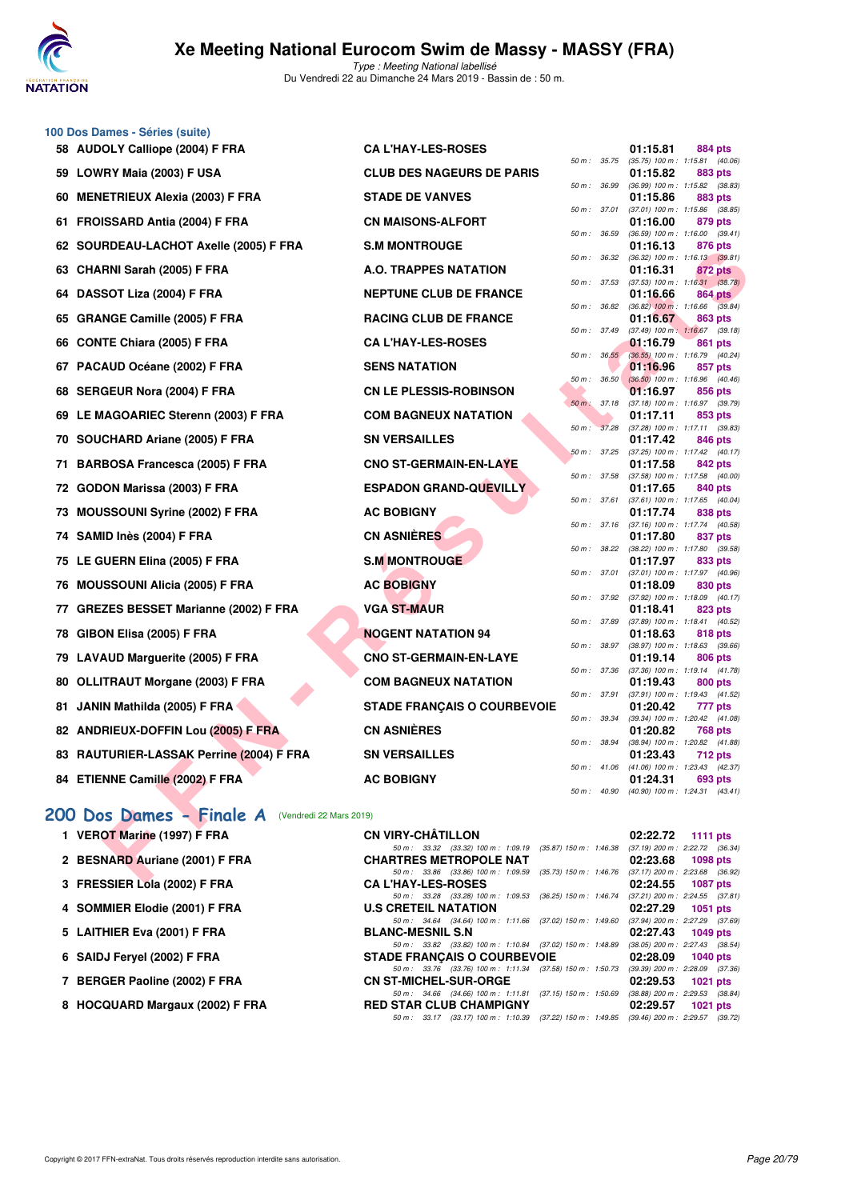

|     | 100 Dos Dames - Séries (suite)                      |                                                                                                                    |              |       |                                                          |                |  |
|-----|-----------------------------------------------------|--------------------------------------------------------------------------------------------------------------------|--------------|-------|----------------------------------------------------------|----------------|--|
|     | 58 AUDOLY Calliope (2004) F FRA                     | <b>CAL'HAY-LES-ROSES</b>                                                                                           |              |       | 01:15.81                                                 | 884 pts        |  |
|     | 59 LOWRY Maia (2003) F USA                          | <b>CLUB DES NAGEURS DE PARIS</b>                                                                                   | 50 m : 35.75 |       | $(35.75)$ 100 m : 1:15.81 $(40.06)$<br>01:15.82          | 883 pts        |  |
| 60  | <b>MENETRIEUX Alexia (2003) F FRA</b>               | <b>STADE DE VANVES</b>                                                                                             | 50 m : 36.99 |       | (36.99) 100 m: 1:15.82 (38.83)<br>01:15.86               | 883 pts        |  |
|     | 61 FROISSARD Antia (2004) F FRA                     | <b>CN MAISONS-ALFORT</b>                                                                                           | 50 m : 37.01 |       | (37.01) 100 m: 1:15.86 (38.85)<br>01:16.00               | 879 pts        |  |
|     | 62 SOURDEAU-LACHOT Axelle (2005) F FRA              | <b>S.M MONTROUGE</b>                                                                                               | 50 m : 36.59 |       | $(36.59)$ 100 m : 1:16.00 $(39.41)$<br>01:16.13          | 876 pts        |  |
|     | 63 CHARNI Sarah (2005) F FRA                        | A.O. TRAPPES NATATION                                                                                              | 50 m: 36.32  |       | $(36.32)$ 100 m : 1:16.13 $(39.81)$<br>01:16.31          | 872 pts        |  |
|     |                                                     | <b>NEPTUNE CLUB DE FRANCE</b>                                                                                      | 50 m: 37.53  |       | $(37.53)$ 100 m : 1:16.31 $(38.78)$<br>01:16.66          |                |  |
| 64  | DASSOT Liza (2004) F FRA                            |                                                                                                                    | 50 m : 36.82 |       | $(36.82)$ 100 m : 1:16.66 $(39.84)$                      | 864 pts        |  |
|     | 65 GRANGE Camille (2005) F FRA                      | <b>RACING CLUB DE FRANCE</b>                                                                                       | 50 m : 37.49 |       | 01:16.67<br>$(37.49)$ 100 m : 1:16.67 $(39.18)$          | 863 pts        |  |
|     | 66 CONTE Chiara (2005) F FRA                        | <b>CA L'HAY-LES-ROSES</b>                                                                                          | 50 m: 36.55  |       | 01:16.79<br>(36.55) 100 m: 1:16.79 (40.24)               | 861 pts        |  |
|     | 67 PACAUD Océane (2002) F FRA                       | <b>SENS NATATION</b>                                                                                               | 50 m :       | 36.50 | 01:16.96<br>(36.50) 100 m: 1:16.96 (40.46)               | 857 pts        |  |
|     | 68 SERGEUR Nora (2004) F FRA                        | <b>CN LE PLESSIS-ROBINSON</b>                                                                                      |              |       | 01:16.97                                                 | 856 pts        |  |
| 69  | LE MAGOARIEC Sterenn (2003) F FRA                   | <b>COM BAGNEUX NATATION</b>                                                                                        | $50 m$ :     | 37.18 | (37.18) 100 m : 1:16.97 (39.79)<br>01:17.11              | 853 pts        |  |
|     | 70 SOUCHARD Ariane (2005) F FRA                     | <b>SN VERSAILLES</b>                                                                                               | 50 m: 37.28  |       | $(37.28)$ 100 m : 1:17.11 $(39.83)$<br>01:17.42          | 846 pts        |  |
| 71  | <b>BARBOSA Francesca (2005) F FRA</b>               | <b>CNO ST-GERMAIN-EN-LAYE</b>                                                                                      | 50 m: 37.25  |       | (37.25) 100 m: 1:17.42 (40.17)<br>01:17.58               | <b>842 pts</b> |  |
|     | 72 GODON Marissa (2003) F FRA                       | <b>ESPADON GRAND-QUEVILLY</b>                                                                                      | 50 m : 37.58 |       | $(37.58)$ 100 m : 1:17.58 $(40.00)$<br>01:17.65          | 840 pts        |  |
| 73  | <b>MOUSSOUNI Syrine (2002) F FRA</b>                | <b>AC BOBIGNY</b>                                                                                                  | 50 m : 37.61 |       | (37.61) 100 m: 1:17.65 (40.04)<br>01:17.74               | 838 pts        |  |
|     |                                                     |                                                                                                                    | 50 m: 37.16  |       | (37.16) 100 m: 1:17.74 (40.58)                           |                |  |
|     | 74 SAMID Inès (2004) F FRA                          | <b>CN ASNIÈRES</b>                                                                                                 | 50 m: 38.22  |       | 01:17.80<br>(38.22) 100 m : 1:17.80 (39.58)              | 837 pts        |  |
|     | 75 LE GUERN Elina (2005) F FRA                      | <b>S.M MONTROUGE</b>                                                                                               | 50 m : 37.01 |       | 01:17.97<br>(37.01) 100 m: 1:17.97 (40.96)               | 833 pts        |  |
| 76  | <b>MOUSSOUNI Alicia (2005) F FRA</b>                | <b>AC BOBIGNY</b>                                                                                                  | 50 m : 37.92 |       | 01:18.09<br>(37.92) 100 m: 1:18.09 (40.17)               | 830 pts        |  |
| 77. | <b>GREZES BESSET Marianne (2002) F FRA</b>          | <b>VGA ST-MAUR</b>                                                                                                 | 50 m : 37.89 |       | 01:18.41<br>(37.89) 100 m: 1:18.41 (40.52)               | 823 pts        |  |
|     | 78 GIBON Elisa (2005) F FRA                         | <b>NOGENT NATATION 94</b>                                                                                          |              |       | 01:18.63                                                 | 818 pts        |  |
|     | 79 LAVAUD Marguerite (2005) F FRA                   | <b>CNO ST-GERMAIN-EN-LAYE</b>                                                                                      | 50 m : 38.97 |       | (38.97) 100 m: 1:18.63 (39.66)<br>01:19.14               | 806 pts        |  |
|     | 80 OLLITRAUT Morgane (2003) F FRA                   | <b>COM BAGNEUX NATATION</b>                                                                                        | 50 m : 37.36 |       | $(37.36)$ 100 m : 1:19.14 $(41.78)$<br>01:19.43          | 800 pts        |  |
| 81. | JANIN Mathilda (2005) F FRA                         | <b>STADE FRANÇAIS O COURBEVOIE</b>                                                                                 | 50 m : 37.91 |       | (37.91) 100 m: 1:19.43 (41.52)<br>01:20.42               | 777 pts        |  |
|     | 82 ANDRIEUX-DOFFIN Lou (2005) F FRA                 | <b>CN ASNIÈRES</b>                                                                                                 | 50 m : 39.34 |       | (39.34) 100 m: 1:20.42 (41.08)<br>01:20.82               | 768 pts        |  |
|     | 83 RAUTURIER-LASSAK Perrine (2004) F FRA            | <b>SN VERSAILLES</b>                                                                                               | 50 m : 38.94 |       | (38.94) 100 m: 1:20.82 (41.88)                           |                |  |
|     |                                                     |                                                                                                                    |              |       | 01:23.43<br>50 m : 41.06 (41.06) 100 m : 1:23.43 (42.37) | 712 pts        |  |
|     | 84 ETIENNE Camille (2002) F FRA                     | <b>AC BOBIGNY</b>                                                                                                  |              |       | 01:24.31<br>50 m: 40.90 (40.90) 100 m: 1:24.31 (43.41)   | 693 pts        |  |
|     | 200 Dos Dames - Finale A<br>(Vendredi 22 Mars 2019) |                                                                                                                    |              |       |                                                          |                |  |
|     | 1 VEROT Marine (1997) F FRA                         | <b>CN VIRY-CHATILLON</b>                                                                                           |              |       | 02:22.72                                                 | 1111 pts       |  |
|     | 2 BESNARD Auriane (2001) F FRA                      | 50 m: 33.32 (33.32) 100 m: 1:09.19 (35.87) 150 m: 1:46.38<br><b>CHARTRES METROPOLE NAT</b>                         |              |       | (37.19) 200 m : 2:22.72 (36.34)<br>02:23.68              | 1098 pts       |  |
|     |                                                     | 50 m: 33.86 (33.86) 100 m: 1:09.59 (35.73) 150 m: 1:46.76 (37.17) 200 m: 2:23.68 (36.92)<br><b>CALUAVIEC DOCEC</b> |              |       | 00.04 EE                                                 | 4007           |  |

## **[200 Dos Dames - Finale A](http://www.ffnatation.fr/webffn/resultats.php?idact=nat&go=epr&idcpt=57649&idepr=13)** (Vendredi 22 Mars 2019)

| 1 VEROT Marine (1997) F FRA     | <b>CN VIRY-CHÂTILLON</b>                                                                 | $02:22.72$ 1111 pts                 |
|---------------------------------|------------------------------------------------------------------------------------------|-------------------------------------|
|                                 | 50 m: 33.32 (33.32) 100 m: 1:09.19 (35.87) 150 m: 1:46.38 (37.19) 200 m: 2:22.72 (36.34) |                                     |
| 2 BESNARD Auriane (2001) F FRA  | <b>CHARTRES METROPOLE NAT</b>                                                            | 02:23.68 1098 pts                   |
|                                 | 50 m: 33.86 (33.86) 100 m: 1:09.59 (35.73) 150 m: 1:46.76 (37.17) 200 m: 2:23.68 (36.92) |                                     |
| 3 FRESSIER Lola (2002) F FRA    | <b>CA L'HAY-LES-ROSES</b>                                                                | $02:24.55$ 1087 pts                 |
|                                 | 50 m : 33.28 (33.28) 100 m : 1:09.53 (36.25) 150 m : 1:46.74                             | $(37.21)$ 200 m : 2:24.55 $(37.81)$ |
| 4 SOMMIER Elodie (2001) F FRA   | <b>U.S CRETEIL NATATION</b>                                                              | $02:27.29$ 1051 pts                 |
|                                 | 50 m: 34.64 (34.64) 100 m: 1:11.66 (37.02) 150 m: 1:49.60 (37.94) 200 m: 2:27.29 (37.69) |                                     |
| 5 LAITHIER Eva (2001) F FRA     | <b>BLANC-MESNIL S.N</b>                                                                  | 02:27.43 1049 pts                   |
|                                 | 50 m: 33.82 (33.82) 100 m: 1:10.84 (37.02) 150 m: 1:48.89                                | $(38.05)$ 200 m : 2:27.43 $(38.54)$ |
| 6 SAIDJ Fervel (2002) F FRA     | <b>STADE FRANÇAIS O COURBEVOIE</b>                                                       | 02:28.09 1040 pts                   |
|                                 | 50 m: 33.76 (33.76) 100 m: 1:11.34 (37.58) 150 m: 1:50.73 (39.39) 200 m: 2:28.09 (37.36) |                                     |
| 7 BERGER Paoline (2002) F FRA   | <b>CN ST-MICHEL-SUR-ORGE</b>                                                             | 02:29.53 1021 pts                   |
|                                 | 50 m : 34.66 (34.66) 100 m : 1:11.81 (37.15) 150 m : 1:50.69                             | $(38.88)$ 200 m : 2:29.53 $(38.84)$ |
| 8 HOCQUARD Margaux (2002) F FRA | <b>RED STAR CLUB CHAMPIGNY</b>                                                           | $02:29.57$ 1021 pts                 |
|                                 | 50 m: 33.17 (33.17) 100 m: 1:10.39 (37.22) 150 m: 1:49.85 (39.46) 200 m: 2:29.57 (39.72) |                                     |
|                                 |                                                                                          |                                     |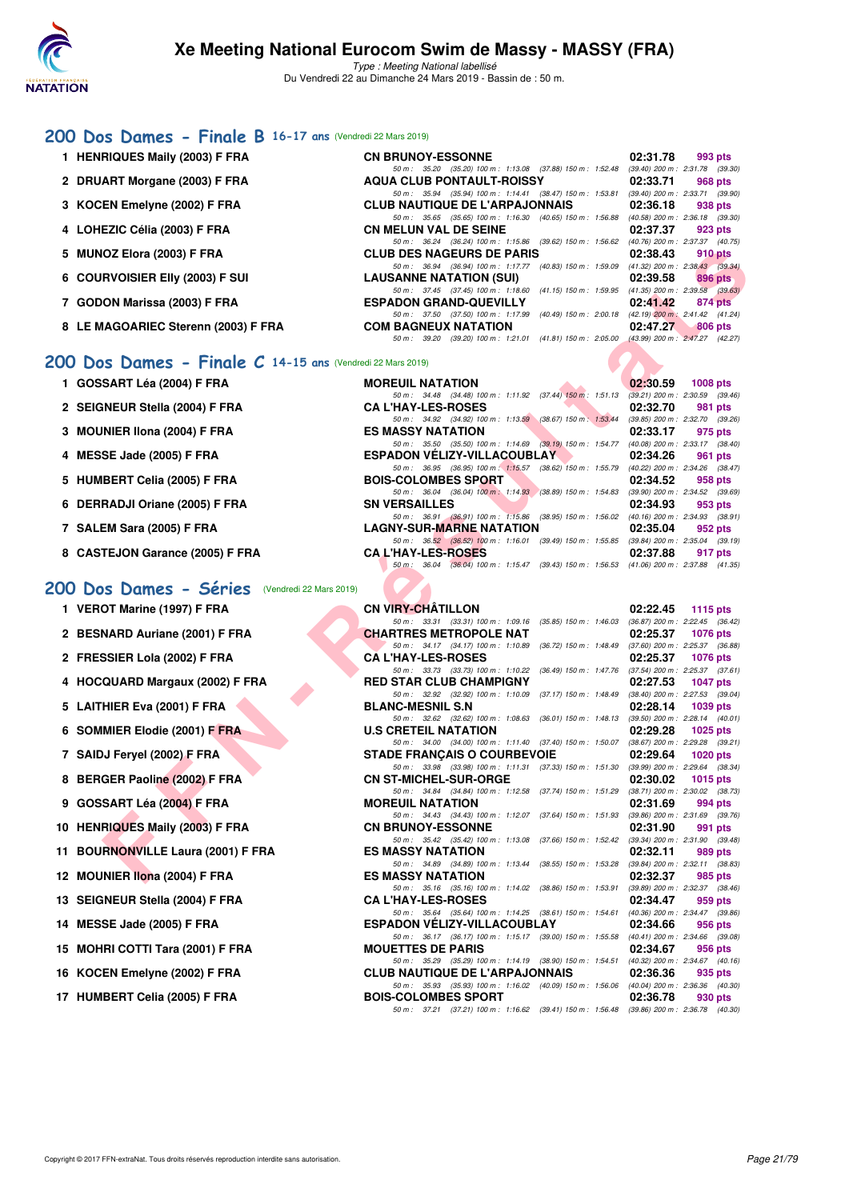

## **[200 Dos Dames - Finale B](http://www.ffnatation.fr/webffn/resultats.php?idact=nat&go=epr&idcpt=57649&idepr=13) 16-17 ans** (Vendredi 22 Mars 2019)

| 1 HENRIQUES Maily (2003) F FRA      | <b>CN BRUNOY-ESSONNE</b>                                                                                                                                 | 02:31.78                                                                             | 993 pts |  |
|-------------------------------------|----------------------------------------------------------------------------------------------------------------------------------------------------------|--------------------------------------------------------------------------------------|---------|--|
| 2 DRUART Morgane (2003) F FRA       | 50 m: 35.20 (35.20) 100 m: 1:13.08 (37.88) 150 m: 1:52.48<br><b>AQUA CLUB PONTAULT-ROISSY</b>                                                            | $(39.40)$ 200 m : 2:31.78 $(39.30)$<br>02:33.71                                      | 968 pts |  |
| 3 KOCEN Emelyne (2002) F FRA        | 50 m: 35.94 (35.94) 100 m: 1:14.41 (38.47) 150 m: 1:53.81<br><b>CLUB NAUTIQUE DE L'ARPAJONNAIS</b>                                                       | $(39.40)$ 200 m : 2:33.71 $(39.90)$<br>02:36.18                                      | 938 pts |  |
| 4 LOHEZIC Célia (2003) F FRA        | 50 m: 35.65 (35.65) 100 m: 1:16.30 (40.65) 150 m: 1:56.88<br><b>CN MELUN VAL DE SEINE</b>                                                                | $(40.58)$ 200 m : 2:36.18 $(39.30)$<br>02:37.37                                      | 923 pts |  |
| 5 MUNOZ Elora (2003) F FRA          | 50 m: 36.24 (36.24) 100 m: 1:15.86 (39.62) 150 m: 1:56.62<br><b>CLUB DES NAGEURS DE PARIS</b>                                                            | (40.76) 200 m : 2:37.37 (40.75)<br>02:38.43                                          | 910 pts |  |
| 6 COURVOISIER EIIv (2003) F SUI     | 50 m: 36.94 (36.94) 100 m: 1:17.77 (40.83) 150 m: 1:59.09<br><b>LAUSANNE NATATION (SUI)</b><br>50 m: 37.45 (37.45) 100 m: 1:18.60 (41.15) 150 m: 1:59.95 | $(41.32)$ 200 m : 2:38.43 (39.34)<br>02:39.58<br>$(41.35)$ 200 m : 2:39.58 $(39.63)$ | 896 pts |  |
| 7 GODON Marissa (2003) F FRA        | <b>ESPADON GRAND-QUEVILLY</b><br>50 m: 37.50 (37.50) 100 m: 1:17.99 (40.49) 150 m: 2:00.18 (42.19) 200 m; 2:41.42 (41.24)                                | 02:41.42 874 pts                                                                     |         |  |
| 8 LE MAGOARIEC Sterenn (2003) F FRA | <b>COM BAGNEUX NATATION</b><br>(39.20) 100 m: 1:21.01 (41.81) 150 m: 2:05.00 (43.99) 200 m: 2:47.27 (42.27)<br>50 m : 39.20                              | 02:47.27 806 pts                                                                     |         |  |
|                                     |                                                                                                                                                          |                                                                                      |         |  |

## **[200 Dos Dames - Finale C](http://www.ffnatation.fr/webffn/resultats.php?idact=nat&go=epr&idcpt=57649&idepr=13) 14-15 ans** (Vendredi 22 Mars 2019)

- 2 SEIGNEUR Stella (2004) F FRA
- **3 MOUNIER IIona (2004) F FRA**
- **4 MESSE Jade (2005) F FRA ESPADON VÉLIZY-VILLACOUBLAY 02:34.26 961 pts**
- 5 HUMBERT Celia (2005) F FRA
- **6 DERRADJI Oriane (2005) F FRA**
- **7 SALEM Sara (2005) F FRA**
- **8 CASTEJON Garance (2005) F FRA**

#### **[200 Dos Dames - Séries](http://www.ffnatation.fr/webffn/resultats.php?idact=nat&go=epr&idcpt=57649&idepr=13)** (Vendredi 22 Mars 2019)

- **1 VEROT Marine (1997) F FRA**
- 2 BESNARD Auriane (2001) F FRA
- 2 FRESSIER Lola (2002) F FRA
- **4 HOCQUARD Margaux (2002) F FRA**
- **5 LAITHIER Eva (2001) F FRA**
- **6 SOMMIER Elodie (2001) F FRA**
- **7 SAIDJ Feryel (2002) F FRA**
- **8 BERGER Paoline (2002) F FRA**
- **9 GOSSART Léa (2004) F FRA**
- 10 HENRIQUES Maily (2003) F FRA
- **11 BOURNONVILLE Laura (2001) F FRA**
- **12 MOUNIER Ilona (2004) F FRA**
- **13 SEIGNEUR Stella (2004) F FRA**
- 14 **MESSE Jade (2005) F FRA**
- **15 MOHRI COTTI Tara (2001) F FRA**
- 16 KOCEN Emelyne (2002) F FRA
- 17 HUMBERT Celia (2005) F FRA

| 1 GOSSART Léa (2004) F FRA      | <b>MOREUIL NATATION</b>   |                                                                                             | 02:30.59 | $1008$ pts                        |
|---------------------------------|---------------------------|---------------------------------------------------------------------------------------------|----------|-----------------------------------|
|                                 |                           | 50 m: 34.48 (34.48) 100 m: 1:11.92 (37.44) 150 m: 1:51.13                                   |          | $(39.21)$ 200 m : 2:30.59 (39.46) |
| 2 SEIGNEUR Stella (2004) F FRA  | <b>CA L'HAY-LES-ROSES</b> |                                                                                             | 02:32.70 | 981 pts                           |
|                                 |                           | 50 m : 34.92 (34.92) 100 m : 1:13.59 (38.67) 150 m : 1:53.44                                |          | (39.85) 200 m : 2:32.70 (39.26    |
| 3 MOUNIER IIona (2004) F FRA    | <b>ES MASSY NATATION</b>  |                                                                                             | 02:33.17 | 975 pts                           |
|                                 |                           | 50 m: 35.50 (35.50) 100 m: 1:14.69 (39.19) 150 m: 1:54.77                                   |          | (40.08) 200 m : 2:33.17 (38.40    |
| 4 MESSE Jade (2005) F FRA       |                           | <b>ESPADON VÉLIZY-VILLACOUBLAY</b>                                                          | 02:34.26 | 961 pts                           |
|                                 |                           | 50 m: 36.95 (36.95) 100 m: 1:15.57 (38.62) 150 m: 1:55.79                                   |          | (40.22) 200 m : 2:34.26 (38.47    |
| 5 HUMBERT Celia (2005) F FRA    |                           | <b>BOIS-COLOMBES SPORT</b>                                                                  | 02:34.52 | 958 pts                           |
|                                 |                           | 50 m : 36.04 (36.04) 100 m : 1:14.93 (38.89) 150 m : 1:54.83                                |          | (39.90) 200 m : 2:34.52 (39.69    |
| 6 DERRADJI Oriane (2005) F FRA  | <b>SN VERSAILLES</b>      |                                                                                             | 02:34.93 | 953 pts                           |
|                                 |                           | 50 m : 36.91 (36.91) 100 m : 1:15.86 (38.95) 150 m : 1:56.02                                |          | (40.16) 200 m : 2:34.93 (38.91    |
| 7 SALEM Sara (2005) F FRA       |                           | <b>LAGNY-SUR-MARNE NATATION</b>                                                             | 02:35.04 | 952 pts                           |
|                                 |                           | 50 m: 36.52 (36.52) 100 m: 1:16.01 (39.49) 150 m: 1:55.85 (39.84) 200 m: 2:35.04 (39.19     |          |                                   |
| 8 CASTEJON Garance (2005) F FRA | <b>CAL'HAY-LES-ROSES</b>  |                                                                                             | 02:37.88 | 917 pts                           |
|                                 |                           | 50 m : 36.04 (36.04) 100 m : 1:15.47 (39.43) 150 m : 1:56.53 (41.06) 200 m : 2:37.88 (41.35 |          |                                   |

| IOZ Elora (2003) F FRA                                 | <b>CLUB DES NAGEURS DE PARIS</b>                                                                                                   | 02:38.43<br><b>910 pts</b>                                 |
|--------------------------------------------------------|------------------------------------------------------------------------------------------------------------------------------------|------------------------------------------------------------|
| <b>RVOISIER EIIV (2003) F SUI</b>                      | 50 m: 36.94 (36.94) 100 m: 1:17.77 (40.83) 150 m: 1:59.09 (41.32) 200 m: 2:38.43 (39.34)<br><b>LAUSANNE NATATION (SUI)</b>         | 02:39.58<br>896 pts                                        |
|                                                        | 50 m: 37.45 (37.45) 100 m: 1:18.60 (41.15) 150 m: 1:59.95 (41.35) 200 m: 2:39.58 (39.63)                                           |                                                            |
| ON Marissa (2003) F FRA                                | <b>ESPADON GRAND-QUEVILLY</b><br>50 m: 37.50 (37.50) 100 m: 1:17.99 (40.49) 150 m: 2:00.18 (42.19) 200 m: 2:41.42 (41.24)          | 02:41.42<br>874 pts                                        |
| <b>IAGOARIEC Sterenn (2003) F FRA</b>                  | <b>COM BAGNEUX NATATION</b>                                                                                                        | 02:47.27<br><b>806 pts</b>                                 |
|                                                        | 50 m: 39.20 (39.20) 100 m: 1:21.01 (41.81) 150 m: 2:05.00 (43.99) 200 m: 2:47.27 (42.27)                                           |                                                            |
| S Dames - Finale $C$ 14-15 ans (Vendredi 22 Mars 2019) |                                                                                                                                    |                                                            |
| SART Léa (2004) F FRA                                  | <b>MOREUIL NATATION</b>                                                                                                            | 02:30.59<br>1008 pts                                       |
|                                                        | 50 m: 34.48 (34.48) 100 m: 1:11.92 (37.44) 150 m: 1:51.13 (39.21) 200 m: 2:30.59 (39.46)                                           |                                                            |
| INEUR Stella (2004) F FRA                              | <b>CA L'HAY-LES-ROSES</b><br>50 m: 34.92 (34.92) 100 m: 1:13.59 (38.67) 150 m: 1:53.44 (39.85) 200 m: 2:32.70 (39.26)              | 02:32.70<br>981 pts                                        |
| NIER IIona (2004) F FRA                                | <b>ES MASSY NATATION</b>                                                                                                           | 02:33.17<br>975 pts                                        |
|                                                        | 50 m: 35.50 (35.50) 100 m: 1:14.69 (39.19) 150 m: 1:54.77 (40.08) 200 m: 2:33.17 (38.40)                                           |                                                            |
| SE Jade (2005) F FRA                                   | <b>ESPADON VELIZY-VILLACOUBLAY</b><br>50 m : 36.95 (36.95) 100 m : 1:15.57 (38.62) 150 m : 1:55.79 (40.22) 200 m : 2:34.26 (38.47) | 02:34.26<br>961 pts                                        |
| BERT Celia (2005) F FRA                                | <b>BOIS-COLOMBES SPORT</b>                                                                                                         | 02:34.52<br>958 pts                                        |
|                                                        | 50 m: 36.04 (36.04) 100 m: 1:14.93 (38.89) 150 m: 1:54.83 (39.90) 200 m: 2:34.52 (39.69)                                           |                                                            |
| RADJI Oriane (2005) F FRA                              | <b>SN VERSAILLES</b>                                                                                                               | 02:34.93<br>953 pts                                        |
| EM Sara (2005) F FRA                                   | 50 m: 36.91 (36.91) 100 m: 1:15.86 (38.95) 150 m: 1:56.02 (40.16) 200 m: 2:34.93 (38.91)<br><b>LAGNY-SUR-MARNE NATATION</b>        | 02:35.04<br>952 pts                                        |
|                                                        | 50 m: 36.52 (36.52) 100 m: 1:16.01 (39.49) 150 m: 1:55.85 (39.84) 200 m: 2:35.04 (39.19)                                           |                                                            |
| TEJON Garance (2005) F FRA                             | <b>CAL'HAY-LES-ROSES</b>                                                                                                           | 02:37.88<br>917 pts                                        |
|                                                        | 50 m: 36.04 (36.04) 100 m: 1:15.47 (39.43) 150 m: 1:56.53 (41.06) 200 m: 2:37.88 (41.35)                                           |                                                            |
| <b>S Dames - Séries</b> (Vendredi 22 Mars 2019)        |                                                                                                                                    |                                                            |
| OT Marine (1997) F FRA                                 | <b>CN VIRY-CHATILLON</b>                                                                                                           | 02:22.45<br>1115 $pts$                                     |
|                                                        | 50 m: 33.31 (33.31) 100 m: 1:09.16 (35.85) 150 m: 1:46.03 (36.87) 200 m: 2:22.45 (36.42)                                           |                                                            |
| NARD Auriane (2001) F FRA                              | <b>CHARTRES METROPOLE NAT</b>                                                                                                      | 02:25.37<br>1076 pts                                       |
|                                                        | 50 m: 34.17 (34.17) 100 m: 1:10.89 (36.72) 150 m: 1:48.49 (37.60) 200 m: 2:25.37 (36.88)<br><b>CA L'HAY-LES-ROSES</b>              | 02:25.37                                                   |
| SSIER Lola (2002) F FRA                                | 50 m: 33.73 (33.73) 100 m: 1:10.22 (36.49) 150 m: 1:47.76 (37.54) 200 m: 2:25.37 (37.61)                                           | <b>1076 pts</b>                                            |
| QUARD Margaux (2002) F FRA                             | <b>RED STAR CLUB CHAMPIGNY</b>                                                                                                     | 02:27.53<br>1047 pts                                       |
|                                                        | 50 m: 32.92 (32.92) 100 m: 1:10.09 (37.17) 150 m: 1:48.49 (38.40) 200 m: 2:27.53 (39.04)                                           |                                                            |
| HIER Eva (2001) F FRA                                  | <b>BLANC-MESNIL S.N</b><br>50 m: 32.62 (32.62) 100 m: 1:08.63 (36.01) 150 m: 1:48.13 (39.50) 200 m: 2:28.14 (40.01)                | 02:28.14<br>1039 pts                                       |
| <b>MIER Elodie (2001) F FRA</b>                        | <b>U.S CRETEIL NATATION</b>                                                                                                        | 02:29.28<br>1025 $p$ ts                                    |
|                                                        | 50 m: 34.00 (34.00) 100 m: 1:11.40 (37.40) 150 m: 1:50.07 (38.67) 200 m: 2:29.28 (39.21)                                           |                                                            |
| JJ Feryel (2002) F FRA                                 | <b>STADE FRANCAIS O COURBEVOIE</b><br>50 m: 33.98 (33.98) 100 m: 1:11.31 (37.33) 150 m: 1:51.30 (39.99) 200 m: 2:29.64 (38.34)     | 02:29.64<br>1020 $pts$                                     |
| GER Paoline (2002) F FRA                               | <b>CN ST-MICHEL-SUR-ORGE</b>                                                                                                       | 02:30.02<br>1015 $pts$                                     |
|                                                        | 50 m: 34.84 (34.84) 100 m: 1:12.58 (37.74) 150 m: 1:51.29 (38.71) 200 m: 2:30.02 (38.73)                                           |                                                            |
| SART Léa (2004) F FRA                                  | <b>MOREUIL NATATION</b>                                                                                                            | 02:31.69<br>994 pts                                        |
| RIQUES Maily (2003) F FRA                              | 50 m: 34.43 (34.43) 100 m: 1:12.07 (37.64) 150 m: 1:51.93 (39.86) 200 m: 2:31.69 (39.76)<br><b>CN BRUNOY-ESSONNE</b>               | 02:31.90<br>991 pts                                        |
|                                                        | 50 m: 35.42 (35.42) 100 m: 1:13.08 (37.66) 150 m: 1:52.42 (39.34) 200 m: 2:31.90 (39.48)                                           |                                                            |
| RNONVILLE Laura (2001) F FRA                           | <b>ES MASSY NATATION</b>                                                                                                           | 02:32.11<br>989 pts                                        |
| <b>INIER Ilona (2004) F FRA</b>                        | 50 m: 34.89 (34.89) 100 m: 1:13.44 (38.55) 150 m: 1:53.28 (39.84) 200 m: 2:32.11 (38.83)<br><b>ES MASSY NATATION</b>               | 02:32.37<br>985 pts                                        |
|                                                        | 50 m: 35.16 (35.16) 100 m: 1:14.02 (38.86) 150 m: 1:53.91 (39.89) 200 m: 2:32.37 (38.46)                                           |                                                            |
| <b>INEUR Stella (2004) F FRA</b>                       | <b>CA L'HAY-LES-ROSES</b>                                                                                                          | 02:34.47<br>959 pts                                        |
| SE Jade (2005) F FRA                                   | 50 m: 35.64 (35.64) 100 m: 1:14.25 (38.61) 150 m: 1:54.61<br><b>ESPADON VELIZY-VILLACOUBLAY</b>                                    | (40.36) 200 m : 2:34.47 (39.86)<br>02:34.66<br>956 pts     |
|                                                        | 50 m: 36.17 (36.17) 100 m: 1:15.17 (39.00) 150 m: 1:55.58                                                                          | $(40.41)$ 200 m : 2:34.66 $(39.08)$                        |
| IRI COTTI Tara (2001) F FRA                            | <b>MOUETTES DE PARIS</b>                                                                                                           | 02:34.67<br>956 pts                                        |
|                                                        | 50 m : 35.29 (35.29) 100 m : 1:14.19 (38.90) 150 m : 1:54.51                                                                       | $(40.32)$ 200 m : 2:34.67 $(40.16)$                        |
| EN Emelyne (2002) F FRA                                | <b>CLUB NAUTIQUE DE L'ARPAJONNAIS</b><br>50 m : 35.93 (35.93) 100 m : 1:16.02 (40.09) 150 m : 1:56.06                              | 02:36.36<br>935 pts<br>$(40.04)$ 200 m : 2:36.36 $(40.30)$ |
| IBERT Celia (2005) F FRA                               | <b>BOIS-COLOMBES SPORT</b>                                                                                                         | 02:36.78<br>930 pts                                        |
|                                                        | 50 m: 37.21 (37.21) 100 m: 1:16.62 (39.41) 150 m: 1:56.48 (39.86) 200 m: 2:36.78 (40.30)                                           |                                                            |
|                                                        |                                                                                                                                    |                                                            |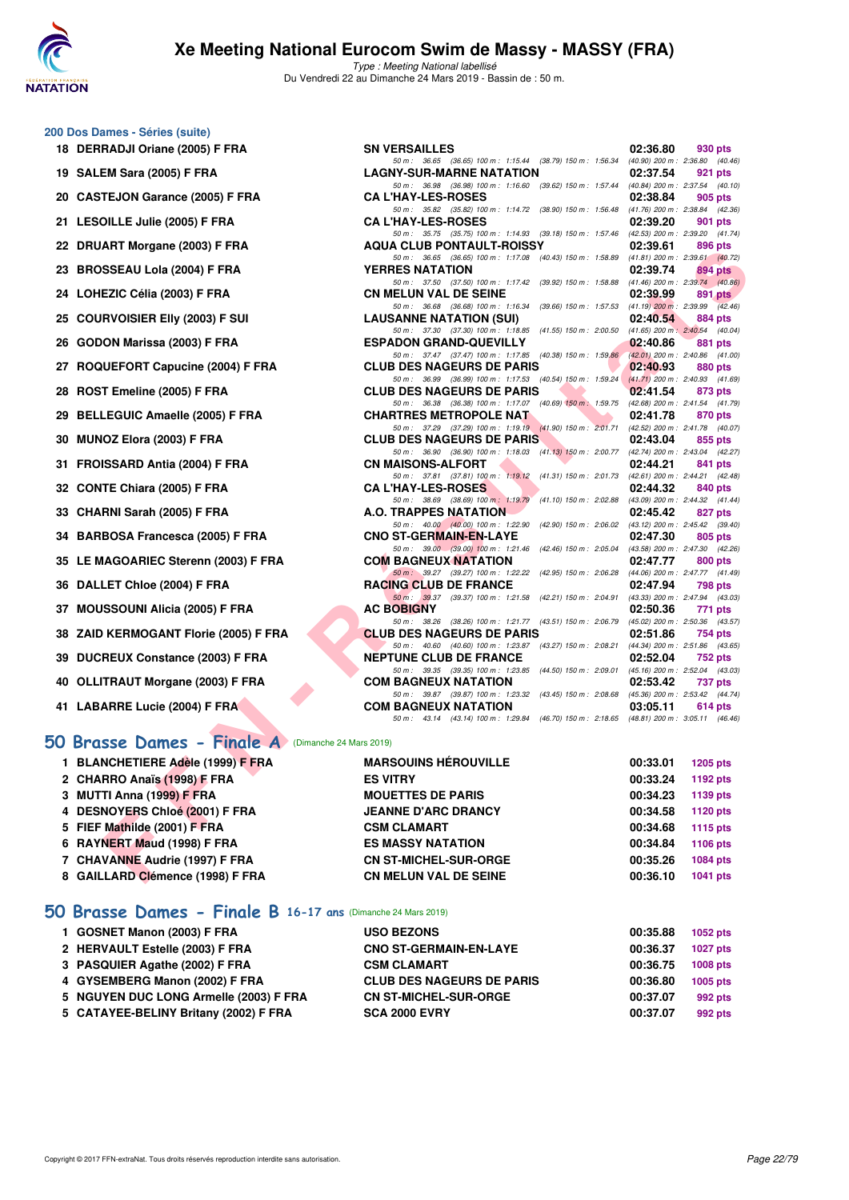

Type : Meeting National labellisé Du Vendredi 22 au Dimanche 24 Mars 2019 - Bassin de : 50 m.

50 m : 36.65 (36.65) 100 m : 1:15.44 (38.79) 150 m : 1:56.34 (40.90) 200 m : 2:36.80 (40.4<br>**NY-SUR-MARNE NATATION** 02:37.54 921 pts

50 m : 35.82 (35.82) 100 m : 1:14.72 (38.90) 150 m : 1:56.48 (41.76) 200 m : 2:38.84 (42.36)

50 m : 35.75 (35.75) 100 m : 1:14.93 (39.18) 150 m : 1:57.46 (42.53) 200 m : 2:39.20 (41.74)<br>**4 CLUB PONTAULT-ROISSY** 02:39.61 896 pts

50 m: 36.98 (36.98) 100 m: 1:16.60 (39.62) 150 m: 1:57.44 (40.84) 200 m: 2:37.54 (40.10) CA L'HAY-LES-ROSES 02:38.84

#### **200 Dos Dames - Séries (suite)**

- **18 DERRADJI Oriane (2005) F FRA** SN VERSAILLES **18.680 02:36.80 930 pts**<br> **SOM:** 36.65 (36.65) 100 m: 1:15.44 (38.79) 150 m: 1:56.34 (40.90) 200 m: 2:36.80 (40.46)
- **19 SALEM Sara (2005) F FRA** LAGNY-SUR-MARNE NATATION 02:37.54 921 pts<br>  $\frac{50 \text{ m}}{50 \text{ m}}$ , 36.98 (36.98) 100 m; 1:16.60 (39.62) 150 m; 1:57.44 (40.84) 200 m; 2:37.54 (40.10)
- 20 CASTEJON Garance (2005) F FRA
- **21 LESOILLE Julie (2005) F FRA CA L'HAY-LES-ROSES 02:39.20 901 pts**
- **22 DRUART Morgane (2003) F FRA AQUA CLUB PONTAULT-ROISSY 02:39.61 896 pts 22:39.61 896 pts 640.42) 22:39.61 896 pts 640.42) 696 pts 640.42 660 pts 640.42 660 pts 640.42 660 pts 640.42 6**
- **23 BROSSEAU Lola (2004) F FRA YERRES NATATION 02:39.74 894 pts**
- **24 LOHEZIC Célia (2003) F FRA** CN MELUN VAL DE SEINE 02:39.99 891 pts<br>  $\frac{50 \text{ m} \times 36.68}{50 \text{ m} \times 36.68}$  (36.68) 100 m i 1:16.34 (39.66) 150 m i 1:57.53 (41.19.200 m i 2:39.99 (42.46)
- **25 COURVOISIER EIIY (2003) F SUI LAUSANNE NATATION (SUI) 02:40.54 884 pts**<br> **25 COURVOISIER EIIY (2003) F SUI 11.625 69 12.30 100m**: 1:18.85 **(41.55)** 150m: 2:00.50 **(41.65)** 200m; 2:40.54 **(40.04)**
- **26 GODON Marissa (2003) F FRA ESPADON GRAND-QUEVILLY 02:40.86 881 pts**
- **27 ROQUEFORT Capucine (2004) F FRA** CLUB DES NAGEURS DE PARIS **150 m** 1:55.24 (41.71) 200 m : 2:40.93 (41.69)
- **28 ROST Emeline (2005) F FRA** CLUB DES NAGEURS DE PARIS **02:41.54 873 pts**<br>50 m : 36.38 (36.38) 100 m : 1:17.07 (40.69) 150 m : 1:59.75 (42.68) 200 m : 2:41.54 (41.
- **29 BELLEGUIC Amaelle (2005) F FRA CHARTRES METROPOLE NAT 02:41.78 870 pts**<br> **29 87.19.19 02:41.78 670 pts**<br> **29 87.19.19 19.19 11.90 150 m**: 201.71 **142.52 200 m: 241.78 44.90**
- **30 MUNOZ Elora (2003) F FRA** CLUB DES NAGEURS DE PARIS 02:43.04 855 pts<br>  $\frac{50 \text{ m} \cdot 36.90 \times 190 \text{ m}}{50 \text{ m} \cdot 36.90 \times 100 \text{ m} \cdot 1:18.03 \times 41.131 \times 150 \text{ m} \cdot 2.00.77}$  (42.74) 200 m; 2:43.04 (42.27)
- **31 FROISSARD Antia (2004) F FRA CN MAISONS-ALFORT 02:44.21 02:44.21 841 pts**<br> **50 m**: 37.81 (37.81) 100 m; 1:19.12 (41.31) 150 m: 201.73 (42.61) 200 m: 2:421 (42.48)
- **32 CONTE Chiara (2005) F FRA CA L'HAY-LES-ROSES 02:44.32 840 pts**
- **33 CHARNI Sarah (2005) F FRA A.O. TRAPPES NATATION 02:45.42 827 pts**<br> **50 m:** 40.00 **40.00 100 m:** 1:22.90 **44.000 100 m:** 1:22.90 **44.000 150 m: 2:06.02 43.12 200 m: 2:45.42 39.40**
- **34 BARBOSA Francesca (2005) F FRA** CNO ST-GERMAIN-EN-LAYE 02:47.30 805 pts<br>  $\frac{50 \text{ m} \cdot 39.00 \times 127.46}{50 \text{ m} \cdot 39.00 \times 127.46 \times 142.46}$  (42.46) 150 m : 2:05.04 (43.58) 200 m : 2:47.30 (42.26)
- **35 LE MAGOARIEC Sterenn (2003) F FRA** COM BAGNEUX NATATION 02:47.77 800 pts<br>50 m = 39.27 (39.27) 100 m = 1:22.22 (42.95) 150 m = 2:06.28 (44.06) 200 m = 2:47.77 (41.49)
- **36 DALLET Chloe (2004) F FRA RACING CLUB DE FRANCE 02:47.94 798 pts**
- **37 MOUSSOUNI Alicia (2005) F FRA AC BOBIGNY 02:50.36 771 pts**
- **38 ZAID KERMOGANT Florie (2005) F FRA CLUB DES NAGEURS DE PARIS 02:51.86 754 pts**
- **39 DUCREUX Constance (2003) F FRA NEPTUNE CLUB DE FRANCE 02:52.04 752 pts**
- **40 OLLITRAUT Morgane (2003) F FRA COM BAGNEUX NATATION 02:53.42 737 pts**<br> **60 m**: 39.87 (39.87) 100 m: 1:23.32 (43.45) 150 m: 2:08.68 (45.36) 200 m: 2:342 (44.74)
- **41 LABARRE Lucie (2004) F FRA COM BAGNEUX NATATION 03:05.11 614 pts**

### **[50 Brasse Dames - Finale A](http://www.ffnatation.fr/webffn/resultats.php?idact=nat&go=epr&idcpt=57649&idepr=21)** (Dimanche 24 Mars 2019)

| ZZ DRUANI MUIYAIIE (ZUUJ) F FRA                   | NGOA CLUB FONTAULT-NOISST                                                                                                    | <b>UZ.JJ.UI</b> | ່ວວບ ນເວ        |
|---------------------------------------------------|------------------------------------------------------------------------------------------------------------------------------|-----------------|-----------------|
| 23 BROSSEAU Lola (2004) F FRA                     | 50 m: 36.65 (36.65) 100 m: 1:17.08 (40.43) 150 m: 1:58.89 (41.81) 200 m: 2:39.61 (40.72)<br><b>YERRES NATATION</b>           | 02:39.74        | 894 pts         |
|                                                   | 50 m: 37.50 (37.50) 100 m: 1:17.42 (39.92) 150 m: 1:58.88 (41.46) 200 m: 2:39.74 (40.86)                                     |                 |                 |
| 24 LOHEZIC Célia (2003) F FRA                     | <b>CN MELUN VAL DE SEINE</b>                                                                                                 | 02:39.99        | 891 pts         |
|                                                   | 50 m: 36.68 (36.68) 100 m: 1:16.34 (39.66) 150 m: 1:57.53 (41.19) 200 m: 2:39.99 (42.46)                                     |                 |                 |
| 25 COURVOISIER EIIy (2003) F SUI                  | <b>LAUSANNE NATATION (SUI)</b><br>50 m: 37.30 (37.30) 100 m: 1:18.85 (41.55) 150 m: 2:00.50 (41.65) 200 m: 2:40.54 (40.04)   | 02:40.54        | 884 pts         |
| 26 GODON Marissa (2003) F FRA                     | <b>ESPADON GRAND-QUEVILLY</b>                                                                                                | 02:40.86        | 881 pts         |
|                                                   | 50 m: 37.47 (37.47) 100 m: 1:17.85 (40.38) 150 m: 1:59.86 (42.01) 200 m: 2:40.86 (41.00)                                     |                 |                 |
| 27 ROQUEFORT Capucine (2004) F FRA                | <b>CLUB DES NAGEURS DE PARIS</b>                                                                                             | 02:40.93        | 880 pts         |
|                                                   | 50 m: 36.99 (36.99) 100 m: 1:17.53 (40.54) 150 m: 1:59.24 (41.71) 200 m: 2:40.93 (41.69)                                     |                 |                 |
| 28 ROST Emeline (2005) F FRA                      | <b>CLUB DES NAGEURS DE PARIS</b><br>50 m: 36.38 (36.38) 100 m: 1:17.07 (40.69) 150 m: 1:59.75 (42.68) 200 m: 2:41.54 (41.79) | 02:41.54        | 873 pts         |
| 29 BELLEGUIC Amaelle (2005) F FRA                 | <b>CHARTRES METROPOLE NAT</b>                                                                                                | 02:41.78        | 870 pts         |
|                                                   | 50 m: 37.29 (37.29) 100 m: 1:19.19 (41.90) 150 m: 2:01.71 (42.52) 200 m: 2:41.78 (40.07)                                     |                 |                 |
| 30 MUNOZ Elora (2003) F FRA                       | <b>CLUB DES NAGEURS DE PARIS</b>                                                                                             | 02:43.04        | 855 pts         |
|                                                   | 50 m: 36.90 (36.90) 100 m: 1:18.03 (41.13) 150 m: 2:00.77 (42.74) 200 m: 2:43.04 (42.27)                                     |                 |                 |
| 31 FROISSARD Antia (2004) F FRA                   | <b>CN MAISONS-ALFORT</b>                                                                                                     | 02:44.21        | 841 pts         |
| 32 CONTE Chiara (2005) F FRA                      | 50 m: 37.81 (37.81) 100 m: 1:19.12 (41.31) 150 m: 2:01.73 (42.61) 200 m: 2:44.21 (42.48)<br><b>CA L'HAY-LES-ROSES</b>        | 02:44.32        | 840 pts         |
|                                                   | 50 m: 38.69 (38.69) 100 m: 1:19.79 (41.10) 150 m: 2:02.88 (43.09) 200 m: 2:44.32 (41.44)                                     |                 |                 |
| 33 CHARNI Sarah (2005) F FRA                      | <b>A.O. TRAPPES NATATION</b>                                                                                                 | 02:45.42        | 827 pts         |
|                                                   | 50 m: 40.00 (40.00) 100 m: 1:22.90 (42.90) 150 m: 2:06.02 (43.12) 200 m: 2:45.42 (39.40)                                     |                 |                 |
| 34 BARBOSA Francesca (2005) F FRA                 | <b>CNO ST-GERMAIN-EN-LAYE</b><br>50 m: 39.00 (39.00) 100 m: 1:21.46 (42.46) 150 m: 2:05.04 (43.58) 200 m: 2:47.30 (42.26)    | 02:47.30        | 805 pts         |
| 35 LE MAGOARIEC Sterenn (2003) F FRA              | <b>COM BAGNEUX NATATION</b>                                                                                                  | 02:47.77        | 800 pts         |
|                                                   | 50 m: 39.27 (39.27) 100 m: 1:22.22 (42.95) 150 m: 2:06.28 (44.06) 200 m: 2:47.77 (41.49)                                     |                 |                 |
| 36 DALLET Chloe (2004) F FRA                      | RACING CLUB DE FRANCE                                                                                                        | 02:47.94        | <b>798 pts</b>  |
|                                                   | 50 m: 39.37 (39.37) 100 m: 1:21.58 (42.21) 150 m: 2:04.91 (43.33) 200 m: 2:47.94 (43.03)                                     |                 |                 |
| 37 MOUSSOUNI Alicia (2005) F FRA                  | <b>AC BOBIGNY</b>                                                                                                            | 02:50.36        | 771 pts         |
| 38 ZAID KERMOGANT Florie (2005) F FRA             | 50 m: 38.26 (38.26) 100 m: 1:21.77 (43.51) 150 m: 2:06.79 (45.02) 200 m: 2:50.36 (43.57)<br><b>CLUB DES NAGEURS DE PARIS</b> | 02:51.86        | 754 pts         |
|                                                   | 50 m: 40.60 (40.60) 100 m: 1:23.87 (43.27) 150 m: 2:08.21 (44.34) 200 m: 2:51.86 (43.65)                                     |                 |                 |
| 39 DUCREUX Constance (2003) F FRA                 | <b>NEPTUNE CLUB DE FRANCE</b>                                                                                                | 02:52.04        | 752 pts         |
|                                                   | 50 m: 39.35 (39.35) 100 m: 1:23.85 (44.50) 150 m: 2:09.01 (45.16) 200 m: 2:52.04 (43.03)                                     |                 |                 |
| 40 OLLITRAUT Morgane (2003) F FRA                 | <b>COM BAGNEUX NATATION</b>                                                                                                  | 02:53.42        | 737 pts         |
|                                                   | 50 m: 39.87 (39.87) 100 m: 1:23.32 (43.45) 150 m: 2:08.68 (45.36) 200 m: 2:53.42 (44.74)                                     |                 |                 |
| 41 LABARRE Lucie (2004) F FRA                     | <b>COM BAGNEUX NATATION</b><br>50 m: 43.14 (43.14) 100 m: 1:29.84 (46.70) 150 m: 2:18.65 (48.81) 200 m: 3:05.11 (46.46)      | 03:05.11        | 614 pts         |
| O Brasse Dames - Finale A (Dimanche 24 Mars 2019) |                                                                                                                              |                 |                 |
| 1 BLANCHETIERE Adèle (1999) F FRA                 | <b>MARSOUINS HÉROUVILLE</b>                                                                                                  | 00:33.01        | $1205$ pts      |
|                                                   | <b>ES VITRY</b>                                                                                                              |                 |                 |
| 2 CHARRO Anaïs (1998) F FRA                       |                                                                                                                              | 00:33.24        | 1192 pts        |
| 3 MUTTI Anna (1999) F FRA                         | <b>MOUETTES DE PARIS</b>                                                                                                     | 00:34.23        | 1139 pts        |
| 4 DESNOYERS Chloé (2001) F FRA                    | <b>JEANNE D'ARC DRANCY</b>                                                                                                   | 00:34.58        | 1120 pts        |
| 5 FIEF Mathilde (2001) F FRA                      | <b>CSM CLAMART</b>                                                                                                           | 00:34.68        | <b>1115 pts</b> |
| 6 RAYNERT Maud (1998) F FRA                       | <b>ES MASSY NATATION</b>                                                                                                     | 00:34.84        | <b>1106 pts</b> |
| 7 CHAVANNE Audrie (1997) F FRA                    | <b>CN ST-MICHEL-SUR-ORGE</b>                                                                                                 | 00:35.26        | <b>1084 pts</b> |
| 8 GAILLARD Clémence (1998) F FRA                  | <b>CN MELUN VAL DE SEINE</b>                                                                                                 | 00:36.10        | <b>1041 pts</b> |
|                                                   |                                                                                                                              |                 |                 |

#### **[50 Brasse Dames - Finale B](http://www.ffnatation.fr/webffn/resultats.php?idact=nat&go=epr&idcpt=57649&idepr=21) 16-17 ans** (Dimanche 24 Mars 2019)

| 1 GOSNET Manon (2003) F FRA            | <b>USO BEZONS</b>                | 00:35.88 | 1052 pts |
|----------------------------------------|----------------------------------|----------|----------|
| 2 HERVAULT Estelle (2003) F FRA        | <b>CNO ST-GERMAIN-EN-LAYE</b>    | 00:36.37 | 1027 pts |
| 3 PASQUIER Agathe (2002) F FRA         | <b>CSM CLAMART</b>               | 00:36.75 | 1008 pts |
| 4 GYSEMBERG Manon (2002) F FRA         | <b>CLUB DES NAGEURS DE PARIS</b> | 00:36.80 | 1005 pts |
| 5 NGUYEN DUC LONG Armelle (2003) F FRA | <b>CN ST-MICHEL-SUR-ORGE</b>     | 00:37.07 | 992 pts  |
| 5 CATAYEE-BELINY Britany (2002) F FRA  | <b>SCA 2000 EVRY</b>             | 00:37.07 | 992 pts  |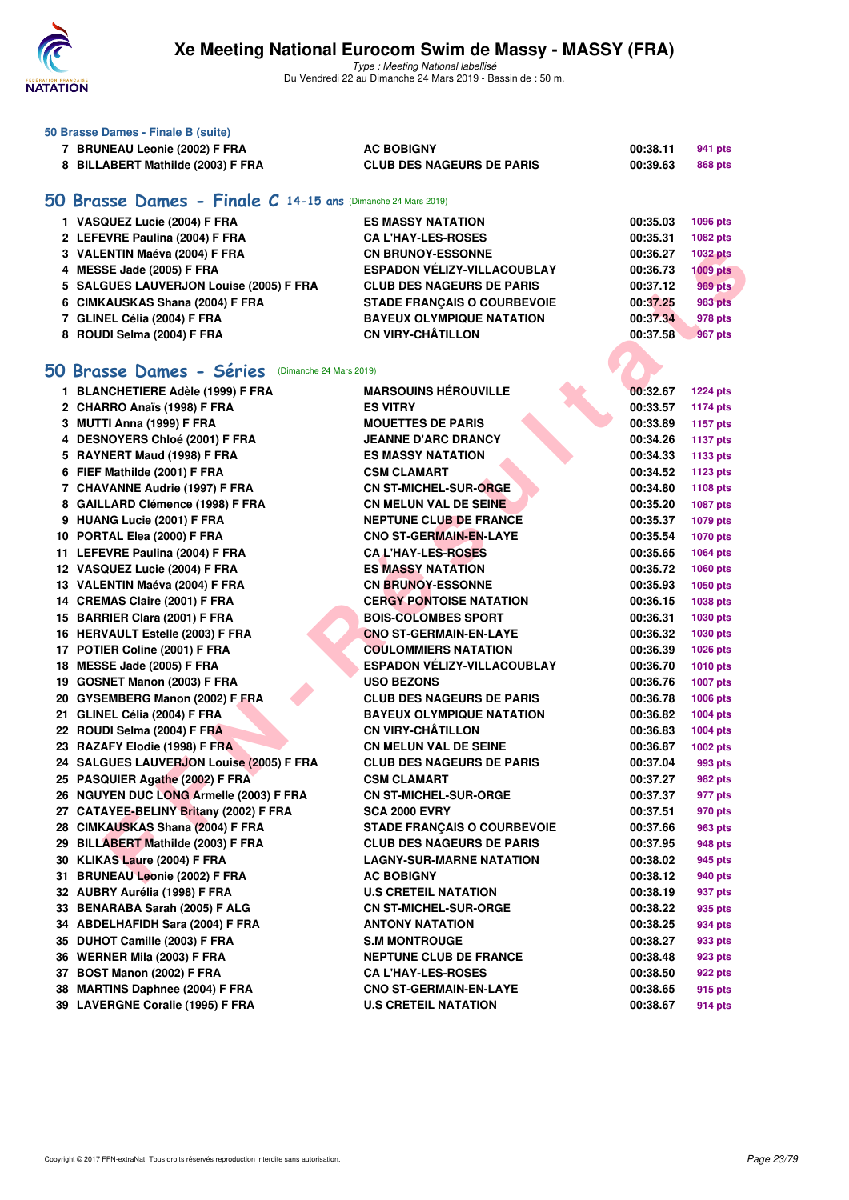

Type : Meeting National labellisé Du Vendredi 22 au Dimanche 24 Mars 2019 - Bassin de : 50 m.

|    | 50 Brasse Dames - Finale B (suite)                        |                                    |          |                 |
|----|-----------------------------------------------------------|------------------------------------|----------|-----------------|
|    | 7 BRUNEAU Leonie (2002) F FRA                             | <b>AC BOBIGNY</b>                  | 00:38.11 | 941 pts         |
|    | 8 BILLABERT Mathilde (2003) F FRA                         | <b>CLUB DES NAGEURS DE PARIS</b>   | 00:39.63 | <b>868 pts</b>  |
| 50 | Brasse Dames - Finale C 14-15 ans (Dimanche 24 Mars 2019) |                                    |          |                 |
|    | 1 VASQUEZ Lucie (2004) F FRA                              | <b>ES MASSY NATATION</b>           | 00:35.03 | 1096 pts        |
|    | 2 LEFEVRE Paulina (2004) F FRA                            | <b>CA L'HAY-LES-ROSES</b>          | 00:35.31 | 1082 pts        |
|    | 3 VALENTIN Maéva (2004) F FRA                             | <b>CN BRUNOY-ESSONNE</b>           | 00:36.27 | <b>1032 pts</b> |
|    | 4 MESSE Jade (2005) F FRA                                 | <b>ESPADON VÉLIZY-VILLACOUBLAY</b> | 00:36.73 | $1009$ pts      |
|    | 5 SALGUES LAUVERJON Louise (2005) F FRA                   | <b>CLUB DES NAGEURS DE PARIS</b>   | 00:37.12 | 989 pts         |
|    | 6 CIMKAUSKAS Shana (2004) F FRA                           | <b>STADE FRANCAIS O COURBEVOIE</b> | 00:37.25 | 983 pts         |
|    | 7 GLINEL Célia (2004) F FRA                               | <b>BAYEUX OLYMPIQUE NATATION</b>   | 00:37.34 | 978 pts         |
|    | 8 ROUDI Selma (2004) F FRA                                | <b>CN VIRY-CHÂTILLON</b>           | 00:37.58 | 967 pts         |
|    | 50 Brasse Dames - Séries (Dimanche 24 Mars 2019)          |                                    |          |                 |
|    |                                                           |                                    |          |                 |
|    | 1 BLANCHETIERE Adèle (1999) F FRA                         | <b>MARSOUINS HÉROUVILLE</b>        | 00:32.67 | <b>1224 pts</b> |
|    | 2 CHARRO Anaïs (1998) F FRA                               | <b>ES VITRY</b>                    | 00:33.57 | <b>1174 pts</b> |
|    | 3 MUTTI Anna (1999) F FRA                                 | <b>MOUETTES DE PARIS</b>           | 00:33.89 | <b>1157 pts</b> |
|    | 4 DESNOYERS Chloé (2001) F FRA                            | <b>JEANNE D'ARC DRANCY</b>         | 00:34.26 | <b>1137 pts</b> |
|    | 5 RAYNERT Maud (1998) F FRA                               | <b>ES MASSY NATATION</b>           | 00:34.33 | 1133 pts        |
|    | 6 FIEF Mathilde (2001) F FRA                              | <b>CSM CLAMART</b>                 | 00:34.52 | 1123 pts        |
|    | 7 CHAVANNE Audrie (1997) F FRA                            | <b>CN ST-MICHEL-SUR-ORGE</b>       | 00:34.80 | 1108 pts        |
|    | 8 GAILLARD Clémence (1998) F FRA                          | <b>CN MELUN VAL DE SEINE</b>       | 00:35.20 | <b>1087 pts</b> |
|    | 9 HUANG Lucie (2001) F FRA                                | <b>NEPTUNE CLUB DE FRANCE</b>      | 00:35.37 | 1079 pts        |
|    | 10 PORTAL Elea (2000) F FRA                               | <b>CNO ST-GERMAIN-EN-LAYE</b>      | 00:35.54 | <b>1070 pts</b> |
|    | 11 LEFEVRE Paulina (2004) F FRA                           | <b>CAL'HAY-LES-ROSES</b>           | 00:35.65 | 1064 pts        |
|    | 12 VASQUEZ Lucie (2004) F FRA                             | <b>ES MASSY NATATION</b>           | 00:35.72 | 1060 pts        |
|    | 13 VALENTIN Maéva (2004) F FRA                            | <b>CN BRUNOY-ESSONNE</b>           | 00:35.93 | 1050 pts        |
|    | 14 CREMAS Claire (2001) F FRA                             | <b>CERGY PONTOISE NATATION</b>     | 00:36.15 | 1038 pts        |
|    | 15 BARRIER Clara (2001) F FRA                             | <b>BOIS-COLOMBES SPORT</b>         | 00:36.31 | 1030 pts        |
|    | 16 HERVAULT Estelle (2003) F FRA                          | <b>CNO ST-GERMAIN-EN-LAYE</b>      | 00:36.32 | 1030 pts        |
|    | 17 POTIER Coline (2001) F FRA                             | <b>COULOMMIERS NATATION</b>        | 00:36.39 | 1026 pts        |
|    | 18 MESSE Jade (2005) F FRA                                | <b>ESPADON VÉLIZY-VILLACOUBLAY</b> | 00:36.70 | <b>1010 pts</b> |
|    | 19 GOSNET Manon (2003) F FRA                              | <b>USO BEZONS</b>                  | 00:36.76 | <b>1007 pts</b> |
|    | 20 GYSEMBERG Manon (2002) F FRA                           | <b>CLUB DES NAGEURS DE PARIS</b>   | 00:36.78 | 1006 pts        |
|    | 21 GLINEL Célia (2004) F FRA                              | <b>BAYEUX OLYMPIQUE NATATION</b>   | 00:36.82 | 1004 pts        |
|    | 22 ROUDI Selma (2004) F FRA                               | <b>CN VIRY-CHÂTILLON</b>           | 00:36.83 | 1004 pts        |
|    | 23 RAZAFY Elodie (1998) F FRA                             | <b>CN MELUN VAL DE SEINE</b>       | 00:36.87 | 1002 pts        |
|    | 24 SALGUES LAUVERJON Louise (2005) F FRA                  | <b>CLUB DES NAGEURS DE PARIS</b>   | 00:37.04 | 993 pts         |
|    | 25 PASQUIER Agathe (2002) F FRA                           | <b>CSM CLAMART</b>                 | 00:37.27 | 982 pts         |
|    | 26 NGUYEN DUC LONG Armelle (2003) F FRA                   | <b>CN ST-MICHEL-SUR-ORGE</b>       | 00:37.37 | 977 pts         |
|    | 27 CATAYEE-BELINY Britany (2002) F FRA                    | SCA 2000 EVRY                      | 00:37.51 | 970 pts         |
|    | 28 CIMKAUSKAS Shana (2004) F FRA                          | STADE FRANÇAIS O COURBEVOIE        | 00:37.66 | 963 pts         |
|    | 29 BILLABERT Mathilde (2003) F FRA                        | <b>CLUB DES NAGEURS DE PARIS</b>   | 00:37.95 | 948 pts         |
|    | 30 KLIKAS Laure (2004) F FRA                              | <b>LAGNY-SUR-MARNE NATATION</b>    | 00:38.02 | 945 pts         |
|    | 31 BRUNEAU Leonie (2002) F FRA                            | <b>AC BOBIGNY</b>                  | 00:38.12 | 940 pts         |

**28 CIMKAUSKAS Shana (2004) F FRA STADE FRANÇAIS O COURBEVOIE 00:37.66 963 pts 29 BILLABERT Mathilde (2003) F FRA CLUB DES NAGEURS DE PARIS 00:37.95 948 pts 30 KLIKAS Laure (2004) F FRA LAGNY-SUR-MARNE NATATION 00:38.02 945 pts 31 BRUNEAU Leonie (2002) F FRA AC BOBIGNY 00:38.12 940 pts 32 AUBRY Aurélia (1998) F FRA U.S CRETEIL NATATION 00:38.19 937 pts 33 BENARABA Sarah (2005) F ALG CN ST-MICHEL-SUR-ORGE 00:38.22 935 pts 34 ABDELHAFIDH Sara (2004) F FRA ANTONY NATATION 00:38.25 934 pts 35 DUHOT Camille (2003) F FRA S.M MONTROUGE 1993 PTS** 8.00:38.27 933 pts **36 WERNER Mila (2003) F FRA NEPTUNE CLUB DE FRANCE 00:38.48 923 pts 37 BOST Manon (2002) F FRA CA L'HAY-LES-ROSES 00:38.50 922 pts 38 MARTINS Daphnee (2004) F FRA CNO ST-GERMAIN-EN-LAYE 00:38.65 915 pts 39 LAVERGNE Coralie (1995) F FRA U.S CRETEIL NATATION 00:38.67 914 pts**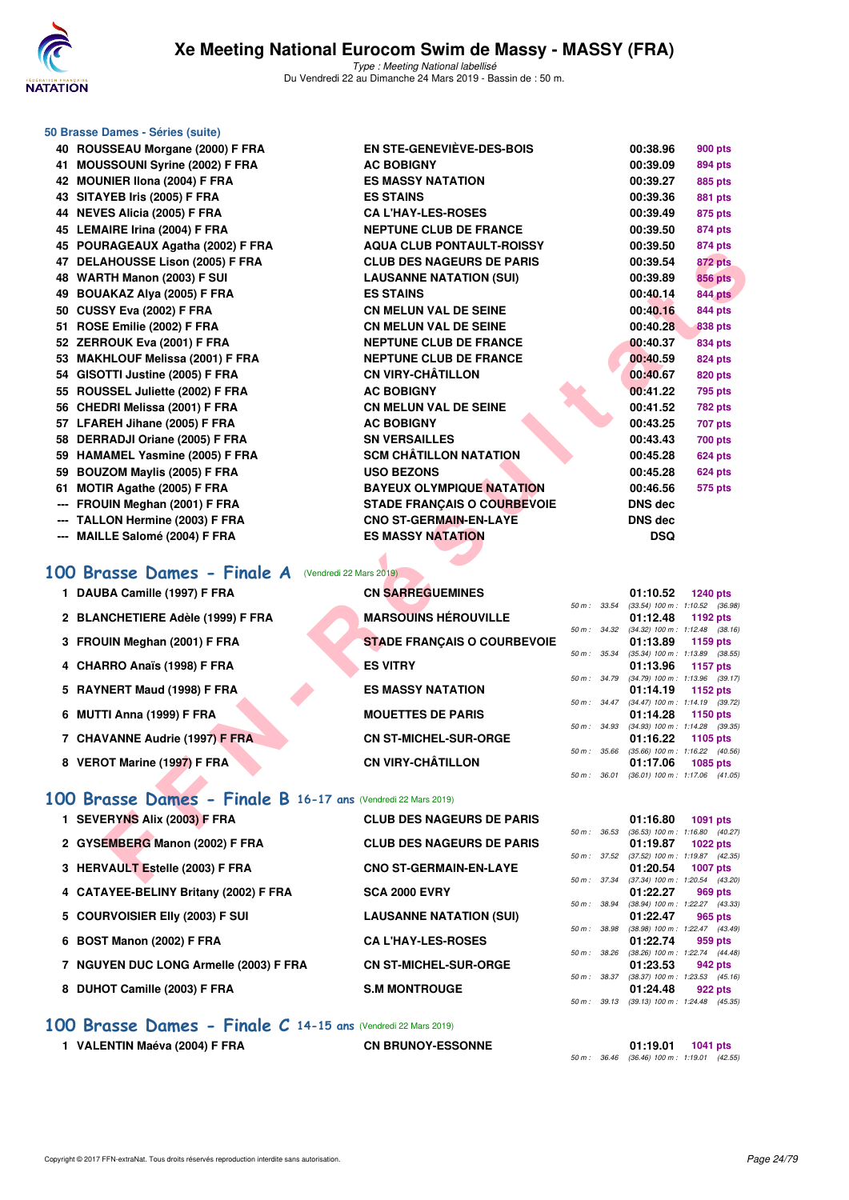

|     | 50 Brasse Dames - Séries (suite)                                   |                                                   |              |                                                        |                                                        |
|-----|--------------------------------------------------------------------|---------------------------------------------------|--------------|--------------------------------------------------------|--------------------------------------------------------|
|     | 40 ROUSSEAU Morgane (2000) F FRA                                   | EN STE-GENEVIÈVE-DES-BOIS                         |              | 00:38.96                                               | <b>900 pts</b>                                         |
|     | 41 MOUSSOUNI Syrine (2002) F FRA                                   | <b>AC BOBIGNY</b>                                 |              | 00:39.09                                               | 894 pts                                                |
|     | 42 MOUNIER IIona (2004) F FRA                                      | <b>ES MASSY NATATION</b>                          |              | 00:39.27                                               | 885 pts                                                |
|     | 43 SITAYEB Iris (2005) F FRA                                       | <b>ES STAINS</b>                                  |              | 00:39.36                                               | 881 pts                                                |
|     | 44 NEVES Alicia (2005) F FRA                                       | <b>CA L'HAY-LES-ROSES</b>                         |              | 00:39.49                                               | 875 pts                                                |
|     | 45 LEMAIRE Irina (2004) F FRA                                      | <b>NEPTUNE CLUB DE FRANCE</b>                     |              | 00:39.50                                               | 874 pts                                                |
|     | 45 POURAGEAUX Agatha (2002) F FRA                                  | <b>AQUA CLUB PONTAULT-ROISSY</b>                  |              | 00:39.50                                               | 874 pts                                                |
|     | 47 DELAHOUSSE Lison (2005) F FRA                                   | <b>CLUB DES NAGEURS DE PARIS</b>                  |              | 00:39.54                                               | 872 pts                                                |
|     | 48 WARTH Manon (2003) F SUI                                        | <b>LAUSANNE NATATION (SUI)</b>                    |              | 00:39.89                                               | <b>856 pts</b>                                         |
|     | 49 BOUAKAZ Alya (2005) F FRA                                       | <b>ES STAINS</b>                                  |              | 00:40.14                                               | <b>844 pts</b>                                         |
|     | 50 CUSSY Eva (2002) F FRA                                          | <b>CN MELUN VAL DE SEINE</b>                      |              | 00:40.16                                               | 844 pts                                                |
|     | 51 ROSE Emilie (2002) F FRA                                        | <b>CN MELUN VAL DE SEINE</b>                      |              | 00:40.28                                               | 838 pts                                                |
|     | 52 ZERROUK Eva (2001) F FRA                                        | <b>NEPTUNE CLUB DE FRANCE</b>                     |              | 00:40.37                                               | 834 pts                                                |
|     | 53 MAKHLOUF Melissa (2001) F FRA                                   | <b>NEPTUNE CLUB DE FRANCE</b>                     |              | 00:40.59                                               | 824 pts                                                |
|     | 54 GISOTTI Justine (2005) F FRA                                    | <b>CN VIRY-CHÂTILLON</b>                          |              | 00:40.67                                               | 820 pts                                                |
|     | 55 ROUSSEL Juliette (2002) F FRA                                   | <b>AC BOBIGNY</b>                                 |              | 00:41.22                                               | <b>795 pts</b>                                         |
|     | 56 CHEDRI Melissa (2001) F FRA                                     | <b>CN MELUN VAL DE SEINE</b><br><b>AC BOBIGNY</b> |              | 00:41.52                                               | <b>782 pts</b>                                         |
|     | 57 LFAREH Jihane (2005) F FRA                                      | <b>SN VERSAILLES</b>                              |              | 00:43.25                                               | 707 pts                                                |
|     | 58 DERRADJI Oriane (2005) F FRA<br>59 HAMAMEL Yasmine (2005) F FRA | <b>SCM CHÂTILLON NATATION</b>                     |              | 00:43.43<br>00:45.28                                   | <b>700 pts</b><br><b>624 pts</b>                       |
|     | 59 BOUZOM Maylis (2005) F FRA                                      | <b>USO BEZONS</b>                                 |              | 00:45.28                                               | <b>624 pts</b>                                         |
| 61  | <b>MOTIR Agathe (2005) F FRA</b>                                   | <b>BAYEUX OLYMPIQUE NATATION</b>                  |              | 00:46.56                                               | 575 pts                                                |
| --- | FROUIN Meghan (2001) F FRA                                         | <b>STADE FRANÇAIS O COURBEVOIE</b>                |              | DNS dec                                                |                                                        |
|     | TALLON Hermine (2003) F FRA                                        | <b>CNO ST-GERMAIN-EN-LAYE</b>                     |              | <b>DNS dec</b>                                         |                                                        |
| --- | <b>MAILLE Salomé (2004) F FRA</b>                                  | <b>ES MASSY NATATION</b>                          |              | <b>DSQ</b>                                             |                                                        |
|     |                                                                    |                                                   |              |                                                        |                                                        |
|     | 100 Brasse Dames - Finale A (Vendredi 22 Mars 2019)                |                                                   |              |                                                        |                                                        |
|     | 1 DAUBA Camille (1997) F FRA                                       | <b>CN SARREGUEMINES</b>                           |              | 01:10.52                                               | <b>1240 pts</b>                                        |
|     | 2 BLANCHETIERE Adèle (1999) F FRA                                  | <b>MARSOUINS HÉROUVILLE</b>                       | 50 m : 33.54 | 01:12.48                                               | $(33.54)$ 100 m : 1:10.52 $(36.98)$<br>1192 pts        |
|     |                                                                    |                                                   |              | 50 m: 34.32 (34.32) 100 m: 1:12.48 (38.16)             |                                                        |
|     | 3 FROUIN Meghan (2001) F FRA                                       | <b>STADE FRANÇAIS O COURBEVOIE</b>                |              | 01:13.89                                               | 1159 pts                                               |
|     | 4 CHARRO Anaïs (1998) F FRA                                        | <b>ES VITRY</b>                                   | 50 m : 35.34 | 01:13.96                                               | $(35.34)$ 100 m : 1:13.89 $(38.55)$<br><b>1157 pts</b> |
|     |                                                                    |                                                   |              | 50 m: 34.79 (34.79) 100 m: 1:13.96 (39.17)             |                                                        |
|     | 5 RAYNERT Maud (1998) F FRA                                        | <b>ES MASSY NATATION</b>                          |              | 01:14.19<br>50 m: 34.47 (34.47) 100 m: 1:14.19 (39.72) | 1152 pts                                               |
|     | 6 MUTTI Anna (1999) F FRA                                          | <b>MOUETTES DE PARIS</b>                          |              | 01:14.28                                               | 1150 pts                                               |
|     |                                                                    |                                                   | 50 m : 34.93 |                                                        | $(34.93)$ 100 m : 1:14.28 $(39.35)$                    |
|     | 7 CHAVANNE Audrie (1997) F FRA                                     | <b>CN ST-MICHEL-SUR-ORGE</b>                      | 50 m: 35.66  | 01:16.22                                               | 1105 pts<br>$(35.66)$ 100 m : 1:16.22 $(40.56)$        |
|     | 8 VEROT Marine (1997) F FRA                                        | <b>CN VIRY-CHÂTILLON</b>                          |              | 01:17.06 1085 pts                                      |                                                        |
|     |                                                                    |                                                   |              | 50 m: 36.01 (36.01) 100 m: 1:17.06 (41.05)             |                                                        |
|     | 100 Brasse Dames - Finale B 16-17 ans (Vendredi 22 Mars 2019)      |                                                   |              |                                                        |                                                        |
|     | 1 SEVERYNS Alix (2003) F FRA                                       | <b>CLUB DES NAGEURS DE PARIS</b>                  |              | 01:16.80                                               | 1091 pts                                               |
|     |                                                                    |                                                   |              | 50 m: 36.53 (36.53) 100 m: 1:16.80 (40.27)             |                                                        |
|     | 2 GYSEMBERG Manon (2002) F FRA                                     | <b>CLUB DES NAGEURS DE PARIS</b>                  |              | 01:19.87                                               | 1022 pts                                               |
|     | 3 HERVAULT Estelle (2003) F FRA                                    | <b>CNO ST-GERMAIN-EN-LAYE</b>                     |              | 50 m: 37.52 (37.52) 100 m: 1:19.87 (42.35)<br>01:20.54 | <b>1007 pts</b>                                        |
|     |                                                                    |                                                   |              | 50 m: 37.34 (37.34) 100 m: 1:20.54 (43.20)             |                                                        |

## **[100 Brasse Dames - Finale A](http://www.ffnatation.fr/webffn/resultats.php?idact=nat&go=epr&idcpt=57649&idepr=22)** (Vendredi 22 Mars 2019)

- 1 DAUBA Camille (1997) F FRA CN SARREGUEMINES
- 2 BLANCHETIERE Adèle (1999) F FRA MARSOUINS HÉROUVILLE
- **3 FROUIN Meghan (2001) F FRA STADE FRANÇAIS O COURBEVOIE**
- **4 CHARRO Anaïs (1998) F FRA ES VITRY**
- **5 RAYNERT Maud (1998) F FRA ES MASSY NATATION**
- **6 MUTTI Anna (1999) F FRA MOUETTES DE PARIS**
- 7 CHAVANNE Audrie (1997) F FRA CN ST-MICHEL-SUR-ORGE
- 8 VEROT Marine (1997) F FRA CN VIRY-CHÂTILLON

#### **[100 Brasse Dames - Finale B](http://www.ffnatation.fr/webffn/resultats.php?idact=nat&go=epr&idcpt=57649&idepr=22) 16-17 ans** (Vendredi 22 Mars 2019)

- 1 SEVERYNS Alix (2003) F FRA **CLUB DES NAGEURS DE PARIS**
- 2 GYSEMBERG Manon (2002) F FRA **CLUB DES NAGEURS DE PARIS**
- **3 HERVAULT Estelle (2003) F FRA CNO ST-GERMAIN-EN-LAYE 01:20.54 1007 pts**
- 4 CATAYEE-BELINY Britany (2002) F FRA SCA 2000 EVRY
- 5 COURVOISIER EIIy (2003) F SUI LAUSANNE NATATION (SUI)
- 6 BOST Manon (2002) F FRA CA L'HAY-LES-ROSES
- **7 NGUYEN DUC LONG Armelle (2003) F FRA CN ST-MICHEL-SUR-ORGE 01:23.53 942 pts**
- 8 DUHOT Camille (2003) F FRA S.M MONTROUGE

#### **[100 Brasse Dames - Finale C](http://www.ffnatation.fr/webffn/resultats.php?idact=nat&go=epr&idcpt=57649&idepr=22) 14-15 ans** (Vendredi 22 Mars 2019)

1 VALENTIN Maéva (2004) F FRA CN BRUNOY-ESSONNE

| EN STE-GENEVIÈVE-DES-BOIS          | 00:38.96       | <b>900 pts</b> |
|------------------------------------|----------------|----------------|
| <b>AC BOBIGNY</b>                  | 00:39.09       | <b>894 pts</b> |
| <b>ES MASSY NATATION</b>           | 00:39.27       | 885 pts        |
| <b>ES STAINS</b>                   | 00:39.36       | <b>881 pts</b> |
| <b>CAL'HAY-LES-ROSES</b>           | 00:39.49       | 875 pts        |
| <b>NEPTUNE CLUB DE FRANCE</b>      | 00:39.50       | 874 pts        |
| <b>AQUA CLUB PONTAULT-ROISSY</b>   | 00:39.50       | 874 pts        |
| <b>CLUB DES NAGEURS DE PARIS</b>   | 00:39.54       | 872 pts        |
| <b>LAUSANNE NATATION (SUI)</b>     | 00:39.89       | <b>856 pts</b> |
| <b>ES STAINS</b>                   | 00:40.14       | <b>844 pts</b> |
| <b>CN MELUN VAL DE SEINE</b>       | 00:40.16       | 844 pts        |
| <b>CN MELUN VAL DE SEINE</b>       | 00:40.28       | <b>838 pts</b> |
| <b>NEPTUNE CLUB DE FRANCE</b>      | 00:40.37       | <b>834 pts</b> |
| <b>NEPTUNE CLUB DE FRANCE</b>      | 00:40.59       | 824 pts        |
| <b>CN VIRY-CHÂTILLON</b>           | 00:40.67       | <b>820 pts</b> |
| <b>AC BOBIGNY</b>                  | 00:41.22       | <b>795 pts</b> |
| <b>CN MELUN VAL DE SEINE</b>       | 00:41.52       | <b>782 pts</b> |
| <b>AC BOBIGNY</b>                  | 00:43.25       | <b>707 pts</b> |
| <b>SN VERSAILLES</b>               | 00:43.43       | <b>700 pts</b> |
| <b>SCM CHÂTILLON NATATION</b>      | 00:45.28       | <b>624 pts</b> |
| <b>USO BEZONS</b>                  | 00:45.28       | 624 pts        |
| <b>BAYEUX OLYMPIQUE NATATION</b>   | 00:46.56       | 575 pts        |
| <b>STADE FRANÇAIS O COURBEVOIE</b> | <b>DNS</b> dec |                |
| <b>CNO ST-GERMAIN-EN-LAYE</b>      | <b>DNS</b> dec |                |
| <b>ES MASSY NATATION</b>           | <b>DSQ</b>     |                |
|                                    |                |                |

|          |       | 01:10.52          | <b>1240 pts</b>     |
|----------|-------|-------------------|---------------------|
| $50 m$ : | 33.54 | $(33.54) 100 m$ : | 1:10.52 (36.98)     |
|          |       | 01:12.48          | 1192 pts            |
| $50 m$ : | 34.32 | $(34.32)$ 100 m : | $1:12.48$ $(38.16)$ |
|          |       | 01:13.89          | 1159 pts            |
| $50 m$ : | 35.34 | $(35.34) 100 m$ : | 1:13.89 (38.55)     |
|          |       | 01:13.96          | <b>1157 pts</b>     |
| $50 m$ : | 34.79 | $(34.79)$ 100 m : | $1:13.96$ $(39.17)$ |
|          |       |                   |                     |
|          |       | 01:14.19          | 1152 pts            |
| $50 m$ : | 34.47 | $(34.47)$ 100 m : | $1:14.19$ (39.72)   |
|          |       | 01:14.28          | 1150 pts            |
| $50 m$ : | 34.93 | $(34.93)$ 100 m : | $1:14.28$ (39.35)   |
|          |       | 01:16.22          | 1105 pts            |
| $50 m$ : | 35.66 | $(35.66) 100 m$ : | $1:16.22$ $(40.56)$ |
|          |       | 01:17.06          | 1085 pts            |

|             |       | 01:16.80          | <b>1091 pts</b>     |
|-------------|-------|-------------------|---------------------|
| $50 m$ :    | 36.53 | $(36.53)$ 100 m : | $1:16.80$ $(40.27)$ |
|             |       | 01:19.87 1022 pts |                     |
| $50 m$ :    | 37.52 | $(37.52)$ 100 m : | 1:19.87 (42.35)     |
|             |       | 01:20.54          | 1007 pts            |
| $50 m$ :    | 37.34 | $(37.34) 100 m$ : | 1:20.54 (43.20)     |
|             |       | 01:22.27 969 pts  |                     |
| $50 m$ :    | 38.94 | $(38.94) 100 m$ : | 1:22.27 (43.33)     |
|             |       |                   |                     |
|             |       | 01:22.47          | 965 pts             |
| $50 m$ :    | 38.98 | $(38.98) 100 m$ : | 1:22.47 (43.49)     |
|             |       | 01:22.74          | 959 pts             |
| $50 m$ :    | 38.26 | $(38.26)$ 100 m : | 1:22.74 (44.48)     |
|             |       | 01:23.53          | 942 pts             |
| 50 m: 38.37 |       | $(38.37)$ 100 m : | $1:23.53$ $(45.16)$ |
|             |       | 01:24.48 922 pts  |                     |

|        | 01:19.01                              | <b>1041 pts</b> |  |
|--------|---------------------------------------|-----------------|--|
| 50 m : | 36.46 (36.46) 100 m : 1:19.01 (42.55) |                 |  |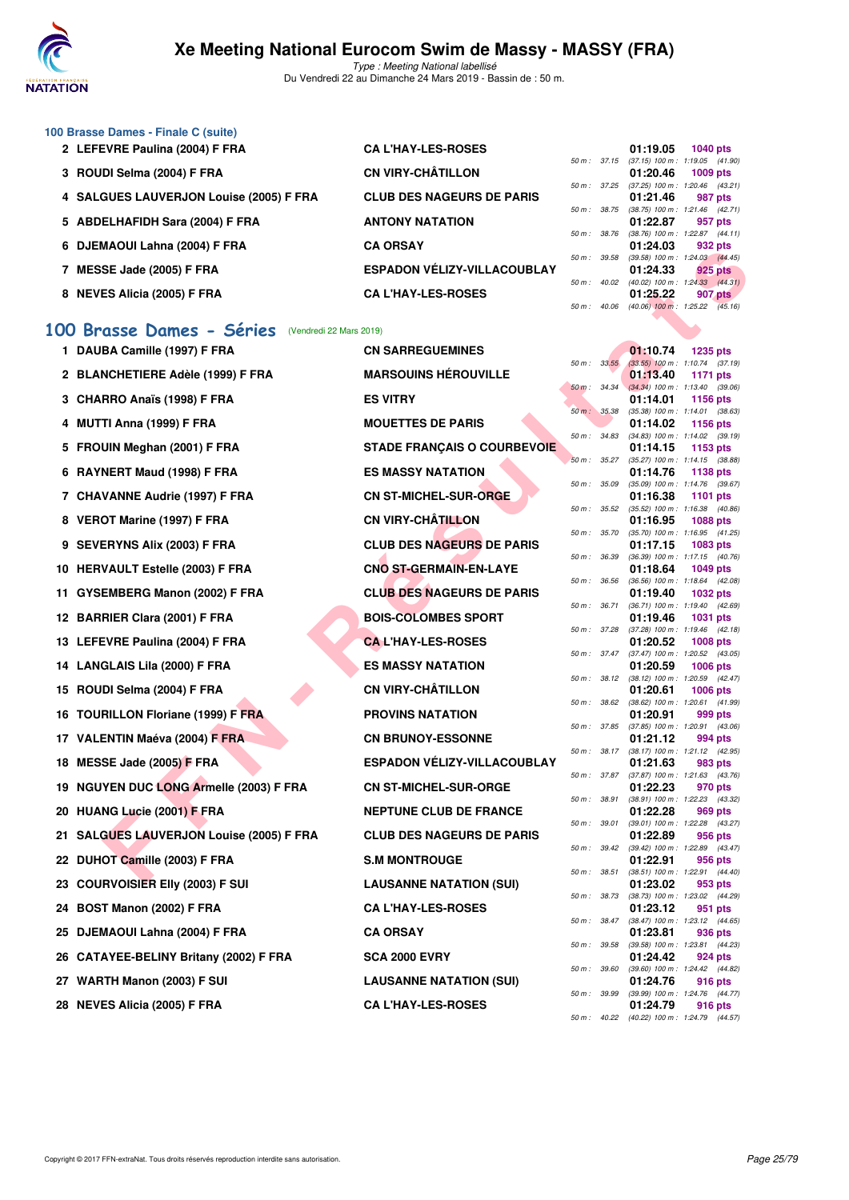

Type : Meeting National labellisé Du Vendredi 22 au Dimanche 24 Mars 2019 - Bassin de : 50 m.

| 100 Brasse Dames - Finale C (suite)                  |                                    |                  |                                     |                 |                |
|------------------------------------------------------|------------------------------------|------------------|-------------------------------------|-----------------|----------------|
| 2 LEFEVRE Paulina (2004) F FRA                       | <b>CAL'HAY-LES-ROSES</b>           |                  | 01:19.05                            | <b>1040 pts</b> |                |
|                                                      |                                    | 50 m: 37.15      | $(37.15)$ 100 m : 1:19.05 $(41.90)$ |                 |                |
| 3 ROUDI Selma (2004) F FRA                           | <b>CN VIRY-CHÂTILLON</b>           |                  | 01:20.46                            | $1009$ pts      |                |
|                                                      |                                    | 50 m: 37.25      | $(37.25)$ 100 m : 1:20.46 $(43.21)$ |                 |                |
| 4 SALGUES LAUVERJON Louise (2005) F FRA              | <b>CLUB DES NAGEURS DE PARIS</b>   |                  | 01:21.46                            |                 | 987 pts        |
|                                                      |                                    | 50 m : 38.75     | $(38.75)$ 100 m : 1:21.46 $(42.71)$ |                 |                |
| 5 ABDELHAFIDH Sara (2004) F FRA                      | <b>ANTONY NATATION</b>             |                  | 01:22.87                            |                 | 957 pts        |
|                                                      |                                    | $50 m$ : $38.76$ | $(38.76)$ 100 m : 1:22.87 $(44.11)$ |                 |                |
| 6 DJEMAOUI Lahna (2004) F FRA                        | <b>CA ORSAY</b>                    |                  | 01:24.03                            |                 | 932 pts        |
|                                                      |                                    | 50 m : 39.58     | $(39.58)$ 100 m : 1:24.03 $(44.45)$ |                 |                |
| MESSE Jade (2005) F FRA                              | <b>ESPADON VÉLIZY-VILLACOUBLAY</b> |                  | 01:24.33                            |                 | 925 pts        |
|                                                      |                                    | 50 m: 40.02      | $(40.02)$ 100 m : 1:24.33 $(44.31)$ |                 |                |
| <b>NEVES Alicia (2005) F FRA</b><br>8                | <b>CAL'HAY-LES-ROSES</b>           |                  | 01:25.22                            |                 | <b>907 pts</b> |
|                                                      |                                    | 50 m: 40.06      | $(40.06)$ 100 m : 1:25.22 $(45.16)$ |                 |                |
|                                                      |                                    |                  |                                     |                 |                |
| 100 Brasse Dames - Séries<br>(Vendredi 22 Mars 2019) |                                    |                  |                                     |                 |                |
|                                                      |                                    |                  |                                     |                 |                |

## **[100 Brasse Dames - Séries](http://www.ffnatation.fr/webffn/resultats.php?idact=nat&go=epr&idcpt=57649&idepr=22)** (Vendredi 22 Mars 2019)

|     | <b>DULIVAVUI LAIIIIA (ZUU+) F FRA</b>             |                                    |                  |              | 01. <del>41</del> .03 | อง4 pเจ                                                 |
|-----|---------------------------------------------------|------------------------------------|------------------|--------------|-----------------------|---------------------------------------------------------|
|     | 7 MESSE Jade (2005) F FRA                         | <b>ESPADON VELIZY-VILLACOUBLAY</b> |                  | 50 m : 39.58 | 01:24.33              | (39.58) 100 m: 1:24.03 (44.45)<br>925 pts               |
|     | 8 NEVES Alicia (2005) F FRA                       | <b>CA L'HAY-LES-ROSES</b>          |                  | 50 m: 40.02  | 01:25.22              | (40.02) 100 m : 1:24.33 (44.31)<br>907 pts              |
|     |                                                   |                                    |                  | 50 m : 40.06 |                       | $(40.06)$ 100 m : 1:25.22 $(45.16)$                     |
|     | 100 Brasse Dames - Séries (Vendredi 22 Mars 2019) |                                    |                  |              |                       |                                                         |
|     | 1 DAUBA Camille (1997) F FRA                      | <b>CN SARREGUEMINES</b>            |                  |              | 01:10.74              | <b>1235 pts</b>                                         |
|     | 2 BLANCHETIERE Adèle (1999) F FRA                 | <b>MARSOUINS HEROUVILLE</b>        | $50 m$ : $33.55$ |              | 01:13.40              | $(33.55)$ 100 m : 1:10.74 $(37.19)$<br>1171 pts         |
|     |                                                   |                                    |                  | 50 m: 34.34  |                       | $(34.34)$ 100 m : 1:13.40 $(39.06)$                     |
|     | 3 CHARRO Anaïs (1998) F FRA                       | <b>ES VITRY</b>                    | 50 m : 35.38     |              | 01:14.01              | <b>1156 pts</b><br>$(35.38)$ 100 m : 1:14.01 $(38.63)$  |
|     | 4 MUTTI Anna (1999) F FRA                         | <b>MOUETTES DE PARIS</b>           | 50 m : 34.83     |              | 01:14.02              | <b>1156 pts</b><br>(34.83) 100 m: 1:14.02 (39.19)       |
|     | 5 FROUIN Meghan (2001) F FRA                      | <b>STADE FRANÇAIS O COURBEVOIE</b> |                  |              | 01:14.15              | 1153 pts                                                |
|     | 6 RAYNERT Maud (1998) F FRA                       | <b>ES MASSY NATATION</b>           |                  | 50 m: 35.27  | 01:14.76              | (35.27) 100 m: 1:14.15 (38.88)<br>1138 pts              |
|     |                                                   | <b>CN ST-MICHEL-SUR-ORGE</b>       | 50 m : 35.09     |              |                       | (35.09) 100 m: 1:14.76 (39.67)                          |
|     | 7 CHAVANNE Audrie (1997) F FRA                    |                                    | 50 m: 35.52      |              | 01:16.38              | <b>1101 pts</b><br>(35.52) 100 m: 1:16.38 (40.86)       |
|     | 8 VEROT Marine (1997) F FRA                       | <b>CN VIRY-CHÂTILLON</b>           |                  | 50 m : 35.70 | 01:16.95              | 1088 pts<br>$(35.70)$ 100 m : 1:16.95 $(41.25)$         |
|     | 9 SEVERYNS Alix (2003) F FRA                      | <b>CLUB DES NAGEURS DE PARIS</b>   |                  |              | 01:17.15              | <b>1083 pts</b>                                         |
|     | 10 HERVAULT Estelle (2003) F FRA                  | <b>CNO ST-GERMAIN-EN-LAYE</b>      | 50 m : 36.39     |              | 01:18.64              | (36.39) 100 m: 1:17.15 (40.76)<br>1049 pts              |
|     |                                                   | <b>CLUB DES NAGEURS DE PARIS</b>   | 50 m : 36.56     |              |                       | (36.56) 100 m: 1:18.64 (42.08)                          |
|     | 11 GYSEMBERG Manon (2002) F FRA                   |                                    | 50 m : 36.71     |              | 01:19.40              | 1032 pts<br>(36.71) 100 m: 1:19.40 (42.69)              |
|     | 12 BARRIER Clara (2001) F FRA                     | <b>BOIS-COLOMBES SPORT</b>         | 50 m : 37.28     |              | 01:19.46              | 1031 pts<br>$(37.28)$ 100 m : 1:19.46 $(42.18)$         |
|     | 13 LEFEVRE Paulina (2004) F FRA                   | <b>CAL'HAY-LES-ROSES</b>           |                  |              | 01:20.52              | <b>1008 pts</b>                                         |
|     | 14 LANGLAIS Lila (2000) F FRA                     | <b>ES MASSY NATATION</b>           |                  | 50 m: 37.47  | 01:20.59              | (37.47) 100 m: 1:20.52 (43.05)<br><b>1006 pts</b>       |
| 15. | ROUDI Selma (2004) F FRA                          | <b>CN VIRY-CHÂTILLON</b>           |                  | 50 m : 38.12 | 01:20.61              | $(38.12)$ 100 m : 1:20.59 $(42.47)$<br><b>1006 pts</b>  |
|     |                                                   |                                    |                  | 50 m: 38.62  |                       | (38.62) 100 m: 1:20.61 (41.99)                          |
| 16. | <b>TOURILLON Floriane (1999) F FRA</b>            | <b>PROVINS NATATION</b>            |                  | 50 m : 37.85 | 01:20.91              | 999 pts<br>(37.85) 100 m : 1:20.91 (43.06)              |
|     | 17 VALENTIN Maéva (2004) F FRA                    | <b>CN BRUNOY-ESSONNE</b>           |                  | 50 m : 38.17 | 01:21.12              | 994 pts<br>(38.17) 100 m: 1:21.12 (42.95)               |
|     | 18 MESSE Jade (2005) F FRA                        | <b>ESPADON VELIZY-VILLACOUBLAY</b> |                  |              | 01:21.63              | 983 pts                                                 |
|     | 19 NGUYEN DUC LONG Armelle (2003) F FRA           | <b>CN ST-MICHEL-SUR-ORGE</b>       |                  | 50 m : 37.87 | 01:22.23              | $(37.87)$ 100 m : 1:21.63 $(43.76)$<br>970 pts          |
|     | <b>HUANG Lucie (2001) F FRA</b>                   | <b>NEPTUNE CLUB DE FRANCE</b>      |                  | 50 m : 38.91 |                       | (38.91) 100 m : 1:22.23 (43.32)                         |
| 20  |                                                   |                                    |                  | 50 m : 39.01 | 01:22.28              | 969 pts<br>(39.01) 100 m: 1:22.28 (43.27)               |
| 21  | <b>SALGUES LAUVERJON Louise (2005) F FRA</b>      | <b>CLUB DES NAGEURS DE PARIS</b>   |                  | 50 m: 39.42  | 01:22.89              | 956 pts<br>(39.42) 100 m: 1:22.89 (43.47)               |
|     | 22 DUHOT Camille (2003) F FRA                     | <b>S.M MONTROUGE</b>               |                  |              | 01:22.91              | 956 pts                                                 |
|     | 23 COURVOISIER EIIy (2003) F SUI                  | <b>LAUSANNE NATATION (SUI)</b>     | 50 m : 38.51     |              | 01:23.02              | (38.51) 100 m: 1:22.91 (44.40)<br>953 pts               |
|     | 24 BOST Manon (2002) F FRA                        | <b>CA L'HAY-LES-ROSES</b>          |                  |              | 01:23.12              | 50 m : 38.73 (38.73) 100 m : 1:23.02 (44.29)<br>951 pts |
|     |                                                   |                                    |                  | 50 m : 38.47 |                       | (38.47) 100 m : 1:23.12 (44.65)                         |
|     | 25 DJEMAOUI Lahna (2004) F FRA                    | <b>CA ORSAY</b>                    |                  | 50 m : 39.58 | 01:23.81              | 936 pts<br>(39.58) 100 m: 1:23.81 (44.23)               |
|     | 26 CATAYEE-BELINY Britany (2002) F FRA            | <b>SCA 2000 EVRY</b>               |                  |              | 01:24.42              | 924 pts                                                 |
|     | 27 WARTH Manon (2003) F SUI                       | <b>LAUSANNE NATATION (SUI)</b>     |                  | 50 m : 39.60 | 01:24.76              | (39.60) 100 m: 1:24.42 (44.82)<br>916 pts               |
|     | 28 NEVES Alicia (2005) F FRA                      | <b>CA L'HAY-LES-ROSES</b>          |                  | 50 m : 39.99 | 01:24.79              | (39.99) 100 m : 1:24.76 (44.77)<br>916 pts              |
|     |                                                   |                                    |                  |              |                       | 50 m: 40.22 (40.22) 100 m: 1:24.79 (44.57)              |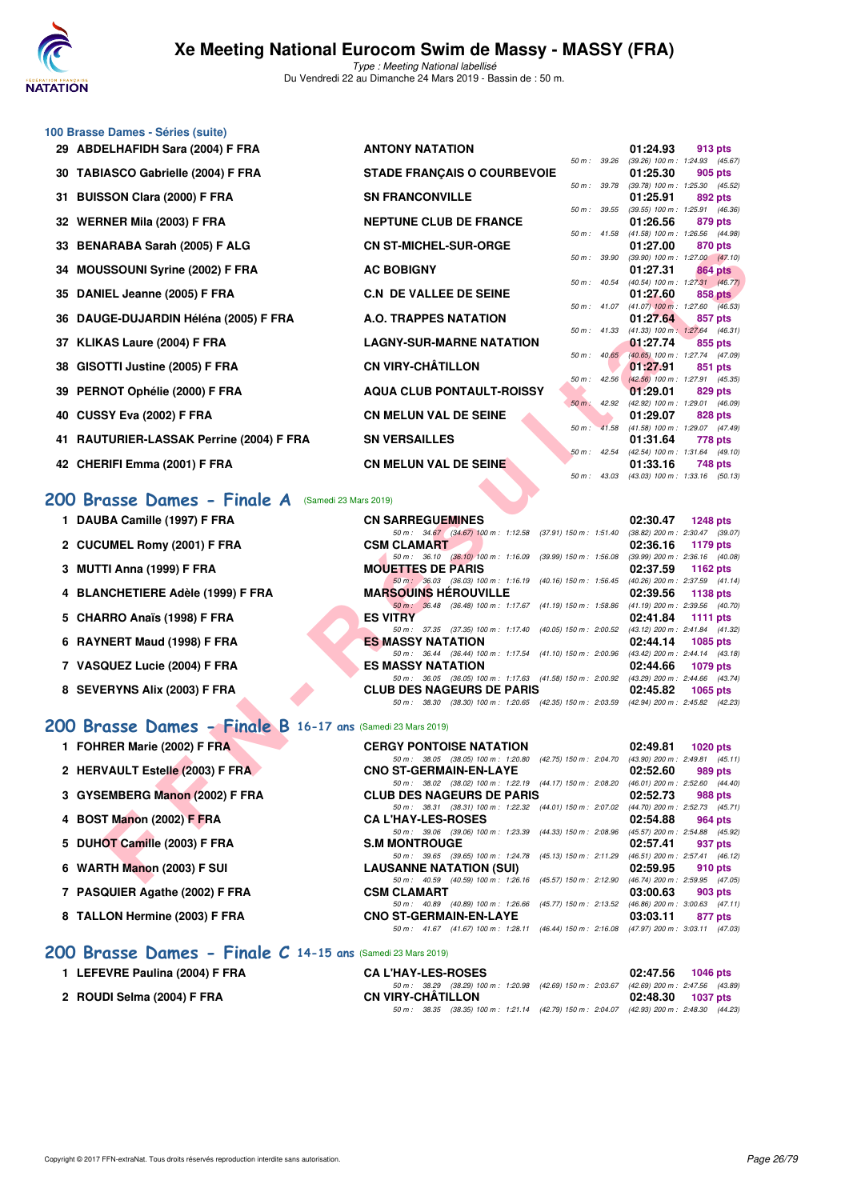

|    | 100 Brasse Dames - Séries (suite)                           |                                                                                                                              |                                                                     |
|----|-------------------------------------------------------------|------------------------------------------------------------------------------------------------------------------------------|---------------------------------------------------------------------|
|    | 29 ABDELHAFIDH Sara (2004) F FRA                            | <b>ANTONY NATATION</b>                                                                                                       | 01:24.93<br>913 pts                                                 |
|    | 30 TABIASCO Gabrielle (2004) F FRA                          | 50 m : 39.26<br><b>STADE FRANÇAIS O COURBEVOIE</b>                                                                           | (39.26) 100 m: 1:24.93 (45.67)<br>01:25.30<br>905 pts               |
| 31 | <b>BUISSON Clara (2000) F FRA</b>                           | 50 m : 39.78<br><b><i>SN FRANCONVILLE</i></b>                                                                                | (39.78) 100 m : 1:25.30 (45.52)<br>01:25.91<br>892 pts              |
|    | 32 WERNER Mila (2003) F FRA                                 | 50 m: 39.55<br><b>NEPTUNE CLUB DE FRANCE</b>                                                                                 | (39.55) 100 m: 1:25.91 (46.36)<br>01:26.56<br>879 pts               |
| 33 | <b>BENARABA Sarah (2005) F ALG</b>                          | 50 m: 41.58<br><b>CN ST-MICHEL-SUR-ORGE</b>                                                                                  | (41.58) 100 m: 1:26.56 (44.98)<br>01:27.00<br>870 pts               |
| 34 | <b>MOUSSOUNI Syrine (2002) F FRA</b>                        | 50 m : 39.90<br><b>AC BOBIGNY</b>                                                                                            | $(39.90)$ 100 m : 1:27.00 $(47.10)$<br>01:27.31<br>864 pts          |
| 35 | DANIEL Jeanne (2005) F FRA                                  | 50 m : 40.54<br><b>C.N DE VALLEE DE SEINE</b>                                                                                | (40.54) 100 m: 1:27.31 (46.77)<br>01:27.60<br>858 pts               |
| 36 | DAUGE-DUJARDIN Héléna (2005) F FRA                          | A.O. TRAPPES NATATION                                                                                                        | 50 m : 41.07 (41.07) 100 m : 1:27.60 (46.53)<br>01:27.64<br>857 pts |
| 37 | KLIKAS Laure (2004) F FRA                                   | 50 m : 41.33<br><b>LAGNY-SUR-MARNE NATATION</b>                                                                              | $(41.33)$ 100 m : 1:27.64 $(46.31)$<br>01:27.74<br>855 pts          |
|    |                                                             | $50 m$ : $40.65$<br><b>CN VIRY-CHÂTILLON</b>                                                                                 | (40.65) 100 m: 1:27.74 (47.09)                                      |
| 38 | GISOTTI Justine (2005) F FRA                                | $50 m$ : 42.56                                                                                                               | 01:27.91<br>851 pts<br>(42.56) 100 m: 1:27.91 (45.35)               |
| 39 | PERNOT Ophélie (2000) F FRA                                 | <b>AQUA CLUB PONTAULT-ROISSY</b><br>$50 m$ : 42.92                                                                           | 01:29.01<br>829 pts<br>(42.92) 100 m: 1:29.01 (46.09)               |
| 40 | CUSSY Eva (2002) F FRA                                      | <b>CN MELUN VAL DE SEINE</b>                                                                                                 | 01:29.07<br>828 pts<br>50 m: 41.58 (41.58) 100 m: 1:29.07 (47.49)   |
|    | 41 RAUTURIER-LASSAK Perrine (2004) F FRA                    | <b>SN VERSAILLES</b>                                                                                                         | 01:31.64<br>778 pts                                                 |
|    | 42 CHERIFI Emma (2001) F FRA                                | $50 m$ : 42.54<br><b>CN MELUN VAL DE SEINE</b>                                                                               | (42.54) 100 m : 1:31.64 (49.10)<br>01:33.16<br>748 pts              |
|    |                                                             | 50 m : 43.03                                                                                                                 | $(43.03)$ 100 m : 1:33.16 $(50.13)$                                 |
|    | 200 Brasse Dames - Finale A (Samedi 23 Mars 2019)           |                                                                                                                              |                                                                     |
|    | 1 DAUBA Camille (1997) F FRA                                | <b>CN SARREGUEMINES</b>                                                                                                      | 02:30.47<br><b>1248 pts</b>                                         |
|    | 2 CUCUMEL Romy (2001) F FRA                                 | 50 m: 34.67 (34.67) 100 m: 1:12.58 (37.91) 150 m: 1:51.40<br><b>CSM CLAMART</b>                                              | (38.82) 200 m : 2:30.47 (39.07)<br>02:36.16<br>1179 pts             |
|    | 3 MUTTI Anna (1999) F FRA                                   | 50 m: 36.10 (36.10) 100 m: 1:16.09 (39.99) 150 m: 1:56.08<br><b>MOUETTES DE PARIS</b>                                        | (39.99) 200 m : 2:36.16 (40.08)<br>02:37.59<br>1162 pts             |
|    | 4 BLANCHETIERE Adèle (1999) F FRA                           | 50 m: 36.03 (36.03) 100 m: 1:16.19 (40.16) 150 m: 1:56.45<br><b>MARSOUINS HEROUVILLE</b>                                     | (40.26) 200 m : 2:37.59 (41.14)<br>02:39.56<br>1138 pts             |
|    | 5 CHARRO Anaïs (1998) F FRA                                 | 50 m: 36.48 (36.48) 100 m: 1:17.67 (41.19) 150 m: 1:58.86 (41.19) 200 m: 2:39.56 (40.70)<br><b>ES VITRY</b>                  | 02:41.84<br>1111 pts                                                |
|    | 6 RAYNERT Maud (1998) F FRA                                 | 50 m: 37.35 (37.35) 100 m: 1:17.40 (40.05) 150 m: 2:00.52 (43.12) 200 m: 2:41.84 (41.32)<br><b>ES MASSY NATATION</b>         | 02:44.14<br><b>1085 pts</b>                                         |
|    | 7 VASQUEZ Lucie (2004) F FRA                                | 50 m : 36.44 (36.44) 100 m : 1:17.54 (41.10) 150 m : 2:00.96<br><b>ES MASSY NATATION</b>                                     | $(43.42)$ 200 m : 2:44.14 $(43.18)$<br>02:44.66<br>1079 pts         |
|    | 8 SEVERYNS Alix (2003) F FRA                                | 50 m: 36.05 (36.05) 100 m: 1:17.63 (41.58) 150 m: 2:00.92 (43.29) 200 m: 2:44.66 (43.74)<br><b>CLUB DES NAGEURS DE PARIS</b> | 02:45.82<br>1065 pts                                                |
|    |                                                             | 50 m: 38.30 (38.30) 100 m: 1:20.65 (42.35) 150 m: 2:03.59 (42.94) 200 m: 2:45.82 (42.23)                                     |                                                                     |
|    | 200 Brasse Dames - Finale B 16-17 ans (Samedi 23 Mars 2019) |                                                                                                                              |                                                                     |
|    | 1 FOHRER Marie (2002) F FRA                                 | <b>CERGY PONTOISE NATATION</b>                                                                                               | 02:49.81<br><b>1020 pts</b>                                         |
|    | 2 HERVAULT Estelle (2003) F FRA                             | 50 m: 38.05 (38.05) 100 m: 1:20.80 (42.75) 150 m: 2:04.70 (43.90) 200 m: 2:49.81 (45.11)<br><b>CNO ST-GERMAIN-EN-LAYE</b>    | 02:52.60<br>989 pts                                                 |
|    | 3 GYSEMBERG Manon (2002) F FRA                              | 50 m: 38.02 (38.02) 100 m: 1:22.19 (44.17) 150 m: 2:08.20<br><b>CLUB DES NAGEURS DE PARIS</b>                                | $(46.01)$ 200 m : 2:52.60 $(44.40)$<br>02:52.73<br>988 pts          |
|    | 4 BOST Manon (2002) F FRA                                   | 50 m :     38.31     (38.31)  100 m :   1:22.32     (44.01)  150 m :   2:07.02<br><b>CA L'HAY-LES-ROSES</b>                  | (44.70) 200 m : 2:52.73 (45.71)<br>02:54.88<br>964 pts              |
|    | 5 DUHOT Camille (2003) F FRA                                | 50 m: 39.06 (39.06) 100 m: 1:23.39 (44.33) 150 m: 2:08.96<br><b>S.M MONTROUGE</b>                                            | (45.57) 200 m : 2:54.88 (45.92)<br>02:57.41<br>937 pts              |
|    |                                                             | 50 m: 39.65 (39.65) 100 m: 1:24.78 (45.13) 150 m: 2:11.29                                                                    | (46.51) 200 m : 2:57.41 (46.12)                                     |
|    | 6 WARTH Manon (2003) F SUI                                  | <b>LAUSANNE NATATION (SUI)</b><br>50 m: 40.59 (40.59) 100 m: 1:26.16 (45.57) 150 m: 2:12.90 (46.74) 200 m: 2:59.95 (47.05)   | 02:59.95<br>910 pts                                                 |

## **[200 Brasse Dames - Finale A](http://www.ffnatation.fr/webffn/resultats.php?idact=nat&go=epr&idcpt=57649&idepr=23)** (Samedi 23 Mars 2019)

| 1 DAUBA Camille (1997) F FRA      | <b>CN SARREGUEMINES</b>                                                                      | 02:30.47<br>$1248$ pts              |
|-----------------------------------|----------------------------------------------------------------------------------------------|-------------------------------------|
|                                   | 50 m: 34.67 (34.67) 100 m: 1:12.58 (37.91) 150 m: 1:51.40                                    | (38.82) 200 m : 2:30.47 (39.07)     |
| 2 CUCUMEL Romy (2001) F FRA       | <b>CSM CLAMART</b>                                                                           | 02:36.16<br>1179 pts                |
|                                   | 50 m: 36.10 (36.10) 100 m: 1:16.09 (39.99) 150 m: 1:56.08                                    | (39.99) 200 m: 2:36.16 (40.08)      |
| 3 MUTTI Anna (1999) F FRA         | <b>MOUETTES DE PARIS</b>                                                                     | 02:37.59<br>1162 $pts$              |
|                                   | 50 m: 36.03 (36.03) 100 m: 1:16.19 (40.16) 150 m: 1:56.45                                    | (40.26) 200 m : 2:37.59 (41.14)     |
| 4 BLANCHETIERE Adèle (1999) F FRA | <b>MARSOUINS HÉROUVILLE</b>                                                                  | 02:39.56<br>1138 pts                |
|                                   | 50 m: 36.48 (36.48) 100 m: 1:17.67 (41.19) 150 m: 1:58.86                                    | $(41.19)$ 200 m : 2:39.56 $(40.70)$ |
| 5 CHARRO Anaïs (1998) F FRA       | <b>ES VITRY</b>                                                                              | 02:41.84<br>1111 pts                |
|                                   | 50 m: 37.35 (37.35) 100 m: 1:17.40 (40.05) 150 m: 2:00.52                                    | (43.12) 200 m : 2:41.84 (41.32)     |
| 6 RAYNERT Maud (1998) F FRA       | <b>ES MASSY NATATION</b>                                                                     | 02:44.14<br>1085 pts                |
|                                   | 50 m: 36.44 (36.44) 100 m: 1:17.54 (41.10) 150 m: 2:00.96                                    | (43.42) 200 m : 2:44.14 (43.18)     |
| 7 VASQUEZ Lucie (2004) F FRA      | <b>ES MASSY NATATION</b>                                                                     | 02:44.66<br>1079 pts                |
|                                   | 50 m: 36.05 (36.05) 100 m: 1:17.63 (41.58) 150 m: 2:00.92                                    | (43.29) 200 m : 2:44.66 (43.74)     |
| 8 SEVERYNS Alix (2003) F FRA      | <b>CLUB DES NAGEURS DE PARIS</b>                                                             | 02:45.82<br>$1065$ pts              |
|                                   | (38.30) 100 m: 1:20.65 (42.35) 150 m: 2:03.59 (42.94) 200 m: 2:45.82 (42.23)<br>50 m : 38.30 |                                     |

### **[200 Brasse Dames - Finale B](http://www.ffnatation.fr/webffn/resultats.php?idact=nat&go=epr&idcpt=57649&idepr=23) 16-17 ans** (Samedi 23 Mars 2019)

| 1 FOHRER Marie (2002) F FRA     | <b>CERGY PONTOISE NATATION</b>                                                                | 02:49.81 | <b>1020 pts</b>                                |
|---------------------------------|-----------------------------------------------------------------------------------------------|----------|------------------------------------------------|
| 2 HERVAULT Estelle (2003) F FRA | 50 m: 38.05 (38.05) 100 m: 1:20.80 (42.75) 150 m: 2:04.70<br><b>CNO ST-GERMAIN-EN-LAYE</b>    | 02:52.60 | $(43.90)$ 200 m : 2:49.81 $(45.11)$<br>989 pts |
| 3 GYSEMBERG Manon (2002) F FRA  | 50 m: 38.02 (38.02) 100 m: 1:22.19 (44.17) 150 m: 2:08.20<br><b>CLUB DES NAGEURS DE PARIS</b> | 02:52.73 | $(46.01)$ 200 m : 2:52.60 $(44.40)$<br>988 pts |
| 4 BOST Manon (2002) F FRA       | 50 m: 38.31 (38.31) 100 m: 1:22.32 (44.01) 150 m: 2:07.02<br><b>CA L'HAY-LES-ROSES</b>        | 02:54.88 | $(44.70)$ 200 m : 2:52.73 $(45.71)$<br>964 pts |
| 5 DUHOT Camille (2003) F FRA    | 50 m: 39.06 (39.06) 100 m: 1:23.39 (44.33) 150 m: 2:08.96<br><b>S.M MONTROUGE</b>             | 02:57.41 | $(45.57)$ 200 m : 2:54.88 $(45.92)$<br>937 pts |
| 6 WARTH Manon (2003) F SUI      | 50 m: 39.65 (39.65) 100 m: 1:24.78 (45.13) 150 m: 2:11.29<br><b>LAUSANNE NATATION (SUI)</b>   | 02:59.95 | $(46.51)$ 200 m : 2:57.41 $(46.12)$<br>910 pts |
| 7 PASQUIER Agathe (2002) F FRA  | 50 m: 40.59 (40.59) 100 m: 1:26.16 (45.57) 150 m: 2:12.90<br><b>CSM CLAMART</b>               | 03:00.63 | $(46.74)$ 200 m : 2:59.95 $(47.05)$<br>903 pts |
| 8 TALLON Hermine (2003) F FRA   | 50 m : 40.89 (40.89) 100 m : 1:26.66 (45.77) 150 m : 2:13.52<br><b>CNO ST-GERMAIN-EN-LAYE</b> | 03:03.11 | $(46.86)$ 200 m : 3:00.63 $(47.11)$<br>877 pts |
|                                 | 50 m: 41.67 (41.67) 100 m: 1:28.11 (46.44) 150 m: 2:16.08                                     |          | $(47.97)$ 200 m : 3:03.11 $(47.03)$            |

## **[200 Brasse Dames - Finale C](http://www.ffnatation.fr/webffn/resultats.php?idact=nat&go=epr&idcpt=57649&idepr=23) 14-15 ans** (Samedi 23 Mars 2019)

| I LEFEVRE Paulina (2004) F FRA | <b>CA L'HAY-LES-ROSES</b>                                                                   |                                | 02:47.56 1046 pts |
|--------------------------------|---------------------------------------------------------------------------------------------|--------------------------------|-------------------|
|                                | 50 m : 38.29 (38.29) 100 m : 1:20.98 (42.69) 150 m : 2:03.67                                | (42.69) 200 m : 2:47.56 (43.89 |                   |
| 2 ROUDI Selma (2004) F FRA     | CN VIRY-CHÂTILLON                                                                           |                                | 02:48.30 1037 pts |
|                                | 50 m : 38.35 (38.35) 100 m : 1:21.14 (42.79) 150 m : 2:04.07 (42.93) 200 m : 2:48.30 (44.23 |                                |                   |
|                                |                                                                                             |                                |                   |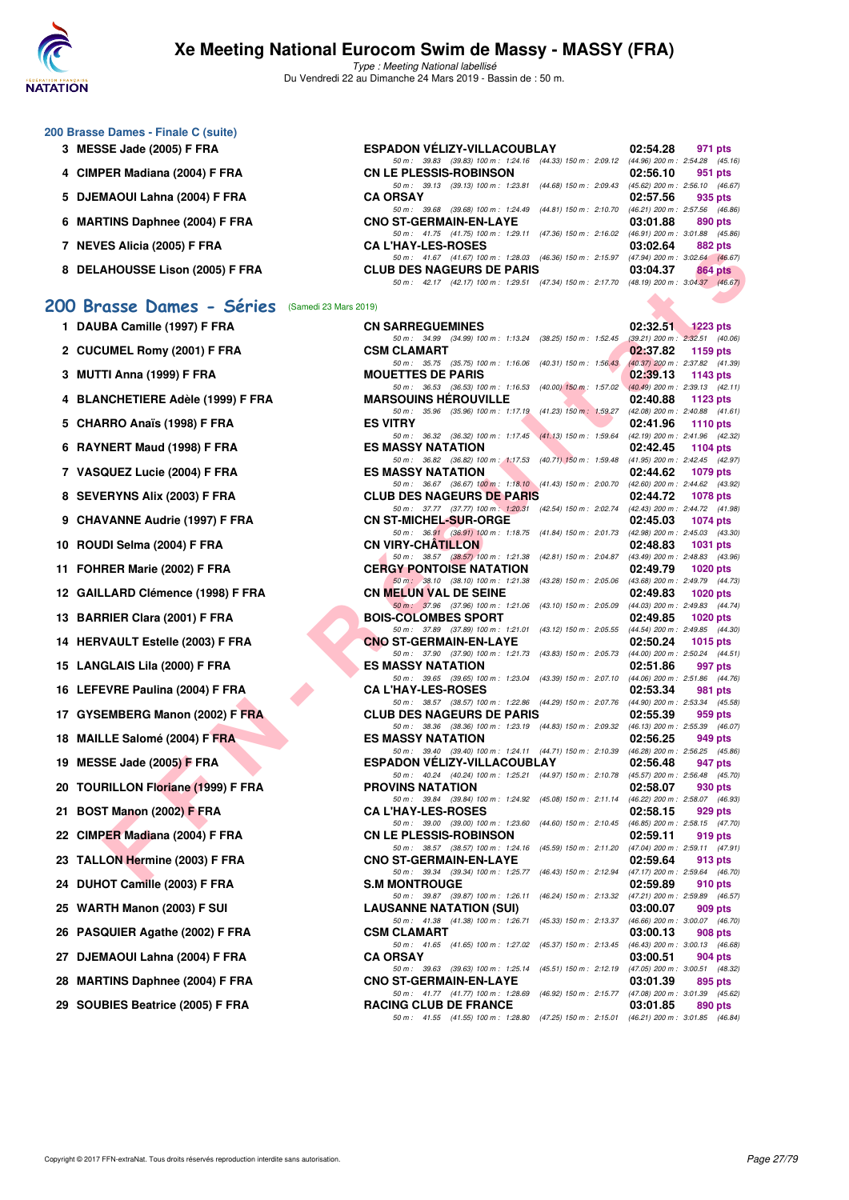

Type : Meeting National labellisé Du Vendredi 22 au Dimanche 24 Mars 2019 - Bassin de : 50 m.

| 200 Brasse Dames - Finale C (suite) |                                                                 |                                     |         |
|-------------------------------------|-----------------------------------------------------------------|-------------------------------------|---------|
| 3 MESSE Jade (2005) F FRA           | ESPADON VÉLIZY-VILLACOUBLAY                                     | 02:54.28                            | 971 pts |
|                                     | (39.83) 100 m: 1:24.16 (44.33) 150 m: 2:09.12<br>50 m : 39.83   | $(44.96)$ 200 m : 2:54.28 $(45.16)$ |         |
| 4 CIMPER Madiana (2004) F FRA       | <b>CN LE PLESSIS-ROBINSON</b>                                   | 02:56.10                            | 951 pts |
|                                     | (39.13) 100 m: 1:23.81 (44.68) 150 m: 2:09.43<br>50 m: 39.13    | $(45.62)$ 200 m : 2:56.10 $(46.67)$ |         |
| 5 DJEMAOUI Lahna (2004) F FRA       | <b>CA ORSAY</b>                                                 | 02:57.56                            | 935 pts |
|                                     | (39.68) 100 m: 1:24.49 (44.81) 150 m: 2:10.70<br>50 m : 39.68   | $(46.21)$ 200 m : 2:57.56 $(46.86)$ |         |
| 6 MARTINS Daphnee (2004) F FRA      | <b>CNO ST-GERMAIN-EN-LAYE</b>                                   | 03:01.88                            | 890 pts |
|                                     | 50 m: 41.75 (41.75) 100 m: 1:29.11 (47.36) 150 m: 2:16.02       | $(46.91)$ 200 m : 3:01.88 $(45.86)$ |         |
| <b>NEVES Alicia (2005) F FRA</b>    | <b>CA L'HAY-LES-ROSES</b>                                       | 03:02.64                            | 882 pts |
|                                     | 50 m: 41.67 (41.67) 100 m: 1:28.03 (46.36) 150 m: 2:15.97       | $(47.94)$ 200 m : 3:02.64 $(46.67)$ |         |
| 8 DELAHOUSSE Lison (2005) F FRA     | <b>CLUB DES NAGEURS DE PARIS</b>                                | 03:04.37                            | 864 pts |
|                                     | (42.17) 100 m : 1:29.51 (47.34) 150 m : 2:17.70<br>50 m : 42.17 | (48.19) 200 m : 3:04.37 (46.67)     |         |
|                                     |                                                                 | <b>Contract Contract</b>            |         |

## **[200 Brasse Dames - Séries](http://www.ffnatation.fr/webffn/resultats.php?idact=nat&go=epr&idcpt=57649&idepr=23)** (Samedi 23 Mars 2019)

| 1  | DAUBA Camille (1997) F FRA             |
|----|----------------------------------------|
| 2  | <b>CUCUMEL Romy (2001) F FRA</b>       |
| 3  | MUTTI Anna (1999) F FRA                |
| 4  | <b>BLANCHETIERE Adèle (1999) F FRA</b> |
| 5  | CHARRO Anaïs (1998) F FRA              |
| 6  | RAYNERT Maud (1998) F FRA              |
| 7  | <b>VASQUEZ Lucie (2004) F FRA</b>      |
| 8  | <b>SEVERYNS Alix (2003) F FRA</b>      |
| 9  | <b>CHAVANNE Audrie (1997) F FRA</b>    |
| 10 | ROUDI Selma (2004) F FRA               |
| 11 | FOHRER Marie (2002) F FRA              |
| 12 | GAILLARD Clémence (1998) F FRA         |
|    | 13 BARRIER Clara (2001) F FRA          |
|    | 14 HERVAULT Estelle (2003) F FRA       |
|    | 15 LANGLAIS Lila (2000) F FRA          |
| 16 | LEFEVRE Paulina (2004) F FRA           |
| 17 | GYSEMBERG Manon (2002) F FRA           |
|    | 18 MAILLE Salomé (2004) F FRA          |
|    | 19 MESSE Jade (2005) F FRA             |
| 20 | <b>TOURILLON Floriane (1999) F FRA</b> |
| 21 | <b>BOST Manon (2002) F FRA</b>         |
|    | 22 CIMPER Madiana (2004) F FRA         |
| 23 | <b>TALLON Hermine (2003) F FRA</b>     |
|    | 24 DUHOT Camille (2003) F FRA          |
|    | 25 WARTH Manon (2003) F SUI            |
|    | 26 PASQUIER Agathe (2002) F FRA        |
|    | 27 DJEMAOUI Lahna (2004) F FRA         |
|    | 28 MARTINS Daphnee (2004) F FRA        |
| 29 | SOUBIES Beatrice (2005) F FRA          |

| $\overline{I}$ NEVES AllGR (2003) F FRA        | UA LIIAI-LEJ-NUJEJ                                                                                                           | ∪J.∪∠.∪+ | <b>OUZ PIS</b> |
|------------------------------------------------|------------------------------------------------------------------------------------------------------------------------------|----------|----------------|
| 8 DELAHOUSSE Lison (2005) F FRA                | 50 m: 41.67 (41.67) 100 m: 1:28.03 (46.36) 150 m: 2:15.97 (47.94) 200 m: 3:02.64 (46.67)<br><b>CLUB DES NAGEURS DE PARIS</b> | 03:04.37 | 864 pts        |
|                                                | 50 m: 42.17 (42.17) 100 m: 1:29.51 (47.34) 150 m: 2:17.70 (48.19) 200 m: 3:04.37 (46.67)                                     |          |                |
| 00 Brasse Dames - Séries (Samedi 23 Mars 2019) |                                                                                                                              |          |                |
| 1 DAUBA Camille (1997) F FRA                   | <b>CN SARREGUEMINES</b>                                                                                                      | 02:32.51 | $1223$ pts     |
|                                                | 50 m: 34.99 (34.99) 100 m: 1:13.24 (38.25) 150 m: 1:52.45 (39.21) 200 m: 2:32.51 (40.06)                                     |          |                |
| 2 CUCUMEL Romy (2001) F FRA                    | <b>CSM CLAMART</b><br>50 m: 35.75 (35.75) 100 m: 1:16.06 (40.31) 150 m: 1:56.43 (40.37) 200 m: 2:37.82 (41.39)               | 02:37.82 | 1159 pts       |
| 3 MUTTI Anna (1999) F FRA                      | <b>MOUETTES DE PARIS</b>                                                                                                     | 02:39.13 | 1143 pts       |
| 4 BLANCHETIERE Adèle (1999) F FRA              | 50 m: 36.53 (36.53) 100 m: 1:16.53 (40.00) 150 m: 1:57.02 (40.49) 200 m: 2:39.13 (42.11)<br><b>MARSOUINS HEROUVILLE</b>      | 02:40.88 | 1123 pts       |
| 5 CHARRO Anaïs (1998) F FRA                    | 50 m: 35.96 (35.96) 100 m: 1:17.19 (41.23) 150 m: 1:59.27 (42.08) 200 m: 2:40.88 (41.61)<br><b>ES VITRY</b>                  | 02:41.96 | 1110 pts       |
|                                                | 50 m: 36.32 (36.32) 100 m: 1:17.45 (41.13) 150 m: 1:59.64 (42.19) 200 m: 2:41.96 (42.32)<br><b>ES MASSY NATATION</b>         |          | 1104 pts       |
| 6 RAYNERT Maud (1998) F FRA                    | 50 m: 36.82 (36.82) 100 m: 1:17.53 (40.71) 150 m: 1:59.48 (41.95) 200 m: 2:42.45 (42.97)                                     | 02:42.45 |                |
| 7 VASQUEZ Lucie (2004) F FRA                   | <b>ES MASSY NATATION</b>                                                                                                     | 02:44.62 | 1079 pts       |
| 8 SEVERYNS Alix (2003) F FRA                   | 50 m: 36.67 (36.67) 100 m: 1:18.10 (41.43) 150 m: 2:00.70 (42.60) 200 m: 2:44.62 (43.92)<br><b>CLUB DES NAGEURS DE PARIS</b> | 02:44.72 | 1078 pts       |
|                                                | 50 m: 37.77 (37.77) 100 m: 1:20.31 (42.54) 150 m: 2:02.74 (42.43) 200 m: 2:44.72 (41.98)                                     |          |                |
| 9 CHAVANNE Audrie (1997) F FRA                 | <b>CN ST-MICHEL-SUR-ORGE</b>                                                                                                 | 02:45.03 | 1074 pts       |
| 10 ROUDI Selma (2004) F FRA                    | 50 m: 36.91 (36.91) 100 m: 1:18.75 (41.84) 150 m: 2:01.73 (42.98) 200 m: 2:45.03 (43.30)<br><b>CN VIRY-CHATILLON</b>         | 02:48.83 | 1031 pts       |
|                                                | 50 m: 38.57 (38.57) 100 m: 1:21.38 (42.81) 150 m: 2:04.87 (43.49) 200 m: 2:48.83 (43.96)                                     |          |                |
| 11 FOHRER Marie (2002) F FRA                   | <b>CERGY PONTOISE NATATION</b>                                                                                               | 02:49.79 | 1020 pts       |
|                                                | 50 m: 38.10 (38.10) 100 m: 1:21.38 (43.28) 150 m: 2:05.06 (43.68) 200 m: 2:49.79 (44.73)<br><b>CN MELUN VAL DE SEINE</b>     |          |                |
| 12 GAILLARD Clémence (1998) F FRA              | 50 m: 37.96 (37.96) 100 m: 1:21.06 (43.10) 150 m: 2:05.09 (44.03) 200 m: 2:49.83 (44.74)                                     | 02:49.83 | 1020 pts       |
| 13 BARRIER Clara (2001) F FRA                  | <b>BOIS-COLOMBES SPORT</b>                                                                                                   | 02:49.85 | 1020 pts       |
|                                                | 50 m: 37.89 (37.89) 100 m: 1:21.01 (43.12) 150 m: 2:05.55 (44.54) 200 m: 2:49.85 (44.30)                                     |          |                |
| 14 HERVAULT Estelle (2003) F FRA               | <b>CNO ST-GERMAIN-EN-LAYE</b><br>50 m: 37.90 (37.90) 100 m: 1:21.73 (43.83) 150 m: 2:05.73 (44.00) 200 m: 2:50.24 (44.51)    | 02:50.24 | 1015 $pts$     |
| 15 LANGLAIS Lila (2000) F FRA                  | <b>ES MASSY NATATION</b>                                                                                                     | 02:51.86 | 997 pts        |
| 16 LEFEVRE Paulina (2004) F FRA                | 50 m: 39.65 (39.65) 100 m: 1:23.04 (43.39) 150 m: 2:07.10 (44.06) 200 m: 2:51.86 (44.76)<br><b>CA L'HAY-LES-ROSES</b>        | 02:53.34 | 981 pts        |
| 17 GYSEMBERG Manon (2002) F FRA                | 50 m: 38.57 (38.57) 100 m: 1:22.86 (44.29) 150 m: 2:07.76 (44.90) 200 m: 2:53.34 (45.58)<br><b>CLUB DES NAGEURS DE PARIS</b> | 02:55.39 | 959 pts        |
|                                                | 50 m: 38.36 (38.36) 100 m: 1:23.19 (44.83) 150 m: 2:09.32 (46.13) 200 m: 2:55.39 (46.07)                                     |          |                |
| 18 MAILLE Salomé (2004) F FRA                  | <b>ES MASSY NATATION</b>                                                                                                     | 02:56.25 | 949 pts        |
| 19 MESSE Jade (2005) F FRA                     | 50 m: 39.40 (39.40) 100 m: 1:24.11 (44.71) 150 m: 2:10.39 (46.28) 200 m: 2:56.25 (45.86)<br>ESPADON VÉLIZY-VILLACOUBLAY      | 02:56.48 | 947 pts        |
|                                                | 50 m: 40.24 (40.24) 100 m: 1:25.21 (44.97) 150 m: 2:10.78 (45.57) 200 m: 2:56.48 (45.70)                                     |          |                |
| 20 TOURILLON Floriane (1999) F FRA             | <b>PROVINS NATATION</b>                                                                                                      | 02:58.07 | 930 pts        |
| 21 BOST Manon (2002) F FRA                     | 50 m: 39.84 (39.84) 100 m: 1:24.92 (45.08) 150 m: 2:11.14 (46.22) 200 m: 2:58.07 (46.93)<br><b>CA L'HAY-LES-ROSES</b>        | 02:58.15 | 929 pts        |
|                                                | 50 m: 39.00 (39.00) 100 m: 1:23.60 (44.60) 150 m: 2:10.45 (46.85) 200 m: 2:58.15 (47.70)                                     |          |                |
| 22 CIMPER Madiana (2004) F FRA                 | <b>CN LE PLESSIS-ROBINSON</b>                                                                                                | 02:59.11 | 919 pts        |
| 23   TALLON Hermine (2003) F FRA               | 50 m: 38.57 (38.57) 100 m: 1:24.16 (45.59) 150 m: 2:11.20 (47.04) 200 m: 2:59.11 (47.91)<br><b>CNO ST-GERMAIN-EN-LAYE</b>    | 02:59.64 | 913 pts        |
|                                                | 50 m: 39.34 (39.34) 100 m: 1:25.77 (46.43) 150 m: 2:12.94 (47.17) 200 m: 2:59.64 (46.70)                                     |          |                |
| 24 DUHOT Camille (2003) F FRA                  | <b>S.M MONTROUGE</b><br>50 m: 39.87 (39.87) 100 m: 1:26.11 (46.24) 150 m: 2:13.32 (47.21) 200 m: 2:59.89 (46.57)             | 02:59.89 | 910 pts        |
| 25 WARTH Manon (2003) F SUI                    | <b>LAUSANNE NATATION (SUI)</b>                                                                                               | 03:00.07 | 909 pts        |
| 26 PASQUIER Agathe (2002) F FRA                | 50 m: 41.38 (41.38) 100 m: 1:26.71 (45.33) 150 m: 2:13.37 (46.66) 200 m: 3:00.07 (46.70)<br><b>CSM CLAMART</b>               | 03:00.13 | 908 pts        |
| 27 DJEMAOUI Lahna (2004) F FRA                 | 50 m: 41.65 (41.65) 100 m: 1:27.02 (45.37) 150 m: 2:13.45 (46.43) 200 m: 3:00.13 (46.68)<br><b>CA ORSAY</b>                  | 03:00.51 | 904 pts        |
|                                                | 50 m: 39.63 (39.63) 100 m: 1:25.14 (45.51) 150 m: 2:12.19 (47.05) 200 m: 3:00.51 (48.32)                                     |          |                |
| 28 MARTINS Daphnee (2004) F FRA                | <b>CNO ST-GERMAIN-EN-LAYE</b>                                                                                                | 03:01.39 | 895 pts        |
| 29 SOUBIES Beatrice (2005) F FRA               | 50 m: 41.77 (41.77) 100 m: 1:28.69 (46.92) 150 m: 2:15.77 (47.08) 200 m: 3:01.39 (45.62)<br><b>RACING CLUB DE FRANCE</b>     | 03:01.85 | 890 pts        |
|                                                | 50 m: 41.55 (41.55) 100 m: 1:28.80 (47.25) 150 m: 2:15.01 (46.21) 200 m: 3:01.85 (46.84)                                     |          |                |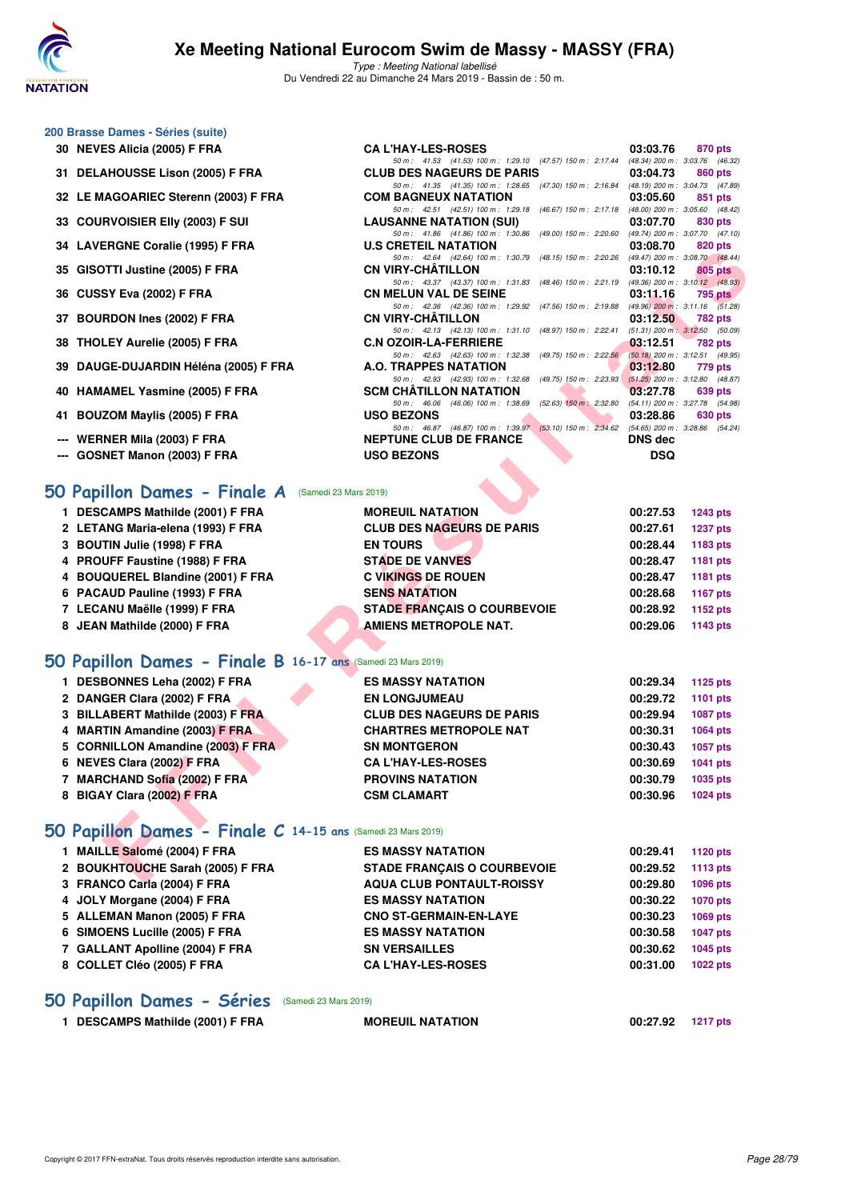

Type : Meeting National labellisé Du Vendredi 22 au Dimanche 24 Mars 2019 - Bassin de : 50 m.

50 m : 41.53 (41.53) 100 m : 1:29.10 (47.57) 150 m : 2:17.44 (48.34) 200 m : 3:03.76 (46.32)

50 m : 41.86 (41.86) 100 m : 1:30.86 (49.00) 150 m : 2:20.60 (49.74) 200 m : 3:07.70 (47.10)

50 m: 41.35 (41.35) 100 m: 1:28.65 (47.30) 150 m: 2:16.84 (48.19) 200 m: 3:04.73 (47.89)<br>COM BAGNEUX NATATION 03:05.60 851 pts

50 m: 42.51 (42.51) 100 m: 1:29.18 (46.67) 150 m: 2:17.18 (48.00) 200 m: 3:05.60 (48.42)<br>**LAUSANNE NATATION (SUI)** 03:07.70 830 pts

### **200 Brasse Dames - Séries (suite)**

- **30 NEVES Alicia (2005) F FRA CA L'HAY-LES-ROSES 03:03.76 870 pts**
- **31 DELAHOUSSE Lison (2005) F FRA CLUB DES NAGEURS DE PARIS 03:04.73 860 pts**<br> **50 m**: 41.35 (41.35) 100 m; 128.65 (47.30) 150 m; 2:16.84 (48.19) 200 m; 3:04.73 (47.89)
- **32 LE MAGOARIEC Sterenn (2003) F FRA**
- **33 COURVOISIER Elly (2003) F SUI LAUSANNE NATATION (SUI) 03:07.70 830 pts**
- **34 LAVERGNE Coralie (1995) F FRA U.S CRETEIL NATATION 03:08.70 820 pts**
- **35 GISOTTI Justine (2005) F FRA CN VIRY-CHÂTILLON 03:10.12 805 pts**
- **36 CUSSY Eva (2002) F FRA CN MELUN VAL DE SEINE 03:11.16 795 pts**
- **37 BOURDON Ines (2002) F FRA CN VIRY-CHÂTILLON 03:12.50 782 pts**
- **38 THOLEY Aurelie (2005) F FRA C.N OZOIR-LA-FERRIERE 03:12.51 782 pts**<br>
50 m: 42.63 (49.75) 100 m: 1:32.38 (49.75) 150 m: 2:22.56 (50.18) 200 m: 3:12.51 (49.95)
- **39 DAUGE-DUJARDIN Héléna (2005) F FRA A.O. TRAPPES NATATION 4.0 A.O. TRAPPES NATATION**
- **40 HAMAMEL Yasmine (2005) F FRA SCM CHÂTILLON NATATION 03:27.78 639 pts**
- **41 BOUZOM Maylis (2005) F FRA USO BEZONS 03:28.86 630 pts**
- **--- WERNER Mila (2003) F FRA NEPTUNE CLUB DE FRANCE DNS dec**
- **--- GOSNET Manon (2003) F FRA USO BEZONS DSQ**

#### **[50 Papillon Dames - Finale A](http://www.ffnatation.fr/webffn/resultats.php?idact=nat&go=epr&idcpt=57649&idepr=31)** (Samedi 23 Mars 2019)

| <b>DESCAMPS Mathilde (2001) F FRA</b> | <b>MOREUIL NATATION</b>            | 00:27.53 | <b>1243 pts</b> |
|---------------------------------------|------------------------------------|----------|-----------------|
| 2 LETANG Maria-elena (1993) F FRA     | <b>CLUB DES NAGEURS DE PARIS</b>   | 00:27.61 | <b>1237 pts</b> |
| 3 BOUTIN Julie (1998) F FRA           | <b>EN TOURS</b>                    | 00:28.44 | 1183 pts        |
| 4 PROUFF Faustine (1988) F FRA        | <b>STADE DE VANVES</b>             | 00:28.47 | 1181 pts        |
| 4 BOUQUEREL Blandine (2001) F FRA     | <b>C VIKINGS DE ROUEN</b>          | 00:28.47 | 1181 pts        |
| 6 PACAUD Pauline (1993) F FRA         | <b>SENS NATATION</b>               | 00:28.68 | 1167 pts        |
| 7 LECANU Maëlle (1999) F FRA          | <b>STADE FRANÇAIS O COURBEVOIE</b> | 00:28.92 | 1152 pts        |
| 8 JEAN Mathilde (2000) F FRA          | AMIENS METROPOLE NAT.              | 00:29.06 | 1143 pts        |
|                                       |                                    |          |                 |

### **[50 Papillon Dames - Finale B](http://www.ffnatation.fr/webffn/resultats.php?idact=nat&go=epr&idcpt=57649&idepr=31) 16-17 ans** (Samedi 23 Mars 2019)

| 34 LAVERGIVE COTAILE (1999) F FRA                           | U.J UNETEIL IVATATIUM                                                                                                         | 03.00.70              | <b>UZU PIS</b>  |
|-------------------------------------------------------------|-------------------------------------------------------------------------------------------------------------------------------|-----------------------|-----------------|
| 35 GISOTTI Justine (2005) F FRA                             | 50 m: 42.64 (42.64) 100 m: 1:30.79 (48.15) 150 m: 2:20.26 (49.47) 200 m: 3:08.70 (48.44)<br><b>CN VIRY-CHATILLON</b>          | 03:10.12              | 805 pts         |
|                                                             | 50 m: 43.37 (43.37) 100 m: 1:31.83 (48.46) 150 m: 2:21.19 (49.36) 200 m: 3:10.12 (48.93)                                      |                       |                 |
| 36 CUSSY Eva (2002) F FRA                                   | <b>CN MELUN VAL DE SEINE</b>                                                                                                  | 03:11.16              | 795 pts         |
| 37 BOURDON Ines (2002) F FRA                                | 50 m: 42.36 (42.36) 100 m: 1:29.92 (47.56) 150 m: 2:19.88 (49.96) 200 m: 3:11.16 (51.28)<br><b>CN VIRY-CHATILLON</b>          | 03:12.50              | 782 pts         |
|                                                             | 50 m: 42.13 (42.13) 100 m: 1:31.10 (48.97) 150 m: 2:22.41 (51.31) 200 m: 3:12.50 (50.09)                                      |                       |                 |
| 38 THOLEY Aurelie (2005) F FRA                              | <b>C.N OZOIR-LA-FERRIERE</b>                                                                                                  | 03:12.51              | 782 pts         |
| 39 DAUGE-DUJARDIN Héléna (2005) F FRA                       | 50 m: 42.63 (42.63) 100 m: 1:32.38<br>(49.75) 150 m : 2:22.56 (50.18) 200 m : 3:12.51 (49.95)<br><b>A.O. TRAPPES NATATION</b> | 03:12.80              | 779 pts         |
| 40 HAMAMEL Yasmine (2005) F FRA                             | 50 m: 42.93 (42.93) 100 m: 1:32.68 (49.75) 150 m: 2:23.93 (51.25) 200 m: 3:12.80 (48.87)<br><b>SCM CHATILLON NATATION</b>     | 03:27.78              | 639 pts         |
|                                                             | 50 m: 46.06 (46.06) 100 m: 1:38.69 (52.63) 150 m: 2:32.80 (54.11) 200 m: 3:27.78 (54.98)                                      |                       |                 |
| 41 BOUZOM Maylis (2005) F FRA                               | <b>USO BEZONS</b>                                                                                                             | 03:28.86              | 630 pts         |
|                                                             | 50 m: 46.87 (46.87) 100 m: 1:39.97 (53.10) 150 m: 2:34.62 (54.65) 200 m: 3:28.86 (54.24)                                      |                       |                 |
| --- WERNER Mila (2003) F FRA                                | <b>NEPTUNE CLUB DE FRANCE</b>                                                                                                 | <b>DNS dec</b>        |                 |
| --- GOSNET Manon (2003) F FRA                               | <b>USO BEZONS</b>                                                                                                             | <b>DSQ</b>            |                 |
|                                                             |                                                                                                                               |                       |                 |
| <b>0 Papillon Dames - Finale A</b> (Samedi 23 Mars 2019)    |                                                                                                                               |                       |                 |
| 1 DESCAMPS Mathilde (2001) F FRA                            | <b>MOREUIL NATATION</b>                                                                                                       | 00:27.53              | <b>1243 pts</b> |
| 2 LETANG Maria-elena (1993) F FRA                           | <b>CLUB DES NAGEURS DE PARIS</b>                                                                                              | 00:27.61              | <b>1237 pts</b> |
| 3 BOUTIN Julie (1998) F FRA                                 | <b>EN TOURS</b>                                                                                                               | 00:28.44              | 1183 pts        |
| 4 PROUFF Faustine (1988) F FRA                              | <b>STADE DE VANVES</b>                                                                                                        | 00:28.47              | 1181 pts        |
| 4 BOUQUEREL Blandine (2001) F FRA                           | <b>C VIKINGS DE ROUEN</b>                                                                                                     | 00:28.47              | 1181 pts        |
| 6 PACAUD Pauline (1993) F FRA                               | <b>SENS NATATION</b>                                                                                                          | 00:28.68              | 1167 pts        |
| 7 LECANU Maëlle (1999) F FRA                                | <b>STADE FRANÇAIS O COURBEVOIE</b>                                                                                            | 00:28.92              | 1152 pts        |
| 8 JEAN Mathilde (2000) F FRA                                | <b>AMIENS METROPOLE NAT.</b>                                                                                                  | 00:29.06              | 1143 pts        |
|                                                             |                                                                                                                               |                       |                 |
| O Papillon Dames - Finale B 16-17 ans (Samedi 23 Mars 2019) |                                                                                                                               |                       |                 |
| 1 DESBONNES Leha (2002) F FRA                               | <b>ES MASSY NATATION</b>                                                                                                      | 00:29.34              | 1125 pts        |
| 2 DANGER Clara (2002) F FRA                                 | <b>EN LONGJUMEAU</b>                                                                                                          | 00:29.72              | 1101 pts        |
| 3 BILLABERT Mathilde (2003) F FRA                           | <b>CLUB DES NAGEURS DE PARIS</b>                                                                                              | 00:29.94              | <b>1087 pts</b> |
| 4 MARTIN Amandine (2003) F FRA                              | <b>CHARTRES METROPOLE NAT</b>                                                                                                 | 00:30.31              | <b>1064 pts</b> |
| 5 CORNILLON Amandine (2003) F FRA                           | <b>SN MONTGERON</b>                                                                                                           | 00:30.43              | <b>1057 pts</b> |
| 6 NEVES Clara (2002) F FRA                                  | <b>CA L'HAY-LES-ROSES</b>                                                                                                     | 00:30.69              | 1041 pts        |
| 7 MARCHAND Sofia (2002) F FRA                               | <b>PROVINS NATATION</b>                                                                                                       | 00:30.79              | 1035 pts        |
| 8 BIGAY Clara (2002) F FRA                                  | <b>CSM CLAMART</b>                                                                                                            | 00:30.96              | <b>1024 pts</b> |
|                                                             |                                                                                                                               |                       |                 |
| O Papillon Dames - Finale C 14-15 ans (Samedi 23 Mars 2019) |                                                                                                                               |                       |                 |
| 1 MAILLE Salomé (2004) F FRA                                | <b>ES MASSY NATATION</b>                                                                                                      | 00:29.41              | <b>1120 pts</b> |
| 2 BOUKHTOUCHE Sarah (2005) F FRA                            | <b>STADE FRANÇAIS O COURBEVOIE</b>                                                                                            | 00:29.52              | 1113 pts        |
| $2.501100$ $C_{21}$ $(2001)$ $E$ $EDA$                      | <b>AOUA OLUB BONTAULT BOICCV</b>                                                                                              | $0.00000 - 1000 + 10$ |                 |

## **[50 Papillon Dames - Finale C](http://www.ffnatation.fr/webffn/resultats.php?idact=nat&go=epr&idcpt=57649&idepr=31) 14-15 ans** (Samedi 23 Mars 2019)

| 1 MAILLE Salomé (2004) F FRA     | <b>ES MASSY NATATION</b>           | 00:29.41 | 1120 pts |
|----------------------------------|------------------------------------|----------|----------|
| 2 BOUKHTOUCHE Sarah (2005) F FRA | <b>STADE FRANCAIS O COURBEVOIE</b> | 00:29.52 | 1113 pts |
| 3 FRANCO Carla (2004) F FRA      | <b>AQUA CLUB PONTAULT-ROISSY</b>   | 00:29.80 | 1096 pts |
| 4 JOLY Morgane (2004) F FRA      | <b>ES MASSY NATATION</b>           | 00:30.22 | 1070 pts |
| 5 ALLEMAN Manon (2005) F FRA     | <b>CNO ST-GERMAIN-EN-LAYE</b>      | 00:30.23 | 1069 pts |
| 6 SIMOENS Lucille (2005) F FRA   | <b>ES MASSY NATATION</b>           | 00:30.58 | 1047 pts |
| 7 GALLANT Apolline (2004) F FRA  | <b>SN VERSAILLES</b>               | 00:30.62 | 1045 pts |
| 8 COLLET Cléo (2005) F FRA       | <b>CA L'HAY-LES-ROSES</b>          | 00:31.00 | 1022 pts |
|                                  |                                    |          |          |

### **[50 Papillon Dames - Séries](http://www.ffnatation.fr/webffn/resultats.php?idact=nat&go=epr&idcpt=57649&idepr=31)** (Samedi 23 Mars 2019)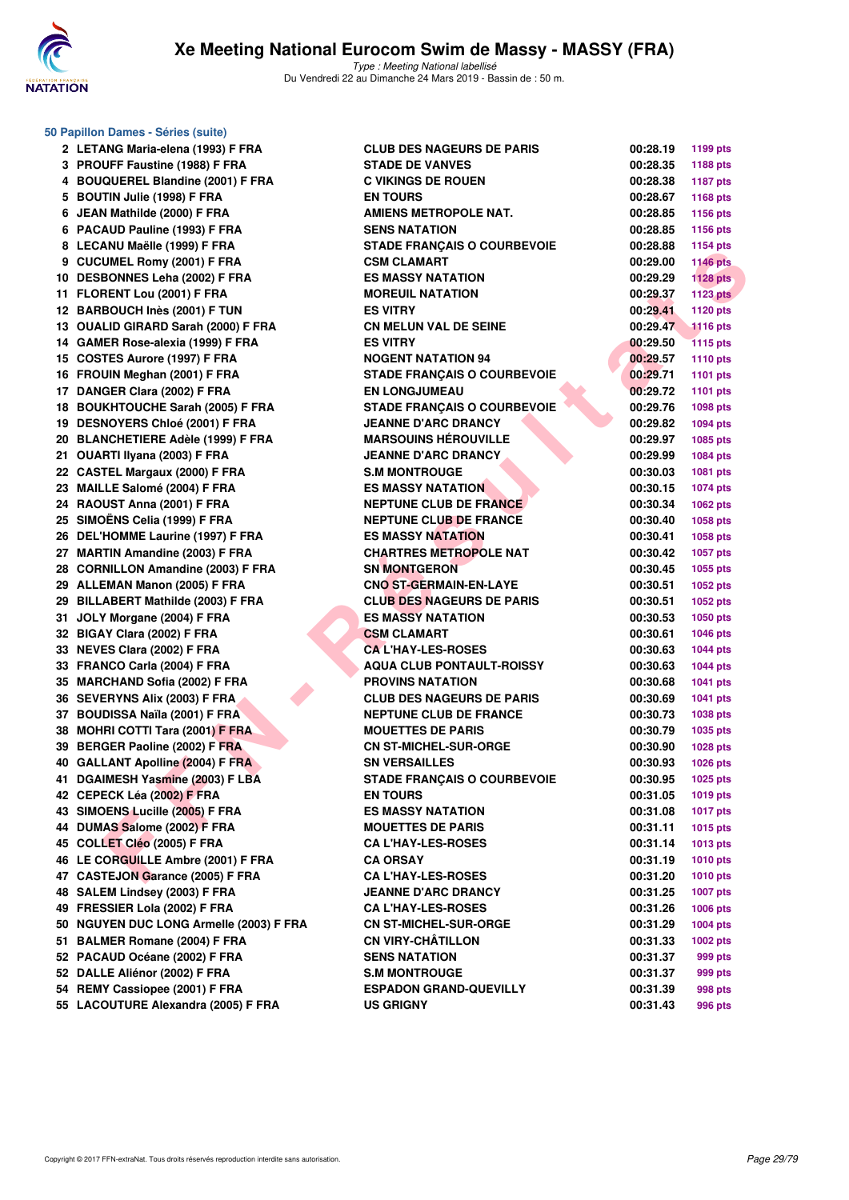

|      | 50 Papillon Dames - Séries (suite)      |
|------|-----------------------------------------|
| 2    | LETANG Maria-elena (1993) F FRA         |
| 3    | PROUFF Faustine (1988) F FRA            |
| 4    | <b>BOUQUEREL Blandine (2001) F FRA</b>  |
| 5    | <b>BOUTIN Julie (1998) F FRA</b>        |
| 6    | JEAN Mathilde (2000) F FRA              |
| 6    | PACAUD Pauline (1993) F FRA             |
| 8    | LECANU Maëlle (1999) F FRA              |
| 9    | <b>CUCUMEL Romy (2001) F FRA</b>        |
| 10   | <b>DESBONNES Leha (2002) F FRA</b>      |
| 11   | FLORENT Lou (2001) F FRA                |
|      | 12 BARBOUCH Inès (2001) F TUN           |
| 13   | <b>OUALID GIRARD Sarah (2000) F FRA</b> |
|      | 14 GAMER Rose-alexia (1999) F FRA       |
|      | 15 COSTES Aurore (1997) F FRA           |
|      | 16 FROUIN Meghan (2001) F FRA           |
|      | 17 DANGER Clara (2002) F FRA            |
| 18   | <b>BOUKHTOUCHE Sarah (2005) F FRA</b>   |
| 19   | DESNOYERS Chloé (2001) F FRA            |
|      | 20 BLANCHETIERE Adèle (1999) F FRA      |
| 21   | OUARTI Ilyana (2003) F FRA              |
| 22   | <b>CASTEL Margaux (2000) F FRA</b>      |
| 23   | MAILLE Salomé (2004) F FRA              |
|      | 24 RAOUST Anna (2001) F FRA             |
|      | 25 SIMOËNS Celia (1999) F FRA           |
|      | 26 DEL'HOMME Laurine (1997) F FRA       |
|      | 27 MARTIN Amandine (2003) F FRA         |
| 28   | <b>CORNILLON Amandine (2003) F FRA</b>  |
| 29   | <b>ALLEMAN Manon (2005) F FRA</b>       |
|      |                                         |
| 29   | BILLABERT Mathilde (2003) F FRA         |
| 31   | JOLY Morgane (2004) F FRA               |
| 32   | BIGAY Clara (2002) F FRA                |
| 33   | NEVES Clara (2002) F FRA                |
| 33   | FRANCO Carla (2004) F FRA               |
|      | 35 MARCHAND Sofia (2002) F FRA          |
| 36   | <b>SEVERYNS Alix (2003) F FRA</b>       |
| 37   | <b>BOUDISSA Naïla (2001) F FRA</b>      |
| 38   | <b>MOHRI COTTI Tara (2001) F FRA</b>    |
| 39   | BERGER Paoline (2002) F FRA             |
| 40 - | <b>GALLANT Apolline (2004) F FRA</b>    |
| 41   | DGAIMESH Yasmine (2003) F LBA           |
|      | 42 CEPECK Léa (2002) F FRA              |
|      | 43 SIMOENS Lucille (2005) F FRA         |
|      | 44 DUMAS Salome (2002) F FRA            |
|      | 45 COLLET Cléo (2005) F FRA             |
|      | 46 LE CORGUILLE Ambre (2001) F FRA      |
|      | 47 CASTEJON Garance (2005) F FRA        |
|      | 48 SALEM Lindsey (2003) F FRA           |
|      | 49 FRESSIER Lola (2002) F FRA           |
|      | 50 NGUYEN DUC LONG Armelle (2003) F FF  |
|      | 51 BALMER Romane (2004) F FRA           |
|      | 52 PACAUD Océane (2002) F FRA           |
|      | 52 DALLE Aliénor (2002) F FRA           |
|      | 54 REMY Cassiopee (2001) F FRA          |
|      | 55 LACOUTURE Alexandra (2005) F FRA     |

| Papilion Dames - Series (suite)         |                                                         |          |                 |
|-----------------------------------------|---------------------------------------------------------|----------|-----------------|
| 2 LETANG Maria-elena (1993) F FRA       | <b>CLUB DES NAGEURS DE PARIS</b>                        | 00:28.19 | 1199 pts        |
| 3 PROUFF Faustine (1988) F FRA          | <b>STADE DE VANVES</b>                                  | 00:28.35 | 1188 pts        |
| 4 BOUQUEREL Blandine (2001) F FRA       | <b>C VIKINGS DE ROUEN</b>                               | 00:28.38 | <b>1187 pts</b> |
| 5 BOUTIN Julie (1998) F FRA             | <b>EN TOURS</b>                                         | 00:28.67 | 1168 pts        |
| 6 JEAN Mathilde (2000) F FRA            | <b>AMIENS METROPOLE NAT.</b>                            | 00:28.85 | 1156 pts        |
| 6 PACAUD Pauline (1993) F FRA           | <b>SENS NATATION</b>                                    | 00:28.85 | 1156 pts        |
| 8 LECANU Maëlle (1999) F FRA            | <b>STADE FRANÇAIS O COURBEVOIE</b>                      | 00:28.88 | <b>1154 pts</b> |
| 9 CUCUMEL Romy (2001) F FRA             | <b>CSM CLAMART</b>                                      | 00:29.00 | <b>1146 pts</b> |
| 10 DESBONNES Leha (2002) F FRA          | <b>ES MASSY NATATION</b>                                | 00:29.29 | <b>1128 pts</b> |
| 11 FLORENT Lou (2001) F FRA             | <b>MOREUIL NATATION</b>                                 | 00:29.37 | <b>1123 pts</b> |
| 12 BARBOUCH Inès (2001) F TUN           | <b>ES VITRY</b>                                         | 00:29.41 | 1120 pts        |
| 13 OUALID GIRARD Sarah (2000) F FRA     | <b>CN MELUN VAL DE SEINE</b>                            | 00:29.47 | <b>1116 pts</b> |
| 14 GAMER Rose-alexia (1999) F FRA       | <b>ES VITRY</b>                                         | 00:29.50 | <b>1115 pts</b> |
| 15 COSTES Aurore (1997) F FRA           | <b>NOGENT NATATION 94</b>                               | 00:29.57 | <b>1110 pts</b> |
| 16 FROUIN Meghan (2001) F FRA           | <b>STADE FRANÇAIS O COURBEVOIE</b>                      | 00:29.71 | 1101 pts        |
| 17 DANGER Clara (2002) F FRA            | <b>EN LONGJUMEAU</b>                                    | 00:29.72 | <b>1101 pts</b> |
| 18 BOUKHTOUCHE Sarah (2005) F FRA       | <b>STADE FRANÇAIS O COURBEVOIE</b>                      | 00:29.76 | 1098 pts        |
| 19 DESNOYERS Chloé (2001) F FRA         | <b>JEANNE D'ARC DRANCY</b>                              | 00:29.82 | 1094 pts        |
| 20 BLANCHETIERE Adèle (1999) F FRA      | <b>MARSOUINS HÉROUVILLE</b>                             | 00:29.97 | 1085 pts        |
| 21 OUARTI Ilyana (2003) F FRA           | <b>JEANNE D'ARC DRANCY</b>                              | 00:29.99 | 1084 pts        |
| 22 CASTEL Margaux (2000) F FRA          | <b>S.M MONTROUGE</b>                                    | 00:30.03 | 1081 pts        |
| 23 MAILLE Salomé (2004) F FRA           | <b>ES MASSY NATATION</b>                                | 00:30.15 | <b>1074 pts</b> |
| 24 RAOUST Anna (2001) F FRA             | <b>NEPTUNE CLUB DE FRANCE.</b>                          | 00:30.34 | 1062 pts        |
| 25 SIMOËNS Celia (1999) F FRA           | <b>NEPTUNE CLUB DE FRANCE</b>                           | 00:30.40 | 1058 pts        |
| 26 DEL'HOMME Laurine (1997) F FRA       | <b>ES MASSY NATATION</b>                                | 00:30.41 | 1058 pts        |
| 27 MARTIN Amandine (2003) F FRA         | <b>CHARTRES METROPOLE NAT</b>                           | 00:30.42 | 1057 pts        |
| 28 CORNILLON Amandine (2003) F FRA      | <b>SN MONTGERON</b>                                     | 00:30.45 | 1055 pts        |
| 29 ALLEMAN Manon (2005) F FRA           | <b>CNO ST-GERMAIN-EN-LAYE</b>                           | 00:30.51 | 1052 pts        |
| 29 BILLABERT Mathilde (2003) F FRA      | <b>CLUB DES NAGEURS DE PARIS</b>                        | 00:30.51 | 1052 pts        |
| 31 JOLY Morgane (2004) F FRA            | <b>ES MASSY NATATION</b>                                | 00:30.53 | <b>1050 pts</b> |
| 32 BIGAY Clara (2002) F FRA             | <b>CSM CLAMART</b>                                      | 00:30.61 | <b>1046 pts</b> |
| 33 NEVES Clara (2002) F FRA             | <b>CAL'HAY-LES-ROSES</b>                                | 00:30.63 | <b>1044 pts</b> |
| 33 FRANCO Carla (2004) F FRA            | <b>AQUA CLUB PONTAULT-ROISSY</b>                        | 00:30.63 | <b>1044 pts</b> |
| 35 MARCHAND Sofia (2002) F FRA          | <b>PROVINS NATATION</b>                                 | 00:30.68 | 1041 pts        |
| 36 SEVERYNS Alix (2003) F FRA           | <b>CLUB DES NAGEURS DE PARIS</b>                        | 00:30.69 | 1041 pts        |
| 37 BOUDISSA Naïla (2001) F FRA          | <b>NEPTUNE CLUB DE FRANCE</b>                           | 00:30.73 | 1038 pts        |
| 38 MOHRI COTTI Tara (2001) F FRA        | <b>MOUETTES DE PARIS</b>                                | 00:30.79 | 1035 pts        |
| 39 BERGER Paoline (2002) F FRA          | <b>CN ST-MICHEL-SUR-ORGE</b>                            | 00:30.90 | 1028 pts        |
| 40 GALLANT Apolline (2004) F FRA        | <b>SN VERSAILLES</b>                                    | 00:30.93 | 1026 pts        |
| 41 DGAIMESH Yasmine (2003) F LBA        | STADE FRANÇAIS O COURBEVOIE                             | 00:30.95 | 1025 pts        |
| 42 CEPECK Léa (2002) F FRA              | <b>EN TOURS</b>                                         | 00:31.05 | 1019 pts        |
| 43 SIMOENS Lucille (2005) F FRA         | <b>ES MASSY NATATION</b>                                | 00:31.08 | 1017 pts        |
| 44 DUMAS Salome (2002) F FRA            | <b>MOUETTES DE PARIS</b>                                | 00:31.11 | 1015 pts        |
| 45 COLLET Cléo (2005) F FRA             | <b>CA L'HAY-LES-ROSES</b>                               | 00:31.14 | 1013 pts        |
| 46 LE CORGUILLE Ambre (2001) F FRA      | <b>CA ORSAY</b>                                         | 00:31.19 | <b>1010 pts</b> |
| 47 CASTEJON Garance (2005) F FRA        | <b>CA L'HAY-LES-ROSES</b>                               | 00:31.20 |                 |
| 48 SALEM Lindsey (2003) F FRA           |                                                         |          | <b>1010 pts</b> |
| 49 FRESSIER Lola (2002) F FRA           | <b>JEANNE D'ARC DRANCY</b><br><b>CA L'HAY-LES-ROSES</b> | 00:31.25 | <b>1007 pts</b> |
|                                         |                                                         | 00:31.26 | 1006 pts        |
| 50 NGUYEN DUC LONG Armelle (2003) F FRA | <b>CN ST-MICHEL-SUR-ORGE</b>                            | 00:31.29 | <b>1004 pts</b> |
| 51 BALMER Romane (2004) F FRA           | <b>CN VIRY-CHATILLON</b>                                | 00:31.33 | 1002 pts        |
| 52 PACAUD Océane (2002) F FRA           | <b>SENS NATATION</b>                                    | 00:31.37 | 999 pts         |
| 52 DALLE Aliénor (2002) F FRA           | <b>S.M MONTROUGE</b>                                    | 00:31.37 | 999 pts         |
| 54 REMY Cassiopee (2001) F FRA          | <b>ESPADON GRAND-QUEVILLY</b>                           | 00:31.39 | 998 pts         |
| 55 LACOUTURE Alexandra (2005) F FRA     | <b>US GRIGNY</b>                                        | 00:31.43 | 996 pts         |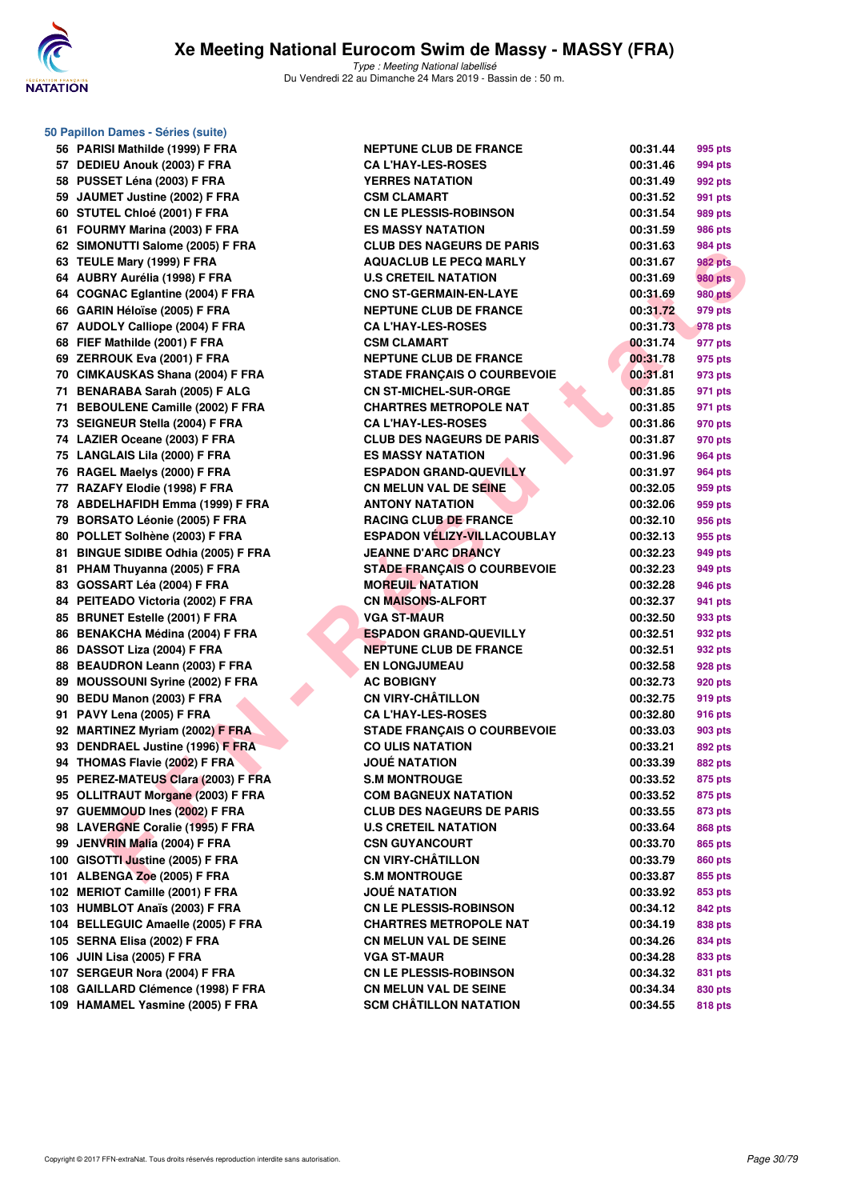

**50 Papillon Dames - Séries (suite)**

| 56  | PARISI Mathilde (1999) F FRA            | Ņ |
|-----|-----------------------------------------|---|
| 57  | DEDIEU Anouk (2003) F FRA               | C |
| 58  | PUSSET Léna (2003) F FRA                | Υ |
| 59  | JAUMET Justine (2002) F FRA             | C |
| 60  | STUTEL Chloé (2001) F FRA               | C |
| 61  | FOURMY Marina (2003) F FRA              | Е |
| 62  | SIMONUTTI Salome (2005) F FRA           | C |
| 63  | TEULE Mary (1999) F FRA                 | Α |
| 64  | AUBRY Aurélia (1998) F FRA              | ι |
| 64  | <b>COGNAC Eglantine (2004) F FRA</b>    | C |
| 66  | GARIN Héloïse (2005) F FRA              | Ν |
| 67  | <b>AUDOLY Calliope (2004) F FRA</b>     | C |
| 68  | FIEF Mathilde (2001) F FRA              | C |
| 69  | ZERROUK Eva (2001) F FRA                | Ν |
| 70  | <b>CIMKAUSKAS Shana (2004) F FRA</b>    | s |
| 71  | <b>BENARABA Sarah (2005) F ALG</b>      | C |
| 71  | <b>BEBOULENE Camille (2002) F FRA</b>   | C |
| 73  | SEIGNEUR Stella (2004) F FRA            | C |
| 74  | LAZIER Oceane (2003) F FRA              | C |
| 75  | <b>LANGLAIS Lila (2000) F FRA</b>       | Е |
| 76  | RAGEL Maelys (2000) F FRA               | Е |
| 77  | RAZAFY Elodie (1998) F FRA              | C |
| 78  | <b>ABDELHAFIDH Emma (1999) F FRA</b>    | Α |
| 79  | <b>BORSATO Léonie (2005) F FRA</b>      | F |
| 80  | POLLET Solhène (2003) F FRA             | Е |
| 81  | <b>BINGUE SIDIBE Odhia (2005) F FRA</b> | J |
| 81  | PHAM Thuyanna (2005) F FRA              | s |
| 83  | GOSSART Léa (2004) F FRA                | N |
| 84  | PEITEADO Victoria (2002) F FRA          | C |
| 85  | <b>BRUNET Estelle (2001) F FRA</b>      | V |
| 86  | <b>BENAKCHA Médina (2004) F FRA</b>     | E |
| 86  | DASSOT Liza (2004) F FRA                | N |
| 88  | <b>BEAUDRON Leann (2003) F FRA</b>      | Е |
| 89  | <b>MOUSSOUNI Syrine (2002) F FRA</b>    | Α |
| 90  | BEDU Manon (2003) F FRA                 | C |
| 91  | PAVY Lena (2005) F FRA                  | C |
| 92  | <b>MARTINEZ Myriam (2002) F FRA</b>     | s |
| 93  | <b>DENDRAEL Justine (1996) F FRA</b>    | C |
| 94  | THOMAS Flavie (2002) F FRA              | J |
| 95  | PEREZ-MATEUS Clara (2003) F FRA         | s |
| 95  | <b>OLLITRAUT Morgane (2003) F FRA</b>   | C |
| 97  | <b>GUEMMOUD Ines (2002) F FRA</b>       | C |
| 98  | <b>LAVERGNE Coralie (1995) F FRA</b>    | ι |
| 99  | JENVRIN Malia (2004) F FRA              | C |
| 100 | GISOTTI Justine (2005) F FRA            | C |
| 101 | ALBENGA Zoe (2005) F FRA                | s |
| 102 | <b>MERIOT Camille (2001) F FRA</b>      | J |
| 103 | <b>HUMBLOT Anaïs (2003) F FRA</b>       | C |
| 104 | <b>BELLEGUIC Amaelle (2005) F FRA</b>   | C |
| 105 | SERNA Elisa (2002) F FRA                | C |
| 106 | JUIN Lisa (2005) F FRA                  | ٧ |
|     | 107 SERGEUR Nora (2004) F FRA           | C |
| 108 | <b>GAILLARD Clémence (1998) F FRA</b>   | C |
| 109 | <b>HAMAMEL Yasmine (2005) F FRA</b>     | s |

| 56 PARISI Mathilde (1999) F FRA     | <b>NEPTUNE CLUB DE FRANCE</b>      | 00:31.44 | 995 pts        |
|-------------------------------------|------------------------------------|----------|----------------|
| 57 DEDIEU Anouk (2003) F FRA        | <b>CA L'HAY-LES-ROSES</b>          | 00:31.46 | 994 pts        |
| 58 PUSSET Léna (2003) F FRA         | <b>YERRES NATATION</b>             | 00:31.49 | 992 pts        |
| 59 JAUMET Justine (2002) F FRA      | <b>CSM CLAMART</b>                 | 00:31.52 | 991 pts        |
| 60 STUTEL Chloé (2001) F FRA        | <b>CN LE PLESSIS-ROBINSON</b>      | 00:31.54 | 989 pts        |
| 61 FOURMY Marina (2003) F FRA       | <b>ES MASSY NATATION</b>           | 00:31.59 | 986 pts        |
| 62 SIMONUTTI Salome (2005) F FRA    | <b>CLUB DES NAGEURS DE PARIS</b>   | 00:31.63 | 984 pts        |
| 63 TEULE Mary (1999) F FRA          | <b>AQUACLUB LE PECQ MARLY</b>      | 00:31.67 | 982 pts        |
| 64 AUBRY Aurélia (1998) F FRA       | <b>U.S CRETEIL NATATION</b>        | 00:31.69 | <b>980 pts</b> |
| 64 COGNAC Eglantine (2004) F FRA    | <b>CNO ST-GERMAIN-EN-LAYE</b>      | 00:31.69 | <b>980 pts</b> |
| 66 GARIN Héloïse (2005) F FRA       | <b>NEPTUNE CLUB DE FRANCE</b>      | 00:31.72 | 979 pts        |
| 67 AUDOLY Calliope (2004) F FRA     | <b>CAL'HAY-LES-ROSES</b>           | 00:31.73 | 978 pts        |
| 68 FIEF Mathilde (2001) F FRA       | <b>CSM CLAMART</b>                 | 00:31.74 | 977 pts        |
| 69 ZERROUK Eva (2001) F FRA         | <b>NEPTUNE CLUB DE FRANCE</b>      | 00:31.78 | 975 pts        |
| 70 CIMKAUSKAS Shana (2004) F FRA    | <b>STADE FRANÇAIS O COURBEVOIE</b> | 00:31.81 | 973 pts        |
| 71 BENARABA Sarah (2005) F ALG      | <b>CN ST-MICHEL-SUR-ORGE</b>       | 00:31.85 | 971 pts        |
| 71 BEBOULENE Camille (2002) F FRA   | <b>CHARTRES METROPOLE NAT</b>      | 00:31.85 | 971 pts        |
| 73 SEIGNEUR Stella (2004) F FRA     | <b>CA L'HAY-LES-ROSES</b>          | 00:31.86 | 970 pts        |
| 74 LAZIER Oceane (2003) F FRA       | <b>CLUB DES NAGEURS DE PARIS</b>   | 00:31.87 | 970 pts        |
| 75 LANGLAIS Lila (2000) F FRA       | <b>ES MASSY NATATION</b>           | 00:31.96 | 964 pts        |
| 76 RAGEL Maelys (2000) F FRA        | <b>ESPADON GRAND-QUEVILLY</b>      | 00:31.97 | 964 pts        |
| 77 RAZAFY Elodie (1998) F FRA       | <b>CN MELUN VAL DE SEINE</b>       | 00:32.05 | 959 pts        |
| 78 ABDELHAFIDH Emma (1999) F FRA    | <b>ANTONY NATATION</b>             | 00:32.06 | 959 pts        |
| 79 BORSATO Léonie (2005) F FRA      | <b>RACING CLUB DE FRANCE</b>       | 00:32.10 | 956 pts        |
| 80 POLLET Solhène (2003) F FRA      | <b>ESPADON VÉLIZY-VILLACOUBLAY</b> | 00:32.13 | 955 pts        |
| 81 BINGUE SIDIBE Odhia (2005) F FRA | <b>JEANNE D'ARC DRANCY</b>         | 00:32.23 | 949 pts        |
| 81 PHAM Thuyanna (2005) F FRA       | <b>STADE FRANÇAIS O COURBEVOIE</b> | 00:32.23 | 949 pts        |
| 83 GOSSART Léa (2004) F FRA         | <b>MOREUIL NATATION</b>            | 00:32.28 | 946 pts        |
| 84 PEITEADO Victoria (2002) F FRA   | <b>CN MAISONS-ALFORT</b>           | 00:32.37 | 941 pts        |
| 85 BRUNET Estelle (2001) F FRA      | <b>VGA ST-MAUR</b>                 | 00:32.50 | 933 pts        |
| 86 BENAKCHA Médina (2004) F FRA     | <b>ESPADON GRAND-QUEVILLY</b>      | 00:32.51 | 932 pts        |
| 86 DASSOT Liza (2004) F FRA         | <b>NEPTUNE CLUB DE FRANCE</b>      | 00:32.51 | 932 pts        |
| 88 BEAUDRON Leann (2003) F FRA      | <b>EN LONGJUMEAU</b>               | 00:32.58 | 928 pts        |
| 89 MOUSSOUNI Syrine (2002) F FRA    | <b>AC BOBIGNY</b>                  | 00:32.73 | 920 pts        |
| 90 BEDU Manon (2003) F FRA          | <b>CN VIRY-CHÂTILLON</b>           | 00:32.75 | 919 pts        |
| 91 PAVY Lena (2005) F FRA           | <b>CA L'HAY-LES-ROSES</b>          | 00:32.80 | 916 pts        |
| 92 MARTINEZ Myriam (2002) F FRA     | <b>STADE FRANÇAIS O COURBEVOIE</b> | 00:33.03 | 903 pts        |
| 93 DENDRAEL Justine (1996) F FRA    | <b>CO ULIS NATATION</b>            | 00:33.21 | 892 pts        |
| 94 THOMAS Flavie (2002) F FRA       | <b>JOUÉ NATATION</b>               | 00:33.39 | <b>882 pts</b> |
| 95 PEREZ-MATEUS Clara (2003) F FRA  | <b>S.M MONTROUGE</b>               | 00:33.52 | 875 pts        |
| 95 OLLITRAUT Morgane (2003) F FRA   | <b>COM BAGNEUX NATATION</b>        | 00:33.52 | 875 pts        |
| 97 GUEMMOUD Ines (2002) F FRA       | <b>CLUB DES NAGEURS DE PARIS</b>   | 00:33.55 | 873 pts        |
| 98 LAVERGNE Coralie (1995) F FRA    | <b>U.S CRETEIL NATATION</b>        | 00:33.64 | 868 pts        |
| 99 JENVRIN Malia (2004) F FRA       | <b>CSN GUYANCOURT</b>              | 00:33.70 | 865 pts        |
| 100 GISOTTI Justine (2005) F FRA    | <b>CN VIRY-CHÂTILLON</b>           | 00:33.79 | 860 pts        |
| 101 ALBENGA Zoe (2005) F FRA        | <b>S.M MONTROUGE</b>               | 00:33.87 | 855 pts        |
| 102 MERIOT Camille (2001) F FRA     | <b>JOUÉ NATATION</b>               | 00:33.92 | 853 pts        |
| 103 HUMBLOT Anaïs (2003) F FRA      | <b>CN LE PLESSIS-ROBINSON</b>      | 00:34.12 | 842 pts        |
| 104 BELLEGUIC Amaelle (2005) F FRA  | <b>CHARTRES METROPOLE NAT</b>      | 00:34.19 | 838 pts        |
| 105 SERNA Elisa (2002) F FRA        | <b>CN MELUN VAL DE SEINE</b>       | 00:34.26 | 834 pts        |
| 106 JUIN Lisa (2005) F FRA          | <b>VGA ST-MAUR</b>                 | 00:34.28 | 833 pts        |
| 107 SERGEUR Nora (2004) F FRA       | <b>CN LE PLESSIS-ROBINSON</b>      | 00:34.32 | 831 pts        |
| 108 GAILLARD Clémence (1998) F FRA  | <b>CN MELUN VAL DE SEINE</b>       | 00:34.34 | 830 pts        |
| 109 HAMAMEL Yasmine (2005) F FRA    | <b>SCM CHÂTILLON NATATION</b>      | 00:34.55 | 818 pts        |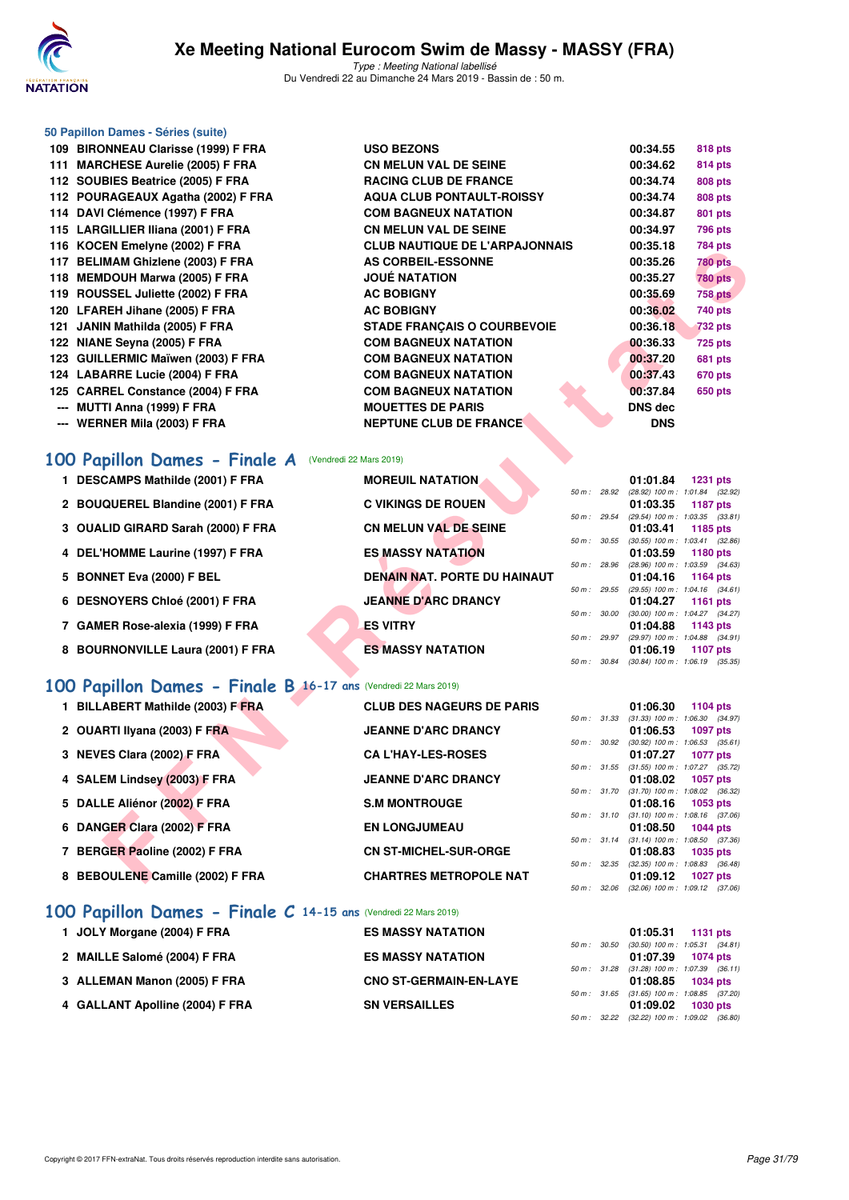

#### **50 Papillon Dames - Séries (suite)**

**109 BIRONNEAU Clarisse (1999) F FRA 111 MARCHESE Aurelie (2005) F FRA** 112 SOUBIES Beatrice (2005) F FRA **112 POURAGEAUX Agatha (2002) F FRA** 114 DAVI Clémence (1997) F FRA 115 LARGILLIER Iliana (2001) F FRA 116 KOCEN Emelyne (2002) F FRA 117 BELIMAM Ghizlene (2003) F FRA **118 MEMDOUH Marwa (2005) F FRA** 119 ROUSSEL Juliette (2002) F FRA **120 LFAREH Jihane (2005) F FRA** 121 JANIN Mathilda (2005) F FRA **122 NIANE Seyna (2005) F FRA** 123 GUILLERMIC Maïwen (2003) F FRA **124 LABARRE Lucie (2004) F FRA** 125 CARREL Constance (2004) F FRA **--- MUTTI Anna (1999) F FRA --- WERNER Mila (2003) F FRA** 

| <b>USO BEZONS</b>                     | 00:34.55       | 818 pts        |
|---------------------------------------|----------------|----------------|
| <b>CN MELUN VAL DE SEINE</b>          | 00:34.62       | 814 pts        |
| <b>RACING CLUB DE FRANCE</b>          | 00:34.74       | <b>808 pts</b> |
| <b>AQUA CLUB PONTAULT-ROISSY</b>      | 00:34.74       | <b>808 pts</b> |
| <b>COM BAGNEUX NATATION</b>           | 00:34.87       | 801 pts        |
| <b>CN MELUN VAL DE SEINE</b>          | 00:34.97       | 796 pts        |
| <b>CLUB NAUTIQUE DE L'ARPAJONNAIS</b> | 00:35.18       | 784 pts        |
| <b>AS CORBEIL-ESSONNE</b>             | 00:35.26       | <b>780 pts</b> |
| <b>JOUÉ NATATION</b>                  | 00:35.27       | <b>780 pts</b> |
| <b>AC BOBIGNY</b>                     | 00:35.69       | <b>758 pts</b> |
| <b>AC BOBIGNY</b>                     | 00:36.02       | 740 pts        |
| <b>STADE FRANÇAIS O COURBEVOIE</b>    | 00:36.18       | <b>732 pts</b> |
| <b>COM BAGNEUX NATATION</b>           | 00:36.33       | <b>725 pts</b> |
| <b>COM BAGNEUX NATATION</b>           | 00:37.20       | 681 pts        |
| <b>COM BAGNEUX NATATION</b>           | 00:37.43       | 670 pts        |
| <b>COM BAGNEUX NATATION</b>           | 00:37.84       | 650 pts        |
| <b>MOUETTES DE PARIS</b>              | <b>DNS</b> dec |                |
| <b>NEPTUNE CLUB DE FRANCE</b>         | <b>DNS</b>     |                |
|                                       |                |                |

## [100 Papillon Dames - Finale A](http://www.ffnatation.fr/webffn/resultats.php?idact=nat&go=epr&idcpt=57649&idepr=32) (Vendredi 22 Mars 2019)

| <b>110 NOCEN EMERGIE (2002) F FRA</b>                                                     | UD INAUTIQUE DE L'ARFAJOINNAIS      |              | 00.JJ.IO                                               | <b>104 pm</b>                                          |
|-------------------------------------------------------------------------------------------|-------------------------------------|--------------|--------------------------------------------------------|--------------------------------------------------------|
| 117 BELIMAM Ghizlene (2003) F FRA                                                         | <b>AS CORBEIL-ESSONNE</b>           |              | 00:35.26                                               | <b>780 pts</b>                                         |
| 118 MEMDOUH Marwa (2005) F FRA                                                            | <b>JOUÉ NATATION</b>                |              | 00:35.27                                               | <b>780 pts</b>                                         |
| 119 ROUSSEL Juliette (2002) F FRA                                                         | <b>AC BOBIGNY</b>                   |              | 00:35.69                                               | <b>758 pts</b>                                         |
| 120 LFAREH Jihane (2005) F FRA                                                            | <b>AC BOBIGNY</b>                   |              | 00:36.02                                               | 740 pts                                                |
| 121 JANIN Mathilda (2005) F FRA                                                           | <b>STADE FRANÇAIS O COURBEVOIE</b>  |              | 00:36.18                                               | 732 pts                                                |
| 122 NIANE Seyna (2005) F FRA                                                              | <b>COM BAGNEUX NATATION</b>         |              | 00:36.33                                               | 725 pts                                                |
| 123 GUILLERMIC Maïwen (2003) F FRA                                                        | <b>COM BAGNEUX NATATION</b>         |              | 00:37.20                                               | 681 pts                                                |
| 124 LABARRE Lucie (2004) F FRA                                                            | <b>COM BAGNEUX NATATION</b>         |              | 00:37.43                                               | 670 pts                                                |
| 125 CARREL Constance (2004) F FRA                                                         | <b>COM BAGNEUX NATATION</b>         |              | 00:37.84                                               | 650 pts                                                |
| --- MUTTI Anna (1999) F FRA                                                               | <b>MOUETTES DE PARIS</b>            |              | <b>DNS dec</b>                                         |                                                        |
| --- WERNER Mila (2003) F FRA                                                              | <b>NEPTUNE CLUB DE FRANCE</b>       |              | <b>DNS</b>                                             |                                                        |
| 100 Papillon Dames - Finale A (Vendredi 22 Mars 2019)<br>1 DESCAMPS Mathilde (2001) F FRA | <b>MOREUIL NATATION</b>             | 50 m: 28.92  | 01:01.84                                               | <b>1231 pts</b><br>(28.92) 100 m: 1:01.84 (32.92)      |
| 2 BOUQUEREL Blandine (2001) F FRA                                                         | <b>C VIKINGS DE ROUEN</b>           |              | 01:03.35                                               | <b>1187 pts</b>                                        |
| 3 OUALID GIRARD Sarah (2000) F FRA                                                        | <b>CN MELUN VAL DE SEINE</b>        | 50 m: 29.54  | 01:03.41                                               | $(29.54)$ 100 m : 1:03.35 $(33.81)$<br>1185 pts        |
|                                                                                           |                                     | 50 m : 30.55 |                                                        | $(30.55)$ 100 m : 1:03.41 $(32.86)$                    |
| 4 DEL'HOMME Laurine (1997) F FRA                                                          | <b>ES MASSY NATATION</b>            |              | 01:03.59                                               | 1180 pts                                               |
| 5 BONNET Eva (2000) F BEL                                                                 | <b>DENAIN NAT. PORTE DU HAINAUT</b> | 50 m: 28.96  | 01:04.16                                               | $(28.96)$ 100 m : 1:03.59 $(34.63)$<br>1164 pts        |
|                                                                                           |                                     | 50 m : 29.55 |                                                        | $(29.55)$ 100 m : 1:04.16 $(34.61)$                    |
| 6 DESNOYERS Chloé (2001) F FRA                                                            | <b>JEANNE D'ARC DRANCY</b>          |              | 01:04.27                                               | <b>1161 pts</b>                                        |
|                                                                                           |                                     | 50 m : 30.00 |                                                        | (30.00) 100 m: 1:04.27 (34.27)                         |
| 7 GAMER Rose-alexia (1999) F FRA                                                          | <b>ES VITRY</b>                     | 50 m: 29.97  | 01:04.88                                               | 1143 pts<br>(29.97) 100 m: 1:04.88 (34.91)             |
| 8 BOURNONVILLE Laura (2001) F FRA                                                         | <b>ES MASSY NATATION</b>            |              | 01:06.19                                               | 1107 pts                                               |
|                                                                                           |                                     | 50 m : 30.84 |                                                        | $(30.84)$ 100 m : 1:06.19 $(35.35)$                    |
| 100 Papillon Dames - Finale B 16-17 ans (Vendredi 22 Mars 2019)                           |                                     |              |                                                        |                                                        |
|                                                                                           |                                     |              |                                                        |                                                        |
| 1 BILLABERT Mathilde (2003) F FRA                                                         | <b>CLUB DES NAGEURS DE PARIS</b>    | 50 m : 31.33 | 01:06.30                                               | 1104 pts<br>$(31.33)$ 100 m : 1:06.30 $(34.97)$        |
| 2 OUARTI Ilyana (2003) F FRA                                                              | <b>JEANNE D'ARC DRANCY</b>          |              | 01:06.53                                               | <b>1097 pts</b>                                        |
|                                                                                           |                                     | 50 m : 30.92 |                                                        | $(30.92)$ 100 m : 1:06.53 $(35.61)$                    |
| 3 NEVES Clara (2002) F FRA                                                                | <b>CA L'HAY-LES-ROSES</b>           |              | 01:07.27                                               | <b>1077 pts</b>                                        |
| 4 SALEM Lindsey (2003) F FRA                                                              | <b>JEANNE D'ARC DRANCY</b>          |              | 50 m: 31.55 (31.55) 100 m: 1:07.27 (35.72)<br>01:08.02 | <b>1057 pts</b>                                        |
|                                                                                           |                                     | 50 m : 31.70 |                                                        | $(31.70)$ 100 m : 1:08.02 $(36.32)$                    |
| 5 DALLE Aliénor (2002) F FRA                                                              | <b>S.M MONTROUGE</b>                |              | 01:08.16                                               | 1053 pts                                               |
| 6 DANGER Clara (2002) F FRA                                                               | <b>EN LONGJUMEAU</b>                | 50 m : 31.10 | 01:08.50                                               | $(31.10)$ 100 m : 1:08.16 $(37.06)$<br><b>1044 pts</b> |
|                                                                                           |                                     | 50 m: 31.14  |                                                        | $(31.14)$ 100 m : 1:08.50 $(37.36)$                    |
| 7 BERGER Paoline (2002) F FRA                                                             | <b>CN ST-MICHEL-SUR-ORGE</b>        |              | 01:08.83                                               | 1035 pts                                               |
| 8 BEBOULENE Camille (2002) F FRA                                                          | <b>CHARTRES METROPOLE NAT</b>       | 50 m : 32.35 | 01:09.12                                               | $(32.35)$ 100 m : 1:08.83 $(36.48)$                    |
|                                                                                           |                                     |              |                                                        | <b>1027 pts</b>                                        |

## **[100 Papillon Dames - Finale B](http://www.ffnatation.fr/webffn/resultats.php?idact=nat&go=epr&idcpt=57649&idepr=32) 16-17 ans** (Vendredi 22 Mars 2019)

| 1 BILLABERT Mathilde (2003) FFRA | <b>CLUB DES NAGEURS DE PARIS</b> |                        | 01:06.30                                              | 1104 pts |  |
|----------------------------------|----------------------------------|------------------------|-------------------------------------------------------|----------|--|
| 2 OUARTI Ilyana (2003) F FRA     | <b>JEANNE D'ARC DRANCY</b>       | 50 m: 31.33            | $(31.33)$ 100 m : 1:06.30 $(34.$<br>01:06.53          | 1097 pts |  |
| 3 NEVES Clara (2002) F FRA       | <b>CA L'HAY-LES-ROSES</b>        | 50 m : 30.92           | $(30.92)$ 100 m : 1:06.53 (35.<br>01:07.27            | 1077 pts |  |
|                                  |                                  |                        | 50 m: 31.55 (31.55) 100 m: 1:07.27 (35.               |          |  |
| 4 SALEM Lindsey (2003) F FRA     | <b>JEANNE D'ARC DRANCY</b>       | 50 m : 31.70           | 01:08.02 1057 pts<br>$(31.70)$ 100 m : 1:08.02 $(36.$ |          |  |
| 5 DALLE Aliénor (2002) F FRA     | <b>S.M MONTROUGE</b>             |                        | 01:08.16                                              | 1053 pts |  |
| 6 DANGER Clara (2002) F FRA      | <b>EN LONGJUMEAU</b>             | 50 m: 31.10            | $(31.10)$ 100 m : 1:08.16 (37.<br>01:08.50 1044 pts   |          |  |
| 7 BERGER Paoline (2002) F FRA    | <b>CN ST-MICHEL-SUR-ORGE</b>     |                        | 50 m: 31.14 (31.14) 100 m: 1:08.50 (37.<br>01:08.83   | 1035 pts |  |
| 8 BEBOULENE Camille (2002) F FRA | <b>CHARTRES METROPOLE NAT</b>    | 50 m : 32.35           | $(32.35)$ 100 m : 1:08.83 (36.<br>01:09.12            | 1027 pts |  |
|                                  |                                  | $50 \text{ m}$ : 32.06 | $(32.06)$ 100 m : 1:09.12 (37.                        |          |  |
|                                  |                                  |                        |                                                       |          |  |

#### **[100 Papillon Dames - Finale C](http://www.ffnatation.fr/webffn/resultats.php?idact=nat&go=epr&idcpt=57649&idepr=32) 14-15 ans** (Vendredi 22 Mars 2019)

| 1 JOLY Morgane (2004) F FRA     | <b>ES MASSY NATATION</b>      |  | 01:05.31                                                     | 1131 pts |  |
|---------------------------------|-------------------------------|--|--------------------------------------------------------------|----------|--|
| 2 MAILLE Salomé (2004) F FRA    | <b>ES MASSY NATATION</b>      |  | 50 m: 30.50 (30.50) 100 m: 1:05.31 (34.<br>01:07.39 1074 pts |          |  |
| 3 ALLEMAN Manon (2005) F FRA    | <b>CNO ST-GERMAIN-EN-LAYE</b> |  | 50 m: 31.28 (31.28) 100 m: 1:07.39 (36.<br>01:08.85 1034 pts |          |  |
| 4 GALLANT Apolline (2004) F FRA | <b>SN VERSAILLES</b>          |  | 50 m: 31.65 (31.65) 100 m: 1:08.85 (37.<br>01:09.02          | 1030 pts |  |
|                                 |                               |  | $50 m \cdot 3222 (3222) 100 m \cdot 10902 (36)$              |          |  |

| 50 m: 28.92      |              | $(28.92)$ 100 m :                   | $1:01.84$ $(32.92)$ |  |
|------------------|--------------|-------------------------------------|---------------------|--|
|                  |              | 01:03.35                            | 1187 pts            |  |
| $50 m$ : 29.54   |              | $(29.54)$ 100 m :                   | $1:03.35$ $(33.81)$ |  |
|                  |              | 01:03.41                            | 1185 pts            |  |
| $50 m$ : $30.55$ |              | $(30.55)$ 100 m :                   | $1:03.41$ $(32.86)$ |  |
|                  |              | 01:03.59                            | 1180 pts            |  |
| 50 m: 28.96      |              | $(28.96)$ 100 m :                   | 1:03.59 (34.63)     |  |
|                  |              | 01:04.16                            | 1164 pts            |  |
| $50 m$ : 29.55   |              | $(29.55)$ 100 m :                   | $1:04.16$ $(34.61)$ |  |
|                  |              | 01:04.27                            | 1161 pts            |  |
| 50 m: 30.00      |              | $(30.00)$ 100 m :                   | 1:04.27 (34.27)     |  |
|                  |              | 01:04.88                            | 1143 pts            |  |
|                  | 50 m : 29.97 | $(29.97)$ 100 m :                   | $1:04.88$ $(34.91)$ |  |
|                  |              | 01:06.19 1107 pts                   |                     |  |
| 50 m: 30.84      |              | $(30.84)$ 100 m : 1.06.19 $(35.35)$ |                     |  |
|                  |              |                                     |                     |  |

|             |       | 01:06.30          | 1104 $pts$          |  |
|-------------|-------|-------------------|---------------------|--|
| $50 m$ :    | 31.33 | $(31.33) 100 m$ : | 1:06.30 (34.97)     |  |
|             |       | 01:06.53          | 1097 pts            |  |
| $50 m$ :    | 30.92 | $(30.92)$ 100 m : | $1:06.53$ $(35.61)$ |  |
|             |       | 01:07.27          | 1077 pts            |  |
| 50 m: 31.55 |       | $(31.55)$ 100 m : | 1:07.27 (35.72)     |  |
|             |       | 01:08.02          | 1057 pts            |  |
| 50 m: 31.70 |       | $(31.70)$ 100 m : | 1:08.02 (36.32)     |  |
|             |       |                   |                     |  |
|             |       | 01:08.16          | 1053 pts            |  |
| 50 m: 31.10 |       | $(31.10)$ 100 m : | 1:08.16 (37.06)     |  |
|             |       | 01:08.50          | 1044 pts            |  |
| 50 m: 31.14 |       | $(31.14) 100 m$ : | 1:08.50 (37.36)     |  |
|             |       | 01:08.83          | 1035 pts            |  |
| 50 m: 32.35 |       | $(32.35)$ 100 m : | 1:08.83 (36.48)     |  |
|             |       | 01:09.12          | 1027 pts            |  |
| $50 m$ :    | 32.06 | (32.06) 100 m :   | 1:09.12 (37.06)     |  |

|  | $01:05.31$ 1131 pts                        |
|--|--------------------------------------------|
|  | 50 m: 30.50 (30.50) 100 m: 1:05.31 (34.81) |
|  | 01:07.39 1074 pts                          |
|  | 50 m: 31.28 (31.28) 100 m: 1:07.39 (36.11) |
|  | 01:08.85 1034 pts                          |
|  | 50 m: 31.65 (31.65) 100 m: 1:08.85 (37.20) |
|  | 01:09.02 1030 pts                          |
|  | 50 m: 32.22 (32.22) 100 m: 1:09.02 (36.80) |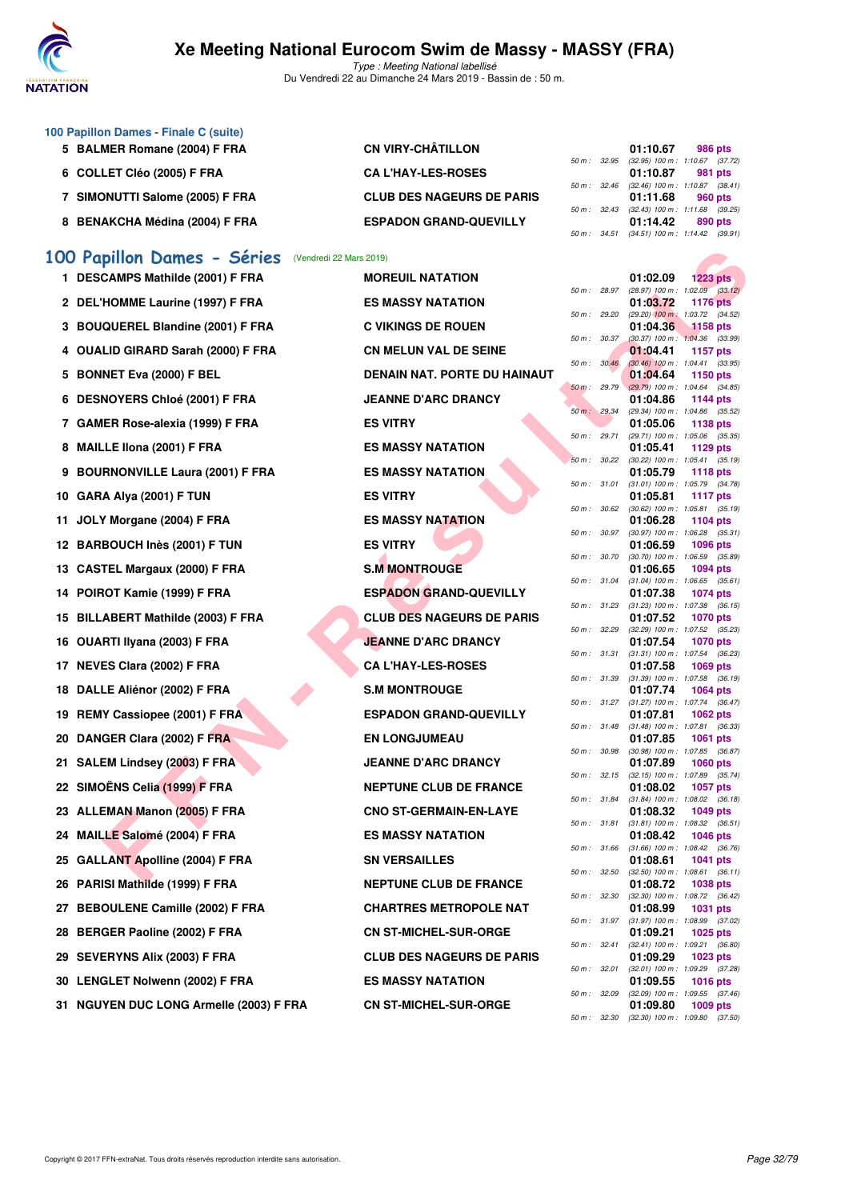

Type : Meeting National labellisé Du Vendredi 22 au Dimanche 24 Mars 2019 - Bassin de : 50 m.

| 100 Papillon Dames - Finale C (suite) |                                  |                          |                                     |         |  |
|---------------------------------------|----------------------------------|--------------------------|-------------------------------------|---------|--|
| 5 BALMER Romane (2004) F FRA          | <b>CN VIRY-CHÂTILLON</b>         |                          | 01:10.67                            | 986 pts |  |
|                                       |                                  | $50 \text{ m}$ : 32.95   | $(32.95)$ 100 m : 1:10.67 $(37.72)$ |         |  |
| 6 COLLET Cléo (2005) F FRA            | <b>CAL'HAY-LES-ROSES</b>         |                          | 01:10.87                            | 981 pts |  |
|                                       |                                  | $50 \text{ m}$ : $32.46$ | $(32.46)$ 100 m : 1:10.87 $(38.41)$ |         |  |
| SIMONUTTI Salome (2005) F FRA         | <b>CLUB DES NAGEURS DE PARIS</b> |                          | 01:11.68                            | 960 pts |  |
|                                       |                                  | $50 \text{ m}$ : 32.43   | $(32.43)$ 100 m : 1:11.68 $(39.25)$ |         |  |
| 8 BENAKCHA Médina (2004) F FRA        | <b>ESPADON GRAND-QUEVILLY</b>    |                          | 01:14.42                            | 890 pts |  |
|                                       |                                  | 50 m : 34.51             | $(34.51)$ 100 m : 1:14.42 $(39.91)$ |         |  |

## **[100 Papillon Dames - Séries](http://www.ffnatation.fr/webffn/resultats.php?idact=nat&go=epr&idcpt=57649&idepr=32)** (Vendredi 22 Mars 2019)

|     | 00 Papillon Dames - Séries (Vendredi 22 Mars 2019) |                                  |              |                   |          |                                                          |
|-----|----------------------------------------------------|----------------------------------|--------------|-------------------|----------|----------------------------------------------------------|
|     | 1 DESCAMPS Mathilde (2001) F FRA                   | <b>MOREUIL NATATION</b>          |              |                   | 01:02.09 | 1223 pts                                                 |
|     | 2 DEL'HOMME Laurine (1997) F FRA                   | <b>ES MASSY NATATION</b>         |              | 50 m : 28.97      | 01:03.72 | $(28.97)$ 100 m : 1:02.09 $(33.12)$<br><b>1176 pts</b>   |
|     | 3 BOUQUEREL Blandine (2001) F FRA                  | <b>C VIKINGS DE ROUEN</b>        | 50 m : 29.20 |                   | 01:04.36 | (29.20) 100 m: 1:03.72 (34.52)<br>1158 pts               |
|     | 4 OUALID GIRARD Sarah (2000) F FRA                 | <b>CN MELUN VAL DE SEINE</b>     |              | 50 m : 30.37      |          | $(30.37)$ 100 m : 1:04.36 $(33.99)$                      |
|     |                                                    |                                  |              | 50 m: 30.46       | 01:04.41 | <b>1157 pts</b><br>$(30.46)$ 100 m : 1:04.41 $(33.95)$   |
|     | 5 BONNET Eva (2000) F BEL                          | DENAIN NAT. PORTE DU HAINAUT     |              | 50 m: 29.79       | 01:04.64 | 1150 pts<br>$(29.79)$ 100 m : 1:04.64 $(34.85)$          |
|     | 6 DESNOYERS Chloé (2001) F FRA                     | <b>JEANNE D'ARC DRANCY</b>       |              |                   | 01:04.86 | 1144 pts                                                 |
|     | 7 GAMER Rose-alexia (1999) F FRA                   | <b>ES VITRY</b>                  |              | 50 m: 29.34       | 01:05.06 | (29.34) 100 m: 1:04.86 (35.52)<br>1138 pts               |
|     | 8 MAILLE IIona (2001) F FRA                        | <b>ES MASSY NATATION</b>         | 50 m : 29.71 |                   | 01:05.41 | (29.71) 100 m: 1:05.06 (35.35)<br>1129 pts               |
|     | 9 BOURNONVILLE Laura (2001) F FRA                  | <b>ES MASSY NATATION</b>         |              | 50 m: 30.22       | 01:05.79 | (30.22) 100 m: 1:05.41 (35.19)<br>1118 pts               |
|     |                                                    |                                  |              | 50 m : 31.01      |          | $(31.01)$ 100 m : 1:05.79 $(34.78)$                      |
|     | 10 GARA Alya (2001) F TUN                          | <b>ES VITRY</b>                  |              | 50 m : 30.62      | 01:05.81 | <b>1117 pts</b><br>(30.62) 100 m: 1:05.81 (35.19)        |
| 11  | JOLY Morgane (2004) F FRA                          | <b>ES MASSY NATATION</b>         |              |                   | 01:06.28 | 1104 pts                                                 |
|     | 12 BARBOUCH Inès (2001) F TUN                      | <b>ES VITRY</b>                  |              | 50 m : 30.97      | 01:06.59 | $(30.97)$ 100 m : 1:06.28 $(35.31)$<br>1096 pts          |
|     |                                                    |                                  |              | 50 m : 30.70      |          | $(30.70)$ 100 m : 1:06.59 $(35.89)$                      |
|     | 13 CASTEL Margaux (2000) F FRA                     | <b>S.M MONTROUGE</b>             |              | 50 m : 31.04      | 01:06.65 | <b>1094 pts</b><br>$(31.04)$ 100 m : 1:06.65 $(35.61)$   |
|     | 14 POIROT Kamie (1999) F FRA                       | <b>ESPADON GRAND-QUEVILLY</b>    |              |                   | 01:07.38 | <b>1074 pts</b>                                          |
|     | 15 BILLABERT Mathilde (2003) F FRA                 | <b>CLUB DES NAGEURS DE PARIS</b> | 50 m : 31.23 |                   | 01:07.52 | $(31.23)$ 100 m : 1:07.38 $(36.15)$<br>1070 pts          |
|     | 16 OUARTI Ilyana (2003) F FRA                      | <b>JEANNE D'ARC DRANCY</b>       | 50 m : 32.29 |                   | 01:07.54 | (32.29) 100 m: 1:07.52 (35.23)<br><b>1070 pts</b>        |
|     |                                                    |                                  | 50 m : 31.31 |                   |          | $(31.31)$ 100 m : 1:07.54 $(36.23)$                      |
|     | 17 NEVES Clara (2002) F FRA                        | <b>CA L'HAY-LES-ROSES</b>        |              | 50 m : 31.39      | 01:07.58 | 1069 pts<br>$(31.39)$ 100 m : 1:07.58 $(36.19)$          |
|     | 18 DALLE Aliénor (2002) F FRA                      | <b>S.M MONTROUGE</b>             |              |                   | 01:07.74 | 1064 pts                                                 |
| 19. | <b>REMY Cassiopee (2001) F FRA</b>                 | <b>ESPADON GRAND-QUEVILLY</b>    |              | 50 m : 31.27      | 01:07.81 | $(31.27)$ 100 m : 1:07.74 $(36.47)$<br>1062 pts          |
|     | 20 DANGER Clara (2002) F FRA                       | <b>EN LONGJUMEAU</b>             |              | 50 m : 31.48      | 01:07.85 | $(31.48)$ 100 m : 1:07.81 $(36.33)$<br>1061 pts          |
|     |                                                    |                                  |              | 50 m : 30.98      |          | $(30.98)$ 100 m : 1:07.85 $(36.87)$                      |
|     | 21 SALEM Lindsey (2003) F FRA                      | <b>JEANNE D'ARC DRANCY</b>       |              | 50 m : 32.15      | 01:07.89 | <b>1060 pts</b><br>$(32.15)$ 100 m : 1:07.89 $(35.74)$   |
|     | 22 SIMOËNS Celia (1999) F FRA                      | <b>NEPTUNE CLUB DE FRANCE</b>    |              |                   | 01:08.02 | <b>1057 pts</b>                                          |
|     | 23 ALLEMAN Manon (2005) F FRA                      | <b>CNO ST-GERMAIN-EN-LAYE</b>    |              | 50 m : 31.84      | 01:08.32 | $(31.84)$ 100 m : 1:08.02 $(36.18)$<br><b>1049 pts</b>   |
|     |                                                    |                                  |              | 50 m : 31.81      |          | $(31.81)$ 100 m : 1:08.32 $(36.51)$                      |
|     | 24 MAILLE Salomé (2004) F FRA                      | <b>ES MASSY NATATION</b>         |              | 50 m : 31.66      | 01:08.42 | <b>1046 pts</b><br>$(31.66)$ 100 m : 1:08.42 $(36.76)$   |
|     | 25 GALLANT Apolline (2004) F FRA                   | <b>SN VERSAILLES</b>             | 50 m : 32.50 |                   | 01:08.61 | 1041 pts                                                 |
|     | 26 PARISI Mathilde (1999) F FRA                    | <b>NEPTUNE CLUB DE FRANCE</b>    |              |                   | 01:08.72 | $(32.50)$ 100 m : 1:08.61 $(36.11)$<br><b>1038 pts</b>   |
|     | 27 BEBOULENE Camille (2002) F FRA                  | <b>CHARTRES METROPOLE NAT</b>    |              |                   | 01:08.99 | 50 m : 32.30 (32.30) 100 m : 1:08.72 (36.42)<br>1031 pts |
|     |                                                    |                                  |              |                   |          | 50 m: 31.97 (31.97) 100 m: 1:08.99 (37.02)               |
|     | 28 BERGER Paoline (2002) F FRA                     | <b>CN ST-MICHEL-SUR-ORGE</b>     |              | 50 m : 32.41      | 01:09.21 | 1025 pts<br>$(32.41)$ 100 m : 1:09.21 $(36.80)$          |
|     | 29 SEVERYNS Alix (2003) F FRA                      | <b>CLUB DES NAGEURS DE PARIS</b> |              |                   | 01:09.29 | <b>1023 pts</b>                                          |
|     | 30 LENGLET Nolwenn (2002) F FRA                    | <b>ES MASSY NATATION</b>         |              | 50 m : 32.01      | 01:09.55 | $(32.01)$ 100 m : 1:09.29 $(37.28)$<br><b>1016 pts</b>   |
|     | 31 NGUYEN DUC LONG Armelle (2003) F FRA            | <b>CN ST-MICHEL-SUR-ORGE</b>     |              | 50 m : 32.09      | 01:09.80 | $(32.09)$ 100 m : 1:09.55 $(37.46)$<br><b>1009 pts</b>   |
|     |                                                    |                                  |              | $50 m \cdot 3230$ |          | $(22.20)$ 100 m · 1:00 80 $(27.50)$                      |

| MOREUIL NATATION                   |
|------------------------------------|
| <b>ES MASSY NATATION</b>           |
| C VIKINGS DE ROUEN                 |
| <b>CN MELUN VAL DE SEINE</b>       |
| <b>DENAIN NAT. PORTE DU HAINAU</b> |
| <b>JEANNE D'ARC DRANCY</b>         |
| <b>ES VITRY</b>                    |
| <b>ES MASSY NATATION</b>           |
| <b>ES MASSY NATATION</b>           |
| <b>ES VITRY</b>                    |
| <b>ES MASSY NATATION</b>           |
| <b>ES VITRY</b>                    |
| <b>S.M MONTROUGE</b>               |
| <b>ESPADON GRAND-QUEVILLY</b>      |
| <b>CLUB DES NAGEURS DE PARIS</b>   |
| <b>JEANNE D'ARC DRANCY</b>         |
| <b>CA L'HAY-LES-ROSES</b>          |
| <b>S.M MONTROUGE</b>               |
| <b>ESPADON GRAND-QUEVILLY</b>      |
| <b>EN LONGJUMEAU</b>               |
| <b>JEANNE D'ARC DRANCY</b>         |
| <b>NEPTUNE CLUB DE FRANCE</b>      |
| <b>CNO ST-GERMAIN-EN-LAYE</b>      |
| <b>ES MASSY NATATION</b>           |
| <b>SN VERSAILLES</b>               |
| <b>NEPTUNE CLUB DE FRANCE</b>      |
| <b>CHARTRES METROPOLE NAT</b>      |
| <b>CN ST-MICHEL-SUR-ORGE</b>       |
| <b>CLUB DES NAGEURS DE PARIS</b>   |
| <b>ES MASSY NATATION</b>           |
| <b>CN ST-MICHEL-SUR-ORGE</b>       |

|          |       | 01:02.09          | 1223 pts                            |
|----------|-------|-------------------|-------------------------------------|
| $50 m$ : | 28.97 | (28.97) 100 m :   | 1:02.09<br>(33.12)                  |
|          |       | 01:03.72          | 1176                                |
| $50 m$ : | 29.20 | $(29.20)$ 100 m : | pts<br>1:03.72                      |
|          |       | 01:04.36          | (34.52)<br>1158 pts                 |
| 50 m :   | 30.37 |                   |                                     |
|          |       | $(30.37) 100 m$ : | 1:04.36<br>(33.99)                  |
|          |       | 01:04.41          | 1157 pts                            |
| $50 m$ : | 30.46 | $(30.46)$ 100 m : | 1:04.41<br>(33.95)                  |
|          |       | 01:04.64          | 1150 pts                            |
| $50 m$ : | 29.79 | $(29.79) 100 m$ : | 1:04.64<br>(34.85)                  |
|          |       | 01:04.86          | 1144 pts                            |
| $50 m$ : | 29.34 | (29.34) 100 m :   | (35.52)<br>1:04.86                  |
|          |       | 01:05.06          | 1138 pts                            |
| $50 m$ : | 29.71 | (29.71) 100 m :   | 1:05.06<br>(35.35)                  |
|          |       | 01:05.41          | 1129 pts                            |
| $50 m$ : | 30.22 | $(30.22)$ 100 m : | 1:05.41<br>(35.19)                  |
|          |       | 01:05.79          | 1118 pts                            |
| $50 m$ : | 31.01 | $(31.01) 100 m$ : | 1:05.79<br>(34.78)                  |
|          |       | 01:05.81          | <b>1117 pts</b>                     |
| $50 m$ : | 30.62 | $(30.62)$ 100 m : | 1:05.81<br>(35.19)                  |
|          |       | 01:06.28          | 1104 pts                            |
| $50 m$ : | 30.97 | $(30.97)$ 100 m : | 1:06.28<br>(35.31)                  |
|          |       | 01:06.59          | 1096 pts                            |
| 50 m :   | 30.70 | $(30.70)$ 100 m : | 1:06.59<br>(35.89)                  |
|          |       | 01:06.65          | 1094 pts                            |
| $50 m$ : | 31.04 | $(31.04) 100 m$ : | 1:06.65<br>(35.61)                  |
|          |       | 01:07.38          | 1074 pts                            |
| $50 m$ : | 31.23 | $(31.23) 100 m$ : | 1:07.38<br>(36.15)                  |
|          |       | 01:07.52          | 1070 pts                            |
| $50 m$ : | 32.29 | $(32.29)$ 100 m : | 1:07.52<br>(35.23)                  |
|          |       | 01:07.54          | 1070 pts                            |
| $50 m$ : | 31.31 | $(31.31)$ 100 m : |                                     |
|          |       |                   | 1:07.54<br>(36.23)                  |
|          | 31.39 | 01:07.58          | 1069 pts                            |
| $50 m$ : |       | $(31.39) 100 m$ : | 1:07.58<br>(36.19)                  |
|          |       | 01:07.74          | 1064 pts                            |
| $50 m$ : | 31.27 | $(31.27) 100 m$ : | 1:07.74<br>(36.47)                  |
|          |       | 01:07.81          | 1062 pts                            |
| $50 m$ : | 31.48 | $(31.48) 100 m$ : | 1:07.81<br>(36.33)                  |
|          |       | 01:07.85          | 1061<br>pts                         |
| 50 m :   | 30.98 | $(30.98)$ 100 m : | 1:07.85<br>(36.87)                  |
|          |       | 01:07.89          | 1060 pts                            |
| $50 m$ : | 32.15 | $(32.15)$ 100 m : | 1:07.89<br>(35.74)                  |
|          |       | 01:08.02          | 1057 pts                            |
| $50 m$ : | 31.84 | $(31.84) 100 m$ : | 1:08.02<br>(36.18)                  |
|          |       | 01:08.32          | 1049<br>pts                         |
| 50 m :   | 31.81 | $(31.81) 100 m$ : | 1:08.32<br>(36.51)                  |
|          |       | 01:08.42          | 1046 pts                            |
| $50 m$ : | 31.66 | $(31.66) 100 m$ : | 1:08.42<br>(36.76)                  |
|          |       | 01:08.61          | 1041<br>pts                         |
| $50 m$ : | 32.50 | $(32.50)$ 100 m : | 1:08.61<br>(36.11)                  |
|          |       | 01:08.72          | 1038 pts                            |
| 50 m :   | 32.30 | $(32.30)$ 100 m : | 1:08.72<br>(36.42)                  |
|          |       | 01:08.99          | 1031 pts                            |
| 50 m :   | 31.97 | $(31.97) 100 m$ : | 1:08.99<br>(37.02)                  |
|          |       | 01:09.21          | 1025 pts                            |
| $50 m$ : | 32.41 | $(32.41)$ 100 m : | 1:09.21<br>(36.80)                  |
|          |       | 01:09.29          | 1023 pts                            |
| $50 m$ : | 32.01 | $(32.01)$ 100 m : | 1:09.29<br>(37.28)                  |
|          |       | 01:09.55          | <b>1016 pts</b>                     |
| $50 m$ : | 32.09 | $(32.09)$ 100 m : | 1:09.55<br>(37.46)                  |
|          |       | 01:09.80          | 1009 pts                            |
|          | 32.30 |                   |                                     |
| 50 m :   |       |                   | $(32.30)$ 100 m : 1:09.80 $(37.50)$ |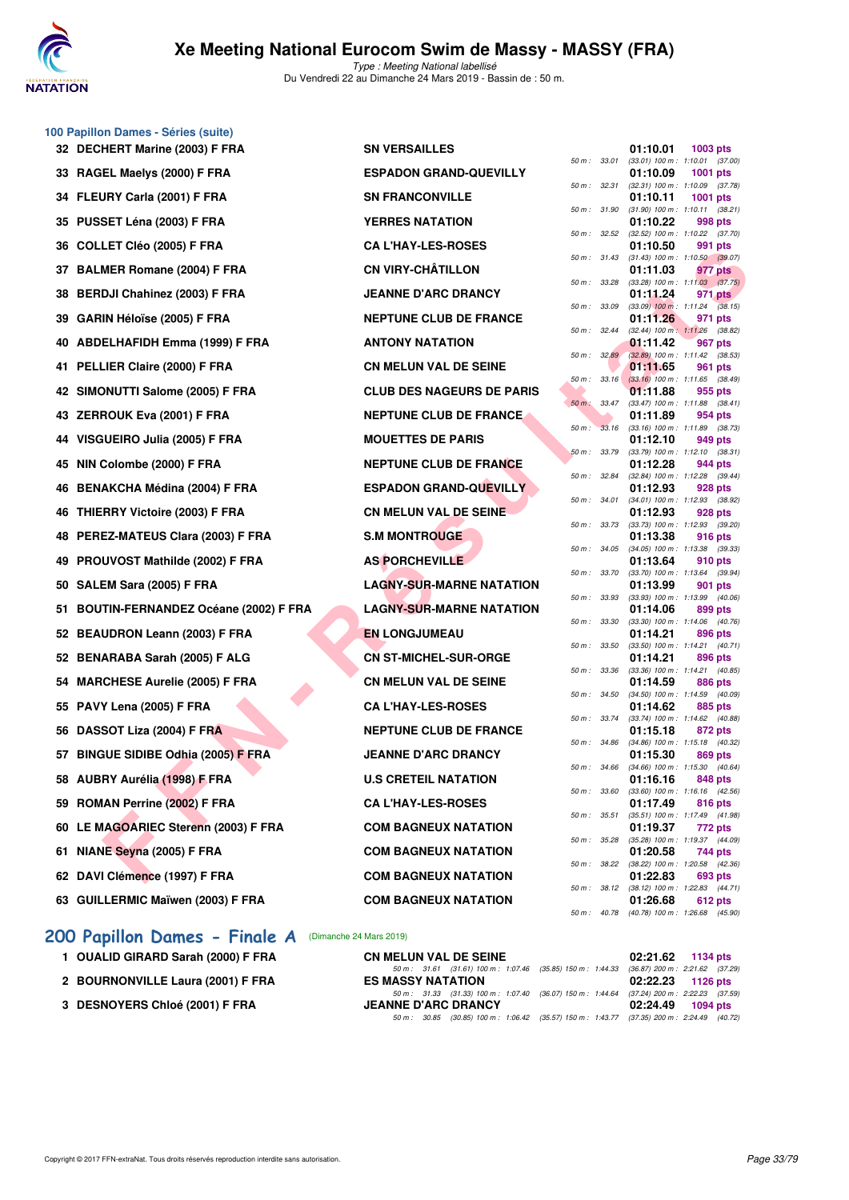

Type : Meeting National labellisé Du Vendredi 22 au Dimanche 24 Mars 2019 - Bassin de : 50 m.

| 100 Papillon Dames - Séries (suite)     |                                  |          |                  |                                                       |          |                |
|-----------------------------------------|----------------------------------|----------|------------------|-------------------------------------------------------|----------|----------------|
| 32 DECHERT Marine (2003) F FRA          | <b>SN VERSAILLES</b>             |          | 50 m : 33.01     | 01:10.01<br>$(33.01)$ 100 m : 1:10.01 (37.            | 1003 pts |                |
| 33 RAGEL Maelys (2000) F FRA            | <b>ESPADON GRAND-QUEVILLY</b>    |          |                  | 01:10.09                                              | 1001 pts |                |
| 34 FLEURY Carla (2001) F FRA            | <b>SN FRANCONVILLE</b>           |          | 50 m : 32.31     | $(32.31)$ 100 m : 1:10.09 (37.<br>01:10.11            | 1001 pts |                |
| 35 PUSSET Léna (2003) F FRA             | <b>YERRES NATATION</b>           |          | 50 m: 31.90      | $(31.90)$ 100 m : 1:10.11 (38.<br>01:10.22            |          | 998 pts        |
| 36 COLLET Cléo (2005) F FRA             | <b>CA L'HAY-LES-ROSES</b>        |          | 50 m: 32.52      | (32.52) 100 m: 1:10.22 (37.<br>01:10.50               |          | 991 pts        |
| 37 BALMER Romane (2004) F FRA           | <b>CN VIRY-CHÂTILLON</b>         |          | 50 m : 31.43     | $(31.43)$ 100 m : 1:10.50 (39.<br>01:11.03            |          | 977 pts        |
| 38 BERDJI Chahinez (2003) F FRA         | <b>JEANNE D'ARC DRANCY</b>       |          | 50 m : 33.28     | $(33.28)$ 100 m : 1:11.03 $(37.$<br>01:11.24          |          | 971 pts        |
|                                         |                                  |          | 50 m : 33.09     | $(33.09)$ 100 m : 1:11.24 $(38.$                      |          |                |
| 39 GARIN Héloïse (2005) F FRA           | <b>NEPTUNE CLUB DE FRANCE</b>    |          | 50 m: 32.44      | 01:11.26<br>(32.44) 100 m: 1:11.26 (38.               |          | 971 pts        |
| 40 ABDELHAFIDH Emma (1999) F FRA        | <b>ANTONY NATATION</b>           |          | 50 m: 32.89      | 01:11.42<br>(32.89) 100 m : 1:11.42 (38.              |          | 967 pts        |
| 41 PELLIER Claire (2000) F FRA          | <b>CN MELUN VAL DE SEINE</b>     |          | $50 m$ : $33.16$ | 01:11.65<br>$(33.16)$ 100 m : 1:11.65 (38.            |          | 961 pts        |
| 42 SIMONUTTI Salome (2005) F FRA        | <b>CLUB DES NAGEURS DE PARIS</b> | $50 m$ : | 33.47            | 01:11.88<br>(33.47) 100 m: 1:11.88 (38.               |          | 955 pts        |
| 43 ZERROUK Eva (2001) F FRA             | <b>NEPTUNE CLUB DE FRANCE</b>    |          |                  | 01:11.89                                              |          | 954 pts        |
| 44 VISGUEIRO Julia (2005) F FRA         | <b>MOUETTES DE PARIS</b>         | $50 m$ : | 33.16            | $(33.16)$ 100 m : 1:11.89 (38.<br>01:12.10            |          | 949 pts        |
| 45 NIN Colombe (2000) F FRA             | <b>NEPTUNE CLUB DE FRANCE</b>    |          | 50 m: 33.79      | (33.79) 100 m : 1:12.10 (38.<br>01:12.28              |          | 944 pts        |
| 46 BENAKCHA Médina (2004) F FRA         | <b>ESPADON GRAND-QUEVILLY</b>    |          | 50 m : 32.84     | (32.84) 100 m: 1:12.28 (39.<br>01:12.93               |          | 928 pts        |
| 46 THIERRY Victoire (2003) F FRA        | <b>CN MELUN VAL DE SEINE</b>     |          | 50 m : 34.01     | $(34.01)$ 100 m : 1:12.93 (38.<br>01:12.93            |          | 928 pts        |
| 48 PEREZ-MATEUS Clara (2003) F FRA      | <b>S.M MONTROUGE</b>             |          | 50 m : 33.73     | (33.73) 100 m : 1:12.93 (39.<br>01:13.38              |          | <b>916 pts</b> |
| 49 PROUVOST Mathilde (2002) F FRA       | <b>AS PORCHEVILLE</b>            |          | 50 m : 34.05     | (34.05) 100 m: 1:13.38 (39.                           |          |                |
|                                         |                                  |          | 50 m : 33.70     | 01:13.64<br>(33.70) 100 m : 1:13.64 (39.              |          | 910 pts        |
| 50 SALEM Sara (2005) F FRA              | <b>LAGNY-SUR-MARNE NATATION</b>  |          | 50 m : 33.93     | 01:13.99<br>(33.93) 100 m: 1:13.99 (40.               |          | 901 pts        |
| 51 BOUTIN-FERNANDEZ Océane (2002) F FRA | <b>LAGNY-SUR-MARNE NATATION</b>  |          | 50 m : 33.30     | 01:14.06<br>(33.30) 100 m: 1:14.06 (40.               |          | 899 pts        |
| 52 BEAUDRON Leann (2003) F FRA          | <b>EN LONGJUMEAU</b>             |          | 50 m : 33.50     | 01:14.21<br>(33.50) 100 m: 1:14.21 (40.               |          | 896 pts        |
| 52 BENARABA Sarah (2005) F ALG          | <b>CN ST-MICHEL-SUR-ORGE</b>     |          | 50 m : 33.36     | 01:14.21<br>(33.36) 100 m: 1:14.21 (40.               |          | 896 pts        |
| 54 MARCHESE Aurelie (2005) F FRA        | <b>CN MELUN VAL DE SEINE</b>     |          |                  | 01:14.59                                              |          | <b>886 pts</b> |
| 55 PAVY Lena (2005) F FRA               | <b>CA L'HAY-LES-ROSES</b>        |          | 50 m : 34.50     | (34.50) 100 m: 1:14.59 (40.<br>01:14.62               |          | 885 pts        |
| 56 DASSOT Liza (2004) F FRA             | <b>NEPTUNE CLUB DE FRANCE</b>    |          | 50 m : 33.74     | (33.74) 100 m: 1:14.62 (40.<br>01:15.18               |          | 872 pts        |
| 57 BINGUE SIDIBE Odhia (2005) F FRA     | <b>JEANNE D'ARC DRANCY</b>       |          | 50 m : 34.86     | $(34.86)$ 100 m : 1:15.18 (40.<br>01:15.30            |          | 869 pts        |
| 58 AUBRY Aurélia (1998) F FRA           | <b>U.S CRETEIL NATATION</b>      |          |                  | 50 m : 34.66 (34.66) 100 m : 1:15.30 (40.<br>01:16.16 |          | 848 pts        |
| 59 ROMAN Perrine (2002) F FRA           | <b>CA L'HAY-LES-ROSES</b>        |          | 50 m : 33.60     | $(33.60)$ 100 m : 1:16.16 $(42.$<br>01:17.49          |          | 816 pts        |
|                                         |                                  | 50 m :   | 35.51            | (35.51) 100 m: 1:17.49 (41.                           |          |                |
| 60 LE MAGOARIEC Sterenn (2003) F FRA    | <b>COM BAGNEUX NATATION</b>      | 50 m :   | 35.28            | 01:19.37<br>(35.28) 100 m: 1:19.37 (44.               |          | 772 pts        |
| 61 NIANE Seyna (2005) F FRA             | <b>COM BAGNEUX NATATION</b>      |          | 50 m : 38.22     | 01:20.58<br>(38.22) 100 m : 1:20.58 (42.              |          | 744 pts        |
| 62 DAVI Clémence (1997) F FRA           | <b>COM BAGNEUX NATATION</b>      |          | 50 m : 38.12     | 01:22.83<br>(38.12) 100 m: 1:22.83 (44.               |          | 693 pts        |
| 63 GUILLERMIC Maïwen (2003) F FRA       | <b>COM BAGNEUX NATATION</b>      |          | 50 m : 40.78     | 01:26.68<br>(40.78) 100 m: 1:26.68 (45.               |          | <b>612 pts</b> |
|                                         |                                  |          |                  |                                                       |          |                |

## **[200 Papillon Dames - Finale A](http://www.ffnatation.fr/webffn/resultats.php?idact=nat&go=epr&idcpt=57649&idepr=33)** (Dimanche 24 Mars 2019)

- 
- 
- 

| $m$ Danies - Ochics (Suite)          |                                  |              |                                                          |            |  |
|--------------------------------------|----------------------------------|--------------|----------------------------------------------------------|------------|--|
| HERT Marine (2003) F FRA             | <b>SN VERSAILLES</b>             |              | 01:10.01                                                 | 1003 pts   |  |
| EL Maelys (2000) F FRA               | <b>ESPADON GRAND-QUEVILLY</b>    |              | 50 m: 33.01 (33.01) 100 m: 1:10.01 (37.00)<br>01:10.09   | 1001 $pts$ |  |
| JRY Carla (2001) F FRA               | <b>SN FRANCONVILLE</b>           | 50 m: 32.31  | $(32.31)$ 100 m : 1:10.09 $(37.78)$<br>01:10.11          | 1001 pts   |  |
|                                      |                                  |              | 50 m: 31.90 (31.90) 100 m: 1:10.11 (38.21)               |            |  |
| SET Léna (2003) F FRA                | <b>YERRES NATATION</b>           |              | 01:10.22<br>50 m: 32.52 (32.52) 100 m: 1:10.22 (37.70)   | 998 pts    |  |
| LET Cléo (2005) F FRA                | <b>CA L'HAY-LES-ROSES</b>        |              | 01:10.50<br>50 m: 31.43 (31.43) 100 m: 1:10.50 (39.07)   | 991 pts    |  |
| MER Romane (2004) F FRA              | <b>CN VIRY-CHÂTILLON</b>         |              | 01:11.03                                                 | 977 pts    |  |
| DJI Chahinez (2003) F FRA            | <b>JEANNE D'ARC DRANCY</b>       |              | 50 m : 33.28 (33.28) 100 m : 1:11.03 (37.75)<br>01:11.24 | 971 pts    |  |
| IN Héloïse (2005) F FRA              | <b>NEPTUNE CLUB DE FRANCE</b>    | 50 m : 33.09 | $(33.09)$ 100 m : 1:11.24 $(38.15)$<br>01:11.26          | 971 pts    |  |
| ELHAFIDH Emma (1999) F FRA           | <b>ANTONY NATATION</b>           | 50 m : 32.44 | $(32.44)$ 100 m : 1:11.26 $(38.82)$<br>01:11.42          | 967 pts    |  |
| LIER Claire (2000) F FRA             | <b>CN MELUN VAL DE SEINE</b>     | 50 m: 32.89  | $(32.89)$ 100 m : 1:11.42 $(38.53)$<br>01:11.65          | 961 pts    |  |
| )NUTTI Salome (2005) F FRA           | <b>CLUB DES NAGEURS DE PARIS</b> |              | 50 m : 33.16 (33.16) 100 m : 1:11.65 (38.49)<br>01:11.88 | 955 pts    |  |
| ROUK Eva (2001) F FRA                | <b>NEPTUNE CLUB DE FRANCE</b>    |              | 50 m : 33.47 (33.47) 100 m : 1:11.88 (38.41)<br>01:11.89 | 954 pts    |  |
|                                      |                                  |              | 50 m: 33.16 (33.16) 100 m: 1:11.89 (38.73)               |            |  |
| UEIRO Julia (2005) F FRA             | <b>MOUETTES DE PARIS</b>         |              | 01:12.10<br>50 m : 33.79 (33.79) 100 m : 1:12.10 (38.31) | 949 pts    |  |
| Colombe (2000) F FRA                 | <b>NEPTUNE CLUB DE FRANCE</b>    |              | 01:12.28                                                 | 944 pts    |  |
| AKCHA Médina (2004) F FRA            | <b>ESPADON GRAND-QUEVILLY</b>    | 50 m : 32.84 | $(32.84)$ 100 m : 1:12.28 $(39.44)$<br>01:12.93          | 928 pts    |  |
| RRY Victoire (2003) F FRA            | <b>CN MELUN VAL DE SEINE</b>     | 50 m : 34.01 | $(34.01)$ 100 m : 1:12.93 $(38.92)$<br>01:12.93          | 928 pts    |  |
| EZ-MATEUS Clara (2003) F FRA         | <b>S.M MONTROUGE</b>             | 50 m : 33.73 | $(33.73)$ 100 m : 1:12.93 $(39.20)$<br>01:13.38          | 916 pts    |  |
| UVOST Mathilde (2002) F FRA          | <b>AS PORCHEVILLE</b>            |              | 50 m: 34.05 (34.05) 100 m: 1:13.38 (39.33)<br>01:13.64   | 910 pts    |  |
| EM Sara (2005) F FRA                 | <b>LAGNY-SUR-MARNE NATATION</b>  |              | 50 m : 33.70 (33.70) 100 m : 1:13.64 (39.94)<br>01:13.99 | 901 pts    |  |
| TIN-FERNANDEZ Océane (2002) F FRA    | <b>LAGNY-SUR-MARNE NATATION</b>  | 50 m :       | 33.93 (33.93) 100 m : 1:13.99 (40.06)<br>01:14.06        | 899 pts    |  |
| UDRON Leann (2003) F FRA             | <b>EN LONGJUMEAU</b>             |              | 50 m: 33.30 (33.30) 100 m: 1:14.06 (40.76)<br>01:14.21   | 896 pts    |  |
|                                      |                                  | 50 m : 33.50 | $(33.50)$ 100 m : 1:14.21 $(40.71)$                      |            |  |
| ARABA Sarah (2005) F ALG             | <b>CN ST-MICHEL-SUR-ORGE</b>     | 50 m : 33.36 | 01:14.21<br>$(33.36)$ 100 m : 1:14.21 $(40.85)$          | 896 pts    |  |
| <b>CHESE Aurelie (2005) F FRA</b>    | <b>CN MELUN VAL DE SEINE</b>     |              | 01:14.59<br>50 m: 34.50 (34.50) 100 m: 1:14.59 (40.09)   | 886 pts    |  |
| Y Lena (2005) F FRA                  | <b>CA L'HAY-LES-ROSES</b>        |              | 01:14.62                                                 | 885 pts    |  |
| SOT Liza (2004) F FRA                | <b>NEPTUNE CLUB DE FRANCE</b>    |              | 50 m: 33.74 (33.74) 100 m: 1:14.62 (40.88)<br>01:15.18   | 872 pts    |  |
| <b>SUE SIDIBE Odhia (2005) F FRA</b> | <b>JEANNE D'ARC DRANCY</b>       |              | 50 m: 34.86 (34.86) 100 m: 1:15.18 (40.32)<br>01:15.30   | 869 pts    |  |
| RY Aurélia (1998) F FRA              | <b>U.S CRETEIL NATATION</b>      |              | 50 m: 34.66 (34.66) 100 m: 1:15.30 (40.64)<br>01:16.16   | 848 pts    |  |
| IAN Perrine (2002) F FRA             | <b>CA L'HAY-LES-ROSES</b>        | 50 m : 33.60 | $(33.60)$ 100 m : 1:16.16 $(42.56)$<br>01:17.49          | 816 pts    |  |
| IAGOARIEC Sterenn (2003) F FRA       | <b>COM BAGNEUX NATATION</b>      | 50 m : 35.51 | (35.51) 100 m: 1:17.49 (41.98)<br>01:19.37               | 772 pts    |  |
| IE Seyna (2005) F FRA                | <b>COM BAGNEUX NATATION</b>      |              | 50 m: 35.28 (35.28) 100 m: 1:19.37 (44.09)<br>01:20.58   | 744 pts    |  |
| l Clémence (1997) F FRA              | <b>COM BAGNEUX NATATION</b>      |              | 50 m: 38.22 (38.22) 100 m: 1:20.58 (42.36)<br>01:22.83   | 693 pts    |  |
| LERMIC Maïwen (2003) F FRA           | COM BAGNELIX NATATION            |              | 50 m: 38.12 (38.12) 100 m: 1:22.83 (44.71)<br>01:26.68   | $612$ nts  |  |
|                                      |                                  |              |                                                          |            |  |

|              |       | 01:10.01                  | <b>1003 pts</b> |         |
|--------------|-------|---------------------------|-----------------|---------|
| $50 m$ :     | 33.01 | $(33.01)$ 100 m :         | 1:10.01         | (37.00) |
|              |       | 01:10.09                  | 1001            | pts     |
| 50 m :       | 32.31 | $(32.31)$ 100 m :         | 1:10.09         | (37.78) |
|              |       | 01:10.11                  | 1001            | pts     |
| $50 m$ :     | 31.90 | $(31.90)$ 100 m :         | 1:10.11         | (38.21) |
|              |       | 01:10.22                  | 998 pts         |         |
| $50 m$ :     | 32.52 | $(32.52)$ 100 m :         | 1:10.22         | (37.70) |
|              |       | 01:10.50                  | 991             | pts     |
| 50 m :       | 31.43 | $(31.43) 100 m$ :         | 1:10.50         | (39.07) |
|              |       |                           |                 |         |
|              |       | 01:11.03                  | 977             | pts     |
| $50 m$ :     | 33.28 | $(33.28)$ 100 m :         | 1:11.03         | (37.75) |
|              |       | 01:11.24                  | 971             | pts     |
| $50 m$ :     | 33.09 | $(33.09)$ 100 m :         | 1:11.24         | (38.15) |
|              |       | 01:11.26                  | 971             | pts     |
| 50 m :       | 32.44 | $(32.44)$ 100 m:          | 1:11.26         | (38.82) |
|              |       | 01:11.42                  | 967             | pts     |
| $50 m$ :     | 32.89 | $(32.89)$ 100 m :         | 1:11.42         | (38.53) |
|              |       | 01:11.65                  | 961             | pts     |
| $50 m$ :     | 33.16 | $(33.16) 100 m$ :         | 1:11.65         | (38.49) |
|              |       | 01:11.88                  | 955 pts         |         |
| $50 m$ :     | 33.47 | $(33.47) 100 m$ :         | 1:11.88         | (38.41) |
|              |       | 01:11.89                  | 954 pts         |         |
| $50 m$ :     | 33.16 | $(33.16) 100 m$ :         | 1:11.89         | (38.73) |
|              |       | 01:12.10                  | 949             | pts     |
|              | 33.79 | $(33.79)$ 100 m :         | 1:12.10         | (38.31) |
| $50 m$ :     |       | 01:12.28                  |                 |         |
|              |       |                           | 944 pts         |         |
| 50 m :       | 32.84 | $(32.84)$ 100 m :         | 1:12.28         | (39.44) |
|              |       | 01:12.93                  | 928 pts         |         |
| $50 m$ :     | 34.01 | $(34.01)$ 100 m :         | 1:12.93         | (38.92) |
|              |       | 01:12.93                  | 928 pts         |         |
| $50 m$ :     | 33.73 | $(33.73) 100 m$ :         | 1:12.93         | (39.20) |
|              |       | 01:13.38                  | 916 pts         |         |
| 50 m :       | 34.05 | $(34.05)$ 100 m :         | 1:13.38         | (39.33) |
|              |       | 01:13.64                  | 910 pts         |         |
| $50 m$ :     | 33.70 | $(33.70)$ 100 m :         | 1:13.64         | (39.94) |
|              |       | 01:13.99                  | 901             | pts     |
| 50 m :       | 33.93 | $(33.93) 100 m$ :         | 1:13.99         | (40.06) |
|              |       | 01:14.06                  | 899             | pts     |
| 50 m :       | 33.30 | $(33.30)$ 100 m :         | 1:14.06         | (40.76) |
|              |       | 01:14.21                  | 896 pts         |         |
| $50 m$ :     | 33.50 | $(33.50)$ 100 m :         | 1:14.21         | (40.71) |
|              |       | 01:14.21                  | 896 pts         |         |
| $50 m$ :     | 33.36 | $(33.36)$ 100 m :         | 1:14.21         | (40.85) |
|              |       |                           |                 |         |
|              |       | 01:14.59                  | <b>886 pts</b>  |         |
| $50 m$ :     | 34.50 | $(34.50)$ 100 m :         | 1:14.59         | (40.09) |
|              |       | 01:14.62                  | 885             | pts     |
| $50 m$ :     | 33.74 | $(33.74) 100 m$ :         | 1:14.62         | (40.88) |
|              |       | 01:15.18                  | 872             | pts     |
| $50 m$ :     | 34.86 | $(34.86) 100 m$ :         | 1:15.18         | (40.32) |
|              |       | 01:15.30                  | <b>869 pts</b>  |         |
| 50 m :       | 34.66 | $(34.66)$ 100 m :         | 1:15.30         | (40.64) |
|              |       | 01:16.16                  | <b>848 pts</b>  |         |
| $50 m$ :     | 33.60 | $(33.60)$ 100 m :         | 1:16.16         | (42.56) |
|              |       | 01:17.49                  | 816 pts         |         |
| $50 m$ :     | 35.51 | $(35.51)$ 100 m :         | 1:17.49         | (41.98) |
|              |       | 01:19.37                  | 772 pts         |         |
| 50 m:        | 35.28 | $(35.28) 100 m$ :         | 1:19.37         | (44.09) |
|              |       | 01:20.58                  | 744 pts         |         |
| $50 m$ :     | 38.22 | $(38.22)$ 100 m :         | 1:20.58         | (42.36) |
|              |       | 01:22.83                  |                 |         |
|              |       |                           | 693 pts         |         |
| $50 m$ :     | 38.12 | $(38.12)$ 100 m :         | 1:22.83         | (44.71) |
|              |       | 01:26.68                  | <b>612 pts</b>  |         |
| 50 m : 40.78 |       | $(40.78)$ 100 m : 1:26.68 |                 | (45.90) |

| 1 OUALID GIRARD Sarah (2000) F FRA |                          | <b>CN MELUN VAL DE SEINE</b> |                                                                                          | 02:21.62 1134 pts |  |
|------------------------------------|--------------------------|------------------------------|------------------------------------------------------------------------------------------|-------------------|--|
|                                    |                          |                              | 50 m: 31.61 (31.61) 100 m: 1:07.46 (35.85) 150 m: 1:44.33 (36.87) 200 m: 2:21.62 (37.29) |                   |  |
| 2 BOURNONVILLE Laura (2001) F FRA  | <b>ES MASSY NATATION</b> |                              |                                                                                          | 02:22.23 1126 pts |  |
|                                    |                          |                              | 50 m: 31.33 (31.33) 100 m: 1:07.40 (36.07) 150 m: 1:44.64 (37.24) 200 m: 2:22.23 (37.59) |                   |  |
| 3 DESNOYERS Chloé (2001) F FRA     |                          | <b>JEANNE D'ARC DRANCY</b>   |                                                                                          | 02:24.49 1094 pts |  |
|                                    |                          |                              | 50 m: 30.85 (30.85) 100 m: 1:06.42 (35.57) 150 m: 1:43.77 (37.35) 200 m: 2:24.49 (40.72) |                   |  |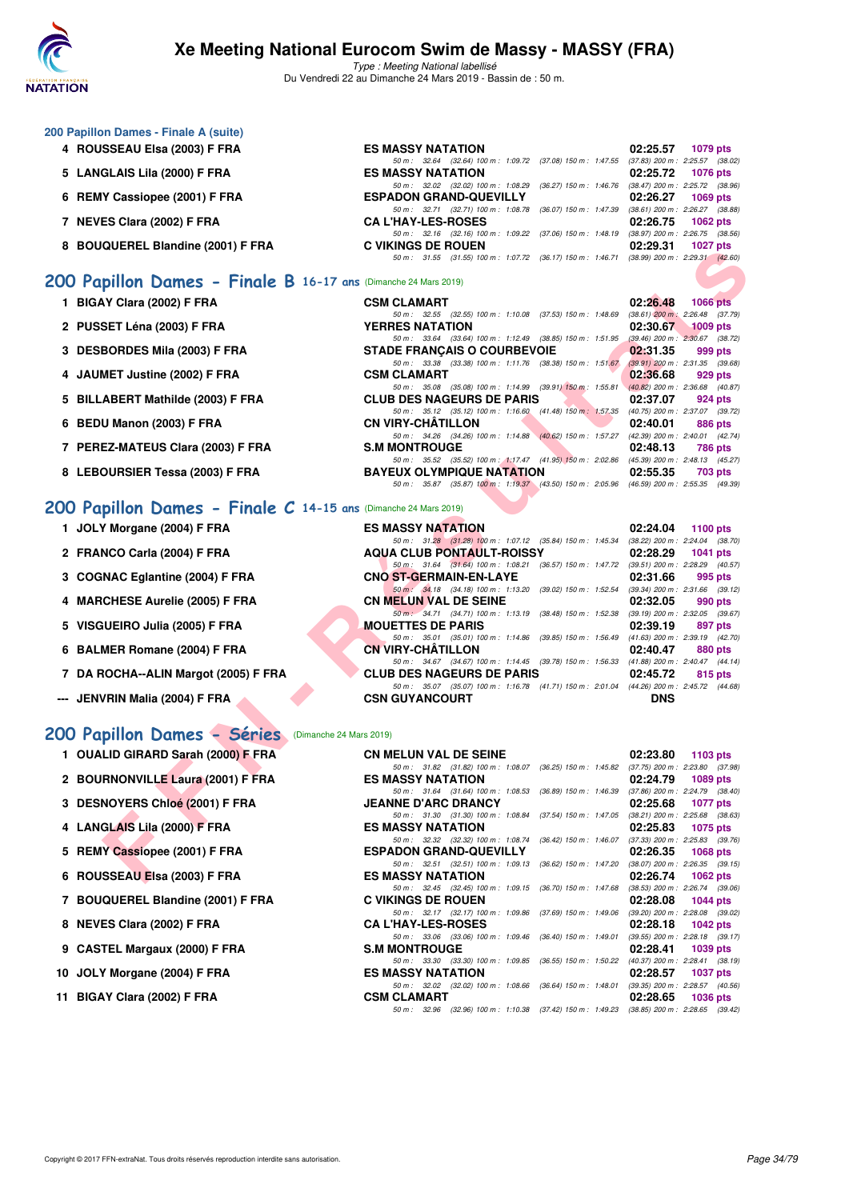

Type : Meeting National labellisé Du Vendredi 22 au Dimanche 24 Mars 2019 - Bassin de : 50 m.

| 200 Papillon Dames - Finale A (suite) |  |  |  |
|---------------------------------------|--|--|--|
|---------------------------------------|--|--|--|

- **4 ROUSSEAU Elsa (2003) F FRA**
- 5 LANGLAIS Lila (2000) F FRA
- **6 REMY Cassiopee (2001) F FRA**
- **7 NEVES Clara (2002) F FRA**
- **8 BOUQUEREL Blandine (2001) F FRA**

## **[200 Papillon Dames - Finale B](http://www.ffnatation.fr/webffn/resultats.php?idact=nat&go=epr&idcpt=57649&idepr=33) 16-17 ans** (Dimanche 24 Mars 2019)

- **1 BIGAY Clara (2002) F FRA**
- **2 PUSSET Léna (2003) F FRA YERRES NATATION 02:30.67 1009 pts**
- **3 DESBORDES Mila (2003) F FRA**
- **4 JAUMET Justine (2002) F FRA**
- **5 BILLABERT Mathilde (2003) F FRA**
- **6 BEDU Manon (2003) F FRA**
- 7 PEREZ-MATEUS Clara (2003) F FRA
- **8 LEBOURSIER Tessa (2003) F FRA**

### **[200 Papillon Dames - Finale C](http://www.ffnatation.fr/webffn/resultats.php?idact=nat&go=epr&idcpt=57649&idepr=33) 14-15 ans** (Dimanche 24 Mars 2019)

- 
- 
- 
- 
- 
- 
- 
- --- JENVRIN Malia (2004) F FRA

#### **[200 Papillon Dames - Séries](http://www.ffnatation.fr/webffn/resultats.php?idact=nat&go=epr&idcpt=57649&idepr=33)** (Dimanche 24 Mars 2019)

- **1 OUALID GIRARD Sarah (2000) F FRA CN MELUN VAL DE SEINE 02:23.80 1103 pts**
- **2 BOURNONVILLE Laura (2001) F FRA** ES MASSY NATATION **02:24.79 02:24.79 1089 pts**<br> **2 BOURNONVILLE Laura (2001) F FRA** ESS MASSY NATATION **50m:** 1:08.53 (36.89) 150 m: 1:46.39 (37.86) 200 m: 2:24.79 (38.40)
- **3 DESNOYERS Chloé (2001) F FRA JEANNE D'ARC DRANCY 02:25.68 1077 pts**<br>
50 m: 31.30 (31.30) 100 m: 1:08.84 (37.54) 150 m: 1:47.05 (38.21) 200 m: 2:25.68 (38.63)
- **4 LANGLAIS Lila (2000) F FRA ES MASSY NATATION 02:25.83 1075 pts**
- **5 REMY Cassiopee (2001) F FRA** ESPADON GRAND-QUEVILLY 02:26.35 1068 pts<br>
50 m: 32.51 (32.51) 100 m: 1:09.13 (36.62) 150 m: 1:47.20 (38.07) 200 m: 2:26.35 (39.15)
- **6 ROUSSEAU Elsa (2003) F FRA** ES MASSY NATATION **02:26.74 1062 pts**<br>
50 m: 32.45 (32.45) 100 m: 1:09.15 (36.70) 150 m: 1:47.68 (38.53) 200 m: 2:26.74 (39.06)
- **7 BOUQUEREL Blandine (2001) F FRA C VIKINGS DE ROUEN 02:28.08 1044 pts**
- **8 NEVES Clara (2002) F FRA CA L'HAY-LES-ROSES 02:28.18 1042 pts**
- **9 CASTEL Margaux (2000) F FRA** S.M MONTROUGE 02:28.41 1039 pts 02:28.41 **1039 pts**<br>
50 m: 33.30 (33.30) 100 m: 1:09.85 (36.55) 150 m: 1:50.22 (40.37) 200 m: 2:28.41 (38.19)
- **10 JOLY Morgane (2004) F FRA**
- **11 BIGAY Clara (2002) F FRA**

| <b>ES MASSY NATATION</b>                                                                 |  | 02:25.57 1079 pts |
|------------------------------------------------------------------------------------------|--|-------------------|
| 50 m: 32.64 (32.64) 100 m: 1:09.72 (37.08) 150 m: 1:47.55 (37.83) 200 m: 2:25.57 (38.02) |  |                   |
| <b>ES MASSY NATATION</b>                                                                 |  | 02:25.72 1076 pts |
| 50 m: 32.02 (32.02) 100 m: 1:08.29 (36.27) 150 m: 1:46.76 (38.47) 200 m: 2:25.72 (38.96) |  |                   |
| <b>ESPADON GRAND-QUEVILLY</b>                                                            |  | 02:26.27 1069 pts |
| 50 m: 32.71 (32.71) 100 m: 1:08.78 (36.07) 150 m: 1:47.39 (38.61) 200 m: 2:26.27 (38.88) |  |                   |
| <b>CAL'HAY-LES-ROSES</b>                                                                 |  | 02:26.75 1062 pts |
| 50 m: 32.16 (32.16) 100 m: 1:09.22 (37.06) 150 m: 1:48.19 (38.97) 200 m: 2:26.75 (38.56) |  |                   |
| <b>C VIKINGS DE ROUEN</b>                                                                |  | 02:29.31 1027 pts |
| 50 m: 31.55 (31.55) 100 m: 1:07.72 (36.17) 150 m: 1:46.71 (38.99) 200 m: 2:29.31 (42.60) |  |                   |
|                                                                                          |  |                   |

| <b>WULNEL DIAIRMING (ZUVI) F FRA</b>                        | U VININGJ DE NUUEN.                                                                                                          | <b>UZ.ZJ.JI IVZI UIS</b>    |
|-------------------------------------------------------------|------------------------------------------------------------------------------------------------------------------------------|-----------------------------|
|                                                             | 50 m: 31.55 (31.55) 100 m: 1:07.72 (36.17) 150 m: 1:46.71 (38.99) 200 m: 2:29.31 (42.60)                                     |                             |
| pillon Dames - Finale B 16-17 ans (Dimanche 24 Mars 2019)   |                                                                                                                              |                             |
|                                                             |                                                                                                                              |                             |
| <b>IY Clara (2002) F FRA</b>                                | <b>CSM CLAMART</b><br>50 m: 32.55 (32.55) 100 m: 1:10.08 (37.53) 150 m: 1:48.69 (38.61) 200 m: 2:26.48 (37.79)               | 02:26.48<br><b>1066 pts</b> |
| SET Léna (2003) F FRA                                       | <b>YERRES NATATION</b>                                                                                                       | 02:30.67<br>$1009$ pts      |
|                                                             | 50 m: 33.64 (33.64) 100 m: 1:12.49 (38.85) 150 m: 1:51.95 (39.46) 200 m: 2:30.67 (38.72)                                     |                             |
| BORDES Mila (2003) F FRA                                    | <b>STADE FRANCAIS O COURBEVOIE</b>                                                                                           | 02:31.35<br>999 pts         |
|                                                             | 50 m: 33.38 (33.38) 100 m: 1:11.76 (38.38) 150 m: 1:51.67 (39.91) 200 m: 2:31.35 (39.68)                                     |                             |
| <b>MET Justine (2002) F FRA</b>                             | <b>CSM CLAMART</b>                                                                                                           | 02:36.68<br>929 pts         |
| ABERT Mathilde (2003) F FRA                                 | 50 m: 35.08 (35.08) 100 m: 1:14.99 (39.91) 150 m: 1:55.81 (40.82) 200 m: 2:36.68 (40.87)<br><b>CLUB DES NAGEURS DE PARIS</b> | 02:37.07<br>924 pts         |
|                                                             | 50 m: 35.12 (35.12) 100 m: 1:16.60 (41.48) 150 m: 1:57.35 (40.75) 200 m: 2:37.07 (39.72)                                     |                             |
| <b>U Manon (2003) F FRA</b>                                 | <b>CN VIRY-CHATILLON</b>                                                                                                     | 02:40.01<br><b>886 pts</b>  |
|                                                             | 50 m: 34.26 (34.26) 100 m: 1:14.88 (40.62) 150 m: 1:57.27 (42.39) 200 m: 2:40.01 (42.74)                                     |                             |
| EZ-MATEUS Clara (2003) F FRA                                | <b>S.M MONTROUGE</b>                                                                                                         | 02:48.13<br>786 pts         |
|                                                             | 50 m: 35.52 (35.52) 100 m: 1:17.47 (41.95) 150 m: 2:02.86 (45.39) 200 m: 2:48.13 (45.27)                                     |                             |
| OURSIER Tessa (2003) F FRA                                  | <b>BAYEUX OLYMPIQUE NATATION</b>                                                                                             | 02:55.35<br><b>703 pts</b>  |
|                                                             | 50 m: 35.87 (35.87) 100 m: 1:19.37 (43.50) 150 m: 2:05.96 (46.59) 200 m: 2:55.35 (49.39)                                     |                             |
| pillon Dames - Finale $C$ 14-15 ans (Dimanche 24 Mars 2019) |                                                                                                                              |                             |
|                                                             |                                                                                                                              |                             |
| Y Morgane (2004) F FRA                                      | <b>ES MASSY NATATION</b>                                                                                                     | 02:24.04<br>1100 pts        |
| NCO Carla (2004) F FRA                                      | 50 m: 31.28 (31.28) 100 m: 1:07.12 (35.84) 150 m: 1:45.34 (38.22) 200 m: 2:24.04 (38.70)<br><b>AQUA CLUB PONTAULT-ROISSY</b> | 02:28.29<br>1041 pts        |
|                                                             | 50 m: 31.64 (31.64) 100 m: 1:08.21 (36.57) 150 m: 1:47.72 (39.51) 200 m: 2:28.29 (40.57)                                     |                             |
| NAC Eglantine (2004) F FRA                                  | <b>CNO ST-GERMAIN-EN-LAYE</b>                                                                                                | 02:31.66<br>995 pts         |
|                                                             | 50 m: 34.18 (34.18) 100 m: 1:13.20 (39.02) 150 m: 1:52.54 (39.34) 200 m: 2:31.66 (39.12)                                     |                             |
| CHESE Aurelie (2005) F FRA                                  | <b>CN MELUN VAL DE SEINE</b>                                                                                                 | 02:32.05<br>990 pts         |
|                                                             | 50 m: 34.71 (34.71) 100 m: 1:13.19 (38.48) 150 m: 1:52.38 (39.19) 200 m: 2:32.05 (39.67)                                     |                             |
| iUEIRO Julia (2005) F FRA                                   | <b>MOUETTES DE PARIS</b><br>50 m: 35.01 (35.01) 100 m: 1:14.86 (39.85) 150 m: 1:56.49 (41.63) 200 m: 2:39.19 (42.70)         | 02:39.19<br>897 pts         |
| MER Romane (2004) F FRA                                     | <b>CN VIRY-CHATILLON</b>                                                                                                     | 02:40.47<br>880 pts         |
|                                                             | 50 m: 34.67 (34.67) 100 m: 1:14.45 (39.78) 150 m: 1:56.33 (41.88) 200 m: 2:40.47 (44.14)                                     |                             |
| <b>ROCHA--ALIN Margot (2005) F FRA</b>                      | <b>CLUB DES NAGEURS DE PARIS</b>                                                                                             | 02:45.72<br>815 pts         |
|                                                             | 50 m: 35.07 (35.07) 100 m: 1:16.78 (41.71) 150 m: 2:01.04 (44.26) 200 m: 2:45.72 (44.68)                                     |                             |
| /RIN Malia (2004) F FRA                                     | <b>CSN GUYANCOURT</b>                                                                                                        | <b>DNS</b>                  |
|                                                             |                                                                                                                              |                             |
| pillon Dames - Séries (Dimanche 24 Mars 2019)               |                                                                                                                              |                             |
|                                                             |                                                                                                                              |                             |
| LID GIRARD Sarah (2000) F FRA                               | <b>CN MELUN VAL DE SEINE</b><br>50 m: 31.82 (31.82) 100 m: 1:08.07 (36.25) 150 m: 1:45.82 (37.75) 200 m: 2:23.80 (37.98)     | 02:23.80 1103 pts           |
| RNONVILLE Laura (2001) F FRA                                | <b>ES MASSY NATATION</b>                                                                                                     | 02:24.79<br>1089 pts        |
|                                                             | 50 m: 31.64 (31.64) 100 m: 1:08.53 (36.89) 150 m: 1:46.39 (37.86) 200 m: 2:24.79 (38.40)                                     |                             |
| NOYERS Chloé (2001) F FRA                                   | <b>JEANNE D'ARC DRANCY</b>                                                                                                   | 02:25.68<br>1077 pts        |
|                                                             | 50 m: 31.30 (31.30) 100 m: 1:08.84 (37.54) 150 m: 1:47.05 (38.21) 200 m: 2:25.68 (38.63)                                     |                             |
| GLAIS Lila (2000) F FRA                                     | <b>ES MASSY NATATION</b>                                                                                                     | 02:25.83<br>1075 pts        |
| Y Cassiopee (2001) F FRA                                    | 50 m: 32.32 (32.32) 100 m: 1:08.74 (36.42) 150 m: 1:46.07 (37.33) 200 m: 2:25.83 (39.76)<br><b>ESPADON GRAND-QUEVILLY</b>    | 02:26.35                    |
|                                                             | 50 m: 32.51 (32.51) 100 m: 1:09.13 (36.62) 150 m: 1:47.20 (38.07) 200 m: 2:26.35 (39.15)                                     | 1068 pts                    |
| SSEAU Elsa (2003) F FRA                                     | <b>ES MASSY NATATION</b>                                                                                                     | 02:26.74 1062 pts           |
|                                                             |                                                                                                                              |                             |

| 1 JOLY Morgane (2004) F FRA          | <b>ES MASSY NATATION</b>                                                                                          | 02:24.04   | 1100 $pts$                                        |
|--------------------------------------|-------------------------------------------------------------------------------------------------------------------|------------|---------------------------------------------------|
| 2 FRANCO Carla (2004) F FRA          | 50 m: 31.28 (31.28) 100 m: 1:07.12 (35.84) 150 m: 1:45.34<br><b>AQUA CLUB PONTAULT-ROISSY</b>                     | 02:28.29   | $(38.22)$ 200 m : 2:24.04 $(38.70)$<br>1041 $pts$ |
| 3 COGNAC Eglantine (2004) F FRA      | 50 m: 31.64 (31.64) 100 m: 1:08.21 (36.57) 150 m: 1:47.72<br>CNO ST-GERMAIN-EN-LAYE                               | 02:31.66   | (39.51) 200 m : 2:28.29 (40.57)<br>995 pts        |
| 4 MARCHESE Aurelie (2005) F FRA      | 50 m : 34.18 (34.18) 100 m : 1:13.20 (39.02) 150 m : 1:52.54<br><b>CN MELUN VAL DE SEINE</b>                      | 02:32.05   | (39.34) 200 m : 2:31.66 (39.12)<br>990 pts        |
| 5 VISGUEIRO Julia (2005) F FRA       | 50 m: 34.71 (34.71) 100 m: 1:13.19 (38.48) 150 m: 1:52.38<br><b>MOUETTES DE PARIS</b>                             | 02:39.19   | $(39.19)$ 200 m : 2:32.05 $(39.67)$<br>897 pts    |
| 6 BALMER Romane (2004) F FRA         | 50 m: 35.01 (35.01) 100 m: 1:14.86 (39.85) 150 m: 1:56.49<br><b>CN VIRY-CHÂTILLON</b>                             | 02:40.47   | $(41.63)$ 200 m : 2:39.19 $(42.70)$<br>880 pts    |
| 7 DA ROCHA--ALIN Margot (2005) F FRA | 50 m: 34.67 (34.67) 100 m: 1:14.45 (39.78) 150 m: 1:56.33<br><b>CLUB DES NAGEURS DE PARIS</b>                     | 02:45.72   | $(41.88)$ 200 m : 2:40.47 $(44.14)$<br>815 pts    |
| -- JENVRIN Malia (2004) F FRA        | 50 m: 35.07 (35.07) 100 m: 1:16.78 (41.71) 150 m: 2:01.04 (44.26) 200 m: 2:45.72 (44.68)<br><b>CSN GUYANCOURT</b> | <b>DNS</b> |                                                   |

50 m : 32.17 (32.17) 100 m : 1:09.86 (37.69) 150 m : 1:49.06 (39.20) 200 m : 2:28.08 (39.02)<br>**CA L'HAY-LES-ROSES** 02:28.18 1042 pts

50 m : 33.30 (33.30) 100 m : 1:09.85 (36.55) 150 m : 1:50.22 (40.37) 200 m : 2:28.41 (38.19)<br>ES MASSY NATATION 02:28.57 1037 pts

50 m : 32.02 (32.02) 100 m : 1:08.66 (36.64) 150 m : 1:48.01 (39.35) 200 m : 2:28.57 (40.56)<br>**CSM CLAMART** 02:28.65 1036 pts

50 m : 32.96 (32.96) 100 m : 1:10.38 (37.42) 150 m : 1:49.23 (38.85) 200 m : 2:28.65 (39.42)

(33.06) 100 m : 1:09.46 (36.40) 150 m : 1:49.01

 $50 \text{ m}$ : 32.45 (32.45) 100 m: 1:09.15 (36.70) 150 m: 1:47.68<br>**C VIKINGS DE ROUEN**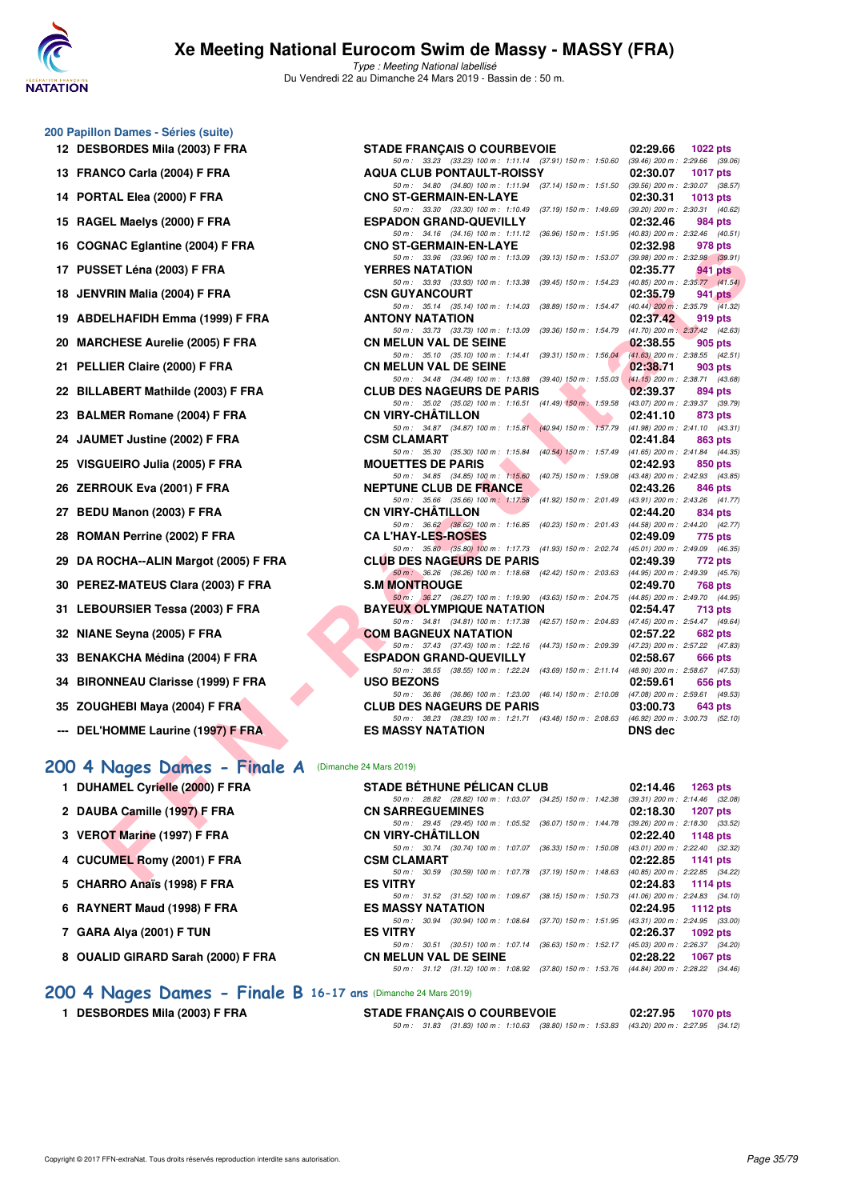

Type : Meeting National labellisé Du Vendredi 22 au Dimanche 24 Mars 2019 - Bassin de : 50 m.

| 200 Papillon Dames - Séries (suite) |  |  |
|-------------------------------------|--|--|
|                                     |  |  |

- 
- 
- 
- 
- 
- 
- 
- 
- 
- 
- 
- 
- 
- 
- 
- 
- 
- 
- 
- 
- 
- 
- 
- 
- **--- DEL'HOMME Laurine (1997) F FRA ES MASSY NATATION DES DISPOSE AND REG.**
- **[200 4 Nages Dames Finale A](http://www.ffnatation.fr/webffn/resultats.php?idact=nat&go=epr&idcpt=57649&idepr=41)** (Dimanche 24 Mars 2019)
	- **1 DUHAMEL Cyrielle (2000) F FRA**
	- 2 DAUBA Camille (1997) F FRA
	- **3 VEROT Marine (1997) F FRA**
	- **4 CUCUMEL Romy (2001) F FRA**
	- **5 CHARRO Anaïs (1998) F FRA**
	- **6 RAYNERT Maud (1998) F FRA**
	- **7 GARA Alya (2001) F TUN ES VITRY 02:26.37 1092 pts**
	- 8 OUALID GIRARD Sarah (2000) F FRA

| 12 DESBORDES Mila (2003) F FRA                      | <b>STADE FRANÇAIS O COURBEVOIE</b>                                                                                                                                                                                       | 02:29.66                            | 1022 pts        |
|-----------------------------------------------------|--------------------------------------------------------------------------------------------------------------------------------------------------------------------------------------------------------------------------|-------------------------------------|-----------------|
| 13 FRANCO Carla (2004) F FRA                        | 50 m: 33.23 (33.23) 100 m: 1:11.14 (37.91) 150 m: 1:50.60 (39.46) 200 m: 2:29.66 (39.06)<br><b>AQUA CLUB PONTAULT-ROISSY</b><br>50 m: 34.80 (34.80) 100 m: 1:11.94 (37.14) 150 m: 1:51.50 (39.56) 200 m: 2:30.07 (38.57) | 02:30.07                            | <b>1017 pts</b> |
| 14 PORTAL Elea (2000) F FRA                         | <b>CNO ST-GERMAIN-EN-LAYE</b>                                                                                                                                                                                            | 02:30.31                            | 1013 pts        |
| 15 RAGEL Maelys (2000) F FRA                        | 50 m: 33.30 (33.30) 100 m: 1:10.49<br>$(37.19)$ 150 m : 1:49.69 $(39.20)$ 200 m : 2:30.31 $(40.62)$<br><b>ESPADON GRAND-QUEVILLY</b>                                                                                     | 02:32.46                            | 984 pts         |
| 16 COGNAC Eglantine (2004) F FRA                    | 50 m: 34.16 (34.16) 100 m: 1:11.12 (36.96) 150 m: 1:51.95 (40.83) 200 m: 2:32.46 (40.51)<br><b>CNO ST-GERMAIN-EN-LAYE</b>                                                                                                | 02:32.98                            | 978 pts         |
|                                                     | 50 m: 33.96 (33.96) 100 m: 1:13.09<br>(39.13) 150 m : 1:53.07                                                                                                                                                            | $(39.98)$ 200 m : 2:32.98 $(39.91)$ |                 |
| 17 PUSSET Léna (2003) F FRA                         | <b>YERRES NATATION</b><br>(39.45) 150 m: 1:54.23 (40.85) 200 m: 2:35.77 (41.54)<br>50 m: 33.93 (33.93) 100 m: 1:13.38                                                                                                    | 02:35.77                            | 941 pts         |
| 18 JENVRIN Malia (2004) F FRA                       | <b>CSN GUYANCOURT</b><br>50 m: 35.14 (35.14) 100 m: 1:14.03 (38.89) 150 m: 1:54.47 (40.44) 200 m: 2:35.79 (41.32)                                                                                                        | 02:35.79                            | 941 pts         |
| 19 ABDELHAFIDH Emma (1999) F FRA                    | <b>ANTONY NATATION</b>                                                                                                                                                                                                   | 02:37.42                            | 919 pts         |
| 20 MARCHESE Aurelie (2005) F FRA                    | 50 m: 33.73 (33.73) 100 m: 1:13.09<br>(39.36) 150 m : 1:54.79 (41.70) 200 m : 2:37.42 (42.63)<br><b>CN MELUN VAL DE SEINE</b>                                                                                            | 02:38.55                            | 905 pts         |
| 21 PELLIER Claire (2000) F FRA                      | 50 m: 35.10 (35.10) 100 m: 1:14.41 (39.31) 150 m: 1:56.04 (41.63) 200 m: 2:38.55 (42.51)<br><b>CN MELUN VAL DE SEINE</b>                                                                                                 | 02:38.71                            | 903 pts         |
|                                                     | 50 m: 34.48 (34.48) 100 m: 1:13.88 (39.40) 150 m: 1:55.03 (41.15) 200 m: 2:38.71 (43.68)                                                                                                                                 |                                     |                 |
| 22 BILLABERT Mathilde (2003) F FRA                  | M.<br><b>CLUB DES NAGEURS DE PARIS</b>                                                                                                                                                                                   | 02:39.37                            | 894 pts         |
| 23 BALMER Romane (2004) F FRA                       | 50 m: 35.02 (35.02) 100 m: 1:16.51 (41.49) 150 m: 1:59.58 (43.07) 200 m: 2:39.37 (39.79)<br><b>CN VIRY-CHATILLON</b>                                                                                                     | 02:41.10                            | 873 pts         |
|                                                     | 50 m: 34.87 (34.87) 100 m: 1:15.81 (40.94) 150 m: 1:57.79                                                                                                                                                                | $(41.98)$ 200 m : 2:41.10 $(43.31)$ |                 |
| 24 JAUMET Justine (2002) F FRA                      | <b>CSM CLAMART</b>                                                                                                                                                                                                       | 02:41.84                            | 863 pts         |
| 25 VISGUEIRO Julia (2005) F FRA                     | 50 m: 35.30 (35.30) 100 m: 1:15.84 (40.54) 150 m: 1:57.49 (41.65) 200 m: 2:41.84 (44.35)<br><b>MOUETTES DE PARIS</b>                                                                                                     | 02:42.93                            | 850 pts         |
|                                                     | (40.75) 150 m: 1:59.08 (43.48) 200 m: 2:42.93 (43.85)<br>50 m: 34.85 (34.85) 100 m: 1:15.60                                                                                                                              |                                     |                 |
| 26 ZERROUK Eva (2001) F FRA                         | <b>NEPTUNE CLUB DE FRANCE</b>                                                                                                                                                                                            | 02:43.26                            | 846 pts         |
| 27 BEDU Manon (2003) F FRA                          | 50 m: 35.66 (35.66) 100 m: 1:17.58 (41.92) 150 m: 2:01.49 (43.91) 200 m: 2:43.26 (41.77)<br><b>CN VIRY-CHATILLON</b>                                                                                                     | 02:44.20                            | 834 pts         |
|                                                     | 50 m: 36.62 (36.62) 100 m: 1:16.85 (40.23) 150 m: 2:01.43 (44.58) 200 m: 2:44.20 (42.77)                                                                                                                                 |                                     |                 |
| 28 ROMAN Perrine (2002) F FRA                       | <b>CA L'HAY-LES-ROSES</b>                                                                                                                                                                                                | 02:49.09                            | 775 pts         |
| 29 DA ROCHA--ALIN Margot (2005) F FRA               | 50 m: 35.80 (35.80) 100 m: 1:17.73 (41.93) 150 m: 2:02.74 (45.01) 200 m: 2:49.09 (46.35)<br><b>CLUB DES NAGEURS DE PARIS</b>                                                                                             | 02:49.39                            | 772 pts         |
|                                                     | 50 m : 36.26 (36.26) 100 m : 1:18.68 (42.42) 150 m : 2:03.63 (44.95) 200 m : 2:49.39 (45.76)                                                                                                                             |                                     |                 |
| 30 PEREZ-MATEUS Clara (2003) F FRA                  | <b>S.M MONTROUGE</b>                                                                                                                                                                                                     | 02:49.70                            | 768 pts         |
| 31 LEBOURSIER Tessa (2003) F FRA                    | 50 m: 36.27 (36.27) 100 m: 1.19.90 (43.63) 150 m: 2.04.75 (44.85) 200 m: 2.49.70 (44.95)<br><b>BAYEUX OLYMPIQUE NATATION</b>                                                                                             | 02:54.47                            | 713 pts         |
|                                                     | 50 m: 34.81 (34.81) 100 m: 1:17.38 (42.57) 150 m: 2:04.83 (47.45) 200 m: 2:54.47 (49.64)                                                                                                                                 |                                     |                 |
| 32 NIANE Seyna (2005) F FRA                         | <b>COM BAGNEUX NATATION</b>                                                                                                                                                                                              | 02:57.22                            | 682 pts         |
| 33 BENAKCHA Médina (2004) F FRA                     | 50 m: 37.43 (37.43) 100 m: 1:22.16 (44.73) 150 m: 2:09.39 (47.23) 200 m: 2:57.22 (47.83)<br><b>ESPADON GRAND-QUEVILLY</b>                                                                                                | 02:58.67                            | 666 pts         |
|                                                     | 50 m: 38.55 (38.55) 100 m: 1:22.24 (43.69) 150 m: 2:11.14 (48.90) 200 m: 2:58.67 (47.53)                                                                                                                                 |                                     |                 |
| 34 BIRONNEAU Clarisse (1999) F FRA                  | <b>USO BEZONS</b>                                                                                                                                                                                                        | 02:59.61                            | 656 pts         |
| 35 ZOUGHEBI Maya (2004) F FRA                       | 50 m: 36.86 (36.86) 100 m: 1:23.00 (46.14) 150 m: 2:10.08 (47.08) 200 m: 2:59.61 (49.53)<br><b>CLUB DES NAGEURS DE PARIS</b>                                                                                             | 03:00.73                            | 643 pts         |
|                                                     | 50 m: 38.23 (38.23) 100 m: 1:21.71 (43.48) 150 m: 2:08.63 (46.92) 200 m: 3:00.73 (52.10)                                                                                                                                 |                                     |                 |
| --- DEL'HOMME Laurine (1997) F FRA                  | <b>ES MASSY NATATION</b>                                                                                                                                                                                                 | <b>DNS dec</b>                      |                 |
|                                                     |                                                                                                                                                                                                                          |                                     |                 |
| 00 4 Nages Dames - Finale A (Dimanche 24 Mars 2019) |                                                                                                                                                                                                                          |                                     |                 |
| 1 DUHAMEL Cyrielle (2000) F FRA                     | <b>STADE BETHUNE PELICAN CLUB</b>                                                                                                                                                                                        | 02:14.46                            | 1263 pts        |
|                                                     | 50 m: 28.82 (28.82) 100 m: 1:03.07 (34.25) 150 m: 1:42.38 (39.31) 200 m: 2:14.46 (32.08)                                                                                                                                 |                                     |                 |
| 2 DAUBA Camille (1997) F FRA                        | <b>CN SARREGUEMINES</b>                                                                                                                                                                                                  | 02:18.30                            | <b>1207 pts</b> |
|                                                     | 50 m: 29.45 (29.45) 100 m: 1:05.52 (36.07) 150 m: 1:44.78 (39.26) 200 m: 2:18.30 (33.52)                                                                                                                                 |                                     |                 |
| 3 VEROT Marine (1997) F FRA                         | <b>CN VIRY-CHATILLON</b><br>50 m: 30.74 (30.74) 100 m: 1:07.07 (36.33) 150 m: 1:50.08 (43.01) 200 m: 2:22.40 (32.32)                                                                                                     | 02:22.40                            | 1148 pts        |
| 4 CUCUMEL Romy (2001) F FRA                         | <b>CSM CLAMART</b>                                                                                                                                                                                                       | 02:22.85                            | 1141 pts        |
| $E = 0.114 BBA + 4.0001 FFA$                        | 50 m: 30.59 (30.59) 100 m: 1:07.78 (37.19) 150 m: 1:48.63 (40.85) 200 m: 2:22.85 (34.22)<br><b>COMPOV</b>                                                                                                                | 0.0100                              |                 |
|                                                     |                                                                                                                                                                                                                          |                                     |                 |

|                          | <b>STADE BÉTHUNE PÉLICAN CLUB</b>                                                        |  | $02:14.46$ 1263 pts                 |  |
|--------------------------|------------------------------------------------------------------------------------------|--|-------------------------------------|--|
|                          | 50 m: 28.82 (28.82) 100 m: 1:03.07 (34.25) 150 m: 1:42.38                                |  | $(39.31)$ 200 m : 2:14.46 $(32.08)$ |  |
| <b>CN SARREGUEMINES</b>  |                                                                                          |  | 02:18.30 1207 pts                   |  |
|                          | 50 m: 29.45 (29.45) 100 m: 1:05.52 (36.07) 150 m: 1:44.78                                |  | $(39.26)$ 200 m : 2:18.30 $(33.52)$ |  |
| <b>CN VIRY-CHÄTILLON</b> |                                                                                          |  | 02:22.40 1148 pts                   |  |
|                          | 50 m: 30.74 (30.74) 100 m: 1:07.07 (36.33) 150 m: 1:50.08                                |  | $(43.01)$ 200 m : 2:22.40 $(32.32)$ |  |
| <b>CSM CLAMART</b>       |                                                                                          |  | 02:22.85 1141 pts                   |  |
|                          | 50 m : 30.59 (30.59) 100 m : 1:07.78 (37.19) 150 m : 1:48.63                             |  | $(40.85)$ 200 m : 2:22.85 $(34.22)$ |  |
| <b>ES VITRY</b>          |                                                                                          |  | 02:24.83 1114 pts                   |  |
|                          | 50 m: 31.52 (31.52) 100 m: 1:09.67 (38.15) 150 m: 1:50.73 (41.06) 200 m: 2:24.83 (34.10) |  |                                     |  |
| <b>ES MASSY NATATION</b> |                                                                                          |  | 02:24.95 1112 pts                   |  |
|                          | 50 m: 30.94 (30.94) 100 m: 1:08.64 (37.70) 150 m: 1:51.95 (43.31) 200 m: 2:24.95 (33.00) |  |                                     |  |
| <b>ES VITRY</b>          |                                                                                          |  | 02:26.37 1092 pts                   |  |
|                          | 50 m: 30.51 (30.51) 100 m: 1:07.14 (36.63) 150 m: 1:52.17                                |  | $(45.03)$ 200 m : 2:26.37 $(34.20)$ |  |
|                          | <b>CN MELUN VAL DE SEINE</b>                                                             |  | 02:28.22 1067 pts                   |  |
|                          | 50 m: 31.12 (31.12) 100 m: 1:08.92 (37.80) 150 m: 1:53.76 (44.84) 200 m: 2:28.22 (34.46) |  |                                     |  |

#### **[200 4 Nages Dames - Finale B](http://www.ffnatation.fr/webffn/resultats.php?idact=nat&go=epr&idcpt=57649&idepr=41) 16-17 ans** (Dimanche 24 Mars 2019)

## **1 DESBORDES Mila (2003) F FRA STADE FRANÇAIS O COURBEVOIE 02:27.95 1070 pts**

50 m : 31.83 (31.83) 100 m : 1:10.63 (38.80) 150 m : 1:53.83 (43.20) 200 m : 2:27.95 (34.12)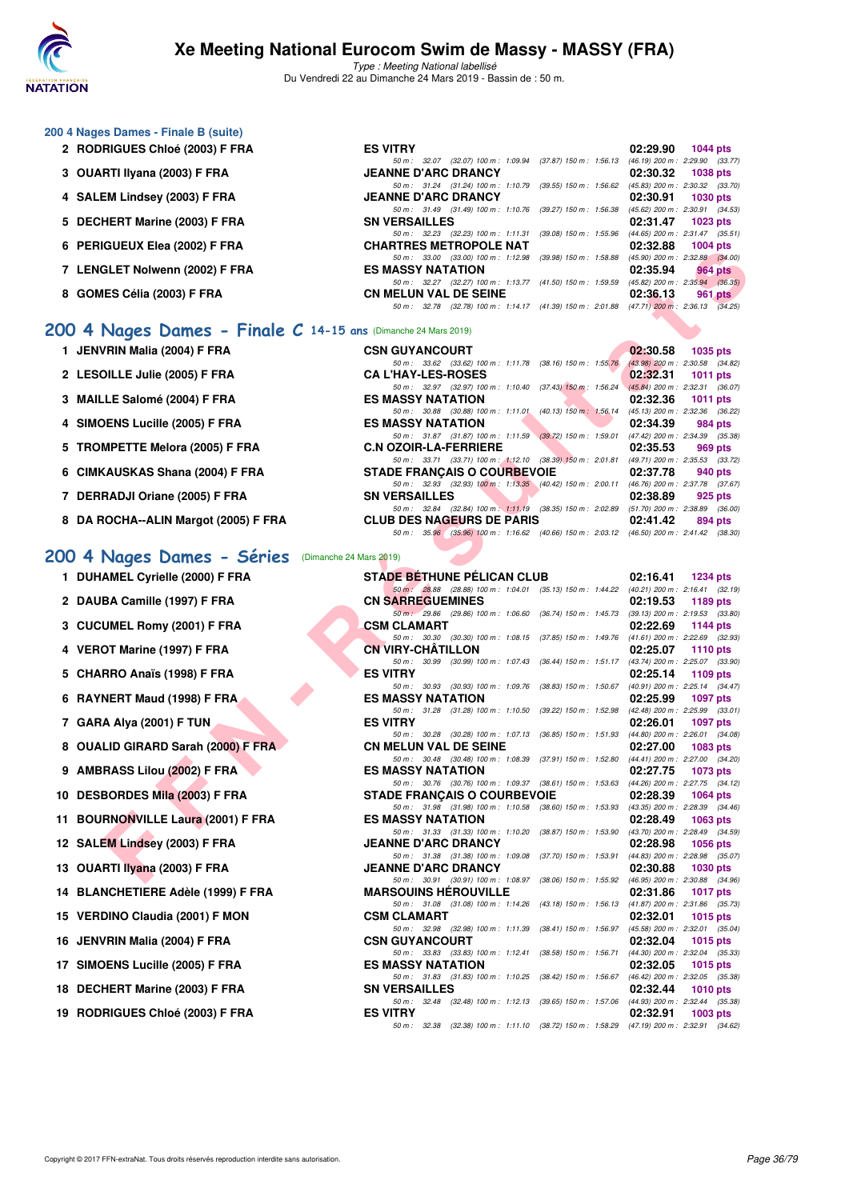

Type : Meeting National labellisé Du Vendredi 22 au Dimanche 24 Mars 2019 - Bassin de : 50 m.

| 200 4 Nages Dames - Finale B (suite) |                                                                     |                                     |
|--------------------------------------|---------------------------------------------------------------------|-------------------------------------|
| 2 RODRIGUES Chloé (2003) F FRA       | <b>ES VITRY</b>                                                     | 02:29.90<br>$1044$ pts              |
|                                      | $(37.87)$ 150 m : 1:56.13<br>50 m: 32.07<br>(32.07) 100 m : 1:09.94 | (46.19) 200 m : 2:29.90 (33.77)     |
| 3 OUARTI Ilyana (2003) F FRA         | <b>JEANNE D'ARC DRANCY</b>                                          | 02:30.32<br><b>1038 pts</b>         |
|                                      | 50 m: 31.24 (31.24) 100 m: 1:10.79 (39.55) 150 m: 1:56.62           | $(45.83)$ 200 m : 2:30.32 $(33.70)$ |
| 4 SALEM Lindsey (2003) F FRA         | <b>JEANNE D'ARC DRANCY</b>                                          | 02:30.91<br><b>1030 pts</b>         |
|                                      | 50 m: 31.49 (31.49) 100 m: 1:10.76<br>(39.27) 150 m : 1:56.38       | $(45.62)$ 200 m : 2:30.91 $(34.53)$ |
| 5 DECHERT Marine (2003) F FRA        | <b>SN VERSAILLES</b>                                                | 02:31.47<br>$1023$ pts              |
|                                      | 50 m: 32.23 (32.23) 100 m: 1:11.31 (39.08) 150 m: 1:55.96           | $(44.65)$ 200 m : 2:31.47 $(35.51)$ |
| 6 PERIGUEUX Elea (2002) F FRA        | <b>CHARTRES METROPOLE NAT</b>                                       | 02:32.88<br>$1004$ pts              |
|                                      | 50 m: 33.00 (33.00) 100 m: 1:12.98<br>$(39.98)$ 150 m : 1:58.88     | $(45.90)$ 200 m : 2:32.88 $(34.00)$ |
| 7 LENGLET Nolwenn (2002) F FRA       | <b>ES MASSY NATATION</b>                                            | 02:35.94<br><b>964 pts</b>          |
|                                      | 50 m: 32.27 (32.27) 100 m: 1:13.77 (41.50) 150 m: 1:59.59           | (45.82) 200 m : 2:35.94 (36.35)     |
| 8 GOMES Célia (2003) F FRA           | <b>CN MELUN VAL DE SEINE</b>                                        | 02:36.13<br>961 pts                 |
|                                      | (32.78) 100 m: 1:14.17 (41.39) 150 m: 2:01.88<br>50 m : 32.78       | $(47.71)$ 200 m : 2:36.13 $(34.25)$ |
|                                      |                                                                     |                                     |

### **[200 4 Nages Dames - Finale C](http://www.ffnatation.fr/webffn/resultats.php?idact=nat&go=epr&idcpt=57649&idepr=41) 14-15 ans** (Dimanche 24 Mars 2019)

| 1 JENVRIN Malia (2004) F FRA         | <b>CSN GUYANCOURT</b>              |                                                              |  | 02:30.58                                                                                | 1035 pts   |
|--------------------------------------|------------------------------------|--------------------------------------------------------------|--|-----------------------------------------------------------------------------------------|------------|
| 2 LESOILLE Julie (2005) F FRA        | <b>CA L'HAY-LES-ROSES</b>          | 50 m: 33.62 (33.62) 100 m: 1:11.78 (38.16) 150 m: 1:55.76    |  | (43.98) 200 m : 2:30.58 (34.82)<br>02:32.31                                             | 1011 $pts$ |
| 3 MAILLE Salomé (2004) F FRA         | <b>ES MASSY NATATION</b>           | 50 m: 32.97 (32.97) 100 m: 1:10.40 (37.43) 150 m: 1:56.24    |  | $(45.84)$ 200 m : 2:32.31 (36.07)<br>02:32.36                                           | 1011 $pts$ |
| 4 SIMOENS Lucille (2005) F FRA       | <b>ES MASSY NATATION</b>           | 50 m: 30.88 (30.88) 100 m: 1:11.01 (40.13) 150 m: 1:56.14    |  | (45.13) 200 m : 2:32.36 (36.22)<br>02:34.39                                             | 984 pts    |
| 5 TROMPETTE Melora (2005) F FRA      | <b>C.N OZOIR-LA-FERRIERE</b>       | 50 m: 31.87 (31.87) 100 m: 1:11.59 (39.72) 150 m: 1:59.01    |  | (47.42) 200 m : 2:34.39 (35.38<br>02:35.53                                              | 969 pts    |
| 6 CIMKAUSKAS Shana (2004) F FRA      | <b>STADE FRANÇAIS O COURBEVOIE</b> | 50 m: 33.71 (33.71) 100 m: 1:12.10 (38.39) 150 m: 2:01.81    |  | (49.71) 200 m : 2:35.53 (33.72<br>02:37.78                                              | 940 pts    |
| 7 DERRADJI Oriane (2005) F FRA       | <b>SN VERSAILLES</b>               | 50 m : 32.93 (32.93) 100 m : 1:13.35 (40.42) 150 m : 2:00.11 |  | (46.76) 200 m : 2:37.78 (37.67<br>02:38.89                                              | 925 pts    |
| 8 DA ROCHA--ALIN Margot (2005) F FRA | <b>CLUB DES NAGEURS DE PARIS</b>   | 50 m : 32.84 (32.84) 100 m : 1:11.19 (38.35) 150 m : 2:02.89 |  | (51.70) 200 m : 2:38.89 (36.00<br>02:41.42                                              | 894 pts    |
|                                      |                                    |                                                              |  | 50 m: 35.96 (35.96) 100 m: 1:16.62 (40.66) 150 m: 2:03.12 (46.50) 200 m: 2:41.42 (38.30 |            |

### **[200 4 Nages Dames - Séries](http://www.ffnatation.fr/webffn/resultats.php?idact=nat&go=epr&idcpt=57649&idepr=41)** (Dimanche 24 Mars 2019)

| 1 DUHAMEL Cyrielle (2000) F FRA |  |
|---------------------------------|--|
|---------------------------------|--|

2 DAUBA Camille (1997) F FRA

- **3 CUCUMEL Romy (2001) F FRA**
- **4 VEROT Marine (1997) F FRA**
- **5 CHARRO Anaïs (1998) F FRA**
- **6 RAYNERT Maud (1998) F FRA**
- **7 GARA Alya (2001) F TUN ES VITRY 02:26.01 1097 pts**
- **8 OUALID GIRARD Sarah (2000) F FRA**
- **9 AMBRASS Lilou (2002) F FRA**
- **10 DESBORDES Mila (2003) F FRA**
- **11 BOURNONVILLE Laura (2001) F FRA**
- **12 SALEM Lindsey (2003) F FRA**
- **13 OUARTI Ilyana (2003) F FRA**
- 14 BLANCHETIERE Adèle (1999) F FRA
- **15 VERDINO Claudia (2001) F MON**
- 16 JENVRIN Malia (2004) F FRA
- **17 SIMOENS Lucille (2005) F FRA**
- 18 DECHERT Marine (2003) F FRA
- **19 RODRIGUES Chloé (2003) F FRA**

| IGULUA LIGA (2002) F FRA                                   | CHARTINES METHOPOLE NAT                                                                                                        | $02.32.00$ $100 + \text{pis}$                               |
|------------------------------------------------------------|--------------------------------------------------------------------------------------------------------------------------------|-------------------------------------------------------------|
| <b>GLET Nolwenn (2002) F FRA</b>                           | 50 m: 33.00 (33.00) 100 m: 1:12.98 (39.98) 150 m: 1:58.88 (45.90) 200 m: 2:32.88 (34.00)<br><b>ES MASSY NATATION</b>           | 02:35.94<br>964 pts                                         |
|                                                            | 50 m: 32.27 (32.27) 100 m: 1:13.77 (41.50) 150 m: 1:59.59 (45.82) 200 m: 2:35.94 (36.35)                                       |                                                             |
| IES Célia (2003) F FRA                                     | <b>CN MELUN VAL DE SEINE</b><br>50 m: 32.78 (32.78) 100 m: 1:14.17 (41.39) 150 m: 2:01.88 (47.71) 200 m: 2:36.13 (34.25)       | 02:36.13<br>961 pts                                         |
|                                                            |                                                                                                                                |                                                             |
| Nages Dames - Finale $C$ 14-15 ans (Dimanche 24 Mars 2019) |                                                                                                                                |                                                             |
| /RIN Malia (2004) F FRA                                    | <b>CSN GUYANCOURT</b><br>50 m: 33.62 (33.62) 100 m: 1:11.78 (38.16) 150 m: 1:55.76 (43.98) 200 m: 2:30.58 (34.82)              | 02:30.58<br>1035 pts                                        |
| <b>OILLE Julie (2005) F FRA</b>                            | <b>CA L'HAY-LES-ROSES</b>                                                                                                      | 02:32.31<br>1011 $pts$                                      |
| LE Salomé (2004) F FRA                                     | 50 m: 32.97 (32.97) 100 m: 1:10.40 (37.43) 150 m: 1:56.24 (45.84) 200 m: 2:32.31 (36.07)<br><b>ES MASSY NATATION</b>           | 02:32.36<br>1011 pts                                        |
|                                                            | 50 m: 30.88 (30.88) 100 m: 1:11.01 (40.13) 150 m: 1:56.14 (45.13) 200 m: 2:32.36 (36.22)                                       |                                                             |
| <b>DENS Lucille (2005) F FRA</b>                           | <b>ES MASSY NATATION</b><br>50 m: 31.87 (31.87) 100 m: 1:11.59 (39.72) 150 m: 1:59.01 (47.42) 200 m: 2:34.39 (35.38)           | 02:34.39<br>984 pts                                         |
| MPETTE Melora (2005) F FRA                                 | <b>C.N OZOIR-LA-FERRIERE</b>                                                                                                   | 02:35.53<br>969 pts                                         |
| (AUSKAS Shana (2004) F FRA                                 | 50 m: 33.71 (33.71) 100 m: 1:12.10 (38.39) 150 m: 2:01.81 (49.71) 200 m: 2:35.53 (33.72)<br><b>STADE FRANÇAIS O COURBEVOIE</b> | 02:37.78<br>940 pts                                         |
|                                                            | 50 m: 32.93 (32.93) 100 m: 1:13.35 (40.42) 150 m: 2:00.11 (46.76) 200 m: 2:37.78 (37.67)                                       |                                                             |
| RADJI Oriane (2005) F FRA                                  | <b>SN VERSAILLES</b>                                                                                                           | 02:38.89<br>925 pts                                         |
| የOCHA--ALIN Margot (2005) F FRA                            | 50 m: 32.84 (32.84) 100 m: 1:11.19 (38.35) 150 m: 2:02.89 (51.70) 200 m: 2:38.89 (36.00)<br><b>CLUB DES NAGEURS DE PARIS</b>   | 02:41.42<br>894 pts                                         |
|                                                            | 50 m: 35.96 (35.96) 100 m: 1:16.62 (40.66) 150 m: 2:03.12 (46.50) 200 m: 2:41.42 (38.30)                                       |                                                             |
| Nages Dames - Séries<br>(Dimanche 24 Mars 2019)            |                                                                                                                                |                                                             |
| AMEL Cyrielle (2000) F FRA                                 | <b>STADE BÉTHUNE PÉLICAN CLUB</b>                                                                                              | $02:16.41$ 1234 pts                                         |
|                                                            | 50 m: 28.88 (28.88) 100 m: 1:04.01 (35.13) 150 m: 1:44.22 (40.21) 200 m: 2:16.41 (32.19)                                       |                                                             |
| BA Camille (1997) F FRA                                    | <b>CN SARREGUEMINES</b>                                                                                                        | 02:19.53<br>1189 pts                                        |
| UMEL Romy (2001) F FRA                                     | 50 m : 29.86 (29.86) 100 m : 1:06.60 (36.74) 150 m : 1:45.73 (39.13) 200 m : 2:19.53 (33.80)<br><b>CSM CLAMART</b>             | 02:22.69<br>1144 pts                                        |
|                                                            | 50 m: 30.30 (30.30) 100 m: 1:08.15 (37.85) 150 m: 1:49.76 (41.61) 200 m: 2:22.69 (32.93)                                       |                                                             |
| OT Marine (1997) F FRA                                     | <b>CN VIRY-CHATILLON</b><br>50 m: 30.99 (30.99) 100 m: 1:07.43 (36.44) 150 m: 1:51.17 (43.74) 200 m: 2:25.07 (33.90)           | 02:25.07 1110 pts                                           |
| RRO Anaïs (1998) F FRA                                     | <b>ES VITRY</b>                                                                                                                | $02:25.14$ 1109 pts                                         |
| NERT Maud (1998) F FRA                                     | 50 m: 30.93 (30.93) 100 m: 1:09.76 (38.83) 150 m: 1:50.67 (40.91) 200 m: 2:25.14 (34.47)<br><b>ES MASSY NATATION</b>           | 02:25.99<br>1097 pts                                        |
|                                                            | 50 m: 31.28 (31.28) 100 m: 1:10.50 (39.22) 150 m: 1:52.98 (42.48) 200 m: 2:25.99 (33.01)                                       |                                                             |
| A Alya (2001) F TUN                                        | <b>ES VITRY</b><br>50 m: 30.28 (30.28) 100 m: 1:07.13 (36.85) 150 m: 1:51.93 (44.80) 200 m: 2:26.01 (34.08)                    | 02:26.01<br>1097 pts                                        |
| LID GIRARD Sarah (2000) F FRA                              | <b>CN MELUN VAL DE SEINE</b>                                                                                                   | 02:27.00<br>1083 pts                                        |
| RASS Lilou (2002) F FRA                                    | 50 m: 30.48 (30.48) 100 m: 1:08.39 (37.91) 150 m: 1:52.80 (44.41) 200 m: 2:27.00 (34.20)<br><b>ES MASSY NATATION</b>           | 02:27.75<br>1073 pts                                        |
|                                                            | 50 m: 30.76 (30.76) 100 m: 1:09.37 (38.61) 150 m: 1:53.63 (44.26) 200 m: 2:27.75 (34.12)                                       |                                                             |
| BORDES Mila (2003) F FRA                                   | <b>STADE FRANÇAIS O COURBEVOIE</b><br>50 m: 31.98 (31.98) 100 m: 1:10.58 (38.60) 150 m: 1:53.93 (43.35) 200 m: 2:28.39 (34.46) | 02:28.39<br>1064 pts                                        |
| RNONVILLE Laura (2001) F FRA                               | <b>ES MASSY NATATION</b>                                                                                                       | 02:28.49<br>1063 pts                                        |
| EM Lindsey (2003) F FRA                                    | 50 m: 31.33 (31.33) 100 m: 1:10.20 (38.87) 150 m: 1:53.90 (43.70) 200 m: 2:28.49 (34.59)<br><b>JEANNE D'ARC DRANCY</b>         | 02:28.98<br>1056 pts                                        |
|                                                            | 50 m: 31.38 (31.38) 100 m: 1:09.08 (37.70) 150 m: 1:53.91 (44.83) 200 m: 2:28.98 (35.07)                                       |                                                             |
| RTI Ilyana (2003) F FRA                                    | <b>JEANNE D'ARC DRANCY</b><br>50 m: 30.91 (30.91) 100 m: 1:08.97 (38.06) 150 m: 1:55.92 (46.95) 200 m: 2:30.88 (34.96)         | 02:30.88<br>1030 pts                                        |
| NCHETIERE Adèle (1999) F FRA                               | <b>MARSOUINS HEROUVILLE</b>                                                                                                    | 02:31.86<br><b>1017 pts</b>                                 |
|                                                            | 50 m: 31.08 (31.08) 100 m: 1:14.26 (43.18) 150 m: 1:56.13                                                                      | (41.87) 200 m : 2:31.86 (35.73)                             |
| DINO Claudia (2001) F MON                                  | <b>CSM CLAMART</b><br>50 m: 32.98 (32.98) 100 m: 1:11.39 (38.41) 150 m: 1:56.97                                                | 02:32.01<br>1015 pts<br>$(45.58)$ 200 m : 2:32.01 (35.04)   |
| /RIN Malia (2004) F FRA                                    | <b>CSN GUYANCOURT</b>                                                                                                          | 02:32.04<br>1015 pts                                        |
| <b>DENS Lucille (2005) F FRA</b>                           | 50 m : 33.83 (33.83) 100 m : 1:12.41<br>(38.58) 150 m : 1:56.71<br><b>ES MASSY NATATION</b>                                    | $(44.30)$ 200 m : 2:32.04 $(35.33)$<br>02:32.05<br>1015 pts |
|                                                            | 50 m: 31.83 (31.83) 100 m: 1:10.25 (38.42) 150 m: 1:56.67                                                                      | (46.42) 200 m : 2:32.05 (35.38)                             |
| HERT Marine (2003) F FRA                                   | <b>SN VERSAILLES</b><br>50 m: 32.48 (32.48) 100 m: 1:12.13 (39.65) 150 m: 1:57.06 (44.93) 200 m: 2:32.44 (35.38)               | 02:32.44<br><b>1010 pts</b>                                 |
| RIGUES Chloé (2003) F FRA                                  | <b>ES VITRY</b>                                                                                                                | 02:32.91<br>1003 pts                                        |
|                                                            | 50 m · 32.38 (32.38) 100 m · 1:11 10 (38.72) 150 m · 1:58.29 (47.19) 200 m · 2:32.91 (34.62)                                   |                                                             |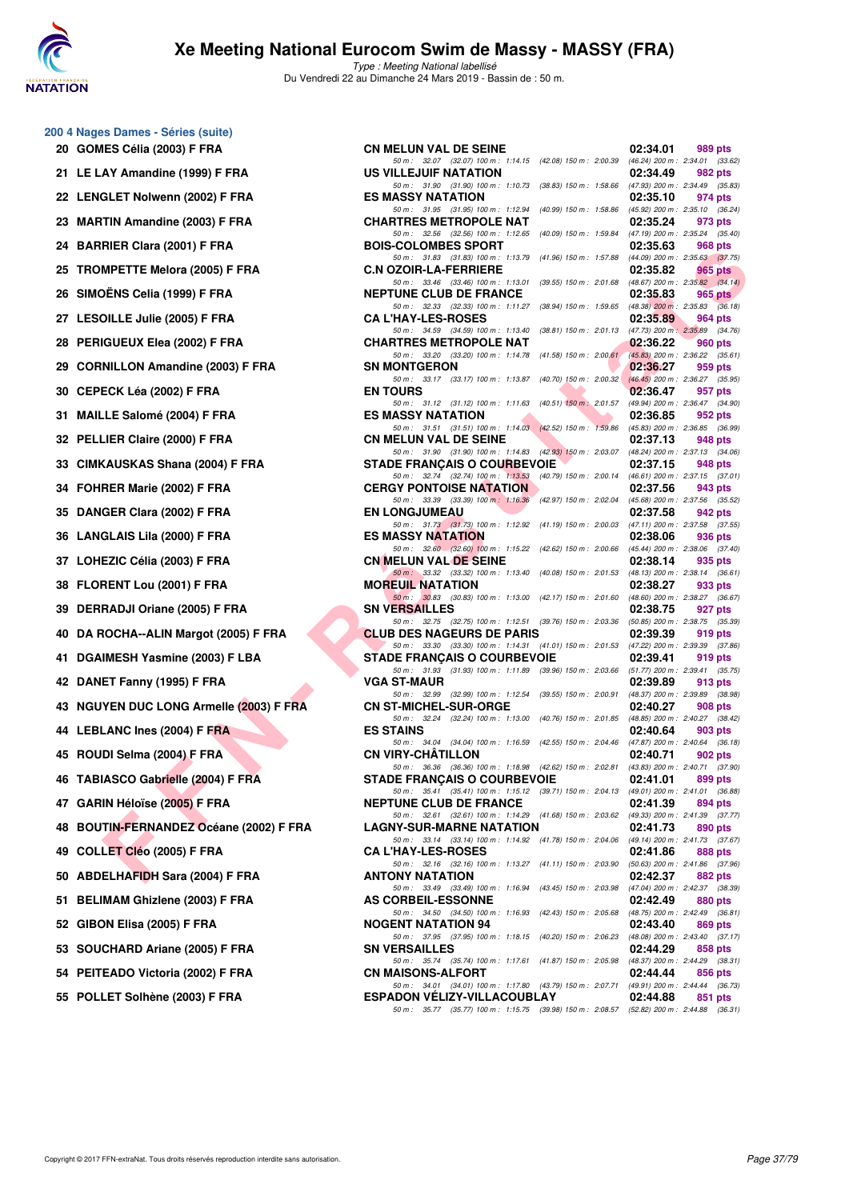

| 20   | 200 4 Nages Dames - Séries (suite)<br>GOMES Célia (2003) F FRA |
|------|----------------------------------------------------------------|
| 21   | LE LAY Amandine (1999) F FRA                                   |
| 22   | <b>LENGLET Nolwenn (2002) F FRA</b>                            |
| 23   | <b>MARTIN Amandine (2003) F FRA</b>                            |
| 24   | <b>BARRIER Clara (2001) F FRA</b>                              |
| 25   | <b>TROMPETTE Melora (2005) F FRA</b>                           |
| 26   | SIMOËNS Celia (1999) F FRA                                     |
| 27   | <b>LESOILLE Julie (2005) F FRA</b>                             |
| 28   | PERIGUEUX Elea (2002) F FRA                                    |
| 29   | <b>CORNILLON Amandine (2003) F FRA</b>                         |
| 30 - | CEPECK Léa (2002) F FRA                                        |
| 31   | <b>MAILLE Salomé (2004) F FRA</b>                              |
| 32   | PELLIER Claire (2000) F FRA                                    |
| 33   | CIMKAUSKAS Shana (2004) F FRA                                  |
| 34   | FOHRER Marie (2002) F FRA                                      |
| 35   | DANGER Clara (2002) F FRA                                      |
| 36.  | <b>LANGLAIS Lila (2000) F FRA</b>                              |
| 37   | LOHEZIC Célia (2003) F FRA                                     |
| 38   | FLORENT Lou (2001) F FRA                                       |
| 39   | <b>DERRADJI Oriane (2005) F FRA</b>                            |
| 40   | DA ROCHA--ALIN Margot (2005) F FRA                             |
| 41   | DGAIMESH Yasmine (2003) F LBA                                  |
| 42   | DANET Fanny (1995) F FRA                                       |
| 43   | <b>NGUYEN DUC LONG Armelle (2003) F FF</b>                     |
| 44   | <b>LEBLANC Ines (2004) F FRA</b>                               |
| 45   | ROUDI Selma (2004) F FRA                                       |
| 46   | <b>TABIASCO Gabrielle (2004) F FRA</b>                         |
| 47   | GARIN Héloïse (2005) F FRA                                     |
| 48   | <b>BOUTIN-FERNANDEZ Océane (2002) F F</b>                      |
| 49   | COLLET Cléo (2005) F FRA                                       |
| 50   | <b>ABDELHAFIDH Sara (2004) F FRA</b>                           |
| 51   | <b>BELIMAM Ghizlene (2003) F FRA</b>                           |
| 52   | GIBON Elisa (2005) F FRA                                       |
| 53   | SOUCHARD Ariane (2005) F FRA                                   |
| 54   | PEITEADO Victoria (2002) F FRA                                 |
| 55   | POLLET Solhène (2003) F FRA                                    |
|      |                                                                |

| 20 GOMES Célia (2003) F FRA             | <b>CN MELUN VAL DE SEINE</b>                                                                                                   | 02:34.01 | 989 pts |
|-----------------------------------------|--------------------------------------------------------------------------------------------------------------------------------|----------|---------|
| 21 LE LAY Amandine (1999) F FRA         | 50 m: 32.07 (32.07) 100 m: 1:14.15 (42.08) 150 m: 2:00.39 (46.24) 200 m: 2:34.01 (33.62)<br>US VILLEJUIF NATATION              | 02:34.49 | 982 pts |
| 22 LENGLET Nolwenn (2002) F FRA         | 50 m: 31.90 (31.90) 100 m: 1:10.73 (38.83) 150 m: 1:58.66 (47.93) 200 m: 2:34.49 (35.83)<br><b>ES MASSY NATATION</b>           | 02:35.10 | 974 pts |
| 23 MARTIN Amandine (2003) F FRA         | 50 m: 31.95 (31.95) 100 m: 1:12.94 (40.99) 150 m: 1:58.86 (45.92) 200 m: 2:35.10 (36.24)<br><b>CHARTRES METROPOLE NAT</b>      | 02:35.24 | 973 pts |
| 24 BARRIER Clara (2001) F FRA           | 50 m: 32.56 (32.56) 100 m: 1:12.65 (40.09) 150 m: 1:59.84 (47.19) 200 m: 2:35.24 (35.40)<br><b>BOIS-COLOMBES SPORT</b>         | 02:35.63 | 968 pts |
| 25   TROMPETTE Melora (2005) F FRA      | 50 m: 31.83 (31.83) 100 m: 1:13.79 (41.96) 150 m: 1:57.88 (44.09) 200 m: 2:35.63 (37.75)<br><b>C.N OZOIR-LA-FERRIERE</b>       | 02:35.82 | 965 pts |
| 26   SIMOËNS Celia (1999) F FRA         | 50 m: 33.46 (33.46) 100 m: 1:13.01 (39.55) 150 m: 2:01.68 (48.67) 200 m: 2:35.82 (34.14)<br><b>NEPTUNE CLUB DE FRANCE</b>      | 02:35.83 | 965 pts |
| 27 LESOILLE Julie (2005) F FRA          | 50 m: 32.33 (32.33) 100 m: 1:11.27 (38.94) 150 m: 1:59.65 (48.38) 200 m: 2:35.83 (36.18)<br><b>CA L'HAY-LES-ROSES</b>          | 02:35.89 | 964 pts |
| 28 PERIGUEUX Elea (2002) F FRA          | 50 m: 34.59 (34.59) 100 m: 1:13.40 (38.81) 150 m: 2:01.13 (47.73) 200 m: 2:35.89 (34.76)<br><b>CHARTRES METROPOLE NAT</b>      | 02:36.22 | 960 pts |
| 29 CORNILLON Amandine (2003) F FRA      | 50 m: 33.20 (33.20) 100 m: 1:14.78 (41.58) 150 m: 2:00.61 (45.83) 200 m: 2:36.22 (35.61)<br><b>SN MONTGERON</b>                | 02:36.27 | 959 pts |
| 30   CEPECK Léa (2002) F FRA            | 50 m: 33.17 (33.17) 100 m: 1:13.87 (40.70) 150 m: 2:00.32 (46.45) 200 m: 2:36.27 (35.95)<br><b>EN TOURS</b>                    | 02:36.47 | 957 pts |
| 31 MAILLE Salomé (2004) F FRA           | 50 m: 31.12 (31.12) 100 m: 1:11.63 (40.51) 150 m: 2:01.57 (49.94) 200 m: 2:36.47 (34.90)<br><b>ES MASSY NATATION</b>           | 02:36.85 | 952 pts |
| 32 PELLIER Claire (2000) F FRA          | 50 m: 31.51 (31.51) 100 m: 1:14.03 (42.52) 150 m: 1:59.86 (45.83) 200 m: 2:36.85 (36.99)<br><b>CN MELUN VAL DE SEINE</b>       | 02:37.13 | 948 pts |
| 33   CIMKAUSKAS Shana (2004) F FRA      | 50 m: 31.90 (31.90) 100 m: 1:14.83 (42.93) 150 m: 2:03.07 (48.24) 200 m: 2:37.13 (34.06)<br>STADE FRANÇAIS O COURBEVOIE        | 02:37.15 | 948 pts |
| 34 FOHRER Marie (2002) F FRA            | 50 m: 32.74 (32.74) 100 m: 1:13.53 (40.79) 150 m: 2:00.14 (46.61) 200 m: 2:37.15 (37.01)<br><b>CERGY PONTOISE NATATION</b>     | 02:37.56 | 943 pts |
| 35 DANGER Clara (2002) F FRA            | 50 m: 33.39 (33.39) 100 m: 1:16.36 (42.97) 150 m: 2:02.04 (45.68) 200 m: 2:37.56 (35.52)<br><b>EN LONGJUMEAU</b>               | 02:37.58 | 942 pts |
| 36 LANGLAIS Lila (2000) F FRA           | 50 m: 31.73 (31.73) 100 m: 1:12.92 (41.19) 150 m: 2:00.03 (47.11) 200 m: 2:37.58 (37.55)<br><b>ES MASSY NATATION</b>           | 02:38.06 | 936 pts |
| 37 LOHEZIC Célia (2003) F FRA           | 50 m: 32.60 (32.60) 100 m: 1:15.22 (42.62) 150 m: 2:00.66 (45.44) 200 m: 2:38.06 (37.40)<br><b>CN MELUN VAL DE SEINE</b>       | 02:38.14 | 935 pts |
| 38 FLORENT Lou (2001) F FRA             | 50 m : 33.32 (33.32) 100 m : 1:13.40 (40.08) 150 m : 2:01.53 (48.13) 200 m : 2:38.14 (36.61)<br><b>MOREUIL NATATION</b>        | 02:38.27 | 933 pts |
| 39 DERRADJI Oriane (2005) F FRA         | 50 m: 30.83 (30.83) 100 m: 1.13.00 (42.17) 150 m: 2.01.60 (48.60) 200 m: 2.38.27 (36.67)<br><b>SN VERSAILLES</b>               | 02:38.75 | 927 pts |
| 40 DA ROCHA--ALIN Margot (2005) F FRA   | 50 m: 32.75 (32.75) 100 m: 1:12.51 (39.76) 150 m: 2:03.36 (50.85) 200 m: 2:38.75 (35.39)<br><b>CLUB DES NAGEURS DE PARIS</b>   | 02:39.39 | 919 pts |
| 41 DGAIMESH Yasmine (2003) F LBA        | 50 m: 33.30 (33.30) 100 m: 1:14.31 (41.01) 150 m: 2:01.53 (47.22) 200 m: 2:39.39 (37.86)<br><b>STADE FRANÇAIS O COURBEVOIE</b> | 02:39.41 | 919 pts |
| 42 DANET Fanny (1995) F FRA             | 50 m: 31.93 (31.93) 100 m: 1:11.89 (39.96) 150 m: 2:03.66 (51.77) 200 m: 2:39.41 (35.75)<br><b>VGA ST-MAUR</b>                 | 02:39.89 | 913 pts |
| 43 NGUYEN DUC LONG Armelle (2003) F FRA | 50 m: 32.99 (32.99) 100 m: 1:12.54 (39.55) 150 m: 2:00.91 (48.37) 200 m: 2:39.89 (38.98)<br><b>CN ST-MICHEL-SUR-ORGE</b>       | 02:40.27 | 908 pts |
| 44 LEBLANC Ines (2004) F FRA            | 50 m: 32.24 (32.24) 100 m: 1:13.00 (40.76) 150 m: 2:01.85 (48.85) 200 m: 2:40.27 (38.42)<br><b>ES STAINS</b>                   | 02:40.64 | 903 pts |
| 45 ROUDI Selma (2004) F FRA             | 50 m : 34.04 (34.04) 100 m : 1:16.59 (42.55) 150 m : 2:04.46 (47.87) 200 m : 2:40.64 (36.18)<br><b>CN VIRY-CHATILLON</b>       | 02:40.71 | 902 pts |
| 46 TABIASCO Gabrielle (2004) F FRA      | 50 m: 36.36 (36.36) 100 m: 1:18.98 (42.62) 150 m: 2:02.81 (43.83) 200 m: 2:40.71 (37.90)<br><b>STADE FRANÇAIS O COURBEVOIE</b> | 02:41.01 | 899 pts |
| 47   GARIN Héloïse (2005) F FRA         | 50 m: 35.41 (35.41) 100 m: 1:15.12 (39.71) 150 m: 2:04.13 (49.01) 200 m: 2:41.01 (36.88)<br><b>NEPTUNE CLUB DE FRANCE</b>      | 02:41.39 | 894 pts |
| 48 BOUTIN-FERNANDEZ Océane (2002) F FRA | 50 m: 32.61 (32.61) 100 m: 1:14.29 (41.68) 150 m: 2:03.62 (49.33) 200 m: 2:41.39 (37.77)<br><b>LAGNY-SUR-MARNE NATATION</b>    | 02:41.73 | 890 pts |
| 49   COLLET Cléo (2005) F FRA           | 50 m: 33.14 (33.14) 100 m: 1:14.92 (41.78) 150 m: 2:04.06 (49.14) 200 m: 2:41.73 (37.67)<br><b>CA L'HAY-LES-ROSES</b>          | 02:41.86 | 888 pts |
| 50   ABDELHAFIDH Sara (2004) F FRA      | 50 m: 32.16 (32.16) 100 m: 1:13.27 (41.11) 150 m: 2:03.90 (50.63) 200 m: 2:41.86 (37.96)<br><b>ANTONY NATATION</b>             | 02:42.37 | 882 pts |
| 51 BELIMAM Ghizlene (2003) F FRA        | 50 m: 33.49 (33.49) 100 m: 1:16.94 (43.45) 150 m: 2:03.98 (47.04) 200 m: 2:42.37 (38.39)<br><b>AS CORBEIL-ESSONNE</b>          | 02:42.49 | 880 pts |
| 52 GIBON Elisa (2005) F FRA             | 50 m: 34.50 (34.50) 100 m: 1:16.93 (42.43) 150 m: 2:05.68 (48.75) 200 m: 2:42.49 (36.81)<br><b>NOGENT NATATION 94</b>          | 02:43.40 | 869 pts |
| 53 SOUCHARD Ariane (2005) F FRA         | 50 m: 37.95 (37.95) 100 m: 1:18.15 (40.20) 150 m: 2:06.23 (48.08) 200 m: 2:43.40 (37.17)<br><b>SN VERSAILLES</b>               | 02:44.29 | 858 pts |
| 54 PEITEADO Victoria (2002) F FRA       | 50 m: 35.74 (35.74) 100 m: 1:17.61 (41.87) 150 m: 2:05.98 (48.37) 200 m: 2:44.29 (38.31)<br><b>CN MAISONS-ALFORT</b>           | 02:44.44 | 856 pts |
| 55 POLLET Solhène (2003) F FRA          | 50 m: 34.01 (34.01) 100 m: 1.17.80 (43.79) 150 m: 2:07.71 (49.91) 200 m: 2:44.44 (36.73)<br><b>ESPADON VELIZY-VILLACOUBLAY</b> | 02:44.88 | 851 pts |
|                                         | 50 m: 35.77 (35.77) 100 m: 1:15.75 (39.98) 150 m: 2:08.57 (52.82) 200 m: 2:44.88 (36.31)                                       |          |         |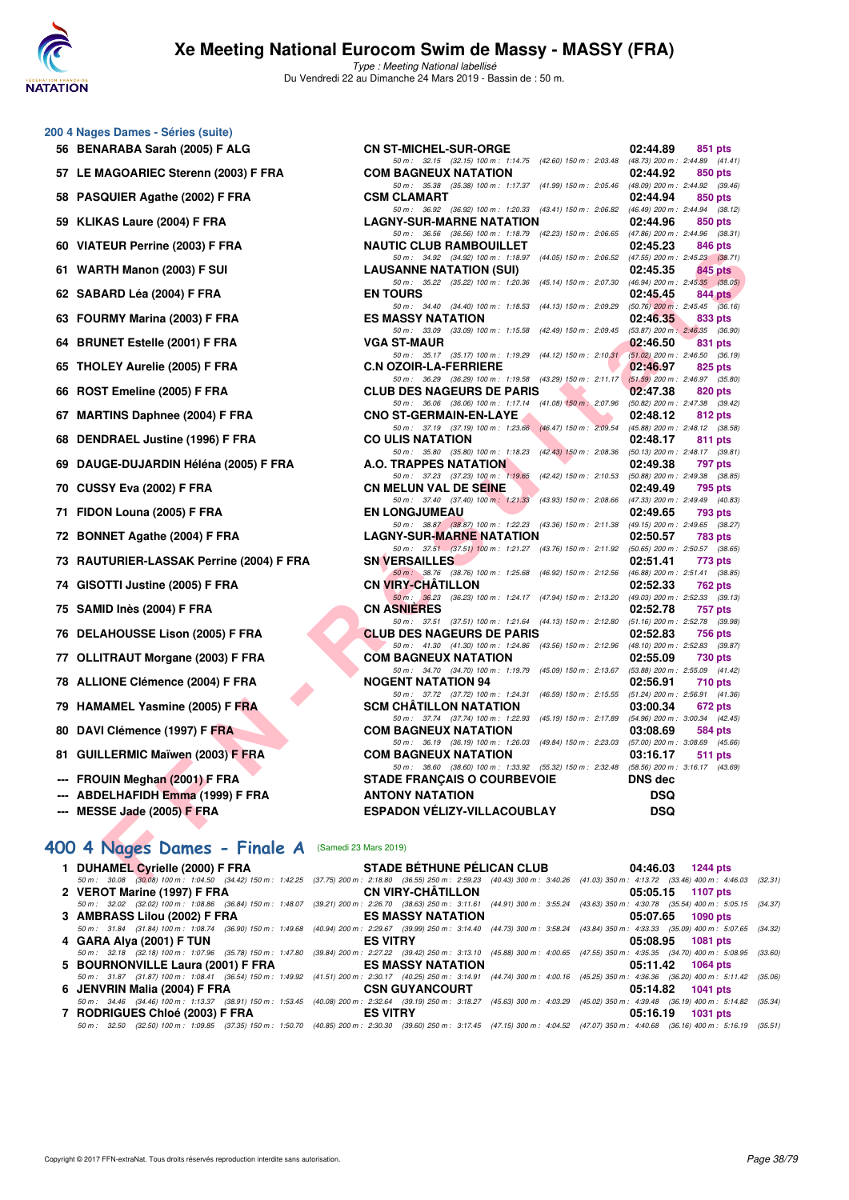

Type : Meeting National labellisé Du Vendredi 22 au Dimanche 24 Mars 2019 - Bassin de : 50 m.

#### **200 4 Nages Dames - Séries (suite)**

- 56 BENARABA Sarah (2005) F ALG 57 LE MAGOARIEC Sterenn (2003) F FRA **58 PASQUIER Agathe (2002) F FRA 59 KLIKAS Laure (2004) F FRA 60 VIATEUR Perrine (2003) F FRA 61 WARTH Manon (2003) F SUI 62 SABARD Léa (2004) F FRA 63 FOURMY Marina (2003) F FRA 64 BRUNET Estelle (2001) F FRA 65 THOLEY Aurelie (2005) F FRA 66 ROST Emeline (2005) F FRA** 67 MARTINS Daphnee (2004) F FRA **68 DENDRAEL Justine (1996) F FRA** 69 DAUGE-DUJARDIN Héléna (2005) F FRA 70 CUSSY Eva (2002) F FRA **71 FIDON Louna (2005) F FRA** 72 BONNET Agathe (2004) F FRA **73 RAUTURIER-LASSAK Perrine (2004) F FRA** 74 GISOTTI Justine (2005) F FRA **75 SAMID Inès (2004) F FRA CN ASNIÈRES 02:52.78 757 pts 76 DELAHOUSSE Lison (2005) F FRA** 77 OLLITRAUT Morgane (2003) F FRA 78 ALLIONE Clémence (2004) F FRA 79 HAMAMEL Yasmine (2005) F FRA
- 80 DAVI Clémence (1997) F FRA
- 81 GUILLERMIC Maïwen (2003) F FRA
- --- FROUIN Meghan (2001) F FRA
- --- ABDELHAFIDH Emma (1999) F FRA
- 

# **--- MESSE Jade (2005) F FRA ESPADON VÉLIZY-VILLACOUBLAY DSQ**

| 400 4 Nages Dames - Finale A (Samedi 23 Mars 2019) |                                                                                                                                                                                             |                   |
|----------------------------------------------------|---------------------------------------------------------------------------------------------------------------------------------------------------------------------------------------------|-------------------|
|                                                    | 1 DUHAMEL Cyrielle (2000) F FRA STADE BÉTHUNE PÉLICAN CLUB 04:46.03 1244 pts                                                                                                                |                   |
|                                                    | 50 m : 30.08 (30.08) 100 m : 1:04.50 (34.42) 150 m : 1:42.25 (37.75) 200 m : 2:18.80 (36.55) 250 m : 2:59.23 (40.43) 300 m : 3:40.26 (41.03) 350 m : 4:13.72 (33.46) 400 m : 4:46.03 (32.31 |                   |
| 2 VEROT Marine (1997) F FRA                        | <b>CN VIRY-CHÄTILLON</b>                                                                                                                                                                    | 05:05.15 1107 pts |
|                                                    | 50 m: 32.02 (32.02) 100 m: 1:08.86 (36.84) 150 m: 1:48.07 (39.21) 200 m: 2:26.70 (38.63) 250 m: 3:11.61 (44.91) 300 m: 3:55.24 (43.63) 350 m: 4:30.78 (35.54) 400 m: 5:05.15 (34.37         |                   |
|                                                    |                                                                                                                                                                                             | 05:07.65 1090 pts |
|                                                    | 50 m: 31.84 (31.84) 100 m: 1:08.74 (36.90) 150 m: 1:49.68 (40.94) 200 m: 2:29.67 (39.99) 250 m: 3:14.40 (44.73) 300 m: 3:58.24 (43.84) 350 m: 4:33.33 (35.09) 400 m: 5:07.65 (34.32         |                   |
| 4 GARA Alya (2001) F TUN                           | <b>ES VITRY</b>                                                                                                                                                                             | 05:08.95 1081 pts |
|                                                    | 50 m : 32.18 (32.18) 100 m : 1:07.96 (35.78) 150 m : 1:47.80 (39.84) 200 m : 2:27.22 (39.42) 250 m : 3:13.10 (45.88) 300 m : 4:00.65 (47.55) 350 m : 4:35.35 (34.70) 400 m : 5:08.95 (33.60 |                   |
| 5 BOURNONVILLE Laura (2001) F FRA                  | ES MASSY NATATION ESTIMATES                                                                                                                                                                 | 05:11.42 1064 pts |
|                                                    | 50 m: 31.87 (31.87) 100 m: 1:08.41 (36.54) 150 m: 1:49.92 (41.51) 200 m: 2:30.17 (40.25) 250 m: 3:14.91 (44.74) 300 m: 4:00.16 (45.25) 350 m: 4:36.36 (36.20) 400 m: 5:11.42 (35.06         |                   |
|                                                    |                                                                                                                                                                                             | 05:14.82 1041 pts |
|                                                    | 50 m: 34.46 (34.46) 100 m: 1:13.37 (38.91) 150 m: 1:53.45 (40.08) 200 m: 2:32.64 (39.19) 250 m: 3:18.27 (45.63) 300 m: 4:03.29 (45.02) 350 m: 4:39.48 (36.19) 400 m: 5:14.82 (35.34         |                   |
| 7 RODRIGUES Chloé (2003) F FRA                     | <b>ES VITRY</b>                                                                                                                                                                             | 05:16.19 1031 pts |
|                                                    | 50 m: 32.50 (32.50) 100 m: 1:09.85 (37.35) 150 m: 1:50.70 (40.85) 200 m: 2:30.30 (39.60) 250 m: 3:17.45 (47.15) 300 m: 4:04.52 (47.07) 350 m: 4:40.68 (36.16) 400 m: 5:16.19 (35.51         |                   |
|                                                    |                                                                                                                                                                                             |                   |

| ARABA Sarah (2005) F ALG                  | <b>CN ST-MICHEL-SUR-ORGE</b>                                                                                                   | 02:44.89<br>851 pts        |
|-------------------------------------------|--------------------------------------------------------------------------------------------------------------------------------|----------------------------|
| IAGOARIEC Sterenn (2003) F FRA            | 50 m: 32.15 (32.15) 100 m: 1:14.75 (42.60) 150 m: 2:03.48 (48.73) 200 m: 2:44.89 (41.41)<br><b>COM BAGNEUX NATATION</b>        | 02:44.92<br>850 pts        |
|                                           | 50 m: 35.38 (35.38) 100 m: 1:17.37 (41.99) 150 m: 2:05.46 (48.09) 200 m: 2:44.92 (39.46)                                       |                            |
| QUIER Agathe (2002) F FRA                 | <b>CSM CLAMART</b>                                                                                                             | 02:44.94<br>850 pts        |
| (AS Laure (2004) F FRA                    | 50 m: 36.92 (36.92) 100 m: 1:20.33 (43.41) 150 m: 2:06.82 (46.49) 200 m: 2:44.94 (38.12)<br><b>LAGNY-SUR-MARNE NATATION</b>    | 02:44.96                   |
|                                           | 50 m: 36.56 (36.56) 100 m: 1:18.79 (42.23) 150 m: 2:06.65 (47.86) 200 m: 2:44.96 (38.31)                                       | 850 pts                    |
| EUR Perrine (2003) F FRA                  | <b>NAUTIC CLUB RAMBOUILLET</b>                                                                                                 | 02:45.23<br>846 pts        |
| ITH Manon (2003) F SUI                    | 50 m: 34.92 (34.92) 100 m: 1:18.97 (44.05) 150 m: 2:06.52 (47.55) 200 m: 2:45.23 (38.71)<br><b>LAUSANNE NATATION (SUI)</b>     | 02:45.35<br>845 pts        |
|                                           | 50 m: 35.22 (35.22) 100 m: 1:20.36 (45.14) 150 m: 2:07.30 (46.94) 200 m: 2:45.35 (38.05)                                       |                            |
| ARD Léa (2004) F FRA                      | <b>EN TOURS</b>                                                                                                                | 02:45.45<br>844 pts        |
| RMY Marina (2003) F FRA                   | 50 m: 34.40 (34.40) 100 m: 1:18.53 (44.13) 150 m: 2:09.29 (50.76) 200 m: 2:45.45 (36.16)<br><b>ES MASSY NATATION</b>           | 02:46.35<br>833 pts        |
|                                           | 50 m: 33.09 (33.09) 100 m: 1:15.58 (42.49) 150 m: 2:09.45 (53.87) 200 m: 2:46.35 (36.90)                                       |                            |
| NET Estelle (2001) F FRA                  | <b>VGA ST-MAUR</b>                                                                                                             | 02:46.50<br>831 pts        |
|                                           | 50 m: 35.17 (35.17) 100 m: 1:19.29 (44.12) 150 m: 2:10.31 (51.02) 200 m: 2:46.50 (36.19)                                       | 02:46.97                   |
| LEY Aurelie (2005) F FRA                  | <b>C.N OZOIR-LA-FERRIERE</b><br>50 m: 36.29 (36.29) 100 m: 1:19.58 (43.29) 150 m: 2:11.17 (51.59) 200 m: 2:46.97 (35.80)       | 825 pts                    |
| T Emeline (2005) F FRA                    | <b>CLUB DES NAGEURS DE PARIS</b>                                                                                               | 02:47.38<br>820 pts        |
|                                           | 50 m: 36.06 (36.06) 100 m: 1:17.14 (41.08) 150 m: 2:07.96 (50.82) 200 m: 2:47.38 (39.42)                                       |                            |
| TINS Daphnee (2004) F FRA                 | <b>CNO ST-GERMAIN-EN-LAYE</b><br>50 m: 37.19 (37.19) 100 m: 1:23.66 (46.47) 150 m: 2:09.54 (45.88) 200 m: 2:48.12 (38.58)      | 02:48.12<br>812 pts        |
| <b>DRAEL Justine (1996) F FRA</b>         | <b>CO ULIS NATATION</b>                                                                                                        | 02:48.17<br>811 pts        |
|                                           | 50 m: 35.80 (35.80) 100 m: 1:18.23 (42.43) 150 m: 2:08.36 (50.13) 200 m: 2:48.17 (39.81)                                       |                            |
| GE-DUJARDIN Héléna (2005) F FRA           | A.O. TRAPPES NATATION<br>50 m: 37.23 (37.23) 100 m: 1:19.65 (42.42) 150 m: 2:10.53 (50.88) 200 m: 2:49.38 (38.85)              | 02:49.38<br>797 pts        |
| SY Eva (2002) F FRA                       | <b>CN MELUN VAL DE SEINE</b>                                                                                                   | 02:49.49<br>795 pts        |
|                                           | 50 m: 37.40 (37.40) 100 m: 1:21.33 (43.93) 150 m: 2:08.66 (47.33) 200 m: 2:49.49 (40.83)                                       |                            |
| N Louna (2005) F FRA                      | <b>EN LONGJUMEAU</b><br>50 m: 38.87 (38.87) 100 m: 1:22.23 (43.36) 150 m: 2:11.38 (49.15) 200 m: 2:49.65 (38.27)               | 02:49.65<br>793 pts        |
| NET Agathe (2004) F FRA                   | <b>LAGNY-SUR-MARNE NATATION</b>                                                                                                | 02:50.57<br>783 pts        |
|                                           | 50 m: 37.51 (37.51) 100 m: 1:21.27 (43.76) 150 m: 2:11.92 (50.65) 200 m: 2:50.57 (38.65)                                       |                            |
| <b>TURIER-LASSAK Perrine (2004) F FRA</b> | <b>SN VERSAILLES</b><br>50 m: 38.76 (38.76) 100 m: 1:25.68 (46.92) 150 m: 2:12.56 (46.88) 200 m: 2:51.41 (38.85)               | 02:51.41<br>773 pts        |
| )TTI Justine (2005) F FRA                 | <b>CN VIRY-CHATILLON</b>                                                                                                       | 02:52.33<br>762 pts        |
|                                           | 50 m: 36.23 (36.23) 100 m: 1:24.17 (47.94) 150 m: 2:13.20 (49.03) 200 m: 2:52.33 (39.13)                                       |                            |
| ID Inès (2004) F FRA                      | <b>CN ASNIERES</b>                                                                                                             | 02:52.78<br>757 pts        |
| <b>AHOUSSE Lison (2005) F FRA</b>         | 50 m: 37.51 (37.51) 100 m: 1:21.64 (44.13) 150 m: 2:12.80 (51.16) 200 m: 2:52.78 (39.98)<br><b>CLUB DES NAGEURS DE PARIS</b>   | 02:52.83<br>756 pts        |
|                                           | 50 m: 41.30 (41.30) 100 m: 1:24.86 (43.56) 150 m: 2:12.96 (48.10) 200 m: 2:52.83 (39.87)                                       |                            |
| TRAUT Morgane (2003) F FRA                | <b>COM BAGNEUX NATATION</b>                                                                                                    | 02:55.09<br>730 pts        |
| ONE Clémence (2004) F FRA                 | 50 m: 34.70 (34.70) 100 m: 1:19.79 (45.09) 150 m: 2:13.67 (53.88) 200 m: 2:55.09 (41.42)<br><b>NOGENT NATATION 94</b>          | 02:56.91<br><b>710 pts</b> |
|                                           | 50 m: 37.72 (37.72) 100 m: 1:24.31 (46.59) 150 m: 2:15.55 (51.24) 200 m: 2:56.91 (41.36)                                       |                            |
| <b>AMEL Yasmine (2005) F FRA</b>          | <b>SCM CHATILLON NATATION</b>                                                                                                  | 03:00.34<br>672 pts        |
| I Clémence (1997) F FRA                   | 50 m: 37.74 (37.74) 100 m: 1:22.93 (45.19) 150 m: 2:17.89 (54.96) 200 m: 3:00.34 (42.45)<br><b>COM BAGNEUX NATATION</b>        | 03:08.69<br>584 pts        |
|                                           | 50 m: 36.19 (36.19) 100 m: 1:26.03 (49.84) 150 m: 2:23.03 (57.00) 200 m: 3:08.69 (45.66)                                       |                            |
| LERMIC Maïwen (2003) F FRA                | <b>COM BAGNEUX NATATION</b>                                                                                                    | 03:16.17<br><b>511 pts</b> |
| UIN Meghan (2001) F FRA                   | 50 m: 38.60 (38.60) 100 m: 1:33.92 (55.32) 150 m: 2:32.48 (58.56) 200 m: 3:16.17 (43.69)<br><b>STADE FRANÇAIS O COURBEVOIE</b> | <b>DNS</b> dec             |
| ELHAFIDH Emma (1999) F FRA                | <b>ANTONY NATATION</b>                                                                                                         | <b>DSQ</b>                 |
| SE J <u>ad</u> e (2005) F FRA             | <b>ESPADON VELIZY-VILLACOUBLAY</b>                                                                                             | <b>DSQ</b>                 |
|                                           |                                                                                                                                |                            |
|                                           |                                                                                                                                |                            |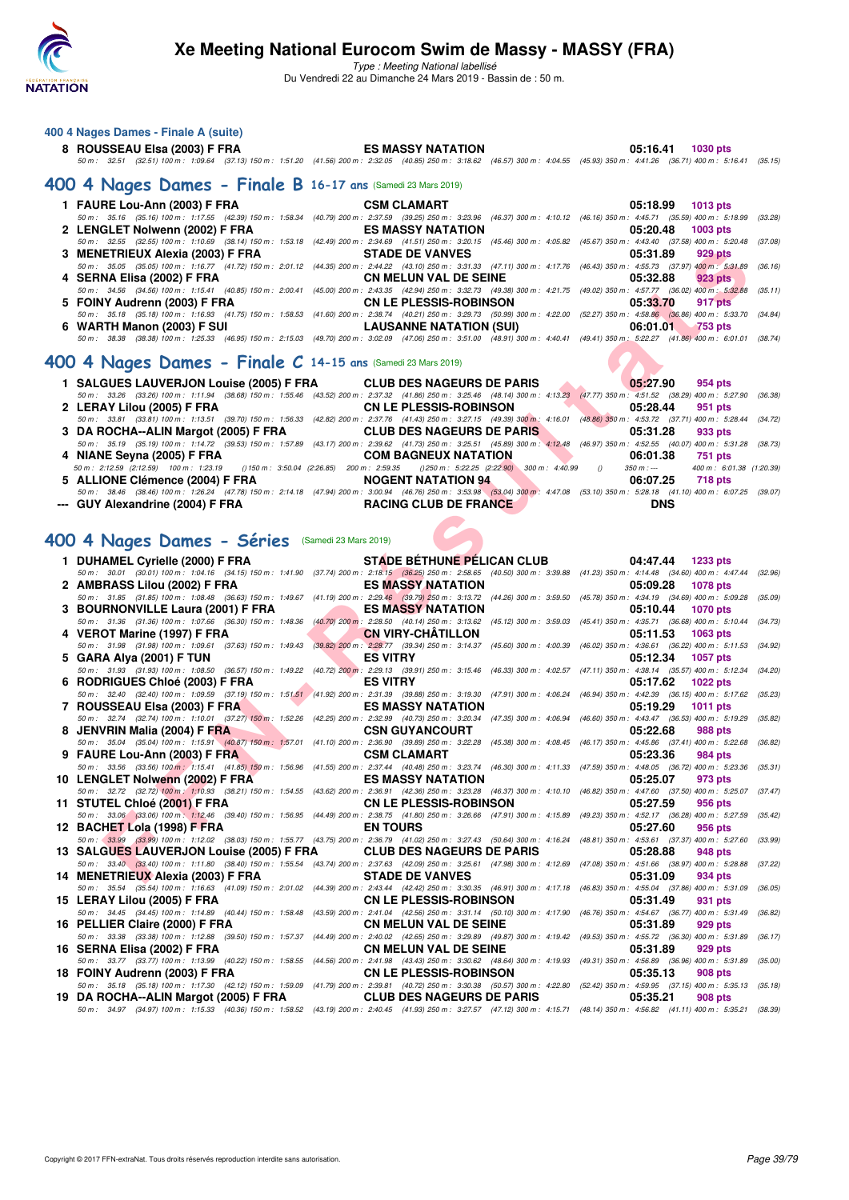

Type : Meeting National labellisé

Du Vendredi 22 au Dimanche 24 Mars 2019 - Bassin de : 50 m.

| 400 4 Nages Dames - Finale A (suite) |                                                                                                                                                                                      |                   |
|--------------------------------------|--------------------------------------------------------------------------------------------------------------------------------------------------------------------------------------|-------------------|
| 8 ROUSSEAU Elsa (2003) F FRA         | <b>ES MASSY NATATION</b>                                                                                                                                                             | 05:16.41 1030 pts |
|                                      | 50 50 50 50 50 50 64 7 7 32.51 7 350 7 44.58 7 332.05 (40.85) 200 m : 2:32.05 (40.85) 250 m : 3:18.62 (46.57) 300 m : 4:04.55 (45.93) 350 m : 4:41.26 (36.71) 400 m : 5:16.41 (35.15 |                   |

#### **[400 4 Nages Dames - Finale B](http://www.ffnatation.fr/webffn/resultats.php?idact=nat&go=epr&idcpt=57649&idepr=42) 16-17 ans** (Samedi 23 Mars 2019)

|  | 05:18.99 1013 pts                                                                                                                                                                                                                                                                                                                                                                                                                                                                                                                                                                                                                                                                                                                                                                                                                                                                                                                                                                                                                                                                                                                                                                                                                                                                                                                                                                                                                       |
|--|-----------------------------------------------------------------------------------------------------------------------------------------------------------------------------------------------------------------------------------------------------------------------------------------------------------------------------------------------------------------------------------------------------------------------------------------------------------------------------------------------------------------------------------------------------------------------------------------------------------------------------------------------------------------------------------------------------------------------------------------------------------------------------------------------------------------------------------------------------------------------------------------------------------------------------------------------------------------------------------------------------------------------------------------------------------------------------------------------------------------------------------------------------------------------------------------------------------------------------------------------------------------------------------------------------------------------------------------------------------------------------------------------------------------------------------------|
|  |                                                                                                                                                                                                                                                                                                                                                                                                                                                                                                                                                                                                                                                                                                                                                                                                                                                                                                                                                                                                                                                                                                                                                                                                                                                                                                                                                                                                                                         |
|  | $05:20.48$ 1003 pts                                                                                                                                                                                                                                                                                                                                                                                                                                                                                                                                                                                                                                                                                                                                                                                                                                                                                                                                                                                                                                                                                                                                                                                                                                                                                                                                                                                                                     |
|  |                                                                                                                                                                                                                                                                                                                                                                                                                                                                                                                                                                                                                                                                                                                                                                                                                                                                                                                                                                                                                                                                                                                                                                                                                                                                                                                                                                                                                                         |
|  | 05:31.89<br>929 pts                                                                                                                                                                                                                                                                                                                                                                                                                                                                                                                                                                                                                                                                                                                                                                                                                                                                                                                                                                                                                                                                                                                                                                                                                                                                                                                                                                                                                     |
|  |                                                                                                                                                                                                                                                                                                                                                                                                                                                                                                                                                                                                                                                                                                                                                                                                                                                                                                                                                                                                                                                                                                                                                                                                                                                                                                                                                                                                                                         |
|  | 923 pts                                                                                                                                                                                                                                                                                                                                                                                                                                                                                                                                                                                                                                                                                                                                                                                                                                                                                                                                                                                                                                                                                                                                                                                                                                                                                                                                                                                                                                 |
|  |                                                                                                                                                                                                                                                                                                                                                                                                                                                                                                                                                                                                                                                                                                                                                                                                                                                                                                                                                                                                                                                                                                                                                                                                                                                                                                                                                                                                                                         |
|  | 05:33.70<br>917 pts                                                                                                                                                                                                                                                                                                                                                                                                                                                                                                                                                                                                                                                                                                                                                                                                                                                                                                                                                                                                                                                                                                                                                                                                                                                                                                                                                                                                                     |
|  |                                                                                                                                                                                                                                                                                                                                                                                                                                                                                                                                                                                                                                                                                                                                                                                                                                                                                                                                                                                                                                                                                                                                                                                                                                                                                                                                                                                                                                         |
|  |                                                                                                                                                                                                                                                                                                                                                                                                                                                                                                                                                                                                                                                                                                                                                                                                                                                                                                                                                                                                                                                                                                                                                                                                                                                                                                                                                                                                                                         |
|  |                                                                                                                                                                                                                                                                                                                                                                                                                                                                                                                                                                                                                                                                                                                                                                                                                                                                                                                                                                                                                                                                                                                                                                                                                                                                                                                                                                                                                                         |
|  |                                                                                                                                                                                                                                                                                                                                                                                                                                                                                                                                                                                                                                                                                                                                                                                                                                                                                                                                                                                                                                                                                                                                                                                                                                                                                                                                                                                                                                         |
|  | 50 m: 35.16 (35.16) 100 m: 1:17.55 (42.39) 150 m: 1:58.34 (40.79) 200 m: 2:37.59 (39.25) 250 m: 3:23.96 (46.37) 300 m: 4:10.12 (46.16) 350 m: 4:45.71 (35.59) 400 m: 5:18.99 (33.28)<br>2 LENGLET Nolwenn (2002) F FRA<br><b>ES MASSY NATATION</b><br>50 m: 32.55 (32.55) 100 m: 1:10.69 (38.14) 150 m: 1:53.18 (42.49) 200 m: 2:34.69 (41.51) 250 m: 3:20.15 (45.46) 300 m: 4:05.82 (45.67) 350 m: 4:43.40 (37.58) 400 m: 5:20.48 (37.08)<br>3 MENETRIEUX Alexia (2003) F FRA STADE DE VANVES<br>50 m: 35.05 (35.05) 100 m: 1:16.77 (41.72) 150 m: 2:01.12 (44.35) 200 m: 2:44.22 (43.10) 250 m: 3:31.33 (47.11) 300 m: 4:17.76 (46.43) 350 m: 4:55.73 (37.97) 400 m: 5:31.89 (36.16)<br>50 m: 34.56 (34.56) 100 m: 1:15.41 (40.85) 150 m: 2:00.41 (45.00) 200 m: 2:43.35 (42.94) 250 m: 3:32.73 (49.38) 300 m: 4:21.75 (49.02) 350 m: 4:57.77 (36.02) 400 m: 5:32.88 (35.11)<br>50 m: 35.18 (35.18) 100 m: 1:16.93 (41.75) 150 m: 1:58.53 (41.60) 200 m: 2:38.74 (40.21) 250 m: 3:29.73 (50.99) 300 m: 4:22.00 (52.27) 350 m: 4:58.86 (36.86) 400 m: 5:33.70 (34.84)<br>6 WARTH Manon (2003) F SUI <b>EXECUTE:</b> LAUSANNE NATATION (SUI) 6 WARTH Manon (2003) F SUI<br>50 m: 38.38 (38.38) 100 m: 1:25.33 (46.95) 150 m: 2:15.03 (49.70) 200 m: 3:02.09 (47.06) 250 m: 3:51.00 (48.91) 300 m: 4:40.41 (49.41) 350 m: 5:22.27 (41.86) 400 m: 6:01.01 (38.74)<br>$\Omega$ A Neger Democ - Finale $C$ 14.15 and (sangel) 23 Marc 2019) |

#### **[400 4 Nages Dames - Finale C](http://www.ffnatation.fr/webffn/resultats.php?idact=nat&go=epr&idcpt=57649&idepr=42) 14-15 ans** (Samedi 23 Mars 2019)

| 1 SALGUES LAUVERJON Louise (2005) F FRA CLUB DES NAGEURS DE PARIS                                                                                                                    |  |                                  | 05:27.90   | 954 pts                               |  |
|--------------------------------------------------------------------------------------------------------------------------------------------------------------------------------------|--|----------------------------------|------------|---------------------------------------|--|
| 50 m: 33.26 (33.26) 100 m: 1:11.94 (38.68) 150 m: 1:55.46 (43.52) 200 m: 2:37.32 (41.86) 250 m: 3:25.46 (48.14) 300 m: 4:13.23 (47.77) 350 m: 4:51.52 (38.29) 400 m: 5:27.90 (36.38) |  |                                  |            |                                       |  |
| 2 LERAY Lilou (2005) F FRA                                                                                                                                                           |  | <b>CN LE PLESSIS-ROBINSON</b>    | 05:28.44   | 951 pts                               |  |
| 50 m: 33.81 (33.81) 100 m: 1:13.51 (39.70) 150 m: 1:56.33 (42.82) 200 m: 2:37.76 (41.43) 250 m: 3:27.15 (49.39) 300 m: 4:16.01 (48.86) 350 m: 4:53.72 (37.71) 400 m: 5:28.44 (34.72) |  |                                  |            |                                       |  |
| 3 DA ROCHA--ALIN Margot (2005) F FRA                                                                                                                                                 |  | <b>CLUB DES NAGEURS DE PARIS</b> | 05:31.28   | 933 pts                               |  |
| 50 m: 35.19 (35.19) 100 m: 1:14.72 (39.53) 150 m: 1:57.89 (43.17) 200 m: 2:39.62 (41.73) 250 m: 3:25.51 (45.89) 300 m: 4:12.48 (46.97) 350 m: 4:52.55 (40.07) 400 m: 5:31.28 (38.73) |  |                                  |            |                                       |  |
| 4 NIANE Seyna (2005) F FRA                                                                                                                                                           |  | <b>COM BAGNEUX NATATION</b>      | 06:01.38   | 751 pts                               |  |
| 50 m : 2:12.59 (2:12.59) 100 m : 1:23.19 () 150 m : 3:50.04 (2:26.85) 200 m : 2:59.35 () 250 m : 5:22.25 (2:22.90) 300 m : 4:40.99 ()                                                |  |                                  |            | 350 m : --- 400 m : 6:01.38 (1:20.39) |  |
| 5 ALLIONE Clémence (2004) F FRA                                                                                                                                                      |  | <b>NOGENT NATATION 94</b>        | 06:07.25   | 718 pts                               |  |
| 50 m: 38.46 (38.46) 100 m: 1:26.24 (47.78) 150 m: 2:14.18 (47.94) 200 m: 3:00.94 (46.76) 250 m: 3:53.98 (53.04) 300 m: 4:47.08 (53.10) 350 m: 5:28.18 (41.10) 400 m: 6:07.25 (39.07) |  |                                  |            |                                       |  |
| --- GUY Alexandrine (2004) F FRA                                                                                                                                                     |  | <b>RACING CLUB DE FRANCE</b>     | <b>DNS</b> |                                       |  |
|                                                                                                                                                                                      |  |                                  |            |                                       |  |

# **[400 4 Nages Dames - Séries](http://www.ffnatation.fr/webffn/resultats.php?idact=nat&go=epr&idcpt=57649&idepr=42)** (Samedi 23 Mars 2019)

#### **1 DUHAMEL Cyrielle (2000) F FRA STADE BÉTHUNE PÉLICAN CLUB 04:47.44 1233 pts**

| 3 MENETRIEUX Alexia (2003) F FRA                                                                                                                                                                                              |                       | <b>STADE DE VANVES</b>                                                                                                                              |                                                             | 05:31.89                            | 929 pts                                    |         |
|-------------------------------------------------------------------------------------------------------------------------------------------------------------------------------------------------------------------------------|-----------------------|-----------------------------------------------------------------------------------------------------------------------------------------------------|-------------------------------------------------------------|-------------------------------------|--------------------------------------------|---------|
| 50 m: 35.05 (35.05) 100 m: 1:16.77 (41.72) 150 m: 2:01.12 (44.35) 200 m: 2:44.22 (43.10) 250 m: 3:31.33 (47.11) 300 m: 4:17.76 (46.43) 350 m: 4:55.73 (37.97) 400 m: 5:31.89<br>4 SERNA Elisa (2002) F FRA                    |                       | <b>CN MELUN VAL DE SEINE</b>                                                                                                                        |                                                             | 05:32.88                            | 923 pts                                    | (36.16) |
| 50 m: 34.56 (34.56) 100 m: 1:15.41 (40.85) 150 m: 2:00.41 (45.00) 200 m: 2:43.35 (42.94) 250 m: 3:32.73 (49.38) 300 m: 4:21.75 (49.02) 350 m: 4:57.77 (36.02) 400 m: 5:32.88<br>5 FOINY Audrenn (2003) F FRA                  |                       | <b>CN LE PLESSIS-ROBINSON</b>                                                                                                                       |                                                             | 05:33.70                            | 917 pts                                    | (35.11) |
| 50 m: 35.18 (35.18) 100 m: 1:16.93 (41.75) 150 m: 1:58.53 (41.60) 200 m: 2:38.74 (40.21) 250 m: 3:29.73 (50.99) 300 m: 4:22.00 (52.27) 350 m: 4:58.86 (36.86) 400 m: 5:33.70<br>6 WARTH Manon (2003) F SUI                    |                       | <b>LAUSANNE NATATION (SUI)</b>                                                                                                                      |                                                             | 06:01.01                            | 753 pts                                    | (34.84) |
| 50 m : 38.38 (38.38) 100 m : 1:25.33 (46.95) 150 m : 2:15.03 (49.70) 200 m : 3:02.09 (47.06) 250 m : 3:51.00 (48.91) 300 m : 4:40.41 (49.41) 350 m : 5:22.27 (41.86) 400 m : 6:01.01 (38.74                                   |                       |                                                                                                                                                     |                                                             |                                     |                                            |         |
| 00 4 Nages Dames - Finale $C$ 14-15 ans (Samedi 23 Mars 2019)                                                                                                                                                                 |                       |                                                                                                                                                     |                                                             |                                     |                                            |         |
| 1 SALGUES LAUVERJON Louise (2005) F FRA                                                                                                                                                                                       |                       | <b>CLUB DES NAGEURS DE PARIS</b>                                                                                                                    |                                                             | 05:27.90                            | 954 pts                                    |         |
| 50 m: 33.26 (33.26) 100 m: 1:11.94 (38.68) 150 m: 1:55.46 (43.52) 200 m: 2:37.32 (41.86) 250 m: 3:25.46 (48.14) 300 m: 4:13.23 (47.77) 350 m: 4:51.52 (38.29) 400 m: 5:27.90<br>2 LERAY Lilou (2005) F FRA                    |                       | <b>CN LE PLESSIS-ROBINSON</b>                                                                                                                       |                                                             | 05:28.44                            | 951 pts                                    | (36.38) |
| 50 m : 33.81 (33.81) 100 m : 1:13.51 (39.70) 150 m : 1:56.33 (42.82) 200 m : 2:37.76 (41.43) 250 m : 3:27.15 (49.89) 300 m : 4:16.01 (48.86) 350 m : 4:53.72 (37.71) 400 m : 5:28.44<br>3 DA ROCHA--ALIN Margot (2005) F FRA  |                       | <b>CLUB DES NAGEURS DE PARIS</b>                                                                                                                    |                                                             | 05:31.28                            | 933 pts                                    | (34.72) |
| 50 m : 35.19 (35.19) 100 m : 1:14.72 (39.53) 150 m : 1:57.89 (43.17) 200 m : 2:39.62 (41.73) 250 m : 3:25.51 (45.89) 300 m : $4:12.48$ (46.97) 350 m : 4:52.55 (40.07) 400 m : 5:31.28 (38.73)                                |                       |                                                                                                                                                     |                                                             |                                     |                                            |         |
| 4 NIANE Seyna (2005) F FRA                                                                                                                                                                                                    |                       | <b>COM BAGNEUX NATATION</b>                                                                                                                         |                                                             | 06:01.38                            | 751 pts                                    |         |
| 50 m: 2:12.59 (2:12.59) 100 m: 1:23.19<br>() 150 m : 3:50.04 (2:26.85) 200 m : 2:59.35<br>5 ALLIONE Clémence (2004) F FRA                                                                                                     |                       | <b>NOGENT NATATION 94</b>                                                                                                                           | $(250 \text{ m}: 5:22.25 (2:22.90) 300 \text{ m}: 4:40.99)$ | $350 m : -$<br>$\theta$<br>06:07.25 | 400 m: 6:01.38 (1:20.39)<br><b>718 pts</b> |         |
| 50 m : 38.46 (38.46) 100 m : 1:26.24 (47.78) 150 m : 2:14.18 (47.94) 200 m : 3:00.94 (46.76) 250 m : 3:53.98 (53.04) 300 m : 4:47.08 (53.10) 350 m : 5:28.18 (41.10) 400 m : 6:07.25 (39.07)                                  |                       |                                                                                                                                                     |                                                             |                                     |                                            |         |
| --- GUY Alexandrine (2004) F FRA                                                                                                                                                                                              |                       | RACING CLUB DE FRANCE                                                                                                                               |                                                             | <b>DNS</b>                          |                                            |         |
|                                                                                                                                                                                                                               |                       |                                                                                                                                                     |                                                             |                                     |                                            |         |
| 00 4 Nages Dames - Séries                                                                                                                                                                                                     | (Samedi 23 Mars 2019) |                                                                                                                                                     |                                                             |                                     |                                            |         |
| 1 DUHAMEL Cyrielle (2000) F FRA                                                                                                                                                                                               |                       | <b>STADE BÉTHUNE PÉLICAN CLUB</b>                                                                                                                   |                                                             | 04:47.44                            | 1233 pts                                   |         |
| 50 m: 30.01 (30.01) 100 m: 1:04.16 (34.15) 150 m: 1:41.90 (37.74) 200 m: 2:18.15 (36.25) 250 m: 2:58.65 (40.50) 300 m: 3:39.88 (41.23) 350 m: 4:14.48 (34.60) 400 m: 4:47.44<br>2 AMBRASS Lilou (2002) F FRA                  |                       | <b>ES MASSY NATATION</b>                                                                                                                            |                                                             | 05:09.28                            | <b>1078 pts</b>                            | (32.96) |
| 50 m: 31.85 (31.85) 100 m: 1:08.48 (36.63) 150 m: 1:49.67 (41.19) 200 m: 2:29.46 (39.79) 250 m: 3:13.72 (44.26) 300 m: 3:59.50 (45.78) 350 m: 4:34.19 (34.69) 400 m: 5:09.28 (35.09                                           |                       |                                                                                                                                                     |                                                             |                                     |                                            |         |
| 3 BOURNONVILLE Laura (2001) F FRA                                                                                                                                                                                             |                       | <b>ES MASSY NATATION</b>                                                                                                                            |                                                             | 05:10.44                            | <b>1070 pts</b>                            |         |
| 50 m: 31.36 (31.36) 100 m: 1:07.66 (36.30) 150 m: 1:48.36<br>4 VEROT Marine (1997) F FRA                                                                                                                                      |                       | (40.70) 200 m : 2:28.50 (40.14) 250 m : 3:13.62 (45.12) 300 m : 3:59.03 (45.41) 350 m : 4:35.71 (36.68) 400 m : 5:10.44<br><b>CN VIRY-CHATILLON</b> |                                                             | 05:11.53                            | 1063 pts                                   | (34.73) |
| 50 m : 31.98 (31.98) 100 m : 1:09.61 (37.63) 150 m : 1:49.43                                                                                                                                                                  |                       | (39.82) 200 m : 2:28.77 (39.34) 250 m : 3:14.37 (45.60) 300 m : 4:00.39 (46.02) 350 m : 4:36.61 (36.22) 400 m : 5:11.53                             |                                                             |                                     |                                            | (34.92) |
| 5 GARA Alya (2001) F TUN<br>50 m: 31.93 (31.93) 100 m: 1:08.50 (36.57) 150 m: 1:49.22 (40.72) 200 m: 2:29.13 (39.91) 250 m: 3:15.46 (46.33) 300 m: 4:02.57 (47.11) 350 m: 4:38.14 (35.57) 400 m: 5:12.34                      |                       | <b>ES VITRY</b>                                                                                                                                     |                                                             | 05:12.34                            | <b>1057 pts</b>                            | (34.20) |
| 6 RODRIGUES Chloé (2003) F FRA                                                                                                                                                                                                |                       | <b>ES VITRY</b>                                                                                                                                     |                                                             | 05:17.62                            | <b>1022 pts</b>                            |         |
| 50 m: 32.40 (32.40) 100 m: 1:09.59 (37.19) 150 m: 1:51.51 (41.92) 200 m: 2:31.39 (39.88) 250 m: 3:19.30 (47.91) 300 m: 4:06.24 (46.94) 350 m: 4:42.39 (36.15) 400 m: 5:17.62                                                  |                       |                                                                                                                                                     |                                                             |                                     |                                            | (35.23) |
| 7 ROUSSEAU Elsa (2003) F FRA<br>50 m: 32.74 (32.74) 100 m: 1:10.01 (37.27) 150 m: 1:52.26 (42.25) 200 m: 2:32.99 (40.73) 250 m: 3:20.34 (47.35) 300 m: 4:06.94 (46.60) 350 m: 4:43.47 (36.53) 400 m: 5:19.29                  |                       | <b>ES MASSY NATATION</b>                                                                                                                            |                                                             | 05:19.29                            | <b>1011 pts</b>                            | (35.82) |
| 8 JENVRIN Malia (2004) F FRA                                                                                                                                                                                                  |                       | <b>CSN GUYANCOURT</b>                                                                                                                               |                                                             | 05:22.68                            | <b>988 pts</b>                             |         |
| 50 m: 35.04 (35.04) 100 m: 1:15.91 (40.87) 150 m: 1:57.01 (41.10) 200 m: 2:36.90 (39.89) 250 m: 3:22.28 (45.38) 300 m: 4:08.45 (46.17) 350 m: 4:45.86 (37.41) 400 m: 5:22.68                                                  |                       | <b>CSM CLAMART</b>                                                                                                                                  |                                                             | 05:23.36                            | 984 pts                                    | (36.82) |
| 9 FAURE Lou-Ann (2003) F FRA<br>50 m: 33.56 (33.56) 100 m: 1:15.41 (41.85) 150 m: 1:56.96 (41.55) 200 m: 2:37.44 (40.48) 250 m: 3:23.74 (46.30) 300 m: 4:11.33 (47.59) 350 m: 4:48.05 (36.72) 400 m: 5:23.36                  |                       |                                                                                                                                                     |                                                             |                                     |                                            | (35.31) |
| 10 LENGLET Nolwenn (2002) F FRA                                                                                                                                                                                               |                       | <b>ES MASSY NATATION</b>                                                                                                                            |                                                             | 05:25.07                            | 973 pts                                    |         |
| 50 m : 32.72 (32.72) 100 m : 1:10.93 (38.21) 150 m : 1:54.55 (43.62) 200 m : 2:36.91 (42.36) 250 m : 3:23.28 (46.37) 300 m : 4:10.10 (46.82) 350 m : 4:47.60 (37.50) 400 m : 5:25.07<br>11 STUTEL Chloé (2001) F FRA          |                       | <b>CN LE PLESSIS-ROBINSON</b>                                                                                                                       |                                                             | 05:27.59                            | 956 pts                                    | (37.47) |
| 50 m: 33.06 (33.06) 100 m: 1:12.46 (39.40) 150 m: 1:56.95 (44.49) 200 m: 2:38.75 (41.80) 250 m: 3:26.66 (47.91) 300 m: 4:15.89 (49.23) 350 m: 4:52.17 (36.28) 400 m: 5:27.59                                                  |                       |                                                                                                                                                     |                                                             |                                     |                                            | (35.42) |
| 12 BACHET Lola (1998) F FRA                                                                                                                                                                                                   |                       | <b>EN TOURS</b>                                                                                                                                     |                                                             | 05:27.60                            | 956 pts                                    |         |
| 50 m: 33.99 (33.99) 100 m: 1:12.02 (38.03) 150 m: 1:55.77 (43.75) 200 m: 2:36.79 (41.02) 250 m: 3:27.43 (50.64) 300 m: 4:16.24 (48.81) 350 m: 4:53.61 (37.37) 400 m: 5:27.60<br>13 SALGUES LAUVERJON Louise (2005) F FRA      |                       | <b>CLUB DES NAGEURS DE PARIS</b>                                                                                                                    |                                                             | 05:28.88                            | 948 pts                                    | (33.99) |
| 50 m: 33.40 (33.40) 100 m: 1:11.80 (38.40) 150 m: 1:55.54 (43.74) 200 m: 2:37.63 (42.09) 250 m: 3:25.61 (47.98) 300 m: 4:12.69 (47.08) 350 m: 4:51.66 (38.97) 400 m: 5:28.88 (37.22)                                          |                       |                                                                                                                                                     |                                                             |                                     |                                            |         |
| 14 MENETRIEUX Alexia (2003) F FRA                                                                                                                                                                                             |                       | <b>STADE DE VANVES</b>                                                                                                                              |                                                             | 05:31.09                            | 934 pts                                    |         |
| 50 m: 35.54 (35.54) 100 m: 1:16.63 (41.09) 150 m: 2:01.02 (44.39) 200 m: 2:43.44 (42.42) 250 m: 3:30.35 (46.91) 300 m: 4:17.18 (46.83) 350 m: 4:55.04 (37.86) 400 m: 5:31.09 (36.05)<br>15 LERAY Lilou (2005) F FRA           |                       | <b>CN LE PLESSIS-ROBINSON</b>                                                                                                                       |                                                             | 05:31.49                            | 931 pts                                    |         |
| 50 m : 34.45 (34.45) 100 m : 1:14.89 (40.44) 150 m : 1:58.48 (43.59) 200 m : 2:41.04 (42.56) 250 m : 3:31.14 (50.10) 300 m : 4:17.90 (46.76) 350 m : 4:54.67 (36.77) 400 m : 5:31.49                                          |                       |                                                                                                                                                     |                                                             |                                     |                                            | (36.82) |
| 16 PELLIER Claire (2000) F FRA                                                                                                                                                                                                |                       | <b>CN MELUN VAL DE SEINE</b>                                                                                                                        |                                                             | 05:31.89                            | 929 pts                                    |         |
| 50 m : 33.38 (33.38) 100 m : 1:12.88 (39.50) 150 m : 1:57.37 (44.49) 200 m : 2:40.02 (42.65) 250 m : 3:29.89 (49.87) 300 m : 4:19.42 (49.53) 350 m : 4:55.72 (36.30) 400 m : 5:31.89<br>16 SERNA Elisa (2002) F FRA           |                       | <b>CN MELUN VAL DE SEINE</b>                                                                                                                        |                                                             | 05:31.89                            | 929 pts                                    | (36.17) |
| 50 m: 33.77 (33.77) 100 m: 1:13.99 (40.22) 150 m: 1:58.55 (44.56) 200 m: 2:41.98 (43.43) 250 m: 3:30.62 (48.64) 300 m: 4:19.93 (49.31) 350 m: 4:56.89 (36.96) 400 m: 5:31.89                                                  |                       |                                                                                                                                                     |                                                             |                                     |                                            | (35.00) |
| 18 FOINY Audrenn (2003) F FRA<br>50 m : 35.18 (35.18) 100 m : 1:17.30 (42.12) 150 m : 1:59.09 (41.79) 200 m : 2:39.81 (40.72) 250 m : 3:30.38 (50.57) 300 m : 4:22.80 (52.42) 350 m : 4:59.95 (37.15) 400 m : 5:35.13 (35.18) |                       | <b>CN LE PLESSIS-ROBINSON</b>                                                                                                                       |                                                             | 05:35.13                            | 908 pts                                    |         |
| 19 DA ROCHA--ALIN Margot (2005) F FRA                                                                                                                                                                                         |                       | <b>CLUB DES NAGEURS DE PARIS</b>                                                                                                                    |                                                             | 05:35.21                            | 908 pts                                    |         |
| 50 m : 34.97 (34.97) 100 m : 1:15.33 (40.36) 150 m : 1:58.52 (43.19) 200 m : 2:40.45 (41.93) 250 m : 3:27.57 (47.12) 300 m : 4:15.71 (48.14) 350 m : 4:56.82 (41.11) 400 m : 5:35.21 (38.39,                                  |                       |                                                                                                                                                     |                                                             |                                     |                                            |         |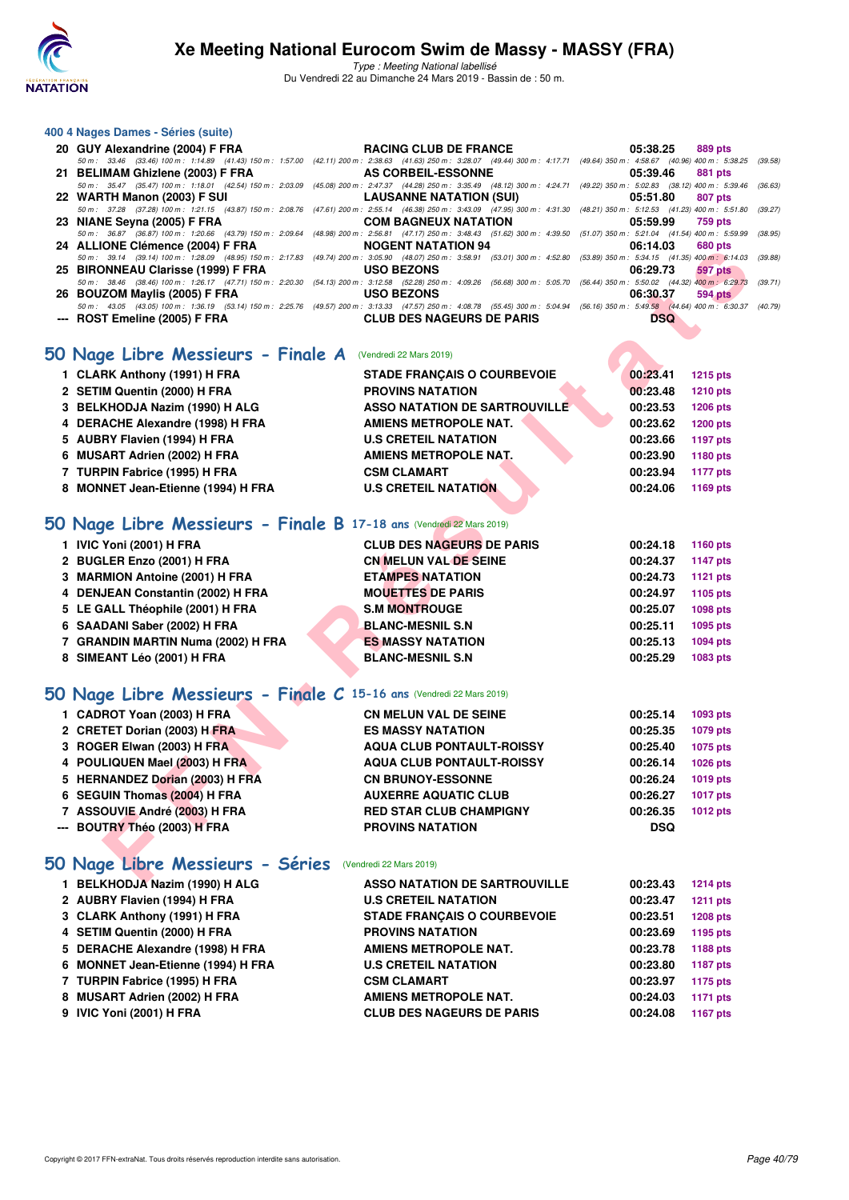

Type : Meeting National labellisé Du Vendredi 22 au Dimanche 24 Mars 2019 - Bassin de : 50 m.

| 400 4 Nages Dames - Séries (suite) |                                                                                                                                                                                      |                            |
|------------------------------------|--------------------------------------------------------------------------------------------------------------------------------------------------------------------------------------|----------------------------|
|                                    | 20 GUY Alexandrine (2004) F FRA <b>RACING CLUB DE FRANCE</b> 65:38.25 889 pts                                                                                                        |                            |
|                                    | 50 m: 33.46 (33.46) 100 m: 1:14.89 (41.43) 150 m: 1:57.00 (42.11) 200 m: 2:38.63 (41.63) 250 m: 3:28.07 (49.44) 300 m: 4:17.71 (49.64) 350 m: 4:58.67 (40.96) 400 m: 5:38.25 (39.58  |                            |
|                                    | 21 BELIMAM Ghizlene (2003) F FRA AS CORBEIL-ESSONNE 65:39.46                                                                                                                         | 881 pts                    |
|                                    | 50 m: 35.47 (35.47) 100 m: 1:18.01 (42.54) 150 m: 2:03.09 (45.08) 200 m: 2:47.37 (44.28) 250 m: 3:35.49 (48.12) 300 m: 4:24.71 (49.22) 350 m: 5:02.83 (38.12) 400 m: 5:39.46 (36.63, |                            |
|                                    |                                                                                                                                                                                      | 807 pts                    |
|                                    | 50 m: 37.28 (37.28) 100 m: 1:21.15 (43.87) 150 m: 2:08.76 (47.61) 200 m: 2:55.14 (46.38) 250 m: 3:43.09 (47.95) 300 m: 4:31.30 (48.21) 350 m: 5:12.53 (41.23) 400 m: 5:51.80 (39.27  |                            |
|                                    |                                                                                                                                                                                      |                            |
|                                    | 50 m: 36.87 (36.87) 100 m: 1:20.66 (43.79) 150 m: 2:09.64 (48.98) 200 m: 2:56.81 (47.17) 250 m: 3:48.43 (51.62) 300 m: 4:39.50 (51.07) 350 m: 5:21.04 (41.54) 400 m: 5:59.99 (38.95  |                            |
|                                    | 24 ALLIONE Clémence (2004) F FRA NOGENT NATATION 94 06:14.03                                                                                                                         | 680 pts                    |
|                                    | 50 m: 39.14 (39.14) 100 m: 1:28.09 (48.95) 150 m: 2:17.83 (49.74) 200 m: 3:05.90 (48.07) 250 m: 3:58.91 (53.01) 300 m: 4:52.80 (53.89) 350 m: 5:34.15 (41.35) 400 m: 6:14.03 (39.88) |                            |
|                                    |                                                                                                                                                                                      | 06:29.73<br><b>597 pts</b> |
|                                    | 50 m: 38.46 (38.46) 100 m: 1:26.17 (47.71) 150 m: 2:20.30 (54.13) 200 m: 3:12.58 (52.28) 250 m: 4:09.26 (56.68) 300 m: 5:05.70 (56.44) 350 m: 5:50.02 (44.32) 400 m: 6:29.73 (39.71) |                            |
|                                    |                                                                                                                                                                                      | 06:30.37<br>594 pts        |
|                                    | 50 m: 43.05 (43.05) 100 m: 1:36.19 (53.14) 150 m: 2:25.76 (49.57) 200 m: 3:13.33 (47.57) 250 m: 4:08.78 (55.45) 300 m: 5:04.94 (56.16) 350 m: 5:49.58 (44.64) 400 m: 6:30.37 (40.79, |                            |
|                                    |                                                                                                                                                                                      | <b>DSQ</b>                 |

| 24 ALLIONE CIENTENCE (2004) F FRA                                                                                                                                                                                     | <b>NUGENI NATATIVN 34</b>            | 00. I <del>I</del> .UJ<br><b>UUU DIS</b> |  |
|-----------------------------------------------------------------------------------------------------------------------------------------------------------------------------------------------------------------------|--------------------------------------|------------------------------------------|--|
| 50 m: 39.14 (39.14) 100 m: 1:28.09 (48.95) 150 m: 2:17.83 (49.74) 200 m: 3:05.90 (48.07) 250 m: 3:58.91 (53.01) 300 m: 4:52.80 (53.89) 350 m: 5:34.15 (41.35) 400 m: 6:14.03 (3<br>25 BIRONNEAU Clarisse (1999) F FRA | <b>USO BEZONS</b>                    | 06:29.73<br><b>597 pts</b>               |  |
| 50 m: 38.46 (38.46) 100 m: 1:26.17 (47.71) 150 m: 2:20.30 (54.13) 200 m: 3:12.58 (52.28) 250 m: 4:09.26 (56.68) 300 m: 5:05.70 (56.44) 350 m: 5:50.02 (44.32) 400 m: 6:29.73 (3                                       |                                      |                                          |  |
| 26 BOUZOM Maylis (2005) F FRA                                                                                                                                                                                         | <b>USO BEZONS</b>                    | 06:30.37<br><b>594 pts</b>               |  |
| 50 m: 43.05 (43.05) 100 m: 1:36.19 (53.14) 150 m: 2:25.76 (49.57) 200 m: 3:13.33 (47.57) 250 m: 4:08.78 (55.45) 300 m: 5:04.94 (56.16) 350 m: 5:49.58 (44.64) 400 m: 6:30.37 (4<br>--- ROST Emeline (2005) F FRA      | <b>CLUB DES NAGEURS DE PARIS</b>     | DSQ                                      |  |
|                                                                                                                                                                                                                       |                                      |                                          |  |
|                                                                                                                                                                                                                       |                                      |                                          |  |
| 50 Nage Libre Messieurs - Finale A                                                                                                                                                                                    | (Vendredi 22 Mars 2019)              |                                          |  |
| 1 CLARK Anthony (1991) H FRA                                                                                                                                                                                          | <b>STADE FRANCAIS O COURBEVOIE</b>   | 00:23.41<br>1215 pts                     |  |
| 2 SETIM Quentin (2000) H FRA                                                                                                                                                                                          | <b>PROVINS NATATION</b>              | 00:23.48<br>1210 pts                     |  |
| 3 BELKHODJA Nazim (1990) H ALG                                                                                                                                                                                        | <b>ASSO NATATION DE SARTROUVILLE</b> | 00:23.53<br><b>1206 pts</b>              |  |
| 4 DERACHE Alexandre (1998) H FRA                                                                                                                                                                                      | AMIENS METROPOLE NAT.                | 00:23.62<br><b>1200 pts</b>              |  |
| 5 AUBRY Flavien (1994) H FRA                                                                                                                                                                                          | <b>U.S CRETEIL NATATION</b>          | 00:23.66<br><b>1197 pts</b>              |  |
| 6 MUSART Adrien (2002) H FRA                                                                                                                                                                                          | AMIENS METROPOLE NAT.                | 00:23.90<br>1180 pts                     |  |
| 7 TURPIN Fabrice (1995) H FRA                                                                                                                                                                                         | <b>CSM CLAMART</b>                   | 00:23.94<br><b>1177 pts</b>              |  |
| 8 MONNET Jean-Etienne (1994) H FRA                                                                                                                                                                                    | <b>U.S CRETEIL NATATION</b>          | 00:24.06<br>1169 pts                     |  |
|                                                                                                                                                                                                                       |                                      |                                          |  |
| 50 Nage Libre Messieurs - Finale B 17-18 ans (Vendredi 22 Mars 2019)                                                                                                                                                  |                                      |                                          |  |
| 1 IVIC Yoni (2001) H FRA                                                                                                                                                                                              | <b>CLUB DES NAGEURS DE PARIS</b>     | 00:24.18<br>1160 pts                     |  |
| 2 BUGLER Enzo (2001) H FRA                                                                                                                                                                                            | <b>CN MELUN VAL DE SEINE</b>         | 00:24.37<br><b>1147 pts</b>              |  |
| 3 MARMION Antoine (2001) H FRA                                                                                                                                                                                        | <b>ETAMPES NATATION</b>              | 00:24.73<br><b>1121 pts</b>              |  |
| 4 DENJEAN Constantin (2002) H FRA                                                                                                                                                                                     | <b>MOUETTES DE PARIS</b>             | 00:24.97<br>1105 pts                     |  |
| 5 LE GALL Théophile (2001) H FRA                                                                                                                                                                                      | <b>S.M MONTROUGE</b>                 | 00:25.07<br>1098 pts                     |  |
| 6 SAADANI Saber (2002) H FRA                                                                                                                                                                                          | <b>BLANC-MESNIL S.N</b>              | 00:25.11<br>1095 pts                     |  |
| 7 GRANDIN MARTIN Numa (2002) H FRA                                                                                                                                                                                    | <b>ES MASSY NATATION</b>             | 00:25.13<br>1094 pts                     |  |
| 8 SIMEANT Léo (2001) H FRA                                                                                                                                                                                            | <b>BLANC-MESNIL S.N</b>              | 00:25.29<br>1083 pts                     |  |
|                                                                                                                                                                                                                       |                                      |                                          |  |
| 50 Nage Libre Messieurs - Finale C 15-16 ans (Vendredi 22 Mars 2019)                                                                                                                                                  |                                      |                                          |  |
| 1 CADROT Yoan (2003) H FRA                                                                                                                                                                                            | <b>CN MELUN VAL DE SEINE</b>         | 00:25.14<br>1093 pts                     |  |
| 2 CRETET Dorian (2003) H FRA                                                                                                                                                                                          | <b>ES MASSY NATATION</b>             | 00:25.35<br>1079 pts                     |  |
| 3 ROGER Elwan (2003) H FRA                                                                                                                                                                                            | <b>AQUA CLUB PONTAULT-ROISSY</b>     | 00:25.40<br>1075 pts                     |  |
| 4 POULIQUEN Mael (2003) H FRA                                                                                                                                                                                         | <b>AQUA CLUB PONTAULT-ROISSY</b>     | 00:26.14<br>1026 pts                     |  |
| 5 HERNANDEZ Dorian (2003) H FRA                                                                                                                                                                                       | <b>CN BRUNOY-ESSONNE</b>             | 00:26.24<br>1019 pts                     |  |
| 6 SEGUIN Thomas (2004) H FRA                                                                                                                                                                                          | <b>AUXERRE AQUATIC CLUB</b>          | 00:26.27<br><b>1017 pts</b>              |  |
| 7 ASSOUVIE André (2003) H FRA                                                                                                                                                                                         | <b>RED STAR CLUB CHAMPIGNY</b>       | 00:26.35<br>1012 pts                     |  |
| --- BOUTRY Théo (2003) H FRA                                                                                                                                                                                          | <b>PROVINS NATATION</b>              | <b>DSQ</b>                               |  |
|                                                                                                                                                                                                                       |                                      |                                          |  |
|                                                                                                                                                                                                                       |                                      |                                          |  |
| 50 Nage Libre Messieurs - Séries (Vendredi 22 Mars 2019)                                                                                                                                                              |                                      |                                          |  |
| $\overline{1}$ DEI KUOD IA Ne=im (1000) U ALC                                                                                                                                                                         | ACCO NATATION BE CABTBOUND LE        | $0.000000$ $0.0100000$                   |  |

| 1 IVIC Yoni (2001) H FRA           |  |                          | <b>CLUB DES NAGEURS DE PARIS</b> | 00:24.18 | 1160 pts |
|------------------------------------|--|--------------------------|----------------------------------|----------|----------|
| 2 BUGLER Enzo (2001) H FRA         |  |                          | <b>CN MELUN VAL DE SEINE</b>     | 00:24.37 | 1147 pts |
| 3 MARMION Antoine (2001) H FRA     |  | <b>ETAMPES NATATION</b>  |                                  | 00:24.73 | 1121 pts |
| 4 DENJEAN Constantin (2002) H FRA  |  | <b>MOUETTES DE PARIS</b> |                                  | 00:24.97 | 1105 pts |
| 5 LE GALL Théophile (2001) H FRA   |  | <b>S.M MONTROUGE</b>     |                                  | 00:25.07 | 1098 pts |
| 6 SAADANI Saber (2002) H FRA       |  | <b>BLANC-MESNIL S.N</b>  |                                  | 00:25.11 | 1095 pts |
| 7 GRANDIN MARTIN Numa (2002) H FRA |  | <b>ES MASSY NATATION</b> |                                  | 00:25.13 | 1094 pts |
| 8 SIMEANT Léo (2001) H FRA         |  | <b>BLANC-MESNIL S.N</b>  |                                  | 00:25.29 | 1083 pts |
|                                    |  |                          |                                  |          |          |

#### **[50 Nage Libre Messieurs - Finale C](http://www.ffnatation.fr/webffn/resultats.php?idact=nat&go=epr&idcpt=57649&idepr=51) 15-16 ans** (Vendredi 22 Mars 2019)

| 1 CADROT Yoan (2003) H FRA<br><b>CN MELUN VAL DE SEINE</b>        | 00:25.14<br>00:25.35 | 1093 pts<br>1079 pts |
|-------------------------------------------------------------------|----------------------|----------------------|
|                                                                   |                      |                      |
| 2 CRETET Dorian (2003) H FRA<br><b>ES MASSY NATATION</b>          |                      |                      |
| 3 ROGER Elwan (2003) H FRA<br><b>AQUA CLUB PONTAULT-ROISSY</b>    | 00:25.40             | 1075 pts             |
| 4 POULIQUEN Mael (2003) H FRA<br><b>AQUA CLUB PONTAULT-ROISSY</b> | 00:26.14             | 1026 pts             |
| 5 HERNANDEZ Dorian (2003) H FRA<br><b>CN BRUNOY-ESSONNE</b>       | 00:26.24             | 1019 pts             |
| 6 SEGUIN Thomas (2004) H FRA<br><b>AUXERRE AQUATIC CLUB</b>       | 00:26.27             | 1017 pts             |
| 7 ASSOUVIE André (2003) H FRA<br><b>RED STAR CLUB CHAMPIGNY</b>   | 00:26.35             | 1012 pts             |
| --- BOUTRY Théo (2003) H FRA<br><b>PROVINS NATATION</b>           | <b>DSQ</b>           |                      |

| 1 BELKHODJA Nazim (1990) H ALG     | <b>ASSO NATATION DE SARTROUVILLE</b> | 00:23.43 | <b>1214 pts</b> |
|------------------------------------|--------------------------------------|----------|-----------------|
| 2 AUBRY Flavien (1994) H FRA       | <b>U.S CRETEIL NATATION</b>          | 00:23.47 | 1211 pts        |
| 3 CLARK Anthony (1991) H FRA       | <b>STADE FRANCAIS O COURBEVOIE</b>   | 00:23.51 | <b>1208 pts</b> |
| 4 SETIM Quentin (2000) H FRA       | <b>PROVINS NATATION</b>              | 00:23.69 | 1195 pts        |
| 5 DERACHE Alexandre (1998) H FRA   | AMIENS METROPOLE NAT.                | 00:23.78 | <b>1188 pts</b> |
| 6 MONNET Jean-Etienne (1994) H FRA | <b>U.S CRETEIL NATATION</b>          | 00:23.80 | 1187 pts        |
| 7 TURPIN Fabrice (1995) H FRA      | <b>CSM CLAMART</b>                   | 00:23.97 | 1175 pts        |
| 8 MUSART Adrien (2002) H FRA       | <b>AMIENS METROPOLE NAT.</b>         | 00:24.03 | 1171 pts        |
| 9 IVIC Yoni (2001) H FRA           | <b>CLUB DES NAGEURS DE PARIS</b>     | 00:24.08 | <b>1167 pts</b> |
|                                    |                                      |          |                 |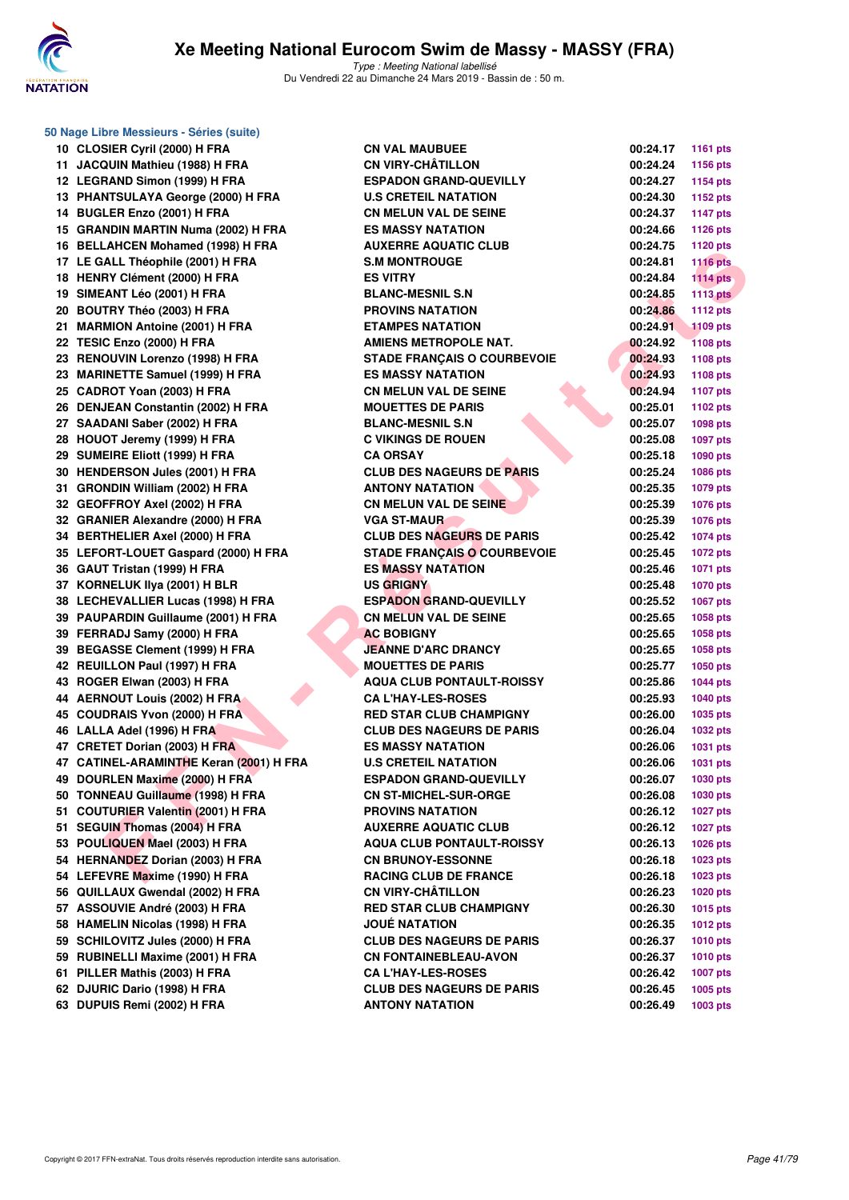

| 50 Nage Libre Messieurs - Séries (suite) |                                    |          |                 |
|------------------------------------------|------------------------------------|----------|-----------------|
| 10 CLOSIER Cyril (2000) H FRA            | <b>CN VAL MAUBUEE</b>              | 00:24.17 | <b>1161 pts</b> |
| 11 JACQUIN Mathieu (1988) H FRA          | <b>CN VIRY-CHATILLON</b>           | 00:24.24 | 1156 pts        |
| 12 LEGRAND Simon (1999) H FRA            | <b>ESPADON GRAND-QUEVILLY</b>      | 00:24.27 | 1154 pts        |
| 13 PHANTSULAYA George (2000) H FRA       | <b>U.S CRETEIL NATATION</b>        | 00:24.30 | <b>1152 pts</b> |
| 14 BUGLER Enzo (2001) H FRA              | <b>CN MELUN VAL DE SEINE</b>       | 00:24.37 | <b>1147 pts</b> |
| 15 GRANDIN MARTIN Numa (2002) H FRA      | <b>ES MASSY NATATION</b>           | 00:24.66 | <b>1126 pts</b> |
| 16 BELLAHCEN Mohamed (1998) H FRA        | <b>AUXERRE AQUATIC CLUB</b>        | 00:24.75 | 1120 pts        |
| 17 LE GALL Théophile (2001) H FRA        | <b>S.M MONTROUGE</b>               | 00:24.81 | <b>1116 pts</b> |
| 18 HENRY Clément (2000) H FRA            | <b>ES VITRY</b>                    | 00:24.84 | $1114$ pts      |
| 19 SIMEANT Léo (2001) H FRA              | <b>BLANC-MESNIL S.N</b>            | 00:24.85 | <b>1113 pts</b> |
| 20 BOUTRY Théo (2003) H FRA              | <b>PROVINS NATATION</b>            | 00:24.86 | <b>1112 pts</b> |
| 21 MARMION Antoine (2001) H FRA          | <b>ETAMPES NATATION</b>            | 00:24.91 | <b>1109 pts</b> |
| 22 TESIC Enzo (2000) H FRA               | <b>AMIENS METROPOLE NAT.</b>       | 00:24.92 | <b>1108 pts</b> |
| 23 RENOUVIN Lorenzo (1998) H FRA         | <b>STADE FRANÇAIS O COURBEVOIE</b> | 00:24.93 | <b>1108 pts</b> |
| 23 MARINETTE Samuel (1999) H FRA         | <b>ES MASSY NATATION</b>           | 00:24.93 | 1108 pts        |
| 25 CADROT Yoan (2003) H FRA              | <b>CN MELUN VAL DE SEINE</b>       | 00:24.94 | <b>1107 pts</b> |
| 26 DENJEAN Constantin (2002) H FRA       | <b>MOUETTES DE PARIS</b>           | 00:25.01 | 1102 pts        |
| 27 SAADANI Saber (2002) H FRA            | <b>BLANC-MESNIL S.N</b>            | 00:25.07 | 1098 pts        |
| 28 HOUOT Jeremy (1999) H FRA             | <b>C VIKINGS DE ROUEN</b>          | 00:25.08 | 1097 pts        |
| 29 SUMEIRE Eliott (1999) H FRA           | <b>CA ORSAY</b>                    | 00:25.18 | 1090 pts        |
| 30 HENDERSON Jules (2001) H FRA          | <b>CLUB DES NAGEURS DE PARIS</b>   | 00:25.24 | <b>1086 pts</b> |
| 31 GRONDIN William (2002) H FRA          | <b>ANTONY NATATION</b>             | 00:25.35 | 1079 pts        |
| 32 GEOFFROY Axel (2002) H FRA            | <b>CN MELUN VAL DE SEINE</b>       | 00:25.39 | <b>1076 pts</b> |
| 32 GRANIER Alexandre (2000) H FRA        | <b>VGA ST-MAUR</b>                 | 00:25.39 | <b>1076 pts</b> |
| 34 BERTHELIER Axel (2000) H FRA          | <b>CLUB DES NAGEURS DE PARIS</b>   | 00:25.42 | <b>1074 pts</b> |
| 35 LEFORT-LOUET Gaspard (2000) H FRA     | <b>STADE FRANÇAIS O COURBEVOIE</b> | 00:25.45 | <b>1072 pts</b> |
| 36 GAUT Tristan (1999) H FRA             | <b>ES MASSY NATATION</b>           | 00:25.46 | <b>1071 pts</b> |
| 37 KORNELUK IIya (2001) H BLR            | <b>US GRIGNY</b>                   | 00:25.48 | <b>1070 pts</b> |
| 38 LECHEVALLIER Lucas (1998) H FRA       | <b>ESPADON GRAND-QUEVILLY</b>      | 00:25.52 | 1067 pts        |
| 39 PAUPARDIN Guillaume (2001) H FRA      | <b>CN MELUN VAL DE SEINE</b>       | 00:25.65 | 1058 pts        |
| 39 FERRADJ Samy (2000) H FRA             | <b>AC BOBIGNY</b>                  | 00:25.65 | <b>1058 pts</b> |
| 39 BEGASSE Clement (1999) H FRA          | <b>JEANNE D'ARC DRANCY</b>         | 00:25.65 | <b>1058 pts</b> |
| 42 REUILLON Paul (1997) H FRA            | <b>MOUETTES DE PARIS</b>           | 00:25.77 | <b>1050 pts</b> |
| 43 ROGER Elwan (2003) H FRA              | <b>AQUA CLUB PONTAULT-ROISSY</b>   | 00:25.86 | <b>1044 pts</b> |
| 44 AERNOUT Louis (2002) H FRA            | <b>CA L'HAY-LES-ROSES</b>          | 00:25.93 | 1040 pts        |
| 45 COUDRAIS Yvon (2000) H FRA            | <b>RED STAR CLUB CHAMPIGNY</b>     | 00:26.00 | 1035 pts        |
| 46 LALLA Adel (1996) H FRA               | <b>CLUB DES NAGEURS DE PARIS</b>   | 00:26.04 | <b>1032 pts</b> |
| 47 CRETET Dorian (2003) H FRA            | <b>ES MASSY NATATION</b>           | 00:26.06 | 1031 pts        |
| 47 CATINEL-ARAMINTHE Keran (2001) H FRA  | <b>U.S CRETEIL NATATION</b>        | 00:26.06 | 1031 pts        |
| 49 DOURLEN Maxime (2000) H FRA           | <b>ESPADON GRAND-QUEVILLY</b>      | 00:26.07 | 1030 pts        |
| 50 TONNEAU Guillaume (1998) H FRA        | <b>CN ST-MICHEL-SUR-ORGE</b>       | 00:26.08 | 1030 pts        |
| 51 COUTURIER Valentin (2001) H FRA       | <b>PROVINS NATATION</b>            | 00:26.12 | <b>1027 pts</b> |
| 51 SEGUIN Thomas (2004) H FRA            | <b>AUXERRE AQUATIC CLUB</b>        | 00:26.12 | <b>1027 pts</b> |
| 53 POULIQUEN Mael (2003) H FRA           | <b>AQUA CLUB PONTAULT-ROISSY</b>   | 00:26.13 | 1026 pts        |
| 54 HERNANDEZ Dorian (2003) H FRA         | <b>CN BRUNOY-ESSONNE</b>           | 00:26.18 | 1023 pts        |
| 54 LEFEVRE Maxime (1990) H FRA           | <b>RACING CLUB DE FRANCE</b>       | 00:26.18 | 1023 pts        |
| 56 QUILLAUX Gwendal (2002) H FRA         | <b>CN VIRY-CHÂTILLON</b>           | 00:26.23 | <b>1020 pts</b> |
| 57 ASSOUVIE André (2003) H FRA           | <b>RED STAR CLUB CHAMPIGNY</b>     | 00:26.30 | 1015 pts        |
| 58 HAMELIN Nicolas (1998) H FRA          | <b>JOUÉ NATATION</b>               | 00:26.35 | <b>1012 pts</b> |
| 59 SCHILOVITZ Jules (2000) H FRA         | <b>CLUB DES NAGEURS DE PARIS</b>   | 00:26.37 | <b>1010 pts</b> |
| 59 RUBINELLI Maxime (2001) H FRA         | <b>CN FONTAINEBLEAU-AVON</b>       | 00:26.37 | <b>1010 pts</b> |
| 61 PILLER Mathis (2003) H FRA            | <b>CA L'HAY-LES-ROSES</b>          | 00:26.42 | <b>1007 pts</b> |
| 62 DJURIC Dario (1998) H FRA             | <b>CLUB DES NAGEURS DE PARIS</b>   | 00:26.45 | 1005 pts        |
| 63 DUPUIS Remi (2002) H FRA              | <b>ANTONY NATATION</b>             | 00:26.49 | 1003 pts        |
|                                          |                                    |          |                 |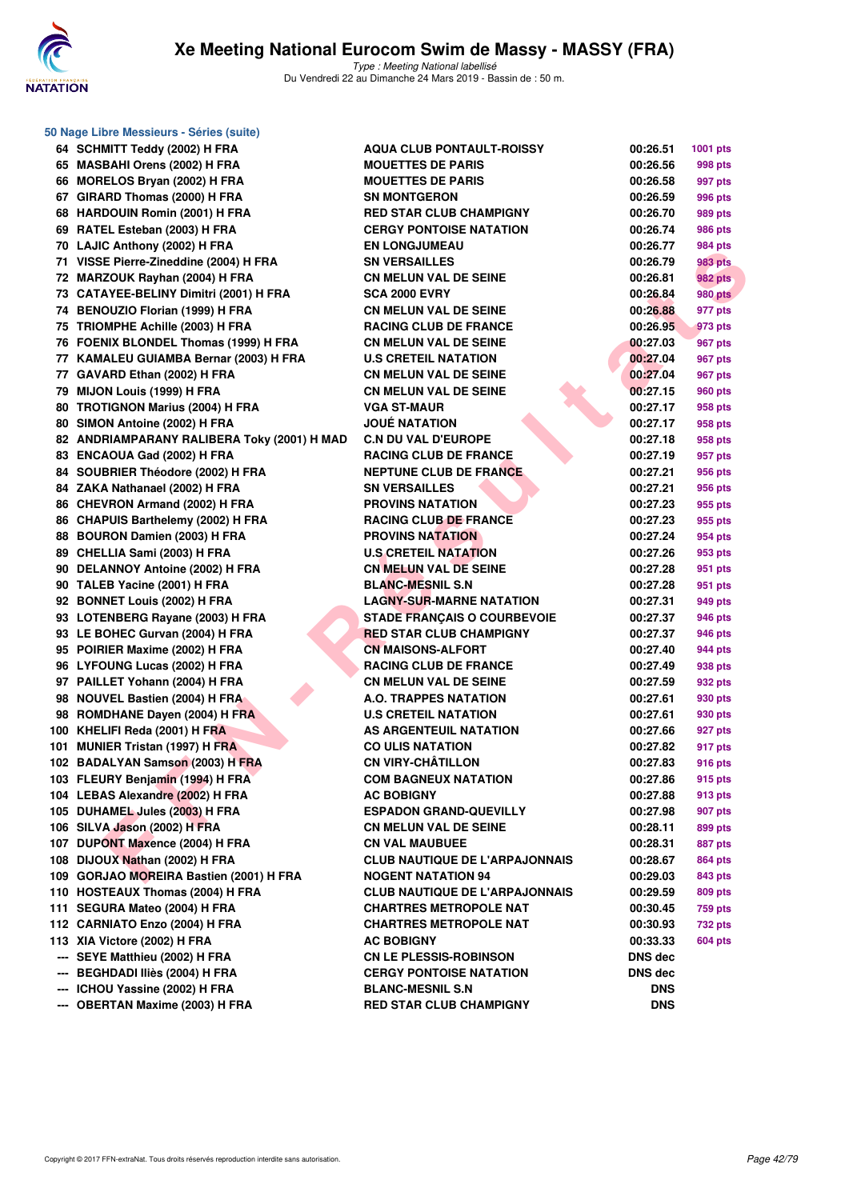

|       | 50 Nage Libre Messieurs - Séries (suite) |
|-------|------------------------------------------|
| 64    | SCHMITT Teddy (2002) H FRA               |
|       | 65 MASBAHI Orens (2002) H FRA            |
| 66    | MORELOS Bryan (2002) H FRA               |
|       | 67 GIRARD Thomas (2000) H FRA            |
|       | 68 HARDOUIN Romin (2001) H FRA           |
| 69    | RATEL Esteban (2003) H FRA               |
| 70    | LAJIC Anthony (2002) H FRA               |
| 71    | VISSE Pierre-Zineddine (2004) H FRA      |
| 72    | MARZOUK Rayhan (2004) H FRA              |
| 73    | CATAYEE-BELINY Dimitri (2001) H FRA      |
|       | 74 BENOUZIO Florian (1999) H FRA         |
|       | 75 TRIOMPHE Achille (2003) H FRA         |
|       | 76 FOENIX BLONDEL Thomas (1999) H FRA    |
|       | 77 KAMALEU GUIAMBA Bernar (2003) H FRA   |
| 77    | GAVARD Ethan (2002) H FRA                |
| 79    | MIJON Louis (1999) H FRA                 |
|       | 80 TROTIGNON Marius (2004) H FRA         |
| 80    | SIMON Antoine (2002) H FRA               |
| 82    | ANDRIAMPARANY RALIBERA Toky (2001) H     |
|       | 83 ENCAOUA Gad (2002) H FRA              |
| 84    | SOUBRIER Théodore (2002) H FRA           |
| 84    | ZAKA Nathanael (2002) H FRA              |
|       |                                          |
| 86    | CHEVRON Armand (2002) H FRA              |
| 86    | <b>CHAPUIS Barthelemy (2002) H FRA</b>   |
| 88    | <b>BOURON Damien (2003) H FRA</b>        |
| 89    | CHELLIA Sami (2003) H FRA                |
| 90    | <b>DELANNOY Antoine (2002) H FRA</b>     |
| 90    | TALEB Yacine (2001) H FRA                |
| 92    | <b>BONNET Louis (2002) H FRA</b>         |
| 93    | LOTENBERG Rayane (2003) H FRA            |
| 93    | LE BOHEC Gurvan (2004) H FRA             |
| 95    | POIRIER Maxime (2002) H FRA              |
| 96    | <b>LYFOUNG Lucas (2002) H FRA</b>        |
| 97    | PAILLET Yohann (2004) H FRA              |
| 98    | <b>NOUVEL Bastien (2004) H FRA</b>       |
| 98    | ROMDHANE Dayen (2004) H FRA              |
| 100 - | KHELIFI Reda (2001) H FRA                |
| 101   | <b>MUNIER Tristan (1997) H FRA</b>       |
| 102   | <b>BADALYAN Samson (2003) H FRA</b>      |
| 103   | FLEURY Benjamin (1994) H FRA             |
| 104   | <b>LEBAS Alexandre (2002) H FRA</b>      |
|       | 105 DUHAMEL Jules (2003) H FRA           |
| 106   | SILVA Jason (2002) H FRA                 |
| 107   | <b>DUPONT Maxence (2004) H FRA</b>       |
| 108   | DIJOUX Nathan (2002) H FRA               |
| 109   | GORJAO MOREIRA Bastien (2001) H FRA      |
| 110   | <b>HOSTEAUX Thomas (2004) H FRA</b>      |
| 111   | SEGURA Mateo (2004) H FRA                |
|       | 112 CARNIATO Enzo (2004) H FRA           |
|       | 113 XIA Victore (2002) H FRA             |
|       | --- SEYE Matthieu (2002) H FRA           |
|       | --- BEGHDADI Iliès (2004) H FRA          |
|       | --- ICHOU Yassine (2002) H FRA           |
|       | --- OBERTAN Maxime (2003) H FRA          |

| 64 SCHMITT Teddy (2002) H FRA               | <b>AQUA CLUB PONTAULT-ROISSY</b>      | 00:26.51       | 1001 pts       |
|---------------------------------------------|---------------------------------------|----------------|----------------|
| 65 MASBAHI Orens (2002) H FRA               | <b>MOUETTES DE PARIS</b>              | 00:26.56       | 998 pts        |
| 66 MORELOS Bryan (2002) H FRA               | <b>MOUETTES DE PARIS</b>              | 00:26.58       | 997 pts        |
| 67 GIRARD Thomas (2000) H FRA               | <b>SN MONTGERON</b>                   | 00:26.59       | 996 pts        |
| 68 HARDOUIN Romin (2001) H FRA              | <b>RED STAR CLUB CHAMPIGNY</b>        | 00:26.70       | 989 pts        |
| 69 RATEL Esteban (2003) H FRA               | <b>CERGY PONTOISE NATATION</b>        | 00:26.74       | 986 pts        |
| 70 LAJIC Anthony (2002) H FRA               | <b>EN LONGJUMEAU</b>                  | 00:26.77       | 984 pts        |
| 71 VISSE Pierre-Zineddine (2004) H FRA      | <b>SN VERSAILLES</b>                  | 00:26.79       | 983 pts        |
| 72 MARZOUK Rayhan (2004) H FRA              | <b>CN MELUN VAL DE SEINE</b>          | 00:26.81       | <b>982 pts</b> |
| 73 CATAYEE-BELINY Dimitri (2001) H FRA      | <b>SCA 2000 EVRY</b>                  | 00:26.84       | <b>980 pts</b> |
| 74 BENOUZIO Florian (1999) H FRA            | <b>CN MELUN VAL DE SEINE</b>          | 00:26.88       | 977 pts        |
| 75 TRIOMPHE Achille (2003) H FRA            | <b>RACING CLUB DE FRANCE</b>          | 00:26.95       | 973 pts        |
| 76 FOENIX BLONDEL Thomas (1999) H FRA       | <b>CN MELUN VAL DE SEINE</b>          | 00:27.03       | 967 pts        |
| 77 KAMALEU GUIAMBA Bernar (2003) H FRA      | <b>U.S CRETEIL NATATION</b>           | 00:27.04       | 967 pts        |
| 77 GAVARD Ethan (2002) H FRA                | <b>CN MELUN VAL DE SEINE</b>          | 00:27.04       | 967 pts        |
| 79 MIJON Louis (1999) H FRA                 | <b>CN MELUN VAL DE SEINE</b>          | 00:27.15       | 960 pts        |
| 80 TROTIGNON Marius (2004) H FRA            | <b>VGA ST-MAUR</b>                    | 00:27.17       | 958 pts        |
| 80 SIMON Antoine (2002) H FRA               | <b>JOUÉ NATATION</b>                  | 00:27.17       | 958 pts        |
| 82 ANDRIAMPARANY RALIBERA Toky (2001) H MAD | <b>C.N DU VAL D'EUROPE</b>            | 00:27.18       | 958 pts        |
| 83 ENCAOUA Gad (2002) H FRA                 | <b>RACING CLUB DE FRANCE</b>          | 00:27.19       | 957 pts        |
| 84 SOUBRIER Théodore (2002) H FRA           | <b>NEPTUNE CLUB DE FRANCE</b>         | 00:27.21       | 956 pts        |
| 84 ZAKA Nathanael (2002) H FRA              | <b>SN VERSAILLES</b>                  | 00:27.21       | 956 pts        |
| 86 CHEVRON Armand (2002) H FRA              | <b>PROVINS NATATION</b>               | 00:27.23       | 955 pts        |
| 86 CHAPUIS Barthelemy (2002) H FRA          | <b>RACING CLUB DE FRANCE</b>          | 00:27.23       | 955 pts        |
| 88 BOURON Damien (2003) H FRA               | <b>PROVINS NATATION</b>               | 00:27.24       | 954 pts        |
| 89 CHELLIA Sami (2003) H FRA                | <b>U.S CRETEIL NATATION</b>           | 00:27.26       | 953 pts        |
| 90 DELANNOY Antoine (2002) H FRA            | <b>CN MELUN VAL DE SEINE</b>          | 00:27.28       | 951 pts        |
| 90 TALEB Yacine (2001) H FRA                | <b>BLANC-MESNIL S.N</b>               | 00:27.28       | 951 pts        |
| 92 BONNET Louis (2002) H FRA                | <b>LAGNY-SUR-MARNE NATATION</b>       | 00:27.31       | 949 pts        |
| 93 LOTENBERG Rayane (2003) H FRA            | <b>STADE FRANÇAIS O COURBEVOIE</b>    | 00:27.37       | 946 pts        |
| 93 LE BOHEC Gurvan (2004) H FRA             | <b>RED STAR CLUB CHAMPIGNY</b>        | 00:27.37       | 946 pts        |
| 95 POIRIER Maxime (2002) H FRA              | <b>CN MAISONS-ALFORT</b>              | 00:27.40       | 944 pts        |
| 96 LYFOUNG Lucas (2002) H FRA               | <b>RACING CLUB DE FRANCE</b>          | 00:27.49       | 938 pts        |
| 97 PAILLET Yohann (2004) H FRA              | <b>CN MELUN VAL DE SEINE</b>          | 00:27.59       | 932 pts        |
| 98 NOUVEL Bastien (2004) H FRA              | <b>A.O. TRAPPES NATATION</b>          | 00:27.61       | 930 pts        |
| 98 ROMDHANE Dayen (2004) H FRA              | <b>U.S CRETEIL NATATION</b>           | 00:27.61       | 930 pts        |
| 100 KHELIFI Reda (2001) H FRA               | AS ARGENTEUIL NATATION                | 00:27.66       | 927 pts        |
| 101 MUNIER Tristan (1997) H FRA             | <b>CO ULIS NATATION</b>               | 00:27.82       | 917 pts        |
| 102 BADALYAN Samson (2003) H FRA            | <b>CN VIRY-CHÂTILLON</b>              | 00:27.83       | <b>916 pts</b> |
| 103 FLEURY Benjamin (1994) H FRA            | <b>COM BAGNEUX NATATION</b>           | 00:27.86       | 915 pts        |
| 104 LEBAS Alexandre (2002) H FRA            | <b>AC BOBIGNY</b>                     | 00:27.88       | 913 pts        |
| 105 DUHAMEL Jules (2003) H FRA              | <b>ESPADON GRAND-QUEVILLY</b>         | 00:27.98       | 907 pts        |
| 106 SILVA Jason (2002) H FRA                | <b>CN MELUN VAL DE SEINE</b>          | 00:28.11       | 899 pts        |
| 107 DUPONT Maxence (2004) H FRA             | <b>CN VAL MAUBUEE</b>                 | 00:28.31       | 887 pts        |
| 108 DIJOUX Nathan (2002) H FRA              | <b>CLUB NAUTIQUE DE L'ARPAJONNAIS</b> | 00:28.67       | 864 pts        |
| 109 GORJAO MOREIRA Bastien (2001) H FRA     | <b>NOGENT NATATION 94</b>             | 00:29.03       | 843 pts        |
| 110 HOSTEAUX Thomas (2004) H FRA            | <b>CLUB NAUTIQUE DE L'ARPAJONNAIS</b> | 00:29.59       | 809 pts        |
| 111 SEGURA Mateo (2004) H FRA               | <b>CHARTRES METROPOLE NAT</b>         | 00:30.45       | 759 pts        |
| 112 CARNIATO Enzo (2004) H FRA              | <b>CHARTRES METROPOLE NAT</b>         | 00:30.93       | 732 pts        |
| 113 XIA Victore (2002) H FRA                | <b>AC BOBIGNY</b>                     | 00:33.33       | 604 pts        |
| --- SEYE Matthieu (2002) H FRA              | <b>CN LE PLESSIS-ROBINSON</b>         | <b>DNS dec</b> |                |
| --- BEGHDADI Iliès (2004) H FRA             | <b>CERGY PONTOISE NATATION</b>        | <b>DNS dec</b> |                |
| --- ICHOU Yassine (2002) H FRA              | <b>BLANC-MESNIL S.N</b>               | DNS            |                |
| --- OBERTAN Maxime (2003) H FRA             | <b>RED STAR CLUB CHAMPIGNY</b>        | <b>DNS</b>     |                |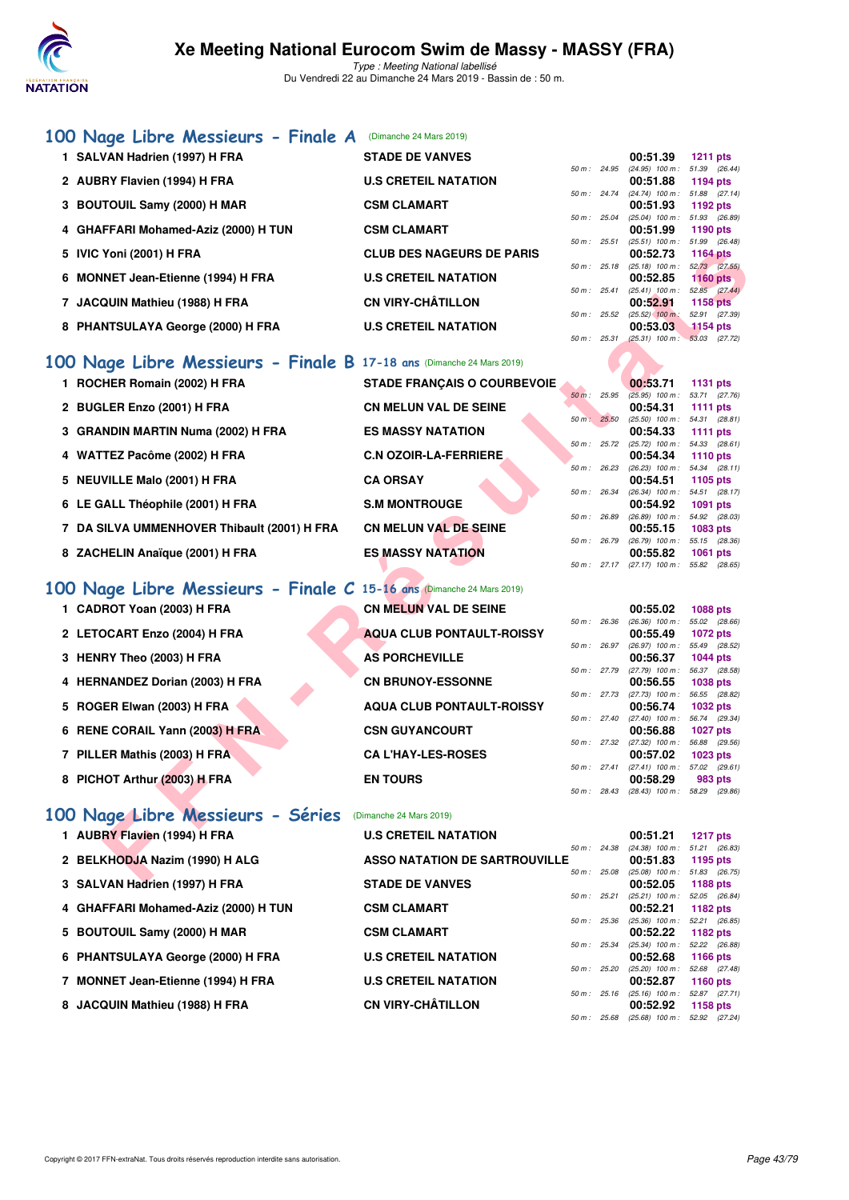

Type : Meeting National labellisé Du Vendredi 22 au Dimanche 24 Mars 2019 - Bassin de : 50 m.

#### **[100 Nage Libre Messieurs - Finale A](http://www.ffnatation.fr/webffn/resultats.php?idact=nat&go=epr&idcpt=57649&idepr=52)** (Dimanche 24 Mars 2019)

| 1 SALVAN Hadrien (1997) H FRA                                        | <b>STADE DE VANVES</b>               |              |              | 00:51.39                                             | <b>1211 pts</b>                  |  |
|----------------------------------------------------------------------|--------------------------------------|--------------|--------------|------------------------------------------------------|----------------------------------|--|
| 2 AUBRY Flavien (1994) H FRA                                         | <b>U.S CRETEIL NATATION</b>          |              |              | 50 m: 24.95 (24.95) 100 m: 51.39 (26.44)<br>00:51.88 | 1194 pts                         |  |
| 3 BOUTOUIL Samy (2000) H MAR                                         | <b>CSM CLAMART</b>                   |              | 50 m: 24.74  | $(24.74)$ 100 m : 51.88 $(27.14)$<br>00:51.93        | 1192 pts                         |  |
| 4 GHAFFARI Mohamed-Aziz (2000) H TUN                                 | <b>CSM CLAMART</b>                   | 50 m: 25.04  |              | $(25.04)$ 100 m : 51.93 (26.89)<br>00:51.99          | 1190 pts                         |  |
| 5 IVIC Yoni (2001) H FRA                                             | <b>CLUB DES NAGEURS DE PARIS</b>     |              | 50 m: 25.51  | $(25.51)$ 100 m : 51.99 (26.48)<br>00:52.73          | <b>1164 pts</b>                  |  |
| 6 MONNET Jean-Etienne (1994) H FRA                                   | <b>U.S CRETEIL NATATION</b>          |              | 50 m : 25.18 | $(25.18)$ 100 m : $52.73$ $(27.55)$<br>00:52.85      | <b>1160 pts</b>                  |  |
| 7 JACQUIN Mathieu (1988) H FRA                                       | <b>CN VIRY-CHÂTILLON</b>             |              | 50 m : 25.41 | $(25.41)$ 100 m : 52.85 $(27.44)$<br>00:52.91        | <b>1158 pts</b>                  |  |
| 8 PHANTSULAYA George (2000) H FRA                                    | <b>U.S CRETEIL NATATION</b>          |              | 50 m: 25.52  | $(25.52)$ 100 m :<br>00:53.03                        | 52.91 (27.39)<br>$1154$ pts      |  |
|                                                                      |                                      | 50 m: 25.31  |              | $(25.31)$ 100 m : 53.03 $(27.72)$                    |                                  |  |
| 00 Nage Libre Messieurs - Finale B 17-18 ans (Dimanche 24 Mars 2019) |                                      |              |              |                                                      |                                  |  |
| 1 ROCHER Romain (2002) H FRA                                         | <b>STADE FRANÇAIS O COURBEVOIE</b>   |              | 50 m: 25.95  | 00:53.71                                             | <b>1131 pts</b>                  |  |
| 2 BUGLER Enzo (2001) H FRA                                           | <b>CN MELUN VAL DE SEINE</b>         |              |              | $(25.95)$ 100 m : 53.71 (27.76)<br>00:54.31          | <b>1111 pts</b>                  |  |
|                                                                      |                                      | 50 m: 25.50  |              | $(25.50)$ 100 m : 54.31 $(28.81)$                    |                                  |  |
| 3 GRANDIN MARTIN Numa (2002) H FRA                                   | <b>ES MASSY NATATION</b>             |              | 50 m : 25.72 | 00:54.33<br>$(25.72)$ 100 m : 54.33 $(28.61)$        | <b>1111 pts</b>                  |  |
| 4 WATTEZ Pacôme (2002) H FRA                                         | <b>C.N OZOIR-LA-FERRIERE</b>         |              |              | 00:54.34                                             | <b>1110 pts</b>                  |  |
| 5 NEUVILLE Malo (2001) H FRA                                         | <b>CA ORSAY</b>                      |              | 50 m : 26.23 | $(26.23)$ 100 m : 54.34 $(28.11)$<br>00:54.51        | 1105 pts                         |  |
|                                                                      |                                      | 50 m : 26.34 |              | (26.34) 100 m: 54.51 (28.17)                         |                                  |  |
| 6 LE GALL Théophile (2001) H FRA                                     | <b>S.M MONTROUGE</b>                 |              | 50 m : 26.89 | 00:54.92<br>$(26.89)$ 100 m : 54.92 $(28.03)$        | 1091 pts                         |  |
| 7 DA SILVA UMMENHOVER Thibault (2001) H FRA                          | <b>CN MELUN VAL DE SEINE</b>         |              |              | 00:55.15                                             | 1083 pts                         |  |
|                                                                      |                                      | 50 m : 26.79 |              | (26.79) 100 m: 55.15 (28.36)                         |                                  |  |
| 8 ZACHELIN Anaïque (2001) H FRA                                      | <b>ES MASSY NATATION</b>             |              |              | 00:55.82<br>50 m: 27.17 (27.17) 100 m: 55.82 (28.65) | <b>1061 pts</b>                  |  |
|                                                                      |                                      |              |              |                                                      |                                  |  |
| 00 Nage Libre Messieurs - Finale C 15-16 ans (Dimanche 24 Mars 2019) |                                      |              |              |                                                      |                                  |  |
| 1 CADROT Yoan (2003) H FRA                                           | <b>CN MELUN VAL DE SEINE</b>         |              | 50 m : 26.36 | 00:55.02<br>$(26.36)$ 100 m : 55.02 $(28.66)$        | 1088 pts                         |  |
| 2 LETOCART Enzo (2004) H FRA                                         | <b>AQUA CLUB PONTAULT-ROISSY</b>     |              |              | 00:55.49                                             | <b>1072 pts</b>                  |  |
|                                                                      | <b>AS PORCHEVILLE</b>                |              | 50 m : 26.97 | $(26.97)$ 100 m :                                    | 55.49 (28.52)                    |  |
| 3 HENRY Theo (2003) H FRA                                            |                                      |              | 50 m : 27.79 | 00:56.37<br>$(27.79)$ 100 m :                        | <b>1044 pts</b><br>56.37 (28.58) |  |
| 4 HERNANDEZ Dorian (2003) H FRA                                      | <b>CN BRUNOY-ESSONNE</b>             |              |              | 00:56.55                                             | <b>1038 pts</b>                  |  |
| 5 ROGER Elwan (2003) H FRA                                           | <b>AQUA CLUB PONTAULT-ROISSY</b>     |              | 50 m : 27.73 | $(27.73)$ 100 m :<br>00:56.74                        | 56.55 (28.82)<br><b>1032 pts</b> |  |
|                                                                      |                                      |              | 50 m : 27.40 | $(27.40)$ 100 m :                                    | 56.74 (29.34)                    |  |
| 6 RENE CORAIL Yann (2003) H FRA                                      | <b>CSN GUYANCOURT</b>                |              |              | 00:56.88<br>50 m: 27.32 (27.32) 100 m: 56.88 (29.56) | <b>1027 pts</b>                  |  |
| 7 PILLER Mathis (2003) H FRA                                         | <b>CA L'HAY-LES-ROSES</b>            |              |              | 00:57.02                                             | 1023 pts                         |  |
|                                                                      |                                      |              | 50 m: 27.41  | $(27.41)$ 100 m : 57.02 $(29.61)$                    |                                  |  |
| 8 PICHOT Arthur (2003) H FRA                                         | <b>EN TOURS</b>                      |              |              | 00:58.29<br>50 m: 28.43 (28.43) 100 m: 58.29 (29.86) | 983 pts                          |  |
|                                                                      |                                      |              |              |                                                      |                                  |  |
| 00 Nage Libre Messieurs - Séries                                     | (Dimanche 24 Mars 2019)              |              |              |                                                      |                                  |  |
| 1 AUBRY Flavien (1994) H FRA                                         | <b>U.S CRETEIL NATATION</b>          |              | 50 m : 24.38 | 00:51.21<br>(24.38) 100 m: 51.21 (26.83)             | <b>1217 pts</b>                  |  |
| 2 BELKHODJA Nazim (1990) H ALG                                       | <b>ASSO NATATION DE SARTROUVILLE</b> |              |              | 00:51.83                                             | 1195 pts                         |  |
| 0.011148111444444407111708                                           | CTABE BE VANUES                      |              |              | 50 m: 25.08 (25.08) 100 m: 51.83 (26.75)<br>00.50.05 | $1100 -$                         |  |

# **[100 Nage Libre Messieurs - Finale B](http://www.ffnatation.fr/webffn/resultats.php?idact=nat&go=epr&idcpt=57649&idepr=52) 17-18 ans** (Dimanche 24 Mars 2019)

- 1 ROCHER Romain (2002) H FRA<br>
STADE F 2 BUGLER Enzo (2001) H FRA **CN MELU** 3 GRANDIN MARTIN Numa (2002) H FRA **ES MASS**
- 4 WATTEZ Pacôme (2002) H FRA **C.N OZO**
- **5 NEUVILLE Malo (2001) H FRA CA ORS**
- **6 LE GALL Théophile (2001) H FRA S.M MON**
- **7 DA SILVA UMMENHOVER Thibault (2001) H FRA CN MELU**
- 8 ZACHELIN Anaïque (2001) H FRA ES MASS

# **[100 Nage Libre Messieurs - Finale C](http://www.ffnatation.fr/webffn/resultats.php?idact=nat&go=epr&idcpt=57649&idepr=52) 15-16**

- **1 CADROT Yoan (2003) H FRA**
- 2 LETOCART Enzo (2004) H FRA
- **3 HENRY Theo (2003) H FRA**
- **4 HERNANDEZ Dorian (2003) H FRA**
- **5 ROGER Elwan (2003) H FRA**
- **6 RENE CORAIL Yann (2003) H FRA**
- **7 PILLER Mathis (2003) H FRA**
- **8 PICHOT Arthur (2003) H FRA**

### **[100 Nage Libre Messieurs - Séries](http://www.ffnatation.fr/webffn/resultats.php?idact=nat&go=epr&idcpt=57649&idepr=52)** (Dimanche 24 Mars 2019)

|  | I AUDRI FIAVIEII (1994) FIFRA        |
|--|--------------------------------------|
|  | 2 BELKHODJA Nazim (1990) H ALG       |
|  | 3 SALVAN Hadrien (1997) H FRA        |
|  | 4 GHAFFARI Mohamed-Aziz (2000) H TUN |
|  | 5 BOUTOUIL Samy (2000) H MAR         |
|  | 6 PHANTSULAYA George (2000) H FRA    |
|  | 7 MONNET Jean-Etienne (1994) H FRA   |

| <b>FRANCAIS O COURBEVOIE</b> |          |                | 00:53.71 1131 pts                 |       |         |
|------------------------------|----------|----------------|-----------------------------------|-------|---------|
|                              | $50 m$ : | 25.95          | $(25.95)$ 100 m : 53.71 $(27.76)$ |       |         |
| UN VAL DE SEINE              |          |                | 00:54.31 1111 pts                 |       |         |
|                              | $50 m$ : | 25.50          | $(25.50)$ 100 m : 54.31 $(28.81)$ |       |         |
| <b>SY NATATION</b>           |          |                | 00:54.33 1111 pts                 |       |         |
|                              |          | $50 m$ : 25.72 | $(25.72)$ 100 m : 54.33 $(28.61)$ |       |         |
| <b>IR-LA-FERRIERE</b>        |          |                | 00:54.34 1110 pts                 |       |         |
|                              |          | 50 m : 26.23   | $(26.23)$ 100 m : 54.34 $(28.11)$ |       |         |
| ΔΥ                           |          |                | 00:54.51 1105 pts                 |       |         |
|                              |          | $50 m$ : 26.34 | (26.34) 100 m: 54.51 (28.17)      |       |         |
| <b>ITROUGE</b>               |          |                | 00:54.92 1091 pts                 |       |         |
|                              |          | 50 m : 26.89   | $(26.89)$ 100 m : 54.92 $(28.03)$ |       |         |
| UN VAL DE SEINE              |          |                | 00:55.15 1083 pts                 |       |         |
|                              | $50 m$ : | 26.79          | $(26.79)$ 100 m : 55.15 $(28.36)$ |       |         |
| <b>SY NATATION</b>           |          |                | 00:55.82 1061 pts                 |       |         |
|                              |          | 50 m: 27.17    | $(27.17)$ 100 m :                 | 55.82 | (28.65) |

| <b>15-16 ans (Dimanche 24 Mars 2019)</b> |
|------------------------------------------|
| <b>CN MELUN VAL DE SEINE</b>             |
| <b>AQUA CLUB PONTAULT-ROISSY</b>         |
| <b>AS PORCHEVILLE</b>                    |
| <b>CN BRUNOY-ESSONNE</b>                 |
| <b>AQUA CLUB PONTAULT-ROISSY</b>         |
| <b>CSN GUYANCOURT</b>                    |
| <b>CAL'HAY-LES-ROSES</b>                 |
| <b>EN TOURS</b>                          |

|                |                        | 00:53.71          | <b>1131 pts</b> |
|----------------|------------------------|-------------------|-----------------|
|                | $50 \text{ m}$ : 25.95 | $(25.95)$ 100 m : | 53.71 (27.76)   |
|                |                        | 00:54.31          | 1111 $pts$      |
| 50 m: 25.50    |                        | $(25.50)$ 100 m : | 54.31 (28.81)   |
|                |                        | 00:54.33          | 1111 $pts$      |
| $50 m$ : 25.72 |                        | $(25.72)$ 100 m : | 54.33 (28.61)   |
|                |                        | 00:54.34          | 1110 $pts$      |
|                | 50 m : 26.23           | $(26.23)$ 100 m : | 54.34 (28.11)   |
|                |                        | 00:54.51          | 1105 pts        |
| $50 m$ : 26.34 |                        | $(26.34)$ 100 m : | 54.51 (28.17)   |
|                |                        | 00:54.92          | <b>1091 pts</b> |
| 50 m : 26.89   |                        | $(26.89)$ 100 m : | 54.92 (28.03)   |
|                |                        | 00:55.15          | 1083 pts        |
|                | 50 m : 26.79           | $(26.79)$ 100 m : | 55.15 (28.36)   |
|                |                        | 00:55.82          | 1061 nts        |

|              |       | 00:55.02          | 1088 pts        |
|--------------|-------|-------------------|-----------------|
| $50 m$ :     | 26.36 | $(26.36)$ 100 m : | 55.02 (28.66)   |
|              |       | 00:55.49          | <b>1072 pts</b> |
| $50 m$ :     | 26.97 | $(26.97)$ 100 m : | 55.49 (28.52)   |
|              |       | 00:56.37          | <b>1044 pts</b> |
| 50 m : 27.79 |       | $(27.79)$ 100 m : | 56.37 (28.58)   |
|              |       | 00:56.55          | <b>1038 pts</b> |
| 50 m: 27.73  |       | $(27.73)$ 100 m : | 56.55 (28.82)   |
|              |       | 00:56.74          | <b>1032 pts</b> |
| 50 m: 27.40  |       | $(27.40)$ 100 m : | 56.74 (29.34)   |
|              |       | 00:56.88          | <b>1027 pts</b> |
| 50 m : 27.32 |       | $(27.32)$ 100 m : | 56.88 (29.56)   |
|              |       | 00:57.02          | 1023 pts        |
| 50 m: 27.41  |       | $(27.41)$ 100 m : | 57.02 (29.61)   |
|              |       | 00:58.29          | 983 pts         |
| 50 m :       | 28.43 | $(28.43)$ 100 m : | 58.29 (29.86)   |

50 m : 25.68 (25.68) 100 m : 52.92 (27.24)

| 1 AUBRY Flavien (1994) H FRA         | <b>U.S CRETEIL NATATION</b>          |                        | 00:51.21                      | <b>1217 pts</b>                  |  |
|--------------------------------------|--------------------------------------|------------------------|-------------------------------|----------------------------------|--|
| 2 BELKHODJA Nazim (1990) H ALG       | <b>ASSO NATATION DE SARTROUVILLE</b> | $50 \text{ m}$ : 24.38 | $(24.38)$ 100 m :<br>00:51.83 | 51.21 (26.83)<br>1195 pts        |  |
| 3 SALVAN Hadrien (1997) H FRA        | <b>STADE DE VANVES</b>               | 50 m: 25.08            | $(25.08)$ 100 m :<br>00:52.05 | 51.83 (26.75)<br>1188 pts        |  |
| 4 GHAFFARI Mohamed-Aziz (2000) H TUN | <b>CSM CLAMART</b>                   | 50 m: 25.21            | $(25.21)$ 100 m :<br>00:52.21 | 52.05 (26.84)<br>1182 pts        |  |
| 5 BOUTOUIL Samy (2000) H MAR         | <b>CSM CLAMART</b>                   | 50 m : 25.36           | $(25.36)$ 100 m :<br>00:52.22 | 52.21 (26.85)<br>1182 pts        |  |
| 6 PHANTSULAYA George (2000) H FRA    | <b>U.S CRETEIL NATATION</b>          | 50 m: 25.34            | $(25.34)$ 100 m :<br>00:52.68 | 52.22 (26.88)<br><b>1166 pts</b> |  |
| 7 MONNET Jean-Etienne (1994) H FRA   | <b>U.S CRETEIL NATATION</b>          | 50 m: 25.20            | $(25.20)$ 100 m :<br>00:52.87 | 52.68 (27.48)<br>1160 $pts$      |  |
| 8 JACQUIN Mathieu (1988) H FRA       | <b>CN VIRY-CHÂTILLON</b>             | 50 m: 25.16            | $(25.16)$ 100 m :<br>00:52.92 | 52.87 (27.71)<br>1158 pts        |  |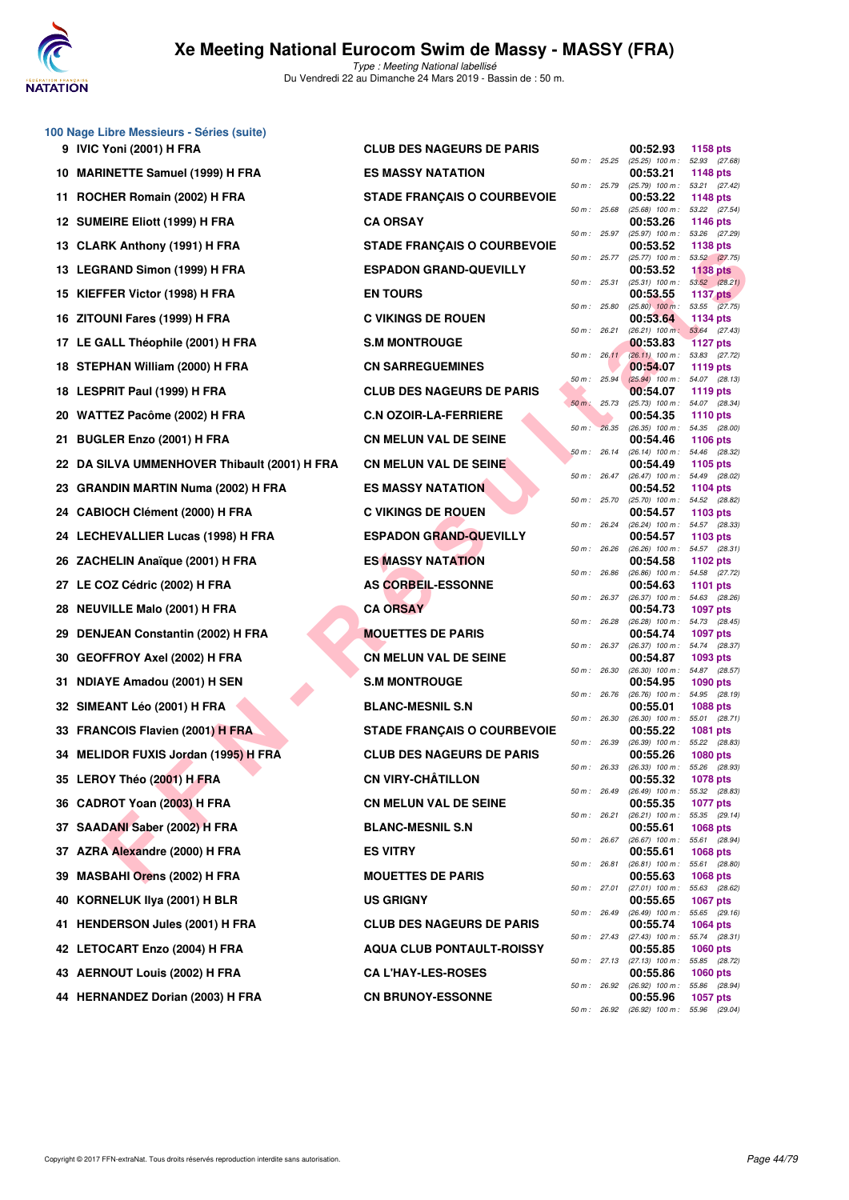

**100 Nage Libre Messieurs - Séries (suite)**

|     | 9 IVIC Yoni (2001) H FRA                     | <b>CLUB DES NAGEURS DE PARIS</b>   |                            |                | 00:52.93                                                                 | 1158 pts                                          |
|-----|----------------------------------------------|------------------------------------|----------------------------|----------------|--------------------------------------------------------------------------|---------------------------------------------------|
|     | 10 MARINETTE Samuel (1999) H FRA             | <b>ES MASSY NATATION</b>           | 50 m: 25.25                |                | (25.25) 100 m: 52.93 (27.68)<br>00:53.21                                 | <b>1148 pts</b>                                   |
|     | 11 ROCHER Romain (2002) H FRA                | <b>STADE FRANÇAIS O COURBEVOIE</b> |                            | 50 m : 25.79   | (25.79) 100 m: 53.21 (27.42)<br>00:53.22                                 | 1148 pts                                          |
|     | 12 SUMEIRE Eliott (1999) H FRA               | <b>CA ORSAY</b>                    | 50 m: 25.68                |                | (25.68) 100 m: 53.22 (27.54)<br>00:53.26                                 | 1146 pts                                          |
|     | 13 CLARK Anthony (1991) H FRA                | <b>STADE FRANÇAIS O COURBEVOIE</b> |                            | 50 m: 25.97    | $(25.97)$ 100 m :<br>00:53.52                                            | 53.26 (27.29)<br>1138 pts                         |
|     | 13 LEGRAND Simon (1999) H FRA                | <b>ESPADON GRAND-QUEVILLY</b>      | 50 m: 25.77                |                | $(25.77)$ 100 m :<br>00:53.52                                            | 53.52 (27.75)<br><b>1138 pts</b>                  |
|     | 15 KIEFFER Victor (1998) H FRA               | <b>EN TOURS</b>                    | 50 m: 25.31                |                | $(25.31)$ 100 m : 53.52 $(28.21)$<br>00:53.55                            | <b>1137 pts</b>                                   |
|     | 16 ZITOUNI Fares (1999) H FRA                | <b>C VIKINGS DE ROUEN</b>          | 50 m: 25.80                |                | $(25.80)$ 100 m :<br>00:53.64                                            | 53.55 (27.75)<br>1134 pts                         |
| 17  | LE GALL Théophile (2001) H FRA               | <b>S.M MONTROUGE</b>               | 50 m: 26.21                | $50 m$ : 26.11 | $(26.21)$ 100 m; 53.64 $(27.43)$<br>00:53.83                             | <b>1127 pts</b>                                   |
|     | 18 STEPHAN William (2000) H FRA              | <b>CN SARREGUEMINES</b>            |                            |                | $(26.11)$ 100 m : 53.83 $(27.72)$<br>00:54.07                            | 1119 pts                                          |
|     | 18 LESPRIT Paul (1999) H FRA                 | <b>CLUB DES NAGEURS DE PARIS</b>   | 50 m: 25.94<br>50 m: 25.73 |                | $(25.94)$ 100 m :<br>00:54.07                                            | 54.07 (28.13)<br>1119 pts                         |
|     | 20 WATTEZ Pacôme (2002) H FRA                | <b>C.N OZOIR-LA-FERRIERE</b>       |                            |                | (25.73) 100 m: 54.07 (28.34)<br>00:54.35                                 | 1110 pts                                          |
| 21. | <b>BUGLER Enzo (2001) H FRA</b>              | <b>CN MELUN VAL DE SEINE</b>       | $50 m$ :                   | 26.35          | (26.35) 100 m: 54.35 (28.00)<br>00:54.46                                 | <b>1106 pts</b>                                   |
|     | 22 DA SILVA UMMENHOVER Thibault (2001) H FRA | <b>CN MELUN VAL DE SEINE</b>       | 50 m: 26.14                | 50 m : 26.47   | $(26.14)$ 100 m :<br>00:54.49<br>(26.47) 100 m: 54.49 (28.02)            | 54.46 (28.32)<br>1105 pts                         |
| 23  | <b>GRANDIN MARTIN Numa (2002) H FRA</b>      | <b>ES MASSY NATATION</b>           |                            |                | 00:54.52<br>$(25.70)$ 100 m : 54.52 $(28.82)$                            | 1104 pts                                          |
| 24  | <b>CABIOCH Clément (2000) H FRA</b>          | <b>C VIKINGS DE ROUEN</b>          | 50 m : 25.70               | 50 m : 26.24   | 00:54.57<br>$(26.24)$ 100 m : 54.57 (28.33)                              | 1103 $pts$                                        |
|     | 24 LECHEVALLIER Lucas (1998) H FRA           | <b>ESPADON GRAND-QUEVILLY</b>      | 50 m: 26.26                |                | 00:54.57<br>(26.26) 100 m: 54.57 (28.31)                                 | 1103 $pts$                                        |
|     | 26 ZACHELIN Anaïque (2001) H FRA             | <b>ES MASSY NATATION</b>           | 50 m : 26.86               |                | 00:54.58<br>(26.86) 100 m: 54.58 (27.72)                                 | 1102 pts                                          |
| 27  | LE COZ Cédric (2002) H FRA                   | AS CORBEIL-ESSONNE                 | 50 m: 26.37                |                | 00:54.63                                                                 | 1101 pts                                          |
| 28  | <b>NEUVILLE Malo (2001) H FRA</b>            | <b>CA ORSAY</b>                    | 50 m : 26.28               |                | (26.37) 100 m : 54.63 (28.26)<br>00:54.73                                | <b>1097 pts</b>                                   |
| 29  | <b>DENJEAN Constantin (2002) H FRA</b>       | <b>MOUETTES DE PARIS</b>           |                            | 50 m : 26.37   | (26.28) 100 m: 54.73 (28.45)<br>00:54.74<br>(26.37) 100 m: 54.74 (28.37) | 1097 pts                                          |
| 30  | <b>GEOFFROY Axel (2002) H FRA</b>            | <b>CN MELUN VAL DE SEINE</b>       | 50 m: 26.30                |                | 00:54.87<br>$(26.30)$ 100 m :                                            | 1093 pts<br>54.87 (28.57)                         |
| 31. | NDIAYE Amadou (2001) H SEN                   | <b>S.M MONTROUGE</b>               | 50 m : 26.76               |                | 00:54.95<br>$(26.76)$ 100 m : 54.95 $(28.19)$                            | <b>1090 pts</b>                                   |
|     | 32 SIMEANT Léo (2001) H FRA                  | <b>BLANC-MESNIL S.N</b>            | 50 m: 26.30                |                | 00:55.01<br>$(26.30)$ 100 m :                                            | <b>1088 pts</b><br>55.01 (28.71)                  |
|     | 33 FRANCOIS Flavien (2001) H FRA             | <b>STADE FRANÇAIS O COURBEVOIE</b> | 50 m : 26.39               |                | 00:55.22<br>(26.39) 100 m: 55.22 (28.83)                                 | 1081 pts                                          |
| 34  | <b>MELIDOR FUXIS Jordan (1995) H FRA</b>     | <b>CLUB DES NAGEURS DE PARIS</b>   | $50 m$ : 26.33             |                | 00:55.26<br>(26.33) 100 m: 55.26 (28.93)                                 | 1080 pts                                          |
|     | 35 LEROY Théo (2001) H FRA                   | <b>CN VIRY-CHÂTILLON</b>           |                            | 50 m : 26.49   | 00:55.32<br>$(26.49)$ 100 m : 55.32 $(28.83)$                            | 1078 pts                                          |
|     | 36 CADROT Yoan (2003) H FRA                  | <b>CN MELUN VAL DE SEINE</b>       |                            | 50 m : 26.21   | 00:55.35<br>(26.21) 100 m :                                              | <b>1077 pts</b><br>55.35 (29.14)                  |
|     | 37 SAADANI Saber (2002) H FRA                | <b>BLANC-MESNIL S.N</b>            |                            | 50 m : 26.67   | 00:55.61<br>(26.67) 100 m: 55.61 (28.94)                                 | 1068 pts                                          |
|     | 37 AZRA Alexandre (2000) H FRA               | <b>ES VITRY</b>                    |                            | 50 m : 26.81   | 00:55.61<br>$(26.81)$ 100 m :                                            | 1068 pts<br>55.61 (28.80)                         |
| 39  | <b>MASBAHI Orens (2002) H FRA</b>            | <b>MOUETTES DE PARIS</b>           |                            | 50 m : 27.01   | 00:55.63<br>(27.01) 100 m :                                              | 1068 pts<br>55.63 (28.62)                         |
| 40  | KORNELUK IIya (2001) H BLR                   | <b>US GRIGNY</b>                   |                            | 50 m : 26.49   | 00:55.65<br>$(26.49)$ 100 m : 55.65 $(29.16)$                            | <b>1067 pts</b>                                   |
| 41. | <b>HENDERSON Jules (2001) H FRA</b>          | <b>CLUB DES NAGEURS DE PARIS</b>   |                            | 50 m : 27.43   | 00:55.74<br>(27.43) 100 m : 55.74 (28.31)                                | <b>1064 pts</b>                                   |
|     |                                              |                                    |                            |                |                                                                          |                                                   |
| 42  | LETOCART Enzo (2004) H FRA                   | <b>AQUA CLUB PONTAULT-ROISSY</b>   |                            |                | 00:55.85                                                                 | <b>1060 pts</b>                                   |
|     | 43 AERNOUT Louis (2002) H FRA                | <b>CA L'HAY-LES-ROSES</b>          |                            | 50 m : 26.92   | 50 m : 27.13 (27.13) 100 m :<br>00:55.86<br>(26.92) 100 m :              | 55.85 (28.72)<br><b>1060 pts</b><br>55.86 (28.94) |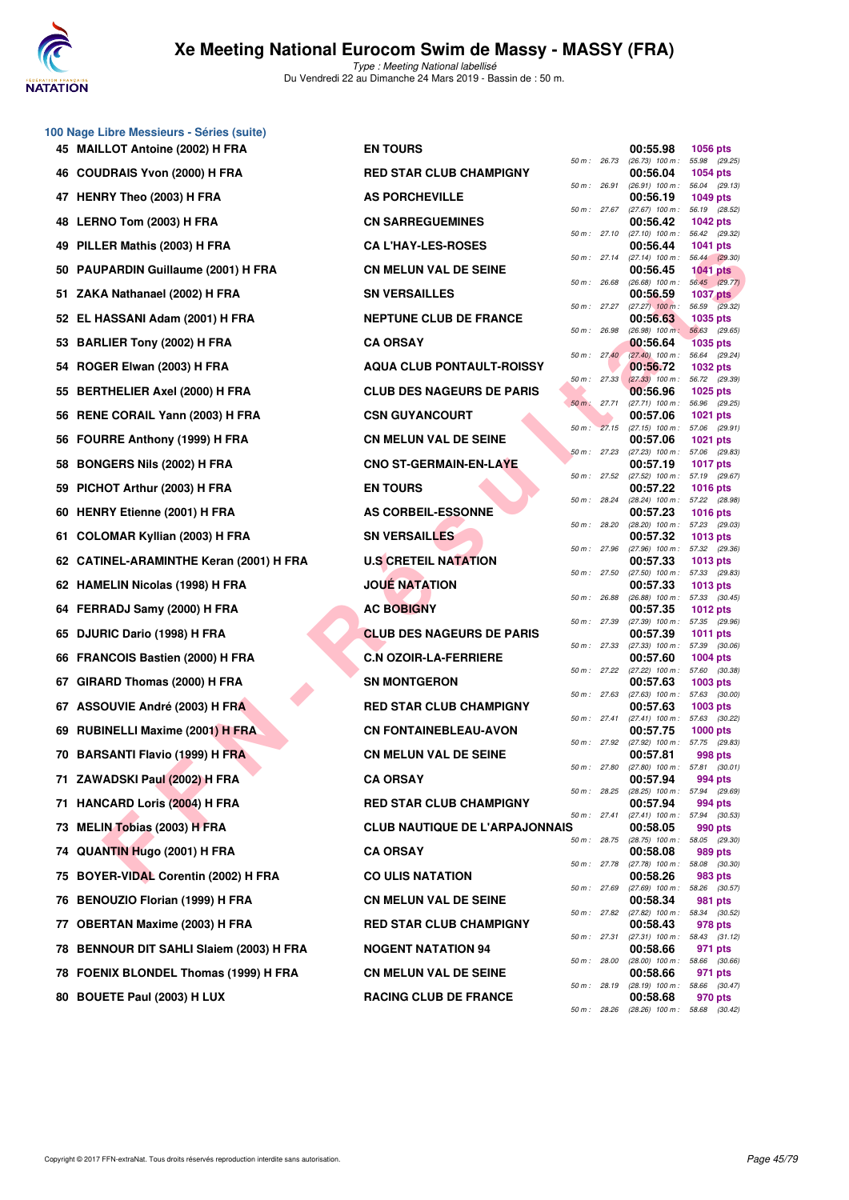

|    | 100 Nage Libre Messieurs - Séries (suite) |                                       |                |              |                                          |                        |
|----|-------------------------------------------|---------------------------------------|----------------|--------------|------------------------------------------|------------------------|
|    | 45 MAILLOT Antoine (2002) H FRA           | <b>EN TOURS</b>                       |                | 50 m : 26.73 | 00:55.98<br>$(26.73)$ 100 m :            | 1056 pts<br>55.98 (29. |
|    | 46 COUDRAIS Yvon (2000) H FRA             | <b>RED STAR CLUB CHAMPIGNY</b>        |                |              | 00:56.04                                 | 1054 pts               |
|    | 47 HENRY Theo (2003) H FRA                | <b>AS PORCHEVILLE</b>                 |                | 50 m : 26.91 | (26.91) 100 m :<br>00:56.19              | 56.04 (29.<br>1049 pts |
|    | 48 LERNO Tom (2003) H FRA                 | <b>CN SARREGUEMINES</b>               | 50 m: 27.67    |              | (27.67) 100 m: 56.19 (28.<br>00:56.42    | 1042 pts               |
|    | 49 PILLER Mathis (2003) H FRA             | <b>CA L'HAY-LES-ROSES</b>             |                | 50 m: 27.10  | (27.10) 100 m: 56.42 (29.<br>00:56.44    | 1041 pts               |
|    | 50 PAUPARDIN Guillaume (2001) H FRA       | <b>CN MELUN VAL DE SEINE</b>          |                | 50 m: 27.14  | (27.14) 100 m: 56.44 (29.<br>00:56.45    | <b>1041 pts</b>        |
|    | 51 ZAKA Nathanael (2002) H FRA            | <b>SN VERSAILLES</b>                  |                | 50 m: 26.68  | (26.68) 100 m : 56.45 (29.<br>00:56.59   | <b>1037 pts</b>        |
|    | 52 EL HASSANI Adam (2001) H FRA           | <b>NEPTUNE CLUB DE FRANCE</b>         |                | 50 m : 27.27 | $(27.27)$ 100 m :<br>00:56.63            | 56.59 (29.<br>1035 pts |
|    | 53 BARLIER Tony (2002) H FRA              | <b>CA ORSAY</b>                       | 50 m : 26.98   |              | (26.98) 100 m : 56.63 (29.<br>00:56.64   | <b>1035 pts</b>        |
|    | 54 ROGER Elwan (2003) H FRA               | <b>AQUA CLUB PONTAULT-ROISSY</b>      |                | 50 m: 27.40  | (27.40) 100 m: 56.64 (29.<br>00:56.72    | 1032 pts               |
|    | 55 BERTHELIER Axel (2000) H FRA           | <b>CLUB DES NAGEURS DE PARIS</b>      |                | 50 m: 27.33  | $(27.33)$ 100 m : 56.72 (29.<br>00:56.96 | 1025 pts               |
|    | 56 RENE CORAIL Yann (2003) H FRA          | <b>CSN GUYANCOURT</b>                 | $50 m$ : 27.71 |              | (27.71) 100 m: 56.96 (29.<br>00:57.06    | 1021 pts               |
|    | 56 FOURRE Anthony (1999) H FRA            | <b>CN MELUN VAL DE SEINE</b>          |                | 50 m: 27.15  | $(27.15)$ 100 m : 57.06 (29.<br>00:57.06 | 1021 pts               |
| 58 | <b>BONGERS Nils (2002) H FRA</b>          | <b>CNO ST-GERMAIN-EN-LAYE</b>         |                | 50 m: 27.23  | (27.23) 100 m: 57.06 (29.<br>00:57.19    | <b>1017 pts</b>        |
|    | 59 PICHOT Arthur (2003) H FRA             |                                       |                | 50 m : 27.52 | (27.52) 100 m: 57.19 (29.                |                        |
|    |                                           | <b>EN TOURS</b>                       | 50 m : 28.24   |              | 00:57.22<br>(28.24) 100 m: 57.22 (28.    | <b>1016 pts</b>        |
|    | 60 HENRY Etienne (2001) H FRA             | <b>AS CORBEIL-ESSONNE</b>             | 50 m: 28.20    |              | 00:57.23<br>(28.20) 100 m: 57.23 (29.    | <b>1016</b> pts        |
|    | 61 COLOMAR Kyllian (2003) H FRA           | <b>SN VERSAILLES</b>                  | 50 m: 27.96    |              | 00:57.32<br>(27.96) 100 m : 57.32 (29.   | <b>1013 pts</b>        |
|    | 62 CATINEL-ARAMINTHE Keran (2001) H FRA   | <b>U.S CRETEIL NATATION</b>           |                | 50 m: 27.50  | 00:57.33<br>(27.50) 100 m: 57.33 (29.    | 1013 pts               |
|    | 62 HAMELIN Nicolas (1998) H FRA           | <b>JOUÉ NATATION</b>                  |                | 50 m : 26.88 | 00:57.33<br>(26.88) 100 m: 57.33 (30.    | 1013 pts               |
|    | 64 FERRADJ Samy (2000) H FRA              | <b>AC BOBIGNY</b>                     | 50 m: 27.39    |              | 00:57.35<br>(27.39) 100 m: 57.35 (29.    | <b>1012 pts</b>        |
|    | 65 DJURIC Dario (1998) H FRA              | <b>CLUB DES NAGEURS DE PARIS</b>      | 50 m: 27.33    |              | 00:57.39<br>(27.33) 100 m: 57.39 (30.    | 1011 pts               |
|    | 66 FRANCOIS Bastien (2000) H FRA          | <b>C.N OZOIR-LA-FERRIERE</b>          | 50 m: 27.22    |              | 00:57.60<br>(27.22) 100 m: 57.60 (30.    | 1004 pts               |
|    | 67 GIRARD Thomas (2000) H FRA             | <b>SN MONTGERON</b>                   | 50 m: 27.63    |              | 00:57.63<br>(27.63) 100 m: 57.63 (30.    | 1003 pts               |
|    | 67 ASSOUVIE André (2003) H FRA            | <b>RED STAR CLUB CHAMPIGNY</b>        |                |              | 00:57.63                                 | 1003 pts               |
|    | 69 RUBINELLI Maxime (2001) H FRA          | <b>CN FONTAINEBLEAU-AVON</b>          |                | 50 m: 27.41  | $(27.41)$ 100 m : 57.63 (30.<br>00:57.75 | <b>1000 pts</b>        |
|    | 70 BARSANTI Flavio (1999) H FRA           | <b>CN MELUN VAL DE SEINE</b>          |                | 50 m: 27.92  | (27.92) 100 m : 57.75 (29.<br>00:57.81   | 998 pts                |
|    | 71 ZAWADSKI Paul (2002) H FRA             | <b>CA ORSAY</b>                       |                |              | 50 m : 27.80 (27.80) 100 m :<br>00:57.94 | 57.81 (30.<br>994 pts  |
|    | 71 HANCARD Loris (2004) H FRA             | <b>RED STAR CLUB CHAMPIGNY</b>        |                | 50 m : 28.25 | (28.25) 100 m: 57.94 (29.<br>00:57.94    | 994 pts                |
|    | 73 MELIN Tobias (2003) H FRA              | <b>CLUB NAUTIQUE DE L'ARPAJONNAIS</b> |                | 50 m: 27.41  | $(27.41)$ 100 m : 57.94 (30.<br>00:58.05 | 990 pts                |
|    | 74 QUANTIN Hugo (2001) H FRA              | <b>CA ORSAY</b>                       |                | 50 m : 28.75 | (28.75) 100 m: 58.05 (29.<br>00:58.08    | 989 pts                |
|    | 75 BOYER-VIDAL Corentin (2002) H FRA      | <b>CO ULIS NATATION</b>               |                | 50 m : 27.78 | $(27.78)$ 100 m : 58.08 (30.<br>00:58.26 | 983 pts                |
|    | 76 BENOUZIO Florian (1999) H FRA          | <b>CN MELUN VAL DE SEINE</b>          |                | 50 m: 27.69  | $(27.69)$ 100 m : 58.26 (30.<br>00:58.34 | 981 pts                |
|    | 77 OBERTAN Maxime (2003) H FRA            | <b>RED STAR CLUB CHAMPIGNY</b>        |                | 50 m : 27.82 | (27.82) 100 m: 58.34 (30.<br>00:58.43    | 978 pts                |
|    | 78 BENNOUR DIT SAHLI Slaiem (2003) H FRA  | <b>NOGENT NATATION 94</b>             |                | 50 m: 27.31  | (27.31) 100 m: 58.43 (31.<br>00:58.66    | 971 pts                |
|    | 78 FOENIX BLONDEL Thomas (1999) H FRA     | <b>CN MELUN VAL DE SEINE</b>          | 50 m: 28.00    |              | $(28.00)$ 100 m : 58.66 (30.<br>00:58.66 | 971 pts                |
|    | 80 BOUETE Paul (2003) H LUX               | <b>RACING CLUB DE FRANCE</b>          |                | 50 m: 28.19  | (28.19) 100 m: 58.66 (30.                |                        |
|    |                                           |                                       |                |              | 00:58.68                                 | 970 pts                |

| .ibre Messieurs - Séries (suite)<br>LOT Antoine (2002) H FRA | <b>EN TOURS</b>                       |                | 00:55.98                                               | 1056 pts                                         |
|--------------------------------------------------------------|---------------------------------------|----------------|--------------------------------------------------------|--------------------------------------------------|
|                                                              |                                       | 50 m : 26.73   | $(26.73)$ 100 m :                                      | 55.98 (29.25)                                    |
| DRAIS Yvon (2000) H FRA                                      | <b>RED STAR CLUB CHAMPIGNY</b>        | 50 m : 26.91   | 00:56.04                                               | 1054 pts<br>$(26.91)$ 100 m : 56.04 $(29.13)$    |
| RY Theo (2003) H FRA                                         | <b>AS PORCHEVILLE</b>                 |                | 00:56.19<br>50 m: 27.67 (27.67) 100 m: 56.19 (28.52)   | 1049 pts                                         |
| NO Tom (2003) H FRA                                          | <b>CN SARREGUEMINES</b>               |                | 00:56.42<br>50 m : 27.10 (27.10) 100 m :               | <b>1042 pts</b><br>56.42 (29.32)                 |
| ER Mathis (2003) H FRA                                       | <b>CA L'HAY-LES-ROSES</b>             |                | 00:56.44                                               | <b>1041 pts</b>                                  |
| PARDIN Guillaume (2001) H FRA                                | <b>CN MELUN VAL DE SEINE</b>          |                | 50 m : 27.14 (27.14) 100 m :<br>00:56.45               | 56.44 (29.30)<br><b>1041 pts</b>                 |
| A Nathanael (2002) H FRA                                     | <b>SN VERSAILLES</b>                  | 50 m: 26.68    | $(26.68)$ 100 m :<br>00:56.59                          | 56.45 (29.77)<br>1037 $p$ ts                     |
| IASSANI Adam (2001) H FRA                                    | <b>NEPTUNE CLUB DE FRANCE</b>         | 50 m : 27.27   | $(27.27)$ 100 m :<br>00:56.63                          | 56.59 (29.32)<br><b>1035 pts</b>                 |
| LIER Tony (2002) H FRA                                       | <b>CA ORSAY</b>                       | 50 m : 26.98   | $(26.98)$ 100 m :<br>00:56.64                          | 56.63 (29.65)<br><b>1035 pts</b>                 |
| ER Elwan (2003) H FRA                                        | <b>AQUA CLUB PONTAULT-ROISSY</b>      |                | 50 m : 27.40 (27.40) 100 m : 56.64 (29.24)<br>00:56.72 | <b>1032 pts</b>                                  |
| THELIER Axel (2000) H FRA                                    | <b>CLUB DES NAGEURS DE PARIS</b>      |                | 50 m : 27.33 (27.33) 100 m :<br>00:56.96               | 56.72 (29.39)<br><b>1025 pts</b>                 |
| E CORAIL Yann (2003) H FRA                                   | <b>CSN GUYANCOURT</b>                 | $50 m$ : 27.71 | (27.71) 100 m :<br>00:57.06                            | 56.96 (29.25)<br>1021 $pts$                      |
| RRE Anthony (1999) H FRA                                     | <b>CN MELUN VAL DE SEINE</b>          |                | 50 m: 27.15 (27.15) 100 m: 57.06 (29.91)<br>00:57.06   | 1021 $pts$                                       |
|                                                              |                                       | 50 m : 27.23   | $(27.23)$ 100 m :                                      | 57.06 (29.83)                                    |
| <b>GERS Nils (2002) H FRA</b>                                | <b>CNO ST-GERMAIN-EN-LAYE</b>         | 50 m : 27.52   | 00:57.19                                               | <b>1017 pts</b><br>(27.52) 100 m: 57.19 (29.67)  |
| IOT Arthur (2003) H FRA                                      | <b>EN TOURS</b>                       | 50 m : 28.24   | 00:57.22                                               | <b>1016 pts</b><br>(28.24) 100 m : 57.22 (28.98) |
| RY Etienne (2001) H FRA                                      | <b>AS CORBEIL-ESSONNE</b>             | 50 m : 28.20   | 00:57.23                                               | <b>1016 pts</b><br>(28.20) 100 m: 57.23 (29.03)  |
| OMAR Kyllian (2003) H FRA                                    | <b>SN VERSAILLES</b>                  |                | 00:57.32                                               | 1013 pts                                         |
| INEL-ARAMINTHE Keran (2001) H FRA                            | <b>U.S CRETEIL NATATION</b>           |                | 50 m : 27.96 (27.96) 100 m :<br>00:57.33               | 57.32 (29.36)<br>$1013$ pts                      |
| IELIN Nicolas (1998) H FRA                                   | <b>JOUÉ NATATION</b>                  | 50 m: 27.50    | 00:57.33                                               | (27.50) 100 m: 57.33 (29.83)<br>1013 $pts$       |
| RADJ Samy (2000) H FRA                                       | <b>AC BOBIGNY</b>                     | 50 m : 26.88   | 00:57.35                                               | $(26.88)$ 100 m : 57.33 $(30.45)$<br>1012 $pts$  |
| RIC Dario (1998) H FRA                                       | <b>CLUB DES NAGEURS DE PARIS</b>      | 50 m : 27.39   | $(27.39)$ 100 m :<br>00:57.39                          | 57.35 (29.96)<br>1011 pts                        |
| NCOIS Bastien (2000) H FRA                                   | <b>C.N OZOIR-LA-FERRIERE</b>          |                | 50 m : 27.33 (27.33) 100 m : 57.39 (30.06)<br>00:57.60 | 1004 $pts$                                       |
| <b>ARD Thomas (2000) H FRA</b>                               | <b>SN MONTGERON</b>                   |                | 50 m : 27.22 (27.22) 100 m :<br>00:57.63               | 57.60 (30.38)<br>$1003$ pts                      |
| <b>OUVIE André (2003) H FRA</b>                              | <b>RED STAR CLUB CHAMPIGNY</b>        | 50 m : 27.63   | $(27.63)$ 100 m :<br>00:57.63                          | 57.63 (30.00)<br>$1003$ pts                      |
| <b>INELLI Maxime (2001) H FRA</b>                            | <b>CN FONTAINEBLEAU-AVON</b>          |                | 50 m : 27.41 (27.41) 100 m :<br>00:57.75               | 57.63 (30.22)<br>$1000$ pts                      |
|                                                              |                                       | 50 m : 27.92   | (27.92) 100 m :                                        | 57.75 (29.83)                                    |
| <b>SANTI Flavio (1999) H FRA</b>                             | <b>CN MELUN VAL DE SEINE</b>          |                | 00:57.81<br>50 m : 27.80 (27.80) 100 m : 57.81 (30.01) | 998 pts                                          |
| 'ADSKI Paul (2002) H FRA                                     | <b>CA ORSAY</b>                       |                | 00:57.94<br>50 m: 28.25 (28.25) 100 m: 57.94 (29.69)   | 994 pts                                          |
| <b>CARD Loris (2004) H FRA</b>                               | <b>RED STAR CLUB CHAMPIGNY</b>        |                | 00:57.94<br>50 m : 27.41 (27.41) 100 m : 57.94 (30.53) | 994 pts                                          |
| IN Tobias (2003) H FRA                                       | <b>CLUB NAUTIQUE DE L'ARPAJONNAIS</b> |                | 00:58.05<br>50 m : 28.75 (28.75) 100 m : 58.05 (29.30) | 990 pts                                          |
| NTIN Hugo (2001) H FRA                                       | <b>CA ORSAY</b>                       |                | 00:58.08                                               | 989 pts                                          |
| ER-VIDAL Corentin (2002) H FRA                               | <b>CO ULIS NATATION</b>               |                | 50 m: 27.78 (27.78) 100 m: 58.08 (30.30)<br>00:58.26   | 983 pts                                          |
| OUZIO Florian (1999) H FRA                                   | <b>CN MELUN VAL DE SEINE</b>          | 50 m : 27.69   | 00:58.34                                               | $(27.69)$ 100 m : 58.26 $(30.57)$<br>981 pts     |
| RTAN Maxime (2003) H FRA                                     | <b>RED STAR CLUB CHAMPIGNY</b>        |                | 50 m : 27.82 (27.82) 100 m : 58.34 (30.52)<br>00:58.43 | 978 pts                                          |
| NOUR DIT SAHLI Slaiem (2003) H FRA                           | <b>NOGENT NATATION 94</b>             |                | 50 m: 27.31 (27.31) 100 m: 58.43 (31.12)<br>00:58.66   | 971 pts                                          |
| NIX BLONDEL Thomas (1999) H FRA                              | <b>CN MELUN VAL DE SEINE</b>          | 50 m : 28.00   | 00:58.66                                               | $(28.00)$ 100 m : 58.66 $(30.66)$<br>971 pts     |
| ETE Paul (2003) H LUX                                        | <b>RACING CLUB DE FRANCE</b>          |                | 50 m : 28.19 (28.19) 100 m : 58.66 (30.47)<br>00:58.68 | 970 pts                                          |
|                                                              |                                       | no no          | $(20.201 + 100 - m)$                                   |                                                  |

|          |       | 00:55.98          | 1056 pts         |
|----------|-------|-------------------|------------------|
| $50 m$ : | 26.73 | $(26.73)$ 100 m : | 55.98<br>(29.25) |
|          |       | 00:56.04          | 1054 pts         |
| 50 m :   | 26.91 | $(26.91)$ 100 m : | 56.04<br>(29.13) |
|          |       | 00:56.19          | 1049 pts         |
| 50 m :   | 27.67 | $(27.67)$ 100 m : | 56.19<br>(28.52) |
|          |       | 00:56.42          | 1042 pts         |
| $50 m$ : | 27.10 |                   |                  |
|          |       | $(27.10)$ 100 m : | 56.42<br>(29.32) |
|          |       | 00:56.44          | 1041<br>pts      |
| 50 m :   | 27.14 | $(27.14)$ 100 m : | 56.44<br>(29.30) |
|          |       | 00:56.45          | 1041<br>pts      |
| 50 m :   | 26.68 | $(26.68)$ 100 m : | (29.77)<br>56.45 |
|          |       | 00:56.59          | 1037<br>pts      |
| $50 m$ : | 27.27 | $(27.27)$ 100 m : | 56.59<br>(29.32) |
|          |       | 00:56.63          | 1035 pts         |
| 50 m :   | 26.98 | $(26.98)$ 100 m;  | 56.63<br>(29.65) |
|          |       | 00:56.64          | 1035 pts         |
| 50 m :   | 27.40 | $(27.40)$ 100 m : | 56.64<br>(29.24) |
|          |       | 00:56.72          | 1032 pts         |
| 50 m :   | 27.33 | $(27.33)$ 100 m : | (29.39)<br>56.72 |
|          |       | 00:56.96          | 1025 pts         |
| $50 m$ : | 27.71 | $(27.71)$ 100 m : | (29.25)<br>56.96 |
|          |       |                   |                  |
|          |       | 00:57.06          | 1021 pts         |
| 50 m :   | 27.15 | $(27.15)$ 100 m : | 57.06<br>(29.91) |
|          |       | 00:57.06          | 1021<br>pts      |
| $50 m$ : | 27.23 | $(27.23)$ 100 m : | 57.06<br>(29.83) |
|          |       | 00:57.19          | 1017 pts         |
| 50 m :   | 27.52 | $(27.52)$ 100 m : | (29.67)<br>57.19 |
|          |       | 00:57.22          | 1016 pts         |
| $50 m$ : | 28.24 | $(28.24)$ 100 m : | 57.22<br>(28.98) |
|          |       | 00:57.23          | 1016 pts         |
| $50 m$ : | 28.20 | $(28.20)$ 100 m : | (29.03)<br>57.23 |
|          |       | 00:57.32          | 1013 pts         |
| 50 m :   | 27.96 | $(27.96)$ 100 m : | (29.36)<br>57.32 |
|          |       | 00:57.33          |                  |
|          |       |                   | 1013 pts         |
| $50 m$ : | 27.50 | $(27.50)$ 100 m : | 57.33<br>(29.83) |
|          |       | 00:57.33          | 1013 pts         |
| $50 m$ : | 26.88 | $(26.88)$ 100 m : | 57.33<br>(30.45) |
|          |       | 00:57.35          | 1012 pts         |
| 50 m :   | 27.39 | $(27.39)$ 100 m : | 57.35<br>(29.96) |
|          |       | 00:57.39          | 1011<br>pts      |
| $50 m$ : | 27.33 | $(27.33)$ 100 m : | (30.06)<br>57.39 |
|          |       | 00:57.60          | 1004 pts         |
| 50 m :   | 27.22 | $(27.22)$ 100 m : | (30.38)<br>57.60 |
|          |       | 00:57.63          | 1003 pts         |
| $50 m$ : | 27.63 | $(27.63)$ 100 m : | (30.00)<br>57.63 |
|          |       | 00:57.63          | 1003 pts         |
| 50 m :   | 27.41 | $(27.41)$ 100 m : | (30.22)<br>57.63 |
|          |       | 00:57.75          | 1000 pts         |
| $50 m$ : | 27.92 | $(27.92)$ 100 m : | 57.75<br>(29.83) |
|          |       | 00:57.81          |                  |
|          |       |                   | 998 pts          |
| 50 m :   | 27.80 | $(27.80)$ 100 m : | 57.81<br>(30.01) |
|          |       | 00:57.94          | 994 pts          |
| 50 m :   | 28.25 | $(28.25)$ 100 m : | 57.94<br>(29.69) |
|          |       | 00:57.94          | 994 pts          |
| $50 m$ : | 27.41 | $(27.41)$ 100 m : | 57.94<br>(30.53) |
| IS       |       | 00:58.05          | 990 pts          |
| $50 m$ : | 28.75 | $(28.75)$ 100 m : | 58.05<br>(29.30) |
|          |       | 00:58.08          | 989 pts          |
| $50 m$ : | 27.78 | $(27.78)$ 100 m : | 58.08<br>(30.30) |
|          |       | 00:58.26          | 983<br>pts       |
| $50 m$ : | 27.69 | $(27.69)$ 100 m : | 58.26<br>(30.57) |
|          |       | 00:58.34          | 981<br>pts       |
| 50 m:    | 27.82 | $(27.82)$ 100 m : | 58.34<br>(30.52) |
|          |       | 00:58.43          | 978 pts          |
|          | 27.31 |                   |                  |
| $50 m$ : |       | $(27.31)$ 100 m : | 58.43<br>(31.12) |
|          |       | 00:58.66          | 971<br>pts       |
| $50 m$ : | 28.00 | $(28.00)$ 100 m : | (30.66)<br>58.66 |
|          |       | 00:58.66          | 971<br>pts       |
| $50 m$ : | 28.19 | $(28.19)$ 100 m : | 58.66<br>(30.47) |
|          |       | 00:58.68          | 970 pts          |
| $50 m$ : | 28.26 | $(28.26)$ 100 m : | 58.68<br>(30.42) |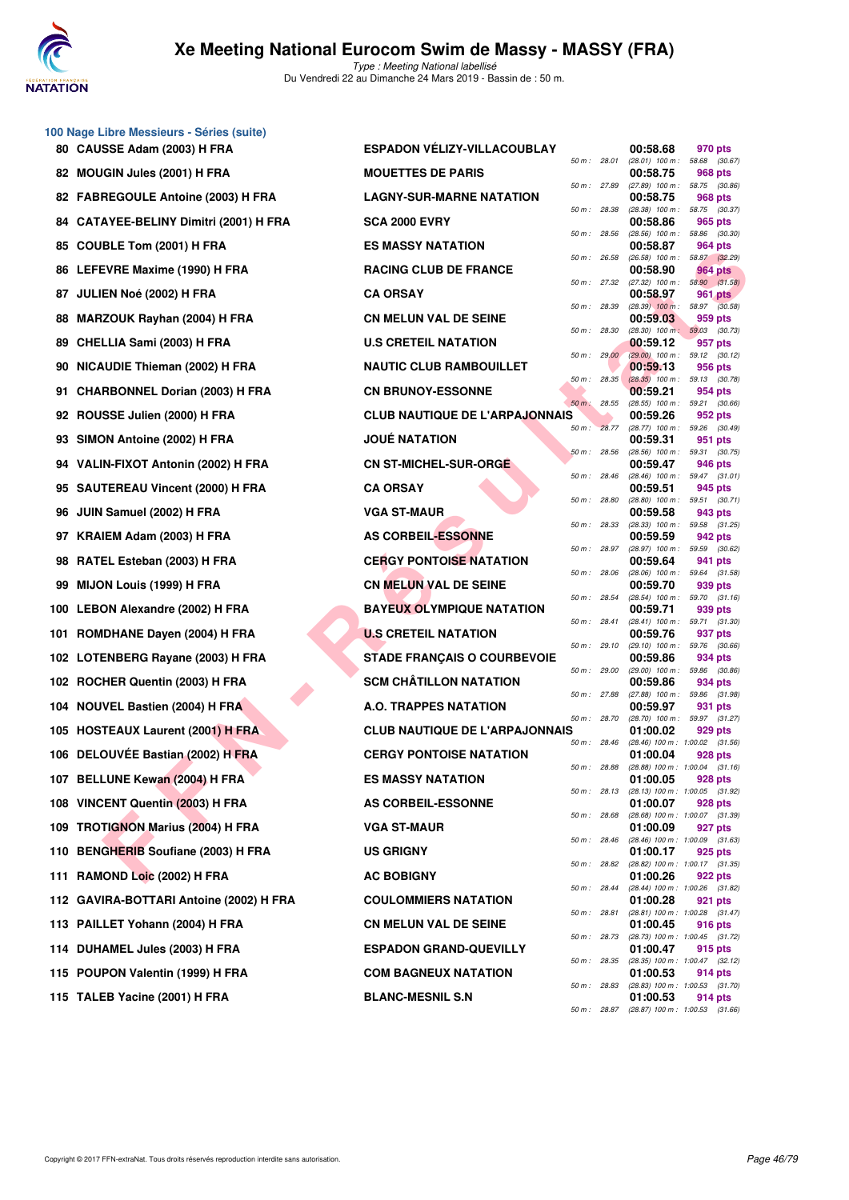

|    | 100 Nage Libre Messieurs - Séries (suite) |                                       |              |       |                                                 |                          |  |
|----|-------------------------------------------|---------------------------------------|--------------|-------|-------------------------------------------------|--------------------------|--|
|    | 80 CAUSSE Adam (2003) H FRA               | <b>ESPADON VELIZY-VILLACOUBLAY</b>    | 50 m: 28.01  |       | 00:58.68<br>$(28.01)$ 100 m : 58.68 $(30.67)$   | 970 pts                  |  |
|    | 82 MOUGIN Jules (2001) H FRA              | <b>MOUETTES DE PARIS</b>              | 50 m : 27.89 |       | 00:58.75<br>$(27.89)$ 100 m : 58.75 $(30.86)$   | 968 pts                  |  |
|    | 82 FABREGOULE Antoine (2003) H FRA        | <b>LAGNY-SUR-MARNE NATATION</b>       | 50 m : 28.38 |       | 00:58.75<br>$(28.38)$ 100 m : 58.75 $(30.37)$   | 968 pts                  |  |
|    | 84 CATAYEE-BELINY Dimitri (2001) H FRA    | <b>SCA 2000 EVRY</b>                  |              |       | 00:58.86                                        | 965 pts                  |  |
|    | 85 COUBLE Tom (2001) H FRA                | <b>ES MASSY NATATION</b>              | 50 m: 28.56  |       | $(28.56)$ 100 m :<br>00:58.87                   | 58.86 (30.30)<br>964 pts |  |
|    | 86 LEFEVRE Maxime (1990) H FRA            | <b>RACING CLUB DE FRANCE</b>          | 50 m: 26.58  |       | $(26.58)$ 100 m :<br>00:58.90                   | 58.87 (32.29)<br>964 pts |  |
|    | 87 JULIEN Noé (2002) H FRA                | <b>CA ORSAY</b>                       | 50 m : 27.32 |       | $(27.32)$ 100 m : 58.90 $(31.58)$<br>00:58.97   | 961 pts                  |  |
|    | 88 MARZOUK Rayhan (2004) H FRA            | <b>CN MELUN VAL DE SEINE</b>          | 50 m : 28.39 |       | $(28.39)$ 100 m : 58.97 $(30.58)$<br>00:59.03   | 959 pts                  |  |
|    | 89 CHELLIA Sami (2003) H FRA              | <b>U.S CRETEIL NATATION</b>           | 50 m : 28.30 |       | $(28.30)$ 100 m : 59.03 $(30.73)$<br>00:59.12   | 957 pts                  |  |
|    | 90 NICAUDIE Thieman (2002) H FRA          | <b>NAUTIC CLUB RAMBOUILLET</b>        | 50 m: 29.00  |       | $(29.00)$ 100 m : 59.12 $(30.12)$<br>00:59.13   | 956 pts                  |  |
| 91 | <b>CHARBONNEL Dorian (2003) H FRA</b>     | <b>CN BRUNOY-ESSONNE</b>              | 50 m: 28.35  |       | $(28.35)$ 100 m : 59.13 $(30.78)$<br>00:59.21   | 954 pts                  |  |
|    | 92 ROUSSE Julien (2000) H FRA             | <b>CLUB NAUTIQUE DE L'ARPAJONNAIS</b> | $50 m$ :     | 28.55 | (28.55) 100 m : 59.21 (30.66)<br>00:59.26       | 952 pts                  |  |
| 93 | SIMON Antoine (2002) H FRA                | <b>JOUÉ NATATION</b>                  | 50 m: 28.77  |       | (28.77) 100 m: 59.26 (30.49)<br>00:59.31        | 951 pts                  |  |
|    | 94 VALIN-FIXOT Antonin (2002) H FRA       | <b>CN ST-MICHEL-SUR-ORGE</b>          | 50 m: 28.56  |       | (28.56) 100 m : 59.31 (30.75)<br>00:59.47       | 946 pts                  |  |
|    | 95 SAUTEREAU Vincent (2000) H FRA         | <b>CA ORSAY</b>                       | 50 m: 28.46  |       | $(28.46)$ 100 m : 59.47 $(31.01)$<br>00:59.51   | 945 pts                  |  |
|    | 96 JUIN Samuel (2002) H FRA               | <b>VGA ST-MAUR</b>                    | 50 m : 28.80 |       | $(28.80)$ 100 m : 59.51 $(30.71)$<br>00:59.58   | 943 pts                  |  |
|    | 97 KRAIEM Adam (2003) H FRA               | <b>AS CORBEIL-ESSONNE</b>             | 50 m: 28.33  |       | (28.33) 100 m: 59.58 (31.25)<br>00:59.59        | 942 pts                  |  |
|    | 98 RATEL Esteban (2003) H FRA             | <b>CERGY PONTOISE NATATION</b>        | 50 m: 28.97  |       | (28.97) 100 m :<br>00:59.64                     | 59.59 (30.62)<br>941 pts |  |
| 99 | <b>MIJON Louis (1999) H FRA</b>           | <b>CN MELUN VAL DE SEINE</b>          | 50 m: 28.06  |       | $(28.06)$ 100 m : 59.64 $(31.58)$<br>00:59.70   | 939 pts                  |  |
|    | 100 LEBON Alexandre (2002) H FRA          | <b>BAYEUX OLYMPIQUE NATATION</b>      | 50 m : 28.54 |       | $(28.54)$ 100 m : 59.70 $(31.16)$<br>00:59.71   | 939 pts                  |  |
|    | 101 ROMDHANE Dayen (2004) H FRA           | <b>U.S CRETEIL NATATION</b>           | 50 m: 28.41  |       | $(28.41)$ 100 m : 59.71 $(31.30)$<br>00:59.76   | 937 pts                  |  |
|    | 102 LOTENBERG Rayane (2003) H FRA         | <b>STADE FRANÇAIS O COURBEVOIE</b>    | 50 m: 29.10  |       | $(29.10)$ 100 m : 59.76 $(30.66)$<br>00:59.86   | 934 pts                  |  |
|    | 102 ROCHER Quentin (2003) H FRA           | <b>SCM CHÂTILLON NATATION</b>         | 50 m: 29.00  |       | $(29.00)$ 100 m :<br>00:59.86                   | 59.86 (30.86)<br>934 pts |  |
|    | 104 NOUVEL Bastien (2004) H FRA           | A.O. TRAPPES NATATION                 | 50 m : 27.88 |       | (27.88) 100 m: 59.86 (31.98)<br>00:59.97        | 931 pts                  |  |
|    | 105 HOSTEAUX Laurent (2001) H FRA         | <b>CLUB NAUTIQUE DE L'ARPAJONNAIS</b> | 50 m : 28.70 |       | (28.70) 100 m: 59.97 (31.27)<br>01:00.02        | 929 pts                  |  |
|    | 106 DELOUVÉE Bastian (2002) H FRA         | <b>CERGY PONTOISE NATATION</b>        | 50 m: 28.46  |       | $(28.46)$ 100 m : 1:00.02 $(31.56)$<br>01:00.04 | 928 pts                  |  |
|    | 107 BELLUNE Kewan (2004) H FRA            | <b>ES MASSY NATATION</b>              | 50 m : 28.88 |       | $(28.88)$ 100 m : 1:00.04 $(31.16)$<br>01:00.05 | 928 pts                  |  |
|    | 108 VINCENT Quentin (2003) H FRA          | <b>AS CORBEIL-ESSONNE</b>             | 50 m: 28.13  |       | (28.13) 100 m: 1:00.05 (31.92)<br>01:00.07      | 928 pts                  |  |
|    | 109 TROTIGNON Marius (2004) H FRA         | <b>VGA ST-MAUR</b>                    | 50 m : 28.68 |       | (28.68) 100 m : 1:00.07 (31.39)<br>01:00.09     | 927 pts                  |  |
|    | 110 BENGHERIB Soufiane (2003) H FRA       | <b>US GRIGNY</b>                      | 50 m: 28.46  |       | (28.46) 100 m: 1:00.09 (31.63)<br>01:00.17      | 925 pts                  |  |
|    | 111 RAMOND Loic (2002) H FRA              | <b>AC BOBIGNY</b>                     | 50 m : 28.82 |       | (28.82) 100 m: 1:00.17 (31.35)<br>01:00.26      | 922 pts                  |  |
|    | 112 GAVIRA-BOTTARI Antoine (2002) H FRA   | <b>COULOMMIERS NATATION</b>           | 50 m : 28.44 |       | (28.44) 100 m: 1:00.26 (31.82)<br>01:00.28      | 921 pts                  |  |
|    | 113 PAILLET Yohann (2004) H FRA           | <b>CN MELUN VAL DE SEINE</b>          | 50 m : 28.81 |       | $(28.81)$ 100 m : 1:00.28 $(31.47)$<br>01:00.45 | 916 pts                  |  |
|    | 114 DUHAMEL Jules (2003) H FRA            | <b>ESPADON GRAND-QUEVILLY</b>         | 50 m : 28.73 |       | (28.73) 100 m : 1:00.45 (31.72)<br>01:00.47     | 915 pts                  |  |
|    | 115 POUPON Valentin (1999) H FRA          | <b>COM BAGNEUX NATATION</b>           | 50 m : 28.35 |       | (28.35) 100 m : 1:00.47 (32.12)<br>01:00.53     | 914 pts                  |  |
|    | 115 TALEB Yacine (2001) H FRA             | <b>BLANC-MESNIL S.N</b>               | 50 m : 28.83 |       | $(28.83)$ 100 m : 1:00.53 $(31.70)$<br>01:00.53 | 914 pts                  |  |
|    |                                           |                                       | 50 m : 28.87 |       | $(28.87)$ 100 m : 1:00.53 $(31.66)$             |                          |  |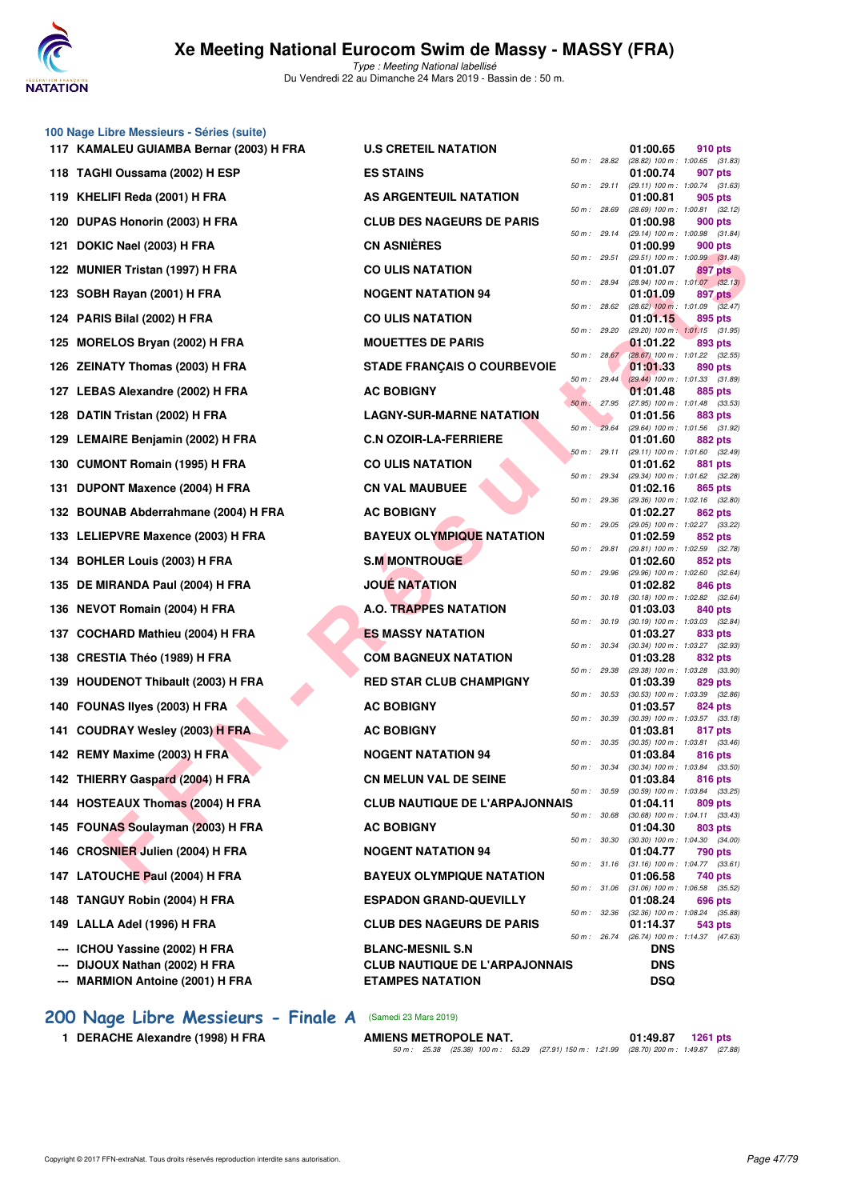

**100 Nage Libre Messieurs - Séries (suite)**

Type : Meeting National labellisé Du Vendredi 22 au Dimanche 24 Mars 2019 - Bassin de : 50 m.

**11.8 CRETEIL NATATION 11.00.65 910 pts 10.65 910 pts 60** *som: 88.82 eg.82 i00 m: i0.0.65 g1.8***</del>** 

|     | 117 KAMALEU GUIAMBA Bernar (2003) H FRA | <b>U.S CRETEIL NATATION</b>           |              |              | 01:00.65   | 910 pts                                        |  |
|-----|-----------------------------------------|---------------------------------------|--------------|--------------|------------|------------------------------------------------|--|
|     | 118 TAGHI Oussama (2002) H ESP          | <b>ES STAINS</b>                      | 50 m : 28.82 |              | 01:00.74   | $(28.82)$ 100 m : 1:00.65 $(31.83)$<br>907 pts |  |
|     | 119 KHELIFI Reda (2001) H FRA           | AS ARGENTEUIL NATATION                |              | 50 m : 29.11 | 01:00.81   | (29.11) 100 m: 1:00.74 (31.63)<br>905 pts      |  |
|     | 120 DUPAS Honorin (2003) H FRA          | <b>CLUB DES NAGEURS DE PARIS</b>      |              | 50 m : 28.69 | 01:00.98   | (28.69) 100 m: 1:00.81 (32.12)<br>900 pts      |  |
| 121 | DOKIC Nael (2003) H FRA                 | <b>CN ASNIÈRES</b>                    |              | 50 m : 29.14 | 01:00.99   | (29.14) 100 m: 1:00.98 (31.84)<br>900 pts      |  |
|     | 122 MUNIER Tristan (1997) H FRA         | <b>CO ULIS NATATION</b>               |              | 50 m : 29.51 | 01:01.07   | $(29.51)$ 100 m : 1:00.99 $(31.48)$<br>897 pts |  |
|     | 123 SOBH Rayan (2001) H FRA             | <b>NOGENT NATATION 94</b>             | 50 m : 28.94 |              | 01:01.09   | $(28.94)$ 100 m : 1:01.07 $(32.13)$<br>897 pts |  |
|     | 124 PARIS Bilal (2002) H FRA            | <b>CO ULIS NATATION</b>               |              | 50 m : 28.62 | 01:01.15   | $(28.62)$ 100 m : 1:01.09 $(32.47)$<br>895 pts |  |
|     | 125 MORELOS Bryan (2002) H FRA          | <b>MOUETTES DE PARIS</b>              | 50 m: 29.20  |              | 01:01.22   | (29.20) 100 m: 1:01.15 (31.95)<br>893 pts      |  |
|     |                                         |                                       |              | 50 m: 28.67  |            | (28.67) 100 m : 1:01.22 (32.55)                |  |
|     | 126 ZEINATY Thomas (2003) H FRA         | <b>STADE FRANÇAIS O COURBEVOIE</b>    |              | 50 m: 29.44  | 01:01.33   | 890 pts<br>$(29.44)$ 100 m : 1:01.33 $(31.89)$ |  |
|     | 127 LEBAS Alexandre (2002) H FRA        | <b>AC BOBIGNY</b>                     | 50 m: 27.95  |              | 01:01.48   | 885 pts<br>(27.95) 100 m : 1:01.48 (33.53)     |  |
|     | 128 DATIN Tristan (2002) H FRA          | <b>LAGNY-SUR-MARNE NATATION</b>       | 50 m : 29.64 |              | 01:01.56   | 883 pts<br>(29.64) 100 m: 1:01.56 (31.92)      |  |
|     | 129 LEMAIRE Benjamin (2002) H FRA       | <b>C.N OZOIR-LA-FERRIERE</b>          |              | 50 m : 29.11 | 01:01.60   | 882 pts<br>(29.11) 100 m : 1:01.60 (32.49)     |  |
|     | 130 CUMONT Romain (1995) H FRA          | <b>CO ULIS NATATION</b>               |              | 50 m : 29.34 | 01:01.62   | 881 pts<br>(29.34) 100 m: 1:01.62 (32.28)      |  |
|     | 131 DUPONT Maxence (2004) H FRA         | <b>CN VAL MAUBUEE</b>                 | 50 m : 29.36 |              | 01:02.16   | 865 pts<br>(29.36) 100 m: 1:02.16 (32.80)      |  |
|     | 132 BOUNAB Abderrahmane (2004) H FRA    | <b>AC BOBIGNY</b>                     |              |              | 01:02.27   | 862 pts                                        |  |
|     | 133 LELIEPVRE Maxence (2003) H FRA      | <b>BAYEUX OLYMPIQUE NATATION</b>      |              | 50 m : 29.05 | 01:02.59   | (29.05) 100 m : 1:02.27 (33.22)<br>852 pts     |  |
|     | 134 BOHLER Louis (2003) H FRA           | <b>S.M MONTROUGE</b>                  |              | 50 m : 29.81 | 01:02.60   | (29.81) 100 m: 1:02.59 (32.78)<br>852 pts      |  |
|     | 135 DE MIRANDA Paul (2004) H FRA        | <b>JOUE NATATION</b>                  | 50 m : 29.96 |              | 01:02.82   | (29.96) 100 m: 1:02.60 (32.64)<br>846 pts      |  |
|     | 136 NEVOT Romain (2004) H FRA           | <b>A.O. TRAPPES NATATION</b>          | 50 m : 30.18 |              | 01:03.03   | $(30.18)$ 100 m : 1:02.82 $(32.64)$<br>840 pts |  |
|     | 137 COCHARD Mathieu (2004) H FRA        | <b>ES MASSY NATATION</b>              | 50 m : 30.19 |              | 01:03.27   | $(30.19)$ 100 m : 1:03.03 $(32.84)$<br>833 pts |  |
|     | 138 CRESTIA Théo (1989) H FRA           | <b>COM BAGNEUX NATATION</b>           |              | 50 m : 30.34 | 01:03.28   | (30.34) 100 m: 1:03.27 (32.93)<br>832 pts      |  |
|     | 139 HOUDENOT Thibault (2003) H FRA      | <b>RED STAR CLUB CHAMPIGNY</b>        | 50 m : 29.38 |              | 01:03.39   | (29.38) 100 m : 1:03.28 (33.90)<br>829 pts     |  |
|     | 140 FOUNAS liyes (2003) H FRA           | <b>AC BOBIGNY</b>                     | 50 m : 30.53 |              | 01:03.57   | $(30.53)$ 100 m : 1:03.39 $(32.86)$<br>824 pts |  |
|     |                                         | <b>AC BOBIGNY</b>                     | 50 m : 30.39 |              | 01:03.81   | $(30.39)$ 100 m : 1:03.57 $(33.18)$<br>817 pts |  |
|     | 141 COUDRAY Wesley (2003) H FRA         |                                       | 50 m : 30.35 |              |            | $(30.35)$ 100 m : 1:03.81 $(33.46)$            |  |
|     | 142 REMY Maxime (2003) H FRA            | <b>NOGENT NATATION 94</b>             | 50 m : 30.34 |              | 01:03.84   | 816 pts<br>$(30.34)$ 100 m : 1:03.84 $(33.50)$ |  |
|     | 142 THIERRY Gaspard (2004) H FRA        | <b>CN MELUN VAL DE SEINE</b>          |              | 50 m : 30.59 | 01:03.84   | 816 pts<br>$(30.59)$ 100 m : 1:03.84 $(33.25)$ |  |
|     | 144 HOSTEAUX Thomas (2004) H FRA        | <b>CLUB NAUTIQUE DE L'ARPAJONNAIS</b> |              | 50 m : 30.68 | 01:04.11   | 809 pts<br>$(30.68)$ 100 m : 1:04.11 $(33.43)$ |  |
|     | 145 FOUNAS Soulayman (2003) H FRA       | <b>AC BOBIGNY</b>                     |              | 50 m : 30.30 | 01:04.30   | 803 pts<br>$(30.30)$ 100 m : 1:04.30 $(34.00)$ |  |
| 146 | <b>CROSNIER Julien (2004) H FRA</b>     | <b>NOGENT NATATION 94</b>             | 50 m : 31.16 |              | 01:04.77   | 790 pts<br>$(31.16)$ 100 m : 1:04.77 $(33.61)$ |  |
|     | 147 LATOUCHE Paul (2004) H FRA          | <b>BAYEUX OLYMPIQUE NATATION</b>      |              | 50 m : 31.06 | 01:06.58   | 740 pts<br>$(31.06)$ 100 m : 1:06.58 $(35.52)$ |  |
|     | 148 TANGUY Robin (2004) H FRA           | <b>ESPADON GRAND-QUEVILLY</b>         |              |              | 01:08.24   | 696 pts                                        |  |
| 149 | LALLA Adel (1996) H FRA                 | <b>CLUB DES NAGEURS DE PARIS</b>      |              | 50 m : 32.36 | 01:14.37   | (32.36) 100 m: 1:08.24 (35.88)<br>543 pts      |  |
| --- | ICHOU Yassine (2002) H FRA              | <b>BLANC-MESNIL S.N</b>               |              | 50 m : 26.74 | <b>DNS</b> | (26.74) 100 m: 1:14.37 (47.63)                 |  |
| --- | DIJOUX Nathan (2002) H FRA              | <b>CLUB NAUTIQUE DE L'ARPAJONNAIS</b> |              |              | <b>DNS</b> |                                                |  |
|     | <b>MARMION Antoine (2001) H FRA</b>     | <b>ETAMPES NATATION</b>               |              |              | DSQ        |                                                |  |

- **[200 Nage Libre Messieurs Finale A](http://www.ffnatation.fr/webffn/resultats.php?idact=nat&go=epr&idcpt=57649&idepr=53)** (Samedi 23 Mars 2019)
	- **1 DERACHE Alexandre (1998) H FRA**

| <b>A.O. TRAPPES NATATION</b>          |        |                  | 01:03.03 840 pts                                             |                |  |
|---------------------------------------|--------|------------------|--------------------------------------------------------------|----------------|--|
|                                       |        |                  | 50 m: 30.19 (30.19) 100 m: 1:03.03 (32.8                     |                |  |
| <b>ES MASSY NATATION</b>              |        | 50 m: 30.34      | 01:03.27 833 pts<br>(30.34) 100 m: 1:03.27 (32.9             |                |  |
| <b>COM BAGNEUX NATATION</b>           |        |                  | 01:03.28                                                     | <b>832 pts</b> |  |
|                                       |        | 50 m : 29.38     | (29.38) 100 m: 1:03.28 (33.9                                 |                |  |
| <b>RED STAR CLUB CHAMPIGNY</b>        |        |                  | 01:03.39                                                     | 829 pts        |  |
|                                       |        | 50 m : 30.53     | (30.53) 100 m: 1:03.39 (32.8                                 |                |  |
| <b>AC BOBIGNY</b>                     |        |                  | 01:03.57                                                     | 824 pts        |  |
|                                       | 50 m : | 30.39            | (30.39) 100 m: 1:03.57 (33.1                                 |                |  |
| <b>AC BOBIGNY</b>                     |        |                  | 01:03.81                                                     | 817 pts        |  |
| <b>NOGENT NATATION 94</b>             |        |                  | 50 m: 30.35 (30.35) 100 m: 1:03.81 (33.4<br>01:03.84 816 pts |                |  |
|                                       |        | 50 m : 30.34     | (30.34) 100 m : 1:03.84 (33.5                                |                |  |
| <b>CN MELUN VAL DE SEINE</b>          |        |                  | 01:03.84 816 pts                                             |                |  |
|                                       |        | $50 m$ : $30.59$ | (30.59) 100 m: 1:03.84 (33.2                                 |                |  |
| <b>CLUB NAUTIQUE DE L'ARPAJONNAIS</b> |        |                  | 01:04.11                                                     | 809 pts        |  |
|                                       |        |                  | 50 m: 30.68 (30.68) 100 m: 1:04.11 (33.4                     |                |  |
| <b>AC BOBIGNY</b>                     |        |                  | 01:04.30                                                     | 803 pts        |  |
| <b>NOGENT NATATION 94</b>             | 50 m : | 30.30            | $(30.30)$ 100 m : 1:04.30 $(34.0)$                           |                |  |
|                                       |        |                  | 01:04.77<br>50 m: 31.16 (31.16) 100 m: 1:04.77 (33.6         | 790 pts        |  |
| <b>BAYEUX OLYMPIQUE NATATION</b>      |        |                  | 01:06.58 740 pts                                             |                |  |
|                                       |        | 50 m: 31.06      | $(31.06)$ 100 m : 1:06.58 $(35.5)$                           |                |  |
| <b>ESPADON GRAND-QUEVILLY</b>         |        |                  | 01:08.24                                                     | <b>696 pts</b> |  |
|                                       |        | 50 m: 32.36      | (32.36) 100 m : 1:08.24 (35.8                                |                |  |
| <b>CLUB DES NAGEURS DE PARIS</b>      |        |                  | 01:14.37 543 pts                                             |                |  |
|                                       |        |                  | 50 m: 26.74 (26.74) 100 m: 1:14.37 (47.6                     |                |  |
| <b>BLANC-MESNIL S.N</b>               |        |                  | <b>DNS</b>                                                   |                |  |
| <b>CLUB NAUTIQUE DE L'ARPAJONNAIS</b> |        |                  | <b>DNS</b>                                                   |                |  |
| <b>ETAMPES NATATION</b>               |        |                  | <b>DSQ</b>                                                   |                |  |
|                                       |        |                  |                                                              |                |  |
|                                       |        |                  |                                                              |                |  |

|  |  | AMIENS METROPOLE NAT. |                                                                                           | 01:49.87 1261 pts |  |
|--|--|-----------------------|-------------------------------------------------------------------------------------------|-------------------|--|
|  |  |                       | 50 m : 25.38 (25.38) 100 m : 53.29 (27.91) 150 m : 1:21.99 (28.70) 200 m : 1:49.87 (27.88 |                   |  |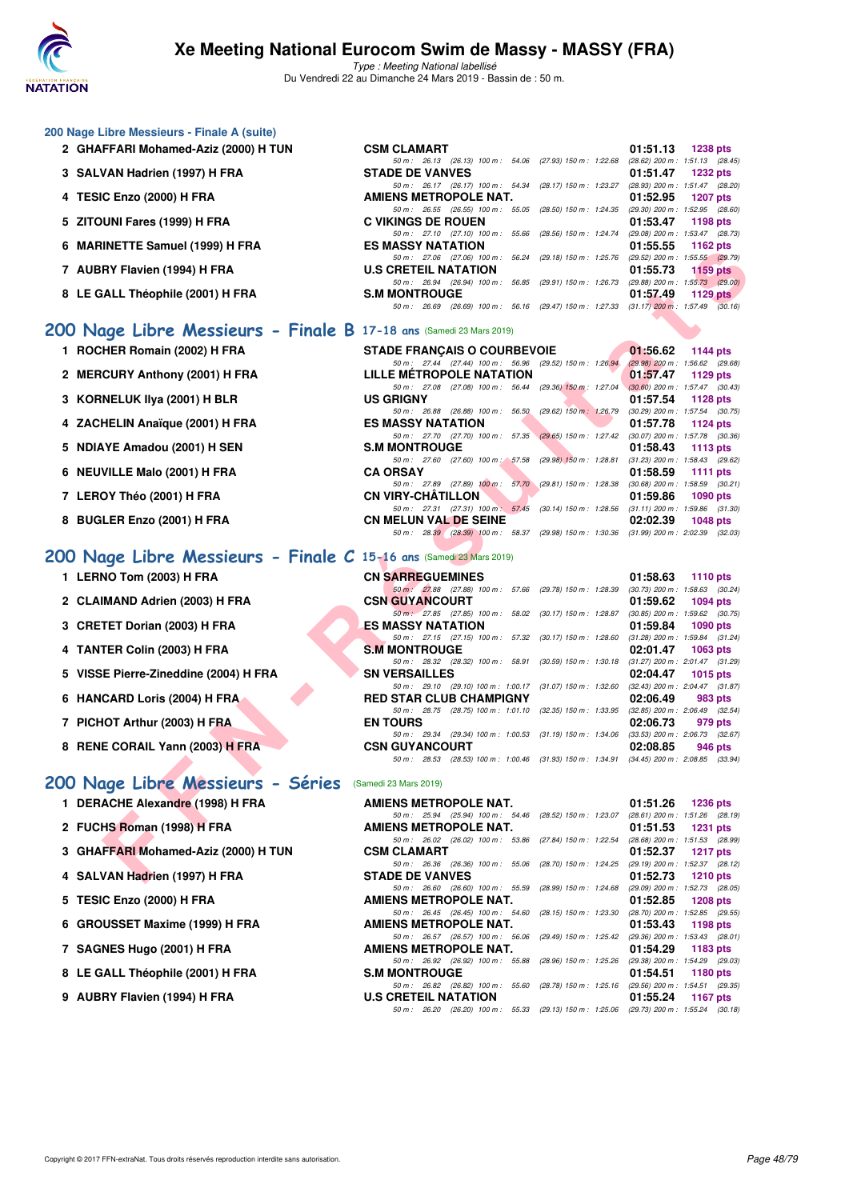

| 200 Nage Libre Messieurs - Finale A (suite)                         |                                                                                                                           |                                                                    |
|---------------------------------------------------------------------|---------------------------------------------------------------------------------------------------------------------------|--------------------------------------------------------------------|
| 2 GHAFFARI Mohamed-Aziz (2000) H TUN                                | <b>CSM CLAMART</b>                                                                                                        | 01:51.13<br><b>1238 pts</b>                                        |
| 3 SALVAN Hadrien (1997) H FRA                                       | 50 m: 26.13 (26.13) 100 m: 54.06 (27.93) 150 m: 1:22.68<br><b>STADE DE VANVES</b>                                         | $(28.62)$ 200 m : 1:51.13 $(28.45)$<br>01:51.47<br><b>1232 pts</b> |
| 4 TESIC Enzo (2000) H FRA                                           | 50 m : 26.17 (26.17) 100 m : 54.34 (28.17) 150 m : 1:23.27 (28.93) 200 m : 1:51.47 (28.20)<br>AMIENS METROPOLE NAT.       | 01:52.95<br><b>1207 pts</b>                                        |
| 5 ZITOUNI Fares (1999) H FRA                                        | 50 m : 26.55 (26.55) 100 m : 55.05 (28.50) 150 m : 1:24.35 (29.30) 200 m : 1:52.95 (28.60)<br><b>C VIKINGS DE ROUEN</b>   | 01:53.47<br>1198 pts                                               |
| 6 MARINETTE Samuel (1999) H FRA                                     | 50 m : 27.10 (27.10) 100 m : 55.66 (28.56) 150 m : 1:24.74<br><b>ES MASSY NATATION</b>                                    | (29.08) 200 m : 1:53.47 (28.73)<br>01:55.55<br>1162 pts            |
| 7 AUBRY Flavien (1994) H FRA                                        | 50 m : 27.06 (27.06) 100 m : 56.24 (29.18) 150 m : 1:25.76 (29.52) 200 m : 1:55.55 (29.79)<br><b>U.S CRETEIL NATATION</b> | 01:55.73<br>1159 pts                                               |
|                                                                     | 50 m: 26.94 (26.94) 100 m: 56.85 (29.91) 150 m: 1:26.73 (29.88) 200 m: 1:55.73 (29.00)                                    |                                                                    |
| 8 LE GALL Théophile (2001) H FRA                                    | <b>S.M MONTROUGE</b><br>50 m: 26.69 (26.69) 100 m: 56.16 (29.47) 150 m: 1:27.33 (31.17) 200 m: 1:57.49 (30.16)            | 01:57.49<br>1129 pts                                               |
| 200 Nage Libre Messieurs - Finale B 17-18 ans (Samedi 23 Mars 2019) |                                                                                                                           |                                                                    |
| 1 ROCHER Romain (2002) H FRA                                        | <b>STADE FRANÇAIS O COURBEVOIE</b>                                                                                        | 01:56.62<br>1144 pts                                               |
| 2 MERCURY Anthony (2001) H FRA                                      | 50 m: 27.44 (27.44) 100 m: 56.96 (29.52) 150 m: 1:26.94<br>LILLE METROPOLE NATATION                                       | $(29.98)$ 200 m : 1:56.62 $(29.68)$<br>01:57.47<br>1129 pts        |
| 3 KORNELUK IIya (2001) H BLR                                        | 50 m : 27.08 (27.08) 100 m : 56.44 (29.36) 150 m : 1:27.04 (30.60) 200 m : 1:57.47 (30.43)<br><b>US GRIGNY</b>            | 01:57.54<br>1128 pts                                               |
| 4 ZACHELIN Anaïque (2001) H FRA                                     | 50 m: 26.88 (26.88) 100 m: 56.50 (29.62) 150 m: 1:26.79<br><b>ES MASSY NATATION</b>                                       | $(30.29)$ 200 m : 1:57.54 $(30.75)$<br>01:57.78<br>1124 pts        |
| 5 NDIAYE Amadou (2001) H SEN                                        | 50 m: 27.70 (27.70) 100 m: 57.35 (29.65) 150 m: 1:27.42 (30.07) 200 m: 1:57.78 (30.36)<br><b>S.M MONTROUGE</b>            | 01:58.43<br>1113 $pts$                                             |
| 6 NEUVILLE Malo (2001) H FRA                                        | 50 m : 27.60 (27.60) 100 m : 57.58 (29.98) 150 m : 1:28.81<br><b>CA ORSAY</b>                                             | $(31.23)$ 200 m : 1:58.43 $(29.62)$<br>01:58.59<br>1111 pts        |
| 7 LEROY Théo (2001) H FRA                                           | 50 m: 27.89 (27.89) 100 m: 57.70 (29.81) 150 m: 1.28.38 (30.68) 200 m: 1.58.59 (30.21)<br><b>CN VIRY-CHATILLON</b>        | 01:59.86<br>1090 pts                                               |
|                                                                     | 50 m : 27.31 (27.31) 100 m : 57.45 (30.14) 150 m : 1:28.56 (31.11) 200 m : 1:59.86 (31.30)                                |                                                                    |
| 8 BUGLER Enzo (2001) H FRA                                          | <b>CN MELUN VAL DE SEINE</b><br>50 m: 28.39 (28.39) 100 m: 58.37 (29.98) 150 m: 1.30.36 (31.99) 200 m: 2:02.39 (32.03)    | 02:02.39<br>1048 pts                                               |
| 200 Nage Libre Messieurs - Finale C 15-16 ans (Samedi 23 Mars 2019) |                                                                                                                           |                                                                    |
| 1 LERNO Tom (2003) H FRA                                            | <b>CN SARREGUEMINES</b>                                                                                                   | 01:58.63<br><b>1110 pts</b>                                        |
| 2 CLAIMAND Adrien (2003) H FRA                                      | 50 m : 27.88 (27.88) 100 m : 57.66 (29.78) 150 m : 1:28.39<br><b>CSN GUYANCOURT</b>                                       | $(30.73)$ 200 m : 1:58.63 $(30.24)$<br>01:59.62<br>1094 pts        |
| 3 CRETET Dorian (2003) H FRA                                        | 50 m : 27.85 (27.85) 100 m : 58.02 (30.17) 150 m : 1:28.87<br><b>ES MASSY NATATION</b>                                    | $(30.85)$ 200 m : 1:59.62 $(30.75)$<br>01:59.84<br>1090 pts        |
| 4 TANTER Colin (2003) H FRA                                         | 50 m: 27.15 (27.15) 100 m: 57.32 (30.17) 150 m: 1:28.60<br>S.M MONTROUGE                                                  | $(31.28)$ 200 m : 1:59.84 $(31.24)$<br>02:01.47<br>1063 pts        |
| 5 VISSE Pierre-Zineddine (2004) H FRA                               | 50 m : 28.32 (28.32) 100 m : 58.91<br>(30.59) 150 m : 1:30.18<br><b>SN VERSAILLES</b>                                     | $(31.27)$ 200 m : 2:01.47 $(31.29)$<br>02:04.47<br>1015 $pts$      |
| 6 HANCARD Loris (2004) H FRA                                        | 50 m : 29.10 (29.10) 100 m : 1:00.17 (31.07) 150 m : 1:32.60<br><b>RED STAR CLUB CHAMPIGNY</b>                            | $(32.43)$ 200 m : 2:04.47 $(31.87)$<br>02:06.49<br>983 pts         |
|                                                                     | 50 m: 28.75 (28.75) 100 m: 1:01.10 (32.35) 150 m: 1:33.95 (32.85) 200 m: 2:06.49 (32.54)                                  |                                                                    |
| 7 PICHOT Arthur (2003) H FRA                                        | <b>EN TOURS</b><br>50 m : 29.34 (29.34) 100 m : 1:00.53 (31.19) 150 m : 1:34.06 (33.53) 200 m : 2:06.73 (32.67)           | 02:06.73<br>979 pts                                                |
| 8 RENE CORAIL Yann (2003) H FRA                                     | <b>CSN GUYANCOURT</b><br>50 m: 28.53 (28.53) 100 m: 1:00.46 (31.93) 150 m: 1:34.91 (34.45) 200 m: 2:08.85 (33.94)         | 02:08.85<br>946 pts                                                |
| 200 Nage Libre Messieurs - Séries                                   | (Samedi 23 Mars 2019)                                                                                                     |                                                                    |
| 1 DERACHE Alexandre (1998) H FRA                                    | AMIENS METROPOLE NAT.                                                                                                     | 01:51.26<br><b>1236 pts</b>                                        |
| 2 FUCHS Roman (1998) H FRA                                          | 50 m: 25.94 (25.94) 100 m: 54.46 (28.52) 150 m: 1:23.07<br>AMIENS METROPOLE NAT.                                          | (28.61) 200 m: 1:51.26 (28.19)<br>01:51.53<br><b>1231 pts</b>      |
| 3 GHAFFARI Mohamed-Aziz (2000) H TUN                                | 50 m: 26.02 (26.02) 100 m: 53.86 (27.84) 150 m: 1:22.54<br><b>CSM CLAMART</b>                                             | (28.68) 200 m: 1:51.53 (28.99)<br>01:52.37<br><b>1217 pts</b>      |
| 4 SALVAN Hadrien (1997) H FRA                                       | 50 m: 26.36 (26.36) 100 m: 55.06<br>(28.70) 150 m : 1:24.25<br><b>STADE DE VANVES</b>                                     | (29.19) 200 m: 1:52.37 (28.12)<br>01:52.73<br><b>1210 pts</b>      |
|                                                                     | 50 m: 26.60 (26.60) 100 m: 55.59<br>(28.99) 150 m : 1:24.68                                                               | (29.09) 200 m: 1:52.73 (28.05)                                     |
| 5 TESIC Enzo (2000) H FRA                                           | AMIENS METROPOLE NAT.<br>50 m: 26.45 (26.45) 100 m: 54.60<br>$(28.15)$ 150 m : 1:23.30                                    | 01:52.85<br><b>1208 pts</b><br>(28.70) 200 m: 1:52.85 (29.55)      |
| 6 GROUSSET Maxime (1999) H FRA                                      | AMIENS METROPOLE NAT.<br>50 m: 26.57 (26.57) 100 m: 56.06 (29.49) 150 m: 1:25.42                                          | 01:53.43<br>1198 pts<br>(29.36) 200 m: 1:53.43 (28.01)             |
| 7 SAGNES Hugo (2001) H FRA                                          | AMIENS METROPOLE NAT.<br>50 m : 26.92 (26.92) 100 m : 55.88 (28.96) 150 m : 1:25.26                                       | 01:54.29<br>1183 pts<br>(29.38) 200 m : 1:54.29 (29.03)            |
| 8 LE GALL Théophile (2001) H FRA                                    | <b>S.M MONTROUGE</b>                                                                                                      | 01:54.51<br>1180 pts                                               |

**8 LE GALL Théophile (2001) H FRA S.M MONTROUGE 01:54.51 1180 pts** 50 m : 26.82 (26.82) 100 m : 55.60 (28.78) 150 m : 1:25.16 (29.56) 200 m : 1:54.51 (29.35) **9 AUBRY Flavien (1994) H FRA U.S CRETEIL NATATION 01:55.24 1167 pts**

50 m : 26.20 (26.20) 100 m : 55.33 (29.13) 150 m : 1:25.06 (29.73) 200 m : 1:55.24 (30.18)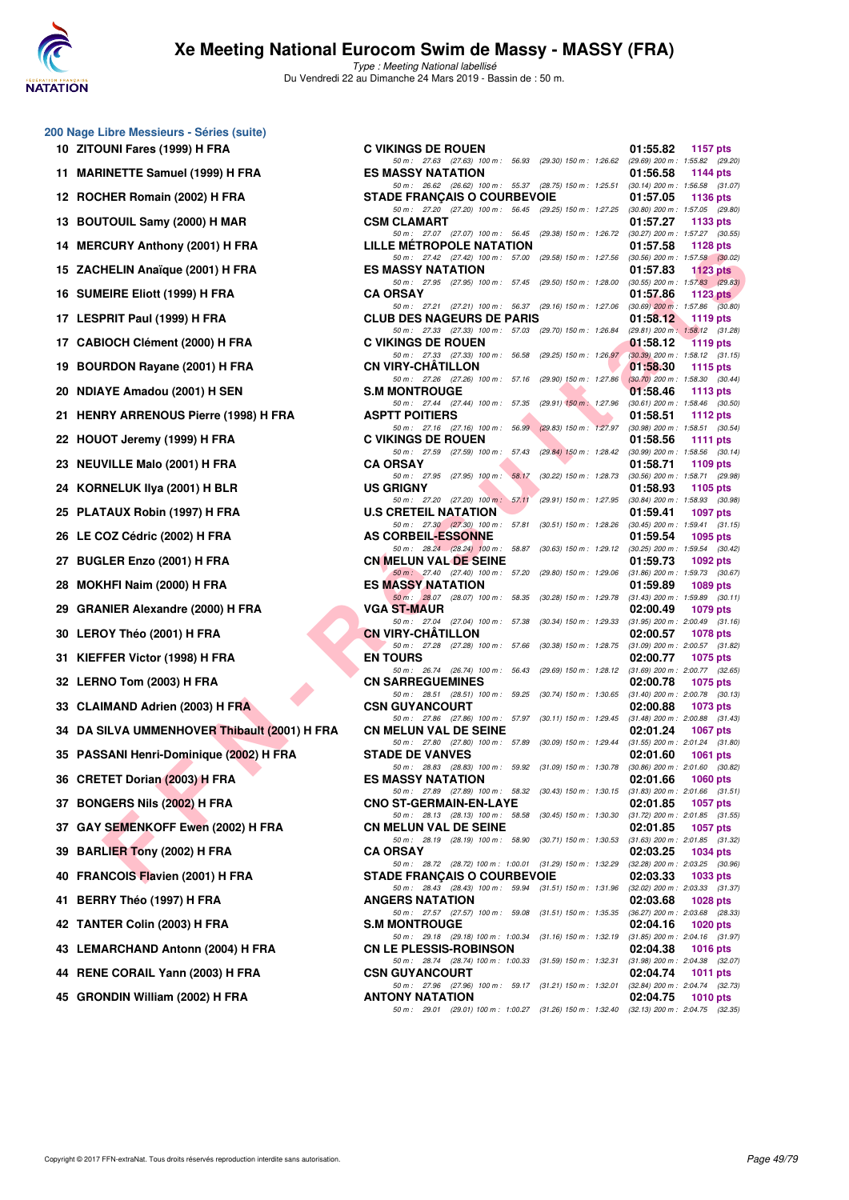

|    | 200 Nage Libre Messieurs - Séries (suite)    |   |
|----|----------------------------------------------|---|
|    | 10 ZITOUNI Fares (1999) H FRA                | C |
| 11 | <b>MARINETTE Samuel (1999) H FRA</b>         | E |
| 12 | ROCHER Romain (2002) H FRA                   | s |
|    | 13 BOUTOUIL Samy (2000) H MAR                | C |
|    | 14 MERCURY Anthony (2001) H FRA              | ı |
|    | 15 ZACHELIN Anaïque (2001) H FRA             | E |
|    | 16 SUMEIRE Eliott (1999) H FRA               | C |
|    | 17 LESPRIT Paul (1999) H FRA                 | C |
|    | 17 CABIOCH Clément (2000) H FRA              | C |
| 19 | <b>BOURDON Rayane (2001) H FRA</b>           | C |
|    | 20 NDIAYE Amadou (2001) H SEN                | s |
| 21 | <b>HENRY ARRENOUS Pierre (1998) H FRA</b>    | ı |
|    | 22 HOUOT Jeremy (1999) H FRA                 | C |
|    | 23 NEUVILLE Malo (2001) H FRA                | C |
| 24 | KORNELUK IIya (2001) H BLR                   | ι |
|    | 25 PLATAUX Robin (1997) H FRA                | ι |
| 26 | LE COZ Cédric (2002) H FRA                   | I |
|    | 27 BUGLER Enzo (2001) H FRA                  | C |
|    | 28 MOKHFI Naim (2000) H FRA                  | E |
|    | 29 GRANIER Alexandre (2000) H FRA            |   |
|    | 30 LEROY Théo (2001) H FRA                   | C |
| 31 | KIEFFER Victor (1998) H FRA                  | E |
|    | 32 LERNO Tom (2003) H FRA                    | C |
|    | 33 CLAIMAND Adrien (2003) H FRA              | C |
|    | 34 DA SILVA UMMENHOVER Thibault (2001) H FRA | C |
|    | 35 PASSANI Henri-Dominique (2002) H FRA      | s |
|    | 36 CRETET Dorian (2003) H FRA                | E |
| 37 | <b>BONGERS Nils (2002) H FRA</b>             | C |
|    | 37 GAY SEMENKOFF Ewen (2002) H FRA           | C |
|    | 39 BARLIER Tony (2002) H FRA                 | C |
|    | 40 FRANCOIS Flavien (2001) H FRA             |   |
| 41 | BERRY Théo (1997) H FRA                      |   |
|    | 42 TANTER Colin (2003) H FRA                 | ξ |
|    | 43 LEMARCHAND Antonn (2004) H FRA            | C |
|    | 44 RENE CORAIL Yann (2003) H FRA             | ς |
|    | 45 GRONDIN William (2002) H FRA              | I |

| $\sigma$ may Libro mession s conce (suite)   |                                                                                                                                                                                                              |                                                 |                 |
|----------------------------------------------|--------------------------------------------------------------------------------------------------------------------------------------------------------------------------------------------------------------|-------------------------------------------------|-----------------|
| 10 ZITOUNI Fares (1999) H FRA                | <b>C VIKINGS DE ROUEN</b>                                                                                                                                                                                    | 01:55.82                                        | 1157 pts        |
| 11 MARINETTE Samuel (1999) H FRA             | 50 m: 27.63 (27.63) 100 m: 56.93 (29.30) 150 m: 1:26.62 (29.69) 200 m: 1:55.82 (29.20)<br><b>ES MASSY NATATION</b><br>50 m: 26.62 (26.62) 100 m: 55.37 (28.75) 150 m: 1:25.51 (30.14) 200 m: 1:56.58 (31.07) | 01:56.58                                        | 1144 pts        |
| 12 ROCHER Romain (2002) H FRA                | <b>STADE FRANÇAIS O COURBEVOIE</b>                                                                                                                                                                           | 01:57.05                                        | 1136 pts        |
| 13 BOUTOUIL Samy (2000) H MAR                | 50 m: 27.20 (27.20) 100 m: 56.45 (29.25) 150 m: 1:27.25 (30.80) 200 m: 1:57.05 (29.80)<br><b>CSM CLAMART</b>                                                                                                 | 01:57.27                                        | 1133 pts        |
| 14 MERCURY Anthony (2001) H FRA              | 50 m: 27.07 (27.07) 100 m: 56.45 (29.38) 150 m: 1:26.72 (30.27) 200 m: 1:57.27 (30.55)<br>LILLE METROPOLE NATATION                                                                                           | 01:57.58                                        | 1128 $pts$      |
| 15 ZACHELIN Anaïque (2001) H FRA             | 50 m: 27.42 (27.42) 100 m: 57.00 (29.58) 150 m: 1:27.56 (30.56) 200 m: 1:57.58 (30.02)<br><b>ES MASSY NATATION</b>                                                                                           | 01:57.83                                        | 1123 pts        |
| 16 SUMEIRE Eliott (1999) H FRA               | 50 m: 27.95 (27.95) 100 m: 57.45 (29.50) 150 m: 1:28.00 (30.55) 200 m: 1:57.83 (29.83)<br><b>CA ORSAY</b>                                                                                                    | 01:57.86                                        | 1123 $pts$      |
| 17 LESPRIT Paul (1999) H FRA                 | 50 m: 27.21 (27.21) 100 m: 56.37 (29.16) 150 m: 1:27.06 (30.69) 200 m: 1:57.86 (30.80)<br><b>CLUB DES NAGEURS DE PARIS</b>                                                                                   | 01:58.12                                        | 1119 pts        |
| 17 CABIOCH Clément (2000) H FRA              | 50 m: 27.33 (27.33) 100 m: 57.03 (29.70) 150 m: 1:26.84 (29.81) 200 m: 1:58.12 (31.28)<br><b>C VIKINGS DE ROUEN</b>                                                                                          | 01:58.12                                        | 1119 pts        |
| 19 BOURDON Rayane (2001) H FRA               | 50 m: 27.33 (27.33) 100 m: 56.58 (29.25) 150 m: 1:26.97 (30.39) 200 m: 1:58.12 (31.15)<br><b>CN VIRY-CHATILLON</b>                                                                                           | 01:58.30                                        | 1115 pts        |
| 20 NDIAYE Amadou (2001) H SEN                | 50 m: 27.26 (27.26) 100 m: 57.16 (29.90) 150 m: 1:27.86 (30.70) 200 m: 1:58.30 (30.44)<br><b>S.M MONTROUGE</b>                                                                                               | 01:58.46                                        | 1113 pts        |
| 21 HENRY ARRENOUS Pierre (1998) H FRA        | 50 m: 27.44 (27.44) 100 m: 57.35 (29.91) 150 m: 1:27.96 (30.61) 200 m: 1:58.46 (30.50)<br><b>ASPTT POITIERS</b>                                                                                              | 01:58.51                                        | 1112 $pts$      |
|                                              | 50 m: 27.16 (27.16) 100 m: 56.99 (29.83) 150 m: 1:27.97 (30.98) 200 m: 1:58.51 (30.54)                                                                                                                       |                                                 |                 |
| 22 HOUOT Jeremy (1999) H FRA                 | <b>C VIKINGS DE ROUEN</b><br>50 m: 27.59 (27.59) 100 m: 57.43 (29.84) 150 m: 1:28.42 (30.99) 200 m: 1:58.56 (30.14)                                                                                          | 01:58.56                                        | 1111 $pts$      |
| 23 NEUVILLE Malo (2001) H FRA                | <b>CA ORSAY</b><br>50 m: 27.95 (27.95) 100 m: 58.17 (30.22) 150 m: 1:28.73 (30.56) 200 m: 1:58.71 (29.98)                                                                                                    | 01:58.71                                        | 1109 $pts$      |
| 24 KORNELUK IIya (2001) H BLR                | <b>US GRIGNY</b>                                                                                                                                                                                             | 01:58.93                                        | 1105 pts        |
| 25 PLATAUX Robin (1997) H FRA                | $(29.91)\ 150\ m:\ 1.27.95\quad \  (30.84)\ 200\ m:\ 1.58.93\quad \  (30.98)$<br>50 m: 27.20 (27.20) 100 m: 57.11<br><b>U.S CRETEIL NATATION</b>                                                             | 01:59.41                                        | 1097 pts        |
| 26 LE COZ Cédric (2002) H FRA                | 50 m : 27.30 (27.30) 100 m : 57.81<br>$(30.51)$ 150 m : 1:28.26 $(30.45)$ 200 m : 1:59.41 $(31.15)$<br><b>AS CORBEIL-ESSONNE</b>                                                                             | 01:59.54                                        | 1095 pts        |
| 27 BUGLER Enzo (2001) H FRA                  | 50 m: 28.24 (28.24) 100 m: 58.87 (30.63) 150 m: 1:29.12 (30.25) 200 m: 1:59.54 (30.42)<br><b>CN MELUN VAL DE SEINE</b>                                                                                       | 01:59.73                                        | 1092 pts        |
| 28 MOKHFI Naim (2000) H FRA                  | 50 m: 27.40 (27.40) 100 m: 57.20 (29.80) 150 m: 1:29.06 (31.86) 200 m: 1:59.73 (30.67)<br><b>ES MASSY NATATION</b>                                                                                           | 01:59.89                                        | 1089 pts        |
| 29 GRANIER Alexandre (2000) H FRA            | 50 m: 28.07 (28.07) 100 m: 58.35 (30.28) 150 m: 1:29.78 (31.43) 200 m: 1:59.89 (30.11)<br><b>VGA ST-MAUR</b>                                                                                                 | 02:00.49                                        | 1079 pts        |
| 30 LEROY Théo (2001) H FRA                   | 50 m: 27.04 (27.04) 100 m: 57.38<br>(30.34) 150 m : 1:29.33<br><b>CN VIRY-CHATILLON</b>                                                                                                                      | $(31.95)$ 200 m : 2:00.49 $(31.16)$<br>02:00.57 | 1078 pts        |
| 31 KIEFFER Victor (1998) H FRA               | 50 m: 27.28 (27.28) 100 m: 57.66<br>(30.38) 150 m : 1:28.75 (31.09) 200 m : 2:00.57 (31.82)<br><b>EN TOURS</b>                                                                                               | 02:00.77                                        | 1075 pts        |
| 32 LERNO Tom (2003) H FRA                    | (29.69) 150 m : 1:28.12 (31.69) 200 m : 2:00.77 (32.65)<br>50 m : 26.74 (26.74) 100 m : 56.43<br><b>CN SARREGUEMINES</b>                                                                                     | 02:00.78                                        | 1075 pts        |
| 33 CLAIMAND Adrien (2003) H FRA              | 50 m: 28.51 (28.51) 100 m: 59.25 (30.74) 150 m: 1:30.65 (31.40) 200 m: 2:00.78 (30.13)<br><b>CSN GUYANCOURT</b>                                                                                              | 02:00.88                                        | 1073 pts        |
| 34 DA SILVA UMMENHOVER Thibault (2001) H FRA | 50 m: 27.86 (27.86) 100 m: 57.97 (30.11) 150 m: 1:29.45 (31.48) 200 m: 2:00.88 (31.43)<br><b>CN MELUN VAL DE SEINE</b>                                                                                       | 02:01.24                                        | 1067 pts        |
| 35 PASSANI Henri-Dominique (2002) H FRA      | 50 m: 27.80 (27.80) 100 m: 57.89 (30.09) 150 m: 1:29.44 (31.55) 200 m: 2:01.24 (31.80)<br><b>STADE DE VANVES</b>                                                                                             | 02:01.60                                        | 1061 pts        |
|                                              | 50 m: 28.83 (28.83) 100 m: 59.92 (31.09) 150 m: 1:30.78 (30.86) 200 m: 2:01.60 (30.82)                                                                                                                       |                                                 |                 |
| 36 CRETET Dorian (2003) H FRA                | <b>ES MASSY NATATION</b><br>50 m: 27.89 (27.89) 100 m: 58.32 (30.43) 150 m: 1:30.15 (31.83) 200 m: 2:01.66 (31.51)                                                                                           | 02:01.66                                        | 1060 pts        |
| 37 BONGERS Nils (2002) H FRA                 | <b>CNO ST-GERMAIN-EN-LAYE</b><br>50 m: 28.13 (28.13) 100 m: 58.58 (30.45) 150 m: 1:30.30 (31.72) 200 m: 2:01.85 (31.55)                                                                                      | 02:01.85                                        | <b>1057 pts</b> |
| 37 GAY SEMENKOFF Ewen (2002) H FRA           | <b>CN MELUN VAL DE SEINE</b><br>50 m : 28.19 (28.19) 100 m : 58.90<br>(30.71) 150 m : 1:30.53 (31.63) 200 m : 2:01.85 (31.32)                                                                                | 02:01.85                                        | 1057 pts        |
| 39 BARLIER Tony (2002) H FRA                 | <b>CA ORSAY</b><br>50 m: 28.72 (28.72) 100 m: 1:00.01 (31.29) 150 m: 1:32.29 (32.28) 200 m: 2:03.25 (30.96)                                                                                                  | 02:03.25                                        | <b>1034 pts</b> |
| 40 FRANCOIS Flavien (2001) H FRA             | <b>STADE FRANÇAIS O COURBEVOIE</b><br>50 m: 28.43 (28.43) 100 m: 59.94 (31.51) 150 m: 1:31.96 (32.02) 200 m: 2:03.33 (31.37)                                                                                 | 02:03.33                                        | 1033 pts        |
| 41 BERRY Théo (1997) H FRA                   | <b>ANGERS NATATION</b><br>50 m: 27.57 (27.57) 100 m: 59.08 (31.51) 150 m: 1:35.35 (36.27) 200 m: 2:03.68 (28.33)                                                                                             | 02:03.68                                        | <b>1028 pts</b> |
| 42 TANTER Colin (2003) H FRA                 | <b>S.M MONTROUGE</b>                                                                                                                                                                                         | 02:04.16                                        | 1020 pts        |
| 43 LEMARCHAND Antonn (2004) H FRA            | 50 m: 29.18 (29.18) 100 m: 1:00.34 (31.16) 150 m: 1:32.19 (31.85) 200 m: 2:04.16 (31.97)<br><b>CN LE PLESSIS-ROBINSON</b>                                                                                    | 02:04.38                                        | <b>1016 pts</b> |
| 44 RENE CORAIL Yann (2003) H FRA             | 50 m: 28.74 (28.74) 100 m: 1:00.33 (31.59) 150 m: 1:32.31 (31.98) 200 m: 2:04.38 (32.07)<br><b>CSN GUYANCOURT</b>                                                                                            | 02:04.74                                        | 1011 pts        |
| 45 GRONDIN William (2002) H FRA              | 50 m: 27.96 (27.96) 100 m: 59.17 (31.21) 150 m: 1:32.01 (32.84) 200 m: 2:04.74 (32.73)<br><b>ANTONY NATATION</b>                                                                                             | 02:04.75                                        | 1010 pts        |
|                                              | 50 m: 29.01 (29.01) 100 m: 1:00.27 (31.26) 150 m: 1:32.40 (32.13) 200 m: 2:04.75 (32.35)                                                                                                                     |                                                 |                 |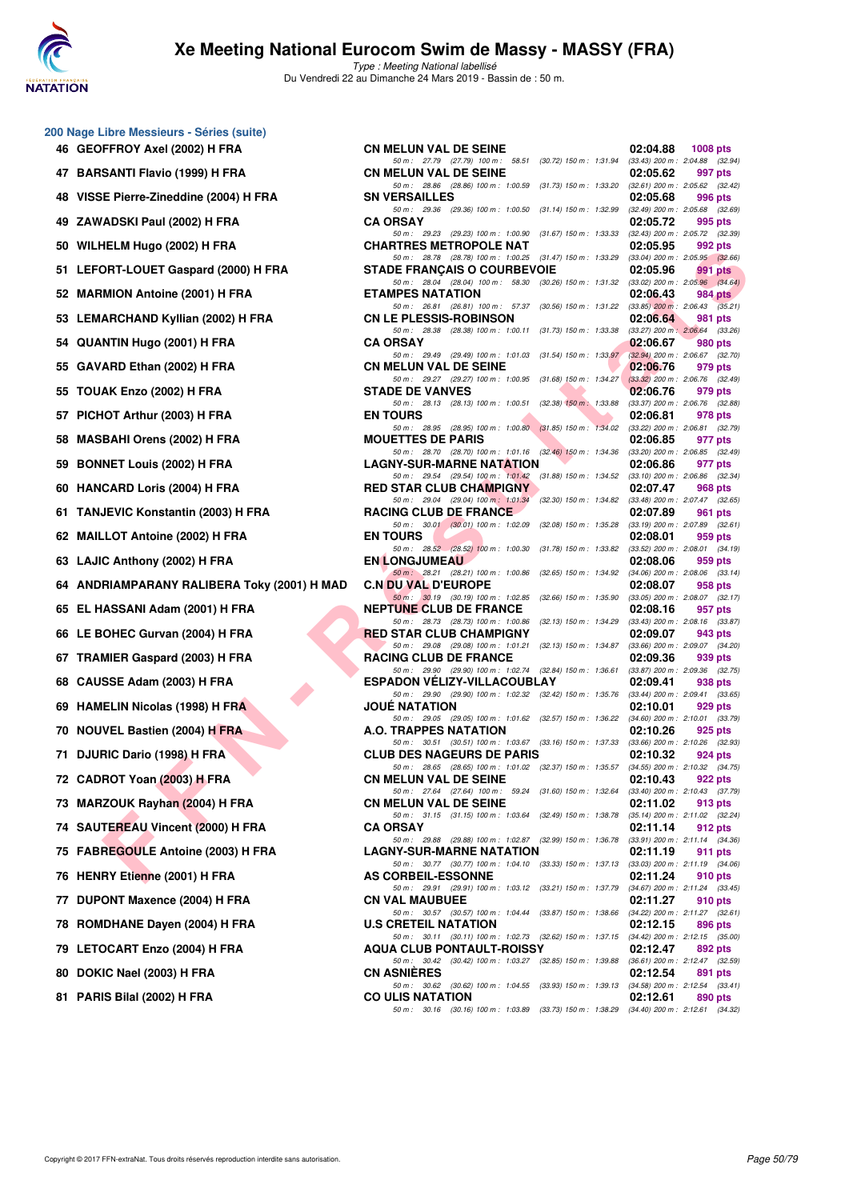

Type : Meeting National labellisé Du Vendredi 22 au Dimanche 24 Mars 2019 - Bassin de : 50 m.

| 46 | 200 Nage Libre Messieurs - Séries (suite)<br><b>GEOFFROY Axel (2002) H FRA</b> |
|----|--------------------------------------------------------------------------------|
| 47 | <b>BARSANTI Flavio (1999) H FRA</b>                                            |
| 48 | VISSE Pierre-Zineddine (2004) H FRA                                            |
| 49 | ZAWADSKI Paul (2002) H FRA                                                     |
| 50 | WILHELM Hugo (2002) H FRA                                                      |
| 51 | LEFORT-LOUET Gaspard (2000) H FRA                                              |
| 52 | <b>MARMION Antoine (2001) H FRA</b>                                            |
| 53 | <b>LEMARCHAND Kyllian (2002) H FRA</b>                                         |
| 54 | QUANTIN Hugo (2001) H FRA                                                      |
| 55 | GAVARD Ethan (2002) H FRA                                                      |
| 55 | TOUAK Enzo (2002) H FRA                                                        |
| 57 | PICHOT Arthur (2003) H FRA                                                     |
| 58 | <b>MASBAHI Orens (2002) H FRA</b>                                              |
| 59 | <b>BONNET Louis (2002) H FRA</b>                                               |
| 60 | <b>HANCARD Loris (2004) H FRA</b>                                              |
| 61 | <b>TANJEVIC Konstantin (2003) H FRA</b>                                        |
| 62 | <b>MAILLOT Antoine (2002) H FRA</b>                                            |
| 63 | LAJIC Anthony (2002) H FRA                                                     |
| 64 | <b>ANDRIAMPARANY RALIBERA Toky (2001)</b>                                      |
| 65 | EL HASSANI Adam (2001) H FRA                                                   |
| 66 | LE BOHEC Gurvan (2004) H FRA                                                   |
| 67 | <b>TRAMIER Gaspard (2003) H FRA</b>                                            |
| 68 | CAUSSE Adam (2003) H FRA                                                       |
| 69 | <b>HAMELIN Nicolas (1998) H FRA</b>                                            |
| 70 | <b>NOUVEL Bastien (2004) H FRA</b>                                             |
| 71 | DJURIC Dario (1998) H FRA                                                      |
| 72 | CADROT Yoan (2003) H FRA                                                       |
| 73 | MARZOUK Rayhan (2004) H FRA                                                    |
| 74 | <b>SAUTEREAU Vincent (2000) H FRA</b>                                          |
| 75 | FABREGOULE Antoine (2003) H FRA                                                |
| 76 | <b>HENRY Etienne (2001) H FRA</b>                                              |
| 77 | <b>DUPONT Maxence (2004) H FRA</b>                                             |
| 78 | ROMDHANE Dayen (2004) H FRA                                                    |
| 79 | LETOCART Enzo (2004) H FRA                                                     |
| 80 | DOKIC Nael (2003) H FRA                                                        |

| 0 Nage Libre Messieurs - Séries (suite)       |                                                                                                                                |                                                                                      |
|-----------------------------------------------|--------------------------------------------------------------------------------------------------------------------------------|--------------------------------------------------------------------------------------|
| 46 GEOFFROY Axel (2002) H FRA                 | <b>CN MELUN VAL DE SEINE</b>                                                                                                   | $1008$ pts<br>02:04.88                                                               |
| 47 BARSANTI Flavio (1999) H FRA               | 50 m: 27.79 (27.79) 100 m: 58.51 (30.72) 150 m: 1:31.94 (33.43) 200 m: 2:04.88 (32.94)<br><b>CN MELUN VAL DE SEINE</b>         | 02:05.62<br>997 pts                                                                  |
| 48 VISSE Pierre-Zineddine (2004) H FRA        | 50 m: 28.86 (28.86) 100 m: 1:00.59 (31.73) 150 m: 1:33.20 (32.61) 200 m: 2:05.62 (32.42)<br><b>SN VERSAILLES</b>               | 02:05.68<br>996 pts                                                                  |
| 49 ZAWADSKI Paul (2002) H FRA                 | 50 m: 29.36 (29.36) 100 m: 1:00.50<br><b>CA ORSAY</b>                                                                          | $(31.14)$ 150 m : 1:32.99 $(32.49)$ 200 m : 2:05.68 $(32.69)$<br>02:05.72<br>995 pts |
| 50 WILHELM Hugo (2002) H FRA                  | 50 m: 29.23 (29.23) 100 m: 1:00.90 (31.67) 150 m: 1:33.33 (32.43) 200 m: 2:05.72 (32.39)<br><b>CHARTRES METROPOLE NAT</b>      | 02:05.95<br>992 pts                                                                  |
| 51 LEFORT-LOUET Gaspard (2000) H FRA          | 50 m: 28.78 (28.78) 100 m: 1:00.25 (31.47) 150 m: 1:33.29 (33.04) 200 m: 2:05.95 (32.66)<br><b>STADE FRANÇAIS O COURBEVOIE</b> | 02:05.96<br>991 pts                                                                  |
|                                               | 50 m: 28.04 (28.04) 100 m: 58.30 (30.26) 150 m: 1:31.32 (33.02) 200 m: 2:05.96 (34.64)                                         |                                                                                      |
| 52 MARMION Antoine (2001) H FRA               | <b>ETAMPES NATATION</b><br>50 m: 26.81 (26.81) 100 m: 57.37 (30.56) 150 m: 1:31.22 (33.85) 200 m: 2:06.43 (35.21)              | 02:06.43<br>984 pts                                                                  |
| 53 LEMARCHAND Kyllian (2002) H FRA            | <b>CN LE PLESSIS-ROBINSON</b><br>50 m: 28.38 (28.38) 100 m: 1:00.11 (31.73) 150 m: 1:33.38 (33.27) 200 m: 2:06.64 (33.26)      | 02:06.64<br>981 pts                                                                  |
| 54 QUANTIN Hugo (2001) H FRA                  | <b>CA ORSAY</b><br>50 m: 29.49 (29.49) 100 m: 1:01.03 (31.54) 150 m: 1:33.97 (32.94) 200 m: 2:06.67 (32.70)                    | 02:06.67<br>980 pts                                                                  |
| 55 GAVARD Ethan (2002) H FRA                  | <b>CN MELUN VAL DE SEINE</b><br>50 m: 29.27 (29.27) 100 m: 1:00.95 (31.68) 150 m: 1:34.27 (33.32) 200 m: 2:06.76 (32.49)       | 02:06.76<br>979 pts                                                                  |
| 55 TOUAK Enzo (2002) H FRA                    | <b>STADE DE VANVES</b>                                                                                                         | 02:06.76<br>979 pts                                                                  |
| 57 PICHOT Arthur (2003) H FRA                 | 50 m: 28.13 (28.13) 100 m: 1:00.51 (32.38) 150 m: 1:33.88 (33.37) 200 m: 2:06.76 (32.88)<br><b>EN TOURS</b>                    | 02:06.81<br>978 pts                                                                  |
| 58 MASBAHI Orens (2002) H FRA                 | 50 m: 28.95 (28.95) 100 m: 1:00.80 (31.85) 150 m: 1:34.02 (33.22) 200 m: 2:06.81 (32.79)<br><b>MOUETTES DE PARIS</b>           | 02:06.85<br>977 pts                                                                  |
| 59 BONNET Louis (2002) H FRA                  | 50 m: 28.70 (28.70) 100 m: 1:01.16 (32.46) 150 m: 1:34.36 (33.20) 200 m: 2:06.85 (32.49)<br><b>LAGNY-SUR-MARNE NATATION</b>    | 02:06.86<br>977 pts                                                                  |
| 60 HANCARD Loris (2004) H FRA                 | 50 m: 29.54 (29.54) 100 m: 1:01.42 (31.88) 150 m: 1:34.52 (33.10) 200 m: 2:06.86 (32.34)<br><b>RED STAR CLUB CHAMPIGNY</b>     | 02:07.47<br>968 pts                                                                  |
| 61 TANJEVIC Konstantin (2003) H FRA           | 50 m: 29.04 (29.04) 100 m: 1:01.34 (32.30) 150 m: 1:34.82 (33.48) 200 m: 2:07.47 (32.65)<br>RACING CLUB DE FRANCE              | 02:07.89<br>961 pts                                                                  |
| 62 MAILLOT Antoine (2002) H FRA               | 50 m: 30.01 (30.01) 100 m: 1:02.09<br><b>EN TOURS</b>                                                                          | (32.08) 150 m : 1:35.28 (33.19) 200 m : 2:07.89 (32.61)<br>02:08.01                  |
|                                               | 50 m : 28.52 (28.52) 100 m : 1:00.30                                                                                           | 959 pts<br>(31.78) 150 m : 1:33.82 (33.52) 200 m : 2:08.01 (34.19)                   |
| 63 LAJIC Anthony (2002) H FRA                 | <b>EN LONGJUMEAU</b><br>50 m: 28.21 (28.21) 100 m: 1:00.86                                                                     | 02:08.06<br>959 pts<br>(32.65) 150 m : 1:34.92 (34.06) 200 m : 2:08.06 (33.14)       |
| 64   ANDRIAMPARANY RALIBERA Toky (2001) H MAD | <b>C.N DU VAL D'EUROPE</b><br>50 m : 30.19 (30.19) 100 m : 1:02.85 (32.66) 150 m : 1:35.90                                     | 02:08.07<br>958 pts<br>$(33.05)$ 200 m : 2:08.07 $(32.17)$                           |
| 65 EL HASSANI Adam (2001) H FRA               | <b>NEPTUNE CLUB DE FRANCE</b><br>50 m: 28.73 (28.73) 100 m: 1:00.86 (32.13) 150 m: 1:34.29 (33.43) 200 m: 2:08.16 (33.87)      | 02:08.16<br>957 pts                                                                  |
| 66 LE BOHEC Gurvan (2004) H FRA               | <b>RED STAR CLUB CHAMPIGNY</b><br>50 m: 29.08 (29.08) 100 m: 1:01.21 (32.13) 150 m: 1:34.87 (33.66) 200 m: 2:09.07 (34.20)     | 02:09.07<br>943 pts                                                                  |
| 67 TRAMIER Gaspard (2003) H FRA               | <b>RACING CLUB DE FRANCE</b>                                                                                                   | 02:09.36<br>939 pts                                                                  |
| 68 CAUSSE Adam (2003) H FRA                   | 50 m: 29.90 (29.90) 100 m: 1:02.74 (32.84) 150 m: 1:36.61 (33.87) 200 m: 2:09.36 (32.75)<br><b>ESPADON VELIZY-VILLACOUBLAY</b> | 02:09.41<br>938 pts                                                                  |
| 69 HAMELIN Nicolas (1998) H FRA               | 50 m: 29.90 (29.90) 100 m: 1:02.32 (32.42) 150 m: 1:35.76 (33.44) 200 m: 2:09.41 (33.65)<br><b>JOUE NATATION</b>               | 02:10.01<br>929 pts                                                                  |
| 70 NOUVEL Bastien (2004) H FRA                | 50 m: 29.05 (29.05) 100 m: 1:01.62 (32.57) 150 m: 1:36.22 (34.60) 200 m: 2:10.01 (33.79)<br>A.O. TRAPPES NATATION              | 02:10.26<br>925 pts                                                                  |
| 71 DJURIC Dario (1998) H FRA                  | 50 m: 30.51 (30.51) 100 m: 1:03.67 (33.16) 150 m: 1:37.33 (33.66) 200 m: 2:10.26 (32.93)<br><b>CLUB DES NAGEURS DE PARIS</b>   | 02:10.32<br>924 pts                                                                  |
| 72 CADROT Yoan (2003) H FRA                   | 50 m: 28.65 (28.65) 100 m: 1:01.02 (32.37) 150 m: 1:35.57 (34.55) 200 m: 2:10.32 (34.75)<br><b>CN MELUN VAL DE SEINE</b>       | 02:10.43<br>922 pts                                                                  |
| 73 MARZOUK Rayhan (2004) H FRA                | 50 m: 27.64 (27.64) 100 m: 59.24 (31.60) 150 m: 1:32.64 (33.40) 200 m: 2:10.43 (37.79)<br><b>CN MELUN VAL DE SEINE</b>         | 02:11.02<br>913 pts                                                                  |
|                                               | 50 m: 31.15 (31.15) 100 m: 1:03.64 (32.49) 150 m: 1:38.78 (35.14) 200 m: 2:11.02 (32.24)                                       |                                                                                      |
| 74 SAUTEREAU Vincent (2000) H FRA             | <b>CA ORSAY</b><br>50 m: 29.88 (29.88) 100 m: 1:02.87 (32.99) 150 m: 1:36.78 (33.91) 200 m: 2:11.14 (34.36)                    | 02:11.14<br>912 pts                                                                  |
| 75 FABREGOULE Antoine (2003) H FRA            | <b>LAGNY-SUR-MARNE NATATION</b><br>50 m: 30.77 (30.77) 100 m: 1:04.10 (33.33) 150 m: 1:37.13 (33.03) 200 m: 2:11.19 (34.06)    | 02:11.19<br>911 pts                                                                  |
| 76 HENRY Etienne (2001) H FRA                 | <b>AS CORBEIL-ESSONNE</b><br>50 m: 29.91 (29.91) 100 m: 1:03.12 (33.21) 150 m: 1:37.79 (34.67) 200 m: 2:11.24 (33.45)          | 02:11.24<br>910 pts                                                                  |
| 77 DUPONT Maxence (2004) H FRA                | <b>CN VAL MAUBUEE</b><br>50 m: 30.57 (30.57) 100 m: 1:04.44 (33.87) 150 m: 1:38.66 (34.22) 200 m: 2:11.27 (32.61)              | 02:11.27<br>910 pts                                                                  |
| 78 ROMDHANE Dayen (2004) H FRA                | <b>U.S CRETEIL NATATION</b><br>50 m: 30.11 (30.11) 100 m: 1:02.73 (32.62) 150 m: 1:37.15 (34.42) 200 m: 2:12.15 (35.00)        | 02:12.15<br>896 pts                                                                  |
| 79 LETOCART Enzo (2004) H FRA                 | <b>AQUA CLUB PONTAULT-ROISSY</b>                                                                                               | 02:12.47<br>892 pts                                                                  |
| 80 DOKIC Nael (2003) H FRA                    | 50 m: 30.42 (30.42) 100 m: 1:03.27 (32.85) 150 m: 1:39.88 (36.61) 200 m: 2:12.47 (32.59)<br><b>CN ASNIERES</b>                 | 02:12.54<br>891 pts                                                                  |
| 81 PARIS Bilal (2002) H FRA                   | 50 m: 30.62 (30.62) 100 m: 1:04.55 (33.93) 150 m: 1:39.13 (34.58) 200 m: 2:12.54 (33.41)<br><b>CO ULIS NATATION</b>            | 02:12.61<br>890 pts                                                                  |
|                                               | 50 m: 30.16 (30.16) 100 m: 1:03.89 (33.73) 150 m: 1:38.29 (34.40) 200 m: 2:12.61 (34.32)                                       |                                                                                      |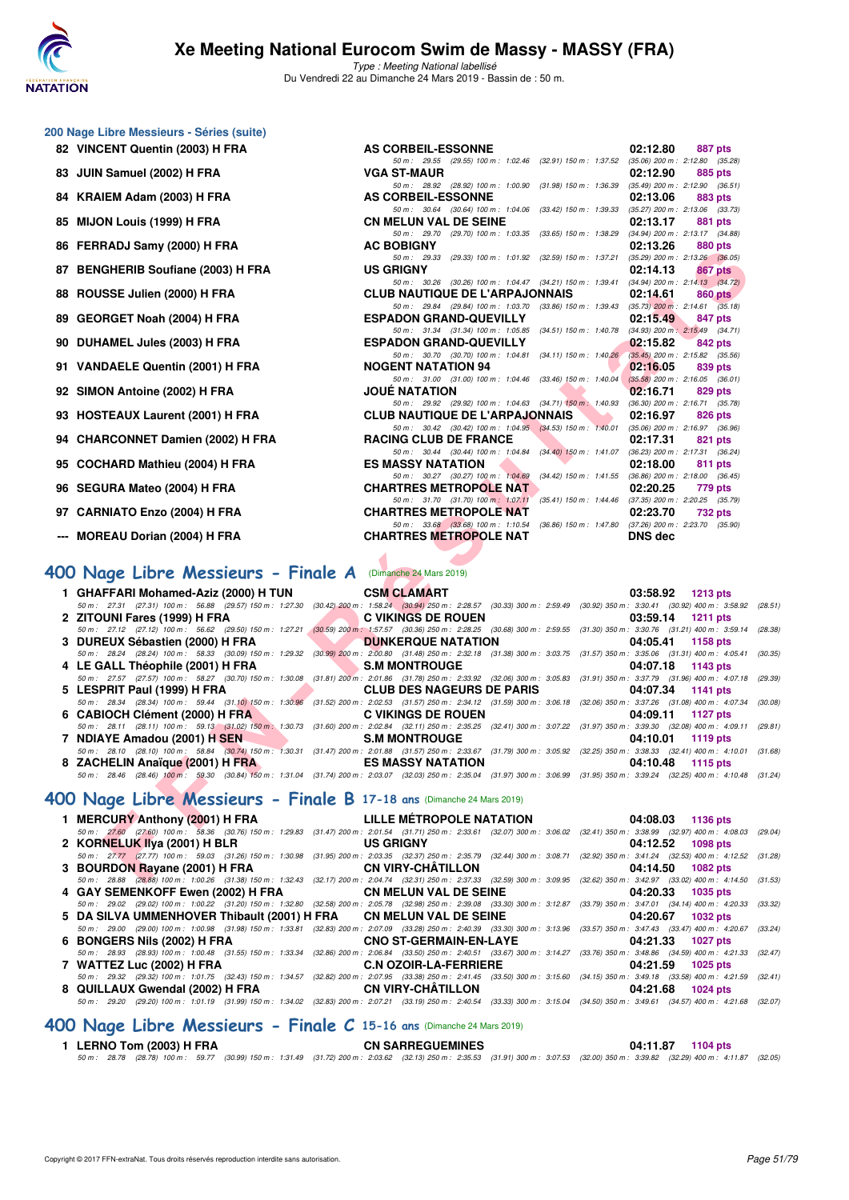

Type : Meeting National labellisé Du Vendredi 22 au Dimanche 24 Mars 2019 - Bassin de : 50 m.

50 m : 29.55 (29.55) 100 m : 1:02.46 (32.91) 150 m : 1:37.52 (35.06) 200 m : 2:12.80 (35.28)<br>VGA ST-MAUR 02:12.90 885 pts

50 m: 28.92 (28.92) 100 m: 1:00.90 (31.98) 150 m: 1:36.39 (35.49) 200 m: 2:12.90 (36.5<br>**AS CORBEIL-ESSONNE** 02:13.06 883 pts

50 m: 30.64 (30.64) 100 m: 1:04.06 (33.42) 150 m: 1:39.33 (35.27) 200 m: 2:13.06 (33.73)<br>**CN MELUN VAL DE SEINE 02:13.17** 881 pts

50 m : 29.70 (29.70) 100 m : 1:03.35 (33.65) 150 m : 1:38.29 (34.94) 200 m : 2:13.17 (34.88)<br> **AC ROBIGNY** (29.70) 100 m : 1:03.35 (33.65) 150 m : 1:38.29 (34.94) 200 m : 2:13.17 (34.88)

|  |  | 200 Nage Libre Messieurs - Séries (suite) |  |  |
|--|--|-------------------------------------------|--|--|
|--|--|-------------------------------------------|--|--|

- **82 VINCENT Quentin (2003) H FRA AS CORBEIL-ESSONNE 02:12.80 887 pts**
- **83 JUIN Samuel (2002) H FRA** VGA ST-MAUR **02:12.90 885 pts**<br>50 1982 100 11.00 13.98 150 m i 1:00 90 (31.98) 150 m i 1:00:30 (35.49) 200 m i 2:12.90 (36.51)
- 84 KRAIEM Adam (2003) H FRA
- **85 MIJON Louis (1999) H FRA CN MELUN VAL DE SEINE 02:13.17 881 pts**
- **86 FERRADJ Samy (2000) H FRA AC BOBIGNY 02:13.26 880 pts**
- **87 BENGHERIB Soufiane (2003) H FRA US GRIGNY 02:14.13 867 pts**
- **88 ROUSSE Julien (2000) H FRA CLUB NAUTIQUE DE L'ARPAJONNAIS 02:14.61 860 pts**
- **89 GEORGET Noah (2004) H FRA ESPADON GRAND-QUEVILLY 02:15.49 847 pts**
- **90 DUHAMEL Jules (2003) H FRA** ESPADON GRAND-QUEVILLY **02:15.82 842 pts**<br> *50 m: 30.70 (30.70) 100 m: 1:04.81 (34.11) 150 m: 1:40.26 (35.45) 200 m: 2:15.82 (35.56)*
- **91 VANDAELE Quentin (2001) H FRA NOGENT NATATION 94 02:16.05 839 pts**
- **92 SIMON Antoine (2002) H FRA JOUÉ NATATION 02:16.71 829 pts**
- **93 HOSTEAUX Laurent (2001) H FRA CLUB NAUTIQUE DE L'ARPAJONNAIS 02:16.97 826 pts**<br> **93 HOSTEAUX Laurent (2001) H FRA CLUB NAUTIQUE DE L'ARPAJONNAIS 02:16.97 08:06 02:16.97 135.06 200 m**: 2:16.97 **136.96**
- 94 CHARCONNET Damien (2002) H FRA RACING CLUB DE FRANCE
- **95 COCHARD Mathieu (2004) H FRA BES MASSY NATATION 81 PTS 812:18.00**
- **96 SEGURA Mateo (2004) H FRA CHARTRES METROPOLE NAT 02:20.25 779 pts**
- **97 CARNIATO Enzo (2004) H FRA CHARTRES METROPOLE NAT 02:23.70 732 pts**
- --- MOREAU Dorian (2004) H FRA

# **[400 Nage Libre Messieurs - Finale A](http://www.ffnatation.fr/webffn/resultats.php?idact=nat&go=epr&idcpt=57649&idepr=54)** (Dimanche 24 Mars 2019)

| U FERRADJ JAIHJ (2000) ILFRA                                                                                                                                                                                                                                                                                                                                                                                                                               | AV DUDIVINT                                                                                                                       | UL.13.20 00000                                             |         |
|------------------------------------------------------------------------------------------------------------------------------------------------------------------------------------------------------------------------------------------------------------------------------------------------------------------------------------------------------------------------------------------------------------------------------------------------------------|-----------------------------------------------------------------------------------------------------------------------------------|------------------------------------------------------------|---------|
| 7 BENGHERIB Soufiane (2003) H FRA                                                                                                                                                                                                                                                                                                                                                                                                                          | 50 m: 29.33 (29.33) 100 m: 1:01.92 (32.59) 150 m: 1:37.21 (35.29) 200 m: 2:13.26 (36.05)<br><b>US GRIGNY</b>                      | 02:14.13<br>867 pts                                        |         |
|                                                                                                                                                                                                                                                                                                                                                                                                                                                            | 50 m: 30.26 (30.26) 100 m: 1:04.47 (34.21) 150 m: 1:39.41 (34.94) 200 m: 2:14.13 (34.72)                                          |                                                            |         |
| 8 ROUSSE Julien (2000) H FRA                                                                                                                                                                                                                                                                                                                                                                                                                               | <b>CLUB NAUTIQUE DE L'ARPAJONNAIS</b>                                                                                             | 02:14.61<br>860 pts                                        |         |
| 9   GEORGET Noah (2004) H FRA                                                                                                                                                                                                                                                                                                                                                                                                                              | 50 m: 29.84 (29.84) 100 m: 1:03.70 (33.86) 150 m: 1:39.43 (35.73) 200 m: 2:14.61 (35.18)<br><b>ESPADON GRAND-QUEVILLY</b>         | 02:15.49<br>847 pts                                        |         |
|                                                                                                                                                                                                                                                                                                                                                                                                                                                            | 50 m: 31.34 (31.34) 100 m: 1:05.85 (34.51) 150 m: 1:40.78 (34.93) 200 m: 2:15.49 (34.71)                                          |                                                            |         |
| 0   DUHAMEL Jules (2003) H FRA                                                                                                                                                                                                                                                                                                                                                                                                                             | <b>ESPADON GRAND-QUEVILLY</b>                                                                                                     | 02:15.82<br>842 pts                                        |         |
| 1 VANDAELE Quentin (2001) H FRA                                                                                                                                                                                                                                                                                                                                                                                                                            | 50 m: 30.70 (30.70) 100 m: 1:04.81 (34.11) 150 m: 1:40.26 (35.45) 200 m: 2:15.82 (35.56)<br><b>NOGENT NATATION 94</b>             |                                                            |         |
|                                                                                                                                                                                                                                                                                                                                                                                                                                                            | 50 m: 31.00 (31.00) 100 m: 1:04.46 (33.46) 150 m: 1:40.04                                                                         | 02:16.05<br>839 pts<br>$(35.58)$ 200 m : 2:16.05 $(36.01)$ |         |
| 2 SIMON Antoine (2002) H FRA                                                                                                                                                                                                                                                                                                                                                                                                                               | <b>JOUE NATATION</b>                                                                                                              | 02:16.71<br>829 pts                                        |         |
|                                                                                                                                                                                                                                                                                                                                                                                                                                                            | 50 m : 29.92 (29.92) 100 m : 1:04.63 (34.71) 150 m : 1:40.93                                                                      | $(36.30)$ 200 m : 2:16.71 $(35.78)$                        |         |
| 3 HOSTEAUX Laurent (2001) H FRA                                                                                                                                                                                                                                                                                                                                                                                                                            | <b>CLUB NAUTIQUE DE L'ARPAJONNAIS</b><br>50 m: 30.42 (30.42) 100 m: 1:04.95 (34.53) 150 m: 1:40.01 (35.06) 200 m: 2:16.97 (36.96) | 02:16.97<br><b>826 pts</b>                                 |         |
| 4 CHARCONNET Damien (2002) H FRA                                                                                                                                                                                                                                                                                                                                                                                                                           | <b>RACING CLUB DE FRANCE</b>                                                                                                      | 02:17.31<br>821 pts                                        |         |
|                                                                                                                                                                                                                                                                                                                                                                                                                                                            | 50 m: 30.44 (30.44) 100 m: 1:04.84 (34.40) 150 m: 1:41.07 (36.23) 200 m: 2:17.31 (36.24)                                          |                                                            |         |
| 5 COCHARD Mathieu (2004) H FRA                                                                                                                                                                                                                                                                                                                                                                                                                             | <b>ES MASSY NATATION</b>                                                                                                          | 02:18.00<br>811 pts                                        |         |
|                                                                                                                                                                                                                                                                                                                                                                                                                                                            | 50 m: 30.27 (30.27) 100 m: 1:04.69 (34.42) 150 m: 1:41.55 (36.86) 200 m: 2:18.00 (36.45)                                          |                                                            |         |
| 6 SEGURA Mateo (2004) H FRA                                                                                                                                                                                                                                                                                                                                                                                                                                | <b>CHARTRES METROPOLE NAT.</b>                                                                                                    | 02:20.25<br>779 pts                                        |         |
| 7   CARNIATO Enzo (2004) H FRA                                                                                                                                                                                                                                                                                                                                                                                                                             | 50 m: 31.70 (31.70) 100 m: 1:07.11 (35.41) 150 m: 1:44.46 (37.35) 200 m: 2:20.25 (35.79)<br><b>CHARTRES METROPOLE NAT</b>         | 02:23.70<br>732 pts                                        |         |
|                                                                                                                                                                                                                                                                                                                                                                                                                                                            | 50 m: 33.68 (33.68) 100 m: 1:10.54 (36.86) 150 m: 1:47.80 (37.26) 200 m: 2:23.70 (35.90)                                          |                                                            |         |
| -- MOREAU Dorian (2004) H FRA                                                                                                                                                                                                                                                                                                                                                                                                                              | <b>CHARTRES METROPOLE NAT</b>                                                                                                     | <b>DNS</b> dec                                             |         |
|                                                                                                                                                                                                                                                                                                                                                                                                                                                            |                                                                                                                                   |                                                            |         |
|                                                                                                                                                                                                                                                                                                                                                                                                                                                            |                                                                                                                                   |                                                            |         |
|                                                                                                                                                                                                                                                                                                                                                                                                                                                            |                                                                                                                                   |                                                            |         |
| 10 Nage Libre Messieurs - Finale A (Dimanche 24 Mars 2019)                                                                                                                                                                                                                                                                                                                                                                                                 |                                                                                                                                   |                                                            |         |
| 1 GHAFFARI Mohamed-Aziz (2000) H TUN                                                                                                                                                                                                                                                                                                                                                                                                                       | <b>CSM CLAMART</b>                                                                                                                | 03:58.92 1213 pts                                          |         |
| 50 m : 27.31 (27.31) 100 m : 56.88 (29.57) 150 m : 1:27.30 (30.42) 200 m : 1:58.24 (30.94) 250 m : 2:28.57 (30.33) 300 m : 2:59.49 (30.92) 350 m : 3:30.41 (30.92) 400 m : 3:58.92 (28.51)                                                                                                                                                                                                                                                                 |                                                                                                                                   |                                                            |         |
| <b><i>Contract Contract Contract Contract Contract Contract Contract Contract Contract Contract Contract Contract Contract Contract Contract Contract Contract Contract Contract Contract Contract Contract Contract Contract Cont</i></b><br>2   ZITOUNI Fares (1999) H FRA<br>50 m: 27.12 (27.12) 100 m: 56.62 (29.50) 150 m: 1:27.21 (30.59) 200 m: 1:57.57 (30.36) 250 m: 2:28.25 (30.68) 300 m: 2:59.55 (31.30) 350 m: 3:30.76 (31.21) 400 m: 3:59.14 | <b>C VIKINGS DE ROUEN</b>                                                                                                         | 03:59.14 1211 pts                                          | (28.38) |
| <b>The Contract of Contract of Contract of Contract of Contract of Contract of Contract of Contract of Contract o</b><br>3 DUREUX Sébastien (2000) H FRA                                                                                                                                                                                                                                                                                                   | <b>DUNKERQUE NATATION</b>                                                                                                         | 04:05.41<br>1158 pts                                       |         |
| 50 m: 28.24 (28.24) 100 m: 58.33 (30.09) 150 m: 1:29.32 (30.99) 200 m: 2:00.80 (31.48) 250 m: 2:32.18 (31.38) 300 m: 3:03.75 (31.57) 350 m: 3:35.06 (31.31) 400 m: 4:05.41                                                                                                                                                                                                                                                                                 |                                                                                                                                   |                                                            | (30.35) |
| 4 LE GALL Théophile (2001) H FRA                                                                                                                                                                                                                                                                                                                                                                                                                           | S.M MONTROUGE                                                                                                                     | 04:07.18<br>1143 pts                                       |         |
| 50 m : 27.57 (27.57) 100 m : 58.27 (30.70) 150 m : 1:30.08 (31.81) 200 m : 2:01.86 (31.78) 250 m : 2:33.92 (32.06) 300 m : 3:05.83 (31.91) 350 m : 3:37.79 (31.96) 400 m : 4:07.18                                                                                                                                                                                                                                                                         |                                                                                                                                   |                                                            | (29.39) |
| 5 LESPRIT Paul (1999) H FRA                                                                                                                                                                                                                                                                                                                                                                                                                                | <b>CLUB DES NAGEURS DE PARIS</b>                                                                                                  | 04:07.34 1141 pts                                          |         |
| 50 m : 28.34 (28.34) 100 m : 59.44 (31.10) 150 m : 1:30.96 (31.52) 200 m : 2:02.53 (31.57) 250 m : 2:34.12 (31.59) 300 m : 3:06.18 (32.06) 350 m : 3:37.26 (31.08) 400 m : 4:07.34                                                                                                                                                                                                                                                                         |                                                                                                                                   | 04:09.11<br>1127 pts                                       | (30.08) |
| 6 CABIOCH Clément (2000) H FRA C VIKINGS DE ROUEN<br>50 m: 28.11 (28.11) 100 m: 59.13 (31.02) 150 m: 1:30.73 (31.60) 200 m: 2:02.84 (32.11) 250 m: 2:35.25 (32.41) 300 m: 3:07.22 (31.97) 350 m: 3:39.30 (32.08) 400 m: 4:09.11 (29.81)                                                                                                                                                                                                                    |                                                                                                                                   |                                                            |         |
| 7 NDIAYE Amadou (2001) H SEN S.M MONTROUGE                                                                                                                                                                                                                                                                                                                                                                                                                 |                                                                                                                                   | 04:10.01<br>1119 pts                                       |         |
| 50 m: 28.10 (28.10) 100 m: 58.84 (30.74) 150 m: 1:30.31 (31.47) 200 m: 2:01.88 (31.57) 250 m: 2:33.67 (31.79) 300 m: 3:05.92 (32.25) 350 m: 3:38.33 (32.41) 400 m: 4:10.01 (31.68)                                                                                                                                                                                                                                                                         |                                                                                                                                   |                                                            |         |
| 8 ZACHELIN Anaïque (2001) H FRA LES MASSY NATATION                                                                                                                                                                                                                                                                                                                                                                                                         |                                                                                                                                   | 04:10.48 1115 pts                                          |         |
| 50 m: 28.46 (28.46) 100 m: 59.30 (30.84) 150 m: 1:31.04 (31.74) 200 m: 2:03.07 (32.03) 250 m: 2:35.04 (31.97) 300 m: 3:06.99 (31.95) 350 m: 3:39.24 (32.25) 400 m: 4:10.48 (31.24)                                                                                                                                                                                                                                                                         |                                                                                                                                   |                                                            |         |
| 00 Nage Libre Messieurs - Finale B 17-18 ans (Dimanche 24 Mars 2019)                                                                                                                                                                                                                                                                                                                                                                                       |                                                                                                                                   |                                                            |         |
| 1 MERCURY Anthony (2001) H FRA                                                                                                                                                                                                                                                                                                                                                                                                                             | LILLE METROPOLE NATATION                                                                                                          | 04:08.03 1136 pts                                          |         |
| 50 m: 27.60 (27.60) 100 m: 58.36 (30.76) 150 m: 1:29.83 (31.47) 200 m: 2:01.54 (31.71) 250 m: 2:33.61 (32.07) 300 m: 3:06.02 (32.41) 350 m: 3:38.99 (32.97) 400 m: 4:08.03 (29.04)                                                                                                                                                                                                                                                                         |                                                                                                                                   |                                                            |         |
| 2 KORNELUK IIya (2001) H BLR                                                                                                                                                                                                                                                                                                                                                                                                                               | <b>US GRIGNY</b>                                                                                                                  | 04:12.52<br>1098 pts                                       |         |
| 50 m: 27.77 (27.77) 100 m: 59.03 (31.26) 150 m: 1:30.98 (31.95) 200 m: 2:03.35 (32.37) 250 m: 2:35.79 (32.44) 300 m: 3:08.71 (32.92) 350 m: 3:41.24 (32.53) 400 m: 4:12.52 (31.28)<br>3 BOURDON Rayane (2001) H FRA CN VIRY-CHÂTILLON                                                                                                                                                                                                                      |                                                                                                                                   | 04:14.50 1082 pts                                          |         |

#### **[400 Nage Libre Messieurs - Finale B](http://www.ffnatation.fr/webffn/resultats.php?idact=nat&go=epr&idcpt=57649&idepr=54) 17-18 ans** (Dimanche 24 Mars 2019)

|  | 1 MERCURY Anthony (2001) H FRA LILLE MÉTROPOLE NATATION 04:08.03 1136 pts                                                                                                                   |                   |
|--|---------------------------------------------------------------------------------------------------------------------------------------------------------------------------------------------|-------------------|
|  | 50 m: 27.60 (27.60) 100 m: 58.36 (30.76) 150 m: 1:29.83 (31.47) 200 m: 2:01.54 (31.71) 250 m: 2:33.61 (32.07) 300 m: 3:06.02 (32.41) 350 m: 3:38.99 (32.97) 400 m: 4:08.03 (29.04)          |                   |
|  | 2 KORNELUK IIya (2001) H BLR US GRIGNY                                                                                                                                                      | 04:12.52 1098 pts |
|  | 50 m: 27.77 (27.77) 100 m: 59.03 (31.26) 150 m: 1:30.98 (31.95) 200 m: 2:03.35 (32.37) 250 m: 2:35.79 (32.44) 300 m: 3:08.71 (32.92) 350 m: 3:41.24 (32.53) 400 m: 4:12.52 (31.28)          |                   |
|  | 3 BOURDON Rayane (2001) H FRA CN VIRY-CHATILLON                                                                                                                                             | 04:14.50 1082 pts |
|  | 50 m : 28.88 (28.88) 100 m : 1:00.26 (31.38) 150 m : 1:32.43 (32.17) 200 m : 2:04.74 (32.31) 250 m : 2:37.33 (32.59) 300 m : 3:09.95 (32.62) 350 m : 3:42.97 (33.02) 400 m : 4:14.50 (31.53 |                   |
|  | 4 GAY SEMENKOFF Ewen (2002) H FRA CN MELUN VAL DE SEINE 64:20.33 1035 pts                                                                                                                   |                   |
|  | 50 m: 29.02 (29.02) 100 m: 1:00.22 (31.20) 150 m: 1:32.80 (32.58) 200 m: 2:05.78 (32.98) 250 m: 2:39.08 (33.30) 300 m: 3:12.87 (33.79) 350 m: 3:47.01 (34.14) 400 m: 4:20.33 (33.32)        |                   |
|  | 5 DA SILVA UMMENHOVER Thibault (2001) H FRA CN MELUN VAL DE SEINE 6 04:20.67 1032 pts                                                                                                       |                   |
|  | 50 m: 29.00 (29.00) 100 m: 1:00.98 (31.98) 150 m: 1:33.81 (32.83) 200 m: 2:07.09 (33.28) 250 m: 2:40.39 (33.30) 300 m: 3:13.96 (33.57) 350 m: 3:47.43 (33.47) 400 m: 4:20.67 (33.24)        |                   |
|  | 6 BONGERS Nils (2002) H FRA CNO ST-GERMAIN-EN-LAYE 6 BONGERS Nils (2002) H FRA                                                                                                              |                   |
|  | 50 m: 28.93 (28.93) 100 m: 1:00.48 (31.55) 150 m: 1:33.34 (32.86) 200 m: 2:06.84 (33.50) 250 m: 2:40.51 (33.67) 300 m: 3:14.27 (33.76) 350 m: 3:48.86 (34.59) 400 m: 4:21.33 (32.47         |                   |
|  |                                                                                                                                                                                             | 1025 pts          |
|  | 50 m: 29.32 (29.32) 100 m: 1:01.75 (32.43) 150 m: 1:34.57 (32.82) 200 m: 2:07.95 (33.38) 250 m: 2:41.45 (33.50) 300 m: 3:15.60 (34.15) 350 m: 3:49.18 (33.58) 400 m: 4:21.59 (32.41         |                   |
|  | 8 QUILLAUX Gwendal (2002) H FRA CN VIRY-CHÂTILLON 64:21.68 1024 pts                                                                                                                         |                   |
|  | 50 m: 29.20 (29.20) 100 m: 1:01.19 (31.99) 150 m: 1:34.02 (32.83) 200 m: 2:07.21 (33.19) 250 m: 2:40.54 (33.33) 300 m: 3:15.04 (34.50) 350 m: 3:49.61 (34.57) 400 m: 4:21.68 (32.07         |                   |
|  |                                                                                                                                                                                             |                   |

# **[400 Nage Libre Messieurs - Finale C](http://www.ffnatation.fr/webffn/resultats.php?idact=nat&go=epr&idcpt=57649&idepr=54) 15-16 ans** (Dimanche 24 Mars 2019)

#### **1 LERNO Tom (2003) H FRA CN SARREGUEMINES 04:11.87 1104 pts** 50 m : 28.78 (28.78) 100 m : 59.77 (30.99) 150 m : 1:31.49 (31.72) 200 m : 2:03.62 (32.13) 250 m : 2:35.53 (31.91) 300 m : 3:07.53 (32.00) 350 m : 3:39.82 (32.29) 400 m : 4:11.87 (32.05)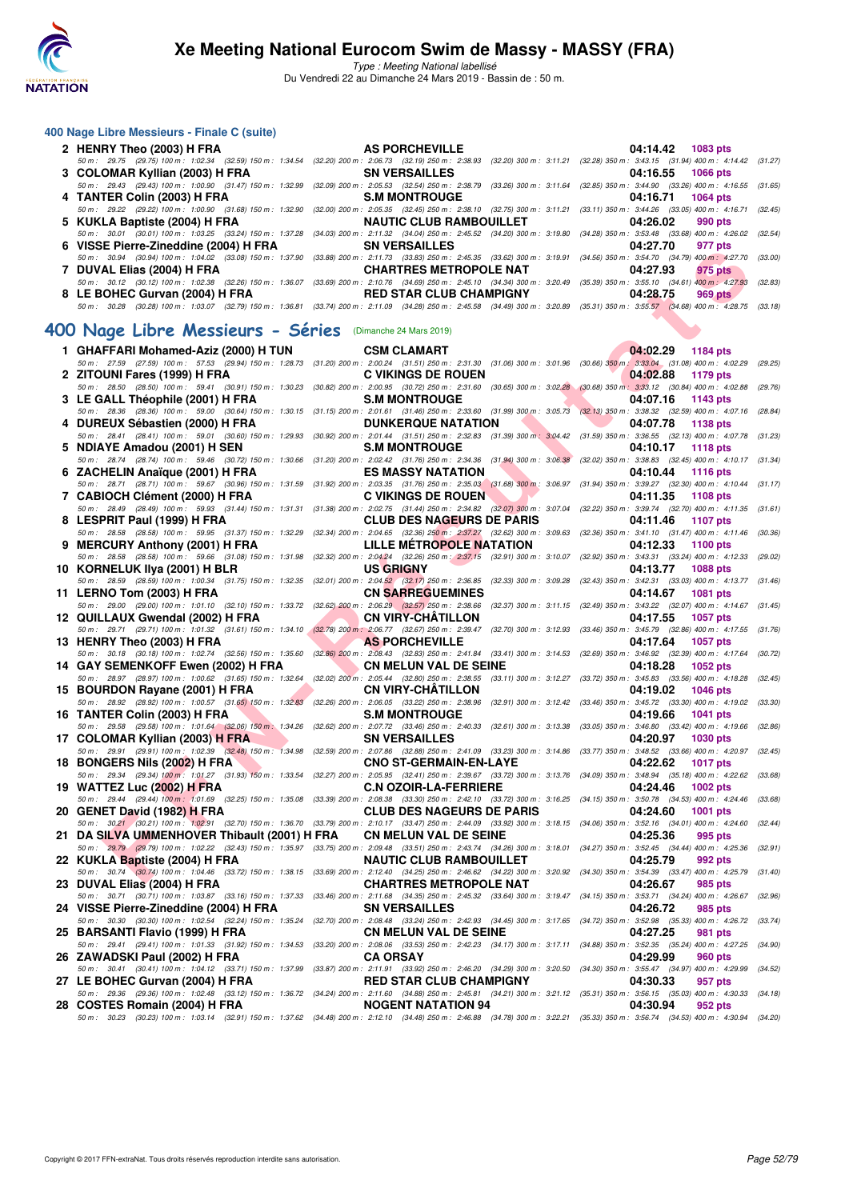

Type : Meeting National labellisé

Du Vendredi 22 au Dimanche 24 Mars 2019 - Bassin de : 50 m.

| 400 Nage Libre Messieurs - Finale C (suite)                                                                                                                                                                                                  |                                                                                                                                                                     |                                                         |         |
|----------------------------------------------------------------------------------------------------------------------------------------------------------------------------------------------------------------------------------------------|---------------------------------------------------------------------------------------------------------------------------------------------------------------------|---------------------------------------------------------|---------|
| 2 HENRY Theo (2003) H FRA                                                                                                                                                                                                                    | <b>AS PORCHEVILLE</b>                                                                                                                                               | 04:14.42<br>1083 pts                                    |         |
| 50 m: 29.75 (29.75) 100 m: 1:02.34 (32.59) 150 m: 1:34.54                                                                                                                                                                                    | (32.20) 200 m : 2:06.73 (32.19) 250 m : 2:38.93 (32.20) 300 m : 3:11.21 (32.28) 350 m : 3:43.15 (31.94) 400 m : 4:14.42 (31.27)                                     |                                                         |         |
| 3 COLOMAR Kyllian (2003) H FRA<br>50 m: 29.43 (29.43) 100 m: 1:00.90 (31.47) 150 m: 1:32.99                                                                                                                                                  | <b>SN VERSAILLES</b><br>(32.09) 200 m : 2:05.53 (32.54) 250 m : 2:38.79 (33.26) 300 m : 3:11.64 (32.85) 350 m : 3:44.90 (33.26) 400 m : 4:16.55 (31.65)             | 04:16.55<br>1066 pts                                    |         |
| 4 TANTER Colin (2003) H FRA                                                                                                                                                                                                                  | <b>S.M MONTROUGE</b>                                                                                                                                                | 04:16.71<br>1064 pts                                    |         |
| 50 m: 29.22 (29.22) 100 m: 1:00.90 (31.68) 150 m: 1:32.90<br>5 KUKLA Baptiste (2004) H FRA                                                                                                                                                   | (32.00) 200 m : 2:05.35 (32.45) 250 m : 2:38.10 (32.75) 300 m : 3:11.21 (33.11) 350 m : 3:44.26 (33.05) 400 m : 4:16.71<br><b>NAUTIC CLUB RAMBOUILLET</b>           | 04:26.02<br>990 pts                                     | (32.45) |
| 50 m: 30.01 (30.01) 100 m: 1:03.25 (33.24) 150 m: 1:37.28                                                                                                                                                                                    | (34.03) 200 m : 2:11.32 (34.04) 250 m : 2:45.52 (34.20) 300 m : 3:19.80 (34.28) 350 m : 3:53.48 (33.68) 400 m : 4:26.02 (32.54)                                     |                                                         |         |
| 6 VISSE Pierre-Zineddine (2004) H FRA<br>50 m: 30.94 (30.94) 100 m: 1:04.02 (33.08) 150 m: 1:37.90                                                                                                                                           | <b>SN VERSAILLES</b><br>(33.88) 200 m : 2:11.73 (33.83) 250 m : 2:45.35 (33.62) 300 m : 3:19.91 (34.56) 350 m : 3:54.70 (34.79) 400 m : 4:27.70 (33.00)             | 04:27.70<br>977 pts                                     |         |
| 7 DUVAL Elias (2004) H FRA                                                                                                                                                                                                                   | <b>CHARTRES METROPOLE NAT</b><br>(33.69) 200 m : 2:10.76 (34.69) 250 m : 2:45.10 (34.34) 300 m : 3:20.49 (35.39) 350 m : 3:55.10 (34.61) 400 m : 4:27.93            | 04:27.93<br>975 pts                                     | (32.83) |
| 50 m: 30.12 (30.12) 100 m: 1:02.38 (32.26) 150 m: 1:36.07<br>8 LE BOHEC Gurvan (2004) H FRA                                                                                                                                                  | <b>RED STAR CLUB CHAMPIGNY</b>                                                                                                                                      | 04:28.75<br><b>969 pts</b>                              |         |
| 50 m: 30.28 (30.28) 100 m: 1:03.07 (32.79) 150 m: 1:36.81 (33.74) 200 m: 2:11.09 (34.28) 250 m: 2:45.58 (34.49) 300 m: 3:20.89 (35.31) 350 m: 3:55.57 (34.68) 400 m: 4:28.75 (33.18)                                                         |                                                                                                                                                                     |                                                         |         |
| 400 Nage Libre Messieurs - Séries (Dimanche 24 Mars 2019)                                                                                                                                                                                    |                                                                                                                                                                     |                                                         |         |
| 1 GHAFFARI Mohamed-Aziz (2000) H TUN                                                                                                                                                                                                         | <b>CSM CLAMART</b>                                                                                                                                                  | 04:02.29<br>1184 pts                                    |         |
| 50 m: 27.59 (27.59) 100 m: 57.53 (29.94) 150 m: 1:28.73                                                                                                                                                                                      | (31.20) 200 m : 2:00.24 (31.51) 250 m : 2:31.30 (31.06) 300 m : 3:01.96 (30.66) 350 m : 3:33.04 (31.08) 400 m : 4:02.29                                             |                                                         | (29.25) |
| 2 ZITOUNI Fares (1999) H FRA<br>50 m: 28.50 (28.50) 100 m: 59.41 (30.91) 150 m: 1:30.23                                                                                                                                                      | <b>C VIKINGS DE ROUEN</b><br>(30.82) 200 m : 2:00.95 (30.72) 250 m : 2:31.60 (30.65) 300 m : 3:02.28 (30.68) 350 m : 3:33.12 (30.84) 400 m : 4:02.88                | 04:02.88<br>1179 pts                                    | (29.76) |
| 3 LE GALL Théophile (2001) H FRA<br>50 m : 28.36 (28.36) 100 m : 59.00 (30.64) 150 m : 1:30.15                                                                                                                                               | <b>S.M MONTROUGE</b><br>$(31.15)$ 200 m : 2:01.61 $(31.46)$ 250 m : 2:33.60 $(31.99)$ 300 m : 3:05.73 $(32.13)$ 350 m : 3:38.32 $(32.59)$ 400 m : 4:07.16 $(28.84)$ | 04:07.16<br>1143 pts                                    |         |
| 4 DUREUX Sébastien (2000) H FRA                                                                                                                                                                                                              | <b>DUNKERQUE NATATION</b>                                                                                                                                           | 04:07.78<br>1138 pts                                    |         |
| 50 m: 28.41 (28.41) 100 m: 59.01 (30.60) 150 m: 1:29.93<br>5 NDIAYE Amadou (2001) H SEN                                                                                                                                                      | (30.92) 200 m: 2:01.44 (31.51) 250 m: 2:32.83 (31.39) 300 m: 3:04.42 (31.59) 350 m: 3:36.55 (32.13) 400 m: 4:07.78 (31.23)<br><b>S.M MONTROUGE</b>                  | 04:10.17<br><b>1118 pts</b>                             |         |
| 50 m: 28.74 (28.74) 100 m: 59.46 (30.72) 150 m: 1:30.66                                                                                                                                                                                      | $(31.20)$ 200 m : 2:02.42 $(31.76)$ 250 m : 2:34.36 $(31.94)$ 300 m : 3:06.38                                                                                       | (32.02) 350 m : 3:38.83 (32.45) 400 m : 4:10.17 (31.34) |         |
| 6 ZACHELIN Anaïque (2001) H FRA<br>50 m: 28.71 (28.71) 100 m: 59.67 (30.96) 150 m: 1:31.59                                                                                                                                                   | <b>ES MASSY NATATION</b><br>(31.92) 200 m : 2:03.35 (31.76) 250 m : 2:35.03 (31.68) 300 m : 3:06.97 (31.94) 350 m : 3:39.27 (32.30) 400 m : 4:10.44 (31.17)         | 04:10.44<br>1116 pts                                    |         |
| 7 CABIOCH Clément (2000) H FRA                                                                                                                                                                                                               | <b>C VIKINGS DE ROUEN</b>                                                                                                                                           | 04:11.35<br><b>1108 pts</b>                             |         |
| 50 m: 28.49 (28.49) 100 m: 59.93 (31.44) 150 m: 1:31.31<br>8 LESPRIT Paul (1999) H FRA                                                                                                                                                       | (31.38) 200 m : 2:02.75 (31.44) 250 m : 2:34.82 (32.07) 300 m : 3:07.04 (32.22) 350 m : 3:39.74 (32.70) 400 m : 4:11.35 (31.61)<br><b>CLUB DES NAGEURS DE PARIS</b> | 04:11.46<br>1107 pts                                    |         |
| 50 m: 28.58 (28.58) 100 m: 59.95 (31.37) 150 m: 1:32.29                                                                                                                                                                                      | (32.34) 200 m : 2:04.65 (32.36) 250 m : 2:37.27 (32.62) 300 m : 3:09.63 (32.36) 350 m : 3:41.10 (31.47) 400 m : 4:11.46 (30.36)                                     |                                                         |         |
| 9 MERCURY Anthony (2001) H FRA<br>50 m: 28.58 (28.58) 100 m: 59.66 (31.08) 150 m: 1:31.98                                                                                                                                                    | LILLE METROPOLE NATATION<br>(32.32) 200 m : 2:04.24 (32.26) 250 m : 2:37.15 (32.91) 300 m : 3:10.07 (32.92) 350 m : 3:43.31 (33.24) 400 m : 4:12.33 (29.02)         | 04:12.33<br>1100 pts                                    |         |
| 10 KORNELUK IIya (2001) H BLR                                                                                                                                                                                                                | <b>US GRIGNY</b>                                                                                                                                                    | 04:13.77<br><b>1088 pts</b>                             |         |
| 50 m: 28.59 (28.59) 100 m: 1:00.34 (31.75) 150 m: 1:32.35<br>11 LERNO Tom (2003) H FRA                                                                                                                                                       | (32.01) 200 m : 2:04.52 (32.17) 250 m : 2:36.85 (32.33) 300 m : 3:09.28 (32.43) 350 m : 3:42.31 (33.03) 400 m : 4:13.77 (31.46)<br><b>CN SARREGUEMINES</b>          | 04:14.67<br><b>1081 pts</b>                             |         |
| 50 m: 29.00 (29.00) 100 m: 1:01.10 (32.10) 150 m: 1:33.72                                                                                                                                                                                    | (32.62) 200 m : 2:06.29 (32.57) 250 m : 2:38.66 (32.37) 300 m : 3:11.15 (32.49) 350 m : 3:43.22 (32.07) 400 m : 4:14.67 (31.45)                                     |                                                         |         |
| 12 QUILLAUX Gwendal (2002) H FRA<br>50 m: 29.71 (29.71) 100 m: 1:01.32 (31.61) 150 m: 1:34.10                                                                                                                                                | <b>CN VIRY-CHATILLON</b><br>(32.78) 200 m : 2:06.77 (32.67) 250 m : 2:39.47 (32.70) 300 m : 3:12.93 (33.46) 350 m : 3:45.79 (32.86) 400 m : 4:17.55 (31.76)         | 04:17.55<br><b>1057 pts</b>                             |         |
| 13 HENRY Theo (2003) H FRA                                                                                                                                                                                                                   | <b>AS PORCHEVILLE</b>                                                                                                                                               | 04:17.64<br>1057 pts                                    |         |
| 50 m : 30.18 (30.18) 100 m : 1:02.74 (32.56) 150 m : 1:35.60<br>14 GAY SEMENKOFF Ewen (2002) H FRA                                                                                                                                           | (32.86) 200 m : 2:08.43 (32.83) 250 m : 2:41.84 (33.41) 300 m : 3:14.53 (32.69) 350 m : 3:46.92 (32.39) 400 m : 4:17.64 (30.72)<br><b>CN MELUN VAL DE SEINE</b>     | 04:18.28<br><b>1052 pts</b>                             |         |
| 50 m: 28.97 (28.97) 100 m: 1:00.62 (31.65) 150 m: 1:32.64<br>15 BOURDON Rayane (2001) H FRA                                                                                                                                                  | (32.02) 200 m: 2:05.44 (32.80) 250 m: 2:38.55 (33.11) 300 m: 3:12.27 (33.72) 350 m: 3:45.83 (33.56) 400 m: 4:18.28 (32.45)<br><b>CN VIRY-CHATILLON</b>              | 04:19.02<br><b>1046 pts</b>                             |         |
| 50 m: 28.92 (28.92) 100 m: 1:00.57 (31.65) 150 m: 1:32.83                                                                                                                                                                                    | (32.26) 200 m : 2:06.05 (33.22) 250 m : 2:38.96 (32.91) 300 m : 3:12.42 (33.46) 350 m : 3:45.72 (33.30) 400 m : 4:19.02 (33.30)                                     |                                                         |         |
| 16 TANTER Colin (2003) H FRA<br>50 m: 29.58 (29.58) 100 m: 1:01.64 (32.06) 150 m: 1:34.26 (32.62) 200 m: 2:07.72 (33.46) 250 m: 2:40.33 (32.61) 300 m: 3:13.38 (33.05) 350 m: 3:46.80 (33.42) 400 m: 4:19.66 (32.86)                         | <b>S.M MONTROUGE</b>                                                                                                                                                | 04:19.66<br><b>1041 pts</b>                             |         |
| 17 COLOMAR Kyllian (2003) H FRA                                                                                                                                                                                                              | <b>SN VERSAILLES</b>                                                                                                                                                | 04:20.97<br>1030 pts                                    |         |
| 50 m : 29.91 (29.91) 100 m : 1:02.39 (32.48) 150 m : 1:34.98 (32.59) 200 m : 2:07.86 (32.88) 250 m : 2:41.09 (33.23) 300 m : 3:14.86 (33.77) 350 m : 3:48.52 (33.66) 400 m : 4:20.97 (32.45)<br>18 BONGERS Nils (2002) H FRA                 | <b>CNO ST-GERMAIN-EN-LAYE</b>                                                                                                                                       | <b>1017 pts</b><br>04:22.62                             |         |
| 50 m: 29.34 (29.34) 100 m: 1:01.27 (31.93) 150 m: 1:33.54 (32.27) 200 m: 2:05.95 (32.41) 250 m: 2:39.67 (33.72) 300 m: 3:13.76 (34.09) 350 m: 3:48.94 (35.18) 400 m: 4:22.62 (33.68)                                                         |                                                                                                                                                                     |                                                         |         |
| 19 WATTEZ Luc (2002) H FRA<br>50 m: 29.44 (29.44) 100 m: 1.01.69 (32.25) 150 m: 1:35.08 (33.39) 200 m: 2:08.38 (33.30) 250 m: 2:42.10 (33.72) 300 m: 3:16.25 (34.15) 350 m: 3:50.78 (34.53) 400 m: 4:24.46 (33.68)                           | <b>C.N OZOIR-LA-FERRIERE</b>                                                                                                                                        | 04:24.46<br><b>1002 pts</b>                             |         |
| 20 GENET David (1982) H FRA                                                                                                                                                                                                                  | <b>CLUB DES NAGEURS DE PARIS</b>                                                                                                                                    | 04:24.60<br><b>1001 pts</b>                             |         |
| 50 m : 30.21 (30.21) 100 m : 1:02.91 (32.70) 150 m : 1:36.70 (33.79) 200 m : 2:10.17 (33.47) 250 m : 2:44.09 (33.92) 300 m : 3:18.15 (34.06) 350 m : 3:52.16 (34.01) 400 m : 4:24.60 (32.44)<br>21 DA SILVA UMMENHOVER Thibault (2001) H FRA | <b>CN MELUN VAL DE SEINE</b>                                                                                                                                        | 04:25.36<br>995 pts                                     |         |
| 50 m: 29.79 (29.79) 100 m: 1:02.22 (32.43) 150 m: 1:35.97 (33.75) 200 m: 2:09.48 (33.51) 250 m: 2:43.74 (34.26) 300 m: 3:18.01 (34.27) 350 m: 3:52.45 (34.44) 400 m: 4:25.36 (32.91)<br>22 KUKLA Baptiste (2004) H FRA                       | <b>NAUTIC CLUB RAMBOUILLET</b>                                                                                                                                      | 04:25.79<br>992 pts                                     |         |
| 50 m : 30.74 (30.74) 100 m : 1:04.46 (33.72) 150 m : 1:38.15 (33.69) 200 m : 2:12.40 (34.25) 250 m : 2:46.62 (34.22) 300 m : 3:20.92 (34.30) 350 m : 3:54.39 (33.47) 400 m : 4:25.79 (31.40)                                                 |                                                                                                                                                                     |                                                         |         |
| 23 DUVAL Elias (2004) H FRA<br>50 m : 30.71 (30.71) 100 m : 1:03.87 (33.16) 150 m : 1:37.33 (33.46) 200 m : 2:11.68 (34.35) 250 m : 2:45.32 (33.64) 300 m : 3:19.47 (34.15) 350 m : 3:53.71 (34.24) 400 m : 4:26.67 (32.96)                  | <b>CHARTRES METROPOLE NAT</b>                                                                                                                                       | 04:26.67<br>985 pts                                     |         |
| 24 VISSE Pierre-Zineddine (2004) H FRA                                                                                                                                                                                                       | <b>SN VERSAILLES</b>                                                                                                                                                | 04:26.72<br>985 pts                                     |         |
| 50 m : 30.30 (30.30) 100 m : 1:02.54 (32.24) 150 m : 1:35.24 (32.70) 200 m : 2:08.48 (33.24) 250 m : 2:42.93 (34.45) 300 m : 3:17.65 (34.72) 350 m : 3:52.98 (35.33) 400 m : 4:26.72 (33.74)<br>25 BARSANTI Flavio (1999) H FRA              | <b>CN MELUN VAL DE SEINE</b>                                                                                                                                        | 04:27.25<br>981 pts                                     |         |
| 50 m : 29.41 (29.41) 100 m : 1:01.33 (31.92) 150 m : 1:34.53 (33.20) 200 m : 2:08.06 (33.53) 250 m : 2:42.23 (34.17) 300 m : 3:17.11 (34.88) 350 m : 3:52.35 (35.24) 400 m : 4:27.25 (34.90)                                                 |                                                                                                                                                                     |                                                         |         |
| 26 ZAWADSKI Paul (2002) H FRA<br>50 m: 30.41 (30.41) 100 m: 1:04.12 (33.71) 150 m: 1:37.99 (33.87) 200 m: 2:11.91 (33.92) 250 m: 2:46.20 (34.29) 300 m: 3:20.50 (34.30) 350 m: 3:55.47 (34.97) 400 m: 4:29.99 (34.52)                        | <b>CA ORSAY</b>                                                                                                                                                     | 04:29.99<br>960 pts                                     |         |
| 27 LE BOHEC Gurvan (2004) H FRA                                                                                                                                                                                                              | <b>RED STAR CLUB CHAMPIGNY</b>                                                                                                                                      | 04:30.33<br>957 pts                                     |         |
| 50 m: 29.36 (29.36) 100 m: 1:02.48 (33.12) 150 m: 1:36.72 (34.24) 200 m: 2:11.60 (34.88) 250 m: 2:45.81 (34.21) 300 m: 3:21.12 (35.31) 350 m: 3:56.15 (35.03) 400 m: 4:30.33 (34.18)<br>28 COSTES Romain (2004) H FRA                        | <b>NOGENT NATATION 94</b>                                                                                                                                           | 04:30.94<br>952 pts                                     |         |
| 50 m : 30.23 (30.23) 100 m : 1:03.14 (32.91) 150 m : 1:37.62 (34.48) 200 m : 2:12.10 (34.48) 250 m : 2:46.88 (34.78) 300 m : 3:22.21 (35.33) 350 m : 3:56.74 (34.53) 400 m : 4:30.94 (34.20)                                                 |                                                                                                                                                                     |                                                         |         |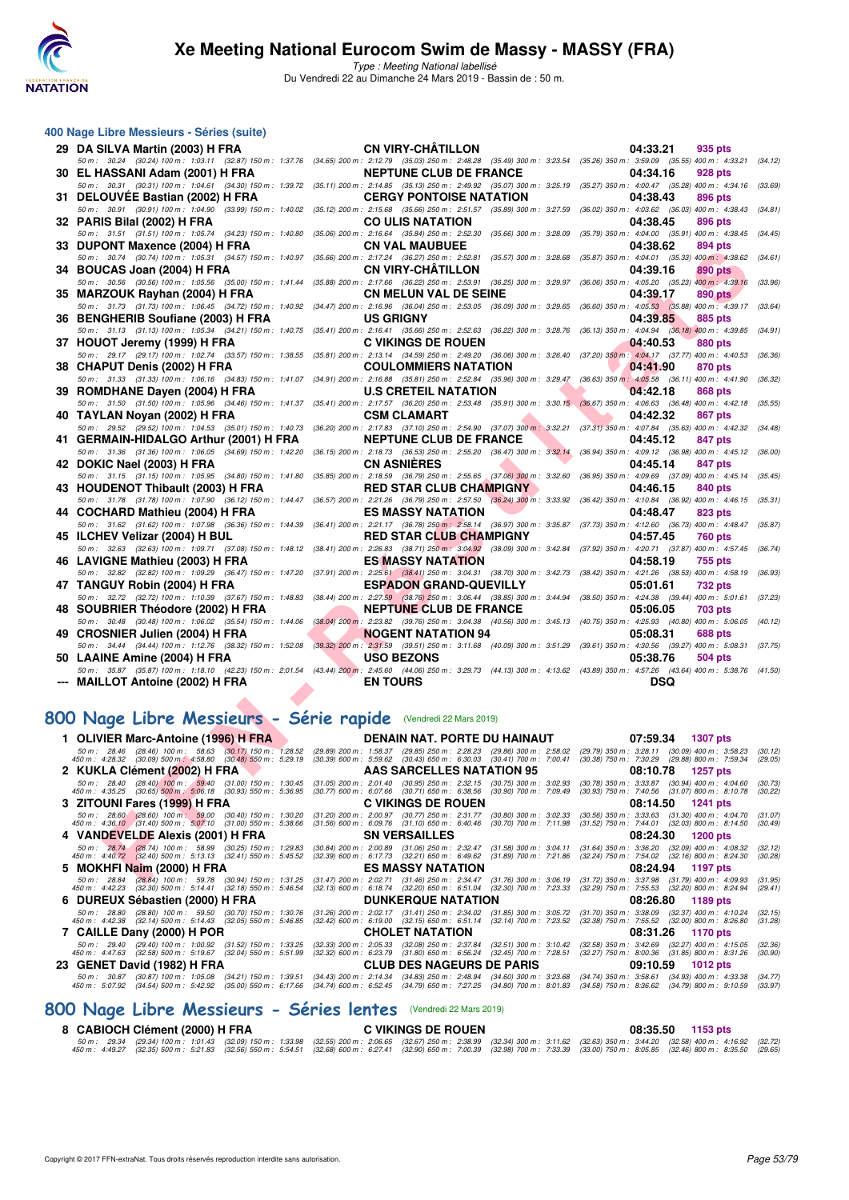

Type : Meeting National labellisé Du Vendredi 22 au Dimanche 24 Mars 2019 - Bassin de : 50 m.

| 400 Nage Libre Messieurs - Séries (suite)                                                                                                                                                                              |                           |                                                                                                                                                                                                                                                             |                           |                           |                                                                                  |         |
|------------------------------------------------------------------------------------------------------------------------------------------------------------------------------------------------------------------------|---------------------------|-------------------------------------------------------------------------------------------------------------------------------------------------------------------------------------------------------------------------------------------------------------|---------------------------|---------------------------|----------------------------------------------------------------------------------|---------|
| 29 DA SILVA Martin (2003) H FRA                                                                                                                                                                                        |                           | <b>CN VIRY-CHATILLON</b>                                                                                                                                                                                                                                    |                           |                           | 04:33.21<br>935 pts                                                              |         |
| 50 m : 30.24 (30.24) 100 m : 1:03.11 (32.87) 150 m : 1:37.76 (34.65) 200 m : 2:12.79 (35.03) 250 m : 2:48.28 (35.49) 300 m : 3:23.54                                                                                   |                           | <b>NEPTUNE CLUB DE FRANCE</b>                                                                                                                                                                                                                               |                           |                           | $(35.26)$ 350 m : 3:59.09 $(35.55)$ 400 m : 4:33.21                              | (34.12) |
| 30 EL HASSANI Adam (2001) H FRA<br>50 m : 30.31 (30.31) 100 m : 1:04.61 (34.30) 150 m : 1:39.72                                                                                                                        |                           | (35.11) 200 m : 2:14.85 (35.13) 250 m : 2:49.92 (35.07) 300 m : 3:25.19                                                                                                                                                                                     |                           |                           | 04:34.16<br>928 pts<br>(35.27) 350 m : 4:00.47 (35.28) 400 m : 4:34.16 (33.69    |         |
| 31 DELOUVEE Bastian (2002) H FRA                                                                                                                                                                                       |                           | <b>CERGY PONTOISE NATATION</b>                                                                                                                                                                                                                              |                           |                           | 04:38.43<br>896 pts                                                              |         |
| 50 m : 30.91 (30.91) 100 m : 1:04.90 (33.99) 150 m : 1:40.02                                                                                                                                                           |                           | (35.12) 200 m: 2:15.68 (35.66) 250 m: 2:51.57 (35.89) 300 m: 3:27.59                                                                                                                                                                                        |                           |                           | (36.02) 350 m: 4:03.62 (36.03) 400 m: 4:38.43                                    | (34.81) |
| 32 PARIS Bilal (2002) H FRA<br>50 m: 31.51 (31.51) 100 m: 1:05.74 (34.23) 150 m: 1:40.80                                                                                                                               |                           | <b>CO ULIS NATATION</b><br>$(35.06)$ 200 m : 2:16.64 $(35.84)$ 250 m : 2:52.30                                                                                                                                                                              | $(35.66)$ 300 m : 3:28.09 |                           | 04:38.45<br>896 pts<br>(35.79) 350 m : 4:04.00 (35.91) 400 m : 4:38.45           | (34.45) |
| 33 DUPONT Maxence (2004) H FRA                                                                                                                                                                                         |                           | <b>CN VAL MAUBUEE</b>                                                                                                                                                                                                                                       |                           |                           | 04:38.62<br>894 pts                                                              |         |
| 50 m: 30.74 (30.74) 100 m: 1:05.31 (34.57) 150 m: 1:40.97                                                                                                                                                              |                           | (35.66) 200 m : 2:17.24 (36.27) 250 m : 2:52.81                                                                                                                                                                                                             | $(35.57)$ 300 m : 3:28.68 |                           | (35.87) 350 m : 4:04.01 (35.33) 400 m : 4:38.62                                  | (34.61) |
| 34 BOUCAS Joan (2004) H FRA<br>50 m: 30.56 (30.56) 100 m: 1:05.56 (35.00) 150 m: 1:41.44                                                                                                                               |                           | <b>CN VIRY-CHATILLON</b><br>$\left(35.88\right) \ 200 \ m : \ \ 2.17.66 \quad \  \left(36.22\right) \ 250 \ m : \ \ 2.53.91 \quad \  \left(36.25\right) \ 300 \ m : \ \ 3.29.97$                                                                            |                           |                           | 04:39.16<br>890 pts<br>$(36.06)$ 350 m : 4:05.20 $(35.23)$ 400 m : 4:39.16       | (33.96) |
| 35 MARZOUK Rayhan (2004) H FRA                                                                                                                                                                                         |                           | <b>CN MELUN VAL DE SEINE</b>                                                                                                                                                                                                                                |                           |                           | 04:39.17<br>890 pts                                                              |         |
| 50 m: 31.73 (31.73) 100 m: 1:06.45 (34.72) 150 m: 1:40.92                                                                                                                                                              |                           | $(34.47)$ 200 m : 2:16.96 $(36.04)$ 250 m : 2:53.05 $(36.09)$ 300 m : 3:29.65                                                                                                                                                                               |                           |                           | (36.60) 350 m : 4:05.53 (35.88) 400 m : 4:39.17                                  | (33.64) |
| 36 BENGHERIB Soufiane (2003) H FRA                                                                                                                                                                                     |                           | <b>US GRIGNY</b>                                                                                                                                                                                                                                            |                           |                           | 04:39.85<br>885 pts                                                              |         |
| 50 m: 31.13 (31.13) 100 m: 1:05.34 (34.21) 150 m: 1:40.75<br>37 HOUOT Jeremy (1999) H FRA                                                                                                                              |                           | (35.41) 200 m : 2:16.41 (35.66) 250 m : 2:52.63 (36.22) 300 m : 3:28.76<br><b>C VIKINGS DE ROUEN</b>                                                                                                                                                        |                           |                           | (36.13) 350 m : 4:04.94 (36.18) 400 m : 4:39.85<br>04:40.53<br>880 pts           | (34.91) |
| 50 m: 29.17 (29.17) 100 m: 1:02.74 (33.57) 150 m: 1:38.55                                                                                                                                                              |                           | (35.81) 200 m : 2:13.14 (34.59) 250 m : 2:49.20 (36.06) 300 m : 3:26.40                                                                                                                                                                                     |                           |                           | (37.20) 350 m : 4:04.17 (37.77) 400 m : 4:40.53                                  | (36.36) |
| 38 CHAPUT Denis (2002) H FRA                                                                                                                                                                                           |                           | <b>COULOMMIERS NATATION</b>                                                                                                                                                                                                                                 |                           |                           | 04:41.90<br>870 pts                                                              |         |
| 50 m: 31.33 (31.33) 100 m: 1:06.16 (34.83) 150 m: 1:41.07<br>39 ROMDHANE Dayen (2004) H FRA                                                                                                                            |                           | (34.91) 200 m : 2:16.88 (35.81) 250 m : 2:52.84 (35.96) 300 m : 3:29.47<br><b>U.S CRETEIL NATATION</b>                                                                                                                                                      |                           |                           | $(36.63)$ 350 m : $4.05.58$ $(36.11)$ 400 m : 4:41.90<br>04:42.18<br>868 pts     | (36.32) |
| 50 m: 31.50 (31.50) 100 m: 1:05.96 (34.46) 150 m: 1:41.37                                                                                                                                                              |                           | (35.41) 200 m : 2:17.57 (36.20) 250 m : 2:53.48 (35.91) 300 m : 3:30.15 (36.67) 350 m : 4:06.63 (36.48) 400 m : 4:42.18                                                                                                                                     |                           |                           |                                                                                  | (35.55) |
| 40 TAYLAN Noyan (2002) H FRA                                                                                                                                                                                           |                           | <b>CSM CLAMART</b>                                                                                                                                                                                                                                          |                           |                           | 04:42.32<br>867 pts                                                              |         |
| 50 m: 29.52 (29.52) 100 m: 1:04.53 (35.01) 150 m: 1:40.73                                                                                                                                                              |                           | (36.20) 200 m : 2:17.83 (37.10) 250 m : 2:54.90 (37.07) 300 m : 3:32.21                                                                                                                                                                                     |                           |                           | (37.31) 350 m: 4:07.84 (35.63) 400 m: 4:42.32                                    | (34.48) |
| 41 GERMAIN-HIDALGO Arthur (2001) H FRA<br>50 m: 31.36 (31.36) 100 m: 1:06.05 (34.69) 150 m: 1:42.20                                                                                                                    |                           | <b>NEPTUNE CLUB DE FRANCE</b><br>(36.15) 200 m : 2:18.73 (36.53) 250 m : 2:55.20 (36.47) 300 m : 3:32.14                                                                                                                                                    |                           |                           | 04:45.12<br>847 pts<br>(36.94) 350 m : 4:09.12 (36.98) 400 m : 4:45.12           | (36.00) |
| 42 DOKIC Nael (2003) H FRA                                                                                                                                                                                             |                           | <b>CN ASNIERES</b>                                                                                                                                                                                                                                          |                           |                           | 04:45.14<br>847 pts                                                              |         |
| 50 m: 31.15 (31.15) 100 m: 1:05.95 (34.80) 150 m: 1:41.80                                                                                                                                                              |                           | (35.85) 200 m : 2:18.59 (36.79) 250 m : 2:55.65 (37.06) 300 m : 3:32.60                                                                                                                                                                                     |                           |                           | (36.95) 350 m : 4:09.69 (37.09) 400 m : 4:45.14                                  | (35.45) |
| 43 HOUDENOT Thibault (2003) H FRA<br>50 m: 31.78 (31.78) 100 m: 1:07.90 (36.12) 150 m: 1:44.47                                                                                                                         |                           | <b>RED STAR CLUB CHAMPIGNY</b><br>(36.57) 200 m : 2:21.26 (36.79) 250 m : 2:57.50 (36.24) 300 m : 3:33.92                                                                                                                                                   |                           |                           | 04:46.15<br>840 pts<br>(36.42) 350 m: 4:10.84 (36.92) 400 m: 4:46.15             | (35.31) |
| 44 COCHARD Mathieu (2004) H FRA                                                                                                                                                                                        |                           | <b>ES MASSY NATATION</b>                                                                                                                                                                                                                                    |                           |                           | 04:48.47<br>823 pts                                                              |         |
| 50 m: 31.62 (31.62) 100 m: 1:07.98 (36.36) 150 m: 1:44.39                                                                                                                                                              |                           | (36.41) 200 m : 2:21.17 (36.78) 250 m : 2:58.14 (36.97) 300 m : 3:35.87                                                                                                                                                                                     |                           |                           | (37.73) 350 m: 4:12.60 (36.73) 400 m: 4:48.47                                    | (35.87) |
| 45 ILCHEV Velizar (2004) H BUL<br>50 m: 32.63 (32.63) 100 m: 1:09.71 (37.08) 150 m: 1:48.12                                                                                                                            |                           | <b>RED STAR CLUB CHAMPIGNY</b><br>(38.41) 200 m : 2:26.83 (38.71) 250 m : 3:04.92 (38.09) 300 m : 3:42.84                                                                                                                                                   |                           |                           | 04:57.45<br>760 pts<br>(37.92) 350 m: 4:20.71 (37.87) 400 m: 4:57.45             | (36.74) |
| 46 LAVIGNE Mathieu (2003) H FRA                                                                                                                                                                                        |                           | <b>ES MASSY NATATION</b>                                                                                                                                                                                                                                    |                           |                           | 04:58.19<br>755 pts                                                              |         |
| 50 m: 32.82 (32.82) 100 m: 1:09.29 (36.47) 150 m: 1:47.20                                                                                                                                                              |                           | $(37.91)$ 200 m : 2:25.61 $(38.41)$ 250 m : 3:04.31 $(38.70)$ 300 m : 3:42.73                                                                                                                                                                               |                           |                           | (38.42) 350 m: 4:21.26 (38.53) 400 m: 4:58.19                                    | (36.93) |
| 47 TANGUY Robin (2004) H FRA<br>50 m: 32.72 (32.72) 100 m: 1:10.39 (37.67) 150 m: 1:48.83                                                                                                                              |                           | <b>ESPADON GRAND-QUEVILLY</b><br>(38.44) 200 m : 2:27.59 (38.76) 250 m : 3:06.44 (38.85) 300 m : 3:44.94                                                                                                                                                    |                           |                           | 05:01.61<br>732 pts<br>(38.50) 350 m : 4:24.38 (39.44) 400 m : 5:01.61           | (37.23) |
| 48 SOUBRIER Théodore (2002) H FRA                                                                                                                                                                                      |                           | <b>NEPTUNE CLUB DE FRANCE</b>                                                                                                                                                                                                                               |                           |                           | 05:06.05<br><b>703 pts</b>                                                       |         |
| 50 m : 30.48 (30.48) 100 m : 1:06.02 (35.54) 150 m : 1:44.06                                                                                                                                                           |                           | $(38.04)$ 200 m : 2:23.82 $(39.76)$ 250 m : 3:04.38 $(40.56)$ 300 m : 3:45.13                                                                                                                                                                               |                           |                           | (40.75) 350 m : 4:25.93 (40.80) 400 m : 5:06.05                                  | (40.12) |
| 49 CROSNIER Julien (2004) H FRA                                                                                                                                                                                        |                           | <b>NOGENT NATATION 94</b>                                                                                                                                                                                                                                   |                           |                           | 05:08.31<br>688 pts                                                              |         |
| 50 m: 34.44 (34.44) 100 m: 1:12.76 (38.32) 150 m: 1:52.08<br>50 LAAINE Amine (2004) H FRA                                                                                                                              |                           | $\left(39.32\right) \ 200 \ m : \ 2.31.59 \quad \left(39.51\right) \ 250 \ m : \ 3.11.68 \quad \left(40.09\right) \ 300 \ m : \ 3.51.29 \quad \left(39.61\right) \ 350 \ m : \ 4.30.56 \quad \left(39.27\right) \ 400 \ m : \ 5.08.31$<br><b>USO BEZONS</b> |                           |                           | 05:38.76<br>504 pts                                                              | (37.75) |
| 50 m: 35.87 (35.87) 100 m: 1:18.10 (42.23) 150 m: 2:01.54 (43.44) 200 m: 2:45.60 (44.06) 250 m: 3:29.73 (44.13) 300 m: 4:13.62 (43.89) 350 m: 4:57.26 (43.64) 400 m: 5:38.76 (41.50)                                   |                           |                                                                                                                                                                                                                                                             |                           |                           |                                                                                  |         |
| --- MAILLOT Antoine (2002) H FRA                                                                                                                                                                                       |                           | <b>EN TOURS</b>                                                                                                                                                                                                                                             |                           |                           | <b>DSQ</b>                                                                       |         |
|                                                                                                                                                                                                                        |                           |                                                                                                                                                                                                                                                             |                           |                           |                                                                                  |         |
| 800 Nage Libre Messieurs - Série rapide (Vendredi 22 Mars 2019)                                                                                                                                                        |                           |                                                                                                                                                                                                                                                             |                           |                           |                                                                                  |         |
| 1 OLIVIER Marc-Antoine (1996) H FRA                                                                                                                                                                                    |                           | <b>DENAIN NAT. PORTE DU HAINAUT</b>                                                                                                                                                                                                                         |                           |                           | 07:59.34<br><b>1307 pts</b>                                                      |         |
| 50 m : 28.46 (28.46) 100 m : 58.63 (30.17) 150 m : 1:28.52                                                                                                                                                             |                           | (29.89) 200 m : 1:58.37 (29.85) 250 m : 2:28.23                                                                                                                                                                                                             | (29.86) 300 m : 2:58.02   | (29.79) 350 m : 3:28.11   | $(30.09)$ 400 m : 3:58.23                                                        | (30.12) |
| $(30.09)$ 500 m $\cdot$ 4:58.80 $(30.48)$ 550 m $\cdot$ 5:29.19<br>450 m : 4:28.32<br>2 KUKLA Clément (2002) H FRA                                                                                                     | $(30.39)$ 600 m : 5:59.62 | $(30.43)$ 650 m : 6:30.03<br><b>AAS SARCELLES NATATION 95</b>                                                                                                                                                                                               | $(30.41)$ 700 m : 7:00.41 | $(30.38)$ 750 m : 7:30.29 | $(29.88)$ 800 m : 7:59.34<br>08:10.78 1257 pts                                   | (29.05) |
| 50 m: 28.40 (28.40) 100 m: 59.40 (31.00) 150 m: 1:30.45                                                                                                                                                                |                           | (31.05) 200 m : 2:01.40 (30.95) 250 m : 2:32.15 (30.75) 300 m : 3:02.93                                                                                                                                                                                     |                           |                           | $(30.78) \ 350 \ m \colon \ 3.33.87 \quad \, (30.94) \ 400 \ m \colon \ 4.04.60$ | (30.73) |
| 450 m : 4:35.25 (30.65) 500 m : 5:06.18 (30.93) 550 m : 5:36.95<br>3   ZITOUNI Fares (1999) H FRA                                                                                                                      |                           | $(30.77)$ 600 m : 6:07.66 $(30.71)$ 650 m : 6:38.56<br><b>C VIKINGS DE ROUEN</b>                                                                                                                                                                            | $(30.90)$ 700 m : 7:09.49 |                           | (30.93) 750 m: 7:40.56 (31.07) 800 m: 8:10.78<br>08:14.50<br>1241 pts            | (30.22) |
| $50 m$ : 28.60 (28.60) $100 m$ : 59.00 (30.40) $150 m$ : 1:30.20<br>$450 m$ : 4:36.10 (31.40) $500 m$ : 5:07.10 (31.00) $550 m$ : 5:38.66                                                                              |                           | (31.20) 200 m : 2:00.97 (30.77) 250 m : 2:31.77                                                                                                                                                                                                             | $(30.80)$ 300 m : 3:02.33 |                           | $(30.56)$ 350 m : 3:33.63 $(31.30)$ 400 m : 4:04.70                              | (31.07) |
|                                                                                                                                                                                                                        |                           | $(31.56)$ 600 m : 6:09.76 $(31.10)$ 650 m : 6:40.46<br>SN VERSAILLES                                                                                                                                                                                        | $(30.70)$ 700 m : 7:11.98 |                           | (31.52) 750 m : 7:44.01 (32.03) 800 m : 8:14.50<br>08:24.30<br><b>1200 pts</b>   | (30.49) |
| 4   VANDEVELDE Alexis (2001) H FRA<br>50 m: 28.74 (28.74) 100 m: 58.99 (30.25) 150 m: 1:29.83                                                                                                                          |                           | (30.84) 200 m : 2:00.89 (31.06) 250 m : 2:32.47                                                                                                                                                                                                             | $(31.58)$ 300 m : 3:04.11 |                           | $(31.64)$ 350 m : 3:36.20 $(32.09)$ 400 m : 4:08.32                              | (32.12) |
| 450 m : 4:40.72 (32.40) 500 m : 5:13.13 (32.41) 550 m : 5:45.52                                                                                                                                                        |                           | (32.39) 600 m : 6:17.73 (32.21) 650 m : 6:49.62                                                                                                                                                                                                             | $(31.89)$ 700 m : 7:21.86 |                           | (32.24) 750 m : 7:54.02 (32.16) 800 m : 8:24.30                                  | (30.28) |
| 5 MOKHFINaim (2000) H FRA<br>50 m : 28.84 (28.84) 100 m : 59.78 (30.94) 150 m : 1:31.25 (31.47) 200 m : 2:02.71 (31.46) 250 m : 2:34.47 (31.76) 300 m : 3:06.19 (31.72) 350 m : 3:37.98 (31.79) 400 m : 4:09.93 (31.95 |                           | <b>ES MASSY NATATION</b>                                                                                                                                                                                                                                    |                           |                           | 08:24.94<br>1197 pts                                                             |         |

#### **[800 Nage Libre Messieurs - Série rapide](http://www.ffnatation.fr/webffn/resultats.php?idact=nat&go=epr&idcpt=57649&idepr=55)** (Vendredi 22 Mars 2019)

| 1 OLIVIER Marc-Antoine (1996) H FRA                                                                                                                                                                                                             |                                                        | DENAIN NAT. PORTE DU HAINAUT                                                                                                                                                                                                                       |                                                    | 07:59.34                                                                                                                                                                           | <b>1307 pts</b>   |                     |
|-------------------------------------------------------------------------------------------------------------------------------------------------------------------------------------------------------------------------------------------------|--------------------------------------------------------|----------------------------------------------------------------------------------------------------------------------------------------------------------------------------------------------------------------------------------------------------|----------------------------------------------------|------------------------------------------------------------------------------------------------------------------------------------------------------------------------------------|-------------------|---------------------|
| 50 m : 28.46 (28.46) 100 m : 58.63 (30.17) 150 m : 1:28.52<br>450 m : 4:28.32 (30.09) 500 m : 4:58.80 (30.48) 550 m : 5:29.19                                                                                                                   |                                                        | (29.89) 200 m : 1.58.37 (29.85) 250 m : 2:28.23 (29.86) 300 m : 2:58.02<br>$(30.39)$ 600 m : 5:59.62 $(30.43)$ 650 m : 6:30.03                                                                                                                     | (30.41) 700 m : 7:00.41                            | (29.79) 350 m : 3:28.11 (30.09) 400 m : 3:58.23<br>(30.38) 750 m : 7:30.29 (29.88) 800 m : 7:59.34                                                                                 |                   | (30, 12)<br>(29.05) |
| 2 KUKLA Clément (2002) H FRA                                                                                                                                                                                                                    |                                                        | AAS SARCELLES NATATION 95                                                                                                                                                                                                                          |                                                    | 08:10.78                                                                                                                                                                           | <b>1257 pts</b>   |                     |
| 50 m: 28.40 (28.40) 100 m: 59.40 (31.00) 150 m: 1:30.45<br>450 m : 4:35.25 (30.65) 500 m : 5:06.18 (30.93) 550 m : 5:36.95                                                                                                                      | (31.05) 200 m : 2:01.40                                | $(30.95)$ 250 m : 2:32.15<br>$(30.77)$ 600 m : 6:07.66 $(30.71)$ 650 m : 6:38.56                                                                                                                                                                   | (30.75) 300 m : 3:02.93<br>(30.90) 700 m : 7:09.49 | $(30.78)$ 350 m : 3:33.87 $(30.94)$ 400 m : 4:04.60<br>$(30.93)$ 750 m : 7:40.56 $(31.07)$ 800 m : 8:10.78                                                                         |                   | (30.73)<br>(30.22)  |
| 3 ZITOUNI Fares (1999) H FRA                                                                                                                                                                                                                    |                                                        | <b>C VIKINGS DE ROUEN</b>                                                                                                                                                                                                                          |                                                    | 08:14.50                                                                                                                                                                           | 1241 pts          |                     |
| 50 m: 28.60 (28.60) 100 m: 59.00 (30.40) 150 m: 1:30.20<br>450 m : 4:36.10 (31.40) 500 m : 5:07.10 (31.00) 550 m : 5:38.66                                                                                                                      | $(31.20)$ 200 m : 2:00.97                              | (30.77) 250 m : 2:31.77<br>$(31.56)$ 600 m : 6:09.76 $(31.10)$ 650 m : 6:40.46                                                                                                                                                                     | $(30.70)$ 700 m : 7:11.98                          | $(30.80)$ 300 m : 3:02.33 $(30.56)$ 350 m : 3:33.63 $(31.30)$ 400 m : 4:04.70<br>(31.52) 750 m : 7:44.01 (32.03) 800 m : 8:14.50                                                   |                   | (31.07)<br>(30.49)  |
| 4 VANDEVELDE Alexis (2001) H FRA                                                                                                                                                                                                                |                                                        | <b>SN VERSAILLES</b>                                                                                                                                                                                                                               |                                                    |                                                                                                                                                                                    | 08:24.30 1200 pts |                     |
| 50 m: 28.74 (28.74) 100 m: 58.99 (30.25) 150 m: 1:29.83<br>450 m : 4:40.72 (32.40) 500 m : 5:13.13 (32.41) 550 m : 5:45.52                                                                                                                      | $(30.84)$ 200 m : 2:00.89                              | $(32.39)$ 600 m : 6:17.73 $(32.21)$ 650 m : 6:49.62                                                                                                                                                                                                |                                                    | $(31.06)$ 250 m : 2:32.47 $(31.58)$ 300 m : 3:04.11 $(31.64)$ 350 m : 3:36.20 $(32.09)$ 400 m : 4:08.32<br>(31.89) 700 m : 7:21.86 (32.24) 750 m : 7:54.02 (32.16) 800 m : 8:24.30 |                   | (32.12)<br>(30.28)  |
| 5 MOKHFI Naim (2000) H FRA                                                                                                                                                                                                                      |                                                        | <b>ES MASSY NATATION</b>                                                                                                                                                                                                                           |                                                    |                                                                                                                                                                                    | 08:24.94 1197 pts |                     |
| 50 m: 28.84 (28.84) 100 m: 59.78 (30.94) 150 m: 1:31.25<br>450 m : 4:42.23 (32.30) 500 m : 5:14.41 (32.18) 550 m : 5:46.54                                                                                                                      |                                                        | (31.47) 200 m : 2:02.71 (31.46) 250 m : 2:34.47 (31.76) 300 m : 3:06.19 (31.72) 350 m : 3:37.98 (31.79) 400 m : 4:09.93<br>(32.13) 600 m : 6:18.74 (32.20) 650 m : 6:51.04 (32.30) 700 m : 7:23.33 (32.29) 750 m : 7:55.53 (32.20) 800 m : 8:24.94 |                                                    |                                                                                                                                                                                    |                   | (31.95)<br>(29.41)  |
| 6 DUREUX Sébastien (2000) H FRA                                                                                                                                                                                                                 |                                                        | <b>DUNKERQUE NATATION</b>                                                                                                                                                                                                                          |                                                    | 08:26.80                                                                                                                                                                           | 1189 pts          |                     |
| 50 m : 28.80 (28.80) 100 m : 59.50 (30.70) 150 m : 1:30.76<br>450 m : 4:42.38 (32.14) 500 m : 5:14.43 (32.05) 550 m : 5:46.85                                                                                                                   |                                                        | (31.26) 200 m : 2:02.17 (31.41) 250 m : 2:34.02 (31.85) 300 m : 3:05.72 (31.70) 350 m : 3:38.09 (32.37) 400 m : 4:10.24<br>(32.42) 600 m: 6:19.00 (32.15) 650 m: 6:51.14 (32.14) 700 m: 7:23.52 (32.38) 750 m: 7:55.52 (32.00) 800 m: 8:26.80      |                                                    |                                                                                                                                                                                    |                   | (32.15)<br>(31.28)  |
| 7 CAILLE Dany (2000) H POR                                                                                                                                                                                                                      |                                                        | <b>CHOLET NATATION</b>                                                                                                                                                                                                                             |                                                    | 08:31.26                                                                                                                                                                           | 1170 pts          |                     |
| 50 m: 29.40 (29.40) 100 m: 1:00.92 (31.52) 150 m: 1:33.25<br>450 m: 4:47.63 (32.58) 500 m: 5:19.67 (32.04) 550 m: 5:51.99                                                                                                                       | $(32.33)$ 200 m : 2:05.33<br>$(32.32)$ 600 m : 6:23.79 | $(31.80)$ 650 m : 6:56.24 $(32.45)$ 700 m : 7:28.51                                                                                                                                                                                                |                                                    | (32.08) 250 m : 2:37.84 (32.51) 300 m : 3:10.42 (32.58) 350 m : 3:42.69 (32.27) 400 m : 4:15.05<br>(32.27) 750 m : 8:00.36 (31.85) 800 m : 8:31.26                                 |                   | (32.36)<br>(30.90)  |
| 23 GENET David (1982) H FRA                                                                                                                                                                                                                     |                                                        | <b>CLUB DES NAGEURS DE PARIS</b>                                                                                                                                                                                                                   |                                                    | 09:10.59                                                                                                                                                                           | 1012 $pts$        |                     |
| 50 m: 30.87 (30.87) 100 m: 1:05.08 (34.21) 150 m: 1:39.51 (34.43) 200 m: 2:14.34 (34.83) 250 m: 2:48.94 (34.60) 300 m: 3:23.68 (34.74) 350 m: 3:58.61 (34.93) 400 m: 4:33.38<br>450 m : 5:07.92 (34.54) 500 m : 5:42.92 (35.00) 550 m : 6:17.66 |                                                        | (34.74) 600 m : 6:52.45 (34.79) 650 m : 7:27.25 (34.80) 700 m : 8:01.83 (34.58) 750 m : 8:36.62 (34.79) 800 m : 9:10.59                                                                                                                            |                                                    |                                                                                                                                                                                    |                   | (34.77)<br>(33.97)  |

#### **[800 Nage Libre Messieurs - Séries lentes](http://www.ffnatation.fr/webffn/resultats.php?idact=nat&go=epr&idcpt=57649&idepr=55)** (Vendredi 22 Mars 2019)

#### **8 CABIOCH Clément (2000) H FRA C VIKINGS DE ROUEN 08:35.50 1153 pts** 50 m : 29.34 (29.34) 100 m : 1.01.43 (32.09) 150 m : 1.33.98 (32.55) 200 m : 2.06.65 (32.67) 250 m : 2.38.99 (32.34) 300 m : 3.11.62 (32.63) 350 m : 3.44.20 (32.58) 400 m : 4.19.92 (32.58) 40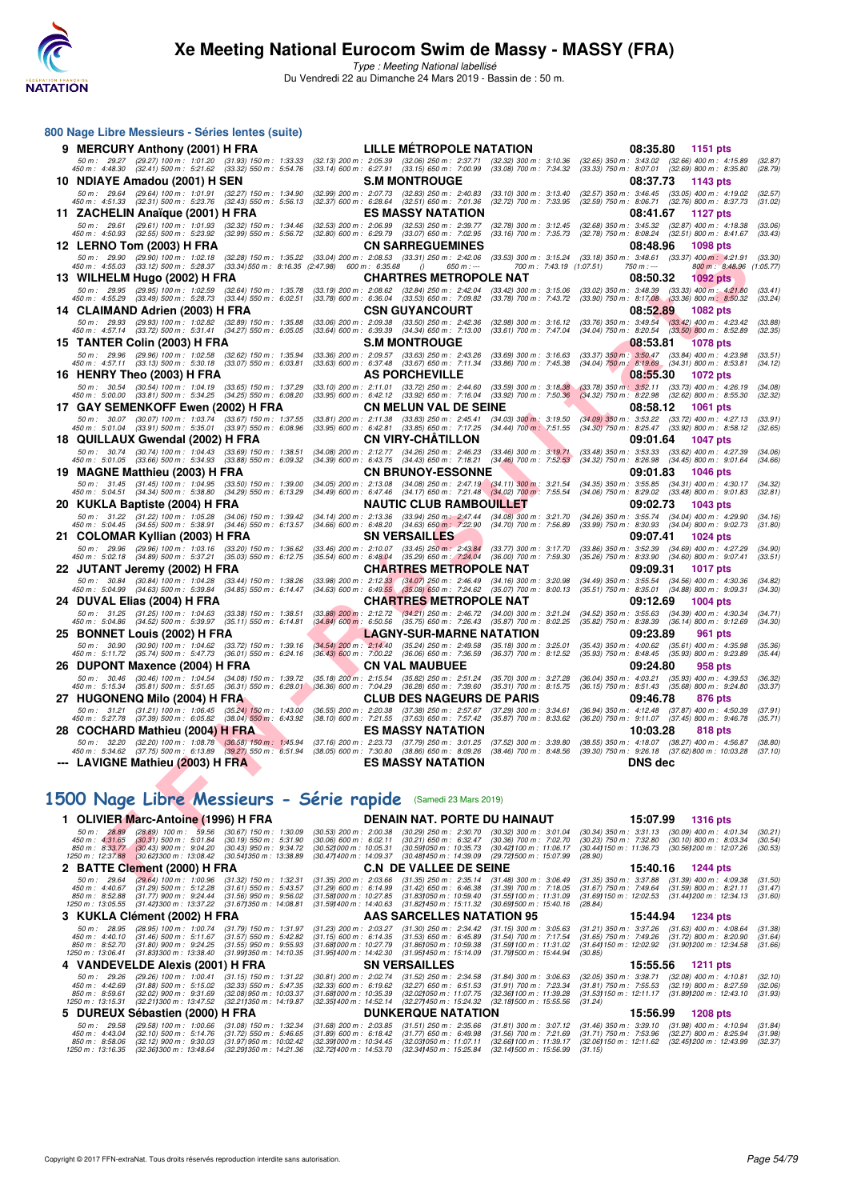

Type : Meeting National labellisé Du Vendredi 22 au Dimanche 24 Mars 2019 - Bassin de : 50 m.

| 800 Nage Libre Messieurs - Séries lentes (suite)                                                                                                                                                                                                         |                                                        |                                                        |                                                                                                        |                               |                                                        |             |                                                                                                                                                    |                          |                                                       |                |                                                                                                                |                          |                    |
|----------------------------------------------------------------------------------------------------------------------------------------------------------------------------------------------------------------------------------------------------------|--------------------------------------------------------|--------------------------------------------------------|--------------------------------------------------------------------------------------------------------|-------------------------------|--------------------------------------------------------|-------------|----------------------------------------------------------------------------------------------------------------------------------------------------|--------------------------|-------------------------------------------------------|----------------|----------------------------------------------------------------------------------------------------------------|--------------------------|--------------------|
| 9 MERCURY Anthony (2001) H FRA                                                                                                                                                                                                                           |                                                        |                                                        |                                                                                                        |                               |                                                        |             | LILLE MÉTROPOLE NATATION                                                                                                                           |                          |                                                       | 08:35.80       | 1151 pts                                                                                                       |                          |                    |
| 50 m: 29.27 (29.27) 100 m: 1:01.20 (31.93) 150 m: 1:33.33<br>450 m : 4:48.30 (32.41) 500 m : 5:21.62 (33.32) 550 m : 5:54.76                                                                                                                             |                                                        |                                                        | (32.13) 200 m : 2:05.39 (32.06) 250 m : 2:37.71<br>$(33.14)$ 600 m : 6:27.91 $(33.15)$ 650 m : 7:00.99 |                               |                                                        |             | $(32.32)$ 300 m : 3:10.36<br>$(33.08)$ 700 m : 7:34.32                                                                                             |                          |                                                       |                | (32.65) 350 m: 3:43.02 (32.66) 400 m: 4:15.89<br>(33.33) 750 m : 8:07.01 (32.69) 800 m : 8:35.80               |                          | (32.87)<br>(28.79) |
| 10 NDIAYE Amadou (2001) H SEN                                                                                                                                                                                                                            |                                                        |                                                        |                                                                                                        | <b>S.M MONTROUGE</b>          |                                                        |             |                                                                                                                                                    |                          |                                                       | 08:37.73       | 1143 pts                                                                                                       |                          |                    |
| 50 m: 29.64 (29.64) 100 m: 1:01.91 (32.27) 150 m: 1:34.90<br>450 m : 4:51.33 (32.31) 500 m : 5:23.76 (32.43) 550 m : 5:56.13                                                                                                                             |                                                        |                                                        | (32.99) 200 m : 2:07.73 (32.83) 250 m : 2:40.83<br>$(32.37)$ 600 m : 6:28.64 $(32.51)$ 650 m : 7:01.36 |                               |                                                        |             | $(33.10)$ 300 m : 3:13.40<br>$(32.72)$ 700 m : 7:33.95                                                                                             |                          |                                                       |                | (32.57) 350 m: 3:46.45 (33.05) 400 m: 4:19.02<br>(32.59) 750 m : 8:06.71 (32.76) 800 m : 8:37.73               |                          | (32.57)<br>(31.02) |
| 11 ZACHELIN Anaïque (2001) H FRA                                                                                                                                                                                                                         |                                                        |                                                        |                                                                                                        | <b>ES MASSY NATATION</b>      |                                                        |             |                                                                                                                                                    |                          |                                                       | 08:41.67       | 1127 pts                                                                                                       |                          |                    |
| 50 m: 29.61 (29.61) 100 m: 1:01.93 (32.32) 150 m: 1:34.46<br>450 m : 4:50.93 (32.55) 500 m : 5:23.92 (32.99) 550 m : 5:56.72                                                                                                                             |                                                        |                                                        | (32.53) 200 m : 2:06.99 (32.53) 250 m : 2:39.77<br>(32.80) 600 m: 6:29.79 (33.07) 650 m: 7:02.95       |                               |                                                        |             | $(32.78)$ 300 m : 3:12.45<br>$(33.16)$ 700 m : 7:35.73                                                                                             |                          |                                                       |                | (32.68) 350 m: 3:45.32 (32.87) 400 m: 4:18.38<br>(32.78) 750 m: 8:08.24 (32.51) 800 m: 8:41.67                 |                          | (33.06)<br>(33.43) |
| 12 LERNO Tom (2003) H FRA                                                                                                                                                                                                                                |                                                        |                                                        |                                                                                                        |                               | <b>CN SARREGUEMINES</b>                                |             |                                                                                                                                                    |                          |                                                       | 08:48.96       | <b>1098 pts</b>                                                                                                |                          |                    |
| 50 m: 29.90 (29.90) 100 m: 1:02.18 (32.28) 150 m: 1:35.22<br>450 m : 4:55.03 (33.12) 500 m : 5:28.37 (33.34) 550 m : 8:16.35                                                                                                                             |                                                        |                                                        | (33.04) 200 m : 2:08.53 (33.31) 250 m : 2:42.06<br>$(2.47.98)$ 600 m : 6:35.68                         |                               | $\theta$                                               | 650 m : --- | $(33.53)$ 300 m : 3:15.24                                                                                                                          | 700 m: 7:43.19 (1:07.51) |                                                       | 750 m : ---    | (33.18) 350 m : 3:48.61 (33.37) 400 m : 4:21.91                                                                | 800 m: 8:48.96 (1:05.77) | (33.30)            |
| 13 WILHELM Hugo (2002) H FRA                                                                                                                                                                                                                             |                                                        |                                                        |                                                                                                        |                               |                                                        |             | <b>CHARTRES METROPOLE NAT</b>                                                                                                                      |                          |                                                       | 08:50.32       | 1092 pts                                                                                                       |                          |                    |
| 50 m: 29.95 (29.95) 100 m: 1:02.59 (32.64) 150 m: 1:35.78<br>450 m : 4:55.29 (33.49) 500 m : 5:28.73 (33.44) 550 m : 6:02.51                                                                                                                             |                                                        |                                                        | (33.19) 200 m: 2:08.62 (32.84) 250 m: 2:42.04<br>(33.78) 600 m : 6:36.04 (33.53) 650 m : 7:09.82       |                               |                                                        |             | $(33.42)$ 300 m : 3:15.06<br>(33.78) 700 m : 7:43.72                                                                                               |                          |                                                       |                | $(33.02)$ 350 m : 3:48.39 $(33.33)$ 400 m : 4:21.80<br>$(33.90)$ 750 m : $8:17.08$ $(33.36)$ 800 m : $8:50.32$ |                          | (33.41)<br>(33.24) |
| 14 CLAIMAND Adrien (2003) H FRA                                                                                                                                                                                                                          |                                                        |                                                        |                                                                                                        |                               | <b>CSN GUYANCOURT</b>                                  |             |                                                                                                                                                    |                          |                                                       | 08:52.89       | <b>1082 pts</b>                                                                                                |                          |                    |
| 50 m: 29.93 (29.93) 100 m: 1:02.82 (32.89) 150 m: 1:35.88                                                                                                                                                                                                |                                                        |                                                        | (33.06) 200 m : 2:09.38 (33.50) 250 m : 2:42.36                                                        |                               |                                                        |             | $(32.98)$ 300 m : 3:16.12                                                                                                                          |                          | $(33.76)$ 350 m : 3:49.54                             |                | $(33.42)$ 400 m : 4:23.42                                                                                      |                          | (33.88)            |
| 450 m : 4:57.14 (33.72) 500 m : 5:31.41 (34.27) 550 m : 6:05.05<br>15 TANTER Colin (2003) H FRA                                                                                                                                                          |                                                        |                                                        | (33.64) 600 m: 6:39.39 (34.34) 650 m: 7:13.00                                                          | <b>S.M MONTROUGE</b>          |                                                        |             | $(33.61)$ 700 m : 7:47.04                                                                                                                          |                          |                                                       | 08:53.81       | $(34.04)$ 750 m : 8:20.54 $(33.50)$ 800 m : 8:52.89<br>1078 pts                                                |                          | (32.35)            |
| 50 m: 29.96 (29.96) 100 m: 1:02.58 (32.62) 150 m: 1:35.94                                                                                                                                                                                                |                                                        |                                                        | (33.36) 200 m : 2:09.57 (33.63) 250 m : 2:43.26                                                        |                               |                                                        |             | $(33.69)$ 300 m : 3:16.63                                                                                                                          |                          |                                                       |                | (33.37) 350 m : 3:50.47 (33.84) 400 m : 4:23.98                                                                |                          | (33.51)            |
| 450 m : 4:57.11 (33.13) 500 m : 5:30.18 (33.07) 550 m : 6:03.81<br>16 HENRY Theo (2003) H FRA                                                                                                                                                            |                                                        |                                                        | (33.63) 600 m : 6:37.48 (33.67) 650 m : 7:11.34                                                        | <b>AS PORCHEVILLE</b>         |                                                        |             | $(33.86)$ 700 m : 7:45.38                                                                                                                          |                          |                                                       | 08:55.30       | (34.04) 750 m: 8:19.69 (34.31) 800 m: 8:53.81<br><b>1072 pts</b>                                               |                          | (34.12)            |
| 50 m: 30.54 (30.54) 100 m: 1:04.19 (33.65) 150 m: 1:37.29                                                                                                                                                                                                |                                                        |                                                        | (33.10) 200 m: 2:11.01 (33.72) 250 m: 2:44.60                                                          |                               |                                                        |             | $(33.59)$ 300 m : 3:18.38                                                                                                                          |                          | $(33.78)$ 350 m : 3:52.11                             |                | $(33.73)$ 400 m : 4:26.19                                                                                      |                          | (34.08)            |
| 450 m : 5:00.00 (33.81) 500 m : 5:34.25<br>17 GAY SEMENKOFF Ewen (2002) H FRA                                                                                                                                                                            |                                                        | $(34.25)$ 550 m : 6:08.20                              | (33.95) 600 m : 6:42.12 (33.92) 650 m : 7:16.04                                                        |                               | CN MELUN VAL DE SEINE                                  |             | $(33.92)$ 700 m : 7:50.36                                                                                                                          |                          | $(34.32)$ 750 m : 8:22.98                             | 08:58.12       | $(32.62)$ 800 m : 8:55.30<br><b>1061 pts</b>                                                                   |                          | (32.32)            |
| 50 m: 30.07 (30.07) 100 m: 1:03.74 (33.67) 150 m: 1:37.55                                                                                                                                                                                                |                                                        |                                                        | (33.81) 200 m : 2:11.38 (33.83) 250 m : 2:45.41                                                        |                               |                                                        |             | $(34.03)$ 300 m : 3:19.50                                                                                                                          |                          |                                                       |                | (34.09) 350 m : 3:53.22 (33.72) 400 m : 4:27.13                                                                |                          | (33.91)            |
| 450 m : 5:01.04 (33.91) 500 m : 5:35.01 (33.97) 550 m : 6:08.96                                                                                                                                                                                          |                                                        |                                                        | (33.95) 600 m: 6:42.81 (33.85) 650 m: 7:17.25                                                          |                               | CN VIRY-CHATILLON                                      |             | $(34.44)$ 700 m : 7:51.55                                                                                                                          |                          | $(34.30)$ 750 m : 8:25.47                             | 09:01.64       | $(33.92)$ 800 m : 8:58.12<br><b>1047 pts</b>                                                                   |                          | (32.65)            |
| 18 QUILLAUX Gwendal (2002) H FRA<br>50 m: 30.74 (30.74) 100 m: 1:04.43 (33.69) 150 m: 1:38.51                                                                                                                                                            |                                                        |                                                        | (34.08) 200 m : 2:12.77 (34.26) 250 m : 2:46.23                                                        |                               |                                                        |             | $(33.46)$ 300 m : 3:19.71                                                                                                                          |                          |                                                       |                | (33.48) 350 m: 3:53.33 (33.62) 400 m: 4:27.39                                                                  |                          | (34.06)            |
| 450 m : 5:01.05 (33.66) 500 m : 5:34.93 (33.88) 550 m : 6:09.32                                                                                                                                                                                          |                                                        |                                                        |                                                                                                        |                               |                                                        |             | $(34.39)$ 600 m : 6:43.75 $(34.43)$ 650 m : 7:18.21 $(34.46)$ 700 m : 7:52.53                                                                      |                          |                                                       |                | (34.32) 750 m : 8:26.98 (34.45) 800 m : 9:01.64                                                                |                          | (34.66)            |
| 19 MAGNE Matthieu (2003) H FRA<br>50 m: 31.45 (31.45) 100 m: 1:04.95 (33.50) 150 m: 1:39.00                                                                                                                                                              |                                                        |                                                        |                                                                                                        |                               | <b>CN BRUNOY-ESSONNE</b>                               |             | (34.05) 200 m: 2:13.08 (34.08) 250 m: 2:47.19 (34.11) 300 m: 3:21.54                                                                               |                          |                                                       | 09:01.83       | <b>1046 pts</b><br>(34.35) 350 m: 3:55.85 (34.31) 400 m: 4:30.17                                               |                          | (34.32)            |
| 450 m : 5:04.51 (34.34) 500 m : 5:38.80 (34.29) 550 m : 6:13.29                                                                                                                                                                                          |                                                        |                                                        |                                                                                                        |                               |                                                        |             | (34.49) 600 m : 6:47.46 (34.17) 650 m : 7:21.48 (34.02) 700 m : 7:55.54                                                                            |                          |                                                       |                | (34.06) 750 m : 8:29.02 (33.48) 800 m : 9:01.83                                                                |                          | (32.81)            |
| 20 KUKLA Baptiste (2004) H FRA<br>50 m: 31.22 (31.22) 100 m: 1:05.28 (34.06) 150 m: 1:39.42                                                                                                                                                              |                                                        |                                                        |                                                                                                        |                               |                                                        |             | <b>NAUTIC CLUB RAMBOUILLET</b><br>(34.14) 200 m: 2:13.36 (33.94) 250 m: 2:47.44 (34.08) 300 m: 3:21.70                                             |                          |                                                       | 09:02.73       | 1043 pts<br>(34.26) 350 m: 3:55.74 (34.04) 400 m: 4:29.90                                                      |                          | (34.16)            |
| 450 m : 5:04.45 (34.55) 500 m : 5:38.91 (34.46) 550 m : 6:13.57                                                                                                                                                                                          |                                                        |                                                        |                                                                                                        |                               |                                                        |             | (34.66) 600 m : 6:48.20 (34.63) 650 m : 7:22.90 (34.70) 700 m : 7:56.89                                                                            |                          |                                                       |                | (33.99) 750 m : 8:30.93 (34.04) 800 m : 9:02.73                                                                |                          | (31.80)            |
| 21 COLOMAR Kyllian (2003) H FRA<br>50 m: 29.96 (29.96) 100 m: 1:03.16 (33.20) 150 m: 1:36.62                                                                                                                                                             |                                                        |                                                        |                                                                                                        |                               | <b>SN VERSAILLES</b>                                   |             | (33.46) 200 m: 2:10.07 (33.45) 250 m: 2:43.84 (33.77) 300 m: 3:17.70                                                                               |                          |                                                       | 09:07.41       | 1024 pts<br>(33.86) 350 m: 3:52.39 (34.69) 400 m: 4:27.29                                                      |                          | (34.90)            |
| 450 m : 5:02.18 (34.89) 500 m : 5:37.21 (35.03) 550 m : 6:12.75                                                                                                                                                                                          |                                                        |                                                        | (35.54) 600 m : 6:48.04 (35.29) 650 m : 7:24.04                                                        |                               |                                                        |             | (36.00) 700 m : 7:59.30                                                                                                                            |                          | (35.26) 750 m : 8:33.90                               |                | $(34.60)$ 800 m : 9:07.41                                                                                      |                          | (33.51)            |
| 22 JUTANT Jeremy (2002) H FRA<br>50 m : 30.84 (30.84) 100 m : 1:04.28                                                                                                                                                                                    |                                                        | (33.44) 150 m : 1:38.26                                |                                                                                                        |                               |                                                        |             | <b>CHARTRES METROPOLE NAT</b><br>(33.98) 200 m : 2:12.33 (34.07) 250 m : 2:46.49 (34.16) 300 m : 3:20.98                                           |                          |                                                       | 09:09.31       | 1017 pts<br>(34.49) 350 m: 3:55.54 (34.56) 400 m: 4:30.36                                                      |                          | (34.82)            |
| 450 m :   5:04.99     (34.63)  500 m :   5:39.84     (34.85)  550 m :   6:14.47                                                                                                                                                                          |                                                        |                                                        |                                                                                                        |                               |                                                        |             | (34.63) 600 m : 6:49.55 (35.08) 650 m : 7:24.62 (35.07) 700 m : 8:00.13                                                                            |                          | (35.51) 750 m : 8:35.01                               |                | (34.88) 800 m : 9:09.31                                                                                        |                          | (34.30)            |
| 24 DUVAL Elias (2004) H FRA<br>50 m: 31.25 (31.25) 100 m: 1:04.63 (33.38) 150 m: 1:38.51                                                                                                                                                                 |                                                        |                                                        |                                                                                                        |                               |                                                        |             | <b>CHARTRES METROPOLE NAT</b><br>(33.88) 200 m: 2:12.72 (34.21) 250 m: 2:46.72 (34.00) 300 m: 3:21.24                                              |                          | $(34.52)$ 350 m : 3:55.63                             | 09:12.69       | 1004 pts<br>$(34.39)$ 400 m : 4:30.34                                                                          |                          | (34.71)            |
| 450 m : 5:04.86 (34.52) 500 m : 5:39.97 (35.11) 550 m : 6:14.81                                                                                                                                                                                          |                                                        |                                                        |                                                                                                        |                               |                                                        |             | (34.84) 600 m : 6:50.56 (35.75) 650 m : 7:26.43 (35.87) 700 m : 8:02.25                                                                            |                          |                                                       |                | (35.82) 750 m : 8:38.39 (36.14) 800 m : 9:12.69                                                                |                          | (34.30)            |
| 25 BONNET Louis (2002) H FRA                                                                                                                                                                                                                             |                                                        |                                                        |                                                                                                        |                               |                                                        |             | <b>LAGNY-SUR-MARNE NATATION</b><br>$(35.18)$ 300 m : 3:25.01                                                                                       |                          |                                                       | 09:23.89       | <b>961 pts</b><br>(35.43) 350 m: 4:00.62 (35.61) 400 m: 4:35.98                                                |                          |                    |
| 50 m: 30.90 (30.90) 100 m: 1:04.62 (33.72) 150 m: 1:39.16<br>450 m : 5:11.72 (35.74) 500 m : 5:47.73 (36.01) 550 m : 6:24.16                                                                                                                             |                                                        |                                                        | (34.54) 200 m : 2:14.40 (35.24) 250 m : 2:49.58                                                        |                               |                                                        |             | (36.43) 600 m : 7:00.22 (36.06) 650 m : 7:36.59 (36.37) 700 m : 8:12.52                                                                            |                          |                                                       |                | (35.93) 750 m: 8:48.45 (35.93) 800 m: 9:23.89                                                                  |                          | (35.36)<br>(35.44) |
| 26 DUPONT Maxence (2004) H FRA<br>50 m: 30.46 (30.46) 100 m: 1:04.54 (34.08) 150 m: 1:39.72                                                                                                                                                              |                                                        |                                                        |                                                                                                        |                               | <b>CN VAL MAUBUEE</b>                                  |             |                                                                                                                                                    |                          | (36.04) 350 m : 4:03.21                               | 09:24.80       | <b>958 pts</b><br>$(35.93)$ 400 m : 4:39.53                                                                    |                          |                    |
| 450 m : 5:15.34 (35.81) 500 m : 5:51.65 (36.31) 550 m : 6:28.01                                                                                                                                                                                          |                                                        |                                                        |                                                                                                        |                               |                                                        |             | (35.18) 200 m : 2:15.54 (35.82) 250 m : 2:51.24 (35.70) 300 m : 3:27.28<br>(36.36) 600 m : 7:04.29 (36.28) 650 m : 7:39.60 (35.31) 700 m : 8:15.75 |                          | $(36.15)$ 750 m : 8:51.43                             |                | $(35.68)$ 800 m : 9:24.80                                                                                      |                          | (36.32)<br>(33.37) |
| 27 HUGONENQ Milo (2004) H FRA                                                                                                                                                                                                                            |                                                        |                                                        |                                                                                                        |                               |                                                        |             | <b>CLUB DES NAGEURS DE PARIS</b>                                                                                                                   |                          |                                                       | 09:46.78       | 876 pts                                                                                                        |                          |                    |
| 50 m: 31.21 (31.21) 100 m: 1:06.45<br>450 m : 5:27.78 (37.39) 500 m : 6:05.82                                                                                                                                                                            |                                                        | $(35.24)$ 150 m : 1:43.00<br>$(38.04)$ 550 m : 6:43.92 | $(36.55)$ 200 m : 2:20.38<br>$(38.10)$ 600 m : 7:21.55                                                 |                               | $(37.38)$ 250 m : 2:57.67<br>$(37.63)$ 650 m : 7:57.42 |             | (37.29) 300 m : 3:34.61<br>$(35.87)$ 700 m : 8:33.62                                                                                               |                          | $(36.20)$ 750 m : $9:11.07$                           |                | (36.94) 350 m: 4:12.48 (37.87) 400 m: 4:50.39<br>(37.45) 800 m : 9:46.78                                       |                          | (37.91)<br>(35.71) |
| 28 COCHARD Mathieu (2004) H FRA                                                                                                                                                                                                                          |                                                        |                                                        |                                                                                                        |                               | ES MASSY NATATION                                      |             |                                                                                                                                                    |                          |                                                       | 10:03.28       | 818 pts                                                                                                        |                          |                    |
| 50 m : 32.20 (32.20) 100 m : 1:08.78 (36.58) 150 m : 1:45.94<br>450 m : 5:34.62 (37.75) 500 m : 6:13.89 (39.27) 550 m : 6:51.94 (38.05) 600 m : 7:30.80 (38.86) 650 m : 8:09.26 (38.46) 700 m : 8:48.56 (39.30) 750 m : 9:26.18 (37.62) 800 m : 10:03.28 |                                                        |                                                        | (37.16) 200 m : 2:23.73 (37.79) 250 m : 3:01.25 (37.52) 300 m : 3:39.80                                |                               |                                                        |             |                                                                                                                                                    |                          |                                                       |                | (38.55) 350 m: 4:18.07 (38.27) 400 m: 4:56.87                                                                  |                          | (38.80)<br>(37.10) |
| --- LAVIGNE Mathieu (2003) H FRA                                                                                                                                                                                                                         |                                                        |                                                        |                                                                                                        | <b>ES MASSY NATATION</b>      |                                                        |             |                                                                                                                                                    |                          |                                                       | <b>DNS</b> dec |                                                                                                                |                          |                    |
|                                                                                                                                                                                                                                                          |                                                        |                                                        |                                                                                                        |                               |                                                        |             |                                                                                                                                                    |                          |                                                       |                |                                                                                                                |                          |                    |
| 1500 Nage Libre Messieurs - Série rapide (Samedi 23 Mars 2019)                                                                                                                                                                                           |                                                        |                                                        |                                                                                                        |                               |                                                        |             |                                                                                                                                                    |                          |                                                       |                |                                                                                                                |                          |                    |
| 1 OLIVIER Marc-Antoine (1996) H FRA                                                                                                                                                                                                                      |                                                        |                                                        |                                                                                                        |                               |                                                        |             | <b>DENAIN NAT. PORTE DU HAINAUT</b>                                                                                                                |                          |                                                       | 15:07.99       | <b>1316 pts</b>                                                                                                |                          |                    |
| 50 m : 28.89                                                                                                                                                                                                                                             | $(28.89)$ 100 m : 59.56                                | $(30.67)$ 150 m : 1:30.09                              | $(30.53)$ 200 m : 2:00.38                                                                              |                               | $(30.29)$ 250 m : 2:30.70                              |             | $(30.32)$ 300 m : 3:01.04                                                                                                                          |                          |                                                       |                | $(30.34)$ 350 m : 3:31.13 $(30.09)$ 400 m : 4:01.34                                                            |                          | (30.21)            |
| 450 m : 4:31.65<br>850 m : 8:33.77                                                                                                                                                                                                                       | $(30.31)$ 500 m : 5:01.84<br>$(30.43)$ 900 m : 9:04.20 | $(30.19)$ 550 m : 5:31.90<br>$(30.43)$ 950 m : 9:34.72 | $(30.06)$ 600 m : 6:02.11<br>(30.52) 000 m : 10:05.31                                                  |                               | $(30.21)$ 650 m : 6:32.47<br>(30.591050 m : 10:35.73   |             | $(30.36)$ 700 m : 7:02.70<br>$(30.42)100 \text{ m}$ : 11:06.17                                                                                     |                          | $(30.23)$ 750 m : 7:32.80<br>(30.44) 150 m : 11:36.73 |                | $(30.10)$ 800 m : 8:03.34<br>(30.56 <b>1</b> 200 m : 12:07.26                                                  |                          | (30.54)<br>(30.53) |
| 1250 m : 12:37.88<br>2 BATTE Clement (2000) H FRA                                                                                                                                                                                                        | $(30.62)300 \text{ m}$ : 13:08.42                      | (30.541350 m: 13:38.89)                                | (30.47) 400 m : 14:09.37 (30.48) 450 m : 14:39.09                                                      | <b>C.N DE VALLEE DE SEINE</b> |                                                        |             | (29.72) 500 m : 15:07.99                                                                                                                           |                          | (28.90)                                               | 15:40.16       | 1244 pts                                                                                                       |                          |                    |
| 50 m: 29.64 (29.64) 100 m: 1:00.96 (31.32) 150 m: 1:32.31 (31.35) 200 m: 2:03.66 (31.35) 250 m: 2:35.14 (31.48) 300 m: 3:06.49 (31.35) 350 m: 3:37.88 (31.39) 400 m: 4:09.38 (31.50)                                                                     |                                                        |                                                        |                                                                                                        |                               |                                                        |             |                                                                                                                                                    |                          |                                                       |                |                                                                                                                |                          |                    |

# **[1500 Nage Libre Messieurs - Série rapide](http://www.ffnatation.fr/webffn/resultats.php?idact=nat&go=epr&idcpt=57649&idepr=56)** (Samedi 23 Mars 2019)

|                                                                                               | 1 OLIVIER Marc-Antoine (1996) H FRA                                                                                    |                                                                                                                |                                                                                                                        | DENAIN NAT. PORTE DU HAINAUT                                                                                  |                                                                                                                | 15:07.99                                                                                                             | <b>1316 pts</b>                                                                    |                               |
|-----------------------------------------------------------------------------------------------|------------------------------------------------------------------------------------------------------------------------|----------------------------------------------------------------------------------------------------------------|------------------------------------------------------------------------------------------------------------------------|---------------------------------------------------------------------------------------------------------------|----------------------------------------------------------------------------------------------------------------|----------------------------------------------------------------------------------------------------------------------|------------------------------------------------------------------------------------|-------------------------------|
| 50 m: 28.89<br>450 m : 4:31.65<br>850 m : 8:33.77<br>1250 m : 12:37.88                        | $(28.89)$ 100 m : 59.56<br>$(30.31)$ 500 m : 5:01.84<br>$(30.43)$ 900 m : 9:04.20<br>$(30.62)300 \text{ m}$ : 13.08.42 | $(30.67)$ 150 m : 1:30.09<br>(30.19) 550 m : 5:31.90<br>$(30.43)$ 950 m : 9:34.72<br>(30.541350 m : 13:38.89)  | $(30.53)$ 200 m : 2:00.38<br>$(30.06)$ 600 m : 6:02.11<br>$(30.52)000 \text{ m}$ : 10:05.31<br>(30.471400 m : 14:09.37 | $(30.29)$ 250 m : 2:30.70<br>$(30.21)$ 650 m : 6:32.47<br>(30.591050 m : 10:35.73<br>(30.481450 m : 14:39.09) | $(30.32)$ 300 m : 3:01.04<br>(30.36) 700 m : 7:02.70<br>(30.42) 100 m : 11:06.17<br>(29.721500 m : 15:07.99    | $(30.34)$ 350 m : 3:31.13<br>$(30.23)$ 750 m : 7:32.80<br>(30.44) 150 m : 11:36.73<br>(28.90)                        | $(30.09)$ 400 m : 4:01.34<br>$(30.10)$ 800 m : 8:03.34<br>(30.561200 m : 12:07.26  | (30.21)<br>(30.54)<br>(30.53) |
|                                                                                               | 2 BATTE Clement (2000) H FRA                                                                                           |                                                                                                                |                                                                                                                        | <b>C.N. DE VALLEE DE SEINE</b>                                                                                |                                                                                                                | 15:40.16                                                                                                             | 1244 pts                                                                           |                               |
| $50 \text{ m}$ : 29.64<br>450 m : 4:40.67<br>850 m : 8:52.88<br>1250 m : 13:05.55             | $(29.64)$ 100 m : 1:00.96<br>$(31.29)$ 500 m : 5:12.28<br>$(31.77)$ 900 m : 9:24.44<br>(31.421300 m : 13:37.22         | $(31.32)$ 150 m : 1:32.31<br>$(31.61)$ 550 m : 5:43.57<br>$(31.56)$ 950 m : 9:56.02<br>(31.671350 m : 14:08.81 | $(31.35)$ 200 m : 2:03.66<br>$(31.29)$ 600 m : 6:14.99<br>(31.581000 m : 10:27.85<br>(31.591400 m : 14:40.63           | $(31.35)$ 250 m : 2:35.14<br>$(31.42)$ 650 m : 6:46.38<br>(31.831050 m : 10:59.40<br>(31.82) 450 m : 15:11.32 | $(31.48)$ 300 m : 3:06.49<br>$(31.39)$ 700 m : 7:18.05<br>(31.55) 100 m : 11:31.09<br>(30.691500 m : 15:40.16) | (31.35) 350 m : 3:37.88<br>$(31.67)$ 750 m : 7:49.64<br>(31.69) 150 m : 12:02.53<br>(28.84)                          | $(31.39)$ 400 m : 4:09.38<br>$(31.59)$ 800 m : 8:21.11<br>(31.441200 m : 12:34.13  | (31.50)<br>(31.47)<br>(31.60) |
|                                                                                               | 3 KUKLA Clément (2002) H FRA                                                                                           |                                                                                                                |                                                                                                                        | AAS SARCELLES NATATION 95                                                                                     |                                                                                                                | 15:44.94                                                                                                             | <b>1234 pts</b>                                                                    |                               |
| $50 \text{ m}$ : 28.95<br>$450 \text{ m}$ : $4:40.10$<br>850 m : 8:52.70<br>1250 m : 13:06.41 | $(28.95)$ 100 m : 1:00.74<br>$(31.46)$ 500 m : 5:11.67<br>$(31.80)$ 900 m : 9:24.25<br>(31.831300 m : 13:38.40         | $(31.79)$ 150 m : 1:31.97<br>$(31.57)$ 550 m : 5:42.82<br>$(31.55)$ 950 m : 9:55.93<br>(31.991350 m : 14:10.35 | $(31.23)$ 200 m : 2:03.27<br>$(31.15)$ 600 m : 6:14.35<br>(31.681000 m: 10:27.79<br>(31.951400 m : 14:42.30            | $(31.30)$ 250 m : 2:34.42<br>$(31.53)$ 650 m : 6:45.89<br>(31.86) 050 m: 10:59.38<br>(31.951450 m : 15:14.09  | $(31.15)$ 300 m : 3:05.63<br>$(31.54)$ 700 m : 7:17.54<br>(31.59) 100 m : 11:31.02<br>(31.791500 m : 15:44.94  | (31.21) 350 m : 3:37.26<br>$(31.65)$ 750 m : 7:49.26<br>(31.64) 150 m : 12:02.92 (31.90) 200 m : 12:34.58<br>(30.85) | $(31.63)$ 400 m : 4:08.64<br>$(31.72)$ 800 m : 8:20.90                             | (31.38)<br>(31.64)<br>(31.66) |
|                                                                                               | 4 VANDEVELDE Alexis (2001) H FRA                                                                                       |                                                                                                                |                                                                                                                        | <b>SN VERSAILLES</b>                                                                                          |                                                                                                                | 15:55.56                                                                                                             | 1211 $pts$                                                                         |                               |
| $50 \text{ m}$ : 29.26<br>450 m : 4:42.69<br>850 m : 8:59.61<br>1250 m : 13:15.31             | $(29.26)$ 100 m : 1:00.41<br>$(31.88)$ 500 m : 5:15.02<br>$(32.02)$ 900 m : 9:31.69<br>(32.211300 m : 13:47.52)        | $(31.15)$ 150 m : 1:31.22<br>$(32.33)$ 550 m : 5:47.35<br>(32.08) 950 m : 10:03.37<br>(32.211350 m : 14:19.87) | $(30.81)$ 200 m : 2:02.74<br>$(32.33)$ 600 m : 6:19.62<br>(31.681000 m : 10:35.39<br>(32.351400 m : 14:52.14)          | $(31.52)$ 250 m : 2:34.58<br>$(32.27)$ 650 m : 6:51.53<br>(32.021050 m : 11:07.75<br>(32.271450 m : 15:24.32) | $(31.84)$ 300 m : 3:06.63<br>$(31.91)$ 700 m : 7:23.34<br>(32.36) 100 m : 11:39.28<br>(32.181500 m : 15:55.56  | $(32.05)$ 350 m : 3:38.71<br>$(31.81)$ 750 m : 7:55.53<br>(31.53) 150 m : 12:11.17<br>(31.24)                        | $(32.08)$ 400 m : 4:10.81<br>$(32.19)$ 800 m : 8:27.59<br>(31.891200 m: 12:43.10   | (32.10)<br>(32.06)<br>(31.93) |
|                                                                                               | 5 DUREUX Sébastien (2000) H FRA                                                                                        |                                                                                                                |                                                                                                                        | <b>DUNKERQUE NATATION</b>                                                                                     |                                                                                                                | 15:56.99                                                                                                             | <b>1208 pts</b>                                                                    |                               |
| $50 \text{ m}$ : 29.58<br>450 m : 4:43.04<br>850 m : 8:58.06<br>1250 m : 13:16.35             | $(29.58)$ 100 m : 1.00.66<br>$(32.10)$ 500 m : 5:14.76<br>$(32.12)$ 900 m : 9:30.03<br>(32.361300 m : 13.48.64)        | $(31.08)$ 150 m : 1:32.34<br>$(31.72)$ 550 m : 5:46.65<br>(31.97) 950 m : 10:02.42<br>(32.291350 m : 14:21.36  | $(31.68)$ 200 m : 2.03.85<br>$(31.89)$ 600 m : 6:18.42<br>(32.391000 m : 10:34.45<br>(32.721400 m : 14:53.70           | $(31.51)$ 250 m : 2:35.66<br>$(31.77)$ 650 m : 6:49.98<br>(32.031050 m : 11:07.11<br>(32.341450 m : 15:25.84  | $(31.81)$ 300 m : 3:07.12<br>$(31.56)$ 700 m : 7:21.69<br>(32.661100 m: 11:39.17<br>(32.141500 m: 15:56.99     | $(31.46)$ 350 m : 3:39.10<br>$(31.71)$ 750 m : 7:53.96<br>(32.06) 150 m : 12:11.62<br>(31.15)                        | $(31.98)$ 400 m : 4:10.94<br>$(32.27)$ 800 m : 8:25.94<br>(32.45) 200 m : 12:43.99 | (31.84)<br>(31.98)<br>(32.37) |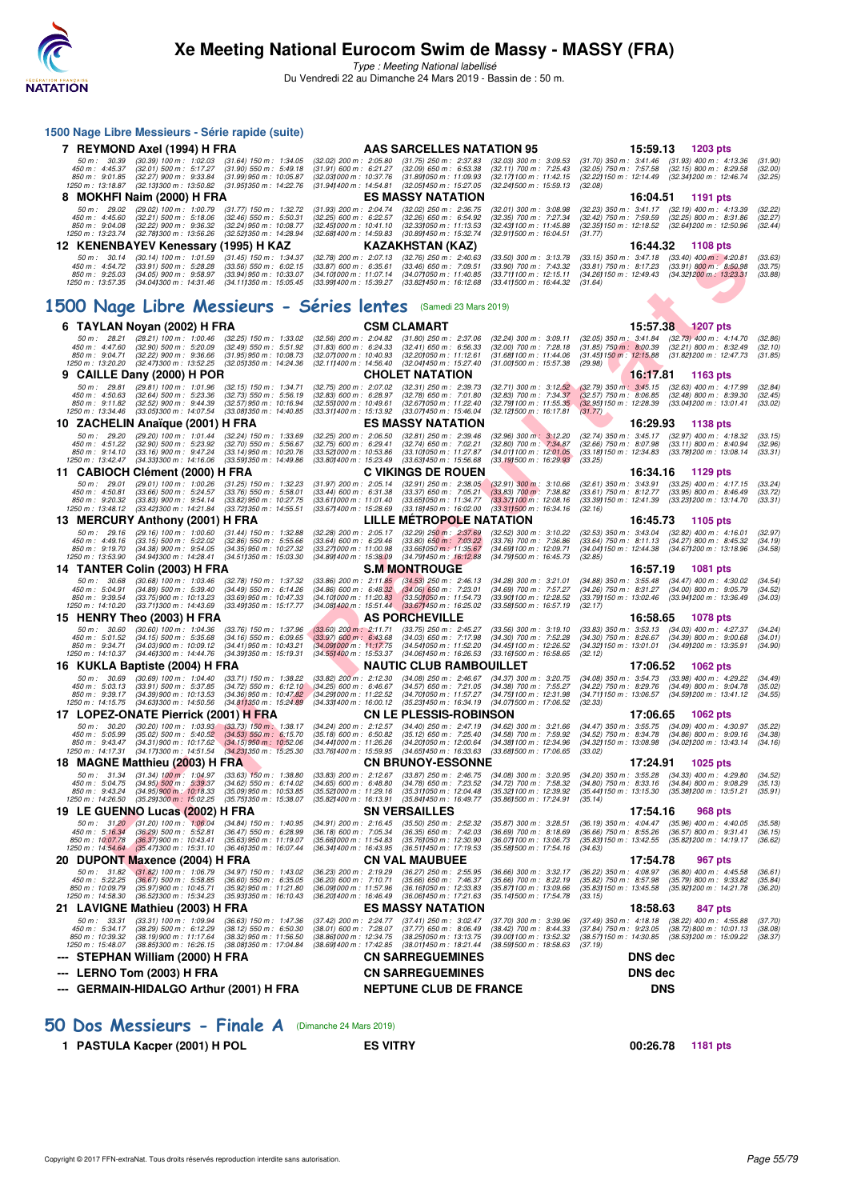

Type : Meeting National labellisé Du Vendredi 22 au Dimanche 24 Mars 2019 - Bassin de : 50 m.

|   |                                                                      |                                                                                                                 | 1500 Nage Libre Messieurs - Série rapide (suite)                                                                |                                                                                                              |                                                                                                                        |                                                                                                             |                                                                                                       |                |                                                                                                                                     |                               |
|---|----------------------------------------------------------------------|-----------------------------------------------------------------------------------------------------------------|-----------------------------------------------------------------------------------------------------------------|--------------------------------------------------------------------------------------------------------------|------------------------------------------------------------------------------------------------------------------------|-------------------------------------------------------------------------------------------------------------|-------------------------------------------------------------------------------------------------------|----------------|-------------------------------------------------------------------------------------------------------------------------------------|-------------------------------|
|   | 7 REYMOND Axel (1994) H FRA                                          |                                                                                                                 |                                                                                                                 |                                                                                                              | <b>AAS SARCELLES NATATION 95</b>                                                                                       |                                                                                                             |                                                                                                       | 15:59.13       | 1203 pts                                                                                                                            |                               |
|   | 50 m : 30.39<br>450 m : 4:45.37<br>850 m : 9:01.85                   | $(30.39)$ 100 m : 1:02.03<br>$(32.01)$ 500 m : 5:17.27<br>$(32.27)$ 900 m : 9:33.84                             | $(31.64)$ 150 m : 1:34.05<br>$(31.90)$ 550 m : 5:49.18<br>$(31.99)$ 950 m : 10:05.87                            | $(32.02)$ 200 m : 2:05.80<br>$(31.91)$ 600 m : 6:21.27<br>(32.031000 m: 10:37.76                             | $(31.75)$ 250 m : 2:37.83<br>$(32.09)$ 650 m : 6:53.38<br>(31.89) 050 m: 11:09.93                                      | $(32.03)$ 300 m : 3:09.53<br>$(32.11)$ 700 m : 7:25.43<br>(32.17) 100 m : 11:42.15                          | $(32.05)$ 750 m : 7:57.58                                                                             |                | $(31.70)$ 350 m : 3:41.46 $(31.93)$ 400 m : 4:13.36<br>$(32.15)$ 800 m : 8:29.58<br>(32.22) 150 m: 12:14.49 (32.34) 200 m: 12:46.74 | (31.90)<br>(32.00)<br>(32.25) |
| 8 | 1250 m: 13:18.87<br><b>MOKHFI Naim (2000) H FRA</b>                  | (32.13) 300 m : 13:50.82                                                                                        | (31.951350 m : 14:22.76                                                                                         | (31.941400 m: 14:54.81                                                                                       | (32.05) 450 m : 15:27.05<br><b>ES MASSY NATATION</b>                                                                   | (32.241500 m: 15:59.13)                                                                                     | (32.08)                                                                                               | 16:04.51       | 1191 pts                                                                                                                            |                               |
|   | 50 m: 29.02<br>450 m : 4:45.60                                       | $(29.02)$ 100 m : 1:00.79<br>$(32.21)$ 500 m : 5:18.06                                                          | $(31.77)$ 150 m : 1:32.72<br>$(32.46)$ 550 m : 5:50.31                                                          | $(31.93)$ 200 m : 2:04.74<br>$(32.25)$ 600 m : 6:22.57                                                       | $(32.02)$ 250 m : 2:36.75<br>$(32.26)$ 650 m : 6:54.92                                                                 | $(32.01)$ 300 m : 3:08.98<br>$(32.35)$ 700 m : 7:27.34                                                      | $(32.23)$ 350 m : 3:41.17<br>(32.42) 750 m : 7:59.59                                                  |                | $(32.19)$ 400 m : 4:13.39<br>$(32.25)$ 800 m : 8:31.86                                                                              | (32.22)<br>(32.27)            |
|   | 850 m : 9:04.08<br>1250 m : 13:23.74                                 | $(32.22)$ 900 m : 9:36.32<br>(32.78) 300 m : 13:56.26                                                           | (32.24) 950 m : 10:08.77<br>(32.52) 350 m : 14:28.94<br>12 KENENBAYEV Kenessary (1995) H KAZ                    | $(32.45)000 \text{ m}$ : 10:41.10<br>(32.68) 400 m : 14:59.83                                                | (32.331050 m: 11:13.53)<br>(30.89) 450 m : 15:32.74<br>KAZAKHSTAN (KAZ)                                                | (32.43) 100 m: 11:45.88<br>$(32.911500 \text{ m} : 16.04.51)$                                               | (31.77)                                                                                               | 16:44.32       | (32.35) 150 m: 12:18.52 (32.64) 200 m: 12:50.96<br><b>1108 pts</b>                                                                  | (32.44)                       |
|   | 50 m : 30.14                                                         | $(30.14)$ 100 m : 1:01.59                                                                                       | $(31.45)$ 150 m : 1:34.37                                                                                       | $(32.78)$ 200 m : 2:07.13                                                                                    | $(32.76)$ 250 m : 2:40.63                                                                                              | $(33.50)$ 300 m : 3:13.78                                                                                   | $(33.15)$ 350 m : 3:47.18                                                                             |                | $(33.40)$ 400 m : 4:20.81                                                                                                           | (33.63)                       |
|   | 450 m : 4:54.72<br>850 m : 9:25.03<br>1250 m: 13:57.35               | $(33.91)$ 500 m : 5:28.28<br>$(34.05)$ 900 m : 9:58.97<br>$(34.04)300 \text{ m}$ : 14:31.46                     | $(33.56)$ 550 m : 6:02.15<br>$(33.94)$ 950 m : 10:33.07<br>(34.111350 m : 15:05.45                              | $(33.87)$ 600 m : 6:35.61<br>(34.10) 000 m : 11:07.14<br>(33.991400 m : 15:39.27                             | $(33.46)$ 650 m : 7:09.51<br>(34.07) 050 m: 11:40.85<br>$(33.82)1450 \text{ m}$ : 16:12.68                             | $(33.90)$ 700 m : 7:43.32<br>(33.71) 100 m : 12:15.11<br>(33.411500 m: 16:44.32)                            | (31.64)                                                                                               |                | $(33.81)$ 750 m : 8:17.23 $(33.91)$ 800 m : 8:50.98<br>(34.26) 150 m : 12:49.43 (34.32) 200 m : 13:23.31                            | (33.75)<br>(33.88)            |
|   |                                                                      |                                                                                                                 |                                                                                                                 |                                                                                                              | 1500 Nage Libre Messieurs - Séries lentes (Samedi 23 Mars 2019)                                                        |                                                                                                             |                                                                                                       |                |                                                                                                                                     |                               |
|   | 6 TAYLAN Noyan (2002) H FRA                                          |                                                                                                                 |                                                                                                                 |                                                                                                              | <b>CSM CLAMART</b>                                                                                                     |                                                                                                             |                                                                                                       | 15:57.38       | 1207 pts                                                                                                                            |                               |
|   | 50 m : 28.21<br>450 m : 4:47.60                                      | $(28.21)$ 100 m : 1:00.46<br>$(32.90)$ 500 m : 5:20.09                                                          | $(32.25)$ 150 m : 1:33.02<br>$(32.49)$ 550 m : 5:51.92                                                          | $(32.56)$ 200 m : 2:04.82<br>$(31.83)$ 600 m : 6:24.33                                                       | $(31.80)$ 250 m : 2:37.06<br>$(32.41)$ 650 m : 6:56.33                                                                 | $(32.24)$ 300 m : 3:09.11<br>$(32.00)$ 700 m : 7:28.18                                                      | $(31.85)$ 750 m : $8.00.39$                                                                           |                | (32.05) 350 m: 3:41.84 (32.73) 400 m: 4:14.70<br>$(32.21)$ 800 m : 8:32.49                                                          | (32.86)<br>(32.10)            |
|   | 850 m : 9:04.71                                                      | $(32.22)$ 900 m : 9:36.66                                                                                       | $(31.95)$ 950 m : 10:08.73                                                                                      | (32.071000 m: 10:40.93                                                                                       | (32.20) 050 m: 11:12.61                                                                                                | (31.68) 100 m : 11:44.06                                                                                    |                                                                                                       |                | (31.45) 150 m : 12:15.88 (31.82) 200 m : 12:47.73                                                                                   | (31.85)                       |
|   | 1250 m : 13:20.20<br>9 CAILLE Dany (2000) H POR                      | (32.47) 300 m : 13:52.25                                                                                        | (32.05) 350 m : 14:24.36                                                                                        | $(32.11)400 \text{ m}$ : 14:56.40                                                                            | (32.04) 450 m : 15:27.40<br><b>CHOLET NATATION</b>                                                                     | (31.001500 m: 15:57.38                                                                                      | (29.98)                                                                                               | 16:17.81       | 1163 pts                                                                                                                            |                               |
|   | 50 m: 29.81                                                          | $(29.81)$ 100 m : 1:01.96                                                                                       | $(32.15)$ 150 m : 1:34.71                                                                                       | $(32.75)$ 200 m : 2:07.02                                                                                    | $(32.31)$ 250 m : 2:39.73                                                                                              | $(32.71)$ 300 m : 3:12.52                                                                                   | $(32.79)$ 350 m : 3:45.15                                                                             |                | $(32.63)$ 400 m : 4:17.99                                                                                                           | (32.84)                       |
|   | 450 m : 4:50.63<br>850 m : 9:11.82<br>1250 m : 13:34.46              | $(32.64)$ 500 m : 5:23.36<br>$(32.52)$ 900 m : 9:44.39<br>(33.05) 300 m : 14:07.54                              | $(32.73)$ 550 m : 5:56.19<br>(32.57) 950 m : 10:16.94<br>(33.08)350 m : 14:40.85                                | $(32.83)$ 600 m : 6:28.97<br>(32.55) 000 m : 10:49.61<br>(33.311400 m : 15:13.92                             | $(32.78)$ 650 m : 7:01.80<br>(32.67) 050 m: 11:22.40<br>(33.071450 m : 15:46.04                                        | $(32.83)$ 700 m : 7:34.37<br>(32.79) 100 m : 11:55.35<br>$(32.12)500 \text{ m}$ : 16:17.81                  | $(32.57)$ 750 m : 8:06.85<br>(31.77)                                                                  |                | $(32.48)$ 800 m : 8:39.30<br>(32.95) 150 m : 12:28.39 (33.04) 200 m : 13:01.41                                                      | (32.45)<br>(33.02)            |
|   | 10 ZACHELIN Anaïque (2001) H FRA                                     |                                                                                                                 |                                                                                                                 |                                                                                                              | <b>ES MASSY NATATION</b>                                                                                               |                                                                                                             |                                                                                                       | 16:29.93       | 1138 pts                                                                                                                            |                               |
|   | 50 m: 29.20<br>450 m: 4:51.22<br>850 m : 9:14.10<br>1250 m: 13:42.47 | $(29.20)$ 100 m : 1:01.44<br>$(32.90)$ 500 m : 5:23.92<br>$(33.16)$ 900 m : 9:47.24<br>(34.33) 300 m : 14:16.06 | $(32.24)$ 150 m : 1:33.69<br>$(32.70)$ 550 m : 5:56.67<br>$(33.14)$ 950 m : 10:20.76<br>(33.591350 m : 14:49.86 | $(32.25)$ 200 m : 2:06.50<br>$(32.75)$ 600 m : 6:29.41<br>(33.521000 m: 10:53.86<br>(33.80) 400 m : 15:23.49 | $(32.81)$ 250 m : 2:39.46<br>$(32.74)$ 650 m : 7:02.21<br>(33.101050 m: 11:27.87<br>$(33.63)1450 \text{ m}$ : 15:56.68 | $(32.96)$ 300 m : 3:12.20<br>(32.80) 700 m : 7:34.87<br>(34.01) 100 m : 12:01.05<br>(33.191500 m: 16:29.93) | $(32.74)$ 350 m : 3:45.17<br>$(32.66)$ 750 m : 8:07.98<br>(33.18 <b>)</b> 150 m : 12:34.83<br>(33.25) |                | $(32.97)$ 400 m : 4:18.32<br>$(33.11)$ 800 m : 8:40.94<br>(33.78) 200 m : 13:08.14                                                  | (33.15)<br>(32.96)<br>(33.31) |
|   | 11 CABIOCH Clément (2000) H FRA                                      |                                                                                                                 |                                                                                                                 |                                                                                                              | <b>C VIKINGS DE ROUEN</b>                                                                                              |                                                                                                             |                                                                                                       | 16:34.16       | 1129 pts                                                                                                                            |                               |
|   | 50 m: 29.01                                                          | $(29.01)$ 100 m : 1:00.26                                                                                       | $(31.25)$ 150 m : 1:32.23                                                                                       | $(31.97)$ 200 m : 2:05.14                                                                                    | $(32.91)$ 250 m : 2:38.05                                                                                              | $(32.91)$ 300 m : 3:10.66                                                                                   | $(32.61)$ 350 m : 3:43.91                                                                             |                | $(33.25)$ 400 m : 4:17.15                                                                                                           | (33.24)                       |
|   | 450 m : 4:50.81<br>850 m: 9:20.32<br>1250 m: 13:48.12                | $(33.66)$ 500 m : 5:24.57<br>$(33.83)$ 900 m : 9:54.14<br>(33.42) 300 m : 14:21.84                              | $(33.76)$ 550 m : 5:58.01<br>$(33.82)$ 950 m : 10:27.75<br>(33.72) 350 m : 14:55.51                             | $(33.44)$ 600 m : 6:31.38<br>(33.611000 m: 11:01.40<br>(33.67) 400 m : 15:28.69                              | $(33.37)$ 650 m : 7:05.21<br>(33.65) 050 m: 11:34.77<br>$(33.181450 \text{ m} : 16.02.00$                              | $(33.83)$ 700 m : 7:38.82<br>(33.37) 100 m : 12:08.16<br>(33.311500 m: 16:34.16                             | $(33.61)$ 750 m : 8:12.77<br>(32.16)                                                                  |                | $(33.95)$ 800 m : 8:46.49<br>(33.39) 150 m : 12:41.39 (33.23) 200 m : 13:14.70                                                      | (33.72)<br>(33.31)            |
|   | 13 MERCURY Anthony (2001) H FRA                                      |                                                                                                                 |                                                                                                                 |                                                                                                              | <b>LILLE METROPOLE NATATION</b>                                                                                        |                                                                                                             |                                                                                                       | 16:45.73       | 1105 pts                                                                                                                            |                               |
|   | 50 m: 29.16<br>450 m: 4:49.16                                        | $(29.16)$ 100 m : 1:00.60<br>$(33.15)$ 500 m : 5:22.02                                                          | $(31.44)$ 150 m : 1:32.88<br>$(32.86)$ 550 m : 5:55.66                                                          | $(32.28)$ 200 m : 2:05.17<br>$(33.64)$ 600 m : 6:29.46                                                       | $(32.29)$ 250 m : 2:37.69<br>$(33.80)$ 650 m : 7:03.22                                                                 | $(32.52)$ 300 m : 3:10.22<br>$(33.76)$ 700 m : 7:36.86                                                      | $(32.53)$ 350 m : 3:43.04<br>(33.64) 750 m : 8:11.13                                                  |                | $(32.82)$ 400 m : 4:16.01<br>$(34.27)$ 800 m : 8:45.32                                                                              | (32.97)<br>(34.19)            |
|   | 850 m : 9:19.70<br>1250 m: 13:53.90                                  | $(34.38)$ 900 m : 9:54.05<br>(34.941300 m : 14:28.41                                                            | $(34.35)$ 950 m : 10:27.32<br>(34.511350 m : 15:03.30                                                           | (33.271000 m: 11:00.98<br>(34.891400 m: 15:38.09)                                                            | $(33.66)050 \text{ m}$ : 11:35.67<br>(34.791450 m : 16:12.88                                                           | $(34.691100 \text{ m} : 12.09.71)$<br>(34.791500 m : 16:45.73                                               | (32.85)                                                                                               |                | (34.04) 150 m : 12:44.38 (34.67) 200 m : 13:18.96                                                                                   | (34.58)                       |
|   | 14 TANTER Colin (2003) H FRA                                         |                                                                                                                 |                                                                                                                 |                                                                                                              | <b>S.M MONTROUGE</b>                                                                                                   |                                                                                                             |                                                                                                       | 16:57.19       | <b>1081 pts</b>                                                                                                                     |                               |
|   | 50 m: 30.68<br>450 m: 5:04.91                                        | $(30.68)$ 100 m : 1:03.46<br>$(34.89)$ 500 m : 5:39.40                                                          | $(32.78)$ 150 m : 1:37.32<br>$(34.49)$ 550 m : 6:14.26                                                          | $(33.86)$ 200 m : 2:11.85<br>$(34.86)$ 600 m : 6:48.32                                                       | $(34.53)$ 250 m : 2:46.13<br>$(34.06)$ 650 m : 7:23.01                                                                 | $(34.28)$ 300 m : 3:21.01<br>(34.69) 700 m : 7:57.27                                                        | (34.88) 350 m : 3:55.48<br>$(34.26)$ 750 m : $8.31.27$                                                |                | $(34.47)$ 400 m : 4:30.02<br>$(34.00)$ 800 m : 9:05.79                                                                              | (34.54)<br>(34.52)            |
|   | 850 m : 9:39.54<br>1250 m : 14:10.20                                 | $(33.75)$ 900 m : 10:13.23<br>(33.711300 m: 14:43.69                                                            | $(33.69)$ 950 m : 10:47.33<br>(33.49) 350 m : 15:17.77                                                          | $(34.10)000 \text{ m}$ : 11:20.83<br>$(34.08)400 \text{ m}$ : 15:51.44                                       | (33.50)050 m : 11.54.73<br>(33.67) 450 m : 16:25.02                                                                    | (33.90) 100 m : 12:28.52<br>(33.58) 500 m : 16:57.19                                                        | (33.79) 150 m : 13:02.46<br>(32.17)                                                                   |                | (33.94) 200 m : 13:36.49                                                                                                            | (34.03)                       |
|   | 15 HENRY Theo (2003) H FRA                                           |                                                                                                                 |                                                                                                                 |                                                                                                              | <b>AS PORCHEVILLE</b>                                                                                                  |                                                                                                             |                                                                                                       | 16:58.65       | <b>1078 pts</b>                                                                                                                     |                               |
|   | 50 m: 30.60<br>450 m : 5:01.52                                       | $(30.60)$ 100 m : 1:04.36<br>$(34.15)$ 500 m : 5:35.68                                                          | $(33.76)$ 150 m : 1:37.96<br>$(34.16)$ 550 m : 6:09.65                                                          | $(33.60)$ 200 m : 2:11.71<br>$(33.97)$ 600 m : 6:43.68                                                       | $(33.75)$ 250 m : 2:45.27<br>$(34.03)$ 650 m : 7:17.98                                                                 | $(33.56)$ 300 m : 3:19.10<br>$(34.30)$ 700 m : 7:52.28                                                      | $(34.30)$ 750 m : 8:26.67                                                                             |                | (33.83) 350 m: 3:53.13 (34.03) 400 m: 4:27.37<br>$(34.39)$ 800 m : 9:00.68                                                          | (34.24)<br>(34.01)            |
|   | 850 m : 9:34.71<br>1250 m: 14:10.37                                  | $(34.03)$ 900 m : 10:09.12<br>$(34.46)300 \text{ m}$ : 14:44.76                                                 | $(34.41)$ 950 m : 10:43.21<br>(34.39) 350 m : 15:19.31                                                          | (34.09) 000 m: 11:17.75<br>(34.55) 400 m : 15:53.37                                                          | (34.54) 050 m: 11:52.20<br>(34.06)450 m : 16:26.53                                                                     | (34.45) 100 m : 12:26.52<br>(33.16) 500 m : 16:58.65                                                        | (32.12)                                                                                               |                | (34.32) 150 m: 13:01.01 (34.49) 200 m: 13:35.91                                                                                     | (34.90)                       |
|   | 16 KUKLA Baptiste (2004) H FRA                                       |                                                                                                                 |                                                                                                                 |                                                                                                              | <b>NAUTIC CLUB RAMBOUILLET</b>                                                                                         |                                                                                                             |                                                                                                       | 17:06.52       | <b>1062 pts</b>                                                                                                                     |                               |
|   | 50 m: 30.69<br>450 m : 5:03.13                                       | $(30.69)$ 100 m : 1:04.40<br>$(33.91)$ 500 m : 5:37.85                                                          | $(33.71)$ 150 m : 1:38.22<br>$(34.72)$ 550 m : 6:12.10                                                          | $(33.82)$ 200 m : 2:12.30<br>$(34.25)$ 600 m : 6:46.67                                                       | $(34.08)$ 250 m : 2:46.67<br>$(34.57)$ 650 m : 7:21.05                                                                 | $(34.37)$ 300 m : 3:20.75<br>(34.38) 700 m : 7:55.27                                                        | (34.22) 750 m : 8:29.76                                                                               |                | (34.08) 350 m: 3:54.73 (33.98) 400 m: 4:29.22<br>$(34.49)$ 800 m : 9:04.78                                                          | (34.49)<br>(35.02)            |
|   | 850 m : 9:39.17<br>1250 m: 14:15.75                                  | $(34.39)$ 900 m : 10:13.53                                                                                      | $(34.36)$ 950 m : 10:47.82                                                                                      | (34.29) 000 m : 11:22.52                                                                                     | (34.70) 050 m: 11:57.27                                                                                                | (34.75) 100 m : 12:31.98                                                                                    |                                                                                                       |                | (34.71) 150 m : 13:06.57 (34.59) 200 m : 13:41.12                                                                                   | (34.55)                       |
|   | 17 LOPEZ-ONATE Pierrick (2001) H FRA                                 | $(34.63)300 \text{ m}$ : 14:50.56                                                                               | (34.811350 m : 15:24.89)                                                                                        | (34.33) 400 m : 16:00.12                                                                                     | (35.23) 450 m : 16:34.19<br><b>CN LE PLESSIS-ROBINSON</b>                                                              | (34.07) 500 m : 17:06.52                                                                                    | (32.33)                                                                                               | 17:06.65       | <b>1062 pts</b>                                                                                                                     |                               |
|   | 50 m: 30.20                                                          | $(30.20)$ 100 m : 1:03.93                                                                                       | $(33.73)$ 150 m : 1:38.17                                                                                       | $(34.24)$ 200 m : 2:12.57                                                                                    | $(34.40)$ 250 m : 2:47.19                                                                                              | $(34.62)$ 300 m : 3:21.66                                                                                   | $(34.47)$ 350 m : 3:55.75                                                                             |                | $(34.09)$ 400 m : 4:30.97                                                                                                           | (35.22)                       |
|   | 450 m : 5:05.99<br>850 m : 9:43.47                                   | $(35.02)$ 500 m : 5:40.52<br>$(34.31)$ 900 m : 10:17.62                                                         | $(34.53)$ 550 m : 6:15.70<br>$(34.15)$ 950 m : 10:52.06                                                         | (35.18) 600 m : 6.50.82<br>$(34.44)000 \text{ m}$ : 11:26.26                                                 | $(35.12)$ 650 m : 7:25.40<br>(34.201050 m : 12:00.64                                                                   | $(34.58)$ 700 m : 7:59.92<br>(34.38) 100 m : 12:34.96                                                       | $(34.52)$ 750 m : 8:34.78<br>(34.32) 150 m : 13:08.98                                                 |                | $(34.86)$ 800 m : 9:09.16<br>(34.021200 m: 13.43.14)                                                                                | (34.38)<br>(34.16)            |
|   | 1250 m : 14:17.31<br>18 MAGNE Matthieu (2003) H FRA                  | (34.17) 300 m : 14:51.54                                                                                        | (34.231350 m: 15:25.30)                                                                                         | (33.76) 400 m : 15:59.95                                                                                     | (34.65) 450 m : 16:33.63<br><b>CN BRUNOY-ESSONNE</b>                                                                   | $(33.68)500 \text{ m}$ : 17:06.65                                                                           | (33.02)                                                                                               | 17:24.91       | 1025 pts                                                                                                                            |                               |
|   | 50 m: 31.34                                                          | (31.34) 100 m: 1:04.97                                                                                          | $(33.63)$ 150 m : 1:38.80                                                                                       | (33.83) 200 m : 2:12.67                                                                                      | (33.87) 250 m : 2:46.75                                                                                                | (34.08) 300 m : 3:20.95                                                                                     | (34.20) 350 m : 3:55.28                                                                               |                | $(34.33)$ 400 m : 4:29.80                                                                                                           | (34.52)                       |
|   | 450 m : 5:04.75<br>850 m: 9:43.24                                    | $(34.95)$ 500 m : 5:39.37<br>$(34.95)$ 900 m : 10:18.33                                                         | $(34.62)$ 550 m : 6:14.02<br>$(35.09)$ 950 m : 10:53.85                                                         | $(34.65)$ 600 m : 6:48.80<br>(35.52) 000 m: 11:29.16                                                         | $(34.78)$ 650 m : 7:23.52<br>(35.311050 m : 12:04.48                                                                   | (34.72) 700 m : 7:58.32<br>(35.32) 100 m : 12:39.92                                                         | $(34.80)$ 750 m : $8:33.16$<br>(35.44) 150 m : 13:15.30                                               |                | $(34.84)$ 800 m : 9:08.29<br>(35.38) 200 m : 13:51.21                                                                               | (35.13)<br>(35.91)            |
|   | 1250 m: 14:26.50<br>19 LE GUENNO Lucas (2002) H FRA                  | $(35.29)300 \text{ m}$ : 15:02.25                                                                               | (35.75) 350 m : 15:38.07                                                                                        | (35.82) 400 m : 16:13.91                                                                                     | (35.84) 450 m : 16:49.77<br><b>SN VERSAILLES</b>                                                                       | (35.86) 500 m : 17:24.91                                                                                    | (35.14)                                                                                               | 17:54.16       |                                                                                                                                     |                               |
|   | 50 m: 31.20                                                          | $(31.20)$ 100 m : 1:06.04                                                                                       | $(34.84)$ 150 m : 1:40.95                                                                                       | (34.91) 200 m : 2:16.45                                                                                      | $(35.50)$ 250 m : 2:52.32                                                                                              | (35.87) 300 m : 3:28.51                                                                                     | $(36.19)$ 350 m : 4:04.47                                                                             |                | 968 pts<br>$(35.96)$ 400 m : 4:40.05                                                                                                | (35.58)                       |
|   | 450 m: 5:16.34<br>850 m : 10:07.78                                   | $(36.29)$ 500 m : 5:52.81<br>$(36.37)900 \text{ m}$ : 10:43.41                                                  | $(36.47)$ 550 m : 6:28.99<br>$(35.63)$ 950 m : 11:19.07                                                         | $(36.18)$ 600 m : 7:05.34<br>(35.661000 m: 11:54.83                                                          | $(36.35)$ 650 m : 7:42.03<br>(35.76) 050 m: 12:30.90                                                                   | $(36.69)$ 700 m : 8:18.69<br>(36.07) 100 m : 13:06.73                                                       | $(36.66)$ 750 m : 8:55.26<br>(35.83) 150 m : 13:42.55                                                 |                | $(36.57)$ 800 m : 9:31.41<br>(35.82) 200 m : 14:19.17                                                                               | (36.15)<br>(36.62)            |
|   | 1250 m : 14:54.64                                                    | $(35.47)300 \text{ m}$ : 15:31.10                                                                               | (36.461350 m : 16:07.44                                                                                         | $(36.34)400 \text{ m}$ : 16:43.95                                                                            | (36.51)450 m : 17:19.53                                                                                                | (35.58) 500 m : 17:54.16                                                                                    | (34.63)                                                                                               |                |                                                                                                                                     |                               |
|   | 20 DUPONT Maxence (2004) H FRA<br>50 m: 31.82                        | $(31.82)$ 100 m : 1:06.79                                                                                       | $(34.97)$ 150 m : 1:43.02                                                                                       | $(36.23)$ 200 m : 2:19.29                                                                                    | <b>CN VAL MAUBUEE</b><br>$(36.27)$ 250 m : 2:55.95                                                                     | (36.66) 300 m : 3:32.17                                                                                     | $(36.22)$ 350 m : 4:08.97                                                                             | 17:54.78       | 967 pts<br>$(36.80)$ 400 m : 4:45.58                                                                                                | (36.61)                       |
|   | 450 m: 5:22.25<br>850 m : 10:09.79                                   | (36.67) 500 m : 5:58.85<br>$(35.97)$ 900 m : 10:45.71                                                           | $(36.60)$ 550 m : 6:35.05<br>(35.92) 950 m : 11:21.80                                                           | $(36.20)$ 600 m : 7:10.71<br>(36.09) 000 m: 11:57.96                                                         | $(35.66)$ 650 m : 7:46.37<br>(36.16) 050 m : 12:33.83                                                                  | $(35.66)$ 700 m : 8:22.19<br>(35.87) 100 m : 13:09.66                                                       | $(35.82)$ 750 m : $8.57.98$<br>(35.83) 150 m : 13:45.58                                               |                | $(35.79)$ 800 m : 9:33.82<br>(35.92) 200 m : 14:21.78                                                                               | (35.84)<br>(36.20)            |
|   | 1250 m : 14:58.30                                                    | (36.52) 300 m : 15:34.23                                                                                        | (35.93) 350 m : 16:10.43                                                                                        | $(36.20)400 \text{ m}$ : 16:46.49                                                                            | (36.06)450 m : 17:21.63                                                                                                | (35.141500 m : 17:54.78                                                                                     | (33.15)                                                                                               |                |                                                                                                                                     |                               |
|   | 21 LAVIGNE Mathieu (2003) H FRA                                      |                                                                                                                 |                                                                                                                 |                                                                                                              | <b>ES MASSY NATATION</b>                                                                                               |                                                                                                             |                                                                                                       | 18:58.63       | 847 pts                                                                                                                             |                               |
|   | 50 m: 33.31<br>450 m : 5:34.17<br>850 m: 10:39.32                    | $(33.31)$ 100 m : 1:09.94<br>$(38.29)$ 500 m : 6:12.29<br>$(38.19)$ 900 m : 11:17.64                            | $(36.63)$ 150 m : 1:47.36<br>$(38.12)$ 550 m : 6:50.30<br>$(38.32)$ 950 m : 11:56.50                            | $(37.42)$ 200 m : 2:24.77<br>$(38.01)$ 600 m : 7:28.07<br>(38.86) 000 m : 12:34.75                           | $(37.41)$ 250 m : 3:02.47<br>$(37.77)$ 650 m : 8:06.49<br>(38.25) 050 m: 13:13.75                                      | $(37.70)$ 300 m : 3:39.96<br>$(38.42)$ 700 m : 8:44.33<br>(39.00) 100 m : 13:52.32                          | $(37.49)$ 350 m : 4:18.18<br>(37.84) 750 m : 9:23.05<br>(38.57) 150 m : 14:30.85                      |                | $(38.22)$ 400 m : 4:55.88<br>(38.72) 800 m : 10:01.13<br>(38.53) 200 m : 15:09.22                                                   | (37.70)<br>(38.08)<br>(38.37) |
|   | 1250 m: 15:48.07<br>STEPHAN William (2000) H FRA                     | $(38.85)300 \text{ m}$ : 16:26.15                                                                               | (38.081350 m : 17:04.84                                                                                         | (38.69) 400 m : 17:42.85                                                                                     | (38.011450 m : 18:21.44<br><b>CN SARREGUEMINES</b>                                                                     | (38.591500 m: 18:58.63)                                                                                     | (37.19)                                                                                               | <b>DNS</b> dec |                                                                                                                                     |                               |
|   | --- LERNO Tom (2003) H FRA                                           |                                                                                                                 |                                                                                                                 |                                                                                                              | <b>CN SARREGUEMINES</b>                                                                                                |                                                                                                             |                                                                                                       | <b>DNS</b> dec |                                                                                                                                     |                               |
|   |                                                                      |                                                                                                                 | --- GERMAIN-HIDALGO Arthur (2001) H FRA                                                                         |                                                                                                              | <b>NEPTUNE CLUB DE FRANCE</b>                                                                                          |                                                                                                             |                                                                                                       | <b>DNS</b>     |                                                                                                                                     |                               |
|   |                                                                      |                                                                                                                 |                                                                                                                 |                                                                                                              |                                                                                                                        |                                                                                                             |                                                                                                       |                |                                                                                                                                     |                               |
|   |                                                                      |                                                                                                                 |                                                                                                                 |                                                                                                              |                                                                                                                        |                                                                                                             |                                                                                                       |                |                                                                                                                                     |                               |

**[50 Dos Messieurs - Finale A](http://www.ffnatation.fr/webffn/resultats.php?idact=nat&go=epr&idcpt=57649&idepr=61)** (Dimanche 24 Mars 2019)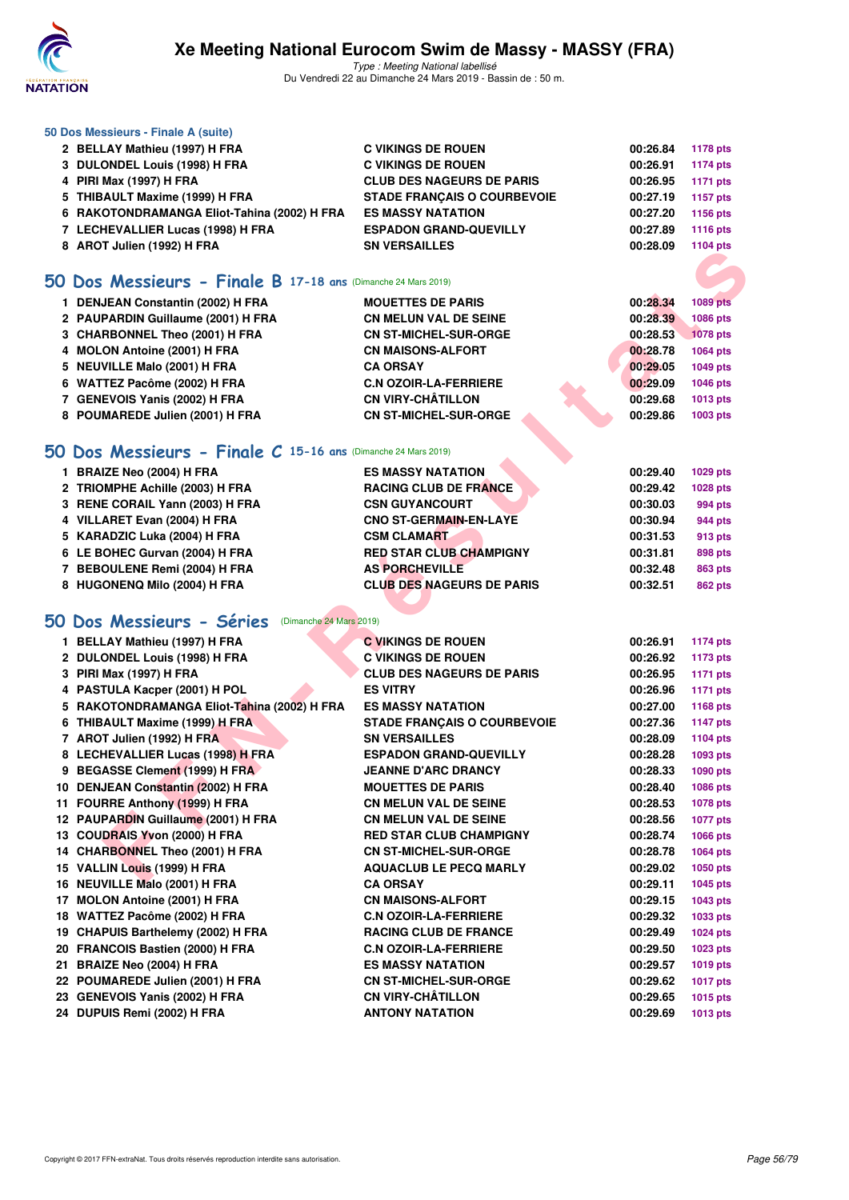

Type : Meeting National labellisé Du Vendredi 22 au Dimanche 24 Mars 2019 - Bassin de : 50 m.

| 50 Dos Messieurs - Finale A (suite)         |                                    |          |                 |
|---------------------------------------------|------------------------------------|----------|-----------------|
| 2 BELLAY Mathieu (1997) H FRA               | <b>C VIKINGS DE ROUEN</b>          | 00:26.84 | 1178 pts        |
| 3 DULONDEL Louis (1998) H FRA               | <b>C VIKINGS DE ROUEN</b>          | 00:26.91 | 1174 pts        |
| 4 PIRI Max (1997) H FRA                     | <b>CLUB DES NAGEURS DE PARIS</b>   | 00:26.95 | 1171 pts        |
| 5 THIBAULT Maxime (1999) H FRA              | <b>STADE FRANCAIS O COURBEVOIE</b> | 00:27.19 | 1157 pts        |
| 6 RAKOTONDRAMANGA Eliot-Tahina (2002) H FRA | <b>ES MASSY NATATION</b>           | 00:27.20 | 1156 pts        |
| 7 LECHEVALLIER Lucas (1998) H FRA           | <b>ESPADON GRAND-QUEVILLY</b>      | 00:27.89 | <b>1116 pts</b> |
| 8 AROT Julien (1992) H FRA                  | <b>SN VERSAILLES</b>               | 00:28.09 | 1104 pts        |
|                                             |                                    |          |                 |

#### **[50 Dos Messieurs - Finale B](http://www.ffnatation.fr/webffn/resultats.php?idact=nat&go=epr&idcpt=57649&idepr=61) 17-18 ans** (Dimanche 24 Mars 2019)

| 1 DENJEAN Constantin (2002) H FRA  | <b>MOUETTES DE PARIS</b>     |  | 00:28.34 | 1089 pts        |
|------------------------------------|------------------------------|--|----------|-----------------|
| 2 PAUPARDIN Guillaume (2001) H FRA | <b>CN MELUN VAL DE SEINE</b> |  | 00:28.39 | <b>1086 pts</b> |
| 3 CHARBONNEL Theo (2001) H FRA     | <b>CN ST-MICHEL-SUR-ORGE</b> |  | 00:28.53 | <b>1078 pts</b> |
| 4 MOLON Antoine (2001) H FRA       | <b>CN MAISONS-ALFORT</b>     |  | 00:28.78 | 1064 pts        |
| 5 NEUVILLE Malo (2001) H FRA       | <b>CA ORSAY</b>              |  | 00:29.05 | 1049 pts        |
| 6 WATTEZ Pacôme (2002) H FRA       | <b>C.N OZOIR-LA-FERRIERE</b> |  | 00:29.09 | 1046 pts        |
| 7 GENEVOIS Yanis (2002) H FRA      | <b>CN VIRY-CHÂTILLON</b>     |  | 00:29.68 | 1013 pts        |
| 8 POUMAREDE Julien (2001) H FRA    | <b>CN ST-MICHEL-SUR-ORGE</b> |  | 00:29.86 | 1003 pts        |
|                                    |                              |  |          |                 |

### **[50 Dos Messieurs - Finale C](http://www.ffnatation.fr/webffn/resultats.php?idact=nat&go=epr&idcpt=57649&idepr=61) 15-16 ans** (Dimanche 24 Mars 2019)

| 1 BRAIZE Neo (2004) H FRA       | <b>ES MASSY NATATION</b>         | 00:29.40 | 1029 pts |
|---------------------------------|----------------------------------|----------|----------|
| 2 TRIOMPHE Achille (2003) H FRA | <b>RACING CLUB DE FRANCE</b>     | 00:29.42 | 1028 pts |
| 3 RENE CORAIL Yann (2003) H FRA | <b>CSN GUYANCOURT</b>            | 00:30.03 | 994 pts  |
| 4 VILLARET Evan (2004) H FRA    | <b>CNO ST-GERMAIN-EN-LAYE</b>    | 00:30.94 | 944 pts  |
| 5 KARADZIC Luka (2004) H FRA    | <b>CSM CLAMART</b>               | 00:31.53 | 913 pts  |
| 6 LE BOHEC Gurvan (2004) H FRA  | <b>RED STAR CLUB CHAMPIGNY</b>   | 00:31.81 | 898 pts  |
| 7 BEBOULENE Remi (2004) H FRA   | <b>AS PORCHEVILLE</b>            | 00:32.48 | 863 pts  |
| 8 HUGONENQ Milo (2004) H FRA    | <b>CLUB DES NAGEURS DE PARIS</b> | 00:32.51 | 862 pts  |

# **[50 Dos Messieurs - Séries](http://www.ffnatation.fr/webffn/resultats.php?idact=nat&go=epr&idcpt=57649&idepr=61)** (Dimanche 24 Mars 2019)

| $\sigma$ Anviourch (1994) II FRA                                |                                                      |          | בוק דטו ו       |
|-----------------------------------------------------------------|------------------------------------------------------|----------|-----------------|
|                                                                 |                                                      |          |                 |
| $60$ Dos Messieurs - Finale B 17-18 ans (Dimanche 24 Mars 2019) |                                                      |          |                 |
| 1 DENJEAN Constantin (2002) H FRA                               | <b>MOUETTES DE PARIS</b>                             | 00:28.34 | <b>1089 pts</b> |
| 2 PAUPARDIN Guillaume (2001) H FRA                              | <b>CN MELUN VAL DE SEINE</b>                         | 00:28.39 | 1086 pts        |
| 3 CHARBONNEL Theo (2001) H FRA                                  | <b>CN ST-MICHEL-SUR-ORGE</b>                         | 00:28.53 | <b>1078 pts</b> |
| 4 MOLON Antoine (2001) H FRA                                    | <b>CN MAISONS-ALFORT</b>                             | 00:28.78 | 1064 pts        |
| 5 NEUVILLE Malo (2001) H FRA                                    | <b>CA ORSAY</b>                                      | 00:29.05 | 1049 pts        |
| 6 WATTEZ Pacôme (2002) H FRA                                    | <b>C.N OZOIR-LA-FERRIERE</b>                         | 00:29.09 | 1046 pts        |
| 7 GENEVOIS Yanis (2002) H FRA                                   | <b>CN VIRY-CHÂTILLON</b>                             | 00:29.68 | 1013 pts        |
| 8 POUMAREDE Julien (2001) H FRA                                 | <b>CN ST-MICHEL-SUR-ORGE</b>                         | 00:29.86 | 1003 pts        |
| $60$ Dos Messieurs - Finale C 15-16 ans (Dimanche 24 Mars 2019) |                                                      |          |                 |
| 1 BRAIZE Neo (2004) H FRA                                       | <b>ES MASSY NATATION</b>                             | 00:29.40 | 1029 pts        |
| 2 TRIOMPHE Achille (2003) H FRA                                 | <b>RACING CLUB DE FRANCE</b>                         | 00:29.42 |                 |
|                                                                 |                                                      |          | 1028 pts        |
| 3 RENE CORAIL Yann (2003) H FRA                                 | <b>CSN GUYANCOURT</b>                                | 00:30.03 | 994 pts         |
| 4 VILLARET Evan (2004) H FRA                                    | <b>CNO ST-GERMAIN-EN-LAYE</b>                        | 00:30.94 | 944 pts         |
| 5 KARADZIC Luka (2004) H FRA                                    | <b>CSM CLAMART</b><br><b>RED STAR CLUB CHAMPIGNY</b> | 00:31.53 | 913 pts         |
| 6 LE BOHEC Gurvan (2004) H FRA                                  |                                                      | 00:31.81 | 898 pts         |
| 7 BEBOULENE Remi (2004) H FRA                                   | <b>AS PORCHEVILLE</b>                                | 00:32.48 | <b>863 pts</b>  |
| 8 HUGONENQ Milo (2004) H FRA                                    | <b>CLUB DES NAGEURS DE PARIS</b>                     | 00:32.51 | <b>862 pts</b>  |
|                                                                 |                                                      |          |                 |
| <b>iO Dos Messieurs - Séries</b> (Dimanche 24 Mars 2019)        |                                                      |          |                 |
| 1 BELLAY Mathieu (1997) H FRA                                   | <b>C VIKINGS DE ROUEN</b>                            | 00:26.91 | <b>1174 pts</b> |
| 2 DULONDEL Louis (1998) H FRA                                   | <b>C VIKINGS DE ROUEN</b>                            | 00:26.92 | 1173 pts        |
| 3 PIRI Max (1997) H FRA                                         | <b>CLUB DES NAGEURS DE PARIS</b>                     | 00:26.95 | <b>1171 pts</b> |
| 4 PASTULA Kacper (2001) H POL                                   | <b>ES VITRY</b>                                      | 00:26.96 | <b>1171 pts</b> |
| 5 RAKOTONDRAMANGA Eliot-Tahina (2002) H FRA                     | <b>ES MASSY NATATION</b>                             | 00:27.00 | 1168 pts        |
| 6 THIBAULT Maxime (1999) H FRA                                  | <b>STADE FRANÇAIS O COURBEVOIE</b>                   | 00:27.36 | <b>1147 pts</b> |
| 7 AROT Julien (1992) H FRA                                      | <b>SN VERSAILLES</b>                                 | 00:28.09 | 1104 pts        |
| 8 LECHEVALLIER Lucas (1998) H FRA                               | <b>ESPADON GRAND-QUEVILLY</b>                        | 00:28.28 | 1093 pts        |
| 9 BEGASSE Clement (1999) H FRA                                  | <b>JEANNE D'ARC DRANCY</b>                           | 00:28.33 | 1090 pts        |
| 10 DENJEAN Constantin (2002) H FRA                              | <b>MOUETTES DE PARIS</b>                             | 00:28.40 | 1086 pts        |
| 11 FOURRE Anthony (1999) H FRA                                  | <b>CN MELUN VAL DE SEINE</b>                         | 00:28.53 | <b>1078 pts</b> |
| 12 PAUPARDIN Guillaume (2001) H FRA                             | <b>CN MELUN VAL DE SEINE</b>                         | 00:28.56 | <b>1077 pts</b> |
| 13 COUDRAIS Yvon (2000) H FRA                                   | <b>RED STAR CLUB CHAMPIGNY</b>                       | 00:28.74 | 1066 pts        |
| 14 CHARBONNEL Theo (2001) H FRA                                 | <b>CN ST-MICHEL-SUR-ORGE</b>                         | 00:28.78 | 1064 pts        |
| 15 VALLIN Louis (1999) H FRA                                    | <b>AQUACLUB LE PECQ MARLY</b>                        | 00:29.02 | 1050 pts        |
| 16 NEUVILLE Malo (2001) H FRA                                   | <b>CA ORSAY</b>                                      | 00:29.11 | <b>1045 pts</b> |
| 17 MOLON Antoine (2001) H FRA                                   | <b>CN MAISONS-ALFORT</b>                             | 00:29.15 | 1043 pts        |
| 18 WATTEZ Pacôme (2002) H FRA                                   | <b>C.N OZOIR-LA-FERRIERE</b>                         | 00:29.32 | 1033 pts        |
| 19 CHAPUIS Barthelemy (2002) H FRA                              | <b>RACING CLUB DE FRANCE</b>                         | 00:29.49 | 1024 pts        |
| 20 FRANCOIS Bastien (2000) H FRA                                | <b>C.N OZOIR-LA-FERRIERE</b>                         | 00:29.50 | 1023 pts        |
| 21 BRAIZE Neo (2004) H FRA                                      | <b>ES MASSY NATATION</b>                             | 00:29.57 | 1019 pts        |
| 22 POUMAREDE Julien (2001) H FRA                                | <b>CN ST-MICHEL-SUR-ORGE</b>                         | 00:29.62 | <b>1017 pts</b> |
| 23 GENEVOIS Yanis (2002) H FRA                                  | <b>CN VIRY-CHÂTILLON</b>                             | 00:29.65 | 1015 pts        |
| 24 DUPUIS Remi (2002) H FRA                                     | <b>ANTONY NATATION</b>                               | 00:29.69 | <b>1013 pts</b> |
|                                                                 |                                                      |          |                 |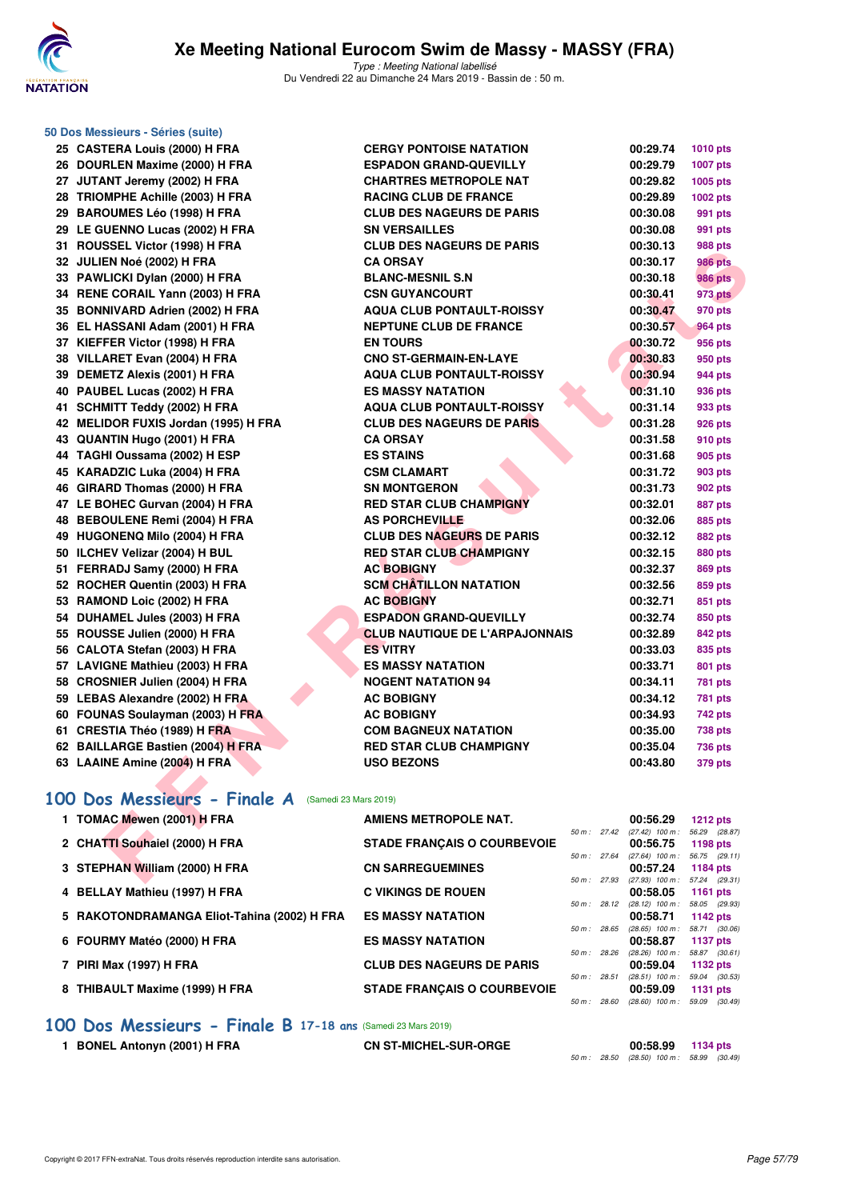

|     | 50 Dos Messieurs - Séries (suite)        |
|-----|------------------------------------------|
| 25  | <b>CASTERA Louis (2000) H FRA</b>        |
|     | 26 DOURLEN Maxime (2000) H FRA           |
|     | 27 JUTANT Jeremy (2002) H FRA            |
| 28  | TRIOMPHE Achille (2003) H FRA            |
|     | 29 BAROUMES Léo (1998) H FRA             |
|     | 29 LE GUENNO Lucas (2002) H FRA          |
| 31  | ROUSSEL Victor (1998) H FRA              |
| 32  | JULIEN Noé (2002) H FRA                  |
| 33  | PAWLICKI Dylan (2000) H FRA              |
| 34  | RENE CORAIL Yann (2003) H FRA            |
|     | 35 BONNIVARD Adrien (2002) H FRA         |
|     | 36 EL HASSANI Adam (2001) H FRA          |
| 37  | KIEFFER Victor (1998) H FRA              |
| 38  | VILLARET Evan (2004) H FRA               |
| 39  | <b>DEMETZ Alexis (2001) H FRA</b>        |
| 40  | PAUBEL Lucas (2002) H FRA                |
| 41  | <b>SCHMITT Teddy (2002) H FRA</b>        |
| 42  | <b>MELIDOR FUXIS Jordan (1995) H FRA</b> |
| 43  | QUANTIN Hugo (2001) H FRA                |
| 44  | TAGHI Oussama (2002) H ESP               |
| 45  | KARADZIC Luka (2004) H FRA               |
| 46  | GIRARD Thomas (2000) H FRA               |
|     | 47 LE BOHEC Gurvan (2004) H FRA          |
| 48  | <b>BEBOULENE Remi (2004) H FRA</b>       |
| 49  | <b>HUGONENQ Milo (2004) H FRA</b>        |
| 50  | ILCHEV Velizar (2004) H BUL              |
| 51  | FERRADJ Samy (2000) H FRA                |
| 52  | ROCHER Quentin (2003) H FRA              |
| 53  | RAMOND Loic (2002) H FRA                 |
| 54  | DUHAMEL Jules (2003) H FRA               |
| 55  | ROUSSE Julien (2000) H FRA               |
| 56  | CALOTA Stefan (2003) H FRA               |
| 57  | <b>LAVIGNE Mathieu (2003) H FRA</b>      |
| 58  | <b>CROSNIER Julien (2004) H FRA</b>      |
| 59  | <b>LEBAS Alexandre (2002) H FRA</b>      |
| 60  | FOUNAS Soulayman (2003) H FRA            |
| 61  | CRESTIA Théo (1989) H FRA                |
| 62. | <b>BAILLARGE Bastien (2004) H FRA</b>    |
| 63  | LAAINE Amine (2004) H FRA                |

| 25 CASTERA Louis (2000) H FRA                            | <b>CERGY PONTOISE NATATION</b>        |              | 00:29.74                                             | 1010 pts        |
|----------------------------------------------------------|---------------------------------------|--------------|------------------------------------------------------|-----------------|
| 26 DOURLEN Maxime (2000) H FRA                           | <b>ESPADON GRAND-QUEVILLY</b>         |              | 00:29.79                                             | <b>1007 pts</b> |
| 27 JUTANT Jeremy (2002) H FRA                            | <b>CHARTRES METROPOLE NAT</b>         |              | 00:29.82                                             | 1005 pts        |
| 28 TRIOMPHE Achille (2003) H FRA                         | <b>RACING CLUB DE FRANCE</b>          |              | 00:29.89                                             | 1002 pts        |
| 29 BAROUMES Léo (1998) H FRA                             | <b>CLUB DES NAGEURS DE PARIS</b>      |              | 00:30.08                                             | 991 pts         |
| 29 LE GUENNO Lucas (2002) H FRA                          | <b>SN VERSAILLES</b>                  |              | 00:30.08                                             | 991 pts         |
| 31 ROUSSEL Victor (1998) H FRA                           | <b>CLUB DES NAGEURS DE PARIS</b>      |              | 00:30.13                                             | 988 pts         |
| 32 JULIEN Noé (2002) H FRA                               | <b>CA ORSAY</b>                       |              | 00:30.17                                             | <b>986 pts</b>  |
| 33 PAWLICKI Dylan (2000) H FRA                           | <b>BLANC-MESNIL S.N</b>               |              | 00:30.18                                             | <b>986 pts</b>  |
| 34 RENE CORAIL Yann (2003) H FRA                         | <b>CSN GUYANCOURT</b>                 |              | 00:30.41                                             | 973 pts         |
| 35 BONNIVARD Adrien (2002) H FRA                         | <b>AQUA CLUB PONTAULT-ROISSY</b>      |              | 00:30.47                                             | 970 pts         |
| 36 EL HASSANI Adam (2001) H FRA                          | <b>NEPTUNE CLUB DE FRANCE</b>         |              | 00:30.57                                             | 964 pts         |
| 37 KIEFFER Victor (1998) H FRA                           | <b>EN TOURS</b>                       |              | 00:30.72                                             | 956 pts         |
| 38 VILLARET Evan (2004) H FRA                            | <b>CNO ST-GERMAIN-EN-LAYE</b>         |              | 00:30.83                                             | 950 pts         |
| 39 DEMETZ Alexis (2001) H FRA                            | <b>AQUA CLUB PONTAULT-ROISSY</b>      |              | 00:30.94                                             | 944 pts         |
| 40 PAUBEL Lucas (2002) H FRA                             | <b>ES MASSY NATATION</b>              |              | 00:31.10                                             | 936 pts         |
| 41 SCHMITT Teddy (2002) H FRA                            | <b>AQUA CLUB PONTAULT-ROISSY</b>      |              | 00:31.14                                             | 933 pts         |
| 42 MELIDOR FUXIS Jordan (1995) H FRA                     | <b>CLUB DES NAGEURS DE PARIS</b>      |              | 00:31.28                                             | 926 pts         |
| 43 QUANTIN Hugo (2001) H FRA                             | <b>CA ORSAY</b>                       |              | 00:31.58                                             | 910 pts         |
| 44 TAGHI Oussama (2002) H ESP                            | <b>ES STAINS</b>                      |              | 00:31.68                                             | 905 pts         |
| 45 KARADZIC Luka (2004) H FRA                            | <b>CSM CLAMART</b>                    |              | 00:31.72                                             | 903 pts         |
| 46 GIRARD Thomas (2000) H FRA                            | <b>SN MONTGERON</b>                   |              | 00:31.73                                             | 902 pts         |
| 47 LE BOHEC Gurvan (2004) H FRA                          | <b>RED STAR CLUB CHAMPIGNY</b>        |              | 00:32.01                                             | 887 pts         |
| 48 BEBOULENE Remi (2004) H FRA                           | <b>AS PORCHEVILLE</b>                 |              | 00:32.06                                             | 885 pts         |
| 49 HUGONENQ Milo (2004) H FRA                            | <b>CLUB DES NAGEURS DE PARIS</b>      |              | 00:32.12                                             | <b>882 pts</b>  |
| 50 ILCHEV Velizar (2004) H BUL                           | <b>RED STAR CLUB CHAMPIGNY</b>        |              | 00:32.15                                             | <b>880 pts</b>  |
| 51 FERRADJ Samy (2000) H FRA                             | <b>AC BOBIGNY</b>                     |              | 00:32.37                                             | <b>869 pts</b>  |
| 52 ROCHER Quentin (2003) H FRA                           | <b>SCM CHATILLON NATATION</b>         |              | 00:32.56                                             | 859 pts         |
| 53 RAMOND Loic (2002) H FRA                              | <b>AC BOBIGNY</b>                     |              | 00:32.71                                             | 851 pts         |
| 54 DUHAMEL Jules (2003) H FRA                            | <b>ESPADON GRAND-QUEVILLY</b>         |              | 00:32.74                                             | 850 pts         |
| 55 ROUSSE Julien (2000) H FRA                            | <b>CLUB NAUTIQUE DE L'ARPAJONNAIS</b> |              | 00:32.89                                             | 842 pts         |
| 56 CALOTA Stefan (2003) H FRA                            | <b>ES VITRY</b>                       |              | 00:33.03                                             | 835 pts         |
| 57 LAVIGNE Mathieu (2003) H FRA                          | <b>ES MASSY NATATION</b>              |              | 00:33.71                                             | 801 pts         |
| 58 CROSNIER Julien (2004) H FRA                          | <b>NOGENT NATATION 94</b>             |              | 00:34.11                                             | <b>781 pts</b>  |
| 59 LEBAS Alexandre (2002) H FRA                          | <b>AC BOBIGNY</b>                     |              | 00:34.12                                             | <b>781 pts</b>  |
| 60 FOUNAS Soulayman (2003) H FRA                         | <b>AC BOBIGNY</b>                     |              | 00:34.93                                             | 742 pts         |
| 61 CRESTIA Théo (1989) H FRA                             | <b>COM BAGNEUX NATATION</b>           |              | 00:35.00                                             | <b>738 pts</b>  |
| 62 BAILLARGE Bastien (2004) H FRA                        | <b>RED STAR CLUB CHAMPIGNY</b>        |              | 00:35.04                                             | <b>736 pts</b>  |
| 63 LAAINE Amine (2004) H FRA                             | <b>USO BEZONS</b>                     |              | 00:43.80                                             | 379 pts         |
|                                                          |                                       |              |                                                      |                 |
| <b>00 Dos Messieurs - Finale A</b> (Samedi 23 Mars 2019) |                                       |              |                                                      |                 |
| 1 TOMAC Mewen (2001) H FRA                               | <b>AMIENS METROPOLE NAT.</b>          |              | 00:56.29                                             | $1212$ pts      |
| 2 CHATTI Souhaiel (2000) H FRA                           | <b>STADE FRANÇAIS O COURBEVOIE</b>    |              | 50 m: 27.42 (27.42) 100 m: 56.29 (28.87)<br>00:56.75 | 1198 pts        |
|                                                          |                                       | 50 m : 27.64 | $(27.64)$ 100 m : 56.75 $(29.11)$                    |                 |
| 3 STEPHAN William (2000) H FRA                           | <b>CN SARREGUEMINES</b>               |              | 00:57.24                                             | <b>1184 pts</b> |
|                                                          |                                       |              | 50 m: 27.93 (27.93) 100 m: 57.24 (29.31)             |                 |

# **[100 Dos Messieurs - Finale A](http://www.ffnatation.fr/webffn/resultats.php?idact=nat&go=epr&idcpt=57649&idepr=62)** (Samedi 23 Mars 2019)

| 1 TOMAC Mewen (2001) H FRA                  | <b>AMIENS METROPOLE NAT.</b>       |                |             | 00:56.29                          | $1212$ pts    |  |
|---------------------------------------------|------------------------------------|----------------|-------------|-----------------------------------|---------------|--|
|                                             |                                    |                | 50 m: 27.42 | $(27.42)$ 100 m :                 | 56.29 (28.87) |  |
| 2 CHATTI Souhaiel (2000) H FRA              | <b>STADE FRANCAIS O COURBEVOIE</b> |                |             | 00:56.75                          | 1198 $pts$    |  |
|                                             |                                    | 50 m: 27.64    |             | $(27.64)$ 100 m :                 | 56.75 (29.11) |  |
| 3 STEPHAN William (2000) H FRA              | <b>CN SARREGUEMINES</b>            |                |             | 00:57.24                          | 1184 $pts$    |  |
|                                             |                                    |                | 50 m: 27.93 | (27.93) 100 m : 57.24 (29.31)     |               |  |
| 4 BELLAY Mathieu (1997) H FRA               | <b>C VIKINGS DE ROUEN</b>          |                |             | 00:58.05                          | 1161 pts      |  |
|                                             |                                    |                | 50 m: 28.12 | $(28.12)$ 100 m : 58.05 $(29.93)$ |               |  |
| 5 RAKOTONDRAMANGA Eliot-Tahina (2002) H FRA | <b>ES MASSY NATATION</b>           |                |             | 00:58.71                          | 1142 pts      |  |
|                                             |                                    | 50 m: 28.65    |             | $(28.65)$ 100 m :                 | 58.71 (30.06) |  |
| 6 FOURMY Matéo (2000) H FRA                 | <b>ES MASSY NATATION</b>           |                |             | 00:58.87                          | 1137 pts      |  |
|                                             |                                    | 50 m: 28.26    |             | $(28.26)$ 100 m :                 | 58.87 (30.61) |  |
| 7 PIRI Max (1997) H FRA                     | <b>CLUB DES NAGEURS DE PARIS</b>   |                |             | 00:59.04                          | 1132 $pts$    |  |
|                                             |                                    | $50 m$ : 28.51 |             | $(28.51)$ 100 m : 59.04 $(30.53)$ |               |  |
| 8 THIBAULT Maxime (1999) H FRA              | <b>STADE FRANCAIS O COURBEVOIE</b> |                |             | 00:59.09                          | 1131 $pts$    |  |
|                                             |                                    | 50 m: 28.60    |             | $(28.60)$ 100 m :                 | 59.09 (30.49) |  |
|                                             |                                    |                |             |                                   |               |  |

#### **[100 Dos Messieurs - Finale B](http://www.ffnatation.fr/webffn/resultats.php?idact=nat&go=epr&idcpt=57649&idepr=62) 17-18 ans** (Samedi 23 Mars 2019)

**1 BONEL Antonyn (2001) H FRA CN ST-MICHEL-SUR-ORGE 00:58.99 1134 pts**

|  | UU.JU.JJ |                                            | $1197 \mu s$ |  |
|--|----------|--------------------------------------------|--------------|--|
|  |          | 50 m : 28.50 (28.50) 100 m : 58.99 (30.49) |              |  |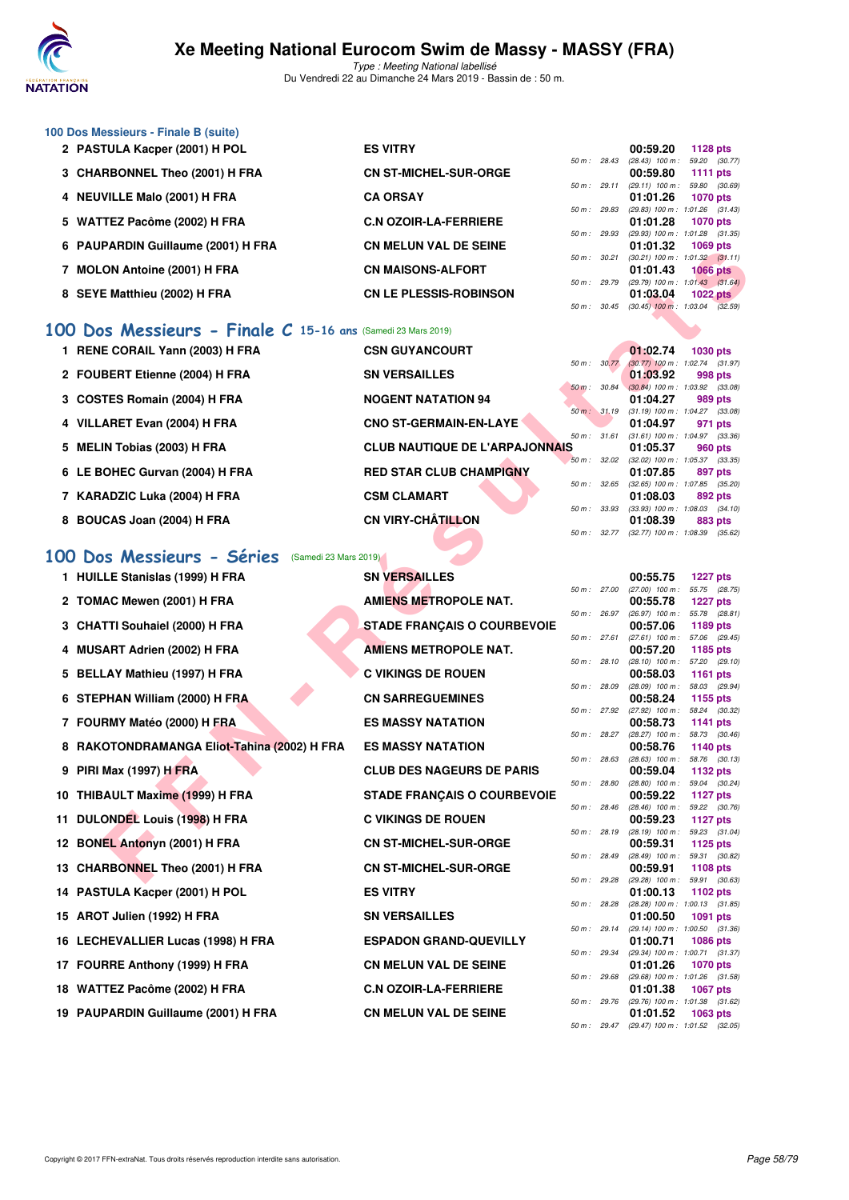

Type : Meeting National labellisé Du Vendredi 22 au Dimanche 24 Mars 2019 - Bassin de : 50 m.

| 100 Dos Messieurs - Finale B (suite) |                               |                          |                                     |                                     |
|--------------------------------------|-------------------------------|--------------------------|-------------------------------------|-------------------------------------|
| 2 PASTULA Kacper (2001) H POL        | <b>ES VITRY</b>               |                          | 00:59.20                            | <b>1128 pts</b>                     |
|                                      |                               | 50 m: 28.43              | $(28.43)$ 100 m :                   | 59.20 (30.77)                       |
| 3 CHARBONNEL Theo (2001) H FRA       | <b>CN ST-MICHEL-SUR-ORGE</b>  |                          | 00:59.80                            | 1111 pts                            |
|                                      |                               | 50 m: 29.11              | $(29.11)$ 100 m :                   | 59.80 (30.69)                       |
| 4 NEUVILLE Malo (2001) H FRA         | <b>CA ORSAY</b>               |                          | 01:01.26                            | <b>1070 pts</b>                     |
|                                      |                               | 50 m: 29.83              |                                     | $(29.83)$ 100 m : 1:01.26 $(31.43)$ |
| 5 WATTEZ Pacôme (2002) H FRA         | <b>C.N OZOIR-LA-FERRIERE</b>  |                          | 01:01.28                            | <b>1070 pts</b>                     |
|                                      |                               | 50 m: 29.93              | $(29.93)$ 100 m : 1:01.28 $(31.35)$ |                                     |
| 6 PAUPARDIN Guillaume (2001) H FRA   | <b>CN MELUN VAL DE SEINE</b>  |                          | 01:01.32                            | 1069 pts                            |
|                                      |                               | 50 m: 30.21              | $(30.21)$ 100 m : 1:01.32 $(31.11)$ |                                     |
| <b>MOLON Antoine (2001) H FRA</b>    | <b>CN MAISONS-ALFORT</b>      |                          | 01:01.43                            | <b>1066 pts</b>                     |
|                                      |                               | $50 \text{ m}$ : 29.79   |                                     | (29.79) 100 m: 1:01.43 (31.64)      |
| 8 SEYE Matthieu (2002) H FRA         | <b>CN LE PLESSIS-ROBINSON</b> |                          | 01:03.04                            | 1022 $p$ ts                         |
|                                      |                               | $50 \text{ m}$ : $30.45$ | $(30.45)$ 100 m : 1:03.04           | (32.59)                             |

### **[100 Dos Messieurs - Finale C](http://www.ffnatation.fr/webffn/resultats.php?idact=nat&go=epr&idcpt=57649&idepr=62) 15-16 ans** (Samedi 23 Mars 2019)

| 1 RENE CORAIL Yann (2003) H FRA | <b>CSN GUYANCOURT</b>                 |                        | 01:02.74                                        | <b>1030 pts</b> |  |
|---------------------------------|---------------------------------------|------------------------|-------------------------------------------------|-----------------|--|
| 2 FOUBERT Etienne (2004) H FRA  | <b>SN VERSAILLES</b>                  | 50 m: 30.77            | $(30.77)$ 100 m : 1:02.74 $(31.97)$<br>01:03.92 | 998 pts         |  |
| 3 COSTES Romain (2004) H FRA    | <b>NOGENT NATATION 94</b>             | $50 \text{ m}$ : 30.84 | $(30.84)$ 100 m : 1:03.92 $(33.08)$<br>01:04.27 | 989 pts         |  |
| 4 VILLARET Evan (2004) H FRA    | <b>CNO ST-GERMAIN-EN-LAYE</b>         | 50 m: 31.19            | $(31.19)$ 100 m : 1:04.27 $(33.08)$<br>01:04.97 | 971 pts         |  |
| 5 MELIN Tobias (2003) H FRA     | <b>CLUB NAUTIQUE DE L'ARPAJONNAIS</b> | $50 m$ : $31.61$       | $(31.61)$ 100 m : 1:04.97 $(33.36)$<br>01:05.37 | 960 pts         |  |
| 6 LE BOHEC Gurvan (2004) H FRA  | <b>RED STAR CLUB CHAMPIGNY</b>        | $50 \text{ m}$ : 32.02 | $(32.02)$ 100 m : 1:05.37 $(33.35)$<br>01:07.85 | 897 pts         |  |
| 7 KARADZIC Luka (2004) H FRA    | <b>CSM CLAMART</b>                    | 50 m: 32.65            | $(32.65)$ 100 m : 1:07.85 $(35.20)$<br>01:08.03 | 892 pts         |  |
| 8 BOUCAS Joan (2004) H FRA      | <b>CN VIRY-CHÂTILLON</b>              | 50 m: 33.93            | $(33.93)$ 100 m : 1:08.03 $(34.10)$<br>01:08.39 | 883 pts         |  |
|                                 |                                       |                        | 50 m: 32.77 (32.77) 100 m: 1:08.39 (35.62)      |                 |  |

# [100 Dos Messieurs - Séries](http://www.ffnatation.fr/webffn/resultats.php?idact=nat&go=epr&idcpt=57649&idepr=62) (Samedi 23 Mars 2019)

| 0 FAUFANDIN GUILLAUILE (2001) IT FRA                          | UN MELUN VAL DE JEINE                 |                  |              | <b>JI.UI.J</b> Z                                       | ່າ ບບອ µເວ                       |  |
|---------------------------------------------------------------|---------------------------------------|------------------|--------------|--------------------------------------------------------|----------------------------------|--|
| 7 MOLON Antoine (2001) H FRA                                  | <b>CN MAISONS-ALFORT</b>              |                  | 50 m : 30.21 | $(30.21)$ 100 m : 1:01.32 $(31.11)$<br>01:01.43        | <b>1066 pts</b>                  |  |
| 8 SEYE Matthieu (2002) H FRA                                  | <b>CN LE PLESSIS-ROBINSON</b>         | 50 m : 29.79     |              | $(29.79)$ 100 m : 1:01.43 $(31.64)$<br>01:03.04        | 1022 pts                         |  |
|                                                               |                                       | $50 m$ : $30.45$ |              | $(30.45)$ 100 m : 1:03.04 $(32.59)$                    |                                  |  |
| 00 Dos Messieurs - Finale $C$ 15-16 ans (Samedi 23 Mars 2019) |                                       |                  |              |                                                        |                                  |  |
| 1 RENE CORAIL Yann (2003) H FRA                               | <b>CSN GUYANCOURT</b>                 |                  |              | 01:02.74                                               | <b>1030 pts</b>                  |  |
|                                                               |                                       | 50 m : 30.77     |              | $(30.77)$ 100 m : 1:02.74 $(31.97)$                    |                                  |  |
| 2 FOUBERT Etienne (2004) H FRA                                | <b>SN VERSAILLES</b>                  | 50 m: 30.84      |              | 01:03.92<br>$(30.84)$ 100 m : 1:03.92 $(33.08)$        | 998 pts                          |  |
| 3 COSTES Romain (2004) H FRA                                  | <b>NOGENT NATATION 94</b>             |                  |              | 01:04.27                                               | 989 pts                          |  |
| 4 VILLARET Evan (2004) H FRA                                  | <b>CNO ST-GERMAIN-EN-LAYE</b>         |                  | 50 m: 31.19  | $(31.19)$ 100 m : 1:04.27 $(33.08)$<br>01:04.97        | 971 pts                          |  |
| 5 MELIN Tobias (2003) H FRA                                   | <b>CLUB NAUTIQUE DE L'ARPAJONNAIS</b> | 50 m: 31.61      |              | $(31.61)$ 100 m : 1:04.97 $(33.36)$<br>01:05.37        | 960 pts                          |  |
|                                                               |                                       | 50 m: 32.02      |              | (32.02) 100 m: 1:05.37 (33.35)                         |                                  |  |
| 6 LE BOHEC Gurvan (2004) H FRA                                | <b>RED STAR CLUB CHAMPIGNY</b>        | 50 m: 32.65      |              | 01:07.85<br>$(32.65)$ 100 m : 1:07.85 $(35.20)$        | 897 pts                          |  |
| 7 KARADZIC Luka (2004) H FRA                                  | <b>CSM CLAMART</b>                    |                  |              | 01:08.03                                               | 892 pts                          |  |
| 8 BOUCAS Joan (2004) H FRA                                    | <b>CN VIRY-CHÂTILLON</b>              | 50 m: 33.93      |              | $(33.93)$ 100 m : 1:08.03 $(34.10)$<br>01:08.39        | 883 pts                          |  |
|                                                               |                                       | 50 m : 32.77     |              | $(32.77)$ 100 m : 1:08.39 $(35.62)$                    |                                  |  |
| 00 Dos Messieurs - Séries<br>(Samedi 23 Mars 2019)            |                                       |                  |              |                                                        |                                  |  |
|                                                               |                                       |                  |              |                                                        |                                  |  |
| 1 HUILLE Stanislas (1999) H FRA                               | <b>SN VERSAILLES</b>                  | 50 m: 27.00      |              | 00:55.75<br>$(27.00)$ 100 m :                          | <b>1227 pts</b><br>55.75 (28.75) |  |
| 2 TOMAC Mewen (2001) H FRA                                    | <b>AMIENS METROPOLE NAT.</b>          |                  |              | 00:55.78                                               | <b>1227 pts</b>                  |  |
| 3 CHATTI Souhaiel (2000) H FRA                                | <b>STADE FRANÇAIS O COURBEVOIE</b>    | 50 m: 26.97      |              | (26.97) 100 m :<br>00:57.06                            | 55.78 (28.81)<br>1189 pts        |  |
|                                                               |                                       | 50 m: 27.61      |              | $(27.61)$ 100 m :                                      | 57.06 (29.45)                    |  |
| 4 MUSART Adrien (2002) H FRA                                  | <b>AMIENS METROPOLE NAT.</b>          | 50 m : 28.10     |              | 00:57.20<br>$(28.10)$ 100 m :                          | 1185 pts<br>57.20 (29.10)        |  |
| 5 BELLAY Mathieu (1997) H FRA                                 | <b>C VIKINGS DE ROUEN</b>             |                  |              | 00:58.03                                               | 1161 pts                         |  |
| 6 STEPHAN William (2000) H FRA                                | <b>CN SARREGUEMINES</b>               | 50 m: 28.09      |              | $(28.09)$ 100 m :<br>00:58.24                          | 58.03 (29.94)<br>1155 pts        |  |
|                                                               |                                       |                  | 50 m : 27.92 | $(27.92)$ 100 m :                                      | 58.24 (30.32)                    |  |
| 7 FOURMY Matéo (2000) H FRA                                   | <b>ES MASSY NATATION</b>              | 50 m: 28.27      |              | 00:58.73<br>$(28.27)$ 100 m :                          | 1141 pts<br>58.73 (30.46)        |  |
| 8 RAKOTONDRAMANGA Eliot-Tahina (2002) H FRA                   | <b>ES MASSY NATATION</b>              |                  |              | 00:58.76                                               | 1140 pts                         |  |
| 9 PIRI Max (1997) H FRA                                       | <b>CLUB DES NAGEURS DE PARIS</b>      | 50 m: 28.63      |              | $(28.63)$ 100 m :<br>00:59.04                          | 58.76 (30.13)<br>1132 pts        |  |
|                                                               |                                       | 50 m : 28.80     |              | $(28.80)$ 100 m :                                      | 59.04 (30.24)                    |  |
| 10 THIBAULT Maxime (1999) H FRA                               | <b>STADE FRANÇAIS O COURBEVOIE</b>    | 50 m: 28.46      |              | 00:59.22<br>$(28.46)$ 100 m :                          | 1127 pts<br>59.22 (30.76)        |  |
| 11 DULONDEL Louis (1998) H FRA                                | <b>C VIKINGS DE ROUEN</b>             |                  |              | 00:59.23                                               | 1127 pts                         |  |
| 12 BONEL Antonyn (2001) H FRA                                 | <b>CN ST-MICHEL-SUR-ORGE</b>          | 50 m: 28.19      |              | $(28.19)$ 100 m :<br>00:59.31                          | 59.23 (31.04)<br>1125 pts        |  |
|                                                               |                                       | 50 m : 28.49     |              | $(28.49)$ 100 m :                                      | 59.31 (30.82)                    |  |
| 13 CHARBONNEL Theo (2001) H FRA                               | <b>CN ST-MICHEL-SUR-ORGE</b>          |                  |              | 00:59.91<br>50 m : 29.28 (29.28) 100 m :               | <b>1108 pts</b><br>59.91 (30.63) |  |
| 14 PASTULA Kacper (2001) H POL                                | <b>ES VITRY</b>                       |                  |              | 01:00.13                                               | 1102 pts                         |  |
| 15 AROT Julien (1992) H FRA                                   | <b>SN VERSAILLES</b>                  | 50 m : 28.28     |              | (28.28) 100 m: 1:00.13 (31.85)<br>01:00.50             | <b>1091 pts</b>                  |  |
|                                                               |                                       |                  | 50 m : 29.14 | (29.14) 100 m: 1:00.50 (31.36)                         |                                  |  |
| 16 LECHEVALLIER Lucas (1998) H FRA                            | <b>ESPADON GRAND-QUEVILLY</b>         |                  |              | 01:00.71                                               | <b>1086 pts</b>                  |  |
| 17 FOURRE Anthony (1999) H FRA                                | <b>CN MELUN VAL DE SEINE</b>          | 50 m : 29.34     |              | (29.34) 100 m: 1:00.71 (31.37)<br>01:01.26             | 1070 pts                         |  |
|                                                               |                                       |                  | 50 m : 29.68 | (29.68) 100 m: 1:01.26 (31.58)                         |                                  |  |
| 18 WATTEZ Pacôme (2002) H FRA                                 | <b>C.N OZOIR-LA-FERRIERE</b>          |                  |              | 01:01.38<br>50 m: 29.76 (29.76) 100 m: 1:01.38 (31.62) | <b>1067 pts</b>                  |  |
| 19 PAUPARDIN Guillaume (2001) H FRA                           | <b>CN MELUN VAL DE SEINE</b>          |                  |              | 01:01.52                                               | 1063 pts                         |  |

|          |       | 00:55.75          | <b>1227 pts</b> |         |
|----------|-------|-------------------|-----------------|---------|
| 50 m :   | 27.00 | $(27.00)$ 100 m : | 55.75           | (28.75) |
|          |       | 00:55.78          | <b>1227 pts</b> |         |
| $50 m$ : | 26.97 | $(26.97)$ 100 m : | 55.78           | (28.81) |
|          |       | 00:57.06          | 1189            | pts     |
| $50 m$ : | 27.61 | $(27.61)$ 100 m : | 57.06           | (29.45) |
|          |       | 00:57.20          | 1185 pts        |         |
| $50 m$ : | 28.10 | $(28.10)$ 100 m : | 57.20           | (29.10) |
|          |       | 00:58.03          | 1161            | pts     |
| $50 m$ : | 28.09 | $(28.09)$ 100 m : | 58.03           | (29.94) |
|          |       | 00:58.24          | 1155 pts        |         |
| $50 m$ : | 27.92 | $(27.92)$ 100 m : | 58.24           | (30.32) |
|          |       | 00:58.73          | 1141 pts        |         |
| $50 m$ : | 28.27 | $(28.27)$ 100 m : | 58.73           | (30.46) |
|          |       | 00:58.76          | 1140 pts        |         |
| $50 m$ : | 28.63 | $(28.63)$ 100 m : | 58.76           | (30.13) |
|          |       | 00:59.04          | 1132 pts        |         |
| $50 m$ : | 28.80 | $(28.80)$ 100 m : | 59.04           | (30.24) |
|          |       | 00:59.22          | 1127 pts        |         |
| $50 m$ : | 28.46 | $(28.46)$ 100 m : | 59.22           | (30.76) |
|          |       | 00:59.23          | 1127 pts        |         |
| $50 m$ : | 28.19 | $(28.19)$ 100 m : | 59.23           | (31.04) |
|          |       | 00:59.31          | 1125 pts        |         |
| $50 m$ : | 28.49 | $(28.49)$ 100 m : | 59.31           | (30.82) |
|          |       | 00:59.91          | 1108 pts        |         |
| $50 m$ : | 29.28 | $(29.28)$ 100 m : | 59.91           | (30.63) |
|          |       | 01:00.13          | 1102 pts        |         |
| $50 m$ : | 28.28 | $(28.28) 100 m$ : | 1:00.13         | (31.85) |
|          |       | 01:00.50          | 1091            | pts     |
| $50 m$ : | 29.14 | $(29.14)$ 100 m : | 1:00.50         | (31.36) |
|          |       | 01:00.71          | 1086 pts        |         |
| $50 m$ : | 29.34 | $(29.34)$ 100 m : | 1:00.71         | (31.37) |
|          |       | 01:01.26          | <b>1070 pts</b> |         |
| $50 m$ : | 29.68 | $(29.68) 100 m$ : | 1:01.26         | (31.58) |
|          |       | 01:01.38          | <b>1067 pts</b> |         |
| $50 m$ : | 29.76 | $(29.76) 100 m$ : | 1:01.38         | (31.62) |
|          |       | 01:01.52          | 1063 pts        |         |
| $50 m$ : | 29.47 | $(29.47)$ 100 m : | 1:01.52         | (32.05) |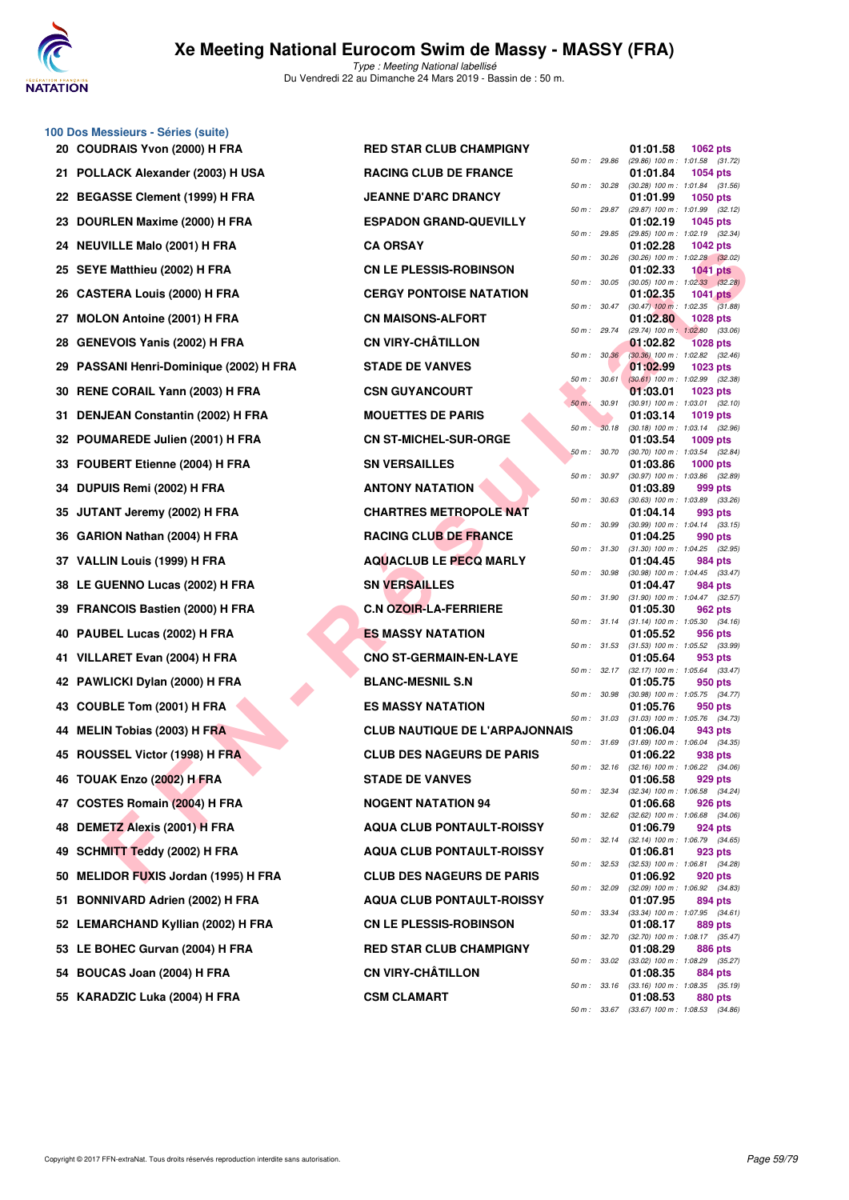

**100 Dos Messieurs - Séries (suite)**

Type : Meeting National labellisé Du Vendredi 22 au Dimanche 24 Mars 2019 - Bassin de : 50 m.

| 20 COUDRAIS Yvon (2000) H FRA           | <b>RED STAR CLUB CHAMPIGNY</b>        |                  |              | 01:01.58                                            | 1062 pts        |
|-----------------------------------------|---------------------------------------|------------------|--------------|-----------------------------------------------------|-----------------|
| 21 POLLACK Alexander (2003) H USA       | <b>RACING CLUB DE FRANCE</b>          | 50 m : 29.86     |              | (29.86) 100 m: 1:01.58 (31.<br>01:01.84             | 1054 pts        |
| 22 BEGASSE Clement (1999) H FRA         | <b>JEANNE D'ARC DRANCY</b>            |                  | 50 m : 30.28 | (30.28) 100 m: 1:01.84 (31.<br>01:01.99             | 1050 pts        |
| 23 DOURLEN Maxime (2000) H FRA          | <b>ESPADON GRAND-QUEVILLY</b>         | 50 m : 29.87     |              | (29.87) 100 m: 1:01.99 (32.<br>01:02.19             | 1045 pts        |
| 24 NEUVILLE Malo (2001) H FRA           | <b>CA ORSAY</b>                       | 50 m : 29.85     |              | (29.85) 100 m: 1:02.19 (32.<br>01:02.28             | 1042 pts        |
| 25 SEYE Matthieu (2002) H FRA           | <b>CN LE PLESSIS-ROBINSON</b>         | 50 m :           | 30.26        | (30.26) 100 m: 1:02.28 (32.<br>01:02.33             | <b>1041 pts</b> |
| 26 CASTERA Louis (2000) H FRA           | <b>CERGY PONTOISE NATATION</b>        | 50 m: 30.05      |              | $(30.05)$ 100 m : 1:02.33 $(32.$<br>01:02.35        | <b>1041 pts</b> |
| 27 MOLON Antoine (2001) H FRA           | <b>CN MAISONS-ALFORT</b>              |                  | 50 m : 30.47 | $(30.47)$ 100 m : 1:02.35 $(31.$<br>01:02.80        | 1028 pts        |
| 28 GENEVOIS Yanis (2002) H FRA          | <b>CN VIRY-CHÂTILLON</b>              | 50 m : 29.74     |              | (29.74) 100 m: 1:02.80 (33.<br>01:02.82             | <b>1028 pts</b> |
| 29 PASSANI Henri-Dominique (2002) H FRA | <b>STADE DE VANVES</b>                |                  | 50 m: 30.36  | (30.36) 100 m : 1:02.82 (32.<br>01:02.99            | 1023 pts        |
| 30 RENE CORAIL Yann (2003) H FRA        | <b>CSN GUYANCOURT</b>                 | 50 m: 30.61      |              | $(30.61)$ 100 m : 1:02.99 (32.<br>01:03.01          | 1023 pts        |
| 31 DENJEAN Constantin (2002) H FRA      | <b>MOUETTES DE PARIS</b>              | $50 m$ :         | 30.91        | (30.91) 100 m: 1:03.01 (32.<br>01:03.14             | 1019 pts        |
| 32 POUMAREDE Julien (2001) H FRA        | <b>CN ST-MICHEL-SUR-ORGE</b>          | $50 m$ :         | 30.18        | (30.18) 100 m: 1:03.14 (32.<br>01:03.54             |                 |
|                                         |                                       | 50 m: 30.70      |              | (30.70) 100 m: 1:03.54 (32.                         | 1009 pts        |
| 33 FOUBERT Etienne (2004) H FRA         | <b>SN VERSAILLES</b>                  |                  | 50 m : 30.97 | 01:03.86<br>(30.97) 100 m: 1:03.86 (32.             | 1000 pts        |
| 34 DUPUIS Remi (2002) H FRA             | <b>ANTONY NATATION</b>                | $50 m$ : $30.63$ |              | 01:03.89<br>(30.63) 100 m: 1:03.89 (33.             | 999 pts         |
| 35 JUTANT Jeremy (2002) H FRA           | <b>CHARTRES METROPOLE NAT</b>         | 50 m : 30.99     |              | 01:04.14<br>(30.99) 100 m: 1:04.14 (33.             | 993 pts         |
| 36 GARION Nathan (2004) H FRA           | <b>RACING CLUB DE FRANCE</b>          | 50 m: 31.30      |              | 01:04.25<br>$(31.30)$ 100 m : 1:04.25 (32.          | 990 pts         |
| 37 VALLIN Louis (1999) H FRA            | <b>AQUACLUB LE PECQ MARLY</b>         | 50 m : 30.98     |              | 01:04.45<br>(30.98) 100 m: 1:04.45 (33.             | 984 pts         |
| 38 LE GUENNO Lucas (2002) H FRA         | <b>SN VERSAILLES</b>                  |                  |              | 01:04.47                                            | 984 pts         |
| 39 FRANCOIS Bastien (2000) H FRA        | <b>C.N OZOIR-LA-FERRIERE</b>          | 50 m: 31.90      |              | (31.90) 100 m: 1:04.47 (32.<br>01:05.30             | 962 pts         |
| 40 PAUBEL Lucas (2002) H FRA            | <b>ES MASSY NATATION</b>              |                  | 50 m : 31.14 | $(31.14)$ 100 m : 1:05.30 $(34.$<br>01:05.52        | 956 pts         |
| 41 VILLARET Evan (2004) H FRA           | <b>CNO ST-GERMAIN-EN-LAYE</b>         |                  | 50 m : 31.53 | $(31.53)$ 100 m : 1:05.52 (33.<br>01:05.64          | 953 pts         |
| 42 PAWLICKI Dylan (2000) H FRA          | <b>BLANC-MESNIL S.N</b>               | 50 m: 32.17      |              | (32.17) 100 m: 1:05.64 (33.<br>01:05.75             | 950 pts         |
| 43 COUBLE Tom (2001) H FRA              | <b>ES MASSY NATATION</b>              | 50 m : 30.98     |              | (30.98) 100 m: 1:05.75 (34.<br>01:05.76             | 950 pts         |
| 44 MELIN Tobias (2003) H FRA            | <b>CLUB NAUTIQUE DE L'ARPAJONNAIS</b> | 50 m: 31.03      |              | $(31.03)$ 100 m : 1:05.76 (34.<br>01:06.04          | 943 pts         |
| 45 ROUSSEL Victor (1998) H FRA          | <b>CLUB DES NAGEURS DE PARIS</b>      | 50 m: 31.69      |              | $(31.69)$ 100 m : 1:06.04 (34.<br>01:06.22          | 938 pts         |
| 46 TOUAK Enzo (2002) H FRA              | <b>STADE DE VANVES</b>                | 50 m: 32.16      |              | $(32.16)$ 100 m : 1:06.22 $(34.$<br>01:06.58        | 929 pts         |
| 47 COSTES Romain (2004) H FRA           | <b>NOGENT NATATION 94</b>             |                  |              | 50 m: 32.34 (32.34) 100 m: 1:06.58 (34.<br>01:06.68 | 926 pts         |
| 48 DEMETZ Alexis (2001) H FRA           | <b>AQUA CLUB PONTAULT-ROISSY</b>      |                  | 50 m : 32.62 | $(32.62)$ 100 m : 1:06.68 (34.<br>01:06.79          | 924 pts         |
| 49 SCHMITT Teddy (2002) H FRA           | <b>AQUA CLUB PONTAULT-ROISSY</b>      |                  | 50 m : 32.14 | $(32.14)$ 100 m : 1:06.79 (34.<br>01:06.81          | 923 pts         |
|                                         |                                       |                  | 50 m : 32.53 | $(32.53)$ 100 m : 1:06.81 (34.                      |                 |
| 50 MELIDOR FUXIS Jordan (1995) H FRA    | <b>CLUB DES NAGEURS DE PARIS</b>      |                  | 50 m : 32.09 | 01:06.92<br>(32.09) 100 m : 1:06.92 (34.            | 920 pts         |
| 51 BONNIVARD Adrien (2002) H FRA        | <b>AQUA CLUB PONTAULT-ROISSY</b>      |                  | 50 m : 33.34 | 01:07.95<br>$(33.34)$ 100 m : 1:07.95 (34.          | 894 pts         |
| 52 LEMARCHAND Kyllian (2002) H FRA      | <b>CN LE PLESSIS-ROBINSON</b>         |                  | 50 m : 32.70 | 01:08.17<br>(32.70) 100 m : 1:08.17 (35.            | 889 pts         |
| 53 LE BOHEC Gurvan (2004) H FRA         | <b>RED STAR CLUB CHAMPIGNY</b>        |                  |              | 01:08.29<br>50 m: 33.02 (33.02) 100 m: 1:08.29 (35. | 886 pts         |
| 54 BOUCAS Joan (2004) H FRA             | <b>CN VIRY-CHÂTILLON</b>              |                  | 50 m : 33.16 | 01:08.35<br>$(33.16)$ 100 m : 1:08.35 (35.          | 884 pts         |
| 55 KARADZIC Luka (2004) H FRA           | <b>CSM CLAMART</b>                    |                  |              | 01:08.53                                            | 880 pts         |

**FIRAL LUGK (2002) HTRA**<br> **FERAL LUGK (2002) HTRA**<br> **FERAL LUGK (2002) HTRA**<br>
CHAR CERGY PONTOISE NATATION<br>
ON Andre (2003) HTRA<br>
CHAR CERGY PONTOISE NATATION<br>
ON A MADED (2002) HTRA<br>
CHAR CORD (2002) HTRA<br>
CHAR CORD (200 **20 AT FRAM CLUB CHAMPIGNY 21 BACING CLUB DE FRANCE 22 BEANNE D'ARC DRANCY 23 DOURLES PADON GRAND-QUEVILLY 25 B E PLESSIS-ROBINSON 26 CERGY PONTOISE NATATION 27 MOLOGIS ALFORT 28 CN VIRY-CHÂTILLON 29 PASSANI STADE DE VANVES CSN GUYANCOURT MOUETTES DE PARIS CN ST-MICHEL-SUR-ORGE SN VERSAILLES 34 DUPUTE PRAID PRACTION CHARTRES METROPOLE NAT BACING CLUB DE FRANCE 339 VACLUB LE PECQ MARLY SN VERSAILLES C.N OZOIR-LA-FERRIERE ES MASSY NATATION 41 CNO ST-GERMAIN-EN-LAYE BLANC-MESNIL S.N 43 ES MASSY NATATION 64 MELIN TOBILE DE L'ARPAJONNAIS 65 B ES NAGEURS DE PARIS 5TADE DE VANVES NOGENT NATATION 94 49 AQUA CLUB PONTAULT-ROISSY 49 AQUA CLUB PONTAULT-ROISSY CLUB DES NAGEURS DE PARIS 51 BOUA CLUB PONTAULT-ROISSY CN LE PLESSIS-ROBINSON BED STAR CLUB CHAMPIGNY CN VIRY-CHÂTILLON CSM CLAMART** 

|             |       | 01:01.58                      | 1062 pts                              |
|-------------|-------|-------------------------------|---------------------------------------|
| 50 m :      | 29.86 | $(29.86)$ 100 m :<br>01:01.84 | 1:01.58<br>(31.72)                    |
| $50 m$ :    | 30.28 | (30.28) 100 m :               | 1054 pts<br>1:01.84<br>(31.56)        |
|             |       | 01:01.99                      | 1050 pts                              |
| 50 m :      | 29.87 | $(29.87) 100 m$ :             | 1:01.99<br>(32.12)                    |
| 50 m :      | 29.85 | 01:02.19<br>$(29.85)$ 100 m : | 1045 pts<br>1:02.19<br>(32.34)        |
|             |       | 01:02.28                      | <b>1042 pts</b>                       |
| $50 m$ :    | 30.26 | $(30.26)$ 100 m :             | 1:02.28<br>(32.02)                    |
| $50 m$ :    | 30.05 | 01:02.33<br>$(30.05)$ 100 m : | 1041<br>pts<br>1:02.33                |
|             |       | 01:02.35                      | (32.28)<br>1041<br>pts                |
| 50 m :      | 30.47 | $(30.47)$ 100 m :             | 1:02.35<br>(31.88)                    |
|             |       | 01:02.80                      | 1028 pts                              |
| $50 m$ :    | 29.74 | $(29.74) 100 m$ :<br>01:02.82 | 1:02.80<br>(33.06)<br><b>1028 pts</b> |
| $50 m$ :    | 30.36 | $(30.36)$ 100 m :             | 1:02.82<br>(32.46)                    |
|             |       | 01:02.99                      | 1023 pts                              |
| 50 m :      | 30.61 | $(30.61)$ 100 m :<br>01:03.01 | (32.38)<br>1:02.99<br>1023 pts        |
| $50 m$ :    | 30.91 | $(30.91)$ 100 m :             | 1:03.01<br>(32.10)                    |
|             |       | 01:03.14                      | 1019 pts                              |
| 50 m :      | 30.18 | $(30.18) 100 m$ :<br>01:03.54 | 1:03.14<br>(32.96)<br>1009 pts        |
| $50 m$ :    | 30.70 | $(30.70)$ 100 m :             | 1:03.54<br>(32.84)                    |
|             |       | 01:03.86                      | 1000 pts                              |
| $50 m$ :    | 30.97 | $(30.97)$ 100 m :<br>01:03.89 | 1:03.86<br>(32.89)                    |
| 50 m :      | 30.63 | $(30.63) 100 m$ :             | 999 pts<br>1:03.89<br>(33.26)         |
|             |       | 01:04.14                      | 993 pts                               |
| $50 m$ :    | 30.99 | $(30.99)$ 100 m :             | 1:04.14<br>(33.15)                    |
| $50 m$ :    | 31.30 | 01:04.25<br>$(31.30) 100 m$ : | 990 pts<br>(32.95)<br>1:04.25         |
|             |       | 01:04.45                      | 984 pts                               |
| 50 m :      | 30.98 | $(30.98) 100 m$ :             | 1:04.45<br>(33.47)                    |
| $50 m$ :    | 31.90 | 01:04.47<br>$(31.90) 100 m$ : | 984 pts<br>1:04.47<br>(32.57)         |
|             |       | 01:05.30                      | 962 pts                               |
| $50 m$ :    | 31.14 | $(31.14) 100 m$ :             | 1:05.30<br>(34.16)                    |
| 50 m :      | 31.53 | 01:05.52<br>$(31.53) 100 m$ : | 956 pts<br>1:05.52<br>(33.99)         |
|             |       | 01:05.64                      | 953 pts                               |
| 50 m :      | 32.17 | $(32.17) 100 m$ :             | (33.47)<br>1:05.64                    |
| 50 m :      | 30.98 | 01:05.75<br>$(30.98)$ 100 m : | 950 pts<br>1:05.75<br>(34.77)         |
|             |       | 01:05.76                      | 950 pts                               |
| $50 m$ :    | 31.03 | $(31.03) 100 m$ :             | 1:05.76<br>(34.73)                    |
| s<br>50 m : | 31.69 | 01:06.04<br>$(31.69) 100 m$ : | 943 pts<br>1:06.04<br>(34.35)         |
|             |       | 01:06.22                      | 938 pts                               |
| $50 m$ :    | 32.16 | $(32.16) 100 m$ :             | 1:06.22<br>(34.06)                    |
| 50 m :      | 32.34 | 01:06.58<br>$(32.34) 100 m$ : | 929 pts<br>1:06.58<br>(34.24)         |
|             |       | 01:06.68                      | 926 pts                               |
| $50 m$ :    | 32.62 | $(32.62)$ 100 m :             | 1:06.68<br>(34.06)                    |
| $50 m$ :    | 32.14 | 01:06.79<br>$(32.14) 100 m$ : | 924 pts<br>1:06.79<br>(34.65)         |
|             |       | 01:06.81                      | 923 pts                               |
| $50 m$ :    | 32.53 | $(32.53) 100 m$ :             | (34.28)<br>1:06.81                    |
| $50 m$ :    |       | 01:06.92                      | 920 pts                               |
|             | 32.09 | (32.09) 100 m :<br>01:07.95   | 1:06.92<br>(34.83)<br>894 pts         |
| $50 m$ :    | 33.34 | $(33.34) 100 m$ :             | 1:07.95<br>(34.61)                    |
|             |       | 01:08.17                      | <b>889 pts</b>                        |
| $50 m$ :    | 32.70 | $(32.70)$ 100 m :<br>01:08.29 | 1:08.17<br>(35.47)<br><b>886 pts</b>  |
| $50 m$ :    | 33.02 | $(33.02)$ 100 m :             | 1:08.29<br>(35.27)                    |
|             |       | 01:08.35                      | 884 pts                               |
| $50 m$ :    | 33.16 | $(33.16) 100 m$ :<br>01:08.53 | 1:08.35<br>(35.19)<br>880 pts         |
| $50 m$ :    | 33.67 | $(33.67) 100 m$ :             | $1:08.53$ $(34.86)$                   |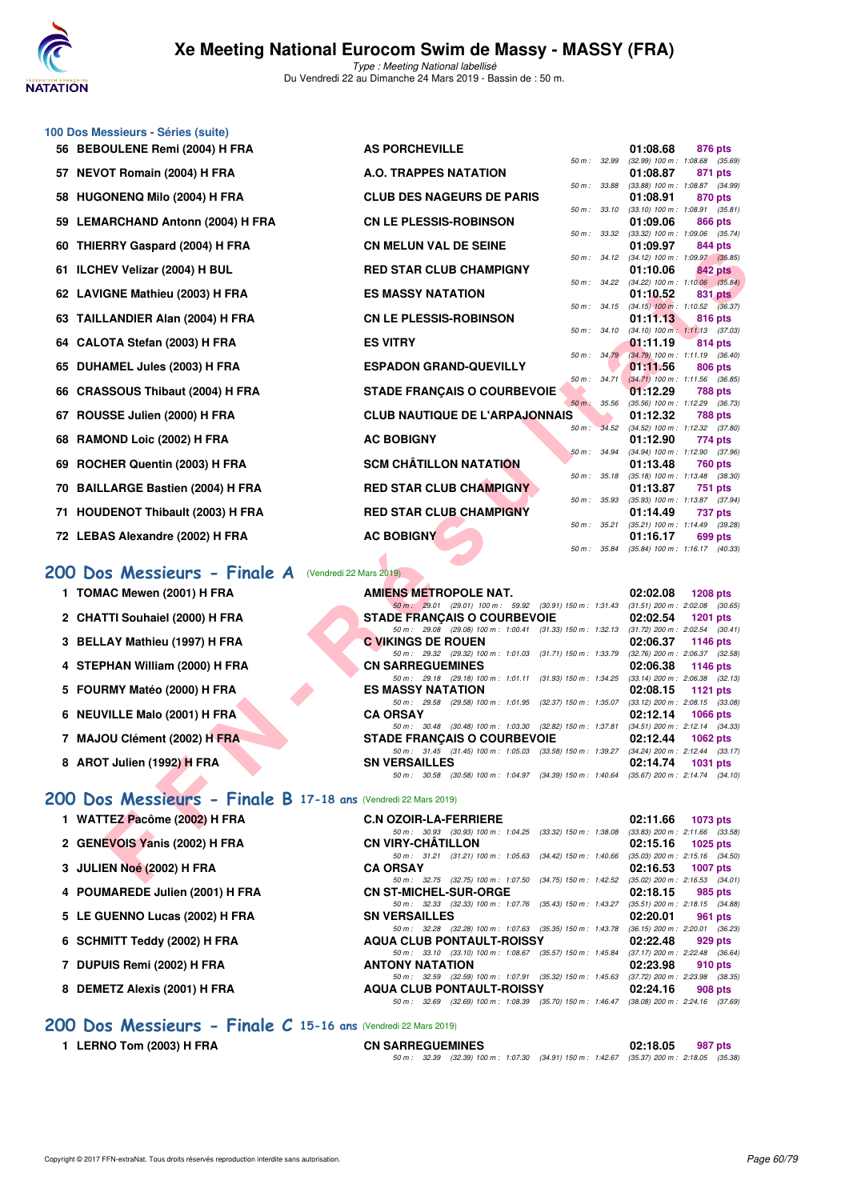

**100 Dos Messieurs - Séries (suite)**

Type : Meeting National labellisé Du Vendredi 22 au Dimanche 24 Mars 2019 - Bassin de : 50 m.

|    | 56 BEBOULENE Remi (2004) H FRA                                 | <b>AS PORCHEVILLE</b>                                                                           | 01:08.68<br>876 pts                                                |  |
|----|----------------------------------------------------------------|-------------------------------------------------------------------------------------------------|--------------------------------------------------------------------|--|
|    | 57 NEVOT Romain (2004) H FRA                                   | 50 m : 32.99<br><b>A.O. TRAPPES NATATION</b>                                                    | $(32.99)$ 100 m : 1:08.68 $(35.69)$<br>01:08.87<br>871 pts         |  |
| 58 | <b>HUGONENQ Milo (2004) H FRA</b>                              | 50 m : 33.88<br><b>CLUB DES NAGEURS DE PARIS</b>                                                | (33.88) 100 m: 1:08.87 (34.99)<br>01:08.91<br>870 pts              |  |
| 59 | <b>LEMARCHAND Antonn (2004) H FRA</b>                          | 50 m: 33.10<br><b>CN LE PLESSIS-ROBINSON</b>                                                    | $(33.10)$ 100 m : 1:08.91 $(35.81)$<br>01:09.06<br>866 pts         |  |
| 60 | <b>THIERRY Gaspard (2004) H FRA</b>                            | 50 m : 33.32<br><b>CN MELUN VAL DE SEINE</b>                                                    | $(33.32)$ 100 m : 1:09.06 $(35.74)$<br>01:09.97<br>844 pts         |  |
|    | 61 ILCHEV Velizar (2004) H BUL                                 | 50 m: 34.12<br><b>RED STAR CLUB CHAMPIGNY</b>                                                   | (34.12) 100 m: 1:09.97 (35.85)<br>01:10.06<br>842 pts              |  |
|    | 62 LAVIGNE Mathieu (2003) H FRA                                | 50 m: 34.22<br><b>ES MASSY NATATION</b>                                                         | $(34.22)$ 100 m : 1:10.06 $(35.84)$<br>01:10.52<br>831 pts         |  |
| 63 | TAILLANDIER Alan (2004) H FRA                                  | $50 m$ : $34.15$<br><b>CN LE PLESSIS-ROBINSON</b>                                               | $(34.15)$ 100 m : 1:10.52 $(36.37)$<br>01:11.13<br>816 pts         |  |
| 64 | CALOTA Stefan (2003) H FRA                                     | $50 m$ : $34.10$<br><b>ES VITRY</b>                                                             | $(34.10)$ 100 m : 1:11.13 $(37.03)$<br>01:11.19<br>814 pts         |  |
| 65 | DUHAMEL Jules (2003) H FRA                                     | 50 m : 34.79<br><b>ESPADON GRAND-QUEVILLY</b>                                                   | $(34.79)$ 100 m : 1:11.19 $(36.40)$<br>01:11.56<br>806 pts         |  |
| 66 | <b>CRASSOUS Thibaut (2004) H FRA</b>                           | 50 m: 34.71<br><b>STADE FRANÇAIS O COURBEVOIE</b>                                               | $(34.71)$ 100 m : 1:11.56 $(36.85)$<br>01:12.29<br><b>788 pts</b>  |  |
|    |                                                                | 50 m : 35.56                                                                                    | (35.56) 100 m: 1:12.29 (36.73)                                     |  |
|    | ROUSSE Julien (2000) H FRA                                     | <b>CLUB NAUTIQUE DE L'ARPAJONNAIS</b><br>50 m : 34.52                                           | 01:12.32<br><b>788 pts</b><br>(34.52) 100 m: 1:12.32 (37.80)       |  |
| 68 | RAMOND Loic (2002) H FRA                                       | <b>AC BOBIGNY</b><br>50 m: 34.94                                                                | 01:12.90<br>774 pts<br>(34.94) 100 m: 1:12.90 (37.96)              |  |
| 69 | ROCHER Quentin (2003) H FRA                                    | <b>SCM CHÂTILLON NATATION</b>                                                                   | 01:13.48<br><b>760 pts</b>                                         |  |
| 70 | <b>BAILLARGE Bastien (2004) H FRA</b>                          | 50 m: 35.18<br><b>RED STAR CLUB CHAMPIGNY</b>                                                   | $(35.18)$ 100 m : 1:13.48 $(38.30)$<br>01:13.87<br>751 pts         |  |
|    | 71 HOUDENOT Thibault (2003) H FRA                              | 50 m: 35.93<br><b>RED STAR CLUB CHAMPIGNY</b>                                                   | (35.93) 100 m: 1:13.87 (37.94)<br>01:14.49<br>737 pts              |  |
|    | 72 LEBAS Alexandre (2002) H FRA                                | $50 m$ : $35.21$<br><b>AC BOBIGNY</b>                                                           | (35.21) 100 m: 1:14.49 (39.28)<br>01:16.17<br>699 pts              |  |
|    |                                                                | 50 m : 35.84                                                                                    | $(35.84)$ 100 m : 1:16.17 $(40.33)$                                |  |
|    | 200 Dos Messieurs - Finale A (Vendredi 22 Mars 2019)           |                                                                                                 |                                                                    |  |
|    | 1 TOMAC Mewen (2001) H FRA                                     | <b>AMIENS METROPOLE NAT.</b>                                                                    | 02:02.08<br><b>1208 pts</b>                                        |  |
|    | 2 CHATTI Souhaiel (2000) H FRA                                 | 50 m: 29.01 (29.01) 100 m: 59.92 (30.91) 150 m: 1:31.43<br><b>STADE FRANÇAIS O COURBEVOIE</b>   | $(31.51)$ 200 m : 2:02.08 $(30.65)$<br>02:02.54<br><b>1201 pts</b> |  |
|    |                                                                | 50 m : 29.08 (29.08) 100 m : 1:00.41 (31.33) 150 m : 1:32.13                                    | $(31.72)$ 200 m : 2:02.54 $(30.41)$                                |  |
|    | 3 BELLAY Mathieu (1997) H FRA                                  | <b>C VIKINGS DE ROUEN</b><br>50 m: 29.32 (29.32) 100 m: 1:01.03 (31.71) 150 m: 1:33.79          | 02:06.37<br><b>1146 pts</b><br>$(32.76)$ 200 m : 2:06.37 $(32.58)$ |  |
|    | 4 STEPHAN William (2000) H FRA                                 | <b>CN SARREGUEMINES</b>                                                                         | 02:06.38<br><b>1146 pts</b>                                        |  |
|    |                                                                | 50 m: 29.18 (29.18) 100 m: 1:01.11 (31.93) 150 m: 1:34.25                                       | $(33.14)$ 200 m : 2:06.38 $(32.13)$                                |  |
|    | 5 FOURMY Matéo (2000) H FRA                                    | <b>ES MASSY NATATION</b><br>50 m: 29.58 (29.58) 100 m: 1:01.95 (32.37) 150 m: 1:35.07           | 02:08.15<br>1121 $pts$<br>$(33.12)$ 200 m : 2:08.15 $(33.08)$      |  |
| 6  | <b>NEUVILLE Malo (2001) H FRA</b>                              | <b>CA ORSAY</b>                                                                                 | 02:12.14<br><b>1066 pts</b>                                        |  |
|    | 7 MAJOU Clément (2002) H FRA                                   | 50 m: 30.48 (30.48) 100 m: 1:03.30 (32.82) 150 m: 1:37.81<br><b>STADE FRANÇAIS O COURBEVOIE</b> | $(34.51)$ 200 m : 2:12.14 $(34.33)$<br>02:12.44                    |  |
|    |                                                                | 50 m: 31.45 (31.45) 100 m: 1:05.03 (33.58) 150 m: 1:39.27 (34.24) 200 m: 2:12.44 (33.17)        | <b>1062 pts</b>                                                    |  |
|    | 8 AROT Julien (1992) H FRA                                     | <b>SN VERSAILLES</b>                                                                            | 02:14.74<br><b>1031 pts</b>                                        |  |
|    |                                                                | 50 m: 30.58 (30.58) 100 m: 1:04.97 (34.39) 150 m: 1:40.64 (35.67) 200 m: 2:14.74 (34.10)        |                                                                    |  |
|    | 200 Dos Messieurs - Finale B 17-18 ans (Vendredi 22 Mars 2019) |                                                                                                 |                                                                    |  |
|    | 1 WATTEZ Pacôme (2002) H FRA                                   | <b>C.N OZOIR-LA-FERRIERE</b>                                                                    | 02:11.66<br>1073 pts                                               |  |
|    |                                                                | 50 m: 30.93 (30.93) 100 m: 1:04.25 (33.32) 150 m: 1:38.08                                       | $(33.83)$ 200 m : 2:11.66 $(33.58)$                                |  |
|    | 2 GENEVOIS Yanis (2002) H FRA                                  | <b>CN VIRY-CHATILLON</b>                                                                        | 02:15.16<br>$1025$ pts                                             |  |
|    | 3 JULIEN Noé (2002) H FRA                                      | 50 m: 31.21 (31.21) 100 m: 1:05.63 (34.42) 150 m: 1:40.66<br><b>CA ORSAY</b>                    | $(35.03)$ 200 m : 2:15.16 $(34.50)$<br>02:16.53<br><b>1007 pts</b> |  |
|    |                                                                | 50 m: 32.75 (32.75) 100 m: 1:07.50 (34.75) 150 m: 1:42.52                                       | $(35.02)$ 200 m : 2:16.53 $(34.01)$                                |  |

#### **[200 Dos Messieurs - Finale A](http://www.ffnatation.fr/webffn/resultats.php?idact=nat&go=epr&idcpt=57649&idepr=63)** (Vendredi 22 Mars 2019)

- **1 TOMAC Mewen (2001) H FRA <b>AMIENS METROPOLE NAT.** 02:02.08 **1208** pts
- 2 CHATTI Souhaiel (2000) H FRA STADE FRANÇAIS O COURBEVOIE 02:02.54
- **3 BELLAY Mathieu (1997) H FRA C VIKINGS DE ROUEN** 02:06.37 **1146 pts**<br>  $\frac{60m}{29.32}$  (29.32) 100 m: 1:01.03 (31.71) 150 m: 1:33.79 (32.76) 200 m: 2:06.37 (32.58)
- **4 STEPHAN William (2000) H FRA CN SARREGUEMINES 02:06.38 1146 pts**
- **5 FOURMY Matéo (2000) H FRA ES MASSY NATATION 02:08.15 1121 pts**
- **6 NEUVILLE Malo (2001) H FRA CA ORSAY 02:12.14 1066 pts 02:12.14 02:12.14 02:12.14 02:12.14 02:12.14 02:12.14 02:12.14 02:12.14 02:12.14 02:12.14 02:12.14 02:12.14 02:12.14 02:12.14 03:**
- **7 MAJOU Clément (2002) H FRA STADE FRANÇAIS O COURBEVOIE 02:12.44 1062 pts**
- **8 AROT Julien (1992) H FRA SN VERSAILLES 02:14.74**

|  |  |  | 200 Dos Messieurs - Finale B 17-18 ans (Vendredi 22 Mars 2019) |
|--|--|--|----------------------------------------------------------------|
|  |  |  |                                                                |

| 1 WATTEZ Pacôme (2002) H FRA |  |
|------------------------------|--|
|------------------------------|--|

- **2 GENEVOIS Yanis (2002) H FRA CN VIRY-CHÂTILLON 02:15.16 1025 pts 21 G1.21 50 m**: 31.21 (31.21) 100 m: 1:05.63 (34.42) 150 m: 1:40.66 (35.03) 200 m: 2:15.16 (34.50)
- **3 JULIEN Noé (2002) H FRA CA ORSAY 02:16.53 1007 pts**
- **4 POUMAREDE Julien (2001) H FRA** CN ST-MICHEL-SUR-ORGE 02:18.15 035 pts<br>  $\frac{50 \text{ m} \cdot 32.33}{(32.33) 100 \text{ m} \cdot 1.07.76}$  (35.43) 150 m: 1.43.27 (35.51) 200 m: 2:18.15 (34.88)
- **5 LE GUENNO Lucas (2002) H FRA SN VERSAILLES 02:20.01 961 pts**
- 6 SCHMITT Teddy (2002) H FRA AQUA CLUB PONTAULT-ROISSY 02:22.48
- **7 DUPUIS Remi (2002) H FRA ANTONY NATATION 02:23.98 910 pts**
- **8 DEMETZ Alexis (2001) H FRA AQUA CLUB PONTAULT-ROISSY 02:24.16 908 pts**

#### **[200 Dos Messieurs - Finale C](http://www.ffnatation.fr/webffn/resultats.php?idact=nat&go=epr&idcpt=57649&idepr=63) 15-16 ans** (Vendredi 22 Mars 2019)

**1 LERNO Tom (2003) H FRA CN SARREGUEMINES 02:18.05 987 pts**

50 m : 32.39 (32.39) 100 m : 1:07.30 (34.91) 150 m : 1:42.67 (35.37) 200 m : 2:18.05 (35.38)

50 m : 32.28 (32.28) 100 m : 1:07.63 (35.35) 150 m : 1:43.78 (36.15) 200 m : 2:20.01 (36.23)<br>**A CLUB PONTAULT-ROISSY** 02:22.48 929 pts

50 m : 33.10 (33.10) 100 m : 1:08.67 (35.57) 150 m : 1:45.84 (37.17) 200 m : 2:22.48 (36.64)

50 m : 32.59 (32.59) 100 m : 1:07.91 (35.32) 150 m : 1:45.63 (37.72) 200 m : 2:23.98 (38.35)

50 m : 32.69 (32.69) 100 m : 1:08.39 (35.70) 150 m : 1:46.47 (38.08) 200 m : 2:24.16 (37.69)

50 m : 32.33 (32.33) 100 m : 1:07.76 (35.43) 150 m : 1:43.27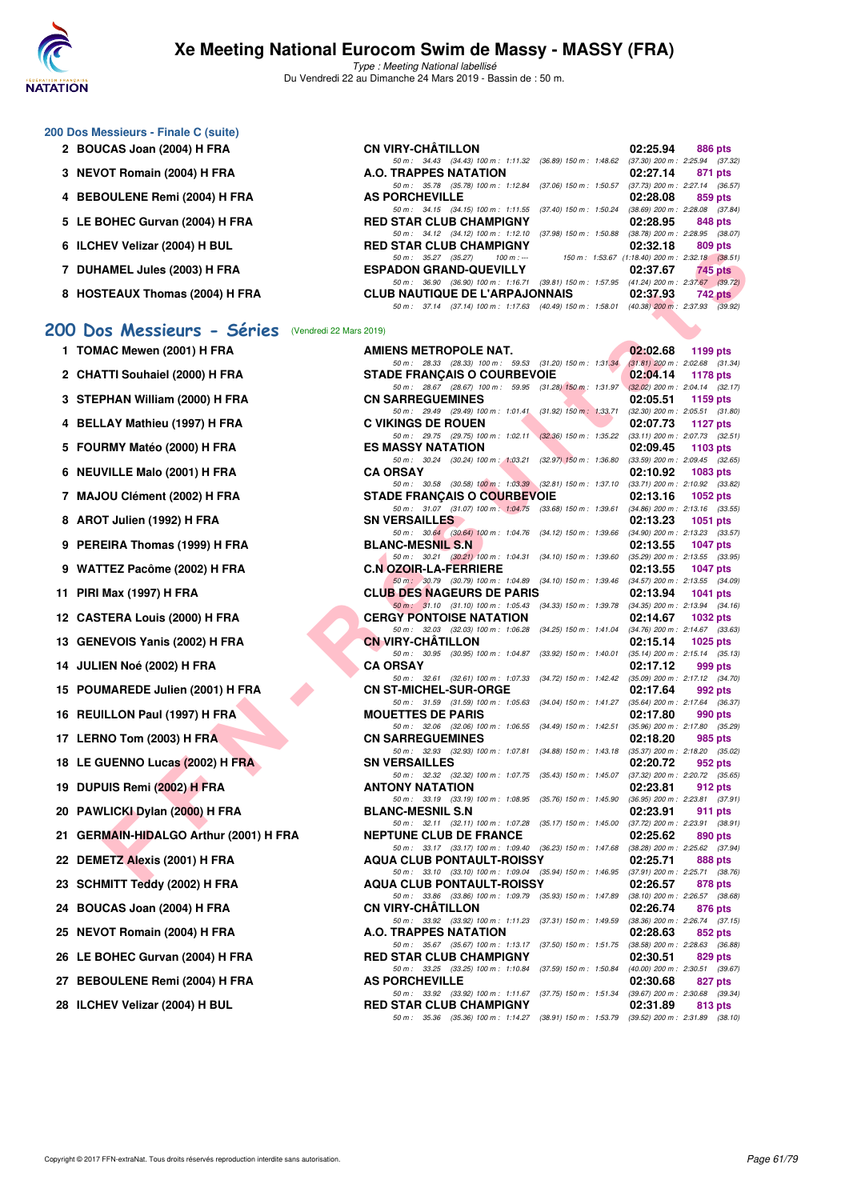

Type : Meeting National labellisé Du Vendredi 22 au Dimanche 24 Mars 2019 - Bassin de : 50 m.

| <b>CN VIRY-CHÂTILLON</b>              | 02:25.94<br>886 pts                                                                                                                                                                                                                                                                                                                                            |
|---------------------------------------|----------------------------------------------------------------------------------------------------------------------------------------------------------------------------------------------------------------------------------------------------------------------------------------------------------------------------------------------------------------|
|                                       | $(37.30)$ 200 m : 2:25.94 $(37.32)$                                                                                                                                                                                                                                                                                                                            |
| A.O. TRAPPES NATATION                 | 02:27.14<br>871 pts                                                                                                                                                                                                                                                                                                                                            |
| 50 m: 35.78 (35.78) 100 m: 1:12.84    | (37.73) 200 m : 2:27.14 (36.57                                                                                                                                                                                                                                                                                                                                 |
| <b>AS PORCHEVILLE</b>                 | 02:28.08<br>859 pts                                                                                                                                                                                                                                                                                                                                            |
|                                       | (38.69) 200 m : 2:28.08 (37.84                                                                                                                                                                                                                                                                                                                                 |
| <b>RED STAR CLUB CHAMPIGNY</b>        | 02:28.95<br>848 pts                                                                                                                                                                                                                                                                                                                                            |
| 50 m: 34.12 (34.12) 100 m: 1:12.10    | (38.78) 200 m : 2:28.95 (38.07                                                                                                                                                                                                                                                                                                                                 |
| <b>RED STAR CLUB CHAMPIGNY</b>        | 02:32.18<br>809 pts                                                                                                                                                                                                                                                                                                                                            |
| 50 m : 35.27 (35.27)<br>$100 m : -$   | $(1:18.40)$ 200 m : 2:32.18 (38.51)                                                                                                                                                                                                                                                                                                                            |
| <b>ESPADON GRAND-QUEVILLY</b>         | 02:37.67<br>745 pts                                                                                                                                                                                                                                                                                                                                            |
|                                       |                                                                                                                                                                                                                                                                                                                                                                |
| <b>CLUB NAUTIQUE DE L'ARPAJONNAIS</b> | 02:37.93<br>742 pts                                                                                                                                                                                                                                                                                                                                            |
|                                       | (40.38) 200 m : 2:37.93 (39.92)                                                                                                                                                                                                                                                                                                                                |
|                                       | 50 m: 34.43 (34.43) 100 m: 1:11.32 (36.89) 150 m: 1:48.62<br>$(37.06)$ 150 m : 1:50.57<br>50 m: 34.15 (34.15) 100 m: 1:11.55 (37.40) 150 m: 1:50.24<br>$(37.98)$ 150 m : 1:50.88<br>150 m : 1:53.67<br>50 m: 36.90 (36.90) 100 m: 1:16.71 (39.81) 150 m: 1:57.95 (41.24) 200 m: 2:37.67 (39.72<br>50 m : 37.14 (37.14) 100 m : 1:17.63 (40.49) 150 m : 1:58.01 |

#### [200 Dos Messieurs - Séries](http://www.ffnatation.fr/webffn/resultats.php?idact=nat&go=epr&idcpt=57649&idepr=63) (Vendredi 22 Mars

| 1  | TOMAC Mewen (2001) H FRA               |
|----|----------------------------------------|
| 2  | <b>CHATTI Souhaiel (2000) H FRA</b>    |
| 3  | STEPHAN William (2000) H FRA           |
| 4  | <b>BELLAY Mathieu (1997) H FRA</b>     |
| 5  | FOURMY Matéo (2000) H FRA              |
| 6  | <b>NEUVILLE Malo (2001) H FRA</b>      |
| 7  | MAJOU Clément (2002) H FRA             |
| 8  | AROT Julien (1992) H FRA               |
| 9  | PEREIRA Thomas (1999) H FRA            |
| 9  | WATTEZ Pacôme (2002) H FRA             |
| 11 | PIRI Max (1997) H FRA                  |
|    | 12 CASTERA Louis (2000) H FRA          |
|    | 13 GENEVOIS Yanis (2002) H FRA         |
|    | 14 JULIEN Noé (2002) H FRA             |
|    | 15 POUMAREDE Julien (2001) H FRA       |
|    | 16 REUILLON Paul (1997) H FRA          |
|    | 17 LERNO Tom (2003) H FRA              |
|    | 18 LE GUENNO Lucas (2002) H FRA        |
|    | 19 DUPUIS Remi (2002) H FRA            |
|    | 20 PAWLICKI Dylan (2000) H FRA         |
|    | 21 GERMAIN-HIDALGO Arthur (2001) H FRA |
| 22 | <b>DEMETZ Alexis (2001) H FRA</b>      |
| 23 | <b>SCHMITT Teddy (2002) H FRA</b>      |
|    | 24 BOUCAS Joan (2004) H FRA            |
|    | 25 NEVOT Romain (2004) H FRA           |
|    | 26 LE BOHEC Gurvan (2004) H FRA        |
|    | 27 BEBOULENE Remi (2004) H FRA         |
|    | 28 ILCHEV Velizar (2004) H BUL         |
|    |                                        |

| <b>U ILUILY VEIIZAI (ZUU+) II DUL</b>             | RED 31AR CLUB CHAMFIGIVI                                                                                                          | <u>UZ.JZ.IO</u> | <b>OUS PIS</b> |
|---------------------------------------------------|-----------------------------------------------------------------------------------------------------------------------------------|-----------------|----------------|
| 7 DUHAMEL Jules (2003) H FRA                      | 100 m : ---<br>150 m: 1:53.67 (1:18.40) 200 m: 2:32.18 (38.51)<br>50 m : 35.27 (35.27)<br><b>ESPADON GRAND-QUEVILLY</b>           | 02:37.67        | 745 pts        |
| 8 HOSTEAUX Thomas (2004) H FRA                    | 50 m: 36.90 (36.90) 100 m: 1:16.71 (39.81) 150 m: 1:57.95 (41.24) 200 m: 2:37.67 (39.72)<br><b>CLUB NAUTIQUE DE L'ARPAJONNAIS</b> | 02:37.93        | $742$ pts      |
|                                                   | 50 m: 37.14 (37.14) 100 m: 1:17.63 (40.49) 150 m: 1:58.01 (40.38) 200 m: 2:37.93 (39.92)                                          |                 |                |
| 00 Dos Messieurs - Séries (Vendredi 22 Mars 2019) |                                                                                                                                   |                 |                |
| 1 TOMAC Mewen (2001) H FRA                        | AMIENS METROPOLE NAT.                                                                                                             | 02:02.68        | 1199 pts       |
|                                                   | 50 m: 28.33 (28.33) 100 m: 59.53 (31.20) 150 m: 1:31.34 (31.81) 200 m: 2:02.68 (31.34)                                            |                 |                |
| 2 CHATTI Souhaiel (2000) H FRA                    | <b>STADE FRANCAIS O COURBEVOIE</b><br>50 m: 28.67 (28.67) 100 m: 59.95 (31.28) 150 m: 1:31.97 (32.02) 200 m: 2:04.14 (32.17)      | 02:04.14        | 1178 pts       |
| 3 STEPHAN William (2000) H FRA                    | <b>CN SARREGUEMINES</b>                                                                                                           | 02:05.51        | 1159 pts       |
| 4 BELLAY Mathieu (1997) H FRA                     | 50 m: 29.49 (29.49) 100 m: 1:01.41 (31.92) 150 m: 1:33.71 (32.30) 200 m: 2:05.51 (31.80)<br><b>C VIKINGS DE ROUEN</b>             | 02:07.73        | 1127 $p$ ts    |
| 5 FOURMY Matéo (2000) H FRA                       | 50 m: 29.75 (29.75) 100 m: 1:02.11 (32.36) 150 m: 1:35.22 (33.11) 200 m: 2:07.73 (32.51)<br><b>ES MASSY NATATION</b>              | 02:09.45        | 1103 pts       |
|                                                   | 50 m: 30.24 (30.24) 100 m: 1:03.21 (32.97) 150 m: 1:36.80 (33.59) 200 m: 2:09.45 (32.65)                                          |                 |                |
| 6 NEUVILLE Malo (2001) H FRA                      | <b>CA ORSAY</b><br>50 m: 30.58 (30.58) 100 m: 1:03.39 (32.81) 150 m: 1:37.10 (33.71) 200 m: 2:10.92 (33.82)                       | 02:10.92        | 1083 pts       |
| 7 MAJOU Clément (2002) H FRA                      | <b>STADE FRANÇAIS O COURBEVOIE</b>                                                                                                | 02:13.16        | 1052 pts       |
|                                                   | 50 m: 31.07 (31.07) 100 m: 1:04.75 (33.68) 150 m: 1:39.61 (34.86) 200 m: 2:13.16 (33.55)                                          |                 |                |
| 8 AROT Julien (1992) H FRA                        | <b>SN VERSAILLES</b><br>50 m: 30.64 (30.64) 100 m: 1:04.76 (34.12) 150 m: 1:39.66 (34.90) 200 m: 2:13.23 (33.57)                  | 02:13.23        | 1051 pts       |
| 9 PEREIRA Thomas (1999) H FRA                     | <b>BLANC-MESNIL S.N.</b>                                                                                                          | 02:13.55        | 1047 pts       |
|                                                   | 50 m: 30.21 (30.21) 100 m: 1:04.31 (34.10) 150 m: 1:39.60 (35.29) 200 m: 2:13.55 (33.95)                                          |                 |                |
| 9 WATTEZ Pacôme (2002) H FRA                      | <b>C.N OZOIR-LA-FERRIERE</b><br>50 m: 30.79 (30.79) 100 m: 1:04.89 (34.10) 150 m: 1:39.46 (34.57) 200 m: 2:13.55 (34.09)          | 02:13.55        | 1047 pts       |
| 11 PIRI Max (1997) H FRA                          | <b>CLUB DES NAGEURS DE PARIS</b>                                                                                                  | 02:13.94        | 1041 pts       |
| 12 CASTERA Louis (2000) H FRA                     | 50 m: 31.10 (31.10) 100 m: 1:05.43 (34.33) 150 m: 1:39.78 (34.35) 200 m: 2:13.94 (34.16)<br><b>CERGY PONTOISE NATATION</b>        | 02:14.67        | 1032 pts       |
|                                                   | 50 m: 32.03 (32.03) 100 m: 1:06.28 (34.25) 150 m: 1:41.04 (34.76) 200 m: 2:14.67 (33.63)                                          |                 |                |
| 13 GENEVOIS Yanis (2002) H FRA                    | <b>CN VIRY-CHATILLON</b>                                                                                                          | 02:15.14        | 1025 $pts$     |
| 14 JULIEN Noé (2002) H FRA                        | 50 m: 30.95 (30.95) 100 m: 1:04.87 (33.92) 150 m: 1:40.01 (35.14) 200 m: 2:15.14 (35.13)<br><b>CA ORSAY</b>                       | 02:17.12        | 999 pts        |
|                                                   | 50 m: 32.61 (32.61) 100 m: 1:07.33 (34.72) 150 m: 1:42.42 (35.09) 200 m: 2:17.12 (34.70)                                          |                 |                |
| 15 POUMAREDE Julien (2001) H FRA                  | <b>CN ST-MICHEL-SUR-ORGE</b><br>50 m: 31.59 (31.59) 100 m: 1:05.63 (34.04) 150 m: 1:41.27 (35.64) 200 m: 2:17.64 (36.37)          | 02:17.64        | 992 pts        |
| 16 REUILLON Paul (1997) H FRA                     | <b>MOUETTES DE PARIS</b>                                                                                                          | 02:17.80        | 990 pts        |
| 17 LERNO Tom (2003) H FRA                         | 50 m: 32.06 (32.06) 100 m: 1:06.55 (34.49) 150 m: 1:42.51 (35.96) 200 m: 2:17.80 (35.29)<br><b>CN SARREGUEMINES</b>               | 02:18.20        | 985 pts        |
|                                                   | 50 m: 32.93 (32.93) 100 m: 1:07.81 (34.88) 150 m: 1:43.18 (35.37) 200 m: 2:18.20 (35.02)                                          |                 |                |
| 18 LE GUENNO Lucas (2002) H FRA                   | <b>SN VERSAILLES</b>                                                                                                              | 02:20.72        | 952 pts        |
| 19 DUPUIS Remi (2002) H FRA                       | 50 m: 32.32 (32.32) 100 m: 1:07.75 (35.43) 150 m: 1:45.07 (37.32) 200 m: 2:20.72 (35.65)<br><b>ANTONY NATATION</b>                | 02:23.81        | 912 pts        |
|                                                   | 50 m: 33.19 (33.19) 100 m: 1:08.95 (35.76) 150 m: 1:45.90 (36.95) 200 m: 2:23.81 (37.91)                                          |                 |                |
| 20 PAWLICKI Dylan (2000) H FRA                    | <b>BLANC-MESNIL S.N</b><br>50 m: 32.11 (32.11) 100 m: 1:07.28 (35.17) 150 m: 1:45.00 (37.72) 200 m: 2:23.91 (38.91)               | 02:23.91        | 911 pts        |
| 21 GERMAIN-HIDALGO Arthur (2001) H FRA            | <b>NEPTUNE CLUB DE FRANCE</b>                                                                                                     | 02:25.62        | 890 pts        |
| 22 DEMETZ Alexis (2001) H FRA                     | 50 m: 33.17 (33.17) 100 m: 1:09.40 (36.23) 150 m: 1:47.68 (38.28) 200 m: 2:25.62 (37.94)<br><b>AQUA CLUB PONTAULT-ROISSY</b>      | 02:25.71        | 888 pts        |
|                                                   | 50 m: 33.10 (33.10) 100 m: 1:09.04 (35.94) 150 m: 1:46.95 (37.91) 200 m: 2:25.71 (38.76)                                          |                 |                |
| 23 SCHMITT Teddy (2002) H FRA                     | <b>AQUA CLUB PONTAULT-ROISSY</b><br>50 m: 33.86 (33.86) 100 m: 1:09.79 (35.93) 150 m: 1:47.89 (38.10) 200 m: 2:26.57 (38.68)      | 02:26.57        | 878 pts        |
| 24 BOUCAS Joan (2004) H FRA                       | <b>CN VIRY-CHATILLON</b>                                                                                                          | 02:26.74        | 876 pts        |
| 25 NEVOT Romain (2004) H FRA                      | 50 m: 33.92 (33.92) 100 m: 1:11.23 (37.31) 150 m: 1:49.59 (38.36) 200 m: 2:26.74 (37.15)<br>A.O. TRAPPES NATATION                 | 02:28.63        | 852 pts        |
|                                                   | 50 m: 35.67 (35.67) 100 m: 1:13.17 (37.50) 150 m: 1:51.75 (38.58) 200 m: 2:28.63 (36.88)                                          |                 |                |
| 26 LE BOHEC Gurvan (2004) H FRA                   | <b>RED STAR CLUB CHAMPIGNY</b><br>50 m: 33.25 (33.25) 100 m: 1:10.84 (37.59) 150 m: 1:50.84 (40.00) 200 m: 2:30.51 (39.67)        | 02:30.51        | 829 pts        |
| 27 BEBOULENE Remi (2004) H FRA                    | <b>AS PORCHEVILLE</b>                                                                                                             | 02:30.68        | 827 pts        |
| 28 ILCHEV Velizar (2004) H BUL                    | 50 m: 33.92 (33.92) 100 m: 1:11.67 (37.75) 150 m: 1:51.34 (39.67) 200 m: 2:30.68 (39.34)                                          |                 |                |
|                                                   | <b>RED STAR CLUB CHAMPIGNY</b><br>50 m: 35.36 (35.36) 100 m: 1:14.27 (38.91) 150 m: 1:53.79 (39.52) 200 m: 2:31.89 (38.10)        | 02:31.89        | 813 pts        |
|                                                   |                                                                                                                                   |                 |                |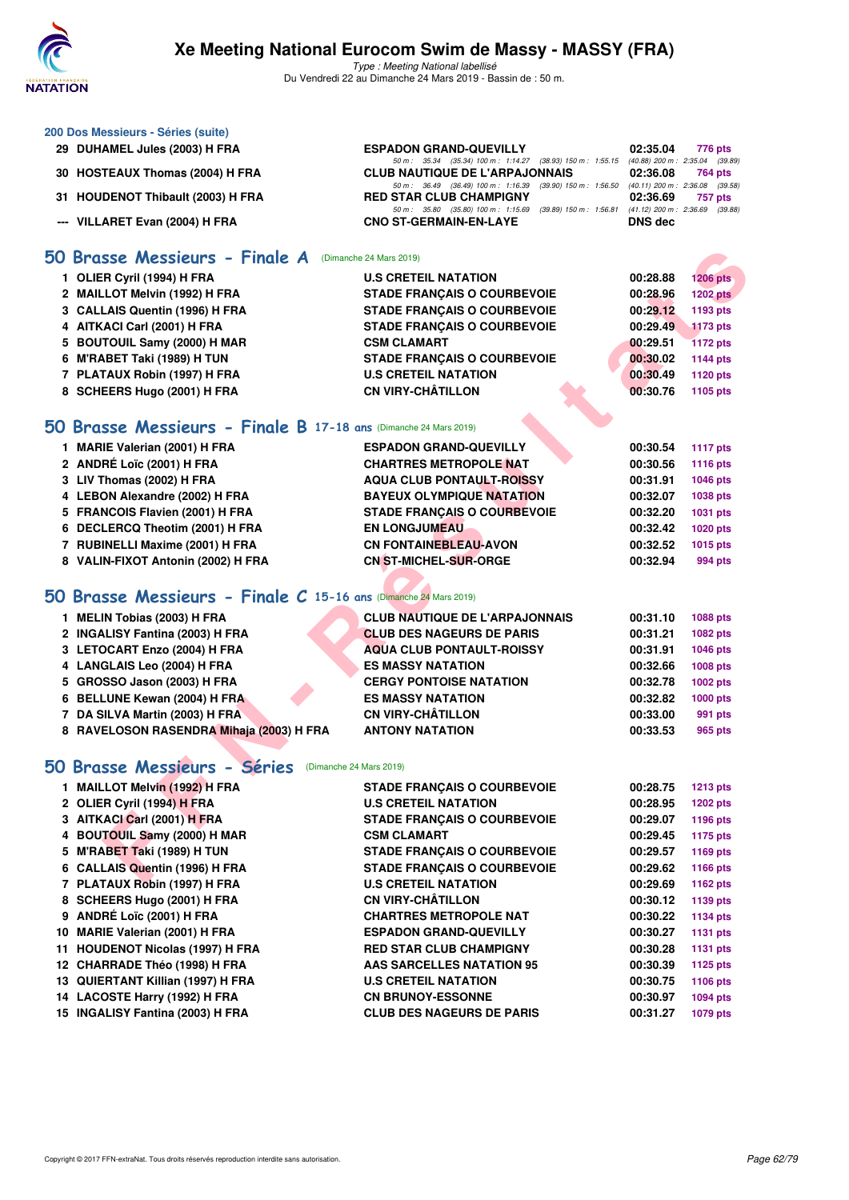

Type : Meeting National labellisé Du Vendredi 22 au Dimanche 24 Mars 2019 - Bassin de : 50 m.

| 200 Dos Messieurs - Séries (suite)                                     |                                                                                                    |                    |                                                |
|------------------------------------------------------------------------|----------------------------------------------------------------------------------------------------|--------------------|------------------------------------------------|
| 29 DUHAMEL Jules (2003) H FRA                                          | <b>ESPADON GRAND-QUEVILLY</b>                                                                      | 02:35.04           | 776 pts                                        |
|                                                                        | 50 m: 35.34 (35.34) 100 m: 1:14.27 (38.93) 150 m: 1:55.15                                          |                    | (40.88) 200 m : 2:35.04 (39.89)                |
| 30 HOSTEAUX Thomas (2004) H FRA                                        | <b>CLUB NAUTIQUE DE L'ARPAJONNAIS</b><br>50 m: 36.49 (36.49) 100 m: 1:16.39 (39.90) 150 m: 1:56.50 | 02:36.08           | 764 pts<br>$(40.11)$ 200 m : 2:36.08 $(39.58)$ |
| 31 HOUDENOT Thibault (2003) H FRA                                      | <b>RED STAR CLUB CHAMPIGNY</b>                                                                     | 02:36.69           | 757 pts                                        |
| --- VILLARET Evan (2004) H FRA                                         | 50 m: 35.80 (35.80) 100 m: 1:15.69 (39.89) 150 m: 1:56.81<br><b>CNO ST-GERMAIN-EN-LAYE</b>         | <b>DNS</b> dec     | $(41.12)$ 200 m : 2:36.69 $(39.88)$            |
| 50 Brasse Messieurs - Finale A                                         | (Dimanche 24 Mars 2019)                                                                            |                    |                                                |
| 1 OLIER Cyril (1994) H FRA                                             | <b>U.S CRETEIL NATATION</b>                                                                        | 00:28.88           | <b>1206 pts</b>                                |
| 2 MAILLOT Melvin (1992) H FRA                                          | <b>STADE FRANÇAIS O COURBEVOIE</b>                                                                 | 00:28.96           | <b>1202 pts</b>                                |
| 3 CALLAIS Quentin (1996) H FRA                                         | <b>STADE FRANÇAIS O COURBEVOIE</b>                                                                 | 00:29.12           | 1193 pts                                       |
| 4 AITKACI Carl (2001) H FRA                                            | <b>STADE FRANCAIS O COURBEVOIE</b>                                                                 | 00:29.49           | <b>1173 pts</b>                                |
| 5 BOUTOUIL Samy (2000) H MAR                                           | <b>CSM CLAMART</b>                                                                                 | 00:29.51           | <b>1172 pts</b>                                |
| 6 M'RABET Taki (1989) H TUN                                            | <b>STADE FRANÇAIS O COURBEVOIE</b>                                                                 | 00:30.02           | <b>1144 pts</b>                                |
| 7 PLATAUX Robin (1997) H FRA                                           | <b>U.S CRETEIL NATATION</b>                                                                        | 00:30.49           | 1120 pts                                       |
| 8 SCHEERS Hugo (2001) H FRA                                            | <b>CN VIRY-CHÂTILLON</b>                                                                           | 00:30.76           | 1105 pts                                       |
|                                                                        |                                                                                                    |                    |                                                |
| 50 Brasse Messieurs - Finale B 17-18 ans (Dimanche 24 Mars 2019)       |                                                                                                    |                    |                                                |
| 1 MARIE Valerian (2001) H FRA                                          | <b>ESPADON GRAND-QUEVILLY</b>                                                                      | 00:30.54           | <b>1117 pts</b>                                |
| 2 ANDRÉ Loïc (2001) H FRA                                              | <b>CHARTRES METROPOLE NAT</b>                                                                      | 00:30.56           | <b>1116 pts</b>                                |
| 3 LIV Thomas (2002) H FRA                                              | <b>AQUA CLUB PONTAULT-ROISSY</b>                                                                   | 00:31.91           | <b>1046 pts</b>                                |
| 4 LEBON Alexandre (2002) H FRA                                         | <b>BAYEUX OLYMPIQUE NATATION</b>                                                                   | 00:32.07           | <b>1038 pts</b>                                |
| 5 FRANCOIS Flavien (2001) H FRA                                        | <b>STADE FRANÇAIS O COURBEVOIE</b>                                                                 | 00:32.20           | <b>1031 pts</b>                                |
| 6 DECLERCQ Theotim (2001) H FRA                                        | <b>EN LONGJUMEAU</b>                                                                               | 00:32.42           | <b>1020 pts</b>                                |
| 7 RUBINELLI Maxime (2001) H FRA                                        | <b>CN FONTAINEBLEAU-AVON</b>                                                                       | 00:32.52           | 1015 pts                                       |
| 8 VALIN-FIXOT Antonin (2002) H FRA                                     | <b>CN ST-MICHEL-SUR-ORGE</b>                                                                       | 00:32.94           | 994 pts                                        |
|                                                                        |                                                                                                    |                    |                                                |
| 50 Brasse Messieurs - Finale C 15-16 ans (Dimanche 24 Mars 2019)       |                                                                                                    |                    |                                                |
| 1 MELIN Tobias (2003) H FRA                                            | <b>CLUB NAUTIQUE DE L'ARPAJONNAIS</b>                                                              | 00:31.10           | 1088 pts                                       |
| 2 INGALISY Fantina (2003) H FRA                                        | <b>CLUB DES NAGEURS DE PARIS</b>                                                                   | 00:31.21           | <b>1082 pts</b>                                |
| 3 LETOCART Enzo (2004) H FRA                                           | <b>AQUA CLUB PONTAULT-ROISSY</b>                                                                   | 00:31.91           | <b>1046 pts</b>                                |
| 4 LANGLAIS Leo (2004) H FRA                                            | <b>ES MASSY NATATION</b>                                                                           | 00:32.66           | 1008 pts                                       |
| 5 GROSSO Jason (2003) H FRA                                            | <b>CERGY PONTOISE NATATION</b>                                                                     | 00:32.78           | 1002 pts                                       |
| 6 BELLUNE Kewan (2004) H FRA                                           | <b>ES MASSY NATATION</b>                                                                           | 00:32.82           | <b>1000 pts</b>                                |
| 7 DA SILVA Martin (2003) H FRA                                         | <b>CN VIRY-CHÂTILLON</b>                                                                           | 00:33.00           | 991 pts                                        |
| 8 RAVELOSON RASENDRA Mihaja (2003) H FRA                               | <b>ANTONY NATATION</b>                                                                             | 00:33.53           | <b>965 pts</b>                                 |
| <b>Contract Contract Contract</b><br>A<br>50 Brasse Messieurs - Séries | (Dimanche 24 Mars 2019)                                                                            |                    |                                                |
| 1 MAILLOT Melvin (1992) H FRA                                          | <b>STADE FRANÇAIS O COURBEVOIE</b>                                                                 | 00:28.75           | $1213$ pts                                     |
| 2 OLIER Cyril (1994) H FRA                                             | <b>U.S CRETEIL NATATION</b>                                                                        | 00:28.95           |                                                |
|                                                                        |                                                                                                    |                    | <b>1202 pts</b>                                |
| 3 AITKACI Carl (2001) H FRA                                            | <b>STADE FRANÇAIS O COURBEVOIE</b>                                                                 | 00:29.07           | <b>1196 pts</b>                                |
| 4 BOUTOUIL Samy (2000) H MAR                                           | <b>CSM CLAMART</b>                                                                                 | 00:29.45           | <b>1175 pts</b>                                |
| 5 M'RABET Taki (1989) H TUN                                            | <b>STADE FRANÇAIS O COURBEVOIE</b>                                                                 | 00:29.57           | <b>1169 pts</b>                                |
| 6 CALLAIS Quentin (1996) H FRA<br><b>7 BLATAUV Bakta (4007) U FBA</b>  | <b>STADE FRANÇAIS O COURBEVOIE</b><br><b>UC OBETER MATATION</b>                                    | 00:29.62<br>00.006 | <b>1166 pts</b>                                |

#### **[50 Brasse Messieurs - Finale C](http://www.ffnatation.fr/webffn/resultats.php?idact=nat&go=epr&idcpt=57649&idepr=71) 15-16 ans** (Dimanche 24 Mars 2019)

| 1 MELIN Tobias (2003) H FRA              | <b>CLUB NAUTIQUE DE L'ARPAJONNAIS</b> | 00:31.10 | 1088 pts |
|------------------------------------------|---------------------------------------|----------|----------|
| 2 INGALISY Fantina (2003) H FRA          | <b>CLUB DES NAGEURS DE PARIS</b>      | 00:31.21 | 1082 pts |
| 3 LETOCART Enzo (2004) H FRA             | <b>AQUA CLUB PONTAULT-ROISSY</b>      | 00:31.91 | 1046 pts |
| 4 LANGLAIS Leo (2004) H FRA              | <b>ES MASSY NATATION</b>              | 00:32.66 | 1008 pts |
| 5 GROSSO Jason (2003) H FRA              | <b>CERGY PONTOISE NATATION</b>        | 00:32.78 | 1002 pts |
| 6 BELLUNE Kewan (2004) H FRA             | <b>ES MASSY NATATION</b>              | 00:32.82 | 1000 pts |
| 7 DA SILVA Martin (2003) H FRA           | <b>CN VIRY-CHÂTILLON</b>              | 00:33.00 | 991 pts  |
| 8 RAVELOSON RASENDRA Mihaja (2003) H FRA | <b>ANTONY NATATION</b>                | 00:33.53 | 965 pts  |

# **[50 Brasse Messieurs - Séries](http://www.ffnatation.fr/webffn/resultats.php?idact=nat&go=epr&idcpt=57649&idepr=71)** (Dimanche 24 Mars 2019)

| 1 MAILLOT Melvin (1992) H FRA     | <b>STADE FRANCAIS O COURBEVOIE</b> | 00:28.75 | <b>1213 pts</b> |
|-----------------------------------|------------------------------------|----------|-----------------|
| 2 OLIER Cyril (1994) H FRA        | <b>U.S CRETEIL NATATION</b>        | 00:28.95 | 1202 pts        |
| 3 AITKACI Carl (2001) H FRA       | <b>STADE FRANÇAIS O COURBEVOIE</b> | 00:29.07 | 1196 pts        |
| 4 BOUTOUIL Samy (2000) H MAR      | <b>CSM CLAMART</b>                 | 00:29.45 | 1175 pts        |
| 5 M'RABET Taki (1989) H TUN       | <b>STADE FRANCAIS O COURBEVOIE</b> | 00:29.57 | 1169 pts        |
| 6 CALLAIS Quentin (1996) H FRA    | <b>STADE FRANCAIS O COURBEVOIE</b> | 00:29.62 | 1166 pts        |
| 7 PLATAUX Robin (1997) H FRA      | <b>U.S CRETEIL NATATION</b>        | 00:29.69 | 1162 pts        |
| 8 SCHEERS Hugo (2001) H FRA       | <b>CN VIRY-CHÂTILLON</b>           | 00:30.12 | 1139 pts        |
| 9 ANDRÉ Loïc (2001) H FRA         | <b>CHARTRES METROPOLE NAT</b>      | 00:30.22 | 1134 pts        |
| 10 MARIE Valerian (2001) H FRA    | <b>ESPADON GRAND-QUEVILLY</b>      | 00:30.27 | 1131 pts        |
| 11 HOUDENOT Nicolas (1997) H FRA  | <b>RED STAR CLUB CHAMPIGNY</b>     | 00:30.28 | 1131 pts        |
| 12 CHARRADE Théo (1998) H FRA     | <b>AAS SARCELLES NATATION 95</b>   | 00:30.39 | 1125 pts        |
| 13 QUIERTANT Killian (1997) H FRA | <b>U.S CRETEIL NATATION</b>        | 00:30.75 | 1106 pts        |
| 14 LACOSTE Harry (1992) H FRA     | <b>CN BRUNOY-ESSONNE</b>           | 00:30.97 | 1094 pts        |
| 15 INGALISY Fantina (2003) H FRA  | <b>CLUB DES NAGEURS DE PARIS</b>   | 00:31.27 | 1079 pts        |
|                                   |                                    |          |                 |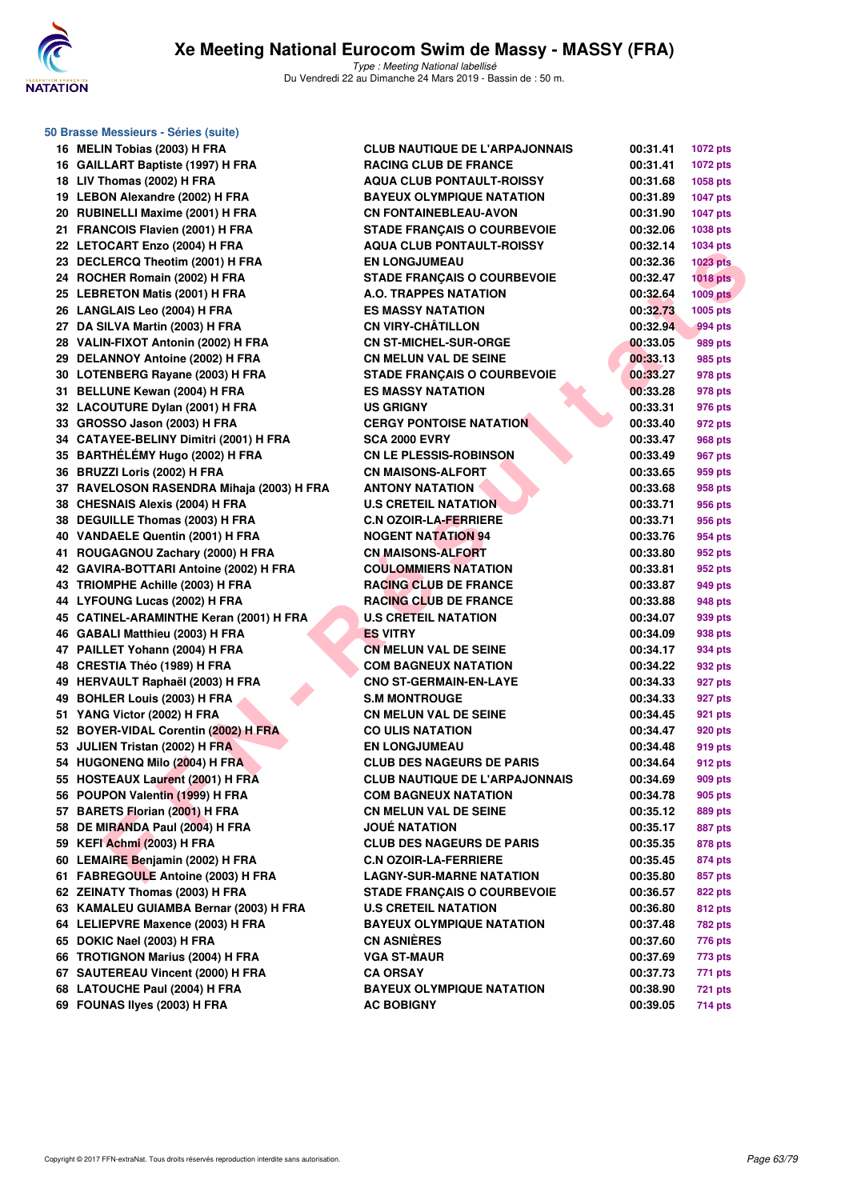

| 50 Brasse Messieurs - Séries (suite)                               |                                       |          |                 |
|--------------------------------------------------------------------|---------------------------------------|----------|-----------------|
| 16 MELIN Tobias (2003) H FRA                                       | <b>CLUB NAUTIQUE DE L'ARPAJONNAIS</b> | 00:31.41 | <b>1072 pts</b> |
| 16 GAILLART Baptiste (1997) H FRA                                  | <b>RACING CLUB DE FRANCE</b>          | 00:31.41 | 1072 pts        |
| 18 LIV Thomas (2002) H FRA                                         | <b>AQUA CLUB PONTAULT-ROISSY</b>      | 00:31.68 | 1058 pts        |
| 19 LEBON Alexandre (2002) H FRA                                    | <b>BAYEUX OLYMPIQUE NATATION</b>      | 00:31.89 | <b>1047 pts</b> |
| 20 RUBINELLI Maxime (2001) H FRA                                   | <b>CN FONTAINEBLEAU-AVON</b>          | 00:31.90 | <b>1047 pts</b> |
| 21 FRANCOIS Flavien (2001) H FRA                                   | <b>STADE FRANÇAIS O COURBEVOIE</b>    | 00:32.06 | 1038 pts        |
| 22 LETOCART Enzo (2004) H FRA                                      | <b>AQUA CLUB PONTAULT-ROISSY</b>      | 00:32.14 | 1034 pts        |
| 23 DECLERCQ Theotim (2001) H FRA                                   | <b>EN LONGJUMEAU</b>                  | 00:32.36 | <b>1023 pts</b> |
| 24 ROCHER Romain (2002) H FRA                                      | <b>STADE FRANÇAIS O COURBEVOIE</b>    | 00:32.47 | $1018$ pts      |
| 25 LEBRETON Matis (2001) H FRA                                     | <b>A.O. TRAPPES NATATION</b>          | 00:32.64 | <b>1009 pts</b> |
| 26 LANGLAIS Leo (2004) H FRA                                       | <b>ES MASSY NATATION</b>              | 00:32.73 | 1005 pts        |
| 27 DA SILVA Martin (2003) H FRA                                    | <b>CN VIRY-CHÂTILLON</b>              | 00:32.94 | 994 pts         |
| 28 VALIN-FIXOT Antonin (2002) H FRA                                | <b>CN ST-MICHEL-SUR-ORGE</b>          | 00:33.05 | 989 pts         |
| 29 DELANNOY Antoine (2002) H FRA                                   | <b>CN MELUN VAL DE SEINE</b>          | 00:33.13 | 985 pts         |
| 30 LOTENBERG Rayane (2003) H FRA                                   | <b>STADE FRANÇAIS O COURBEVOIE</b>    | 00:33.27 | 978 pts         |
| 31 BELLUNE Kewan (2004) H FRA                                      | <b>ES MASSY NATATION</b>              | 00:33.28 | 978 pts         |
| 32 LACOUTURE Dylan (2001) H FRA                                    | <b>US GRIGNY</b>                      | 00:33.31 | 976 pts         |
| 33 GROSSO Jason (2003) H FRA                                       | <b>CERGY PONTOISE NATATION</b>        | 00:33.40 | 972 pts         |
| 34 CATAYEE-BELINY Dimitri (2001) H FRA                             | <b>SCA 2000 EVRY</b>                  | 00:33.47 | <b>968 pts</b>  |
| 35 BARTHÉLÉMY Hugo (2002) H FRA                                    | <b>CN LE PLESSIS-ROBINSON</b>         | 00:33.49 | 967 pts         |
| 36 BRUZZI Loris (2002) H FRA                                       | <b>CN MAISONS-ALFORT</b>              | 00:33.65 | 959 pts         |
| 37 RAVELOSON RASENDRA Mihaja (2003) H FRA                          | <b>ANTONY NATATION</b>                | 00:33.68 |                 |
|                                                                    |                                       |          | 958 pts         |
| 38 CHESNAIS Alexis (2004) H FRA<br>38 DEGUILLE Thomas (2003) H FRA | <b>U.S CRETEIL NATATION</b>           | 00:33.71 | 956 pts         |
|                                                                    | <b>C.N OZOIR-LA-FERRIERE</b>          | 00:33.71 | 956 pts         |
| 40 VANDAELE Quentin (2001) H FRA                                   | <b>NOGENT NATATION 94</b>             | 00:33.76 | 954 pts         |
| 41 ROUGAGNOU Zachary (2000) H FRA                                  | <b>CN MAISONS-ALFORT</b>              | 00:33.80 | 952 pts         |
| 42 GAVIRA-BOTTARI Antoine (2002) H FRA                             | <b>COULOMMIERS NATATION</b>           | 00:33.81 | 952 pts         |
| 43 TRIOMPHE Achille (2003) H FRA                                   | <b>RACING CLUB DE FRANCE</b>          | 00:33.87 | 949 pts         |
| 44 LYFOUNG Lucas (2002) H FRA                                      | <b>RACING CLUB DE FRANCE</b>          | 00:33.88 | 948 pts         |
| 45 CATINEL-ARAMINTHE Keran (2001) H FRA                            | <b>U.S CRETEIL NATATION</b>           | 00:34.07 | 939 pts         |
| 46 GABALI Matthieu (2003) H FRA                                    | <b>ES VITRY</b>                       | 00:34.09 | 938 pts         |
| 47 PAILLET Yohann (2004) H FRA                                     | <b>CN MELUN VAL DE SEINE</b>          | 00:34.17 | 934 pts         |
| 48 CRESTIA Théo (1989) H FRA                                       | <b>COM BAGNEUX NATATION</b>           | 00:34.22 | 932 pts         |
| 49 HERVAULT Raphaël (2003) H FRA                                   | <b>CNO ST-GERMAIN-EN-LAYE</b>         | 00:34.33 | 927 pts         |
| 49 BOHLER Louis (2003) H FRA                                       | <b>S.M MONTROUGE</b>                  | 00:34.33 | 927 pts         |
| 51 YANG Victor (2002) H FRA                                        | <b>CN MELUN VAL DE SEINE</b>          | 00:34.45 | 921 pts         |
| 52 BOYER-VIDAL Corentin (2002) H FRA                               | <b>CO ULIS NATATION</b>               | 00:34.47 | 920 pts         |
| 53 JULIEN Tristan (2002) H FRA                                     | <b>EN LONGJUMEAU</b>                  | 00:34.48 | 919 pts         |
| 54 HUGONENQ Milo (2004) H FRA                                      | <b>CLUB DES NAGEURS DE PARIS</b>      | 00:34.64 | <b>912 pts</b>  |
| 55 HOSTEAUX Laurent (2001) H FRA                                   | <b>CLUB NAUTIQUE DE L'ARPAJONNAIS</b> | 00:34.69 | 909 pts         |
| 56 POUPON Valentin (1999) H FRA                                    | <b>COM BAGNEUX NATATION</b>           | 00:34.78 | 905 pts         |
| 57 BARETS Florian (2001) H FRA                                     | <b>CN MELUN VAL DE SEINE</b>          | 00:35.12 | 889 pts         |
| 58 DE MIRANDA Paul (2004) H FRA                                    | <b>JOUÉ NATATION</b>                  | 00:35.17 | 887 pts         |
| 59 KEFI Achmi (2003) H FRA                                         | <b>CLUB DES NAGEURS DE PARIS</b>      | 00:35.35 | 878 pts         |
| 60 LEMAIRE Benjamin (2002) H FRA                                   | <b>C.N OZOIR-LA-FERRIERE</b>          | 00:35.45 | 874 pts         |
| 61 FABREGOULE Antoine (2003) H FRA                                 | <b>LAGNY-SUR-MARNE NATATION</b>       | 00:35.80 | 857 pts         |
| 62 ZEINATY Thomas (2003) H FRA                                     | <b>STADE FRANÇAIS O COURBEVOIE</b>    | 00:36.57 | 822 pts         |
| 63 KAMALEU GUIAMBA Bernar (2003) H FRA                             | <b>U.S CRETEIL NATATION</b>           | 00:36.80 | 812 pts         |
| 64 LELIEPVRE Maxence (2003) H FRA                                  | <b>BAYEUX OLYMPIQUE NATATION</b>      | 00:37.48 | 782 pts         |
| 65 DOKIC Nael (2003) H FRA                                         | <b>CN ASNIÈRES</b>                    | 00:37.60 | 776 pts         |
| 66 TROTIGNON Marius (2004) H FRA                                   | <b>VGA ST-MAUR</b>                    | 00:37.69 | 773 pts         |
| 67 SAUTEREAU Vincent (2000) H FRA                                  | <b>CA ORSAY</b>                       | 00:37.73 | 771 pts         |
| 68 LATOUCHE Paul (2004) H FRA                                      | <b>BAYEUX OLYMPIQUE NATATION</b>      | 00:38.90 | <b>721 pts</b>  |
| 69 FOUNAS Ilyes (2003) H FRA                                       | <b>AC BOBIGNY</b>                     | 00:39.05 | <b>714 pts</b>  |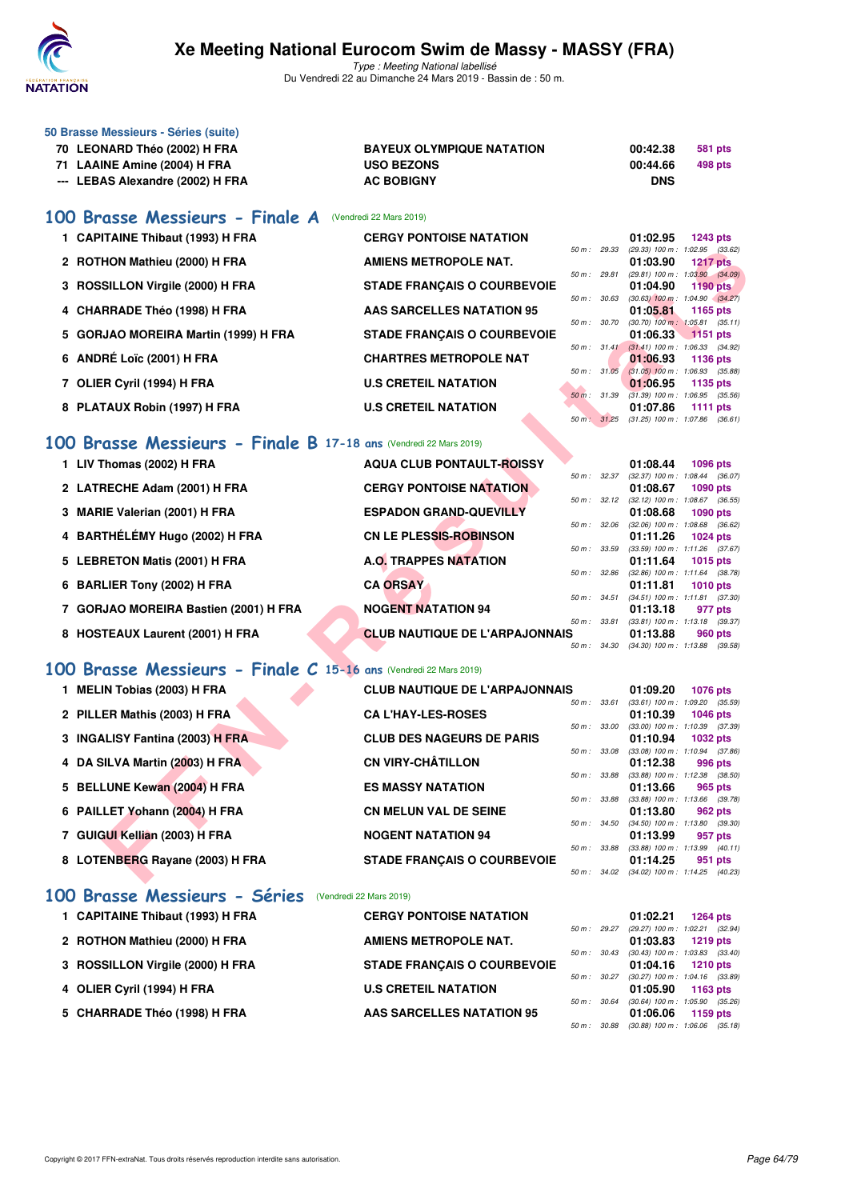

Type : Meeting National labellisé Du Vendredi 22 au Dimanche 24 Mars 2019 - Bassin de : 50 m.

| 50 Brasse Messieurs - Séries (suite) |                                  |            |         |
|--------------------------------------|----------------------------------|------------|---------|
| 70 LEONARD Théo (2002) H FRA         | <b>BAYEUX OLYMPIQUE NATATION</b> | 00:42.38   | 581 pts |
| 71 LAAINE Amine (2004) H FRA         | <b>USO BEZONS</b>                | 00:44.66   | 498 pts |
| --- LEBAS Alexandre (2002) H FRA     | <b>AC BOBIGNY</b>                | <b>DNS</b> |         |

#### **[100 Brasse Messieurs - Finale A](http://www.ffnatation.fr/webffn/resultats.php?idact=nat&go=epr&idcpt=57649&idepr=72)** (Vendredi 22 Mars 2019)

| 1 CAPITAINE Thibaut (1993) H FRA     | <b>CERGY PONTOISE NATATION</b>     |                        | 01:02.95                                               | $1243$ pts                    |  |
|--------------------------------------|------------------------------------|------------------------|--------------------------------------------------------|-------------------------------|--|
| 2 ROTHON Mathieu (2000) H FRA        | <b>AMIENS METROPOLE NAT.</b>       | $50 m$ : 29.33         | $(29.33)$ 100 m : 1:02.95 $(33.62)$<br>01:03.90        | <b>1217 pts</b>               |  |
| 3 ROSSILLON Virgile (2000) H FRA     | <b>STADE FRANÇAIS O COURBEVOIE</b> | $50 m$ : 29.81         | $(29.81)$ 100 m : 1:03.90 $(34.09)$<br>01:04.90        | 1190 pts                      |  |
| 4 CHARRADE Théo (1998) H FRA         | AAS SARCELLES NATATION 95          | 50 m: 30.63            | $(30.63)$ 100 m : 1:04.90 $(34.27)$<br>01:05.81        | 1165 $pts$                    |  |
| 5 GORJAO MOREIRA Martin (1999) H FRA | <b>STADE FRANCAIS O COURBEVOIE</b> | $50 m$ : $30.70$       | $(30.70)$ 100 m : 1:05.81 $(35.11)$<br>01:06.33        | $1151$ pts                    |  |
| 6 ANDRÉ Loïc (2001) H FRA            | <b>CHARTRES METROPOLE NAT</b>      |                        | 50 m: 31.41 (31.41) 100 m: 1:06.33 (34.92)<br>01:06.93 | 1136 pts                      |  |
| 7 OLIER Cyril (1994) H FRA           | <b>U.S CRETEIL NATATION</b>        | 50 m: 31.05            | $(31.05)$ 100 m : 1:06.93 $(35.88)$<br>01:06.95        | 1135 pts                      |  |
| 8 PLATAUX Robin (1997) H FRA         | <b>U.S CRETEIL NATATION</b>        | $50 \text{ m}$ : 31.39 | $(31.39) 100 m$ :<br>01:07.86                          | 1:06.95 (35.56)<br>1111 $pts$ |  |
|                                      |                                    |                        | 50 m: 31.25 (31.25) 100 m: 1:07.86 (36.61)             |                               |  |

#### **[100 Brasse Messieurs - Finale B](http://www.ffnatation.fr/webffn/resultats.php?idact=nat&go=epr&idcpt=57649&idepr=72) 17-18 ans** (Vendredi 22 Mars 2019)

| 1 LIV Thomas (2002) H FRA             | <b>AQUA CLUB PONTAULT-ROISSY</b>      |                        | 01:08.44                                        | 1096 pts   |
|---------------------------------------|---------------------------------------|------------------------|-------------------------------------------------|------------|
| 2 LATRECHE Adam (2001) H FRA          | <b>CERGY PONTOISE NATATION</b>        | 50 m: 32.37            | (32.37) 100 m : 1:08.44 (36.07<br>01:08.67      | 1090 pts   |
| 3 MARIE Valerian (2001) H FRA         | <b>ESPADON GRAND-QUEVILLY</b>         | $50 \text{ m}$ : 32.12 | $(32.12)$ 100 m : 1:08.67 $(36.55)$<br>01:08.68 | 1090 pts   |
| 4 BARTHÉLÉMY Hugo (2002) H FRA        | <b>CN LE PLESSIS-ROBINSON</b>         | 50 m: 32.06            | $(32.06)$ 100 m : 1:08.68 $(36.62)$<br>01:11.26 | 1024 pts   |
| 5 LEBRETON Matis (2001) H FRA         | <b>A.O. TRAPPES NATATION</b>          | 50 m: 33.59            | (33.59) 100 m: 1:11.26 (37.67<br>01:11.64       | 1015 $pts$ |
| 6 BARLIER Tony (2002) H FRA           | <b>CA ORSAY</b>                       | 50 m: 32.86            | (32.86) 100 m: 1:11.64 (38.78<br>01:11.81       | 1010 $pts$ |
| 7 GORJAO MOREIRA Bastien (2001) H FRA | <b>NOGENT NATATION 94</b>             | $50 m$ : $34.51$       | $(34.51)$ 100 m : 1:11.81 $(37.30)$<br>01:13.18 | 977 pts    |
| 8 HOSTEAUX Laurent (2001) H FRA       | <b>CLUB NAUTIQUE DE L'ARPAJONNAIS</b> | 50 m: 33.81            | (33.81) 100 m: 1:13.18 (39.37<br>01:13.88       | 960 pts    |
|                                       |                                       | 50 m : 34.30           | $(34.30)$ 100 m : 1:13.88 $(39.58)$             |            |

# **[100 Brasse Messieurs - Finale C](http://www.ffnatation.fr/webffn/resultats.php?idact=nat&go=epr&idcpt=57649&idepr=72) 15-16 ans** (Vendredi 22 Mars 2019)

|           |                                                               |                                       | 50 m: 29.33  |       | (29.33) 100 m: 1:02.95 (33.62)                  |                 |         |
|-----------|---------------------------------------------------------------|---------------------------------------|--------------|-------|-------------------------------------------------|-----------------|---------|
|           | 2 ROTHON Mathieu (2000) H FRA                                 | <b>AMIENS METROPOLE NAT.</b>          |              |       | 01:03.90                                        | <b>1217 pts</b> |         |
|           | 3 ROSSILLON Virgile (2000) H FRA                              | <b>STADE FRANÇAIS O COURBEVOIE</b>    | 50 m: 29.81  |       | $(29.81)$ 100 m : 1:03.90 $(34.09)$<br>01:04.90 | <b>1190 pts</b> |         |
|           | 4 CHARRADE Théo (1998) H FRA                                  | AAS SARCELLES NATATION 95             | 50 m: 30.63  |       | $(30.63)$ 100 m : 1:04.90 $(34.27)$<br>01:05.81 | 1165 pts        |         |
|           |                                                               |                                       | 50 m : 30.70 |       | $(30.70)$ 100 m : 1:05.81 $(35.11)$             |                 |         |
| 5.        | <b>GORJAO MOREIRA Martin (1999) H FRA</b>                     | <b>STADE FRANÇAIS O COURBEVOIE</b>    | 50 m: 31.41  |       | 01:06.33<br>$(31.41)$ 100 m : 1:06.33 $(34.92)$ | <b>1151 pts</b> |         |
|           | 6 ANDRÉ Loïc (2001) H FRA                                     | <b>CHARTRES METROPOLE NAT</b>         |              |       | 01:06.93                                        | <b>1136 pts</b> |         |
| 7         | OLIER Cyril (1994) H FRA                                      | <b>U.S CRETEIL NATATION</b>           | 50 m: 31.05  |       | $(31.05)$ 100 m : 1:06.93 $(35.88)$<br>01:06.95 | 1135 pts        |         |
|           |                                                               |                                       | 50 m : 31.39 |       | $(31.39)$ 100 m : 1:06.95 $(35.56)$             |                 |         |
|           | 8 PLATAUX Robin (1997) H FRA                                  | <b>U.S CRETEIL NATATION</b>           | 50 m: 31.25  |       | 01:07.86<br>$(31.25)$ 100 m : 1:07.86 $(36.61)$ | 1111 pts        |         |
| <b>OO</b> | Brasse Messieurs - Finale B 17-18 ans (Vendredi 22 Mars 2019) |                                       |              |       |                                                 |                 |         |
|           |                                                               |                                       |              |       |                                                 |                 |         |
|           | 1 LIV Thomas (2002) H FRA                                     | <b>AQUA CLUB PONTAULT-ROISSY</b>      | 50 m: 32.37  |       | 01:08.44<br>(32.37) 100 m : 1:08.44 (36.07)     | <b>1096 pts</b> |         |
|           | 2 LATRECHE Adam (2001) H FRA                                  | <b>CERGY PONTOISE NATATION</b>        |              |       | 01:08.67                                        | <b>1090 pts</b> |         |
|           | 3 MARIE Valerian (2001) H FRA                                 | <b>ESPADON GRAND-QUEVILLY</b>         | 50 m: 32.12  |       | $(32.12)$ 100 m : 1:08.67 $(36.55)$<br>01:08.68 | 1090 pts        |         |
|           |                                                               |                                       | 50 m: 32.06  |       | (32.06) 100 m: 1:08.68 (36.62)                  |                 |         |
|           | 4 BARTHÉLÉMY Hugo (2002) H FRA                                | <b>CN LE PLESSIS-ROBINSON</b>         |              |       | 01:11.26                                        | 1024 pts        |         |
|           | 5 LEBRETON Matis (2001) H FRA                                 | <b>A.O. TRAPPES NATATION</b>          | 50 m : 33.59 |       | (33.59) 100 m: 1:11.26 (37.67)<br>01:11.64      | <b>1015 pts</b> |         |
|           |                                                               |                                       | 50 m: 32.86  |       | $(32.86)$ 100 m : 1:11.64 $(38.78)$             |                 |         |
|           | 6 BARLIER Tony (2002) H FRA                                   | <b>CA ORSAY</b>                       | 50 m: 34.51  |       | 01:11.81<br>$(34.51)$ 100 m : 1:11.81 $(37.30)$ | <b>1010 pts</b> |         |
|           | 7 GORJAO MOREIRA Bastien (2001) H FRA                         | <b>NOGENT NATATION 94</b>             |              |       | 01:13.18                                        | 977 pts         |         |
|           |                                                               |                                       | 50 m : 33.81 |       | $(33.81)$ 100 m : 1:13.18 $(39.37)$             |                 |         |
|           | 8 HOSTEAUX Laurent (2001) H FRA                               | <b>CLUB NAUTIQUE DE L'ARPAJONNAIS</b> | 50 m : 34.30 |       | 01:13.88<br>$(34.30)$ 100 m : 1:13.88 $(39.58)$ | 960 pts         |         |
| <b>OO</b> | Brasse Messieurs - Finale C 15-16 ans (Vendredi 22 Mars 2019) |                                       |              |       |                                                 |                 |         |
|           |                                                               |                                       |              |       |                                                 |                 |         |
|           | 1 MELIN Tobias (2003) H FRA                                   | <b>CLUB NAUTIQUE DE L'ARPAJONNAIS</b> | 50 m: 33.61  |       | 01:09.20<br>$(33.61)$ 100 m : 1:09.20 $(35.59)$ | <b>1076 pts</b> |         |
|           | 2 PILLER Mathis (2003) H FRA                                  | <b>CA L'HAY-LES-ROSES</b>             |              |       | 01:10.39                                        | <b>1046 pts</b> |         |
|           |                                                               | <b>CLUB DES NAGEURS DE PARIS</b>      | 50 m: 33.00  |       | (33.00) 100 m: 1:10.39 (37.39)                  |                 |         |
|           | 3 INGALISY Fantina (2003) H FRA                               |                                       | 50 m : 33.08 |       | 01:10.94<br>$(33.08)$ 100 m : 1:10.94 $(37.86)$ | 1032 pts        |         |
|           | 4 DA SILVA Martin (2003) H FRA                                | <b>CN VIRY-CHÂTILLON</b>              |              |       | 01:12.38                                        | 996 pts         |         |
|           | 5 BELLUNE Kewan (2004) H FRA                                  | <b>ES MASSY NATATION</b>              | 50 m : 33.88 |       | $(33.88)$ 100 m : 1:12.38 $(38.50)$<br>01:13.66 | 965 pts         |         |
|           |                                                               |                                       | 50 m : 33.88 |       | $(33.88)$ 100 m : 1:13.66 $(39.78)$             |                 |         |
|           | 6 PAILLET Yohann (2004) H FRA                                 | <b>CN MELUN VAL DE SEINE</b>          |              |       | 01:13.80                                        | 962 pts         |         |
|           | 7 GUIGUI Kellian (2003) H FRA                                 | <b>NOGENT NATATION 94</b>             | 50 m :       | 34.50 | $(34.50)$ 100 m : 1:13.80<br>01:13.99           | 957 pts         | (39.30) |
|           |                                                               |                                       | 50 m : 33.88 |       | (33.88) 100 m : 1:13.99                         |                 | (40.11) |
|           | 8 LOTENBERG Rayane (2003) H FRA                               | <b>STADE FRANÇAIS O COURBEVOIE</b>    |              |       | 01:14.25                                        | 951 pts         |         |
|           |                                                               |                                       |              |       | 50 m: 34.02 (34.02) 100 m: 1:14.25 (40.23)      |                 |         |

#### **[100 Brasse Messieurs - Séries](http://www.ffnatation.fr/webffn/resultats.php?idact=nat&go=epr&idcpt=57649&idepr=72)** (Vendredi 22 Mars 2019)

| 1 CAPITAINE Thibaut (1993) H FRA | <b>CERGY PONTOISE NATATION</b>     |                                                      | 01:02.21                                                                                      |          | 1264 pts   |
|----------------------------------|------------------------------------|------------------------------------------------------|-----------------------------------------------------------------------------------------------|----------|------------|
| 2 ROTHON Mathieu (2000) H FRA    | <b>AMIENS METROPOLE NAT.</b>       | 50 m: 29.27                                          | (29.27) 100 m: 1:02.21 (32.94)<br>01:03.83                                                    | 1219 pts |            |
| 3 ROSSILLON Virgile (2000) H FRA | <b>STADE FRANCAIS O COURBEVOIE</b> | $50 \text{ m}$ : $30.43$                             | $(30.43)$ 100 m : 1:03.83 $(33.40)$<br>$01:04.16$ 1210 pts                                    |          |            |
| 4 OLIER Cyril (1994) H FRA       | <b>U.S CRETEIL NATATION</b>        | $50 \text{ m}$ : $30.27$<br>$50 \text{ m}$ : $30.64$ | (30.27) 100 m : 1:04.16 (33.89)<br>$01:05.90$ 1163 pts<br>$(30.64)$ 100 m : 1:05.90 $(35.26)$ |          |            |
| 5 CHARRADE Théo (1998) H FRA     | <b>AAS SARCELLES NATATION 95</b>   | 50 m: 30.88                                          | 01:06.06<br>$(30.88)$ 100 m : 1:06.06 $(35.18)$                                               |          | 1159 $pts$ |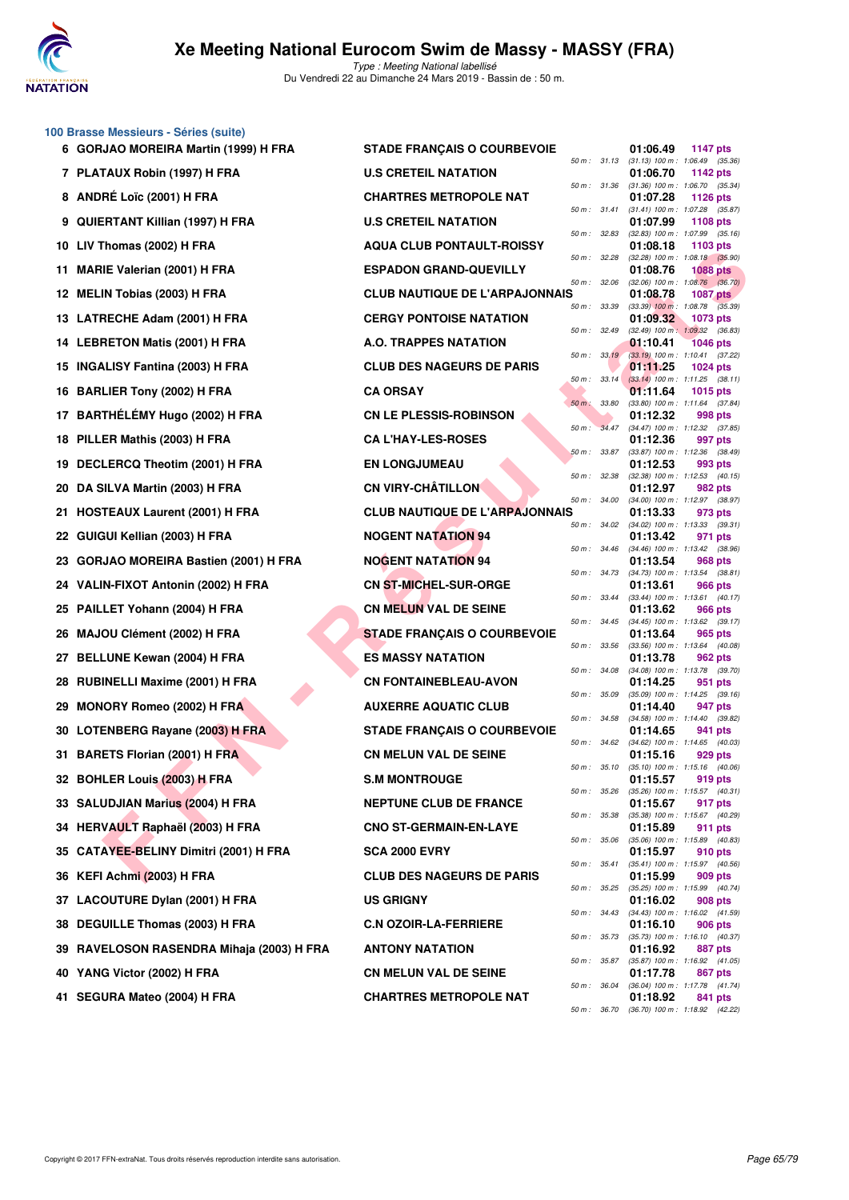

#### **100 Brasse Messieurs - Séries (suite)**

|     | 6 GORJAO MOREIRA Martin (1999) H FRA      | <b>STADE FRANÇAIS O COURBEVOIE</b>    |                |              | 01:06.49                                                 | <b>1147 pts</b> |  |
|-----|-------------------------------------------|---------------------------------------|----------------|--------------|----------------------------------------------------------|-----------------|--|
|     | 7 PLATAUX Robin (1997) H FRA              | <b>U.S CRETEIL NATATION</b>           | 50 m: 31.13    |              | $(31.13)$ 100 m : 1:06.49 $(35.36)$<br>01:06.70          | 1142 pts        |  |
|     | 8 ANDRÉ Loïc (2001) H FRA                 | <b>CHARTRES METROPOLE NAT</b>         | 50 m : 31.36   |              | $(31.36)$ 100 m : 1:06.70 $(35.34)$<br>01:07.28          | <b>1126 pts</b> |  |
| 9   | QUIERTANT Killian (1997) H FRA            | <b>U.S CRETEIL NATATION</b>           | 50 m: 31.41    |              | (31.41) 100 m: 1:07.28 (35.87)<br>01:07.99               | <b>1108 pts</b> |  |
| 10  | LIV Thomas (2002) H FRA                   | <b>AQUA CLUB PONTAULT-ROISSY</b>      | 50 m: 32.83    |              | $(32.83)$ 100 m : 1:07.99 $(35.16)$<br>01:08.18          | 1103 pts        |  |
| 11. | <b>MARIE Valerian (2001) H FRA</b>        | <b>ESPADON GRAND-QUEVILLY</b>         | 50 m : 32.28   |              | $(32.28)$ 100 m : 1:08.18 $(35.90)$<br>01:08.76          | <b>1088 pts</b> |  |
| 12  | <b>MELIN Tobias (2003) H FRA</b>          | <b>CLUB NAUTIQUE DE L'ARPAJONNAIS</b> | 50 m: 32.06    |              | $(32.06)$ 100 m : 1:08.76 $(36.70)$<br>01:08.78          | <b>1087 pts</b> |  |
|     | 13 LATRECHE Adam (2001) H FRA             | <b>CERGY PONTOISE NATATION</b>        | 50 m : 33.39   |              | $(33.39)$ 100 m : 1:08.78 $(35.39)$<br>01:09.32          | 1073 pts        |  |
|     | 14 LEBRETON Matis (2001) H FRA            | <b>A.O. TRAPPES NATATION</b>          | 50 m: 32.49    |              | $(32.49)$ 100 m : 1:09.32 $(36.83)$<br>01:10.41          | <b>1046 pts</b> |  |
|     | 15 INGALISY Fantina (2003) H FRA          | <b>CLUB DES NAGEURS DE PARIS</b>      | 50 m: 33.19    |              | $(33.19)$ 100 m : 1:10.41 $(37.22)$<br>01:11.25          | $1024$ pts      |  |
|     | 16 BARLIER Tony (2002) H FRA              | <b>CA ORSAY</b>                       | $50 m$ : 33.14 |              | $(33.14)$ 100 m : 1:11.25 $(38.11)$<br>01:11.64          | 1015 pts        |  |
| 17  | BARTHÉLÉMY Hugo (2002) H FRA              | <b>CN LE PLESSIS-ROBINSON</b>         | 50 m : 33.80   |              | $(33.80)$ 100 m : 1:11.64 $(37.84)$<br>01:12.32          | 998 pts         |  |
| 18  | PILLER Mathis (2003) H FRA                | <b>CA L'HAY-LES-ROSES</b>             | 50 m : 34.47   |              | $(34.47)$ 100 m : 1:12.32 $(37.85)$<br>01:12.36          | 997 pts         |  |
| 19. | DECLERCQ Theotim (2001) H FRA             | <b>EN LONGJUMEAU</b>                  | 50 m: 33.87    |              | (33.87) 100 m: 1:12.36 (38.49)<br>01:12.53               | 993 pts         |  |
| 20  | DA SILVA Martin (2003) H FRA              | <b>CN VIRY-CHÂTILLON</b>              | 50 m : 32.38   |              | (32.38) 100 m: 1:12.53 (40.15)<br>01:12.97               | 982 pts         |  |
| 21  | <b>HOSTEAUX Laurent (2001) H FRA</b>      | <b>CLUB NAUTIQUE DE L'ARPAJONNAIS</b> | 50 m: 34.00    |              | (34.00) 100 m: 1:12.97 (38.97)<br>01:13.33               | 973 pts         |  |
| 22  | GUIGUI Kellian (2003) H FRA               | <b>NOGENT NATATION 94</b>             | 50 m: 34.02    |              | $(34.02)$ 100 m : 1:13.33 $(39.31)$<br>01:13.42          | 971 pts         |  |
|     | 23 GORJAO MOREIRA Bastien (2001) H FRA    | <b>NOGENT NATATION 94</b>             | 50 m: 34.46    |              | (34.46) 100 m: 1:13.42 (38.96)<br>01:13.54               | 968 pts         |  |
|     | 24 VALIN-FIXOT Antonin (2002) H FRA       | <b>CN ST-MICHEL-SUR-ORGE</b>          | 50 m : 34.73   |              | $(34.73)$ 100 m : 1:13.54 $(38.81)$<br>01:13.61          | 966 pts         |  |
|     | 25 PAILLET Yohann (2004) H FRA            | <b>CN MELUN VAL DE SEINE</b>          | 50 m: 33.44    |              | $(33.44)$ 100 m : 1:13.61 $(40.17)$<br>01:13.62          | 966 pts         |  |
|     | 26 MAJOU Clément (2002) H FRA             | <b>STADE FRANÇAIS O COURBEVOIE</b>    | 50 m: 34.45    |              | $(34.45)$ 100 m : 1:13.62 $(39.17)$<br>01:13.64          | 965 pts         |  |
| 27  | <b>BELLUNE Kewan (2004) H FRA</b>         | <b>ES MASSY NATATION</b>              | 50 m: 33.56    |              | $(33.56)$ 100 m : 1:13.64 $(40.08)$<br>01:13.78          | 962 pts         |  |
| 28  | <b>RUBINELLI Maxime (2001) H FRA</b>      | <b>CN FONTAINEBLEAU-AVON</b>          | 50 m : 34.08   |              | $(34.08)$ 100 m : 1:13.78 $(39.70)$<br>01:14.25          | 951 pts         |  |
| 29  | MONORY Romeo (2002) H FRA                 | <b>AUXERRE AQUATIC CLUB</b>           | 50 m : 35.09   |              | $(35.09)$ 100 m : 1:14.25 $(39.16)$<br>01:14.40          | 947 pts         |  |
| 30  | LOTENBERG Rayane (2003) H FRA             | <b>STADE FRANÇAIS O COURBEVOIE</b>    | 50 m : 34.58   |              | $(34.58)$ 100 m : 1:14.40 $(39.82)$<br>01:14.65          | 941 pts         |  |
| 31. | BARETS Florian (2001) H FRA               | <b>CN MELUN VAL DE SEINE</b>          | 50 m: 34.62    |              | $(34.62)$ 100 m : 1:14.65 $(40.03)$<br>01:15.16          | 929 pts         |  |
| 32  | <b>BOHLER Louis (2003) H FRA</b>          | S.M MONTROUGE                         | 50 m: 35.10    |              | $(35.10)$ 100 m : 1:15.16 $(40.06)$<br>01:15.57          | 919 pts         |  |
|     | 33 SALUDJIAN Marius (2004) H FRA          | <b>NEPTUNE CLUB DE FRANCE</b>         |                |              | 50 m : 35.26 (35.26) 100 m : 1:15.57 (40.31)<br>01:15.67 | 917 pts         |  |
|     | 34 HERVAULT Raphaël (2003) H FRA          | <b>CNO ST-GERMAIN-EN-LAYE</b>         | 50 m : 35.38   |              | (35.38) 100 m: 1:15.67 (40.29)<br>01:15.89               | 911 pts         |  |
|     | 35 CATAYEE-BELINY Dimitri (2001) H FRA    | <b>SCA 2000 EVRY</b>                  |                | 50 m : 35.06 | (35.06) 100 m: 1:15.89 (40.83)<br>01:15.97               | 910 pts         |  |
| 36  | KEFI Achmi (2003) H FRA                   | <b>CLUB DES NAGEURS DE PARIS</b>      | 50 m : 35.41   |              | $(35.41)$ 100 m : 1:15.97 $(40.56)$<br>01:15.99          | 909 pts         |  |
| 37  | LACOUTURE Dylan (2001) H FRA              | <b>US GRIGNY</b>                      |                | 50 m : 35.25 | (35.25) 100 m: 1:15.99 (40.74)<br>01:16.02               | 908 pts         |  |
|     | 38 DEGUILLE Thomas (2003) H FRA           | <b>C.N OZOIR-LA-FERRIERE</b>          |                |              | 50 m: 34.43 (34.43) 100 m: 1:16.02 (41.59)<br>01:16.10   | 906 pts         |  |
|     | 39 RAVELOSON RASENDRA Mihaja (2003) H FRA | <b>ANTONY NATATION</b>                | 50 m : 35.73   |              | $(35.73)$ 100 m : 1:16.10 $(40.37)$<br>01:16.92          | 887 pts         |  |
| 40  | YANG Victor (2002) H FRA                  | <b>CN MELUN VAL DE SEINE</b>          | 50 m : 35.87   |              | (35.87) 100 m: 1:16.92 (41.05)<br>01:17.78               | 867 pts         |  |
|     | 41 SEGURA Mateo (2004) H FRA              | <b>CHARTRES METROPOLE NAT</b>         | 50 m : 36.04   |              | $(36.04)$ 100 m : 1:17.78 $(41.74)$<br>01:18.92          | 841 pts         |  |
|     |                                           |                                       |                |              | 50 m: 36.70 (36.70) 100 m: 1:18.92 (42.22)               |                 |  |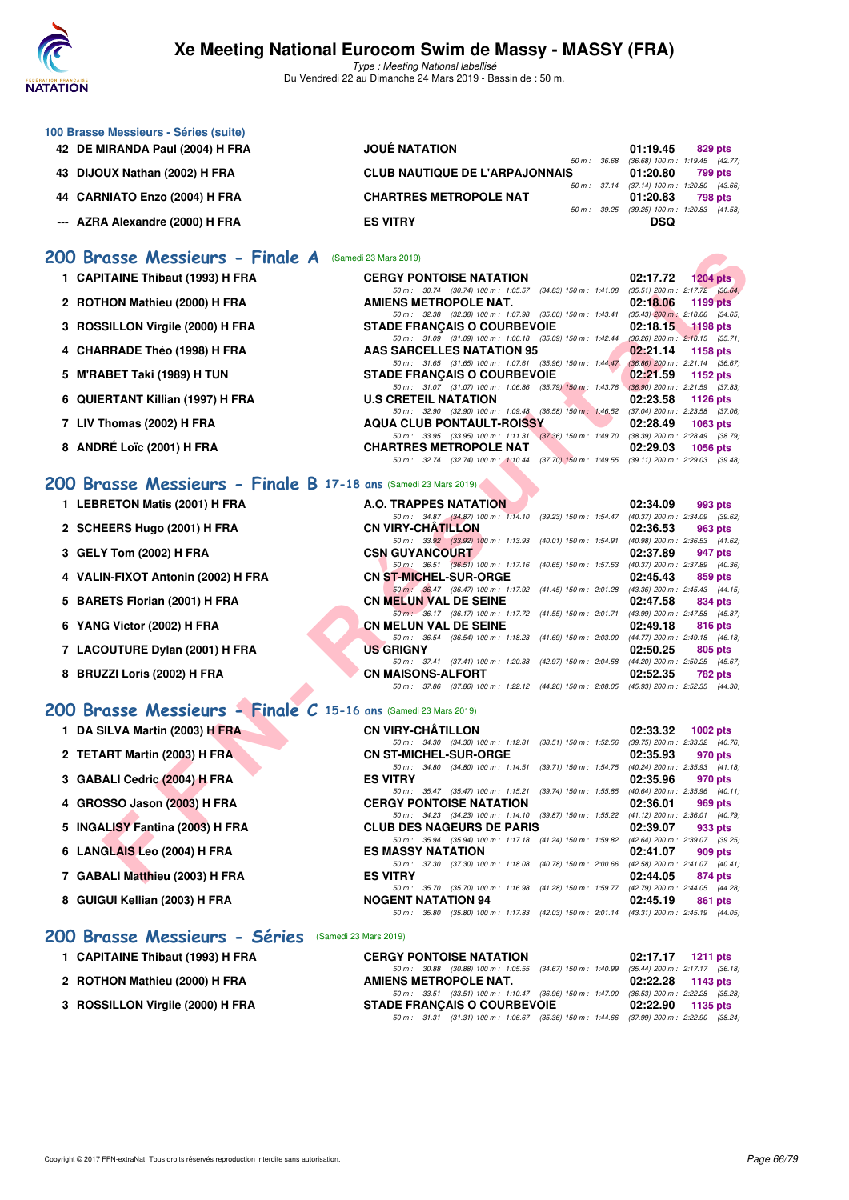

Type : Meeting National labellisé Du Vendredi 22 au Dimanche 24 Mars 2019 - Bassin de : 50 m.

| 100 Brasse Messieurs - Séries (suite) |                                       |                                     |
|---------------------------------------|---------------------------------------|-------------------------------------|
| 42 DE MIRANDA Paul (2004) H FRA       | <b>JOUÉ NATATION</b>                  | 01:19.45<br>829 pts                 |
|                                       | $50 m$ : $36.68$                      | $(36.68)$ 100 m : 1:19.45 $(42.77)$ |
| 43 DIJOUX Nathan (2002) H FRA         | <b>CLUB NAUTIQUE DE L'ARPAJONNAIS</b> | 01:20.80<br>799 pts                 |
|                                       | 50 m : 37.14                          | (37.14) 100 m : 1:20.80 (43.66      |
| 44 CARNIATO Enzo (2004) H FRA         | <b>CHARTRES METROPOLE NAT</b>         | 01:20.83<br>798 pts                 |
|                                       | $50 \text{ m}$ : 39.25                | (39.25) 100 m : 1:20.83 (41.58      |
| --- AZRA Alexandre (2000) H FRA       | <b>ES VITRY</b>                       | <b>DSQ</b>                          |

#### **[200 Brasse Messieurs - Finale A](http://www.ffnatation.fr/webffn/resultats.php?idact=nat&go=epr&idcpt=57649&idepr=73)** (Samedi 23 Mars 2019)

|  | 1 CAPITAINE Thibaut (1993) H FRA |  |  |  |
|--|----------------------------------|--|--|--|
|--|----------------------------------|--|--|--|

- **2 ROTHON Mathieu (2000) H FRA AMIENS METROPOLE NAT. 02:18.06 1199 pts**
- **3 ROSSILLON Virgile (2000) H FRA** STADE FRANÇAIS O COURBEVOIE 02:18.15 1198 pts 02:18.15 **1198 pts** 68.71)
- **4 CHARRADE Théo (1998) H FRA AAS SARCELLES NATATION 95 02:21.14 1158 pts**
- **5 M'RABET Taki (1989) H TUN STADE FRANÇAIS O COURBEVOIE 62:21.59 1152 pts**
- **6 QUIERTANT Killian (1997) H FRA** U.S CRETEIL NATATION 02:23.58 1126 pts<br>  $\frac{50 \text{ m} \cdot 32.90}{32.90}$  (32.90) 100 m: 1:09.48 (36.58) 150 m: 1:46.52 (37.04) 200 m: 1:23.58 (37.0
- **7 LIV Thomas (2002) H FRA AQUA CLUB PONTAULT-ROISSY 02:28.49 1063 pts**
- **8 ANDRÉ Loïc (2001) H FRA CHARTRES METROPOLE NAT 02:29.03 1056 pts**

#### **[200 Brasse Messieurs - Finale B](http://www.ffnatation.fr/webffn/resultats.php?idact=nat&go=epr&idcpt=57649&idepr=73) 17-18 ans** (Samedi 23 Mars 2019)

- **1 LEBRETON Matis (2001) H FRA A.O. TRAPPES NATATION 02:34.09 993 pts**
- **2 SCHEERS Hugo (2001) H FRA CN VIRY-CHÂTILLON 02:36.53 963 pts**
- **3 GELY Tom (2002) H FRA CSN GUYANCOURT 02:37.89 947 pts**
- **4 VALIN-FIXOT Antonin (2002) H FRA CN ST-MICHEL-SUR-ORGE 02:45.43 859 pts**
- **5 BARETS Florian (2001) H FRA CN MELUN VAL DE SEINE 02:47.58 834 pts**
- **6 YANG Victor (2002) H FRA CN MELUN VAL DE SEINE 02:49.18 816 pts**
- **7 LACOUTURE Dylan (2001) H FRA US GRIGNY 02:50.25 805 pts**
- **8 BRUZZI Loris (2002) H FRA CN MAISONS-ALFORT 02:52.35 782 pts**

#### **[200 Brasse Messieurs - Finale C](http://www.ffnatation.fr/webffn/resultats.php?idact=nat&go=epr&idcpt=57649&idepr=73) 15-16 ans** (Samedi 23 Mars 2019)

- **1 DA SILVA Martin (2003) H FRA CN VIRY-CHÂTILLON 02:33.32 1002 pts**
- **2 TETART Martin (2003) H FRA CN ST-MICHEL-SUR-ORGE 02:35.93 970 pts**
- **3 GABALI Cedric (2004) H FRA ES VITRY 02:35.96 970 pts**
- **4 GROSSO Jason (2003) H FRA CERGY PONTOISE NATATION 02:36.01 969 pts**<br> **60 m:** 34.23 100 m: 1:14.10 (39.87) 150 m: 1:55.22 (41.12) 200 m: 1:36.01 (40.7)
- 
- 
- 
- 

#### [200 Brasse Messieurs - Séries](http://www.ffnatation.fr/webffn/resultats.php?idact=nat&go=epr&idcpt=57649&idepr=73) (Samedi 23 Mar

- 
- 2 ROTHON Mathieu (2000) H FRA
- **3 ROSSILLON Virgile (2000) H FRA**

| 00 Brasse Messieurs - Finale A                                 | (Samedi 23 Mars 2019)                                                                                                          |                                                                                          |
|----------------------------------------------------------------|--------------------------------------------------------------------------------------------------------------------------------|------------------------------------------------------------------------------------------|
| 1 CAPITAINE Thibaut (1993) H FRA                               | <b>CERGY PONTOISE NATATION</b>                                                                                                 | 02:17.72<br>$1204$ pts                                                                   |
|                                                                | 50 m: 30.74 (30.74) 100 m: 1:05.57 (34.83) 150 m: 1:41.08                                                                      | $(35.51)$ 200 m : 2:17.72 $(36.64)$                                                      |
| 2 ROTHON Mathieu (2000) H FRA                                  | <b>AMIENS METROPOLE NAT.</b><br>50 m : 32.38 (32.38) 100 m : 1:07.98 (35.60) 150 m : 1:43.41                                   | 02:18.06<br>1199 pts<br>$(35.43)$ 200 m : 2:18.06 $(34.65)$                              |
| 3 ROSSILLON Virgile (2000) H FRA                               | <b>STADE FRANÇAIS O COURBEVOIE</b>                                                                                             | 02:18.15<br><b>1198 pts</b>                                                              |
|                                                                | 50 m: 31.09 (31.09) 100 m: 1:06.18<br>$(35.09)$ 150 m : 1:42.44                                                                | $(36.26)$ 200 m : 2:18.15 $(35.71)$                                                      |
| 4 CHARRADE Théo (1998) H FRA                                   | <b>AAS SARCELLES NATATION 95</b>                                                                                               | 02:21.14<br>1158 pts                                                                     |
|                                                                | 50 m: 31.65 (31.65) 100 m: 1:07.61 (35.96) 150 m: 1:44.47 (36.86) 200 m: 2:21.14 (36.67)                                       |                                                                                          |
| 5 M'RABET Taki (1989) H TUN                                    | <b>STADE FRANCAIS O COURBEVOIE</b><br>50 m: 31.07 (31.07) 100 m: 1:06.86 (35.79) 150 m: 1:43.76 (36.90) 200 m: 2:21.59 (37.83) | 02:21.59<br>1152 pts                                                                     |
| 6 QUIERTANT Killian (1997) H FRA                               | <b>U.S CRETEIL NATATION</b>                                                                                                    | 02:23.58<br>1126 pts                                                                     |
|                                                                | 50 m : 32.90 (32.90) 100 m : 1:09.48 (36.58) 150 m : 1:46.52                                                                   | $(37.04)$ 200 m : 2:23.58 $(37.06)$                                                      |
| 7 LIV Thomas (2002) H FRA                                      | <b>AQUA CLUB PONTAULT-ROISSY</b>                                                                                               | 02:28.49<br><b>1063 pts</b>                                                              |
|                                                                | 50 m: 33.95 (33.95) 100 m: 1:11.31 (37.36) 150 m: 1:49.70                                                                      | $(38.39)$ 200 m : 2:28.49 $(38.79)$                                                      |
| 8 ANDRÉ Loïc (2001) H FRA                                      | <b>CHARTRES METROPOLE NAT</b>                                                                                                  | 02:29.03<br>1056 pts                                                                     |
|                                                                | 50 m: 32.74 (32.74) 100 m: 1:10.44 (37.70) 150 m: 1:49.55 (39.11) 200 m: 2:29.03 (39.48)                                       |                                                                                          |
| 00 Brasse Messieurs - Finale B 17-18 ans (Samedi 23 Mars 2019) |                                                                                                                                |                                                                                          |
| 1 LEBRETON Matis (2001) H FRA                                  | <b>A.O. TRAPPES NATATION</b>                                                                                                   | 02:34.09<br>993 pts                                                                      |
|                                                                | 50 m: 34.87 (34.87) 100 m: 1:14.10 (39.23) 150 m: 1:54.47 (40.37) 200 m: 2:34.09 (39.62)                                       |                                                                                          |
| 2 SCHEERS Hugo (2001) H FRA                                    | <b>CN VIRY-CHATILLON</b>                                                                                                       | 02:36.53<br>963 pts                                                                      |
|                                                                | 50 m: 33.92 (33.92) 100 m: 1:13.93 (40.01) 150 m: 1:54.91                                                                      | (40.98) 200 m : 2:36.53 (41.62)                                                          |
| 3 GELY Tom (2002) H FRA                                        | <b>CSN GUYANCOURT</b><br>50 m: 36.51 (36.51) 100 m: 1:17.16 (40.65) 150 m: 1:57.53                                             | 02:37.89<br>947 pts<br>(40.37) 200 m : 2:37.89 (40.36)                                   |
| 4 VALIN-FIXOT Antonin (2002) H FRA                             | <b>CN ST-MICHEL-SUR-ORGE</b>                                                                                                   | 02:45.43<br>859 pts                                                                      |
|                                                                | 50 m : 36.47 (36.47) 100 m : 1:17.92 (41.45) 150 m : 2:01.28 (43.36) 200 m : 2:45.43 (44.15)                                   |                                                                                          |
| 5 BARETS Florian (2001) H FRA                                  | <b>CN MELUN VAL DE SEINE</b>                                                                                                   | 02:47.58<br>834 pts                                                                      |
|                                                                | 50 m : 36.17 (36.17) 100 m : 1:17.72 (41.55) 150 m : 2:01.71 (43.99) 200 m : 2:47.58 (45.87)                                   |                                                                                          |
| 6 YANG Victor (2002) H FRA                                     | <b>CN MELUN VAL DE SEINE</b>                                                                                                   | 02:49.18<br>816 pts                                                                      |
| 7 LACOUTURE Dylan (2001) H FRA                                 | 50 m: 36.54 (36.54) 100 m: 1:18.23 (41.69) 150 m: 2:03.00 (44.77) 200 m: 2:49.18 (46.18)<br><b>US GRIGNY</b>                   | 805 pts                                                                                  |
|                                                                | 50 m: 37.41 (37.41) 100 m: 1:20.38<br>(42.97) 150 m : 2:04.58                                                                  | 02:50.25<br>(44.20) 200 m : 2:50.25 (45.67)                                              |
| 8 BRUZZI Loris (2002) H FRA                                    | <b>CN MAISONS-ALFORT</b>                                                                                                       | 02:52.35<br>782 pts                                                                      |
|                                                                | 50 m: 37.86 (37.86) 100 m: 1:22.12 (44.26) 150 m: 2:08.05 (45.93) 200 m: 2:52.35 (44.30)                                       |                                                                                          |
| 00 Brasse Messieurs - Finale C 15-16 ans (Samedi 23 Mars 2019) |                                                                                                                                |                                                                                          |
| 1 DA SILVA Martin (2003) H FRA                                 | <b>CN VIRY-CHÂTILLON</b>                                                                                                       | 02:33.32<br>1002 pts                                                                     |
|                                                                | 50 m: 34.30 (34.30) 100 m: 1:12.81<br>$(38.51)$ 150 m : 1:52.56                                                                | (39.75) 200 m : 2:33.32 (40.76)                                                          |
| 2 TETART Martin (2003) H FRA                                   | <b>CN ST-MICHEL-SUR-ORGE</b>                                                                                                   | 02:35.93<br>970 pts                                                                      |
|                                                                | 50 m: 34.80 (34.80) 100 m: 1:14.51                                                                                             | (39.71) 150 m: 1:54.75 (40.24) 200 m: 2:35.93 (41.18)                                    |
| 3 GABALI Cedric (2004) H FRA                                   | <b>ES VITRY</b>                                                                                                                | 02:35.96<br>970 pts                                                                      |
| 4 GROSSO Jason (2003) H FRA                                    | 50 m: 35.47 (35.47) 100 m: 1:15.21<br>$(39.74)$ 150 m : 1:55.85<br><b>CERGY PONTOISE NATATION</b>                              | $(40.64)$ 200 m : 2:35.96 $(40.11)$<br>02:36.01                                          |
|                                                                | 50 m: 34.23 (34.23) 100 m: 1:14.10                                                                                             | 969 pts<br>(39.87) 150 m: 1:55.22 (41.12) 200 m: 2:36.01 (40.79)                         |
| 5 INGALISY Fantina (2003) H FRA                                | <b>CLUB DES NAGEURS DE PARIS</b>                                                                                               | 02:39.07<br>933 pts                                                                      |
|                                                                | 50 m: 35.94 (35.94) 100 m: 1:17.18                                                                                             | (41.24) 150 m: 1:59.82 (42.64) 200 m: 2:39.07 (39.25)                                    |
| 6 LANGLAIS Leo (2004) H FRA                                    | <b>ES MASSY NATATION</b>                                                                                                       | 02:41.07<br>909 pts                                                                      |
|                                                                | 50 m: 37.30 (37.30) 100 m: 1:18.08<br>(40.78) 150 m : 2:00.66                                                                  | $(42.58)$ 200 m : 2:41.07 $(40.41)$                                                      |
| 7 GABALI Matthieu (2003) H FRA                                 | <b>ES VITRY</b><br>50 m: 35.70 (35.70) 100 m: 1:16.98<br>(41.28) 150 m : 1:59.77                                               | 02:44.05<br>874 pts<br>(42.79) 200 m : 2:44.05 (44.28)                                   |
| 8 GUIGUI Kellian (2003) H FRA                                  | <b>NOGENT NATATION 94</b>                                                                                                      | 02:45.19<br>861 pts                                                                      |
|                                                                |                                                                                                                                | 50 m: 35.80 (35.80) 100 m: 1:17.83 (42.03) 150 m: 2:01.14 (43.31) 200 m: 2:45.19 (44.05) |

| 1 CAPITAINE Thibaut (1993) H FRA | <b>CERGY PONTOISE NATATION</b>                                                          | 02:17.17 1211 pts |  |
|----------------------------------|-----------------------------------------------------------------------------------------|-------------------|--|
|                                  | 50 m: 30.88 (30.88) 100 m: 1:05.55 (34.67) 150 m: 1:40.99 (35.44) 200 m: 2:17.17 (36.18 |                   |  |
| 2 ROTHON Mathieu (2000) H FRA    | AMIENS METROPOLE NAT.                                                                   | 02:22.28 1143 pts |  |
|                                  | 50 m: 33.51 (33.51) 100 m: 1:10.47 (36.96) 150 m: 1:47.00 (36.53) 200 m: 2:22.28 (35.28 |                   |  |
| 3 ROSSILLON Virgile (2000) H FRA | <b>STADE FRANCAIS O COURBEVOIE</b>                                                      | 02:22.90 1135 pts |  |
|                                  | 50 m: 31.31 (31.31) 100 m: 1:06.67 (35.36) 150 m: 1:44.66 (37.99) 200 m: 2:22.90 (38.24 |                   |  |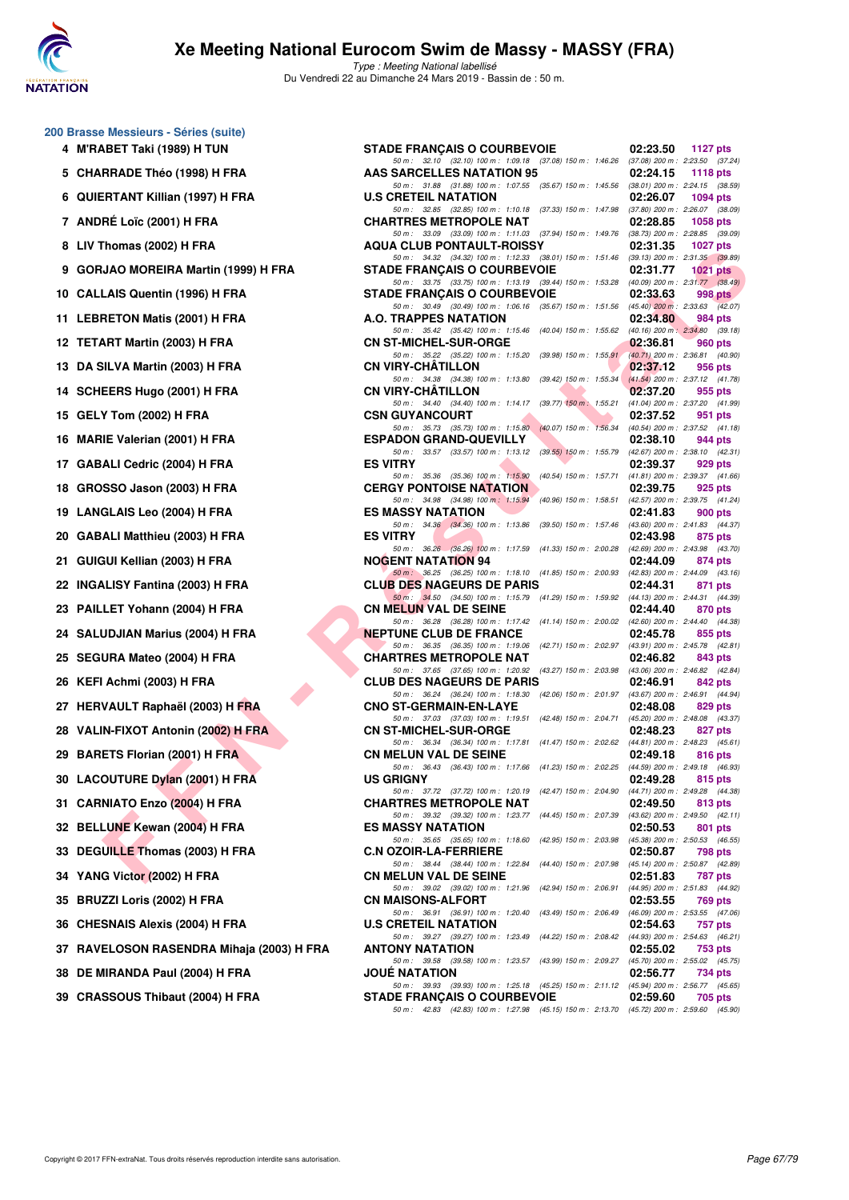

| 4  | 200 Brasse Messieurs - Séries (suite)<br>M'RABET Taki (1989) H TUN |
|----|--------------------------------------------------------------------|
| 5  | <b>CHARRADE Théo (1998) H FRA</b>                                  |
| 6  | <b>QUIERTANT Killian (1997) H FRA</b>                              |
| 7  | <b>ANDRÉ Loïc (2001) H FRA</b>                                     |
| 8  | LIV Thomas (2002) H FRA                                            |
| 9  | GORJAO MOREIRA Martin (1999) H FR                                  |
| 10 | <b>CALLAIS Quentin (1996) H FRA</b>                                |
| 11 | <b>LEBRETON Matis (2001) H FRA</b>                                 |
| 12 | <b>TETART Martin (2003) H FRA</b>                                  |
| 13 | DA SILVA Martin (2003) H FRA                                       |
| 14 | SCHEERS Hugo (2001) H FRA                                          |
| 15 | GELY Tom (2002) H FRA                                              |
| 16 | MARIE Valerian (2001) H FRA                                        |
| 17 | <b>GABALI Cedric (2004) H FRA</b>                                  |
| 18 | GROSSO Jason (2003) H FRA                                          |
| 19 | LANGLAIS Leo (2004) H FRA                                          |
| 20 | <b>GABALI Matthieu (2003) H FRA</b>                                |
| 21 | GUIGUI Kellian (2003) H FRA                                        |
| 22 | <b>INGALISY Fantina (2003) H FRA</b>                               |
| 23 | PAILLET Yohann (2004) H FRA                                        |
| 24 | SALUDJIAN Marius (2004) H FRA                                      |
| 25 | SEGURA Mateo (2004) H FRA                                          |
| 26 | KEFI Achmi (2003) H FRA                                            |
| 27 | <b>HERVAULT Raphaël (2003) H FRA</b>                               |
| 28 | VALIN-FIXOT Antonin (2002) H FRA                                   |
| 29 | BARETS Florian (2001) H FRA                                        |
| 30 | <b>LACOUTURE Dylan (2001) H FRA</b>                                |
| 31 | <b>CARNIATO Enzo (2004) H FRA</b>                                  |
| 32 | <b>BELLUNE Kewan (2004) H FRA</b>                                  |
| 33 | DEGUILLE Thomas (2003) H FRA                                       |
| 34 | YANG Victor (2002) H FRA                                           |
| 35 | BRUZZI Loris (2002) H FRA                                          |
|    | 36 CHESNAIS Alexis (2004) H FRA                                    |
|    | 37 RAVELOSON RASENDRA Mihaja (2003                                 |
| 38 | DE MIRANDA Paul (2004) H FRA                                       |
|    | 39 CRASSOUS Thibaut (2004) H FRA                                   |

| 4 M'RABET Taki (1989) H TUN                 | <b>STADE FRANÇAIS O COURBEVOIE</b>                                                                                                                                                                                         | 02:23.50 | <b>1127 pts</b> |
|---------------------------------------------|----------------------------------------------------------------------------------------------------------------------------------------------------------------------------------------------------------------------------|----------|-----------------|
| 5 CHARRADE Théo (1998) H FRA                | 50 m: 32.10 (32.10) 100 m: 1:09.18 (37.08) 150 m: 1:46.26 (37.08) 200 m: 2:23.50 (37.24)<br>AAS SARCELLES NATATION 95                                                                                                      | 02:24.15 | 1118 pts        |
| 6 QUIERTANT Killian (1997) H FRA            | 50 m: 31.88 (31.88) 100 m: 1:07.55 (35.67) 150 m: 1:45.56 (38.01) 200 m: 2:24.15 (38.59)<br><b>U.S CRETEIL NATATION</b>                                                                                                    | 02:26.07 | 1094 pts        |
| 7 ANDRÉ Loïc (2001) H FRA                   | 50 m: 32.85 (32.85) 100 m: 1:10.18 (37.33) 150 m: 1:47.98 (37.80) 200 m: 2:26.07 (38.09)<br><b>CHARTRES METROPOLE NAT</b>                                                                                                  | 02:28.85 | 1058 pts        |
| 8 LIV Thomas (2002) H FRA                   | 50 m: 33.09 (33.09) 100 m: 1:11.03 (37.94) 150 m: 1:49.76 (38.73) 200 m: 2:28.85 (39.09)<br><b>AQUA CLUB PONTAULT-ROISSY</b>                                                                                               | 02:31.35 | 1027 $p$ ts     |
| 9 GORJAO MOREIRA Martin (1999) H FRA        | 50 m: 34.32 (34.32) 100 m: 1:12.33 (38.01) 150 m: 1:51.46 (39.13) 200 m: 2:31.35 (39.89)<br><b>STADE FRANÇAIS O COURBEVOIE</b>                                                                                             | 02:31.77 | 1021 $pts$      |
| 10 CALLAIS Quentin (1996) H FRA             | 50 m: 33.75 (33.75) 100 m: 1:13.19 (39.44) 150 m: 1:53.28 (40.09) 200 m: 2:31.77 (38.49)<br><b>STADE FRANÇAIS O COURBEVOIE</b>                                                                                             | 02:33.63 | 998 pts         |
| 11 LEBRETON Matis (2001) H FRA              | 50 m: 30.49 (30.49) 100 m: 1:06.16 (35.67) 150 m: 1:51.56 (45.40) 200 m: 2:33.63 (42.07)<br>A.O. TRAPPES NATATION                                                                                                          | 02:34.80 | 984 pts         |
| 12 TETART Martin (2003) H FRA               | 50 m: 35.42 (35.42) 100 m: 1:15.46 (40.04) 150 m: 1:55.62 (40.16) 200 m: 2:34.80 (39.18)<br><b>CN ST-MICHEL-SUR-ORGE</b><br>50 m: 35.22 (35.22) 100 m: 1:15.20 (39.98) 150 m: 1:55.91 (40.71) 200 m: 2:36.81 (40.90)       | 02:36.81 | 960 pts         |
| 13 DA SILVA Martin (2003) H FRA             | <b>CN VIRY-CHATILLON</b><br>50 m: 34.38 (34.38) 100 m: 1:13.80 (39.42) 150 m: 1:55.34 (41.54) 200 m: 2:37.12 (41.78)                                                                                                       | 02:37.12 | 956 pts         |
| 14 SCHEERS Hugo (2001) H FRA                | <b>CN VIRY-CHATILLON</b><br>50 m: 34.40 (34.40) 100 m: 1:14.17 (39.77) 150 m: 1:55.21 (41.04) 200 m: 2:37.20 (41.99)                                                                                                       | 02:37.20 | 955 pts         |
| 15 GELY Tom (2002) H FRA                    | <b>CSN GUYANCOURT</b><br>50 m: 35.73 (35.73) 100 m: 1:15.80 (40.07) 150 m: 1:56.34 (40.54) 200 m: 2:37.52 (41.18)                                                                                                          | 02:37.52 | 951 pts         |
| 16 MARIE Valerian (2001) H FRA              | <b>ESPADON GRAND-QUEVILLY</b>                                                                                                                                                                                              | 02:38.10 | 944 pts         |
| 17 GABALI Cedric (2004) H FRA               | 50 m: 33.57 (33.57) 100 m: 1:13.12 (39.55) 150 m: 1:55.79 (42.67) 200 m: 2:38.10 (42.31)<br><b>ES VITRY</b>                                                                                                                | 02:39.37 | 929 pts         |
| 18 GROSSO Jason (2003) H FRA                | 50 m: 35.36 (35.36) 100 m: 1:15.90 (40.54) 150 m: 1:57.71 (41.81) 200 m: 2:39.37 (41.66)<br><b>CERGY PONTOISE NATATION</b>                                                                                                 | 02:39.75 | 925 pts         |
| 19 LANGLAIS Leo (2004) H FRA                | 50 m: 34.98 (34.98) 100 m: 1:15.94 (40.96) 150 m: 1:58.51 (42.57) 200 m: 2:39.75 (41.24)<br><b>ES MASSY NATATION</b>                                                                                                       | 02:41.83 | 900 pts         |
| 20 GABALI Matthieu (2003) H FRA             | 50 m: 34.36 (34.36) 100 m: 1:13.86 (39.50) 150 m: 1:57.46 (43.60) 200 m: 2:41.83 (44.37)<br><b>ES VITRY</b>                                                                                                                | 02:43.98 | 875 pts         |
| 21 GUIGUI Kellian (2003) H FRA              | 50 m: 36.26 (36.26) 100 m: 1:17.59 (41.33) 150 m: 2:00.28 (42.69) 200 m: 2:43.98 (43.70)<br><b>NOGENT NATATION 94</b>                                                                                                      | 02:44.09 | 874 pts         |
| 22 INGALISY Fantina (2003) H FRA            | 50 m: 36.25 (36.25) 100 m: 1:18.10 (41.85) 150 m: 2:00.93 (42.83) 200 m: 2:44.09 (43.16)<br><b>CLUB DES NAGEURS DE PARIS</b>                                                                                               | 02:44.31 | 871 pts         |
| 23 PAILLET Yohann (2004) H FRA              | 50 m: 34.50 (34.50) 100 m: 1:15.79 (41.29) 150 m: 1:59.92 (44.13) 200 m: 2:44.31 (44.39)<br><b>CN MELUN VAL DE SEINE</b>                                                                                                   | 02:44.40 | 870 pts         |
| 24 SALUDJIAN Marius (2004) H FRA            | 50 m: 36.28 (36.28) 100 m: 1:17.42 (41.14) 150 m: 2:00.02 (42.60) 200 m: 2:44.40 (44.38)<br><b>NEPTUNE CLUB DE FRANCE</b>                                                                                                  | 02:45.78 | 855 pts         |
| 25 SEGURA Mateo (2004) H FRA                | 50 m: 36.35 (36.35) 100 m: 1:19.06 (42.71) 150 m: 2:02.97 (43.91) 200 m: 2:45.78 (42.81)<br><b>CHARTRES METROPOLE NAT</b>                                                                                                  | 02:46.82 | 843 pts         |
| 26 KEFI Achmi (2003) H FRA                  | 50 m: 37.65 (37.65) 100 m: 1:20.92 (43.27) 150 m: 2:03.98 (43.06) 200 m: 2:46.82 (42.84)<br><b>CLUB DES NAGEURS DE PARIS</b>                                                                                               | 02:46.91 | 842 pts         |
| 27 HERVAULT Raphaël (2003) H FRA            | 50 m: 36.24 (36.24) 100 m: 1:18.30 (42.06) 150 m: 2:01.97 (43.67) 200 m: 2:46.91 (44.94)<br><b>CNO ST-GERMAIN-EN-LAYE</b>                                                                                                  | 02:48.08 | 829 pts         |
| 28 VALIN-FIXOT Antonin (2002) H FRA         | 50 m: 37.03 (37.03) 100 m: 1:19.51 (42.48) 150 m: 2:04.71 (45.20) 200 m: 2:48.08 (43.37)<br><b>CN ST-MICHEL-SUR-ORGE</b>                                                                                                   | 02:48.23 | 827 pts         |
| 29 BARETS Florian (2001) H FRA              | 50 m: 36.34 (36.34) 100 m: 1:17.81 (41.47) 150 m: 2:02.62 (44.81) 200 m: 2:48.23 (45.61)<br><b>CN MELUN VAL DE SEINE</b>                                                                                                   | 02:49.18 | 816 pts         |
| 30 LACOUTURE Dylan (2001) H FRA             | 50 m: 36.43 (36.43) 100 m: 1:17.66 (41.23) 150 m: 2:02.25 (44.59) 200 m: 2:49.18 (46.93)<br><b>US GRIGNY</b>                                                                                                               | 02:49.28 | 815 pts         |
| 31 CARNIATO Enzo (2004) H FRA               | 50 m: 37.72 (37.72) 100 m: 1:20.19 (42.47) 150 m: 2:04.90 (44.71) 200 m: 2:49.28 (44.38)<br><b>CHARTRES METROPOLE NAT</b>                                                                                                  | 02:49.50 | 813 pts         |
| 32 BELLUNE Kewan (2004) H FRA               | 50 m: 39.32 (39.32) 100 m: 1:23.77 (44.45) 150 m: 2:07.39 (43.62) 200 m: 2:49.50 (42.11)<br><b>ES MASSY NATATION</b>                                                                                                       | 02:50.53 | 801 pts         |
| 33 DEGUILLE Thomas (2003) H FRA             | 50 m: 35.65 (35.65) 100 m: 1:18.60<br>(42.95) 150 m : 2:03.98 (45.38) 200 m : 2:50.53 (46.55)<br><b>C.N OZOIR-LA-FERRIERE</b>                                                                                              | 02:50.87 | 798 pts         |
| 34 YANG Victor (2002) H FRA                 | 50 m: 38.44 (38.44) 100 m: 1:22.84 (44.40) 150 m: 2:07.98 (45.14) 200 m: 2:50.87 (42.89)<br><b>CN MELUN VAL DE SEINE</b>                                                                                                   | 02:51.83 | 787 pts         |
| 35 BRUZZI Loris (2002) H FRA                | 50 m: 39.02 (39.02) 100 m: 1:21.96 (42.94) 150 m: 2:06.91 (44.95) 200 m: 2:51.83 (44.92)<br><b>CN MAISONS-ALFORT</b>                                                                                                       | 02:53.55 | 769 pts         |
| 36   CHESNAIS Alexis (2004) H FRA           | 50 m: 36.91 (36.91) 100 m: 1:20.40 (43.49) 150 m: 2:06.49 (46.09) 200 m: 2:53.55 (47.06)<br><b>U.S CRETEIL NATATION</b>                                                                                                    | 02:54.63 | 757 pts         |
| 37   RAVELOSON RASENDRA Mihaja (2003) H FRA | 50 m : 39.27 (39.27) 100 m : 1:23.49 (44.22) 150 m : 2:08.42 (44.93) 200 m : 2:54.63 (46.21)<br><b>ANTONY NATATION</b>                                                                                                     | 02:55.02 | 753 pts         |
|                                             | 50 m: 39.58 (39.58) 100 m: 1:23.57 (43.99) 150 m: 2:09.27 (45.70) 200 m: 2:55.02 (45.75)                                                                                                                                   |          |                 |
| 38 DE MIRANDA Paul (2004) H FRA             | <b>JOUE NATATION</b>                                                                                                                                                                                                       | 02:56.77 | 734 pts         |
| 39 CRASSOUS Thibaut (2004) H FRA            | 50 m: 39.93 (39.93) 100 m: 1:25.18 (45.25) 150 m: 2:11.12 (45.94) 200 m: 2:56.77 (45.65)<br><b>STADE FRANÇAIS O COURBEVOIE</b><br>50 m: 42.83 (42.83) 100 m: 1:27.98 (45.15) 150 m: 2:13.70 (45.72) 200 m: 2:59.60 (45.90) | 02:59.60 | 705 pts         |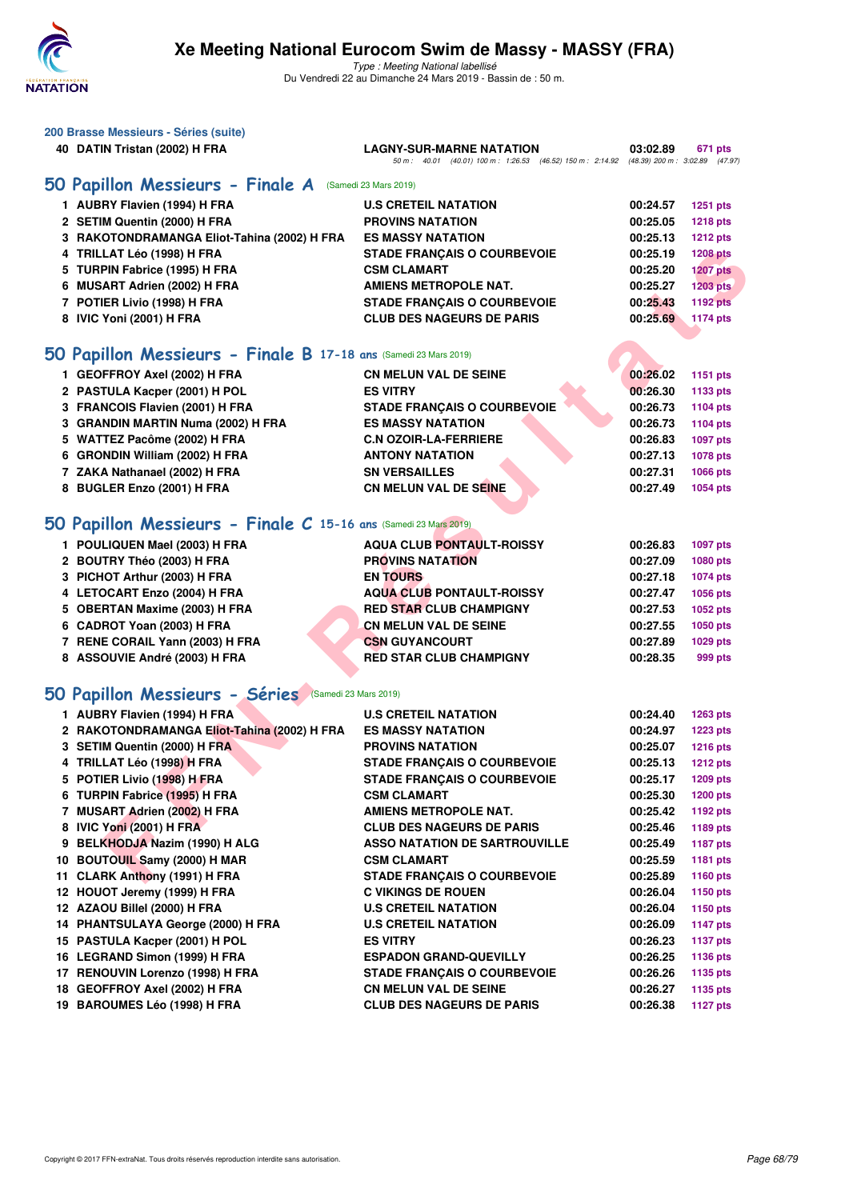

| 200 Brasse Messieurs - Séries (suite)                            |                                                                                                                             |          |                 |
|------------------------------------------------------------------|-----------------------------------------------------------------------------------------------------------------------------|----------|-----------------|
| 40 DATIN Tristan (2002) H FRA                                    | <b>LAGNY-SUR-MARNE NATATION</b><br>50 m: 40.01 (40.01) 100 m: 1:26.53 (46.52) 150 m: 2:14.92 (48.39) 200 m: 3:02.89 (47.97) | 03:02.89 | 671 pts         |
| 50 Papillon Messieurs - Finale A                                 | (Samedi 23 Mars 2019)                                                                                                       |          |                 |
|                                                                  | <b>U.S CRETEIL NATATION</b>                                                                                                 |          |                 |
| 1 AUBRY Flavien (1994) H FRA                                     |                                                                                                                             | 00:24.57 | <b>1251 pts</b> |
| 2 SETIM Quentin (2000) H FRA                                     | <b>PROVINS NATATION</b>                                                                                                     | 00:25.05 | <b>1218 pts</b> |
| 3 RAKOTONDRAMANGA Eliot-Tahina (2002) H FRA                      | <b>ES MASSY NATATION</b>                                                                                                    | 00:25.13 | <b>1212 pts</b> |
| 4 TRILLAT Léo (1998) H FRA                                       | <b>STADE FRANÇAIS O COURBEVOIE</b>                                                                                          | 00:25.19 | <b>1208 pts</b> |
| 5 TURPIN Fabrice (1995) H FRA                                    | <b>CSM CLAMART</b>                                                                                                          | 00:25.20 | <b>1207 pts</b> |
| 6 MUSART Adrien (2002) H FRA                                     | AMIENS METROPOLE NAT.                                                                                                       | 00:25.27 | 1203 pts        |
| 7 POTIER Livio (1998) H FRA                                      | <b>STADE FRANÇAIS O COURBEVOIE</b>                                                                                          | 00:25.43 | <b>1192 pts</b> |
| 8 IVIC Yoni (2001) H FRA                                         | <b>CLUB DES NAGEURS DE PARIS</b>                                                                                            | 00:25.69 | <b>1174 pts</b> |
| 50 Papillon Messieurs - Finale B 17-18 ans (Samedi 23 Mars 2019) |                                                                                                                             |          |                 |
| 1 GEOFFROY Axel (2002) H FRA                                     | <b>CN MELUN VAL DE SEINE</b>                                                                                                | 00:26.02 | 1151 pts        |
| 2 PASTULA Kacper (2001) H POL                                    | <b>ES VITRY</b>                                                                                                             | 00:26.30 | 1133 pts        |
| 3 FRANCOIS Flavien (2001) H FRA                                  | <b>STADE FRANÇAIS O COURBEVOIE</b>                                                                                          | 00:26.73 | 1104 pts        |
| 3 GRANDIN MARTIN Numa (2002) H FRA                               | <b>ES MASSY NATATION</b>                                                                                                    | 00:26.73 | 1104 pts        |
| 5 WATTEZ Pacôme (2002) H FRA                                     | <b>C.N OZOIR-LA-FERRIERE</b>                                                                                                | 00:26.83 | 1097 pts        |
| 6 GRONDIN William (2002) H FRA                                   | <b>ANTONY NATATION</b>                                                                                                      | 00:27.13 | 1078 pts        |
| 7 ZAKA Nathanael (2002) H FRA                                    | <b>SN VERSAILLES</b>                                                                                                        | 00:27.31 | 1066 pts        |
| 8 BUGLER Enzo (2001) H FRA                                       | <b>CN MELUN VAL DE SEINE</b>                                                                                                | 00:27.49 | 1054 pts        |
|                                                                  |                                                                                                                             |          |                 |
| 50 Papillon Messieurs - Finale C 15-16 ans (Samedi 23 Mars 2019) |                                                                                                                             |          |                 |
| 1 POULIQUEN Mael (2003) H FRA                                    | <b>AQUA CLUB PONTAULT-ROISSY</b>                                                                                            | 00:26.83 | 1097 pts        |
| 2 BOUTRY Théo (2003) H FRA                                       | <b>PROVINS NATATION</b>                                                                                                     | 00:27.09 | 1080 pts        |
| 3 PICHOT Arthur (2003) H FRA                                     | <b>EN TOURS</b>                                                                                                             | 00:27.18 | 1074 pts        |
| 4 LETOCART Enzo (2004) H FRA                                     | <b>AQUA CLUB PONTAULT-ROISSY</b>                                                                                            | 00:27.47 | 1056 pts        |
| 5 OBERTAN Maxime (2003) H FRA                                    | <b>RED STAR CLUB CHAMPIGNY</b>                                                                                              | 00:27.53 | 1052 pts        |
| 6 CADROT Yoan (2003) H FRA                                       | <b>CN MELUN VAL DE SEINE</b>                                                                                                | 00:27.55 | 1050 pts        |
| 7 RENE CORAIL Yann (2003) H FRA                                  | <b>CSN GUYANCOURT</b>                                                                                                       | 00:27.89 | 1029 pts        |
| 8 ASSOUVIE André (2003) H FRA                                    | <b>RED STAR CLUB CHAMPIGNY</b>                                                                                              | 00:28.35 | 999 pts         |
| 50 Papillon Messieurs - Séries (Samedi 23 Mars 2019)             |                                                                                                                             |          |                 |
|                                                                  |                                                                                                                             |          |                 |
| 1 AUBRY Flavien (1994) H FRA                                     | <b>U.S CRETEIL NATATION</b>                                                                                                 | 00:24.40 | 1263 pts        |
| 2 RAKOTONDRAMANGA Eliot-Tahina (2002) H FRA                      | <b>ES MASSY NATATION</b>                                                                                                    | 00:24.97 | <b>1223 pts</b> |
| 3 SETIM Quentin (2000) H FRA                                     | <b>PROVINS NATATION</b>                                                                                                     | 00:25.07 | <b>1216 pts</b> |
| 4 TRILLAT Léo (1998) H FRA                                       | <b>STADE FRANCAIS O COURBEVOIE</b>                                                                                          | 00:25.13 | <b>1212 pts</b> |
| 5 POTIER Livio (1998) H FRA                                      | <b>STADE FRANÇAIS O COURBEVOIE</b>                                                                                          | 00:25.17 | <b>1209 pts</b> |
| 6 TURPIN Fabrice (1995) H FRA                                    | <b>CSM CLAMART</b>                                                                                                          | 00:25.30 | <b>1200 pts</b> |
| 7 MUSART Adrien (2002) H FRA                                     | <b>AMIENS METROPOLE NAT.</b>                                                                                                | 00:25.42 | 1192 pts        |
| 8 IVIC Yoni (2001) H FRA                                         | <b>CLUB DES NAGEURS DE PARIS</b>                                                                                            | 00:25.46 | 1189 pts        |
| 9 BELKHODJA Nazim (1990) H ALG                                   | <b>ASSO NATATION DE SARTROUVILLE</b>                                                                                        | 00:25.49 | <b>1187 pts</b> |
| 10 BOUTOUIL Samy (2000) H MAR                                    | <b>CSM CLAMART</b>                                                                                                          | 00:25.59 | 1181 pts        |
| 11 CLARK Anthony (1991) H FRA                                    | <b>STADE FRANÇAIS O COURBEVOIE</b>                                                                                          | 00:25.89 | 1160 pts        |
| 12 HOUOT Jeremy (1999) H FRA                                     | <b>C VIKINGS DE ROUEN</b>                                                                                                   | 00:26.04 | 1150 pts        |
| 12 AZAOU Billel (2000) H FRA                                     | <b>U.S CRETEIL NATATION</b>                                                                                                 | 00:26.04 | 1150 pts        |
| 14 PHANTSULAYA George (2000) H FRA                               | <b>U.S CRETEIL NATATION</b>                                                                                                 | 00:26.09 | <b>1147 pts</b> |
| 15 PASTULA Kacper (2001) H POL                                   | <b>ES VITRY</b>                                                                                                             | 00:26.23 | <b>1137 pts</b> |
| 16 LEGRAND Simon (1999) H FRA                                    | <b>ESPADON GRAND-QUEVILLY</b>                                                                                               | 00:26.25 | 1136 pts        |
| 17 RENOUVIN Lorenzo (1998) H FRA                                 | <b>STADE FRANÇAIS O COURBEVOIE</b>                                                                                          | 00:26.26 | 1135 pts        |
| 18 GEOFFROY Axel (2002) H FRA                                    | <b>CN MELUN VAL DE SEINE</b>                                                                                                | 00:26.27 | 1135 pts        |
| 19 BAROUMES Léo (1998) H FRA                                     | <b>CLUB DES NAGEURS DE PARIS</b>                                                                                            | 00:26.38 | <b>1127 pts</b> |
|                                                                  |                                                                                                                             |          |                 |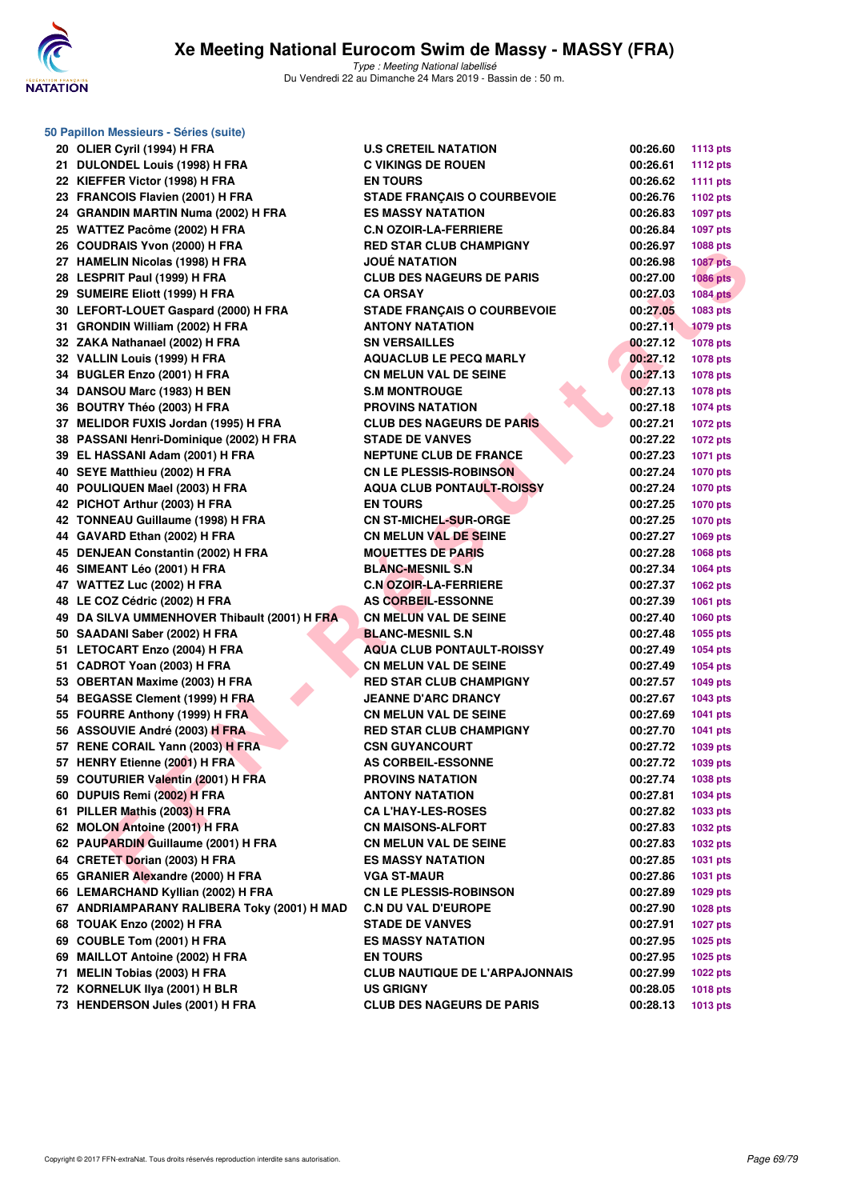

| 50 Papillon Messieurs - Séries (suite)       |                                       |          |                 |  |  |  |  |  |
|----------------------------------------------|---------------------------------------|----------|-----------------|--|--|--|--|--|
| 20 OLIER Cyril (1994) H FRA                  | <b>U.S CRETEIL NATATION</b>           | 00:26.60 | <b>1113 pts</b> |  |  |  |  |  |
| 21 DULONDEL Louis (1998) H FRA               | <b>C VIKINGS DE ROUEN</b>             | 00:26.61 | <b>1112 pts</b> |  |  |  |  |  |
| 22 KIEFFER Victor (1998) H FRA               | <b>EN TOURS</b>                       | 00:26.62 | <b>1111 pts</b> |  |  |  |  |  |
| 23 FRANCOIS Flavien (2001) H FRA             | <b>STADE FRANÇAIS O COURBEVOIE</b>    | 00:26.76 | 1102 pts        |  |  |  |  |  |
| 24 GRANDIN MARTIN Numa (2002) H FRA          | <b>ES MASSY NATATION</b>              | 00:26.83 | 1097 pts        |  |  |  |  |  |
| 25 WATTEZ Pacôme (2002) H FRA                | <b>C.N OZOIR-LA-FERRIERE</b>          | 00:26.84 | 1097 pts        |  |  |  |  |  |
| 26 COUDRAIS Yvon (2000) H FRA                | <b>RED STAR CLUB CHAMPIGNY</b>        | 00:26.97 | 1088 pts        |  |  |  |  |  |
| 27 HAMELIN Nicolas (1998) H FRA              | <b>JOUE NATATION</b>                  | 00:26.98 | <b>1087 pts</b> |  |  |  |  |  |
| 28 LESPRIT Paul (1999) H FRA                 | <b>CLUB DES NAGEURS DE PARIS</b>      | 00:27.00 | <b>1086 pts</b> |  |  |  |  |  |
| 29 SUMEIRE Eliott (1999) H FRA               | <b>CA ORSAY</b>                       | 00:27.03 | <b>1084 pts</b> |  |  |  |  |  |
| 30 LEFORT-LOUET Gaspard (2000) H FRA         | <b>STADE FRANÇAIS O COURBEVOIE</b>    | 00:27.05 | 1083 pts        |  |  |  |  |  |
| 31 GRONDIN William (2002) H FRA              | <b>ANTONY NATATION</b>                | 00:27.11 | <b>1079 pts</b> |  |  |  |  |  |
| 32 ZAKA Nathanael (2002) H FRA               | <b>SN VERSAILLES</b>                  | 00:27.12 | <b>1078 pts</b> |  |  |  |  |  |
| 32 VALLIN Louis (1999) H FRA                 | <b>AQUACLUB LE PECQ MARLY</b>         | 00:27.12 | 1078 pts        |  |  |  |  |  |
| 34 BUGLER Enzo (2001) H FRA                  | <b>CN MELUN VAL DE SEINE</b>          | 00:27.13 | 1078 pts        |  |  |  |  |  |
| 34 DANSOU Marc (1983) H BEN                  | <b>S.M MONTROUGE</b>                  | 00:27.13 | 1078 pts        |  |  |  |  |  |
| 36 BOUTRY Théo (2003) H FRA                  | <b>PROVINS NATATION</b>               | 00:27.18 | <b>1074 pts</b> |  |  |  |  |  |
| 37 MELIDOR FUXIS Jordan (1995) H FRA         | <b>CLUB DES NAGEURS DE PARIS</b>      | 00:27.21 | <b>1072 pts</b> |  |  |  |  |  |
| 38 PASSANI Henri-Dominique (2002) H FRA      | <b>STADE DE VANVES</b>                | 00:27.22 | <b>1072 pts</b> |  |  |  |  |  |
| 39 EL HASSANI Adam (2001) H FRA              | <b>NEPTUNE CLUB DE FRANCE</b>         | 00:27.23 | 1071 pts        |  |  |  |  |  |
| 40 SEYE Matthieu (2002) H FRA                | <b>CN LE PLESSIS-ROBINSON</b>         | 00:27.24 | <b>1070 pts</b> |  |  |  |  |  |
| 40 POULIQUEN Mael (2003) H FRA               | <b>AQUA CLUB PONTAULT-ROISSY</b>      | 00:27.24 | <b>1070 pts</b> |  |  |  |  |  |
| 42 PICHOT Arthur (2003) H FRA                | <b>EN TOURS</b>                       | 00:27.25 | <b>1070 pts</b> |  |  |  |  |  |
| 42 TONNEAU Guillaume (1998) H FRA            | <b>CN ST-MICHEL-SUR-ORGE</b>          | 00:27.25 | <b>1070 pts</b> |  |  |  |  |  |
| 44 GAVARD Ethan (2002) H FRA                 | <b>CN MELUN VAL DE SEINE</b>          | 00:27.27 | 1069 pts        |  |  |  |  |  |
| 45 DENJEAN Constantin (2002) H FRA           | <b>MOUETTES DE PARIS</b>              | 00:27.28 | 1068 pts        |  |  |  |  |  |
| 46 SIMEANT Léo (2001) H FRA                  | <b>BLANC-MESNIL S.N</b>               | 00:27.34 | 1064 pts        |  |  |  |  |  |
| 47 WATTEZ Luc (2002) H FRA                   | <b>C.N OZOIR-LA-FERRIERE</b>          | 00:27.37 | <b>1062 pts</b> |  |  |  |  |  |
| 48 LE COZ Cédric (2002) H FRA                | <b>AS CORBEIL-ESSONNE</b>             | 00:27.39 | 1061 pts        |  |  |  |  |  |
| 49 DA SILVA UMMENHOVER Thibault (2001) H FRA | <b>CN MELUN VAL DE SEINE</b>          | 00:27.40 | 1060 pts        |  |  |  |  |  |
| 50 SAADANI Saber (2002) H FRA                | <b>BLANC-MESNIL S.N</b>               | 00:27.48 | 1055 pts        |  |  |  |  |  |
| 51 LETOCART Enzo (2004) H FRA                | <b>AQUA CLUB PONTAULT-ROISSY</b>      | 00:27.49 | 1054 pts        |  |  |  |  |  |
| 51 CADROT Yoan (2003) H FRA                  | <b>CN MELUN VAL DE SEINE</b>          | 00:27.49 | 1054 pts        |  |  |  |  |  |
| 53 OBERTAN Maxime (2003) H FRA               | <b>RED STAR CLUB CHAMPIGNY</b>        | 00:27.57 | 1049 pts        |  |  |  |  |  |
| 54 BEGASSE Clement (1999) H FRA              | <b>JEANNE D'ARC DRANCY</b>            | 00:27.67 | 1043 pts        |  |  |  |  |  |
| 55 FOURRE Anthony (1999) H FRA               | <b>CN MELUN VAL DE SEINE</b>          | 00:27.69 | <b>1041 pts</b> |  |  |  |  |  |
| 56 ASSOUVIE André (2003) H FRA               | <b>RED STAR CLUB CHAMPIGNY</b>        | 00:27.70 | <b>1041 pts</b> |  |  |  |  |  |
| 57 RENE CORAIL Yann (2003) H FRA             | <b>CSN GUYANCOURT</b>                 | 00:27.72 | 1039 pts        |  |  |  |  |  |
| 57 HENRY Etienne (2001) H FRA                | AS CORBEIL-ESSONNE                    | 00:27.72 | 1039 pts        |  |  |  |  |  |
| 59 COUTURIER Valentin (2001) H FRA           | <b>PROVINS NATATION</b>               | 00:27.74 | 1038 pts        |  |  |  |  |  |
| 60 DUPUIS Remi (2002) H FRA                  | <b>ANTONY NATATION</b>                | 00:27.81 | 1034 pts        |  |  |  |  |  |
| 61 PILLER Mathis (2003) H FRA                | <b>CA L'HAY-LES-ROSES</b>             | 00:27.82 | 1033 pts        |  |  |  |  |  |
| 62 MOLON Antoine (2001) H FRA                | <b>CN MAISONS-ALFORT</b>              | 00:27.83 | 1032 pts        |  |  |  |  |  |
| 62 PAUPARDIN Guillaume (2001) H FRA          | <b>CN MELUN VAL DE SEINE</b>          | 00:27.83 | 1032 pts        |  |  |  |  |  |
| 64 CRETET Dorian (2003) H FRA                | <b>ES MASSY NATATION</b>              | 00:27.85 | 1031 pts        |  |  |  |  |  |
| 65 GRANIER Alexandre (2000) H FRA            | <b>VGA ST-MAUR</b>                    | 00:27.86 | 1031 pts        |  |  |  |  |  |
| 66 LEMARCHAND Kyllian (2002) H FRA           | <b>CN LE PLESSIS-ROBINSON</b>         | 00:27.89 | 1029 pts        |  |  |  |  |  |
| 67 ANDRIAMPARANY RALIBERA Toky (2001) H MAD  | <b>C.N DU VAL D'EUROPE</b>            | 00:27.90 | 1028 pts        |  |  |  |  |  |
| 68 TOUAK Enzo (2002) H FRA                   | <b>STADE DE VANVES</b>                | 00:27.91 | <b>1027 pts</b> |  |  |  |  |  |
| 69 COUBLE Tom (2001) H FRA                   | <b>ES MASSY NATATION</b>              | 00:27.95 | 1025 pts        |  |  |  |  |  |
| 69 MAILLOT Antoine (2002) H FRA              | <b>EN TOURS</b>                       | 00:27.95 | 1025 pts        |  |  |  |  |  |
| 71 MELIN Tobias (2003) H FRA                 | <b>CLUB NAUTIQUE DE L'ARPAJONNAIS</b> | 00:27.99 | 1022 pts        |  |  |  |  |  |
| 72 KORNELUK IIya (2001) H BLR                | <b>US GRIGNY</b>                      | 00:28.05 | 1018 pts        |  |  |  |  |  |
| 73 HENDERSON Jules (2001) H FRA              | <b>CLUB DES NAGEURS DE PARIS</b>      | 00:28.13 | 1013 pts        |  |  |  |  |  |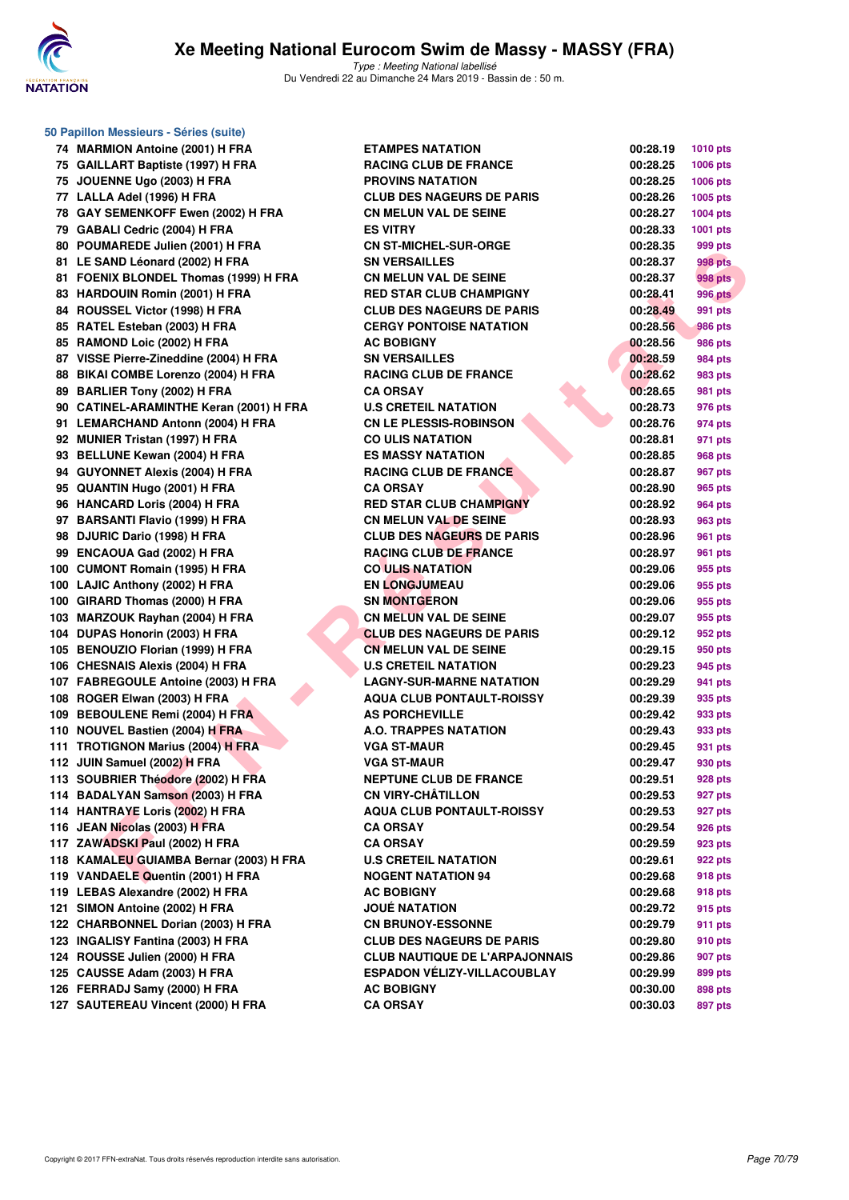

**50 Papillon Messieurs - Séries (suite)**

| 74         | <b>MARMION Antoine (2001) H FRA</b>                        | Е      |
|------------|------------------------------------------------------------|--------|
| 75         | <b>GAILLART Baptiste (1997) H FRA</b>                      | R      |
| 75         | JOUENNE Ugo (2003) H FRA                                   | P      |
| 77         | LALLA Adel (1996) H FRA                                    | c      |
| 78         | GAY SEMENKOFF Ewen (2002) H FRA                            | c      |
| 79         | GABALI Cedric (2004) H FRA                                 | E      |
| 80         | POUMAREDE Julien (2001) H FRA                              | C      |
| 81         | LE SAND Léonard (2002) H FRA                               | s      |
| 81         | <b>FOENIX BLONDEL Thomas (1999) H FRA</b>                  | c      |
| 83         | <b>HARDOUIN Romin (2001) H FRA</b>                         | R      |
| 84         | ROUSSEL Victor (1998) H FRA                                | c      |
| 85         | RATEL Esteban (2003) H FRA                                 | C      |
| 85         | RAMOND Loic (2002) H FRA                                   | Α      |
| 87         | VISSE Pierre-Zineddine (2004) H FRA                        | s      |
| 88         | BIKAI COMBE Lorenzo (2004) H FRA                           | R      |
| 89         | <b>BARLIER Tony (2002) H FRA</b>                           | C      |
| 90         | <b>CATINEL-ARAMINTHE Keran (2001) H FRA</b>                | U      |
| 91         | <b>LEMARCHAND Antonn (2004) H FRA</b>                      | c      |
| 92         | <b>MUNIER Tristan (1997) H FRA</b>                         | c      |
| 93         | <b>BELLUNE Kewan (2004) H FRA</b>                          | Е      |
| 94         | <b>GUYONNET Alexis (2004) H FRA</b>                        | R      |
| 95         | QUANTIN Hugo (2001) H FRA                                  | c      |
| 96         | <b>HANCARD Loris (2004) H FRA</b>                          | R      |
| 97         | <b>BARSANTI Flavio (1999) H FRA</b>                        | C      |
| 98         | DJURIC Dario (1998) H FRA                                  | c      |
| 99         | ENCAOUA Gad (2002) H FRA                                   | R      |
| 100        | <b>CUMONT Romain (1995) H FRA</b>                          | c      |
| 100        | LAJIC Anthony (2002) H FRA                                 | Е      |
| 100        | GIRARD Thomas (2000) H FRA                                 | s      |
| 103        | <b>MARZOUK Rayhan (2004) H FRA</b>                         | c      |
| 104        | DUPAS Honorin (2003) H FRA                                 | C      |
| 105        | <b>BENOUZIO Florian (1999) H FRA</b>                       | c      |
| 106        | <b>CHESNAIS Alexis (2004) H FRA</b>                        | U      |
| 107        | <b>FABREGOULE Antoine (2003) H FRA</b>                     | L,     |
| 108        | ROGER Elwan (2003) H FRA                                   | Α      |
| 109        | <b>BEBOULENE Remi (2004) H FRA</b>                         | Α      |
| 110        | NOUVEL Bastien (2004) H FRA                                | A      |
| 111        | <b>TROTIGNON Marius (2004) H FRA</b>                       | ۷      |
|            |                                                            | ۷      |
| 112<br>113 | JUIN Samuel (2002) H FRA<br>SOUBRIER Théodore (2002) H FRA | N      |
|            | 114 BADALYAN Samson (2003) H FRA                           | c      |
| 114        | <b>HANTRAYE Loris (2002) H FRA</b>                         | Α      |
|            | 116 JEAN Nicolas (2003) H FRA                              | C      |
|            |                                                            |        |
|            | 117 ZAWADSKI Paul (2002) H FRA                             | c<br>U |
|            | 118 KAMALEU GUIAMBA Bernar (2003) H FRA                    | Ν      |
|            | 119 VANDAELE Quentin (2001) H FRA                          |        |
|            | 119 LEBAS Alexandre (2002) H FRA                           | A      |
|            | 121 SIMON Antoine (2002) H FRA                             | J١     |
|            | 122 CHARBONNEL Dorian (2003) H FRA                         | C      |
|            | 123 INGALISY Fantina (2003) H FRA                          | C      |
|            | 124 ROUSSE Julien (2000) H FRA                             | c      |
|            | 125 CAUSSE Adam (2003) H FRA                               | Е      |
|            | 126 FERRADJ Samy (2000) H FRA                              | Α      |
|            | 127 SAUTEREAU Vincent (2000) H FRA                         | C      |

| 74 MARMION Antoine (2001) H FRA         | <b>ETAMPES NATATION</b>               | 00:28.19 | <b>1010 pts</b> |
|-----------------------------------------|---------------------------------------|----------|-----------------|
| 75 GAILLART Baptiste (1997) H FRA       | <b>RACING CLUB DE FRANCE</b>          | 00:28.25 | 1006 pts        |
| 75 JOUENNE Ugo (2003) H FRA             | <b>PROVINS NATATION</b>               | 00:28.25 | <b>1006 pts</b> |
| 77 LALLA Adel (1996) H FRA              | <b>CLUB DES NAGEURS DE PARIS</b>      | 00:28.26 | <b>1005 pts</b> |
| 78 GAY SEMENKOFF Ewen (2002) H FRA      | <b>CN MELUN VAL DE SEINE</b>          | 00:28.27 | <b>1004 pts</b> |
| 79 GABALI Cedric (2004) H FRA           | <b>ES VITRY</b>                       | 00:28.33 | 1001 pts        |
| 80 POUMAREDE Julien (2001) H FRA        | <b>CN ST-MICHEL-SUR-ORGE</b>          | 00:28.35 | 999 pts         |
| 81 LE SAND Léonard (2002) H FRA         | <b>SN VERSAILLES</b>                  | 00:28.37 | 998 pts         |
| 81 FOENIX BLONDEL Thomas (1999) H FRA   | <b>CN MELUN VAL DE SEINE</b>          | 00:28.37 | 998 pts         |
| 83 HARDOUIN Romin (2001) H FRA          | <b>RED STAR CLUB CHAMPIGNY</b>        | 00:28.41 | <b>996 pts</b>  |
| 84 ROUSSEL Victor (1998) H FRA          | <b>CLUB DES NAGEURS DE PARIS</b>      | 00:28.49 | 991 pts         |
| 85 RATEL Esteban (2003) H FRA           | <b>CERGY PONTOISE NATATION</b>        | 00:28.56 | 986 pts         |
| 85 RAMOND Loic (2002) H FRA             | <b>AC BOBIGNY</b>                     | 00:28.56 | 986 pts         |
| 87 VISSE Pierre-Zineddine (2004) H FRA  | <b>SN VERSAILLES</b>                  | 00:28.59 | 984 pts         |
| 88 BIKAI COMBE Lorenzo (2004) H FRA     | <b>RACING CLUB DE FRANCE</b>          | 00:28.62 | 983 pts         |
| 89 BARLIER Tony (2002) H FRA            | <b>CA ORSAY</b>                       | 00:28.65 | 981 pts         |
| 90 CATINEL-ARAMINTHE Keran (2001) H FRA | <b>U.S CRETEIL NATATION</b>           | 00:28.73 | 976 pts         |
| 91 LEMARCHAND Antonn (2004) H FRA       | <b>CN LE PLESSIS-ROBINSON</b>         | 00:28.76 | 974 pts         |
| 92 MUNIER Tristan (1997) H FRA          | <b>CO ULIS NATATION</b>               | 00:28.81 | 971 pts         |
| 93 BELLUNE Kewan (2004) H FRA           | <b>ES MASSY NATATION</b>              | 00:28.85 | 968 pts         |
| 94 GUYONNET Alexis (2004) H FRA         | <b>RACING CLUB DE FRANCE</b>          | 00:28.87 | 967 pts         |
| 95 QUANTIN Hugo (2001) H FRA            | <b>CA ORSAY</b>                       | 00:28.90 | 965 pts         |
| 96 HANCARD Loris (2004) H FRA           | <b>RED STAR CLUB CHAMPIGNY</b>        | 00:28.92 | 964 pts         |
| 97 BARSANTI Flavio (1999) H FRA         | <b>CN MELUN VAL DE SEINE</b>          | 00:28.93 | 963 pts         |
| 98 DJURIC Dario (1998) H FRA            | <b>CLUB DES NAGEURS DE PARIS</b>      | 00:28.96 | 961 pts         |
| 99 ENCAOUA Gad (2002) H FRA             | <b>RACING CLUB DE FRANCE</b>          | 00:28.97 | 961 pts         |
| 100 CUMONT Romain (1995) H FRA          | <b>CO ULIS NATATION</b>               | 00:29.06 | 955 pts         |
| 100 LAJIC Anthony (2002) H FRA          | <b>EN LONGJUMEAU</b>                  | 00:29.06 | 955 pts         |
| 100 GIRARD Thomas (2000) H FRA          | <b>SN MONTGERON</b>                   | 00:29.06 | 955 pts         |
| 103 MARZOUK Rayhan (2004) H FRA         | <b>CN MELUN VAL DE SEINE</b>          | 00:29.07 | 955 pts         |
| 104 DUPAS Honorin (2003) H FRA          | <b>CLUB DES NAGEURS DE PARIS</b>      | 00:29.12 | 952 pts         |
| 105 BENOUZIO Florian (1999) H FRA       | <b>CN MELUN VAL DE SEINE</b>          | 00:29.15 | 950 pts         |
| 106 CHESNAIS Alexis (2004) H FRA        | <b>U.S CRETEIL NATATION</b>           | 00:29.23 | 945 pts         |
| 107 FABREGOULE Antoine (2003) H FRA     | <b>LAGNY-SUR-MARNE NATATION</b>       | 00:29.29 | 941 pts         |
| 108 ROGER Elwan (2003) H FRA            | <b>AQUA CLUB PONTAULT-ROISSY</b>      | 00:29.39 | 935 pts         |
| 109 BEBOULENE Remi (2004) H FRA         | <b>AS PORCHEVILLE</b>                 | 00:29.42 | 933 pts         |
| 110 NOUVEL Bastien (2004) H FRA         | <b>A.O. TRAPPES NATATION</b>          | 00:29.43 | 933 pts         |
| 111 TROTIGNON Marius (2004) H FRA       | <b>VGA ST-MAUR</b>                    | 00:29.45 | 931 pts         |
| 112 JUIN Samuel (2002) H FRA            | <b>VGA ST-MAUR</b>                    | 00:29.47 | 930 pts         |
| 113 SOUBRIER Théodore (2002) H FRA      | <b>NEPTUNE CLUB DE FRANCE</b>         | 00:29.51 | <b>928 pts</b>  |
| 114 BADALYAN Samson (2003) H FRA        | <b>CN VIRY-CHÂTILLON</b>              | 00:29.53 | 927 pts         |
| 114 HANTRAYE Loris (2002) H FRA         | <b>AQUA CLUB PONTAULT-ROISSY</b>      | 00:29.53 | 927 pts         |
| 116 JEAN Nicolas (2003) H FRA           | <b>CA ORSAY</b>                       | 00:29.54 | 926 pts         |
| 117 ZAWADSKI Paul (2002) H FRA          | <b>CA ORSAY</b>                       | 00:29.59 | 923 pts         |
| 118 KAMALEU GUIAMBA Bernar (2003) H FRA | <b>U.S CRETEIL NATATION</b>           | 00:29.61 | 922 pts         |
| 119 VANDAELE Quentin (2001) H FRA       | <b>NOGENT NATATION 94</b>             | 00:29.68 | 918 pts         |
| 119 LEBAS Alexandre (2002) H FRA        | <b>AC BOBIGNY</b>                     | 00:29.68 | 918 pts         |
| 121 SIMON Antoine (2002) H FRA          | <b>JOUÉ NATATION</b>                  | 00:29.72 | 915 pts         |
| 122 CHARBONNEL Dorian (2003) H FRA      | <b>CN BRUNOY-ESSONNE</b>              | 00:29.79 | 911 pts         |
| 123 INGALISY Fantina (2003) H FRA       | <b>CLUB DES NAGEURS DE PARIS</b>      | 00:29.80 | 910 pts         |
| 124 ROUSSE Julien (2000) H FRA          | <b>CLUB NAUTIQUE DE L'ARPAJONNAIS</b> | 00:29.86 | 907 pts         |
| 125 CAUSSE Adam (2003) H FRA            | <b>ESPADON VÉLIZY-VILLACOUBLAY</b>    | 00:29.99 | 899 pts         |
| 126 FERRADJ Samy (2000) H FRA           | <b>AC BOBIGNY</b>                     | 00:30.00 | 898 pts         |
| 127 SAUTEREAU Vincent (2000) H FRA      | <b>CA ORSAY</b>                       | 00:30.03 | 897 pts         |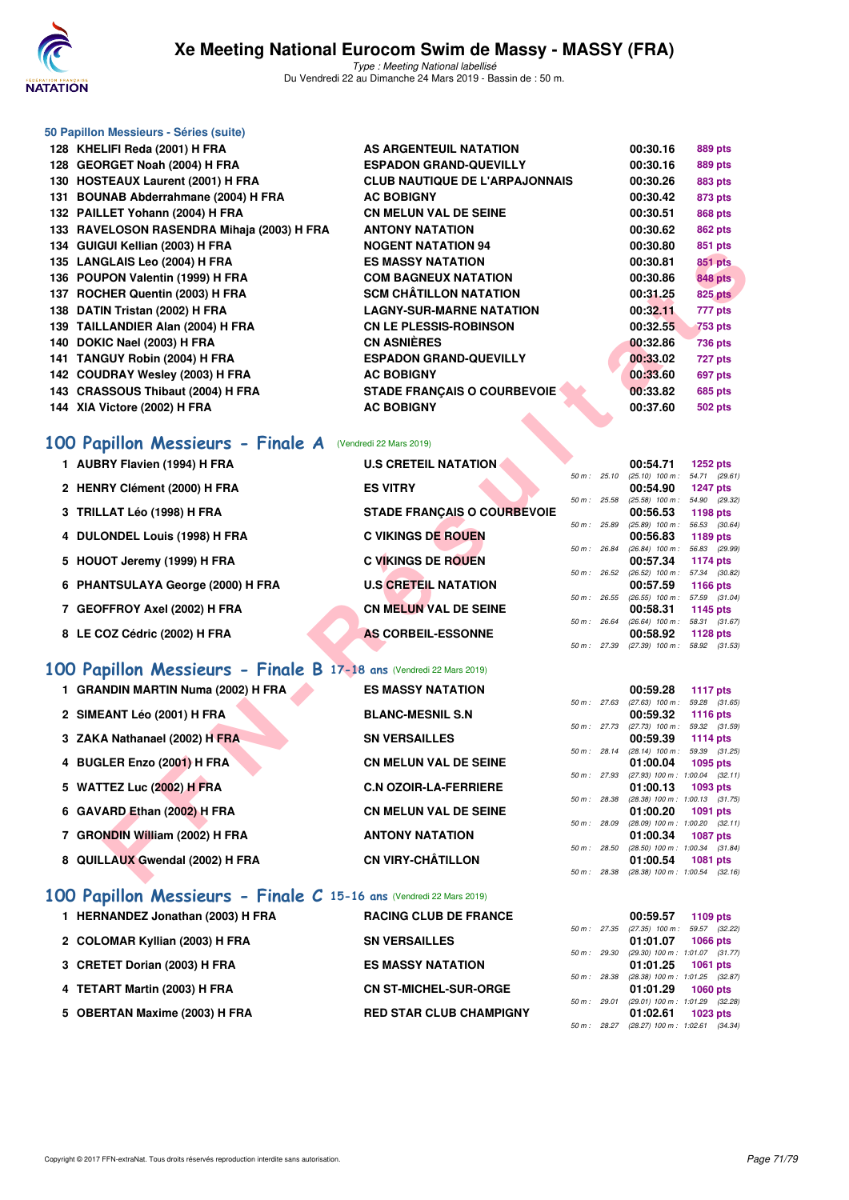

|     | 50 Papillon Messieurs - Séries (suite)     |                                       |          |                |
|-----|--------------------------------------------|---------------------------------------|----------|----------------|
|     | 128 KHELIFI Reda (2001) H FRA              | AS ARGENTEUIL NATATION                | 00:30.16 | 889 pts        |
| 128 | <b>GEORGET Noah (2004) H FRA</b>           | <b>ESPADON GRAND-QUEVILLY</b>         | 00:30.16 | 889 pts        |
| 130 | <b>HOSTEAUX Laurent (2001) H FRA</b>       | <b>CLUB NAUTIQUE DE L'ARPAJONNAIS</b> | 00:30.26 | 883 pts        |
| 131 | <b>BOUNAB Abderrahmane (2004) H FRA</b>    | <b>AC BOBIGNY</b>                     | 00:30.42 | 873 pts        |
|     | 132 PAILLET Yohann (2004) H FRA            | <b>CN MELUN VAL DE SEINE</b>          | 00:30.51 | 868 pts        |
|     | 133 RAVELOSON RASENDRA Mihaja (2003) H FRA | <b>ANTONY NATATION</b>                | 00:30.62 | 862 pts        |
|     | 134 GUIGUI Kellian (2003) H FRA            | <b>NOGENT NATATION 94</b>             | 00:30.80 | 851 pts        |
|     | 135 LANGLAIS Leo (2004) H FRA              | <b>ES MASSY NATATION</b>              | 00:30.81 | <b>851 pts</b> |
|     | 136 POUPON Valentin (1999) H FRA           | <b>COM BAGNEUX NATATION</b>           | 00:30.86 | <b>848 pts</b> |
| 137 | ROCHER Quentin (2003) H FRA                | <b>SCM CHÂTILLON NATATION</b>         | 00:31.25 | <b>825 pts</b> |
| 138 | DATIN Tristan (2002) H FRA                 | <b>LAGNY-SUR-MARNE NATATION</b>       | 00:32.11 | 777 pts        |
| 139 | TAILLANDIER Alan (2004) H FRA              | <b>CN LE PLESSIS-ROBINSON</b>         | 00:32.55 | <b>753 pts</b> |
| 140 | DOKIC Nael (2003) H FRA                    | <b>CN ASNIÈRES</b>                    | 00:32.86 | <b>736 pts</b> |
| 141 | TANGUY Robin (2004) H FRA                  | <b>ESPADON GRAND-QUEVILLY</b>         | 00:33.02 | 727 pts        |
|     | 142 COUDRAY Wesley (2003) H FRA            | <b>AC BOBIGNY</b>                     | 00:33.60 | 697 pts        |
|     | 143 CRASSOUS Thibaut (2004) H FRA          | <b>STADE FRANCAIS O COURBEVOIE</b>    | 00:33.82 | <b>685 pts</b> |
| 144 | XIA Victore (2002) H FRA                   | <b>AC BOBIGNY</b>                     | 00:37.60 | <b>502 pts</b> |
|     |                                            |                                       |          |                |

### **[100 Papillon Messieurs - Finale A](http://www.ffnatation.fr/webffn/resultats.php?idact=nat&go=epr&idcpt=57649&idepr=82)** (Vendredi 22 Mars 2019)

| 134 GOIGOI REIIIAII (2003) II FRA                                  | דכ ווטוו או אוו וואבטשוו           |             |              | uu. Ju. ou                                      | ບບ i pເວ        |  |
|--------------------------------------------------------------------|------------------------------------|-------------|--------------|-------------------------------------------------|-----------------|--|
| 135 LANGLAIS Leo (2004) H FRA                                      | <b>ES MASSY NATATION</b>           |             |              | 00:30.81                                        | 851 pts         |  |
| 136 POUPON Valentin (1999) H FRA                                   | <b>COM BAGNEUX NATATION</b>        |             |              | 00:30.86                                        | <b>848 pts</b>  |  |
| 137 ROCHER Quentin (2003) H FRA                                    | <b>SCM CHATILLON NATATION</b>      |             |              | 00:31.25                                        | <b>825 pts</b>  |  |
| 138 DATIN Tristan (2002) H FRA                                     | <b>LAGNY-SUR-MARNE NATATION</b>    |             |              | 00:32.11                                        | 777 pts         |  |
| 139 TAILLANDIER Alan (2004) H FRA                                  | <b>CN LE PLESSIS-ROBINSON</b>      |             |              | 00:32.55                                        | 753 pts         |  |
| 140 DOKIC Nael (2003) H FRA                                        | <b>CN ASNIÈRES</b>                 |             |              | 00:32.86                                        | 736 pts         |  |
| 141 TANGUY Robin (2004) H FRA                                      | <b>ESPADON GRAND-QUEVILLY</b>      |             |              | 00:33.02                                        | 727 pts         |  |
| 142 COUDRAY Wesley (2003) H FRA                                    | <b>AC BOBIGNY</b>                  |             |              | 00:33.60                                        | 697 pts         |  |
| 143 CRASSOUS Thibaut (2004) H FRA                                  | <b>STADE FRANÇAIS O COURBEVOIE</b> |             |              | 00:33.82                                        | 685 pts         |  |
| 144 XIA Victore (2002) H FRA                                       | <b>AC BOBIGNY</b>                  |             |              | 00:37.60                                        | 502 pts         |  |
|                                                                    |                                    |             |              |                                                 |                 |  |
| <b>00 Papillon Messieurs - Finale A</b> (Vendredi 22 Mars 2019)    |                                    |             |              |                                                 |                 |  |
| 1 AUBRY Flavien (1994) H FRA                                       | <b>U.S CRETEIL NATATION</b>        |             |              | 00:54.71                                        | <b>1252 pts</b> |  |
|                                                                    |                                    | 50 m: 25.10 |              | $(25.10)$ 100 m : 54.71 $(29.61)$               |                 |  |
| 2 HENRY Clément (2000) H FRA                                       | <b>ES VITRY</b>                    |             |              | 00:54.90                                        | <b>1247 pts</b> |  |
| 3 TRILLAT Léo (1998) H FRA                                         | STADE FRANÇAIS O COURBEVOIE        | 50 m: 25.58 |              | $(25.58)$ 100 m : 54.90 (29.32)<br>00:56.53     | 1198 pts        |  |
|                                                                    |                                    |             | 50 m : 25.89 | $(25.89)$ 100 m : 56.53 (30.64)                 |                 |  |
| 4 DULONDEL Louis (1998) H FRA                                      | <b>C VIKINGS DE ROUEN</b>          |             |              | 00:56.83                                        | 1189 pts        |  |
| 5 HOUOT Jeremy (1999) H FRA                                        | <b>C VIKINGS DE ROUEN</b>          |             | 50 m : 26.84 | $(26.84)$ 100 m : 56.83 (29.99)<br>00:57.34     | 1174 pts        |  |
|                                                                    |                                    |             | 50 m: 26.52  | $(26.52)$ 100 m : 57.34 $(30.82)$               |                 |  |
| 6 PHANTSULAYA George (2000) H FRA                                  | <b>U.S CRETEIL NATATION</b>        |             |              | 00:57.59                                        | 1166 pts        |  |
| 7 GEOFFROY Axel (2002) H FRA                                       | <b>CN MELUN VAL DE SEINE</b>       |             | 50 m : 26.55 | $(26.55)$ 100 m : 57.59 $(31.04)$<br>00:58.31   |                 |  |
|                                                                    |                                    |             | 50 m : 26.64 | $(26.64)$ 100 m : 58.31 $(31.67)$               | 1145 pts        |  |
| 8 LE COZ Cédric (2002) H FRA                                       | <b>AS CORBEIL-ESSONNE</b>          |             |              | 00:58.92                                        | 1128 $pts$      |  |
|                                                                    |                                    |             |              | 50 m: 27.39 (27.39) 100 m: 58.92 (31.53)        |                 |  |
| 00 Papillon Messieurs - Finale B 17-18 ans (Vendredi 22 Mars 2019) |                                    |             |              |                                                 |                 |  |
| 1 GRANDIN MARTIN Numa (2002) H FRA                                 | <b>ES MASSY NATATION</b>           |             |              | 00:59.28                                        | <b>1117 pts</b> |  |
|                                                                    |                                    |             | 50 m : 27.63 | $(27.63)$ 100 m : 59.28 $(31.65)$               |                 |  |
| 2 SIMEANT Léo (2001) H FRA                                         | <b>BLANC-MESNIL S.N</b>            |             | 50 m : 27.73 | 00:59.32<br>$(27.73)$ 100 m : 59.32 $(31.59)$   | <b>1116 pts</b> |  |
| 3 ZAKA Nathanael (2002) H FRA                                      | <b>SN VERSAILLES</b>               |             |              | 00:59.39                                        | <b>1114 pts</b> |  |
|                                                                    |                                    |             | 50 m : 28.14 | $(28.14)$ 100 m : 59.39 $(31.25)$               |                 |  |
| 4 BUGLER Enzo (2001) H FRA                                         | <b>CN MELUN VAL DE SEINE</b>       |             | 50 m : 27.93 | 01:00.04<br>$(27.93)$ 100 m : 1:00.04 $(32.11)$ | 1095 pts        |  |
| 5 WATTEZ Luc (2002) H FRA                                          | <b>C.N OZOIR-LA-FERRIERE</b>       |             |              | 01:00.13                                        | 1093 pts        |  |
|                                                                    |                                    |             | 50 m : 28.38 | $(28.38)$ 100 m : 1:00.13 $(31.75)$             |                 |  |
| 6 GAVARD Ethan (2002) H FRA                                        | <b>CN MELUN VAL DE SEINE</b>       |             |              | 01:00.20                                        | 1091 pts        |  |
| 7 GRONDIN William (2002) H FRA                                     | <b>ANTONY NATATION</b>             | 50 m: 28.09 |              | $(28.09)$ 100 m : 1:00.20 $(32.11)$<br>01:00.34 | <b>1087 pts</b> |  |
|                                                                    |                                    |             | 50 m : 28.50 | $(28.50)$ 100 m : 1:00.34 $(31.84)$             |                 |  |
| 8 QUILLAUX Gwendal (2002) H FRA                                    | <b>CN VIRY-CHÂTILLON</b>           |             |              | 01:00.54                                        | <b>1081 pts</b> |  |
|                                                                    |                                    |             |              | 50 m: 28.38 (28.38) 100 m: 1:00.54 (32.16)      |                 |  |

# **[100 Papillon Messieurs - Finale B](http://www.ffnatation.fr/webffn/resultats.php?idact=nat&go=epr&idcpt=57649&idepr=82) 17-18 ans** (Vendredi 22 Mars 2019)

| 1 GRANDIN MARTIN Numa (2002) H FRA                                  | <b>ES MASSY NATATION</b>     |                | 00:59.28                            | 1117 $pts$      |  |
|---------------------------------------------------------------------|------------------------------|----------------|-------------------------------------|-----------------|--|
|                                                                     |                              | 50 m: 27.63    | $(27.63)$ 100 m :                   | 59.28 (31.65)   |  |
| 2 SIMEANT Léo (2001) H FRA                                          | <b>BLANC-MESNIL S.N</b>      |                | 00:59.32                            | 1116 pts        |  |
|                                                                     |                              | 50 m: 27.73    | $(27.73)$ 100 m :                   | 59.32 (31.59)   |  |
| 3 ZAKA Nathanael (2002) H FRA                                       | <b>SN VERSAILLES</b>         |                | 00:59.39                            | 1114 pts        |  |
|                                                                     |                              | $50 m$ : 28.14 | $(28.14)$ 100 m :                   | 59.39 (31.25)   |  |
| 4 BUGLER Enzo (2001) H FRA                                          | <b>CN MELUN VAL DE SEINE</b> |                | 01:00.04                            | 1095 pts        |  |
|                                                                     |                              | 50 m: 27.93    | $(27.93)$ 100 m : 1:00.04 $(32.11)$ |                 |  |
| 5 WATTEZ Luc (2002) H FRA                                           | <b>C.N OZOIR-LA-FERRIERE</b> |                | 01:00.13                            | 1093 pts        |  |
|                                                                     |                              | 50 m: 28.38    | $(28.38)$ 100 m : 1:00.13 $(31.75)$ |                 |  |
| 6 GAVARD Ethan (2002) H FRA                                         | <b>CN MELUN VAL DE SEINE</b> |                | 01:00.20                            | 1091 pts        |  |
|                                                                     |                              | 50 m: 28.09    | $(28.09)$ 100 m : 1:00.20 $(32.11)$ |                 |  |
| 7 GRONDIN William (2002) H FRA                                      | <b>ANTONY NATATION</b>       |                | 01:00.34                            | <b>1087 pts</b> |  |
|                                                                     |                              | 50 m: 28.50    | $(28.50)$ 100 m : 1:00.34 $(31.84)$ |                 |  |
| 8 QUILLAUX Gwendal (2002) H FRA                                     | <b>CN VIRY-CHÂTILLON</b>     |                | 01:00.54                            | 1081 pts        |  |
|                                                                     |                              | 50 m: 28.38    | $(28.38)$ 100 m : 1:00.54 $(32.16)$ |                 |  |
| 100 Papillon Messieurs - Finale C 15-16 ans (Vendredi 22 Mars 2019) |                              |                |                                     |                 |  |
|                                                                     |                              |                |                                     |                 |  |

| 1 HERNANDEZ Jonathan (2003) H FRA | <b>RACING CLUB DE FRANCE</b>   |  | 00:59.57                                            |          | 1109 pts |
|-----------------------------------|--------------------------------|--|-----------------------------------------------------|----------|----------|
| 2 COLOMAR Kyllian (2003) H FRA    | <b>SN VERSAILLES</b>           |  | 50 m: 27.35 (27.35) 100 m: 59.57 (32.<br>01:01.07   |          | 1066 pts |
| 3 CRETET Dorian (2003) H FRA      | <b>ES MASSY NATATION</b>       |  | 50 m: 29.30 (29.30) 100 m: 1:01.07 (31.<br>01:01.25 |          |          |
|                                   |                                |  | 50 m: 28.38 (28.38) 100 m: 1:01.25 (32.             | 1061 pts |          |
| 4 TETART Martin (2003) H FRA      | <b>CN ST-MICHEL-SUR-ORGE</b>   |  | 01:01.29<br>50 m: 29.01 (29.01) 100 m: 1:01.29 (32. | 1060 pts |          |
| 5 OBERTAN Maxime (2003) H FRA     | <b>RED STAR CLUB CHAMPIGNY</b> |  | 01:02.61                                            |          | 1023 pts |

|              | 00:59.57 1109 pts                          |
|--------------|--------------------------------------------|
|              | 50 m: 27.35 (27.35) 100 m: 59.57 (32.22)   |
|              | 01:01.07 1066 pts                          |
| 50 m : 29.30 | (29.30) 100 m: 1:01.07 (31.77)             |
|              | 01:01.25 1061 pts                          |
| 50 m : 28.38 | (28.38) 100 m : 1:01.25 (32.87)            |
|              | $01:01.29$ 1060 pts                        |
| 50 m : 29.01 | $(29.01)$ 100 m : 1:01.29 $(32.28)$        |
|              | 01:02.61 1023 pts                          |
|              | 50 m: 28.27 (28.27) 100 m: 1:02.61 (34.34) |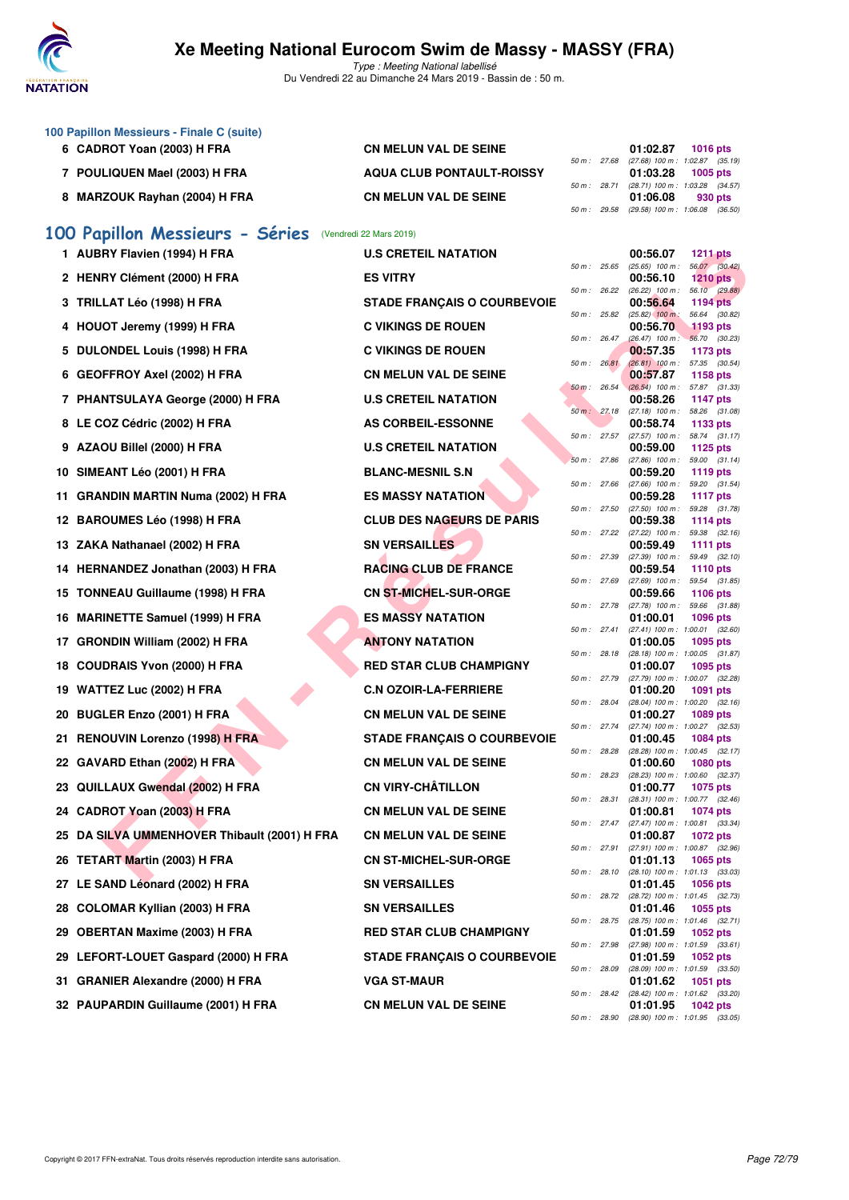

|     | 100 Papillon Messieurs - Finale C (suite)    |                                    |              |                             |                                                                                                         |
|-----|----------------------------------------------|------------------------------------|--------------|-----------------------------|---------------------------------------------------------------------------------------------------------|
|     | 6 CADROT Yoan (2003) H FRA                   | <b>CN MELUN VAL DE SEINE</b>       |              | 50 m : 27.68                | 01:02.87<br><b>1016 pts</b><br>(27.68) 100 m: 1:02.87 (35.19)                                           |
|     | 7 POULIQUEN Mael (2003) H FRA                | <b>AQUA CLUB PONTAULT-ROISSY</b>   |              |                             | 01:03.28<br>1005 pts                                                                                    |
|     | 8 MARZOUK Rayhan (2004) H FRA                | <b>CN MELUN VAL DE SEINE</b>       |              | 50 m : 28.71                | (28.71) 100 m: 1:03.28 (34.57)<br>01:06.08<br>930 pts                                                   |
|     |                                              |                                    |              | 50 m : 29.58                | $(29.58)$ 100 m : 1:06.08 $(36.50)$                                                                     |
|     | 100 Papillon Messieurs - Séries              | (Vendredi 22 Mars 2019)            |              |                             |                                                                                                         |
|     | 1 AUBRY Flavien (1994) H FRA                 | <b>U.S CRETEIL NATATION</b>        | 50 m : 25.65 |                             | 00:56.07<br><b>1211 pts</b><br>56.07 (30.42)<br>$(25.65)$ 100 m :                                       |
|     | 2 HENRY Clément (2000) H FRA                 | <b>ES VITRY</b>                    |              |                             | 00:56.10<br>$1210$ pts                                                                                  |
|     | 3 TRILLAT Léo (1998) H FRA                   | <b>STADE FRANÇAIS O COURBEVOIE</b> |              | 50 m: 26.22<br>50 m: 25.82  | 56.10 (29.88)<br>$(26.22)$ 100 m :<br>00:56.64<br><b>1194 pts</b><br>$(25.82)$ 100 m :<br>56.64 (30.82) |
|     | 4 HOUOT Jeremy (1999) H FRA                  | <b>C VIKINGS DE ROUEN</b>          |              |                             | 1193 pts<br>00:56.70                                                                                    |
|     | 5 DULONDEL Louis (1998) H FRA                | <b>C VIKINGS DE ROUEN</b>          |              | 50 m: 26.47                 | $(26.47)$ 100 m :<br>56.70 (30.23)<br>00:57.35<br>1173 pts                                              |
|     | 6 GEOFFROY Axel (2002) H FRA                 | <b>CN MELUN VAL DE SEINE</b>       |              | 50 m : 26.81<br>50 m: 26.54 | $(26.81)$ 100 m : 57.35 $(30.54)$<br>00:57.87<br>1158 pts<br>$(26.54)$ 100 m :<br>57.87 (31.33)         |
|     | 7 PHANTSULAYA George (2000) H FRA            | <b>U.S CRETEIL NATATION</b>        |              |                             | 00:58.26<br>1147 pts                                                                                    |
|     | 8 LE COZ Cédric (2002) H FRA                 | AS CORBEIL-ESSONNE                 |              | 50 m: 27.18                 | 58.26 (31.08)<br>$(27.18)$ 100 m :<br>00:58.74<br>1133 pts                                              |
|     | 9 AZAOU Billel (2000) H FRA                  | <b>U.S CRETEIL NATATION</b>        |              | 50 m: 27.57                 | $(27.57)$ 100 m :<br>58.74 (31.17)<br>00:59.00<br>1125 pts                                              |
|     | 10 SIMEANT Léo (2001) H FRA                  | <b>BLANC-MESNIL S.N</b>            |              | 50 m : 27.86                | 59.00 (31.14)<br>$(27.86)$ 100 m :<br>00:59.20<br>1119 $pts$                                            |
| 11  | <b>GRANDIN MARTIN Numa (2002) H FRA</b>      | <b>ES MASSY NATATION</b>           |              | 50 m : 27.66                | $(27.66)$ 100 m :<br>59.20 (31.54)<br>00:59.28<br><b>1117 pts</b>                                       |
|     | 12 BAROUMES Léo (1998) H FRA                 | <b>CLUB DES NAGEURS DE PARIS</b>   |              | 50 m : 27.50                | $(27.50)$ 100 m : 59.28 $(31.78)$<br>00:59.38<br>1114 pts                                               |
|     | 13 ZAKA Nathanael (2002) H FRA               | <b>SN VERSAILLES</b>               |              | 50 m : 27.22                | $(27.22)$ 100 m :<br>59.38 (32.16)<br>00:59.49<br>1111 $pts$                                            |
|     | 14 HERNANDEZ Jonathan (2003) H FRA           | <b>RACING CLUB DE FRANCE</b>       |              | 50 m : 27.39                | $(27.39)$ 100 m :<br>59.49 (32.10)<br>00:59.54<br><b>1110 pts</b>                                       |
|     |                                              |                                    |              | 50 m : 27.69                | $(27.69)$ 100 m :<br>59.54 (31.85)                                                                      |
|     | 15 TONNEAU Guillaume (1998) H FRA            | <b>CN ST-MICHEL-SUR-ORGE</b>       | 50 m : 27.78 |                             | 00:59.66<br>1106 pts<br>$(27.78)$ 100 m :<br>59.66<br>(31.88)                                           |
|     | 16 MARINETTE Samuel (1999) H FRA             | <b>ES MASSY NATATION</b>           |              | 50 m: 27.41                 | 01:00.01<br>1096 pts<br>(27.41) 100 m: 1:00.01 (32.60)                                                  |
| 17. | <b>GRONDIN William (2002) H FRA</b>          | <b>ANTONY NATATION</b>             |              | 50 m : 28.18                | 01:00.05<br>1095 pts<br>(28.18) 100 m: 1:00.05 (31.87)                                                  |
| 18  | <b>COUDRAIS Yvon (2000) H FRA</b>            | <b>RED STAR CLUB CHAMPIGNY</b>     |              | 50 m : 27.79                | 01:00.07<br>1095 pts<br>(27.79) 100 m: 1:00.07 (32.28)                                                  |
| 19  | WATTEZ Luc (2002) H FRA                      | <b>C.N OZOIR-LA-FERRIERE</b>       |              | 50 m : 28.04                | 01:00.20<br>1091 pts<br>$(28.04)$ 100 m : 1:00.20 $(32.16)$                                             |
| 20  | <b>BUGLER Enzo (2001) H FRA</b>              | <b>CN MELUN VAL DE SEINE</b>       |              | 50 m : 27.74                | 01:00.27<br>1089 pts<br>(27.74) 100 m: 1:00.27 (32.53)                                                  |
|     | 21 RENOUVIN Lorenzo (1998) H FRA             | <b>STADE FRANÇAIS O COURBEVOIE</b> |              |                             | 01:00.45<br>1084 pts                                                                                    |
|     | 22 GAVARD Ethan (2002) H FRA                 | <b>CN MELUN VAL DE SEINE</b>       | 50 m : 28.28 |                             | (28.28) 100 m: 1:00.45 (32.17)<br>01:00.60<br><b>1080 pts</b>                                           |
|     | 23 QUILLAUX Gwendal (2002) H FRA             | <b>CN VIRY-CHÂTILLON</b>           |              | 50 m : 28.23                | (28.23) 100 m : 1:00.60 (32.37)<br>01:00.77<br>1075 pts                                                 |
|     | 24 CADROT Yoan (2003) H FRA                  | <b>CN MELUN VAL DE SEINE</b>       |              | 50 m : 28.31                | $(28.31)$ 100 m : 1:00.77 $(32.46)$<br>01:00.81<br>1074 pts                                             |
|     | 25 DA SILVA UMMENHOVER Thibault (2001) H FRA | <b>CN MELUN VAL DE SEINE</b>       |              | 50 m : 27.47                | (27.47) 100 m: 1:00.81 (33.34)<br>01:00.87<br>1072 pts                                                  |
|     | 26 TETART Martin (2003) H FRA                | <b>CN ST-MICHEL-SUR-ORGE</b>       |              | 50 m : 27.91                | $(27.91)$ 100 m : 1:00.87 $(32.96)$<br>01:01.13<br>1065 pts                                             |
|     | 27 LE SAND Léonard (2002) H FRA              | <b>SN VERSAILLES</b>               |              | 50 m : 28.10                | (28.10) 100 m: 1:01.13 (33.03)<br>01:01.45<br>1056 pts                                                  |
|     | 28 COLOMAR Kyllian (2003) H FRA              | <b>SN VERSAILLES</b>               |              | 50 m : 28.72                | (28.72) 100 m: 1:01.45 (32.73)<br>01:01.46<br>1055 pts                                                  |
| 29  | <b>OBERTAN Maxime (2003) H FRA</b>           | <b>RED STAR CLUB CHAMPIGNY</b>     |              | 50 m : 28.75                | (28.75) 100 m: 1:01.46 (32.71)<br>01:01.59<br>1052 pts                                                  |
|     | 29 LEFORT-LOUET Gaspard (2000) H FRA         | <b>STADE FRANÇAIS O COURBEVOIE</b> |              | 50 m : 27.98                | (27.98) 100 m: 1:01.59 (33.61)<br>01:01.59<br>1052 pts                                                  |
|     | 31 GRANIER Alexandre (2000) H FRA            | <b>VGA ST-MAUR</b>                 |              | 50 m : 28.09                | $(28.09)$ 100 m : 1:01.59 $(33.50)$<br>01:01.62<br>1051 pts                                             |
|     |                                              |                                    |              |                             | 50 m : 28.42 (28.42) 100 m : 1:01.62 (33.20)                                                            |
|     | 32 PAUPARDIN Guillaume (2001) H FRA          | <b>CN MELUN VAL DE SEINE</b>       |              | 50 m : 28.90                | 01:01.95<br>1042 pts<br>$(28.90)$ 100 m : 1:01.95 $(33.05)$                                             |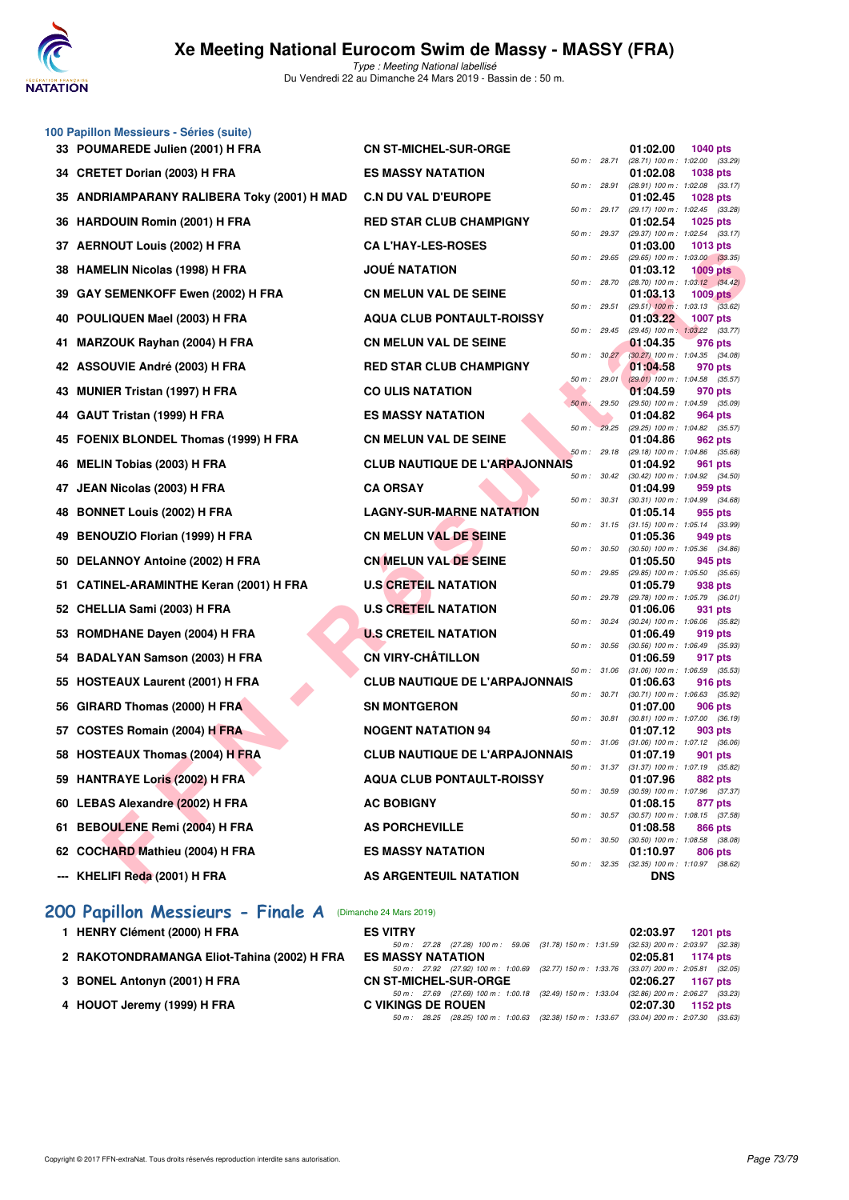

Type : Meeting National labellisé Du Vendredi 22 au Dimanche 24 Mars 2019 - Bassin de : 50 m.

|     | 100 Papillon Messieurs - Séries (suite)<br>33 POUMAREDE Julien (2001) H FRA | <b>CN ST-MICHEL-SUR-ORGE</b>          |              | 01:02.00<br><b>1040 pts</b>                                    |
|-----|-----------------------------------------------------------------------------|---------------------------------------|--------------|----------------------------------------------------------------|
|     | 34 CRETET Dorian (2003) H FRA                                               | <b>ES MASSY NATATION</b>              | 50 m : 28.71 | (28.71) 100 m : 1:02.00 (33.29)<br>01:02.08<br><b>1038 pts</b> |
|     |                                                                             |                                       | 50 m : 28.91 | (28.91) 100 m: 1:02.08 (33.17)                                 |
| 35  | ANDRIAMPARANY RALIBERA Toky (2001) H MAD                                    | <b>C.N DU VAL D'EUROPE</b>            | 50 m: 29.17  | 01:02.45<br><b>1028 pts</b><br>(29.17) 100 m: 1:02.45 (33.28)  |
| 36. | <b>HARDOUIN Romin (2001) H FRA</b>                                          | <b>RED STAR CLUB CHAMPIGNY</b>        | 50 m: 29.37  | 01:02.54<br>1025 pts<br>(29.37) 100 m: 1:02.54 (33.17)         |
| 37  | <b>AERNOUT Louis (2002) H FRA</b>                                           | <b>CA L'HAY-LES-ROSES</b>             |              | 01:03.00<br><b>1013 pts</b>                                    |
| 38  | <b>HAMELIN Nicolas (1998) H FRA</b>                                         | <b>JOUE NATATION</b>                  | 50 m: 29.65  | (29.65) 100 m : 1:03.00 (33.35)<br>01:03.12<br><b>1009 pts</b> |
| 39  | GAY SEMENKOFF Ewen (2002) H FRA                                             | <b>CN MELUN VAL DE SEINE</b>          | 50 m : 28.70 | (28.70) 100 m : 1:03.12 (34.42)<br>01:03.13<br><b>1009 pts</b> |
|     |                                                                             |                                       | 50 m : 29.51 | $(29.51)$ 100 m : 1:03.13 $(33.62)$<br>01:03.22                |
| 40  | POULIQUEN Mael (2003) H FRA                                                 | <b>AQUA CLUB PONTAULT-ROISSY</b>      | 50 m: 29.45  | <b>1007 pts</b><br>(29.45) 100 m: 1:03.22 (33.77)              |
| 41  | <b>MARZOUK Rayhan (2004) H FRA</b>                                          | <b>CN MELUN VAL DE SEINE</b>          | 50 m: 30.27  | 01:04.35<br>976 pts<br>(30.27) 100 m: 1:04.35 (34.08)          |
| 42  | ASSOUVIE André (2003) H FRA                                                 | <b>RED STAR CLUB CHAMPIGNY</b>        |              | 01:04.58<br>970 pts                                            |
| 43  | <b>MUNIER Tristan (1997) H FRA</b>                                          | <b>CO ULIS NATATION</b>               | 50 m: 29.01  | $(29.01)$ 100 m : 1:04.58 $(35.57)$<br>01:04.59<br>970 pts     |
| 44  | GAUT Tristan (1999) H FRA                                                   | <b>ES MASSY NATATION</b>              | 50 m: 29.50  | (29.50) 100 m: 1:04.59 (35.09)<br>01:04.82<br>964 pts          |
| 45  | <b>FOENIX BLONDEL Thomas (1999) H FRA</b>                                   | <b>CN MELUN VAL DE SEINE</b>          | 50 m: 29.25  | (29.25) 100 m: 1:04.82 (35.57)<br>01:04.86<br>962 pts          |
|     |                                                                             |                                       | 50 m: 29.18  | (29.18) 100 m: 1:04.86 (35.68)                                 |
| 46  | <b>MELIN Tobias (2003) H FRA</b>                                            | <b>CLUB NAUTIQUE DE L'ARPAJONNAIS</b> | 50 m : 30.42 | 01:04.92<br>961 pts<br>$(30.42)$ 100 m : 1:04.92 $(34.50)$     |
| 47  | <b>JEAN Nicolas (2003) H FRA</b>                                            | <b>CA ORSAY</b>                       | 50 m : 30.31 | 01:04.99<br>959 pts<br>$(30.31)$ 100 m : 1:04.99 $(34.68)$     |
| 48  | <b>BONNET Louis (2002) H FRA</b>                                            | <b>LAGNY-SUR-MARNE NATATION</b>       |              | 01:05.14<br>955 pts                                            |
| 49  | <b>BENOUZIO Florian (1999) H FRA</b>                                        | <b>CN MELUN VAL DE SEINE</b>          | 50 m: 31.15  | $(31.15)$ 100 m : 1:05.14 $(33.99)$<br>01:05.36<br>949 pts     |
| 50  | DELANNOY Antoine (2002) H FRA                                               | <b>CN MELUN VAL DE SEINE</b>          | 50 m : 30.50 | $(30.50)$ 100 m : 1:05.36 $(34.86)$<br>01:05.50<br>945 pts     |
|     | <b>CATINEL-ARAMINTHE Keran (2001) H FRA</b>                                 | <b>U.S CRETEIL NATATION</b>           | 50 m : 29.85 | (29.85) 100 m: 1:05.50 (35.65)<br>01:05.79                     |
| 51  |                                                                             |                                       | 50 m : 29.78 | 938 pts<br>(29.78) 100 m : 1:05.79 (36.01)                     |
| 52  | CHELLIA Sami (2003) H FRA                                                   | <b>U.S CRETEIL NATATION</b>           | 50 m : 30.24 | 01:06.06<br>931 pts<br>(30.24) 100 m: 1:06.06 (35.82)          |
| 53  | ROMDHANE Dayen (2004) H FRA                                                 | <b>U.S CRETEIL NATATION</b>           | 50 m : 30.56 | 01:06.49<br>919 pts<br>(30.56) 100 m: 1:06.49 (35.93)          |
| 54  | BADALYAN Samson (2003) H FRA                                                | <b>CN VIRY-CHÂTILLON</b>              |              | 01:06.59<br>917 pts                                            |
| 55  | <b>HOSTEAUX Laurent (2001) H FRA</b>                                        | <b>CLUB NAUTIQUE DE L'ARPAJONNAIS</b> | 50 m: 31.06  | $(31.06)$ 100 m : 1:06.59 $(35.53)$<br>01:06.63<br>916 pts     |
| 56  | GIRARD Thomas (2000) H FRA                                                  | <b>SN MONTGERON</b>                   | 50 m : 30.71 | (30.71) 100 m: 1:06.63 (35.92)<br>01:07.00<br>906 pts          |
| 57  | COSTES Romain (2004) H FRA                                                  | <b>NOGENT NATATION 94</b>             | 50 m : 30.81 | $(30.81)$ 100 m : 1:07.00 $(36.19)$<br>01:07.12<br>903 pts     |
|     |                                                                             |                                       | 50 m: 31.06  | $(31.06)$ 100 m : 1:07.12 $(36.06)$                            |
| 58  | <b>HOSTEAUX Thomas (2004) H FRA</b>                                         | <b>CLUB NAUTIQUE DE L'ARPAJONNAIS</b> | 50 m : 31.37 | 01:07.19<br>901 pts<br>(31.37) 100 m : 1:07.19 (35.82)         |
|     | 59 HANTRAYE Loris (2002) H FRA                                              | <b>AQUA CLUB PONTAULT-ROISSY</b>      | 50 m : 30.59 | 01:07.96<br>882 pts<br>$(30.59)$ 100 m : 1:07.96 $(37.37)$     |
|     | 60 LEBAS Alexandre (2002) H FRA                                             | <b>AC BOBIGNY</b>                     |              | 01:08.15<br>877 pts                                            |
| 61  | <b>BEBOULENE Remi (2004) H FRA</b>                                          | <b>AS PORCHEVILLE</b>                 | 50 m: 30.57  | $(30.57)$ 100 m : 1:08.15 $(37.58)$<br>01:08.58<br>866 pts     |
| 62  | <b>COCHARD Mathieu (2004) H FRA</b>                                         | <b>ES MASSY NATATION</b>              | 50 m: 30.50  | $(30.50)$ 100 m : 1:08.58 $(38.08)$<br>01:10.97<br>806 pts     |
|     | KHELIFI Reda (2001) H FRA                                                   | AS ARGENTEUIL NATATION                | 50 m : 32.35 | (32.35) 100 m: 1:10.97 (38.62)<br><b>DNS</b>                   |
|     |                                                                             |                                       |              |                                                                |

## **[200 Papillon Messieurs - Finale A](http://www.ffnatation.fr/webffn/resultats.php?idact=nat&go=epr&idcpt=57649&idepr=83)** (Dimanche 24 Mars 2019)

| 1 HENRY Clément (2000) H FRA                | <b>ES VITRY</b>                                                                          |  | 02:03.97 1201 pts |
|---------------------------------------------|------------------------------------------------------------------------------------------|--|-------------------|
|                                             | 50 m: 27.28 (27.28) 100 m: 59.06 (31.78) 150 m: 1:31.59 (32.53) 200 m: 2:03.97 (32.38)   |  |                   |
| 2 RAKOTONDRAMANGA Eliot-Tahina (2002) H FRA | <b>ES MASSY NATATION</b>                                                                 |  | 02:05.81 1174 pts |
|                                             | 50 m: 27.92 (27.92) 100 m: 1:00.69 (32.77) 150 m: 1:33.76 (33.07) 200 m: 2:05.81 (32.05) |  |                   |
| 3 BONEL Antonyn (2001) H FRA                | <b>CN ST-MICHEL-SUR-ORGE</b>                                                             |  | 02:06.27 1167 pts |
|                                             | 50 m: 27.69 (27.69) 100 m: 1:00.18 (32.49) 150 m: 1:33.04 (32.86) 200 m: 2:06.27 (33.23) |  |                   |
| 4 HOUOT Jeremy (1999) H FRA                 | <b>C VIKINGS DE ROUEN</b>                                                                |  | 02:07.30 1152 pts |
|                                             | 50 m: 28.25 (28.25) 100 m: 1:00.63 (32.38) 150 m: 1:33.67 (33.04) 200 m: 2:07.30 (33.63) |  |                   |
|                                             |                                                                                          |  |                   |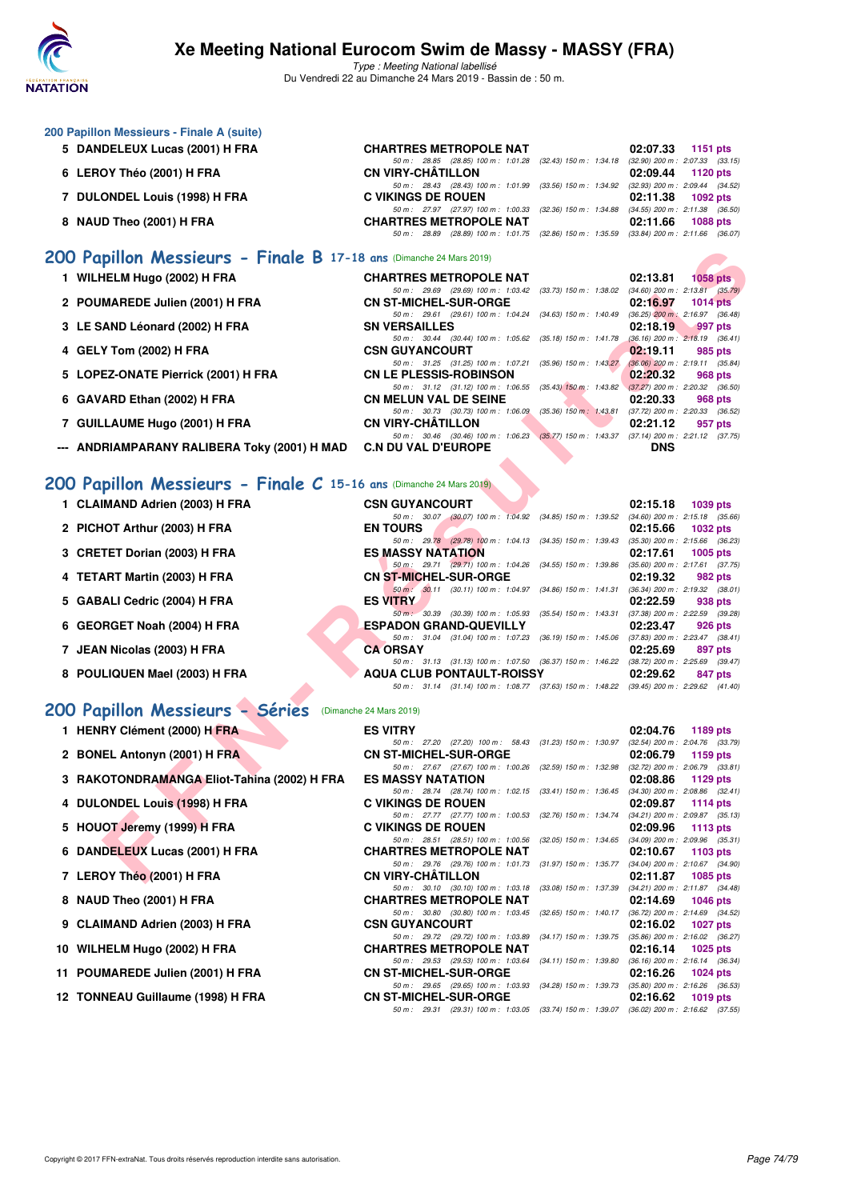

Type : Meeting National labellisé Du Vendredi 22 au Dimanche 24 Mars 2019 - Bassin de : 50 m.

| 200 Papillon Messieurs - Finale A (suite) |                                                                                          |                                     |
|-------------------------------------------|------------------------------------------------------------------------------------------|-------------------------------------|
| 5 DANDELEUX Lucas (2001) H FRA            | <b>CHARTRES METROPOLE NAT</b>                                                            | 02:07.33<br>1151 $pts$              |
|                                           | 50 m: 28.85 (28.85) 100 m: 1:01.28 (32.43) 150 m: 1:34.18                                | $(32.90)$ 200 m : 2:07.33 $(33.15)$ |
| 6 LEROY Théo (2001) H FRA                 | <b>CN VIRY-CHÂTILLON</b>                                                                 | 02:09.44 1120 pts                   |
|                                           | 50 m: 28.43 (28.43) 100 m: 1:01.99 (33.56) 150 m: 1:34.92                                | $(32.93)$ 200 m : 2:09.44 $(34.52)$ |
| 7 DULONDEL Louis (1998) H FRA             | <b>C VIKINGS DE ROUEN</b>                                                                | 02:11.38 1092 pts                   |
|                                           | 50 m: 27.97 (27.97) 100 m: 1:00.33 (32.36) 150 m: 1:34.88                                | $(34.55)$ 200 m : 2:11.38 $(36.50)$ |
| 8 NAUD Theo (2001) H FRA                  | <b>CHARTRES METROPOLE NAT</b>                                                            | 02:11.66 1088 pts                   |
|                                           | 50 m: 28.89 (28.89) 100 m: 1:01.75 (32.86) 150 m: 1:35.59 (33.84) 200 m: 2:11.66 (36.07) |                                     |
| $\overline{a}$                            |                                                                                          |                                     |

#### **[200 Papillon Messieurs - Finale B](http://www.ffnatation.fr/webffn/resultats.php?idact=nat&go=epr&idcpt=57649&idepr=83) 17-18 ans** (Dimanche 24 Mars 2019)

|  | 1 WILHELM Hugo (2002) H FRA |  |  |  |  |
|--|-----------------------------|--|--|--|--|
|--|-----------------------------|--|--|--|--|

- **2 POUMAREDE Julien (2001) H FRA CN ST-MICHEL-SUR-ORGE 02:16.97 1014 pts**
- **3 LE SAND Léonard (2002) H FRA** SN VERSAILLES **02:18.19 02:18.19** 997 pts 50m: 30.44 (30.44) 100 m: 1:05.62 (35.18) 150 m: 1:41.78 (36.16) 200 m: 2:18.19 (36.41)
- **4 GELY Tom (2002) H FRA** CSN GUYANCOURT **02:19.11** 985 pts<br>  $\frac{50 \text{ m} \div 31.25}$  (31.25) 100 m : 1:07.21 (35.96) 150 m : 1:43.27 (36.06) 200 m : 2:19.11 (35.84)
- **5 LOPEZ-ONATE Pierrick (2001) H FRA** CN LE PLESSIS-ROBINSON 602:20.32 968 pts 68 pts 68 pts 68 pts 68 pts 68 pts 68 pts 68 pts 68 pts 68 pts 68 pts 68 pts 68 pts 68 pts 68 pts 68 pts 68 pts 68 pts 68 pts 68 pts 68 pts 68
- **6 GAVARD Ethan (2002) H FRA CN MELUN VAL DE SEINE 02:20.33 968 pts**<br> **60 m**: 30.73 (30.73) 100 m: 1:06.09 (35.36) 150 m: 1:43.81 (37.72) 200 m: 2:20.33 (36.52)
- 7 GUILLAUME Hugo (2001) H FRA **CN VIRY-CHÂTILLON**
- **--- ANDRIAMPARANY RALIBERA Toky (2001) H MAD C.N DU VAL D'EUROPE DNS**

### **[200 Papillon Messieurs - Finale C](http://www.ffnatation.fr/webffn/resultats.php?idact=nat&go=epr&idcpt=57649&idepr=83) 15-16 ans** (Dimanche 24 Mars 2019)

- 1 CLAIMAND Adrien (2003) H FRA
- **2 PICHOT Arthur (2003) H FRA**
- **3 CRETET Dorian (2003) H FRA**
- **4 TETART Martin (2003) H FRA**
- **5 GABALI Cedric (2004) H FRA**
- **6 GEORGET Noah (2004) H FRA**
- **7 JEAN Nicolas (2003) H FRA**
- 8 POULIQUEN Mael (2003) H FRA

### **[200 Papillon Messieurs - Séries](http://www.ffnatation.fr/webffn/resultats.php?idact=nat&go=epr&idcpt=57649&idepr=83)** (Dimanche 24 Mars 2019)

- **1 HENRY Clément (2000) H FRA**
- **2 BONEL Antonyn (2001) H FRA**
- **3 RAKOTONDRAMANGA Eliot-Tahina (2002) H FRA**
- **4 DULONDEL Louis (1998) H FRA**
- **5 HOUOT Jeremy (1999) H FRA**
- **6 DANDELEUX Lucas (2001) H FRA**
- **7 LEROY Théo (2001) H FRA**
- **8 NAUD Theo (2001) H FRA**
- **9 CLAIMAND Adrien (2003) H FRA**
- **10 WILHELM Hugo (2002) H FRA CHARTRES METROPOLE NAT 02:16.14 1025 pts**
- **11 POUMAREDE Julien (2001) H FRA**
- **12 TONNEAU Guillaume (1998) H FRA**

| pillon Messieurs - Finale B 17-18 ans (Dimanche 24 Mars 2019)   |                                                                                                                      |                                                                                |
|-----------------------------------------------------------------|----------------------------------------------------------------------------------------------------------------------|--------------------------------------------------------------------------------|
| <b>IELM Hugo (2002) H FRA</b>                                   | <b>CHARTRES METROPOLE NAT</b>                                                                                        | 02:13.81<br>$1058$ pts                                                         |
|                                                                 | 50 m: 29.69 (29.69) 100 m: 1:03.42 (33.73) 150 m: 1:38.02 (34.60) 200 m: 2:13.81 (35.79)                             |                                                                                |
| <b>MAREDE Julien (2001) H FRA</b>                               | <b>CN ST-MICHEL-SUR-ORGE</b>                                                                                         | 02:16.97<br><b>1014 pts</b>                                                    |
|                                                                 | 50 m: 29.61 (29.61) 100 m: 1:04.24 (34.63) 150 m: 1:40.49 (36.25) 200 m: 2:16.97 (36.48)                             |                                                                                |
| AND Léonard (2002) H FRA                                        | <b>SN VERSAILLES</b><br>50 m : 30.44 (30.44) 100 m : 1:05.62                                                         | 02:18.19<br>997 pts<br>(35.18) 150 m : 1:41.78 (36.16) 200 m : 2:18.19 (36.41) |
| Y Tom (2002) H FRA                                              | <b>CSN GUYANCOURT</b>                                                                                                | 02:19.11<br>985 pts                                                            |
|                                                                 | 50 m: 31.25 (31.25) 100 m: 1:07.21                                                                                   | $(35.96)$ 150 m : 1:43.27 $(36.06)$ 200 m : 2:19.11 $(35.84)$                  |
| <b>EZ-ONATE Pierrick (2001) H FRA</b>                           | <b>CN LE PLESSIS-ROBINSON</b>                                                                                        | 02:20.32<br>968 pts                                                            |
|                                                                 | 50 m: 31.12 (31.12) 100 m: 1:06.55 (35.43) 150 m: 1:43.82 (37.27) 200 m: 2:20.32 (36.50)                             |                                                                                |
| ARD Ethan (2002) H FRA                                          | <b>CN MELUN VAL DE SEINE</b>                                                                                         | 02:20.33<br>968 pts                                                            |
|                                                                 | 50 m: 30.73 (30.73) 100 m: 1:06.09 (35.36) 150 m: 1:43.81 (37.72) 200 m: 2:20.33 (36.52)                             |                                                                                |
| LAUME Hugo (2001) H FRA.                                        | <b>CN VIRY-CHATILLON</b>                                                                                             | 02:21.12<br>957 pts                                                            |
|                                                                 | 50 m: 30.46 (30.46) 100 m: 1:06.23 (35.77) 150 m: 1:43.37 (37.14) 200 m: 2:21.12 (37.75)                             |                                                                                |
| RIAMPARANY RALIBERA Toky (2001) H MAD                           | <b>C.N DU VAL D'EUROPE</b>                                                                                           | <b>DNS</b>                                                                     |
| pillon Messieurs - Finale $C$ 15-16 ans (Dimanche 24 Mars 2019) |                                                                                                                      |                                                                                |
| <b>IMAND Adrien (2003) H FRA</b>                                | <b>CSN GUYANCOURT</b>                                                                                                | 02:15.18<br>1039 pts                                                           |
|                                                                 | 50 m: 30.07 (30.07) 100 m: 1:04.92 (34.85) 150 m: 1:39.52 (34.60) 200 m: 2:15.18 (35.66)                             |                                                                                |
| IOT Arthur (2003) H FRA                                         | <b>EN TOURS</b>                                                                                                      | 02:15.66<br>1032 pts                                                           |
|                                                                 | 50 m: 29.78 (29.78) 100 m: 1:04.13 (34.35) 150 m: 1:39.43 (35.30) 200 m: 2:15.66 (36.23)                             |                                                                                |
| TET Dorian (2003) H FRA                                         | <b>ES MASSY NATATION</b>                                                                                             | 02:17.61<br>1005 $p$ ts                                                        |
|                                                                 | 50 m: 29.71 (29.71) 100 m: 1:04.26 (34.55) 150 m: 1:39.86 (35.60) 200 m: 2:17.61 (37.75)                             |                                                                                |
| <b>ART Martin (2003) H FRA</b>                                  | <b>CN ST-MICHEL-SUR-ORGE</b>                                                                                         | 02:19.32<br>982 pts                                                            |
|                                                                 | $50 \text{ m}$ : $30.11$ (30.11) 100 m: 1:04.97 (34.86) 150 m: 1:41.31 (36.34) 200 m: 2:19.32 (38.01)                |                                                                                |
| ALI Cedric (2004) H FRA                                         | <b>ES VITRY</b><br>50 m : 30.39 (30.39) 100 m : 1:05.93 (35.54) 150 m : 1:43.31 (37.38) 200 m : 2:22.59 (39.28)      | 02:22.59<br>938 pts                                                            |
| RGET Noah (2004) H FRA                                          | <b>ESPADON GRAND-QUEVILLY</b>                                                                                        | 02:23.47<br>926 pts                                                            |
|                                                                 | 50 m: 31.04 (31.04) 100 m: 1:07.23 (36.19) 150 m: 1:45.06 (37.83) 200 m: 2:23.47 (38.41)                             |                                                                                |
| <b>N Nicolas (2003) H FRA</b>                                   | <b>CA ORSAY</b>                                                                                                      | 02:25.69<br>897 pts                                                            |
|                                                                 | 50 m: 31.13 (31.13) 100 m: 1:07.50 (36.37) 150 m: 1:46.22 (38.72) 200 m: 2:25.69 (39.47)                             |                                                                                |
| LIQUEN Mael (2003) H FRA                                        | AQUA CLUB PONTAULT-ROISSY                                                                                            | 02:29.62<br>847 pts                                                            |
|                                                                 | 50 m: 31.14 (31.14) 100 m: 1:08.77 (37.63) 150 m: 1:48.22 (39.45) 200 m: 2:29.62 (41.40)                             |                                                                                |
| pillon Messieurs - Séries                                       | (Dimanche 24 Mars 2019)                                                                                              |                                                                                |
| RY Clément (2000) H FRA                                         | <b>ES VITRY</b>                                                                                                      | 02:04.76<br>1189 $pts$                                                         |
|                                                                 | 50 m: 27.20 (27.20) 100 m: 58.43 (31.23) 150 m: 1:30.97 (32.54) 200 m: 2:04.76 (33.79)                               |                                                                                |
| EL Antonyn (2001) H FRA                                         | <b>CN ST-MICHEL-SUR-ORGE</b>                                                                                         | 02:06.79<br>1159 $pts$                                                         |
|                                                                 | 50 m: 27.67 (27.67) 100 m: 1:00.26 (32.59) 150 m: 1:32.98 (32.72) 200 m: 2:06.79 (33.81)                             |                                                                                |
| OTONDRAMANGA Eliot-Tahina (2002) H FRA                          | <b>ES MASSY NATATION</b><br>50 m: 28.74 (28.74) 100 m: 1:02.15 (33.41) 150 m: 1:36.45 (34.30) 200 m: 2:08.86 (32.41) | 02:08.86<br>1129 $pts$                                                         |
| ONDEL Louis (1998) H FRA                                        | <b>C VIKINGS DE ROUEN</b>                                                                                            | 02:09.87<br>1114 $pts$                                                         |
|                                                                 | 50 m: 27.77 (27.77) 100 m: 1:00.53                                                                                   | $(32.76)$ 150 m : 1:34.74 $(34.21)$ 200 m : 2:09.87 $(35.13)$                  |
| OT Jeremy (1999) H FRA                                          | <b>C VIKINGS DE ROUEN</b>                                                                                            | 02:09.96<br>1113 $pts$                                                         |
|                                                                 | 50 m: 28.51 (28.51) 100 m: 1:00.56 (32.05) 150 m: 1:34.65 (34.09) 200 m: 2:09.96 (35.31)                             |                                                                                |
| DELEUX Lucas (2001) H FRA                                       | <b>CHARTRES METROPOLE NAT</b>                                                                                        | 02:10.67<br>1103 $pts$                                                         |
|                                                                 | 50 m: 29.76 (29.76) 100 m: 1:01.73 (31.97) 150 m: 1:35.77 (34.04) 200 m: 2:10.67 (34.90)                             |                                                                                |
| OY Théo (2001) H FRA                                            | <b>CN VIRY-CHATILLON</b>                                                                                             | 02:11.87<br><b>1085 pts</b>                                                    |

| <b>ES VITRY</b>               |                                                           |  |                           | 02:04.76 1189 pts                   |          |  |
|-------------------------------|-----------------------------------------------------------|--|---------------------------|-------------------------------------|----------|--|
|                               | 50 m: 27.20 (27.20) 100 m: 58.43 (31.23) 150 m: 1:30.97   |  |                           | $(32.54)$ 200 m : 2:04.76 $(33.79)$ |          |  |
| <b>CN ST-MICHEL-SUR-ORGE</b>  |                                                           |  |                           | 02:06.79                            | 1159 pts |  |
|                               | 50 m: 27.67 (27.67) 100 m: 1:00.26 (32.59) 150 m: 1:32.98 |  |                           | $(32.72)$ 200 m : 2:06.79 $(33.81)$ |          |  |
| <b>ES MASSY NATATION</b>      |                                                           |  |                           | 02:08.86 1129 pts                   |          |  |
|                               | 50 m: 28.74 (28.74) 100 m: 1:02.15 (33.41) 150 m: 1:36.45 |  |                           | $(34.30)$ 200 m : 2:08.86 $(32.41)$ |          |  |
| <b>C VIKINGS DE ROUEN</b>     |                                                           |  |                           | 02:09.87 1114 pts                   |          |  |
|                               | 50 m: 27.77 (27.77) 100 m: 1:00.53 (32.76) 150 m: 1:34.74 |  |                           | $(34.21)$ 200 m : 2:09.87 $(35.13)$ |          |  |
| C VIKINGS DE ROUEN            |                                                           |  |                           | 02:09.96 1113 pts                   |          |  |
|                               | 50 m: 28.51 (28.51) 100 m: 1:00.56 (32.05) 150 m: 1:34.65 |  |                           | $(34.09)$ 200 m : 2:09.96 $(35.31)$ |          |  |
| <b>CHARTRES METROPOLE NAT</b> |                                                           |  |                           | $02:10.67$ 1103 pts                 |          |  |
|                               | 50 m: 29.76 (29.76) 100 m: 1:01.73 (31.97) 150 m: 1:35.77 |  |                           | (34.04) 200 m : 2:10.67 (34.90)     |          |  |
| <b>CN VIRY-CHÂTILLON</b>      |                                                           |  |                           | 02:11.87 1085 pts                   |          |  |
|                               | 50 m: 30.10 (30.10) 100 m: 1:03.18 (33.08) 150 m: 1:37.39 |  |                           | (34.21) 200 m : 2:11.87 (34.48)     |          |  |
| <b>CHARTRES METROPOLE NAT</b> |                                                           |  |                           | 02:14.69 1046 pts                   |          |  |
|                               | 50 m: 30.80 (30.80) 100 m: 1:03.45 (32.65) 150 m: 1:40.17 |  |                           | (36.72) 200 m : 2:14.69 (34.52)     |          |  |
| <b>CSN GUYANCOURT</b>         |                                                           |  |                           | 02:16.02 1027 pts                   |          |  |
|                               | 50 m: 29.72 (29.72) 100 m: 1:03.89 (34.17) 150 m: 1:39.75 |  |                           | $(35.86)$ 200 m : 2:16.02 $(36.27)$ |          |  |
| <b>CHARTRES METROPOLE NAT</b> |                                                           |  |                           | $02:16.14$ 1025 pts                 |          |  |
|                               | 50 m : 29.53 (29.53) 100 m : 1:03.64                      |  | $(34.11)$ 150 m : 1:39.80 | $(36.16)$ 200 m : 2:16.14 $(36.34)$ |          |  |
| <b>CN ST-MICHEL-SUR-ORGE</b>  |                                                           |  |                           | 02:16.26 1024 pts                   |          |  |
|                               | 50 m: 29.65 (29.65) 100 m: 1:03.93 (34.28) 150 m: 1:39.73 |  |                           | $(35.80)$ 200 m : 2:16.26 $(36.53)$ |          |  |
| <b>CN ST-MICHEL-SUR-ORGE</b>  |                                                           |  |                           | 02:16.62 1019 pts                   |          |  |
|                               | 50 m: 29.31 (29.31) 100 m: 1:03.05 (33.74) 150 m: 1:39.07 |  |                           | $(36.02)$ 200 m : 2:16.62 $(37.55)$ |          |  |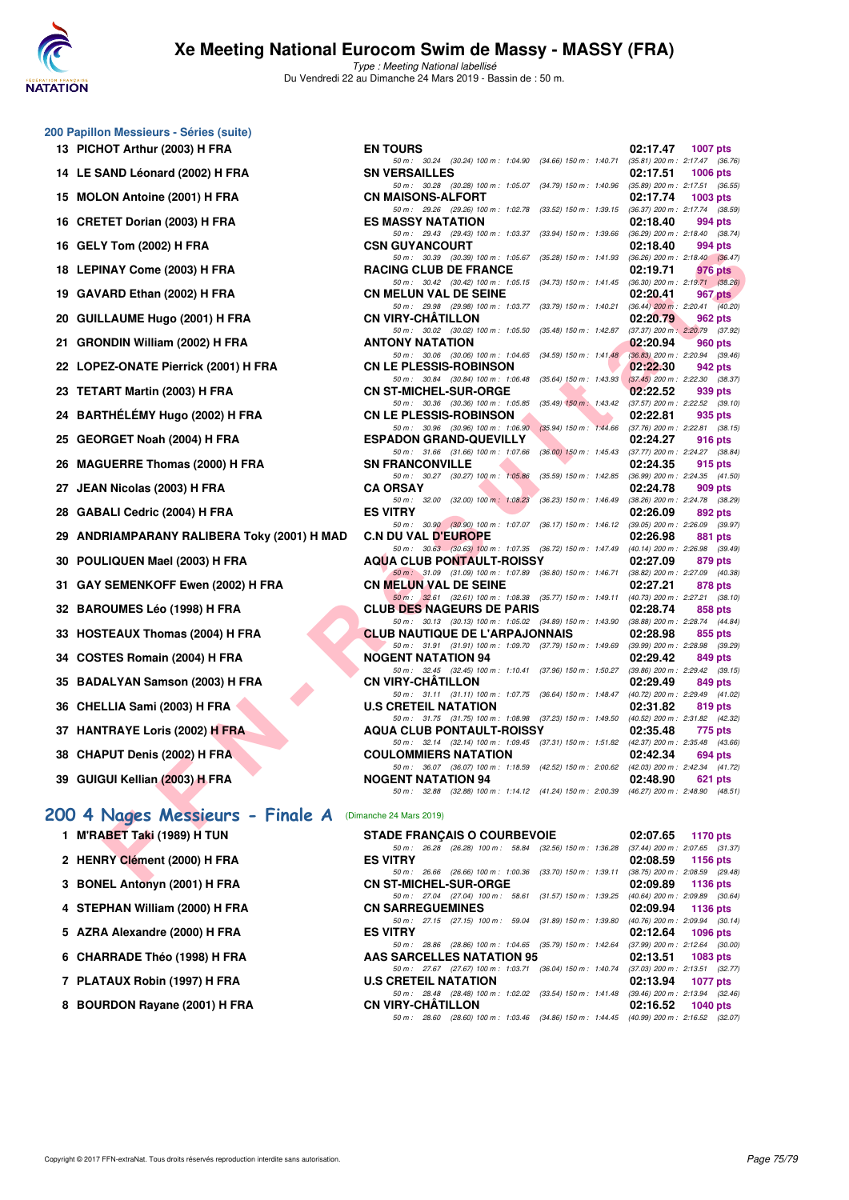

Type : Meeting National labellisé Du Vendredi 22 au Dimanche 24 Mars 2019 - Bassin de : 50 m.

| 200 Papillon Messieurs - Séries (suite)<br>13 PICHOT Arthur (2003) H FRA | <b>EN TOURS</b>                            |
|--------------------------------------------------------------------------|--------------------------------------------|
|                                                                          | 50 m : 30.24<br><b>SN VERSAILLE</b>        |
| 14 LE SAND Léonard (2002) H FRA<br>15 MOLON Antoine (2001) H FRA         | 50 m : 30.28                               |
|                                                                          | <b>CN MAISONS-A</b><br>50 m : 29.26        |
| 16 CRETET Dorian (2003) H FRA                                            | <b>ES MASSY NAT</b><br>50 m : 29.43        |
| 16 GELY Tom (2002) H FRA                                                 | <b>CSN GUYANCO</b><br>50 m : 30.39         |
| 18 LEPINAY Come (2003) H FRA                                             | <b>RACING CLUB</b><br>50 m : 30.42         |
| 19 GAVARD Ethan (2002) H FRA                                             | <b>CN MELUN VAI</b><br>50 m: 29.98         |
| 20 GUILLAUME Hugo (2001) H FRA                                           | <b>CN VIRY-CHÂT</b><br>50 m: 30.02         |
| 21 GRONDIN William (2002) H FRA                                          | <b>ANTONY NATA</b><br>50 m : 30.06         |
| 22 LOPEZ-ONATE Pierrick (2001) H FRA                                     | <b>CN LE PLESSIS</b><br>50 m : 30.84       |
| 23 TETART Martin (2003) H FRA                                            | <b>CN ST-MICHEL</b><br>50 m : 30.36        |
| 24 BARTHÉLÉMY Hugo (2002) H FRA                                          | <b>CN LE PLESSIS</b><br>50 m: 30.96        |
| 25 GEORGET Noah (2004) H FRA                                             | <b>ESPADON GRA</b><br>50 m: 31.66          |
| 26 MAGUERRE Thomas (2000) H FRA                                          | <b>SN FRANCONV</b><br>50 m: 30.27          |
| 27 JEAN Nicolas (2003) H FRA                                             | <b>CA ORSAY</b><br>50 m: 32.00             |
| 28 GABALI Cedric (2004) H FRA                                            | <b>ES VITRY</b><br>50 m: 30.90             |
| 29 ANDRIAMPARANY RALIBERA Toky (2001) H MAD                              | <b>C.N DU VAL D'I</b><br>50 m: 30.63       |
| 30 POULIQUEN Mael (2003) H FRA                                           | <b>AQUA CLUB P</b><br>50 m: 31.09          |
| 31 GAY SEMENKOFF Ewen (2002) H FRA                                       | <b>CN MELUN VAI</b><br>50 m: 32.61         |
| 32 BAROUMES Léo (1998) H FRA                                             | <b>CLUB DES NAO</b><br>50 m: 30.13         |
| 33 HOSTEAUX Thomas (2004) H FRA                                          | <b>CLUB NAUTIQI</b><br>50 m: 31.91         |
| 34 COSTES Romain (2004) H FRA                                            | NOGENT NATA<br>50 m : 32.45                |
| 35 BADALYAN Samson (2003) H FRA                                          | <b>CN VIRY-CHAT</b><br>50 m: 31.11         |
| 36 CHELLIA Sami (2003) H FRA                                             | <b>U.S CRETEIL N</b><br>50 m: 31.75        |
| 37 HANTRAYE Loris (2002) H FRA                                           | <b>AQUA CLUB P</b><br>50 m: 32.14          |
| 38 CHAPUT Denis (2002) H FRA                                             | <b>COULOMMIERS</b>                         |
| 39 GUIGUI Kellian (2003) H FRA                                           | 50 m : 36.07<br>NOGENT NATA<br>50 m: 32.88 |
| 200 4 Nages Messieurs - Finale A                                         | (Dimanche 24 Mars 2019)                    |
| 1 M'RABET Taki (1989) H TUN                                              | <b>STADE FRANÇ</b><br>50 m : 26.28         |
| 2 HENRY Clément (2000) H FRA                                             | <b>ES VITRY</b><br>50 m : 26.66            |
| 3 BONEL Antonyn (2001) H FRA                                             | <b>CN ST-MICHEL</b>                        |
| 4 STEPHAN William (2000) H FRA                                           | 50 m : 27.04<br><b>CN SARREGUE</b>         |
| 5 AZRA Alexandre (2000) H FRA                                            | 50 m: 27.15<br><b>ES VITRY</b>             |

| $\sigma$ raping messions - Sones (suite)    |                                                                                                                                   |                                                                                |
|---------------------------------------------|-----------------------------------------------------------------------------------------------------------------------------------|--------------------------------------------------------------------------------|
| 13 PICHOT Arthur (2003) H FRA               | <b>EN TOURS</b>                                                                                                                   | 02:17.47<br>1007 pts                                                           |
| 14 LE SAND Léonard (2002) H FRA             | 50 m: 30.24 (30.24) 100 m: 1:04.90 (34.66) 150 m: 1:40.71 (35.81) 200 m: 2:17.47 (36.76)<br><b>SN VERSAILLES</b>                  | 02:17.51<br><b>1006 pts</b>                                                    |
|                                             | 50 m: 30.28 (30.28) 100 m: 1:05.07 (34.79) 150 m: 1:40.96 (35.89) 200 m: 2:17.51 (36.55)                                          |                                                                                |
| 15 MOLON Antoine (2001) H FRA               | <b>CN MAISONS-ALFORT</b>                                                                                                          | 02:17.74<br>1003 pts                                                           |
|                                             | 50 m : 29.26 (29.26) 100 m : 1:02.78                                                                                              | (33.52) 150 m : 1:39.15 (36.37) 200 m : 2:17.74 (38.59)                        |
| 16 CRETET Dorian (2003) H FRA               | <b>ES MASSY NATATION</b><br>50 m: 29.43 (29.43) 100 m: 1:03.37                                                                    | 02:18.40<br>994 pts<br>(33.94) 150 m : 1:39.66 (36.29) 200 m : 2:18.40 (38.74) |
| 16 GELY Tom (2002) H FRA                    | <b>CSN GUYANCOURT</b>                                                                                                             | 02:18.40<br>994 pts                                                            |
|                                             | 50 m: 30.39 (30.39) 100 m: 1:05.67                                                                                                | (35.28) 150 m : 1:41.93 (36.26) 200 m : 2:18.40 (36.47)                        |
| 18 LEPINAY Come (2003) H FRA                | <b>RACING CLUB DE FRANCE</b><br>50 m: 30.42 (30.42) 100 m: 1:05.15 (34.73) 150 m: 1:41.45 (36.30) 200 m: 2:19.71 (38.26)          | 02:19.71<br>976 pts                                                            |
| 19 GAVARD Ethan (2002) H FRA                | <b>CN MELUN VAL DE SEINE</b>                                                                                                      | 02:20.41<br>967 pts                                                            |
|                                             | 50 m: 29.98 (29.98) 100 m: 1:03.77 (33.79) 150 m: 1:40.21 (36.44) 200 m: 2:20.41 (40.20)                                          |                                                                                |
| 20 GUILLAUME Hugo (2001) H FRA              | <b>CN VIRY-CHATILLON</b><br>50 m: 30.02 (30.02) 100 m: 1:05.50 (35.48) 150 m: 1:42.87 (37.37) 200 m: 2:20.79 (37.92)              | 02:20.79<br>962 pts                                                            |
| 21 GRONDIN William (2002) H FRA             | <b>ANTONY NATATION</b>                                                                                                            | 02:20.94<br>960 pts                                                            |
|                                             | 50 m: 30.06 (30.06) 100 m: 1:04.65 (34.59) 150 m: 1:41.48 (36.83) 200 m: 2:20.94 (39.46)                                          |                                                                                |
| 22 LOPEZ-ONATE Pierrick (2001) H FRA        | <b>CN LE PLESSIS-ROBINSON</b>                                                                                                     | 02:22.30<br>942 pts                                                            |
| 23 TETART Martin (2003) H FRA               | 50 m: 30.84 (30.84) 100 m: 1:06.48 (35.64) 150 m: 1:43.93 (37.45) 200 m: 2:22.30 (38.37)<br><b>CN ST-MICHEL-SUR-ORGE</b>          | 02:22.52<br>939 pts                                                            |
|                                             | 50 m: 30.36 (30.36) 100 m: 1:05.85 (35.49) 150 m: 1:43.42 (37.57) 200 m: 2:22.52 (39.10)                                          |                                                                                |
| 24   BARTHÉLÉMY Hugo (2002) H FRA           | <b>CN LE PLESSIS-ROBINSON</b>                                                                                                     | 02:22.81<br>935 pts                                                            |
| 25 GEORGET Noah (2004) H FRA                | 50 m: 30.96 (30.96) 100 m: 1:06.90 (35.94) 150 m: 1:44.66 (37.76) 200 m: 2:22.81 (38.15)<br><b>ESPADON GRAND-QUEVILLY</b>         | 02:24.27<br>916 pts                                                            |
|                                             | 50 m: 31.66 (31.66) 100 m: 1:07.66 (36.00) 150 m: 1:45.43 (37.77) 200 m: 2:24.27 (38.84)                                          |                                                                                |
| 26 MAGUERRE Thomas (2000) H FRA             | <b>SN FRANCONVILLE</b>                                                                                                            | 02:24.35<br>915 pts                                                            |
| 27 JEAN Nicolas (2003) H FRA                | 50 m: 30.27 (30.27) 100 m: 1:05.86 (35.59) 150 m: 1:42.85 (36.99) 200 m: 2:24.35 (41.50)<br><b>CA ORSAY</b>                       | 02:24.78<br>909 pts                                                            |
|                                             | 50 m: 32.00 (32.00) 100 m: 1:08.23 (36.23) 150 m: 1:46.49 (38.26) 200 m: 2:24.78 (38.29)                                          |                                                                                |
| 28 GABALI Cedric (2004) H FRA               | <b>ES VITRY</b>                                                                                                                   | 02:26.09<br>892 pts                                                            |
| 29 ANDRIAMPARANY RALIBERA Toky (2001) H MAD | 50 m: 30.90 (30.90) 100 m: 1:07.07 (36.17) 150 m: 1:46.12 (39.05) 200 m: 2:26.09 (39.97)<br><b>C.N DU VAL D'EUROPE</b>            | 02:26.98<br>881 pts                                                            |
|                                             | 50 m: 30.63 (30.63) 100 m: 1:07.35 (36.72) 150 m: 1:47.49 (40.14) 200 m: 2:26.98 (39.49)                                          |                                                                                |
| 30 POULIQUEN Mael (2003) H FRA              | <b>AQUA CLUB PONTAULT-ROISSY</b>                                                                                                  | 02:27.09<br>879 pts                                                            |
| 31   GAY SEMENKOFF Ewen (2002) H FRA        | 50 m: 31.09 (31.09) 100 m: 1:07.89 (36.80) 150 m: 1:46.71 (38.82) 200 m: 2:27.09 (40.38)<br><b>CN MELUN VAL DE SEINE</b>          | 02:27.21<br>878 pts                                                            |
|                                             | 50 m: 32.61 (32.61) 100 m: 1:08.38 (35.77) 150 m: 1:49.11 (40.73) 200 m: 2:27.21 (38.10)                                          |                                                                                |
| 32 BAROUMES Léo (1998) H FRA                | <b>CLUB DES NAGEURS DE PARIS</b>                                                                                                  | 02:28.74<br>858 pts                                                            |
|                                             | 50 m: 30.13 (30.13) 100 m: 1:05.02 (34.89) 150 m: 1:43.90 (38.88) 200 m: 2:28.74 (44.84)                                          |                                                                                |
| 33 HOSTEAUX Thomas (2004) H FRA             | <b>CLUB NAUTIQUE DE L'ARPAJONNAIS</b><br>50 m: 31.91 (31.91) 100 m: 1:09.70 (37.79) 150 m: 1:49.69 (39.99) 200 m: 2:28.98 (39.29) | 02:28.98<br>855 pts                                                            |
| 34 COSTES Romain (2004) H FRA               | <b>NOGENT NATATION 94</b>                                                                                                         | 02:29.42<br>849 pts                                                            |
|                                             | 50 m: 32.45 (32.45) 100 m: 1:10.41 (37.96) 150 m: 1:50.27 (39.86) 200 m: 2:29.42 (39.15)                                          |                                                                                |
| 35 BADALYAN Samson (2003) H FRA             | <b>CN VIRY-CHATILLON</b><br>50 m: 31.11 (31.11) 100 m: 1:07.75 (36.64) 150 m: 1:48.47 (40.72) 200 m: 2:29.49 (41.02)              | 02:29.49<br>849 pts                                                            |
| 36 CHELLIA Sami (2003) H FRA ∢              | <b>U.S CRETEIL NATATION</b>                                                                                                       | 02:31.82<br>819 pts                                                            |
|                                             | 50 m: 31.75 (31.75) 100 m: 1:08.98 (37.23) 150 m: 1:49.50 (40.52) 200 m: 2:31.82 (42.32)                                          |                                                                                |
| 37 HANTRAYE Loris (2002) H FRA              | <b>AQUA CLUB PONTAULT-ROISSY</b><br>50 m: 32.14 (32.14) 100 m: 1:09.45 (37.31) 150 m: 1:51.82 (42.37) 200 m: 2:35.48 (43.66)      | 02:35.48<br>775 pts                                                            |
| 38 CHAPUT Denis (2002) H FRA                | <b>COULOMMIERS NATATION</b>                                                                                                       | 02:42.34<br>694 pts                                                            |
|                                             | 50 m: 36.07 (36.07) 100 m: 1:18.59 (42.52) 150 m: 2:00.62 (42.03) 200 m: 2:42.34 (41.72)                                          |                                                                                |
| 39 GUIGUI Kellian (2003) H FRA              | <b>NOGENT NATATION 94</b>                                                                                                         | 02:48.90<br>621 pts                                                            |
|                                             | 50 m: 32.88 (32.88) 100 m: 1:14.12 (41.24) 150 m: 2:00.39 (46.27) 200 m: 2:48.90 (48.51)                                          |                                                                                |
| 00 4 Nages Messieurs - Finale A             | (Dimanche 24 Mars 2019)                                                                                                           |                                                                                |
| 1 M'RABET Taki (1989) H TUN                 | <b>STADE FRANÇAIS O COURBEVOIE</b>                                                                                                | 02:07.65<br><b>1170 pts</b>                                                    |
|                                             | 50 m: 26.28 (26.28) 100 m: 58.84 (32.56) 150 m: 1:36.28 (37.44) 200 m: 2:07.65 (31.37)                                            |                                                                                |
| 2 HENRY Clément (2000) H FRA                | <b>ES VITRY</b>                                                                                                                   | 02:08.59<br>1156 pts                                                           |
| <b>CONFLIGENT (2001) HEDA</b>               | 50 m : 26.66 (26.66) 100 m : 1:00.36 (33.70) 150 m : 1:39.11<br>CH CT MICHEL CHD ODCE                                             | $(38.75)$ 200 m : 2:08.59 $(29.48)$<br>nn.nn on<br>$-4490 - 4$                 |

| 1 M'RABET Taki (1989) H TUN    | <b>STADE FRANCAIS O COURBEVOIE</b>                                                       | 02:07.65 1170 pts                   |
|--------------------------------|------------------------------------------------------------------------------------------|-------------------------------------|
|                                | 50 m: 26.28 (26.28) 100 m: 58.84 (32.56) 150 m: 1:36.28                                  | (37.44) 200 m : 2:07.65 (31.37)     |
| 2 HENRY Clément (2000) H FRA   | <b>ES VITRY</b>                                                                          | 02:08.59 1156 pts                   |
|                                | 50 m : 26.66 (26.66) 100 m : 1:00.36 (33.70) 150 m : 1:39.11                             | (38.75) 200 m : 2:08.59 (29.48)     |
| 3 BONEL Antonyn (2001) H FRA   | <b>CN ST-MICHEL-SUR-ORGE</b>                                                             | 02:09.89 1136 pts                   |
|                                | 50 m: 27.04 (27.04) 100 m: 58.61 (31.57) 150 m: 1:39.25                                  | (40.64) 200 m : 2:09.89 (30.64)     |
| 4 STEPHAN William (2000) H FRA | <b>CN SARREGUEMINES</b>                                                                  | 02:09.94 1136 pts                   |
|                                | 50 m: 27.15 (27.15) 100 m: 59.04 (31.89) 150 m: 1:39.80                                  | $(40.76)$ 200 m : 2:09.94 $(30.14)$ |
| 5 AZRA Alexandre (2000) H FRA  | <b>ES VITRY</b>                                                                          | 02:12.64 1096 pts                   |
|                                | 50 m: 28.86 (28.86) 100 m: 1:04.65 (35.79) 150 m: 1:42.64 (37.99) 200 m: 2:12.64 (30.00  |                                     |
| 6 CHARRADE Théo (1998) H FRA   | AAS SARCELLES NATATION 95                                                                | $02:13.51$ 1083 pts                 |
|                                | 50 m: 27.67 (27.67) 100 m: 1:03.71 (36.04) 150 m: 1:40.74 (37.03) 200 m: 2:13.51 (32.77  |                                     |
| 7 PLATAUX Robin (1997) H FRA   | <b>U.S CRETEIL NATATION</b>                                                              | 02:13.94 1077 pts                   |
|                                | 50 m: 28.48 (28.48) 100 m: 1:02.02 (33.54) 150 m: 1:41.48 (39.46) 200 m: 2:13.94 (32.46) |                                     |
| 8 BOURDON Rayane (2001) H FRA  | <b>CN VIRY-CHÂTILLON</b>                                                                 | $02:16.52$ 1040 pts                 |
|                                | 50 m: 28.60 (28.60) 100 m: 1:03.46 (34.86) 150 m: 1:44.45 (40.99) 200 m: 2:16.52 (32.07) |                                     |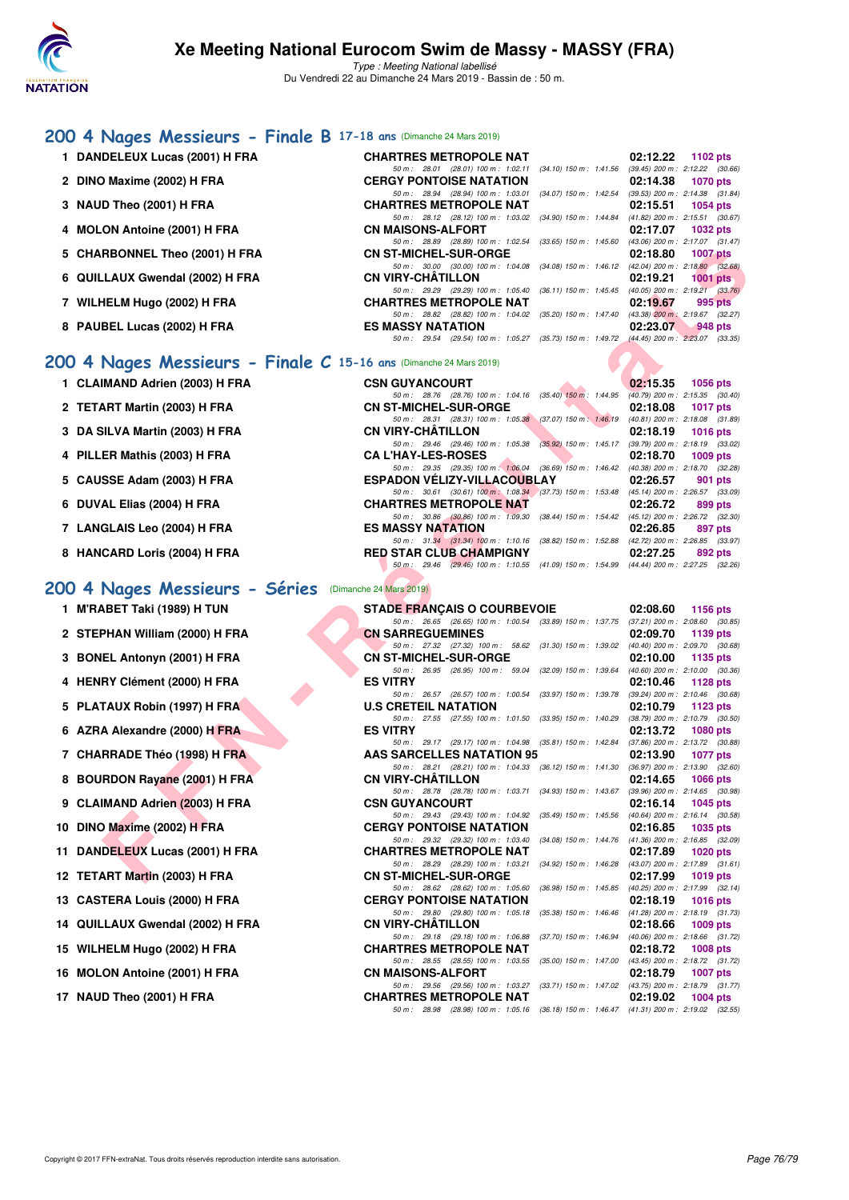

Type : Meeting National labellisé Du Vendredi 22 au Dimanche 24 Mars 2019 - Bassin de : 50 m.

#### **[200 4 Nages Messieurs - Finale B](http://www.ffnatation.fr/webffn/resultats.php?idact=nat&go=epr&idcpt=57649&idepr=91) 17-18 ans** (Dimanche 24 Mars 2019)

- **1 DANDELEUX Lucas (2001) H FRA**
- **2 DINO Maxime (2002) H FRA**
- **3 NAUD Theo (2001) H FRA**
- **4 MOLON Antoine (2001) H FRA**
- **5 CHARBONNEL Theo (2001) H FRA**
- **6 QUILLAUX Gwendal (2002) H FRA**
- **7 WILHELM Hugo (2002) H FRA CHARTRES METROPOLE NAT 02:19.67 995 pts**
- **8 PAUBEL Lucas (2002) H FRA**

- **1 CLAIMAND Adrien (2003) H FRA**
- **2 TETART Martin (2003) H FRA**
- **3 DA SILVA Martin (2003) H FRA**
- **4 PILLER Mathis (2003) H FRA CA L'HAY-LES-ROSES 02:18.70 1009 pts**
- **5 CAUSSE Adam (2003) H FRA**
- **6 DUVAL Elias (2004) H FRA CHARTRES METROPOLE NAT 02:26.72 899 pts**
- 7 LANGLAIS Leo (2004) H FRA
- **8 HANCARD Loris (2004) H FRA**

## **[200 4 Nages Messieurs - Séries](http://www.ffnatation.fr/webffn/resultats.php?idact=nat&go=epr&idcpt=57649&idepr=91)** (Dimanche 24 Mars 2019)

- **1 M'RABET Taki (1989) H TUN**
- 2 STEPHAN William (2000) H FRA
- **3 BONEL Antonyn (2001) H FRA**
- **4 HENRY Clément (2000) H FRA ES VITRY 02:10.46 1128 pts**
- **5 PLATAUX Robin (1997) H FRA**
- **6 AZRA Alexandre (2000) H FRA**
- **7 CHARRADE Théo (1998) H FRA**
- **8 BOURDON Rayane (2001) H FRA**
- **9 CLAIMAND Adrien (2003) H FRA**
- **10 DINO Maxime (2002) H FRA**
- **11 DANDELEUX Lucas (2001) H FRA**
- **12 TETART Martin (2003) H FRA**
- 13 CASTERA Louis (2000) H FRA
- 14 QUILLAUX Gwendal (2002) H FRA
- **15 WILHELM Hugo (2002) H FRA CHARTRES METROPOLE NAT 02:18.72 1008 pts**
- 16 MOLON Antoine (2001) H FRA
- **17 NAUD Theo (2001) H FRA**

| $\overline{O}$ ans (Dimanche 24 Mais 2019)                                              |                           |                                     |                     |
|-----------------------------------------------------------------------------------------|---------------------------|-------------------------------------|---------------------|
| <b>CHARTRES METROPOLE NAT</b>                                                           |                           |                                     | $02:12.22$ 1102 pts |
| 50 m: 28.01 (28.01) 100 m: 1:02.11                                                      | (34.10) 150 m : 1:41.56   | $(39.45)$ 200 m : 2:12.22 $(30.66)$ |                     |
| <b>CERGY PONTOISE NATATION</b>                                                          |                           |                                     | 02:14.38 1070 pts   |
| 50 m: 28.94 (28.94) 100 m: 1:03.01                                                      | $(34.07)$ 150 m : 1:42.54 | (39.53) 200 m : 2:14.38 (31.84)     |                     |
| <b>CHARTRES METROPOLE NAT</b>                                                           |                           |                                     | 02:15.51 1054 pts   |
| 50 m: 28.12 (28.12) 100 m: 1:03.02 (34.90) 150 m: 1:44.84 (41.82) 200 m: 2:15.51 (30.67 |                           |                                     |                     |
| CN MAISONS-ALFORT                                                                       |                           |                                     | 02:17.07 1032 pts   |
| 50 m: 28.89 (28.89) 100 m: 1:02.54 (33.65) 150 m: 1:45.60                               |                           | (43.06) 200 m : 2:17.07 (31.47)     |                     |
| <b>CN ST-MICHEL-SUR-ORGE</b>                                                            |                           |                                     | 02:18.80 1007 pts   |
| 50 m: 30.00 (30.00) 100 m: 1:04.08 (34.08) 150 m: 1:46.12 (42.04) 200 m: 2:18.80 (32.68 |                           |                                     |                     |
| CN VIRY-CHÂTILLON                                                                       |                           |                                     | $02:19.21$ 1001 pts |
| 50 m: 29.29 (29.29) 100 m: 1:05.40 (36.11) 150 m: 1:45.45                               |                           | $(40.05)$ 200 m : 2:19.21 $(33.76)$ |                     |
| <b>CHARTRES METROPOLE NAT</b>                                                           |                           |                                     | $02:19.67$ 995 pts  |
| 50 m: 28.82 (28.82) 100 m: 1:04.02 (35.20) 150 m: 1:47.40                               |                           | (43.38) 200 m : 2:19.67 (32.27)     |                     |
| <b>ES MASSY NATATION</b>                                                                |                           |                                     | $02:23.07$ 948 pts  |
| 50 m: 29.54 (29.54) 100 m: 1:05.27 (35.73) 150 m: 1:49.72 (44.45) 200 m: 2:23.07 (33.35 |                           |                                     |                     |
|                                                                                         |                           |                                     |                     |

#### **[200 4 Nages Messieurs - Finale C](http://www.ffnatation.fr/webffn/resultats.php?idact=nat&go=epr&idcpt=57649&idepr=91) 15-16 ans** (Dimanche 24 Mars 2019)

| <b>CSN GUYANCOURT</b>              |                                                              |  |  | $02:15.35$ 1056 pts                                                                      |  |
|------------------------------------|--------------------------------------------------------------|--|--|------------------------------------------------------------------------------------------|--|
|                                    | 50 m: 28.76 (28.76) 100 m: 1:04.16 (35.40) 150 m: 1:44.95    |  |  | $(40.79)$ 200 m : 2:15.35 $(30.40)$                                                      |  |
| <b>CN ST-MICHEL-SUR-ORGE</b>       |                                                              |  |  | 02:18.08 1017 pts                                                                        |  |
|                                    | 50 m: 28.31 (28.31) 100 m: 1:05.38 (37.07) 150 m: 1:46.19    |  |  | (40.81) 200 m : 2:18.08 (31.89)                                                          |  |
| <b>CN VIRY-CHÂTILLON</b>           |                                                              |  |  | 02:18.19 1016 pts                                                                        |  |
|                                    |                                                              |  |  | 50 m: 29.46 (29.46) 100 m: 1:05.38 (35.92) 150 m: 1:45.17 (39.79) 200 m: 2:18.19 (33.02) |  |
| <b>CA L'HAY-LES-ROSES</b>          |                                                              |  |  | 02:18.70 1009 pts                                                                        |  |
|                                    | 50 m : 29.35 (29.35) 100 m : 1:06.04 (36.69) 150 m : 1:46.42 |  |  | (40.38) 200 m : 2:18.70 (32.28)                                                          |  |
| <b>ESPADON VELIZY-VILLACOUBLAY</b> |                                                              |  |  | 02:26.57 901 pts                                                                         |  |
|                                    |                                                              |  |  | 50 m: 30.61 (30.61) 100 m: 1:08.34 (37.73) 150 m: 1:53.48 (45.14) 200 m: 2:26.57 (33.09) |  |
| <b>CHARTRES METROPOLE NAT</b>      |                                                              |  |  | 02:26.72 899 pts                                                                         |  |
|                                    | 50 m: 30.86 (30.86) 100 m: 1:09.30 (38.44) 150 m: 1:54.42    |  |  | (45.12) 200 m : 2:26.72 (32.30)                                                          |  |
| <b>ES MASSY NATATION</b>           |                                                              |  |  | 02:26.85 897 pts                                                                         |  |
|                                    |                                                              |  |  | 50 m: 31.34 (31.34) 100 m: 1:10.16 (38.82) 150 m: 1:52.88 (42.72) 200 m: 2:26.85 (33.97) |  |
| <b>RED STAR CLUB CHAMPIGNY</b>     |                                                              |  |  |                                                                                          |  |
|                                    |                                                              |  |  | 02:27.25 892 pts                                                                         |  |
|                                    |                                                              |  |  | 50 m: 29.46 (29.46) 100 m: 1:10.55 (41.09) 150 m: 1:54.99 (44.44) 200 m: 2:27.25 (32.26) |  |

| <b>RBONNEL Theo (2001) H FRA</b>                             | <b>CN ST-MICHEL-SUR-ORGE</b>                                                                                                                                                                    | 02:18.80<br><b>1007 pts</b>                                    |
|--------------------------------------------------------------|-------------------------------------------------------------------------------------------------------------------------------------------------------------------------------------------------|----------------------------------------------------------------|
| LAUX Gwendal (2002) H FRA                                    | 50 m: 30.00 (30.00) 100 m: 1:04.08 (34.08) 150 m: 1:46.12 (42.04) 200 m: 2:18.80 (32.68)<br><b>CN VIRY-CHATILLON</b>                                                                            | 02:19.21<br>$1001$ pts                                         |
| IELM Hugo (2002) H FRA                                       | 50 m: 29.29 (29.29) 100 m: 1:05.40 (36.11) 150 m: 1:45.45 (40.05) 200 m: 2:19.21 (33.76)<br><b>CHARTRES METROPOLE NAT</b>                                                                       | 02:19.67<br>995 pts                                            |
| BEL Lucas (2002) H FRA                                       | 50 m: 28.82 (28.82) 100 m: 1:04.02 (35.20) 150 m: 1:47.40 (43.38) 200 m: 2:19.67 (32.27)<br><b>ES MASSY NATATION</b>                                                                            | 02:23.07<br>$948$ pts                                          |
|                                                              | 50 m: 29.54 (29.54) 100 m: 1:05.27 (35.73) 150 m: 1:49.72 (44.45) 200 m: 2:23.07 (33.35)                                                                                                        |                                                                |
| Nages Messieurs - Finale C 15-16 ans (Dimanche 24 Mars 2019) |                                                                                                                                                                                                 |                                                                |
| IMAND Adrien (2003) H FRA                                    | <b>CSN GUYANCOURT</b>                                                                                                                                                                           | 02:15.35<br>1056 pts                                           |
| <b>ART Martin (2003) H FRA</b>                               | 50 m: 28.76 (28.76) 100 m: 1:04.16 (35.40) 150 m: 1:44.95 (40.79) 200 m: 2:15.35 (30.40)<br><b>CN ST-MICHEL-SUR-ORGE</b>                                                                        | 02:18.08<br><b>1017 pts</b>                                    |
| <b>ilLVA Martin (2003) H FRA</b>                             | 50 m: 28.31 (28.31) 100 m: 1:05.38 (37.07) 150 m: 1:46.19 (40.81) 200 m: 2:18.08 (31.89)<br><b>CN VIRY-CHATILLON</b>                                                                            | 02:18.19<br>1016 pts                                           |
| ER Mathis (2003) H FRA                                       | 50 m: 29.46 (29.46) 100 m: 1:05.38 (35.92) 150 m: 1:45.17 (39.79) 200 m: 2:18.19 (33.02)<br><b>CA L'HAY-LES-ROSES</b>                                                                           | 02:18.70<br>1009 $pts$                                         |
| SSE Adam (2003) H FRA                                        | 50 m: 29.35 (29.35) 100 m: 1:06.04 (36.69) 150 m: 1:46.42 (40.38) 200 m: 2:18.70 (32.28)<br><b>ESPADON VELIZY-VILLACOUBLAY</b>                                                                  | 02:26.57<br>901 pts                                            |
|                                                              | 50 m: 30.61 (30.61) 100 m: 1:08.34 (37.73) 150 m: 1:53.48 (45.14) 200 m: 2:26.57 (33.09)                                                                                                        |                                                                |
| AL Elias (2004) H FRA                                        | <b>CHARTRES METROPOLE NAT</b><br>50 m: 30.86 (30.86) 100 m: 1:09.30 (38.44) 150 m: 1:54.42 (45.12) 200 m: 2:26.72 (32.30)                                                                       | 02:26.72<br>899 pts                                            |
| GLAIS Leo (2004) H FRA                                       | <b>ES MASSY NATATION</b>                                                                                                                                                                        | 02:26.85<br>897 pts                                            |
|                                                              | 50 m: 31.34 (31.34) 100 m: 1:10.16 (38.82) 150 m: 1:52.88 (42.72) 200 m: 2:26.85 (33.97)                                                                                                        |                                                                |
| CARD Loris (2004) H FRA                                      | <b>RED STAR CLUB CHAMPIGNY</b><br>50 m: 29.46 (29.46) 100 m: 1:10.55 (41.09) 150 m: 1:54.99 (44.44) 200 m: 2:27.25 (32.26)                                                                      | 02:27.25<br>892 pts                                            |
| Nages Messieurs - Séries (Dimanche 24 Mars 2019)             |                                                                                                                                                                                                 |                                                                |
| \BET Taki (1989) H TUN                                       | <b>STADE FRANÇAIS O COURBEVOIE</b>                                                                                                                                                              | 02:08.60<br><b>1156 pts</b>                                    |
|                                                              | 50 m: 26.65 (26.65) 100 m: 1:00.54 (33.89) 150 m: 1:37.75 (37.21) 200 m: 2:08.60 (30.85)                                                                                                        |                                                                |
| PHAN William (2000) H FRA                                    | <b>CN SARREGUEMINES</b>                                                                                                                                                                         | 02:09.70<br>1139 pts                                           |
| EL Antonyn (2001) H FRA                                      | $50\,m\,:\quad 27.32\quad \  (27.32)\quad 100\,m\,:\quad 58.62\quad \  (31.30)\ 150\,m\,:\quad 1.39.02\quad \  (40.40)\ 200\,m\,:\quad 2.09.70\quad \  (30.68)$<br><b>CN ST-MICHEL-SUR-ORGE</b> | 02:10.00<br>1135 pts                                           |
|                                                              | 50 m: 26.95 (26.95) 100 m: 59.04 (32.09) 150 m: 1:39.64 (40.60) 200 m: 2:10.00 (30.36)                                                                                                          |                                                                |
| RY Clément (2000) H FRA                                      | <b>ES VITRY</b><br>50 m: 26.57 (26.57) 100 m: 1:00.54 (33.97) 150 m: 1:39.78 (39.24) 200 m: 2:10.46 (30.68)                                                                                     | 02:10.46<br>1128 pts                                           |
| TAUX Robin (1997) H FRA                                      | <b>U.S CRETEIL NATATION</b>                                                                                                                                                                     | 02:10.79<br>1123 pts                                           |
| A Alexandre (2000) H FRA                                     | 50 m: 27.55 (27.55) 100 m: 1:01.50 (33.95) 150 m: 1:40.29 (38.79) 200 m: 2:10.79 (30.50)<br><b>ES VITRY</b>                                                                                     | 02:13.72<br>1080 pts                                           |
|                                                              | 50 m: 29.17 (29.17) 100 m: 1:04.98 (35.81) 150 m: 1:42.84 (37.86) 200 m: 2:13.72 (30.88)                                                                                                        |                                                                |
| <b>RRADE Théo (1998) H FRA</b>                               | AAS SARCELLES NATATION 95<br>50 m: 28.21 (28.21) 100 m: 1:04.33 (36.12) 150 m: 1:41.30 (36.97) 200 m: 2:13.90 (32.60)                                                                           | 02:13.90<br>1077 pts                                           |
| RDON Rayane (2001) H FRA                                     | <b>CN VIRY-CHATILLON</b>                                                                                                                                                                        | 02:14.65<br>1066 $pts$                                         |
| IMAND Adrien (2003) H FRA                                    | 50 m: 28.78 (28.78) 100 m: 1:03.71 (34.93) 150 m: 1:43.67 (39.96) 200 m: 2:14.65 (30.98)<br><b>CSN GUYANCOURT</b>                                                                               | 02:16.14<br>1045 pts                                           |
|                                                              | 50 m: 29.43 (29.43) 100 m: 1:04.92 (35.49) 150 m: 1:45.56 (40.64) 200 m: 2:16.14 (30.58)                                                                                                        |                                                                |
| ) Maxime (2002) H FRA                                        | <b>CERGY PONTOISE NATATION</b><br>50 m: 29.32 (29.32) 100 m: 1:03.40 (34.08) 150 m: 1:44.76 (41.36) 200 m: 2:16.85 (32.09)                                                                      | 02:16.85<br>1035 pts                                           |
| DELEUX Lucas (2001) H FRA                                    | <b>CHARTRES METROPOLE NAT</b>                                                                                                                                                                   | 02:17.89<br>1020 pts                                           |
| <b>ART Martin (2003) H FRA</b>                               | 50 m: 28.29 (28.29) 100 m: 1:03.21 (34.92) 150 m: 1:46.28 (43.07) 200 m: 2:17.89 (31.61)<br><b>CN ST-MICHEL-SUR-ORGE</b>                                                                        | 02:17.99<br>1019 pts                                           |
| TERA Louis (2000) H FRA                                      | $(36.98)$ 150 m : 1:45.85<br>50 m : 28.62 (28.62) 100 m : 1:05.60<br><b>CERGY PONTOISE NATATION</b>                                                                                             | (40.25) 200 m : 2:17.99 (32.14)<br>02:18.19<br><b>1016 pts</b> |
| LAUX Gwendal (2002) H FRA.                                   | 50 m: 29.80 (29.80) 100 m: 1:05.18<br>$(35.38)$ 150 m : 1:46.46<br><b>CN VIRY-CHATILLON</b>                                                                                                     | $(41.28)$ 200 m : 2:18.19 $(31.73)$<br>02:18.66<br>1009 pts    |
| <b>IELM Hugo (2002) H FRA</b>                                | 50 m: 29.18 (29.18) 100 m: 1:06.88<br>$(37.70)$ 150 m : 1:46.94<br><b>CHARTRES METROPOLE NAT</b>                                                                                                | (40.06) 200 m : 2:18.66 (31.72)<br>02:18.72<br><b>1008 pts</b> |
| ON Antoine (2001) H FRA                                      | 50 m: 28.55 (28.55) 100 m: 1:03.55<br>$(35.00)$ 150 m : 1:47.00<br><b>CN MAISONS-ALFORT</b>                                                                                                     | (43.45) 200 m : 2:18.72 (31.72)<br>02:18.79<br><b>1007 pts</b> |
|                                                              | 50 m: 29.56 (29.56) 100 m: 1:03.27                                                                                                                                                              | (33.71) 150 m: 1:47.02 (43.75) 200 m: 2:18.79 (31.77)          |
| D Theo (2001) H FRA                                          | <b>CHARTRES METROPOLE NAT</b><br>50 m: 28.98 (28.98) 100 m: 1:05.16 (36.18) 150 m: 1:46.47 (41.31) 200 m: 2:19.02 (32.55)                                                                       | 02:19.02<br><b>1004 pts</b>                                    |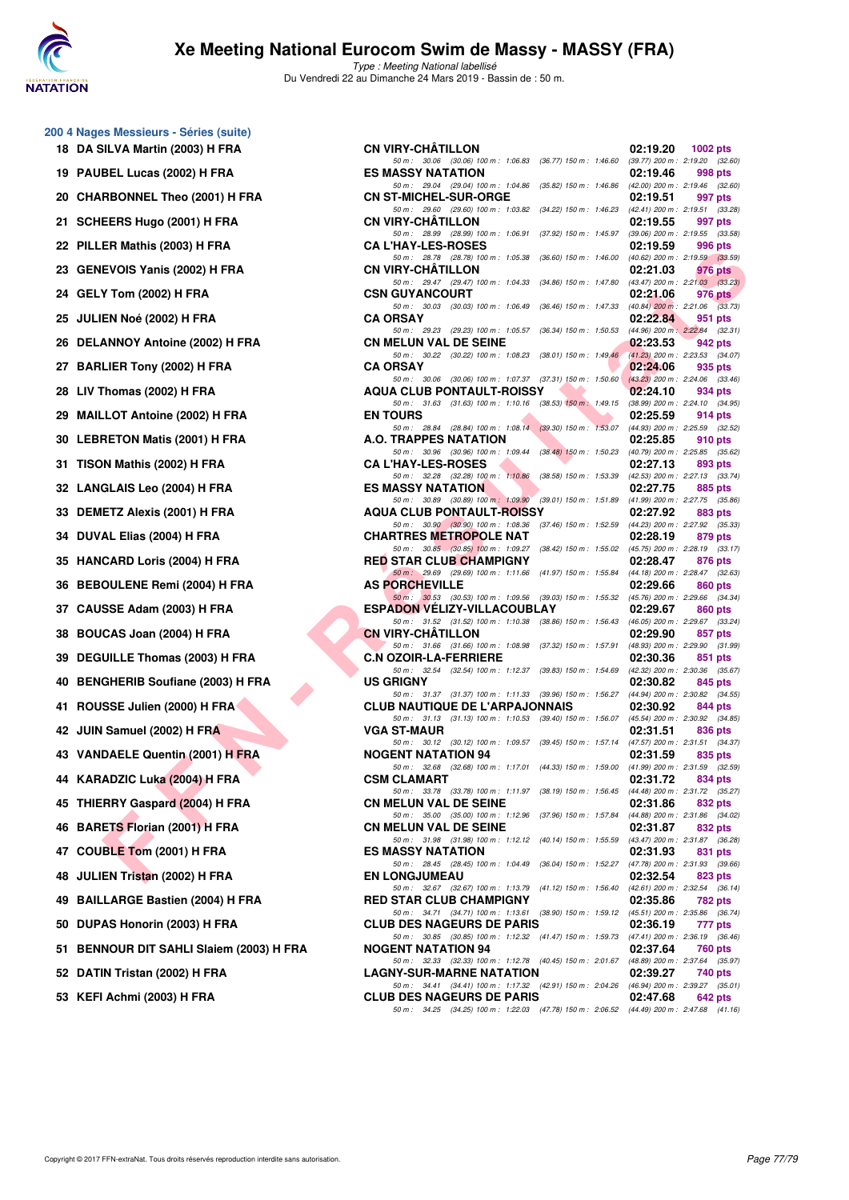

**200 4 Nages Messieurs - Séries (suite) 18 DA SILVA Martin (2003) H FRA** 

## **Xe Meeting National Eurocom Swim de Massy - MASSY (FRA)**

Type : Meeting National labellisé Du Vendredi 22 au Dimanche 24 Mars 2019 - Bassin de : 50 m.

|    | 19 PAUBEL Lucas (2002) H FRA            |
|----|-----------------------------------------|
|    | 20 CHARBONNEL Theo (2001) H FRA         |
|    | 21 SCHEERS Hugo (2001) H FRA            |
|    | 22 PILLER Mathis (2003) H FRA           |
|    | 23 GENEVOIS Yanis (2002) H FRA          |
|    | 24 GELY Tom (2002) H FRA                |
|    | 25 JULIEN Noé (2002) H FRA              |
|    | 26 DELANNOY Antoine (2002) H FRA        |
|    | 27 BARLIER Tony (2002) H FRA            |
|    | 28 LIV Thomas (2002) H FRA              |
|    | 29 MAILLOT Antoine (2002) H FRA         |
|    | 30 LEBRETON Matis (2001) H FRA          |
|    | 31 TISON Mathis (2002) H FRA            |
|    | 32 LANGLAIS Leo (2004) H FRA            |
|    | 33 DEMETZ Alexis (2001) H FRA           |
|    | 34 DUVAL Elias (2004) H FRA             |
|    | 35 HANCARD Loris (2004) H FRA           |
|    | 36 BEBOULENE Remi (2004) H FRA          |
|    | 37 CAUSSE Adam (2003) H FRA             |
|    | 38 BOUCAS Joan (2004) H FRA             |
|    | 39 DEGUILLE Thomas (2003) H FRA         |
|    | 40 BENGHERIB Soufiane (2003) H FRA      |
| 41 | ROUSSE Julien (2000) H FRA              |
|    | 42 JUIN Samuel (2002) H FRA             |
|    | 43 VANDAELE Quentin (2001) H FRA        |
|    | 44 KARADZIC Luka (2004) H FRA           |
| 45 | THIERRY Gaspard (2004) H FRA            |
| 46 | BARETS Florian (2001) H FRA             |
|    | 47 COUBLE Tom (2001) H FRA              |
|    | 48 JULIEN Tristan (2002) H FRA          |
|    | 49 BAILLARGE Bastien (2004) H FRA       |
|    | 50 DUPAS Honorin (2003) H FRA           |
|    | 51 BENNOUR DIT SAHLI Slaiem (2003) H FI |
|    | 52 DATIN Tristan (2002) H FRA           |
|    |                                         |

| 53 KEFI Achmi (2003) H FRA |  |
|----------------------------|--|
|----------------------------|--|

| 0 4 Nages Messieurs - Series (Suite)     |                                                                                                                                   |                      |
|------------------------------------------|-----------------------------------------------------------------------------------------------------------------------------------|----------------------|
| 18 DA SILVA Martin (2003) H FRA          | <b>CN VIRY-CHATILLON</b>                                                                                                          | 02:19.20<br>1002 pts |
| 19 PAUBEL Lucas (2002) H FRA             | 50 m: 30.06 (30.06) 100 m: 1:06.83 (36.77) 150 m: 1:46.60 (39.77) 200 m: 2:19.20 (32.60)<br><b>ES MASSY NATATION</b>              | 02:19.46<br>998 pts  |
| 20 CHARBONNEL Theo (2001) H FRA          | 50 m : 29.04 (29.04) 100 m : 1:04.86 (35.82) 150 m : 1:46.86 (42.00) 200 m : 2:19.46 (32.60)<br><b>CN ST-MICHEL-SUR-ORGE</b>      | 02:19.51<br>997 pts  |
| 21 SCHEERS Hugo (2001) H FRA             | 50 m: 29.60 (29.60) 100 m: 1:03.82 (34.22) 150 m: 1:46.23 (42.41) 200 m: 2:19.51 (33.28)<br><b>CN VIRY-CHATILLON</b>              | 02:19.55<br>997 pts  |
| 22 PILLER Mathis (2003) H FRA            | 50 m: 28.99 (28.99) 100 m: 1:06.91 (37.92) 150 m: 1:45.97 (39.06) 200 m: 2:19.55 (33.58)<br><b>CA L'HAY-LES-ROSES</b>             | 02:19.59<br>996 pts  |
|                                          | 50 m: 28.78 (28.78) 100 m: 1:05.38 (36.60) 150 m: 1:46.00 (40.62) 200 m: 2:19.59 (33.59)                                          |                      |
| 23 GENEVOIS Yanis (2002) H FRA           | <b>CN VIRY-CHATILLON</b><br>50 m: 29.47 (29.47) 100 m: 1:04.33 (34.86) 150 m: 1:47.80 (43.47) 200 m: 2:21.03 (33.23)              | 02:21.03<br>976 pts  |
| 24 GELY Tom (2002) H FRA                 | <b>CSN GUYANCOURT</b><br>50 m: 30.03 (30.03) 100 m: 1:06.49 (36.46) 150 m: 1:47.33 (40.84) 200 m: 2:21.06 (33.73)                 | 02:21.06<br>976 pts  |
| 25 JULIEN Noé (2002) H FRA               | <b>CA ORSAY</b><br>50 m: 29.23 (29.23) 100 m: 1:05.57 (36.34) 150 m: 1:50.53 (44.96) 200 m: 2:22.84 (32.31)                       | 02:22.84<br>951 pts  |
| 26 DELANNOY Antoine (2002) H FRA         | <b>CN MELUN VAL DE SEINE</b><br>50 m: 30.22 (30.22) 100 m: 1:08.23 (38.01) 150 m: 1:49.46 (41.23) 200 m: 2:23.53 (34.07)          | 02:23.53<br>942 pts  |
| 27 BARLIER Tony (2002) H FRA             | <b>CA ORSAY</b>                                                                                                                   | 02:24.06<br>935 pts  |
| 28 LIV Thomas (2002) H FRA               | 50 m: 30.06 (30.06) 100 m: 1:07.37 (37.31) 150 m: 1:50.60 (43.23) 200 m: 2:24.06 (33.46)<br><b>AQUA CLUB PONTAULT-ROISSY</b>      | 02:24.10<br>934 pts  |
| 29 MAILLOT Antoine (2002) H FRA          | 50 m: 31.63 (31.63) 100 m: 1:10.16 (38.53) 150 m: 1:49.15 (38.99) 200 m: 2:24.10 (34.95)<br><b>EN TOURS</b>                       | 02:25.59<br>914 pts  |
| 30 LEBRETON Matis (2001) H FRA           | 50 m: 28.84 (28.84) 100 m: 1:08.14 (39.30) 150 m: 1:53.07 (44.93) 200 m: 2:25.59 (32.52)<br>A.O. TRAPPES NATATION                 | 02:25.85<br>910 pts  |
| 31 TISON Mathis (2002) H FRA             | 50 m: 30.96 (30.96) 100 m: 1:09.44 (38.48) 150 m: 1:50.23 (40.79) 200 m: 2:25.85 (35.62)<br><b>CA L'HAY-LES-ROSES</b>             | 02:27.13<br>893 pts  |
| 32 LANGLAIS Leo (2004) H FRA             | 50 m: 32.28 (32.28) 100 m: 1:10.86 (38.58) 150 m: 1:53.39 (42.53) 200 m: 2:27.13 (33.74)<br><b>ES MASSY NATATION</b>              | 02:27.75<br>885 pts  |
| 33 DEMETZ Alexis (2001) H FRA            | 50 m: 30.89 (30.89) 100 m: 1:09.90 (39.01) 150 m: 1:51.89 (41.99) 200 m: 2:27.75 (35.86)                                          |                      |
|                                          | <b>AQUA CLUB PONTAULT-ROISSY</b><br>50 m: 30.90 (30.90) 100 m: 1:08.36 (37.46) 150 m: 1:52.59 (44.23) 200 m: 2:27.92 (35.33)      | 02:27.92<br>883 pts  |
| 34 DUVAL Elias (2004) H FRA              | <b>CHARTRES METROPOLE NAT</b><br>50 m: 30.85 (30.85) 100 m: 1:09.27 (38.42) 150 m: 1:55.02 (45.75) 200 m: 2:28.19 (33.17)         | 02:28.19<br>879 pts  |
| 35 HANCARD Loris (2004) H FRA            | <b>RED STAR CLUB CHAMPIGNY</b><br>50 m: 29.69 (29.69) 100 m: 1:11.66 (41.97) 150 m: 1:55.84 (44.18) 200 m: 2:28.47 (32.63)        | 02:28.47<br>876 pts  |
| 36 BEBOULENE Remi (2004) H FRA           | <b>AS PORCHEVILLE</b><br>50 m: 30.53 (30.53) 100 m: 1:09.56 (39.03) 150 m: 1:55.32 (45.76) 200 m: 2:29.66 (34.34)                 | 02:29.66<br>860 pts  |
| 37 CAUSSE Adam (2003) H FRA              | <b>ESPADON VELIZY-VILLACOUBLAY</b><br>50 m: 31.52 (31.52) 100 m: 1:10.38 (38.86) 150 m: 1:56.43 (46.05) 200 m: 2:29.67 (33.24)    | 02:29.67<br>860 pts  |
| 38 BOUCAS Joan (2004) H FRA              | <b>CN VIRY-CHATILLON</b>                                                                                                          | 02:29.90<br>857 pts  |
| 39 DEGUILLE Thomas (2003) H FRA          | 50 m: 31.66 (31.66) 100 m: 1:08.98 (37.32) 150 m: 1:57.91 (48.93) 200 m: 2:29.90 (31.99)<br><b>C.N OZOIR-LA-FERRIERE</b>          | 02:30.36<br>851 pts  |
| 40 BENGHERIB Soufiane (2003) H FRA       | 50 m: 32.54 (32.54) 100 m: 1:12.37 (39.83) 150 m: 1:54.69 (42.32) 200 m: 2:30.36 (35.67)<br><b>US GRIGNY</b>                      | 02:30.82<br>845 pts  |
| 41 ROUSSE Julien (2000) H FRA            | 50 m: 31.37 (31.37) 100 m: 1:11.33 (39.96) 150 m: 1:56.27 (44.94) 200 m: 2:30.82 (34.55)<br><b>CLUB NAUTIQUE DE L'ARPAJONNAIS</b> | 02:30.92<br>844 pts  |
| 42 JUIN Samuel (2002) H FRA              | 50 m: 31.13 (31.13) 100 m: 1:10.53 (39.40) 150 m: 1:56.07 (45.54) 200 m: 2:30.92 (34.85)<br><b>VGA ST-MAUR</b>                    | 02:31.51<br>836 pts  |
| 43 VANDAELE Quentin (2001) H FRA         | 50 m: 30.12 (30.12) 100 m: 1:09.57 (39.45) 150 m: 1:57.14 (47.57) 200 m: 2:31.51 (34.37)<br><b>NOGENT NATATION 94</b>             | 02:31.59<br>835 pts  |
|                                          | 50 m: 32.68 (32.68) 100 m: 1:17.01 (44.33) 150 m: 1:59.00 (41.99) 200 m: 2:31.59 (32.59)                                          |                      |
| 44 KARADZIC Luka (2004) H FRA            | <b>CSM CLAMART</b><br>50 m: 33.78 (33.78) 100 m: 1:11.97 (38.19) 150 m: 1:56.45 (44.48) 200 m: 2:31.72 (35.27)                    | 02:31.72<br>834 pts  |
| 45 THIERRY Gaspard (2004) H FRA          | <b>CN MELUN VAL DE SEINE</b><br>50 m: 35.00 (35.00) 100 m: 1:12.96 (37.96) 150 m: 1:57.84 (44.88) 200 m: 2:31.86 (34.02)          | 02:31.86<br>832 pts  |
| 46 BARETS Florian (2001) H FRA           | <b>CN MELUN VAL DE SEINE</b><br>50 m: 31.98 (31.98) 100 m: 1:12.12 (40.14) 150 m: 1:55.59 (43.47) 200 m: 2:31.87 (36.28)          | 02:31.87<br>832 pts  |
| 47 COUBLE Tom (2001) H FRA               | <b>ES MASSY NATATION</b><br>50 m: 28.45 (28.45) 100 m: 1:04.49 (36.04) 150 m: 1:52.27 (47.78) 200 m: 2:31.93 (39.66)              | 02:31.93<br>831 pts  |
| 48 JULIEN Tristan (2002) H FRA           | <b>EN LONGJUMEAU</b><br>50 m: 32.67 (32.67) 100 m: 1:13.79 (41.12) 150 m: 1:56.40 (42.61) 200 m: 2:32.54 (36.14)                  | 02:32.54<br>823 pts  |
| 49 BAILLARGE Bastien (2004) H FRA        | <b>RED STAR CLUB CHAMPIGNY</b>                                                                                                    | 02:35.86<br>782 pts  |
| 50 DUPAS Honorin (2003) H FRA            | 50 m: 34.71 (34.71) 100 m: 1:13.61 (38.90) 150 m: 1:59.12 (45.51) 200 m: 2:35.86 (36.74)<br><b>CLUB DES NAGEURS DE PARIS</b>      | 02:36.19<br>777 pts  |
| 51 BENNOUR DIT SAHLI Slaiem (2003) H FRA | 50 m: 30.85 (30.85) 100 m: 1:12.32 (41.47) 150 m: 1:59.73 (47.41) 200 m: 2:36.19 (36.46)<br><b>NOGENT NATATION 94</b>             | 02:37.64<br>760 pts  |
| 52 DATIN Tristan (2002) H FRA            | 50 m: 32.33 (32.33) 100 m: 1:12.78 (40.45) 150 m: 2:01.67 (48.89) 200 m: 2:37.64 (35.97)<br><b>LAGNY-SUR-MARNE NATATION</b>       | 02:39.27<br>740 pts  |
| 53 KEFI Achmi (2003) H FRA               | 50 m: 34.41 (34.41) 100 m: 1:17.32 (42.91) 150 m: 2:04.26 (46.94) 200 m: 2:39.27 (35.01)<br><b>CLUB DES NAGEURS DE PARIS</b>      | 02:47.68<br>642 pts  |
|                                          | 50 m: 34.25 (34.25) 100 m: 1:22.03 (47.78) 150 m: 2:06.52 (44.49) 200 m: 2:47.68 (41.16)                                          |                      |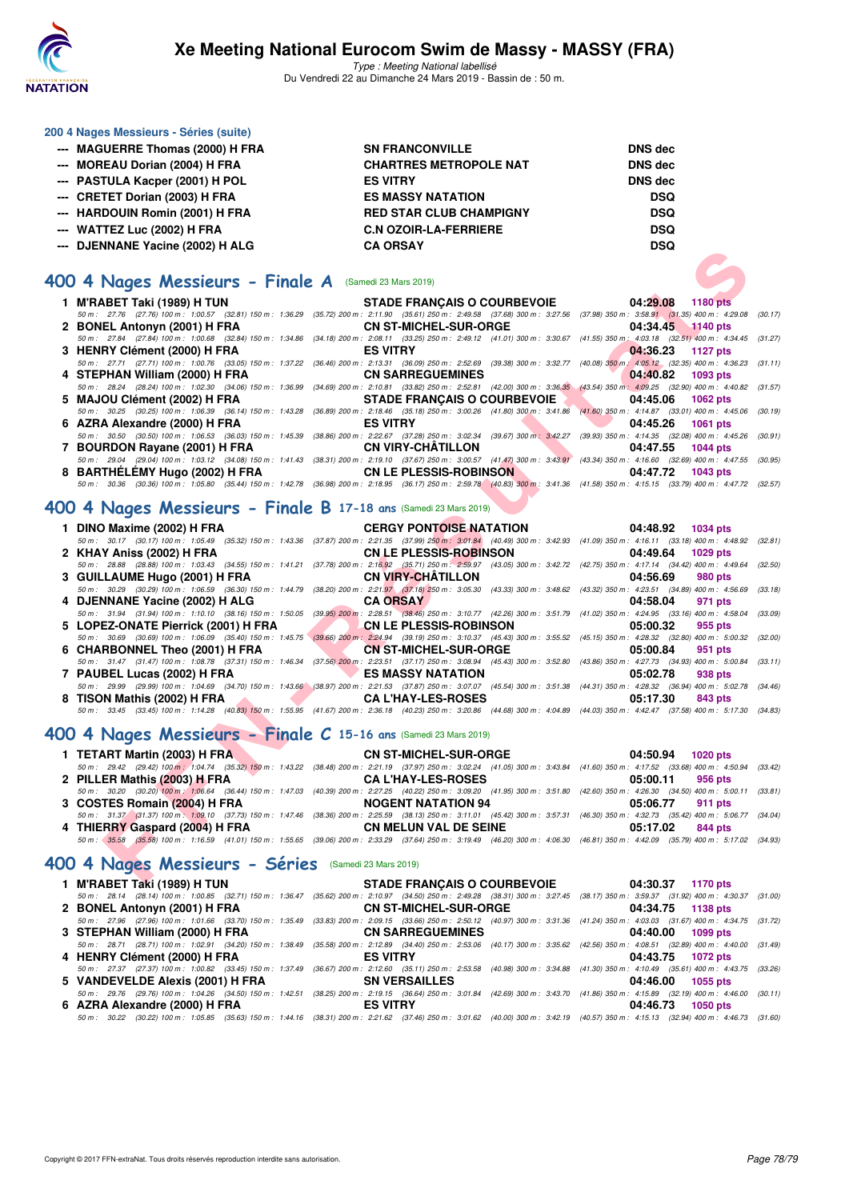

Type : Meeting National labellisé Du Vendredi 22 au Dimanche 24 Mars 2019 - Bassin de : 50 m.

#### **200 4 Nages Messieurs - Séries (suite)**

- **--- MAGUERRE Thomas (2000) H FRA SN FRANCONVILLE DNS dec**
- 
- 
- **--- CRETET Dorian (2003) H FRA ES MASSY NATATION DSQ**
- **--- HARDOUIN Romin (2001) H FRA RED STAR CLUB CHAMPIGNY DSQ**
- 
- **--- DJENNANE Yacine (2002) H ALG CA ORSAY DSQ**

### **[400 4 Nages Messieurs - Finale A](http://www.ffnatation.fr/webffn/resultats.php?idact=nat&go=epr&idcpt=57649&idepr=92)** (Samedi 23 Mars 2019)

**--- MOREAU Dorian (2004) H FRA CHARTRES METROPOLE NAT DNS dec --- PASTULA Kacper (2001) H POL ES VITRY DNS dec --- WATTEZ Luc (2002) H FRA C.N OZOIR-LA-FERRIERE DSQ**



## **[400 4 Nages Messieurs - Finale B](http://www.ffnatation.fr/webffn/resultats.php?idact=nat&go=epr&idcpt=57649&idepr=92) 17-18 ans** (Samedi 23 Mars 2019)

| 1 DINO Maxime (2002) H FRA CERGY PONTOISE NATATION 04:48.92 1034 pts                                                                                                                         |  |                     |
|----------------------------------------------------------------------------------------------------------------------------------------------------------------------------------------------|--|---------------------|
| 50 m: 30.17 (30.17) 100 m: 1:05.49 (35.32) 150 m: 1:43.36 (37.87) 200 m: 2:21.35 (37.99) 250 m: 3:01.84 (40.49) 300 m: 3:42.93 (41.09) 350 m: 4:16.11 (33.18) 400 m: 4:48.92 (32.81)         |  |                     |
| 2 KHAY Aniss (2002) H FRA <b>CNLE PLESSIS-ROBINSON</b> 04:49.64 1029 pts                                                                                                                     |  |                     |
| 50 m: 28.88 (28.88) 100 m: 1:03.43 (34.55) 150 m: 1:41.21 (37.78) 200 m: 2:16.92 (35.71) 250 m: 2:59.97 (43.05) 300 m: 3:42.72 (42.75) 350 m: 4:17.14 (34.42) 400 m: 4:49.64 (32.50)         |  |                     |
|                                                                                                                                                                                              |  | 04:56.69 980 pts    |
| 50 m : 30.29 (30.29) 100 m : 1:06.59 (36.30) 150 m : 1:44.79 (38.20) 200 m : 2:21.97 (37.18) 250 m : 3:05.30 (43.33) 300 m : 3:48.62 (43.32) 350 m : 4:23.51 (34.89) 400 m : 4:56.69 (33.18) |  |                     |
| 4 DJENNANE Yacine (2002) H ALG CA ORSAY                                                                                                                                                      |  | 04:58.04 971 pts    |
| 50 m: 31.94 (31.94) 100 m: 1:10.10 (38.16) 150 m: 1:50.05 (39.95) 200 m: 2:28.51 (38.46) 250 m: 3:10.77 (42.26) 300 m: 3:51.79 (41.02) 350 m: 4:24.95 (33.16) 400 m: 4:58.04 (33.09)         |  |                     |
| 5 LOPEZ-ONATE Pierrick (2001) H FRA CN LE PLESSIS-ROBINSON 05:00.32                                                                                                                          |  | 955 pts             |
| 50 m : 30.69 (30.69) 100 m : 1:06.09 (35.40) 150 m : 1:45.75 (39.66) 200 m : 2:24.94 (39.19) 250 m : 3:10.37 (45.43) 300 m : 3:55.52 (45.15) 350 m : 4:28.32 (32.80) 400 m : 5:00.32 (32.00) |  |                     |
| 6 CHARBONNEL Theo (2001) H FRA CN ST-MICHEL-SUR-ORGE 05:00.84                                                                                                                                |  | 951 pts             |
| 50 m: 31.47 (31.47) 100 m: 1:08.78 (37.31) 150 m: 1:46.34 (37.56) 200 m: 2:23.51 (37.17) 250 m: 3:08.94 (45.43) 300 m: 3:52.80 (43.86) 350 m: 4:27.73 (34.93) 400 m: 5:00.84 (33.11)         |  |                     |
| 7 PAUBEL Lucas (2002) H FRA ES MASSY NATATION                                                                                                                                                |  | 05:02.78<br>938 pts |
| 50 m : 29.99 (29.99) 100 m : 1:04.69 (34.70) 150 m : 1:43.66 (38.97) 200 m : 2:21.53 (37.87) 250 m : 3:07.07 (45.54) 300 m : 3:51.38 (44.31) 350 m : 4:28.32 (36.94) 400 m : 5:02.78 (34.46) |  |                     |
| 8 TISON Mathis (2002) H FRA CAL'HAY-LES-ROSES                                                                                                                                                |  | 05:17.30<br>843 pts |
| 50 m : 33.45 (33.45) 100 m : 1:14.28 (40.83) 150 m : 1:55.95 (41.67) 200 m : 2:36.18 (40.23) 250 m : 3:20.86 (44.68) 300 m : 4:04.89 (44.03) 350 m : 4:42.47 (37.58) 400 m : 5:17.30 (34.83) |  |                     |

#### **[400 4 Nages Messieurs - Finale C](http://www.ffnatation.fr/webffn/resultats.php?idact=nat&go=epr&idcpt=57649&idepr=92) 15-16 ans** (Samedi 23 Mars 2019)

| 1 TETART Martin (2003) H FRA   | <b>CN ST-MICHEL-SUR-ORGE</b>                                                                                                                                                                 | 04:50.94 1020 pts |
|--------------------------------|----------------------------------------------------------------------------------------------------------------------------------------------------------------------------------------------|-------------------|
|                                | 50 m : 29.42 (29.42) 100 m : 1:04.74 (35.32) 150 m : 1:43.22 (38.48) 200 m : 2:21.19 (37.97) 250 m : 3:02.24 (41.05) 300 m : 3:43.84 (41.60) 350 m : 4:17.52 (33.68) 400 m : 4:50.94 (33.42) |                   |
| 2 PILLER Mathis (2003) H FRA   | <b>CA L'HAY-LES-ROSES</b>                                                                                                                                                                    | 05:00.11 956 pts  |
|                                | 50 m : 30.20 (30.20) 100 m : 1:06.64 (36.44) 150 m : 1:47.03 (40.39) 200 m : 2:27.25 (40.22) 250 m : 3:09.20 (41.95) 300 m : 3:51.80 (42.60) 350 m : 4:26.30 (34.50) 400 m : 5:00.11 (33.81) |                   |
| 3 COSTES Romain (2004) H FRA   | <b>NOGENT NATATION 94</b>                                                                                                                                                                    | 05:06.77 911 pts  |
|                                | 50 m: 31.37 (31.37) 100 m: 1:09.10 (37.73) 150 m: 1:47.46 (38.36) 200 m: 2:25.59 (38.13) 250 m: 3:11.01 (45.42) 300 m: 3:57.31 (46.30) 350 m: 4:32.73 (35.42) 400 m: 5:06.77 (34.04)         |                   |
| 4 THIERRY Gaspard (2004) H FRA | CN MELUN VAL DE SEINE                                                                                                                                                                        | 05:17.02 844 pts  |
|                                | 50 m: 35.58 (35.58) 100 m: 1:16.59 (41.01) 150 m: 1:55.65 (39.06) 200 m: 2:33.29 (37.64) 250 m: 3:19.49 (46.20) 300 m: 4:06.30 (46.81) 350 m: 4:42.09 (35.79) 400 m: 5:17.02 (34.93)         |                   |

#### **[400 4 Nages Messieurs - Séries](http://www.ffnatation.fr/webffn/resultats.php?idact=nat&go=epr&idcpt=57649&idepr=92)** (Samedi 23 Mars 2019)

| 1 M'RABET Taki (1989) H TUN                                                                                                                                                          | <b>STADE FRANÇAIS O COURBEVOIE</b>                                                                            | 04:30.37 1170 pts    |  |
|--------------------------------------------------------------------------------------------------------------------------------------------------------------------------------------|---------------------------------------------------------------------------------------------------------------|----------------------|--|
| 50 m: 28.14 (28.14) 100 m: 1:00.85 (32.71) 150 m: 1:36.47 (35.62) 200 m: 2:10.97 (34.50) 250 m: 2:49.28 (38.31) 300 m: 3:27.45 (38.17) 350 m: 3:59.37 (31.92) 400 m: 4:30.37 (31.00) |                                                                                                               |                      |  |
| 2 BONEL Antonyn (2001) H FRA                                                                                                                                                         | CN ST-MICHEL-SUR-ORGE NAMEL AND THE STATE OF STATE AND THE STATE OF STATE OF STATE OF STATE OF STATE OF STATE | 04:34.75 1138 pts    |  |
| 50 m: 27.96 (27.96) 100 m: 1:01.66 (33.70) 150 m: 1:35.49 (33.83) 200 m: 2:09.15 (33.66) 250 m: 2:50.12 (40.97) 300 m: 3:31.36 (41.24) 350 m: 4:03.03 (31.67) 400 m: 4:34.75 (31.72) |                                                                                                               |                      |  |
| 3 STEPHAN William (2000) H FRA                                                                                                                                                       | <b>CN SARREGUEMINES</b>                                                                                       | 04:40.00 1099 pts    |  |
| 50 m: 28.71 (28.71) 100 m: 1:02.91 (34.20) 150 m: 1:38.49 (35.58) 200 m: 2:12.89 (34.40) 250 m: 2:53.06 (40.17) 300 m: 3:35.62 (42.56) 350 m: 4:08.51 (32.89) 400 m: 4:40.00 (31.49) |                                                                                                               |                      |  |
| 4 HENRY Clément (2000) H FRA                                                                                                                                                         | <b>ES VITRY</b>                                                                                               | 04:43.75 1072 pts    |  |
| 50 m: 27.37 (27.37) 100 m: 1:00.82 (33.45) 150 m: 1:37.49 (36.67) 200 m: 2:12.60 (35.11) 250 m: 2:53.58 (40.98) 300 m: 3:34.88 (41.30) 350 m: 4:10.49 (35.61) 400 m: 4:43.75 (33.26) |                                                                                                               |                      |  |
| 5 VANDEVELDE Alexis (2001) H FRA                                                                                                                                                     | SN VERSAILLES                                                                                                 | 04:46.00 1055 pts    |  |
| 50 m: 29.76 (29.76) 100 m: 1:04.26 (34.50) 150 m: 1:42.51 (38.25) 200 m: 2:19.15 (36.64) 250 m: 3:01.84 (42.69) 300 m: 3:43.70 (41.86) 350 m: 4:15.89 (32.19) 400 m: 4:46.00 (30.11) |                                                                                                               |                      |  |
| 6 AZRA Alexandre (2000) H FRA                                                                                                                                                        | <b>ES VITRY</b>                                                                                               | 04:46.73<br>1050 pts |  |
| 50 m: 30.22 (30.22) 100 m: 1:05.85 (35.63) 150 m: 1:44.16 (38.31) 200 m: 2:21.62 (37.46) 250 m: 3:01.62 (40.00) 300 m: 3:42.19 (40.57) 350 m: 4:15.13 (32.94) 400 m: 4:46.73 (31.60) |                                                                                                               |                      |  |